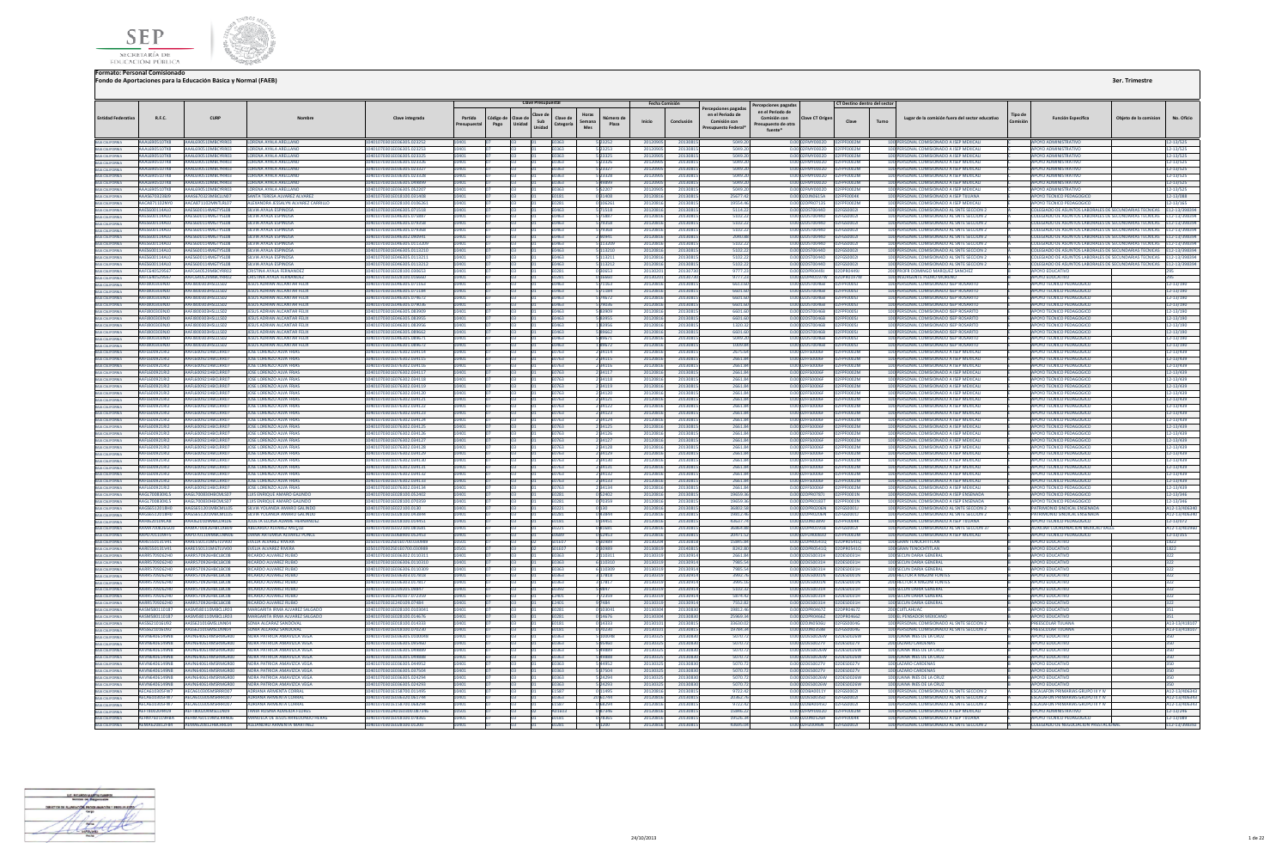



|                                                                                             |                                       |                                                        |                                                                         |                                                        |            |           | <b>Clave Presupuestal</b> |                            |                   |                      |                      |                                     |                                  |                                                          |                                  |       |                                                                                          |                |                                                                       |                       |                              |
|---------------------------------------------------------------------------------------------|---------------------------------------|--------------------------------------------------------|-------------------------------------------------------------------------|--------------------------------------------------------|------------|-----------|---------------------------|----------------------------|-------------------|----------------------|----------------------|-------------------------------------|----------------------------------|----------------------------------------------------------|----------------------------------|-------|------------------------------------------------------------------------------------------|----------------|-----------------------------------------------------------------------|-----------------------|------------------------------|
|                                                                                             |                                       |                                                        |                                                                         |                                                        |            |           |                           |                            |                   | Fecha Comisión       |                      | ercepciones pagadas                 | Percepciones pagadas             |                                                          | CT Destino dentro del sector     |       |                                                                                          |                |                                                                       |                       |                              |
| <b>Entidad Federativa</b>                                                                   | <b>R.F.C.</b>                         | <b>CURP</b>                                            | Nombre                                                                  | Clave integrada                                        | Partida    | Código de | Clave de                  | Horas<br>Clave de          | Número de         |                      |                      | en el Periodo de                    | en el Periodo de<br>Comisión con | <b>Clave CT Origen</b>                                   |                                  |       | Lugar de la comisión fuera del sector educativo                                          | <b>Tipo</b> de | <b>Función Específica</b>                                             | Obieto de la comision | No. Oficio                   |
|                                                                                             |                                       |                                                        |                                                                         |                                                        | resunuesta | Pago      | Sub<br>Unidad<br>Unidad   | Semana<br>Categoría<br>Mes | Plaza             | Inicio               | Conclusión           | Comisión con<br>Presupuesto Federal | Presupuesto de otra              |                                                          | Clave                            | Turno |                                                                                          |                |                                                                       |                       |                              |
|                                                                                             |                                       |                                                        |                                                                         |                                                        |            |           |                           |                            |                   |                      |                      |                                     | fuente*                          |                                                          |                                  |       |                                                                                          |                |                                                                       |                       |                              |
| BAIA CALIFORNIA<br>BAIA CALIFORNIA<br>BAIA CALIFORNIA<br>BAIA CALIFORNIA<br>BAIA CALIFORNIA |                                       | AAAL690510TK8 AAAL690510MBCYRR03 LORENA AYALA ARELLANO |                                                                         | 10401070301E036305.023252                              | 10401      |           |                           | <b>F0363</b>               | 5 23252           | 20120905             | 20130815             | 5049.20                             |                                  | 0.00 02FMY0002D 02FPF0002M                               |                                  |       | 100 PERSONAL COMISIONADO A ISEP MEXICALI                                                 |                | APOYO ADMINISTRATIVO                                                  |                       | 12-13/525                    |
|                                                                                             | <b>AAA1690510TKR</b>                  | AAA1690510MBCYRR03                                     | <b>LORENA AYALA ARELLANC</b>                                            | 10401070301E036305.023253                              |            |           |                           | F0363                      | 23253             | 201209               | 2013081              | 5049.2                              |                                  | 0.00 02EMY0002D                                          | 02FPF0002M                       |       | 100 PERSONAL COMISIONADO A ISEP MEXICALI                                                 |                | <b>POYO ADMINISTRATIVO</b>                                            |                       | 12-13/525                    |
|                                                                                             | AAAL690510TK8                         | AAAL690510MBCYRR03                                     | LORENA AYALA ARELLANO                                                   | 01070301E036305.023325                                 |            |           |                           | E0363                      | 23325             | 20120                | 2013081              | 5049.20                             |                                  | 0.00 02FMY0002D                                          | 2FPF0002M                        |       | 100 PERSONAL COMISIONADO A ISEP MEXICALI                                                 |                | POYO ADMINISTRATIVO                                                   |                       | $2 - 13/525$                 |
|                                                                                             | AAAL690510TK8                         | AAAL690510MBCYRR03                                     | LORENA AYALA ARELLANO                                                   | 10401070301E036305.023326                              |            |           |                           | E0363                      | 5 23326           | 201209               | 20130815             | 5049.20                             |                                  | 0.00 02FMY0002D                                          | 2FPF0002M                        |       | 100 PERSONAL COMISIONADO A ISEP MEXICALI                                                 |                | <b>APOYO ADMINISTRATIVO</b>                                           |                       | 12-13/525                    |
|                                                                                             | <b>AAAL690510TK8</b>                  | AAAL690510MRCYRR03                                     | <b>LORENA AYALA ARELLANO</b>                                            | 0401070301E036305.023327                               |            |           |                           | :0363                      | 23327             | 201209               | 2013081              | 5049.20                             |                                  | 0.00 02FMY0002D                                          | FPF0002M                         |       | 100 PERSONAL COMISIONADO A ISEP MEXICALI                                                 |                | POYO ADMINISTRATIVO                                                   |                       | 12-13/525                    |
|                                                                                             | AAA1690510TK8                         | AAAL690510MBCYRR03<br>4441690510MRCYRR03               | <b>LORENA AYALA ARELLANO</b>                                            | 10401070301E036305.023328<br>10401070301F036305.049899 |            |           |                           | F0363                      | 5 23328           | 201209               | 20130815             | 5049.20                             |                                  | 0.00 02EMY0002D                                          | 02FPF0002M                       |       | 100 PERSONAL COMISIONADO A ISEP MEXICALL                                                 |                | APOYO ADMINISTRATIVO                                                  |                       | 12-13/525                    |
| BAJA CALIFORNIA<br>BAJA CALIFORNIA<br>BAJA CALIFORNIA                                       | AAAL690510TK8<br><b>AAA1690510TKR</b> | <b>AAAL690510MBCVPP03</b>                              | <b>LORENA AYALA ARELLANC</b><br>I ORENA AYALA ARELLANO                  | 0401070301F036305.05220                                |            |           |                           | F0363<br>1363              | 49899             | 201209               | 2013081<br>2013081   | 5049.20<br>5049.2                   |                                  | 0.00102EMY0002D<br>0.00 02EMY0002D                       | 12FPF0002M<br><b>COOOTA</b>      |       | 100 PERSONAL COMISIONADO A ISEP MEXICALI<br>100 PERSONAL COMISIONADO A ISEP MEXICAL      |                | ΔΡΟΥΩ ΑΠΜΙΝΙΝΤΑΤΙΝΟ<br>AROVO ADMINISTRATIVO                           |                       | 12-13/525                    |
|                                                                                             | AAAS670323BJ9                         | <b>AAAS670323MBCUM07</b>                               | SANTA TERESA ALVAREZ ALVARE                                             | 10401070301E018100.031408                              |            |           |                           | E0181                      | 031408            | 201209<br>201208     | 2013081              | 25677.42                            |                                  | 0.00 02DJN0615A                                          | <b>FOOD4K</b>                    |       | 100 PERSONAL COMISIONADO A ISEP TUUANA                                                   |                | APOYO TECNICO PEDAGOG                                                 |                       | 2-13/525<br>12-13/088        |
| BAJA CALIFORNIA                                                                             | AACA871102NY0                         | AACA871102MNTLRL07                                     | ALEXANDRA JESSALYN ALVAREZ CARRILL                                      | I0401070301E028100.010626                              |            |           |                           | 0281                       |                   | 201208               | 2013081              | 19554.4                             |                                  | 0.00 02DPR0713S                                          | PF0002M                          |       | 100 PERSONAL COMISIONADO A ISEP MEXICAL                                                  |                | OYO TECNICO PEDAGOGIO                                                 |                       | $2 - 13/165$                 |
| <b>BAJA CALIFORNIA</b>                                                                      | AAFS600114AL0                         | AAFS600114MGTYSL08                                     | SILVIA AVALA ESPINOSA                                                   | 10401070301F046305 071518                              |            |           |                           | <b>F0463</b>               | 5 71518           | 20120816             | 20130815             | 5114.22                             |                                  | 0.00.02DST0044D 02EGS0002L                               |                                  |       | 100 PERSONAL COMISIONADO AL SNTE SECCION 2                                               |                | COLEGIADO DE ASUNTOS LARORALES DE SECUNDARIAS TECNICAS E12-13/398394  |                       |                              |
|                                                                                             | AAFS600114AL0                         | AAFS600114MGTYSL08                                     | SILVIA AYALA ESPINOSA                                                   | 10401070301F046305.075887                              | 0401       |           |                           | <b>F0463</b>               | 5 75887           | 20120816             | 20130815             | 51022                               |                                  | 0.0002DST0044D 02EGS0002L                                |                                  |       | 100 PERSONAL COMISIONADO AL SNTE SECCIÓN 2                                               |                | COLEGIADO DE ASUNTOS LABORALES DE SECUNDARIAS TECNICAS E12-13/398394  |                       |                              |
| BAIA CALIFORNIA<br>BAIA CALIFORNIA<br>BAIA CALIFORNIA                                       | AAFS600114AL0                         | AAES600114MGTYSL08                                     | SILVIA AYALA ESPINOSA                                                   | 10401070301F046305 079358                              |            |           |                           | <b>F0463</b>               | 79358             | 2012081              | 2013081              | 5102.2                              |                                  | 0.00.02DST0044D 02EGS0002L                               |                                  |       | 100 PERSONAL COMISIONADO AL SNTE SECCION 2                                               |                | COLEGIADO DE ASUNTOS LABORALES DE SECUNDARIAS TECNICAS E12-13/398394  |                       |                              |
|                                                                                             | AAES600114AL0                         | AAES600114MGTYSL08                                     | <b>SILVIA AYALA ESPINOSA</b>                                            | 10401070301E046305.079368                              |            |           |                           | E0463                      | 79368             | 2012081              | 2013081              | 5102.2                              |                                  | 0.00 02DST0044D                                          | 02FGS0002                        |       | 100 PERSONAL COMISIONADO AL SNTE SECCION :                                               |                | OLEGIADO DE ASUNTOS LABORALES DE SECUNDARIAS TECNICAS E12-13/398394   |                       |                              |
| BAIA CALIFORNIA                                                                             | AAES600114AL0                         | AAES600114MGTYSL08                                     | SILVIA AYALA ESPINOSA                                                   | I0401070301E046302.090941                              |            |           |                           | 0463                       |                   | 2012081              | 2013081              | 2040.8                              |                                  | 0.00 02DST0044D                                          | 2FGS00021                        |       | 100 PERSONAL COMISIONADO AL SNTE SECCION :                                               |                | DLEGIADO DE ASUNTOS LABORALES DE SECUNDARIAS TECNICAS                 |                       | 12-13/398394                 |
| BAJA CALIFORNIA                                                                             | AAFS600114AI0                         | AAFS600114MGTYSL08                                     | SILVIA AVALA ESPINOSA                                                   | 10401070301F046305 011320                              |            |           |                           | <b>FN463</b>               | 113209            | 20120816             | 2013081              | 5102.23                             |                                  | 0.0002DST0044D 02EGS0002L                                |                                  |       | 100 PERSONAL COMISIONADO AL SNTE SECCION 2                                               |                | COLEGIADO DE ASUNTOS LARORALES DE SECUNDARIAS TECNICAS E12-13/398394  |                       |                              |
| BAIA CALIFORNIA<br>BAIA CALIFORNIA<br>BAIA CALIFORNIA<br>BAIA CALIFORNIA                    | AAES600114AL0                         | AAES600114MGTYSL08                                     | SILVIA AYALA ESPINOSA                                                   | 10401070301E046305.0113210                             | 10401      |           |                           | E0463                      | 5 113210          | 20120816             | 20130815             | 5102.22                             |                                  |                                                          |                                  |       | 100 PERSONAL COMISIONADO AL SNTE SECCION 2                                               |                | COLEGIADO DE ASUNTOS LABORALES DE SECUNDARIAS TECNICAS E12-13/398394  |                       |                              |
|                                                                                             | AAFS600114AL0                         | AAFS600114MGTYSL08                                     | <b><i>SILVIA AVALA ESPINOSA</i></b>                                     | 10401070301F046305 0113211                             |            |           |                           | FN463                      | 113211            | 20120816             | 20130815             | 5102.23                             |                                  | 0.0002DST0044D 02FGS0002L                                |                                  |       | 100 PERSONAL COMISIONADO AL SNTE SECCION 2                                               |                | COLEGIADO DE ASUNTOS LARORALES DE SECUNDARIAS TECNICAS E 12-13/398394 |                       |                              |
|                                                                                             | <b>AAFS600114AIO</b>                  | AAFS600114MGTYSL08                                     | SILVIA AYALA ESPINOSA                                                   | 10401070301F046305 0113212                             |            |           |                           | <b>FN463</b>               | 1689492           | 2012081              | 2013081              | 5102.23                             |                                  | 0.00 02DST0044D                                          | 02EGS0002L                       |       | 100 PERSONAL COMISIONADO AL SNTE SECCIÓN 2                                               |                | COLEGIADO DE ASUNTOS LABORALES DE SECUNDARIAS TECNICAS E12-13/398394  |                       |                              |
| BAIA CALIFORNIA<br>BAIA CALIFORNIA                                                          | AAFC640529567                         | AAFC640529MBCYRR02                                     | <b>CRISTINA AYALA FERNANDEZ</b>                                         | 0401070301E028100.030653                               |            |           |                           | E0281                      | 30653             | 201302               | 20130730             | 9777.23                             |                                  | 0.00 02DPR0449J 02DPR0449J                               |                                  |       | 200 PROFR DOMINGO MARQUEZ SANCHEZ                                                        |                | POYO EDUCATIVO                                                        |                       |                              |
|                                                                                             | AAFC640529567                         | AAFC640529MRCYRR02                                     | <b>CRISTINA AYALA FERNANDEZ</b>                                         | 10401070301F028100 016660                              |            |           |                           | E0281                      | 0.3880            | 2013020              | 20130730             | 9777.23                             |                                  | 0.00.02DPR0197W 02DPR0197W                               |                                  |       | 100 INSURGENTE PEDRO MORENO                                                              |                | ΔΡΩΥΩ ΕΠΙΙΣΑΤΙΝΩ                                                      |                       | 295                          |
| BAJA CALIFORNIA<br><b>BAJA CALIFORNIA</b>                                                   | AAFJ800303NJ0                         | AAFJ800303HSLLLS02                                     | <b>JESUS ADRIAN ALCANTAR FELIX</b>                                      | 10401070301E046305.071163<br>10401070301F046305 071184 |            |           |                           | E0463                      | 71163             | 20120816             | 2013081              | 6613.6                              |                                  | 0.00 02DST0046B                                          | 02FPF00051                       |       | 100 PERSONAL COMISIONADO ISEP ROSARITO                                                   |                | POYO TECNICO PEDAGOGICO                                               |                       | 12-13/190                    |
|                                                                                             | AAFI800303N10<br>AACIROO202NIO        | AAFIROO303HSLLLS02<br>AAEIR00303HSLLLS02               | <b>IFSUS ADRIAN ALCANTAR FELIX</b><br><b>IESUS ADRIAN ALCANTAR FEUV</b> | 10401070201E046205.074677                              |            |           |                           | FN463<br>EOA63             | 71184<br>74672    | 20120816<br>2012081  | 20130815<br>2013091  | 6601.60<br><b>6601.66</b>           |                                  | 0.0002DST0046B 02FPE000SL<br>0.00020ST00468              | <b>DEDENNAST</b>                 |       | 100 PERSONAL COMISIONADO ISEP ROSARITO<br>100 PERSONAL COMISIONADO ISER ROSARITO         |                | APOYO TECNICO PEDAGOGICO<br><b>POVO TECNICO PEDAGOGICO</b>            |                       | 12-13/190<br>12-13/190       |
| BAJA CALIFORNIA                                                                             | AAFJ800303NJ                          | AFJ800303HSLLLS0                                       | <b>IESUS ADRIAN ALCANTAR FELIX</b>                                      | 0401070301E046305.079036                               |            |           |                           |                            |                   | 201208               | 2013081              | 6601.6                              |                                  | ST0046B                                                  | <b>FOODSJ</b>                    |       | 100 PERSONAL COMISIONADO ISEP ROSARITO                                                   |                | OYO TECNICO PEDAGOGICO                                                |                       | $2 - 13/190$                 |
| BAJA CALIFORNIA<br>BAJA CALIFORNIA                                                          | AAFJ800303NJ                          |                                                        | JESUS ADRIAN ALCANTAR FELD                                              | 0401070301E046305.083909                               |            |           |                           | E0463                      |                   | 2012081              | 2013081              | 6601.6                              |                                  |                                                          |                                  |       | 100 PERSONAL COMISIONADO ISEP ROSARIT                                                    |                |                                                                       |                       | 12-13/190                    |
| BAJA CALIFORNIA                                                                             | AAFJ800303NJ0                         | AAFJ800303HSLLLS02                                     | <b>JESUS ADRIAN ALCANTAR FELIX</b>                                      | 10401070301E046305.083955                              |            |           |                           | 0463                       |                   | 2012081              | 2013081              | 6601.6                              |                                  | 0.00 02DST0046B                                          | <b>FPFOOOSJ</b>                  |       | 100 PERSONAL COMISIONADO ISEP ROSARITO                                                   |                | POYO TECNICO PEDAGOGICO                                               |                       | 12-13/190                    |
| BAJA CALIFORNIA                                                                             | AAFI800303NIO                         | <b>AAF1800303HSLLIS02</b>                              | <b>IFSUS ADRIAN ALCANTAR FELIX</b>                                      | 10401070301F046301 083956                              |            |           |                           | FN463                      | 183956            | 20120816             | 2013081              | 13203                               |                                  | 0.00 02DST0046B                                          | 02FPF0005L                       |       | 100 PERSONAL COMISIONADO ISEP ROSARITO                                                   |                | APOYO TECNICO PEDAGOGICO                                              |                       | 12-13/190                    |
| BAJA CALIFORNIA                                                                             | AAFI800303NIO                         | AAEIR00303HSLLLS02                                     | <b>JESUS ADRIAN ALCANTAR FFITX</b>                                      | 10401070201E046305.089667                              |            |           |                           | <b>F0463</b>               | 5 89662           | 20120816             | 20130815             | 6601.60                             |                                  | 0.00 02DST0046R 02ERE00ST                                |                                  |       | 100 PERSONAL COMISIONADO ISEP ROSARITO                                                   |                | AROVO TECNICO REDAGOGICO                                              |                       | 12-13/190                    |
| <b>A CALIFORNIA</b>                                                                         | AAFJ800303NJ                          | AAFJ800303HSLLLS02                                     | <b>JESUS ADRIAN ALCANTAR FELD</b>                                       | 01070301E046305.08967                                  |            |           |                           | 0463                       |                   | 201208               | 2013081              | 5049.2                              | 0.00                             | ST0046B                                                  |                                  |       | 100 PERSONAL COMISIONADO ISEP ROSARIT                                                    |                | OYO TECNICO PEDAGOGICI                                                |                       | $2 - 13/190$                 |
| BAJA CALIFORNIA                                                                             | AAFJ800303NJ0                         | AAFJ800303HSLLLS02                                     | JESUS ADRIAN ALCANTAR FELIX                                             | 10401070301E046301.089672                              |            |           |                           | E0463                      | 189672            | 2012081              | 20130815             | 1009.84                             |                                  | 0.00 02DST0046B                                          | PF0005J                          |       | 100 PERSONAL COMISIONADO ISEP ROSARITO                                                   |                | POYO TECNICO PEDAGOGICO                                               |                       | 12-13/190                    |
|                                                                                             | AAFL600921RI2                         | AAFL600921HBCLRR0                                      | JOSE LORENZO ALVA FRIAS                                                 | 0401070301E076302.034114                               |            |           |                           | 0763                       | 34114             | 2012081              | 2013081              | 2675.6                              |                                  | 0.00 02FFS0006F                                          | EFPF0002M                        |       | 100 PERSONAL COMISIONADO A ISEP MEXICAL                                                  |                | OYO TECNICO PEDAGOGICO                                                |                       | 12-13/439                    |
| BAIA CALIFORNIA<br>BAIA CALIFORNIA                                                          | AAFL600921RI2                         | AAFL600921HRCLRR0                                      | <b>IOSE LORENZO ALVA ERIAS</b>                                          | 10401070301E076302.034115                              |            |           |                           | E0763                      | 234115            | 20120816             | 2013081              | 2661.84                             |                                  | 0.00 02FES0006E                                          | 12FPF0002M                       |       | 100 PERSONAL COMISIONADO A ISEP MEXICAL                                                  |                | APOYO TECNICO PEDAGOGICO                                              |                       | 12-13/439                    |
| .<br>Baja California<br>Baja California                                                     | AAFL600921R12                         | AAFL600921HRCLRR01                                     | <b>IOSE LORENZO ALVA ERIAS</b>                                          | 10401070301E076302.034116                              |            |           |                           | <b>F0763</b>               | 234116            | 20120816             | 2013081              | 2661.84                             |                                  | 0.00 02FFS0006F                                          | <b>ARCODAMI</b>                  |       | 100 PERSONAL COMISIONADO A ISEP MEXICAL                                                  |                | <b>APOYO TECNICO PEDAGOGICO</b>                                       |                       | 12-13/439                    |
|                                                                                             | AAFL600921RI2                         | AAFL600921HRCLRR07                                     | <b>IOSE LORENZO ALVA ERIAS</b>                                          | 10401070301F076302 034117                              |            |           |                           | FN763                      | 234117            | 20120816             | 20130815             | 2661.84                             |                                  | 0.00.02EES0006E                                          | <b>FPF0002M</b>                  |       | 100 PERSONAL COMISIONADO A ISEP MEXICALL                                                 |                | APOYO TECNICO PEDAGOGICO                                              |                       | 12-13/439                    |
| BAJA CALIFORNIA                                                                             | AAFL600921RI2                         | AAFL600921HBCLRR07                                     | <b>JOSE LORENZO ALVA FRIAS</b>                                          | 10401070301E076302.034118                              |            |           |                           | E0763                      | 2 34118           | 2012081              | 2013081              | 2661.84                             |                                  | 0.00 02FFS0006F                                          | F0002M                           |       | 100 PERSONAL COMISIONADO A ISEP MEXICAL                                                  |                | <b>APOYO TECNICO PEDAGOGICO</b>                                       |                       | 12-13/439                    |
| BAIA CALIFORNIA<br>BAIA CALIFORNIA                                                          | AAFL600921RI2                         | AAFL600921HBCLRR07                                     | JOSE LORENZO ALVA FRIAS                                                 | 10401070301E076302.034119                              |            |           |                           | E0763                      | 2 34119           | 20120816             | 20130815             | 2661.84                             |                                  | 0.00 02FFS0006F                                          | PF0002M                          |       | 100 PERSONAL COMISIONADO A ISEP MEXICALI                                                 |                | <b>IPOYO TECNICO PEDAGOGICO</b>                                       |                       | 12-13/439                    |
|                                                                                             | AAFL600921RI2                         | AAFL600921HRCLRR01                                     | JOSE LORENZO ALVA FRIAS                                                 | 10401070301E076302.034120                              |            |           |                           | E0763                      | 2 34120           | 20120816             | 20130815             | 2661.84                             |                                  | 0.00 02FFS0006F                                          | FOOD 2 M                         |       | 100 PERSONAL COMISIONADO A ISEP MEXICAL                                                  |                | APOYO TECNICO PEDAGOGICO                                              |                       | 12-13/439                    |
| <b>BAIA CALIFORNIA</b>                                                                      | AAFL600921RI2                         | AAFL600921HRCLRR01                                     | <b>IOSE LORENZO ALVA FRIAS</b>                                          | 10401070301E076302.034121                              |            |           |                           | F0763                      | 234121            | 2012081              | 2013081              | 2661.84                             |                                  | 0.00 02FFS0006F                                          | <b>ENONYM</b>                    |       | 100 PERSONAL COMISIONADO A ISEP MEXICAL                                                  |                | POYO TECNICO PEDAGOGICO                                               |                       | 12-13/439                    |
| BAJA CALIFORNIA                                                                             | AAFL600921R12<br>CIG PCONNA 13AA      | AAFL600921HRCLRR01<br>AAEL600921HBCLRR07               | <b>IOSE LORENZO ALVA FRIAS</b><br><b>IOSE LORENZO ALVA ERIAS</b>        | 10401070301F076302 034122<br>10401070301E076302.034123 |            |           |                           | <b>F0763</b><br>E0763      | 234122<br>234123  | 20120816<br>20120816 | 2013081<br>2013081   | 2661.84<br>2661 R4                  |                                  | 0.00 02FFS0006F<br>0.00 02FFS0006F                       | <b>FOODZM</b><br><b>DENNATAL</b> |       | 100 PERSONAL COMISIONADO A ISEP MEXICALI<br>100 PERSONAL COMISIONADO A ISER MEVICALI     |                | APOYO TECNICO PEDAGOGICO<br>AROVO TECNICO REDAGOGICO                  |                       | 12-13/439<br>2-13/439        |
| BAJA CALIFORNIA                                                                             | AAFL600921RI                          | AFL600921HBCLRR0                                       | <b>IOSE LORENZO ALVA FRIA!</b>                                          | 401070301E076302.034124                                |            |           |                           | 0763                       | 234124            | 201208               | 2013081              | 2661.8                              |                                  | <b>FS0006F</b>                                           | 0002M                            |       | 100 PERSONAL COMISIONADO A ISEP MEXICAL                                                  |                | OYO TECNICO PEDAGOGICO                                                |                       | 2-13/439                     |
| BAJA CALIFORNIA                                                                             | AAFL600921RI2                         | AFL600921HBCLRR0                                       | JOSE LORENZO ALVA FRIAS                                                 | 401070301E076302.034125                                |            |           |                           | 0763                       | 2 34125           | 2012081              | 2013081              | 2661.84                             |                                  | 0.00 02FFS0006F                                          |                                  |       | 100 PERSONAL COMISIONADO A ISEP MEXICAL                                                  |                | <b>POYO TECNICO PEDAGOGICO</b>                                        |                       | 12-13/439                    |
| <b>BAIA CALIFORNIA</b>                                                                      | AAFL600921RI2                         | AAFL600921HRCLRR01                                     | <b>IOSE LORENZO ALVA ERIAS</b>                                          | 10401070301F076302 034126                              |            |           |                           | F0763                      | 234126            | 20120816             | 2013081              | 2661.84                             |                                  | 0.00 02FFS0006F                                          | FOODZM                           |       | 100 PERSONAL COMISIONADO A ISEP MEXICAL                                                  |                | <b>IPOYO TECNICO PEDAGOGICO</b>                                       |                       | 12-13/439                    |
| BAIA CALIFORNIA                                                                             | AAFL600921RI2                         | AAFL600921HRCLRR03                                     | <b>IOSE LORENZO ALVA ERIAS</b>                                          | 10401070301E076302 034127                              |            |           |                           | F0763                      | 234127            | 20120816             | 2013081              | 2661.84                             |                                  | 0.00.02EES0006E                                          | FOOD 2M                          |       | 100 PERSONAL COMISIONADO A ISEP MEXICALI                                                 |                | <b>APOYO TECNICO PEDAGOGICO</b>                                       |                       | 12-13/439                    |
|                                                                                             | AAFL600921RI2                         |                                                        | JOSE LORENZO ALVA FRIA:                                                 | 1015076302.03412                                       |            |           |                           | E0763                      | 2 34128           | 20120816             | 2013081              | 2661.84                             |                                  | 0.00 02FFS0006F                                          | 002M                             |       | 100 PERSONAL COMISIONADO A ISEP MEXICAL                                                  |                | <b>IOVO TECNICO PEDAGOGIO</b>                                         |                       | 12-13/439                    |
| BAIA CALIFORNIA<br>BAIA CALIFORNIA                                                          | AAFL600921RI2                         | AFL600921HBCLRR0                                       | JOSE LORENZO ALVA FRIAS                                                 | 10401070301E076302.034129                              |            |           |                           | 0763                       | 2 34129           | 201208               | 2013081              | 2661.84                             |                                  | 0.00 02FFS0006F                                          | 0002M                            |       | 100 PERSONAL COMISIONADO A ISEP MEXICAL                                                  |                | OYO TECNICO PEDAGOGICO                                                |                       | 12-13/439                    |
|                                                                                             | AAFL600921RI2                         | L600921HBCLRR                                          | JOSE LORENZO ALVA FRIA!                                                 | 01070301E076302.034130                                 |            |           |                           | E0763                      | 2 34130           | 2012081              | 2013081              | 2661.84                             |                                  | 0.00 02FFS0006F                                          |                                  |       | 100 PERSONAL COMISIONADO A ISEP MEXICA                                                   |                | POYO TECNICO PEDAGOGICO                                               |                       | 12-13/439                    |
| <b>BAIA CALIFORNIA</b>                                                                      | AAFL600921RI2                         | AAFL600921HRCLRRO                                      | <b>IOSE LORENZO ALVA FRIAS</b>                                          | I0401070301E076302.034131                              |            |           |                           | FN763                      | 2 34131           | 20120816             | 20130815             | 2661.84                             |                                  | 0.00 02FFS0006F                                          | PENNO2M                          |       | 100 PERSONAL COMISIONADO A ISEP MEXICAL                                                  |                | <b>POYO TECNICO PEDAGOGICO</b>                                        |                       | 12-13/439                    |
|                                                                                             | <b>AAFL600921R12</b>                  | AAFL600921HRCLRR0                                      | <b>IOSE LORENZO ALVA ERIAS</b>                                          | 10401070301E076302.034132                              |            |           |                           | FN763                      | 734132            | 2012081              | 2013081              | 2661.84                             |                                  | 0.00 02FFS0006F                                          | PENNO2M                          |       | 100 PERSONAL COMISIONADO A ISEP MEXICALI                                                 |                | <b>MPOYO TECNICO PEDAGOGICO</b>                                       |                       | 12-13/439                    |
|                                                                                             | <b>AAFL600921R12</b>                  | AAFI 600921HRCLRR01                                    | <b>IOSE LORENZO ALVA ERIAS</b>                                          | 10401070301F076302 034133                              |            |           |                           | F0763                      | 2 34133           | 20120816             | 2013081              | 2661.84                             |                                  | 0.00 02FFS0006F                                          | <b>DENNATION</b>                 |       | 100 PERSONAL COMISIONADO A ISEP MEXICAL                                                  |                | <b>IPOYO TECNICO PEDAGOGICO</b>                                       |                       | 12-13/439                    |
| BAIA CALIFORNIA                                                                             | AAEL600021912                         | AAFL600921HBCLRR01                                     | JOSE LORENZO ALVA FRIAS                                                 | 10401070301E076302.034134                              |            |           |                           | E0763                      | 2 34134           | 2012081              | 2013081              | 2661.84                             |                                  | 0.00 02EES0006E                                          | <b>COODZA</b>                    |       | 100 PERSONAL COMISIONADO A ISEP MEXICAL                                                  |                | AROVO TECNICO REDAGOGICO                                              |                       | 12-13/439                    |
| BAJA CALIFORNIA                                                                             | AAGL700830KL5                         | AAGL700830HBCMLS0                                      | LUIS ENRIQUE AMARO GALINDO                                              | 10401070301E028100.052402                              |            |           |                           | E0281                      | 0 52402           | 2012081              | 2013081              | 19659.36                            |                                  | 0.00 02DPR0787J                                          | F0001N                           |       | 100 PERSONAL COMISIONADO A ISEP ENSENADA                                                 |                | APOYO TECNICO PEDAGOGICO                                              |                       | 12-13/346                    |
| BAJA CALIFORNIA<br>BAJA CALIFORNIA                                                          | AAGL700830KL5                         | AAGI 700830HBCMLS07                                    | LUIS ENRIQUE AMARO GALINDO                                              | 01070301E028100.070359                                 |            |           |                           | E0281                      | 070359            | 20120816             | 2013081              | 19659.36                            |                                  | 0.00 02DPR0183T                                          | <b>E0001N</b>                    |       | 100 PERSONAL COMISIONADO A ISEP ENSENADA                                                 |                | <b>APOYO TECNICO PEDAGOGICO</b>                                       |                       | 12-13/346                    |
|                                                                                             | AAGS6512018H0<br><b>AAGS6512018HD</b> | <b>AAGS651201MRCMU05</b><br><b>AGS651201MRCMLL05</b>   | SILVIA YOLANDA AMARO GALINDO<br>SILVIA YOLANDA AMARO GALIND             | 10401070301E022100.0130<br>1401070301E028100.043844    |            |           |                           | E0221<br>F0281             | 0 130<br>0 43844  | 20120816<br>2012081  | 20130815<br>2013081  | 36802.58<br>198124                  |                                  | 0.00 02DPR0206N<br>0.00 02DPR0206N                       | 02FGS0001J<br>6500011            |       | 100 PERSONAL COMISIONADO AL SNTE SECCION 2<br>100 PERSONAL COMISIONADO AL SNTE SECCION 2 |                | PATRIMONIO SINDICAL ENSENADA<br>ATRIMONIO SINDICAL ENSENADA           |                       | A12-13/40634<br>A12-13/40634 |
|                                                                                             | <b>AAHI620109CAR</b>                  | <b>MAHI620109MRCDRIOS</b>                              | <b>ILILIETA FLOISA ADAME HERNANDEZ</b>                                  | 10401070301F018100 014451                              |            |           |                           | <b>F0181</b>               | 0 14451           | 2012081              | 20130815             | 43637.7                             |                                  | 0.00.02DIN0389V                                          | EDENNAK                          |       | 100 PERSONAL COMISIONADO A ISEP TIILIANA                                                 |                | APOYO TECNICO PEDAGOGICO                                              |                       | 12-13/072                    |
| BAJA CALIFORNIA<br>BAJA CALIFORNIA                                                          | <b>AAMA200826GUD</b>                  | <b>AAMAZ00826HBCLYB09</b>                              | ARELARDO ALVAREZ MULOZ                                                  | 10401070301F022100.081681                              |            |           |                           | E0221                      | 08168             | 2012081              | 2013081              | 36864.8                             |                                  | 0.00 02DPR0191B                                          | GS00021                          |       | 100 PERSONAL COMISIONADO AL SNTE SECCION 37                                              |                | AUXILIAR COORDINACION MEXICALL                                        |                       | A12-13/4029                  |
| BAJA CALIFORNIA                                                                             | AAPD701109FF5                         | APD701109MBCLNN0                                       | DIANA ARTEMISA ALVAREZ PONO                                             | 401070301E068900.052453                                |            |           |                           | 1689                       | 52453             | 201208               | 2013081              | 20471.5                             | 0.00                             | 02FUA0083D                                               | FOODZN                           |       | 100 PERSONAL COMISIONADO A ISEP MEXICALI                                                 |                | OYO TECNICO PEDAGOGICO                                                |                       | 12-13/355                    |
|                                                                                             | AARE550131V41                         | AARESS0131MGTLVV00                                     | <b>EVELIA ALVAREZ RIVERA</b>                                            | 1070302S01E0700.030989                                 |            |           |                           | S01E07                     | 030989            | 201302               | 20130818             | 15845.84                            |                                  |                                                          |                                  |       | 100 GRAN TENOCHTITLAN                                                                    |                | <b>APOYO EDUCATIVO</b>                                                |                       | 1822                         |
|                                                                                             | AARESS0131V41                         | AARESS0131MGTLVV00                                     | <b>EVELIA ALVAREZ RIVERA</b>                                            | 10501070302501E0700.030989                             |            |           |                           | <b>SO1E07</b>              | 0.30989           | 20130819             | 20140815             | 8242.80                             |                                  | 0.00.02DPR05410 02DPR05410                               |                                  |       | 100 GRAN TENOCHTITIAN                                                                    |                | ΔΡΟΥΩ ΕΒΗΓΑΤΙΛΩ                                                       |                       | 1822                         |
|                                                                                             | AARREZ09262HO                         | AARR570926HRCLBCOR                                     | <b>PICARDO ALVAREZ RUBIC</b>                                            | 10401070301F036302 011031                              |            |           |                           | E0363                      | 110311            | 201303               | 2013091              | 2661 8                              |                                  | 0.00.02DES0031H                                          | 02DES0031H                       |       | 100 SECUN DARIA GENERA                                                                   |                | ΔΡΟΥΩ ΕΠΙΙΣΑΤΙΜ                                                       |                       | 322                          |
| BAJA CALIFORNIA<br>BAJA CALIFORNIA<br>BAJA CALIFORNIA                                       | AARR5709262H0                         | AARR570926HBCLBCDI                                     | <b>RICARDO ALVAREZ RUBI</b>                                             | 01070301E036306.01103                                  |            |           |                           | E0363                      | 6 110310          | 20130                | 201309               | 7985.54                             |                                  | 0.00 02DES0031H 02DES0031H                               |                                  |       | 100 SECUN DARIA GENERA                                                                   |                | <b>APOYO EDUCATIV</b>                                                 |                       | 322                          |
| BAJA CALIFORNIA                                                                             | AARR5709262H0                         | AARR570926HBCLBC08                                     | RICARDO ALVAREZ RUBIO                                                   | 0401070301E036306.011030                               |            |           |                           | :0363                      | 110309            | 201303               | 2013091              | 7985.5                              |                                  | 0.00 02DES0031H                                          | 02DES0031H                       |       | 100 SECUN DARIA GENERAL                                                                  |                | POYO EDUCATIVO                                                        |                       | 322                          |
| <b>BAJA CALIFORNIA</b>                                                                      | AARR5709262H0                         | AARR570926HBCLBC08                                     | <b>RICARDO ALVAREZ RUBIO</b>                                            | 10401070301E036303.017818                              |            |           |                           | E0363                      | 3 17818           | 2013031              | 20130914             | 3992.76                             |                                  | 0.00 02DES0001N 02DES0001N                               |                                  |       | <b>200 HECTOR A MIGONI FONTES</b>                                                        |                | <b>APOYO EDUCATIVO</b>                                                |                       | 322                          |
| BAIA CALIFORNIA<br>BAIA CALIFORNIA<br>BAIA CALIFORNIA                                       | AARR5709262H0                         | AARR570926HRCLBCOR                                     | <b>RICARDO ALVAREZ RUBIO</b>                                            | 10401070301E036303.017817                              |            |           |                           | E0363                      | 3 17817           | 20130319             | 20130914             | 3995.16                             |                                  | 0.00 02DES0001N 02DES0001N                               |                                  |       | 200 HECTOR A MIGONI FONTES                                                               |                | <b>APOYO EDUCATIVO</b>                                                |                       | 322                          |
|                                                                                             | <b>AARR5709262HO</b>                  | AARR570926HRCLBCOR                                     | <b>RICARDO ALVAREZ RUBIC</b>                                            | 10401070301E039205.09847                               |            |           |                           | FN392                      | 59847             | 2013031              | 2013091              | 5102.33                             |                                  | 0.0002DES0031H 02DES0031H                                |                                  |       | 100 SECUN DARIA GENERAL                                                                  |                | <b>APOYO EDUCATIVO</b>                                                |                       | 322                          |
|                                                                                             | <b>AARR5709262HO</b>                  | AARR570926HRCLBCOR                                     | RICARDO ALVAREZ RURIO                                                   | 0401070301E240107.072359                               |            |           |                           | E2401                      | 72359             | 201303               | 201309               | 5874 43                             |                                  | 0.00 02DES0031H                                          | 02DES0031H                       |       | 100 SECUN DARIA GENERAL                                                                  |                | <b>POYO EDUCATIVE</b>                                                 |                       | 322                          |
| BAJA CALIFORNIA                                                                             | AARR5709262H0                         | AARR570926HBCLBC08                                     | RICARDO ALVAREZ RUBIO                                                   | 01070301E240109.07484                                  |            |           |                           | E2401                      | 97484             | 201303               | 2013091              | 7552.8                              |                                  | 0.00 02DES0031H 02DES0031H                               |                                  |       | 100 SECUN DARIA GENERAL                                                                  |                | POYO EDUCATIVO                                                        |                       | 322                          |
| BAIA CALIFORNIA<br>BAIA CALIFORNIA<br>BAIA CALIFORNIA                                       | AASM580110187<br>AASM580110187        | AASM580110MBCLLR03<br>AASMS80110MBCUR03                | MARGARITA IRMA ALVAREZ SALGADO<br>MARGARITA IRMA AIVAREZ SALGADO        | 10401070301E028100.010304                              |            |           |                           | E0281                      | 103041            | 2013030              | 2013083              | 19812.4                             |                                  | 0.00 02DPR0467Z<br>0.00 02DPR0466Z 02DPR0466Z            | 02DPR0467Z                       |       | 200 CUITLAHUAC                                                                           |                | <b>APOYO EDUCATIVO</b>                                                |                       | 351                          |
|                                                                                             | AASS621016U92                         | <b>AASS621016MSLLNN04</b>                              | SONIA ALCARAZ SANDOVAL                                                  | 01070301E028100.014676<br>10401070301F018100 014333    |            |           |                           | E0281<br><b>F0181</b>      | 0 14676<br>004333 | 2013030<br>201301    | 20130830<br>20130815 | 25969.34<br>33630.0                 |                                  | 0.00.02DIN0506U 02EGS0004G                               |                                  |       | 100 EL PENSADOR MEXICANO<br>100 PERSONAL COMISIONADO AL SNTE SECCION 2                   |                | <b>POYO EDUCATIVO</b><br>PREESCOLAR TIILIANA                          |                       | 351.<br>A13-13/41810         |
|                                                                                             | AASS621016U92                         | <b>AASS621016MSLLNN04</b>                              | SONIA ALCARAZ SANDOVA                                                   | 0401070301E018100.070230                               |            |           |                           | E0181                      | 70230             | 201301               | 2013081              | 197843                              |                                  | 0.00 02DJN0358B                                          | 02FGS0004G                       |       | 100 PERSONAL COMISIONADO AL SNTE SECCION 2                                               |                | <b>REESCOLAR TIILIANA</b>                                             |                       | A13-13/418107                |
| BAJA CALIFORNIA                                                                             | AAVN6406149N8                         | <b>MAVNIGAGE AMSRMGROOT</b>                            | NORA PATRICIA AMAVIZCA VEG                                              | 10401070301F036305.010004                              |            |           |                           | 1363                       | 100048            | 201303               | 2013083              | 5070.7                              |                                  | 0.00102DES0026W                                          | 02DES0026W                       |       | 100 JUANA INES DE LA CRUZ                                                                |                | ΔΡΟΥΩ ΕΠΙΙΣΑΤΙΚ                                                       |                       |                              |
|                                                                                             | AAVN6406149N8                         | A AVINCADES ANCONAGROOM                                | NORA PATRICIA AMAVIZCA VEGA                                             | 10401070301E036305.095460                              |            |           |                           | E0363                      | 95460             | 2013032              | 2013083              | 5070.72                             |                                  | 0.00 02DES0027V 02DES0027V                               |                                  |       | 200 LAZARO CARDENAS                                                                      |                | <b>APOYO EDUCATIVO</b>                                                |                       |                              |
| BAIA CALIFORNIA<br>BAIA CALIFORNIA                                                          | AAVN6406149N8                         | AAVN640614MSRMGR00                                     | NORA PATRICIA AMAVIZCA VEGA                                             | 0401070301E036305.049889                               |            |           |                           | 0363                       |                   | 201303               | 2013083              | 5070.                               |                                  | 0.00 02DES0026W                                          | 2DES0026W                        |       | 100 JUANA INES DE LA CRU                                                                 |                | OYO EDUCATIV                                                          |                       |                              |
| <b>BAJA CALIFORNIA</b>                                                                      |                                       | AAVN6406149N8 AAVN640614MSRMGR00                       | NORA PATRICIA AMAVIZCA VEGA                                             | 10401070301F036305.049888                              |            |           |                           | <b>F0363</b>               | <b>SIGRER</b>     | 2013032              | 20130830             | 5070.72                             |                                  | 0.00102DES0026W 02DES0026W                               |                                  |       | 100 ILIANA INFS DE LA CRUZ                                                               |                | <b>APOYO EDUCATIVO</b>                                                |                       | $350 -$                      |
| BAIA CALIFORNIA<br>BAIA CALIFORNIA                                                          |                                       | AAVN6406149N8 AAVN640614MSRMGR00                       | NORA PATRICIA AMAVIZCA VEGA                                             | 10401070301F036305 044952                              |            |           |                           | F0363                      | 5 44952           | 2013032              | 20130830             | 5070.73                             |                                  | 0.00.02DES0027V 02DES0027V                               |                                  |       | 100   AZARO CARDENAS                                                                     |                | ΔΡΟΥΩ ΕΒΗΓΑΤΙΝΟ                                                       |                       | 350                          |
|                                                                                             | AAVN6406149N8                         | AAVNE40614MSRMGR00                                     | NORA PATRICIA AMAVIZCA VEGA                                             | 10401070301F036305.037504                              |            |           |                           | <b>F0363</b>               | 37504             | 201303               | 2013083              | 5070.7                              |                                  | 0.00.02DES0027V                                          | 02DES0027V                       |       | 100   AZARO CARDENAS                                                                     |                | <b>POYO FDUCATIVO</b>                                                 |                       |                              |
| BAJA CALIFORNIA                                                                             | AAVN6406149N8                         | AAVN640614MSRMGR00                                     | NORA PATRICIA AMAVIZCA VEG                                              | 10401070301E036305.024294                              |            |           |                           | E0363                      | 24294             | 201303               | 2013083              | 5070.7                              |                                  | 0.00 02DES0026W 02DES0026W                               |                                  |       | 100 JUANA INES DE LA CRU                                                                 |                | OYO EDUCATIV                                                          |                       |                              |
| BAIA CALIFORNIA<br>BAIA CALIFORNIA                                                          | AAVN6406149N8                         | AVN640614MSRMGR00                                      | <b>NORA PATRICIA AMAVIZCA VEGA</b>                                      | 0401070301E036305.024293                               |            |           |                           | 0363                       | 24293             | 201303               | 2013083              | 5070.7                              |                                  | 0.00 02DES0026W                                          | 02DES0026W                       |       | 100 JUANA INES DE LA CRUZ                                                                |                | OYO EDUCATIVO                                                         |                       |                              |
|                                                                                             | AFCA610305FW7                         | AFCA610305MSRRRD07                                     | ADRIANA ARMENTA CORRAI                                                  | 10401070301E158700.011495                              |            |           |                           | F1587                      | 0 11495           | 20120816             | 2013081              | 9722.42                             |                                  | 0.00102DRA0011Y 02EGS0002L                               |                                  |       | 100 PERSONAL COMISIONADO AL SNTE SECCION 2                                               |                | <b>ESCALAFON PRIMARIAS GRUPO III Y IV</b>                             |                       | A12-13/40634                 |
| BAIA CALIFORNIA                                                                             | AECA610305FW7                         | AECA610305MSRRRD07                                     | ADRIANA ARMENTA CORRAL                                                  | 10401070301E036320.061744                              |            |           |                           | E0363                      | 20 61744          | 20120816             | 20130815             | 20362.7                             |                                  | 0.00 02DES0035D 02FGS0002I                               |                                  |       | 100 PERSONAL COMISIONADO AL SNTE SECCION 2                                               |                | <b>ESCALAFON PRIMARIAS GRUPO III Y IV</b>                             |                       | A12-13/406343                |
|                                                                                             | AFCA610305FW7                         | AFCA610305MSRRRD07                                     | ADRIANA ARMENTA CORRA                                                   | 10401070301E158700.068294<br>10501070302401E0300.08734 |            |           |                           | <b>E1587</b>               | 68294             | 201208               | 2013081              | 9722.4                              |                                  | 0.00.02DRA0045Q                                          | 02FGS0002L                       |       | 100 PERSONAL COMISIONADO AL SNTE SECCIÓN 2                                               |                | <b>ESCALAFON PRIMARIAS GRUPO III Y IV</b>                             |                       | 412-13/406343                |
| BAIA CALIFORNIA<br>BAIA CALIFORNIA                                                          | AEFT8002044U9<br><b>AEHM760119HBA</b> | AEFT800204MSLLLN09<br>AEHM760119MSLRRN06               | TANIA ROSINA ALMEIDA FLORES<br>MANUELA DE JESUS ARREDONDO HERAS         | 10401070301E018100.078365                              |            |           |                           | A01E03                     | 087346<br>0 78365 | 2012081<br>20120816  | 2013081<br>20130815  | 15846.2<br>19526.3                  |                                  | 0.00 02FMY0002D 02FPF0002M<br>0.00 02DJN0526H 02FPF0004K |                                  |       | 100 PERSONAL COMISIONADO A ISEP MEXICALI<br>100 PERSONAL COMISIONADO A ISEP TUUANA       |                | <b>APOYO ADMINISTRATIVO</b><br><b>APOYO TECNICO PEDAGOGICO</b>        |                       | 12-13/246<br>12-13/089       |
| BAJA CALIFORNIA                                                                             |                                       | AEMA620812F84 AEMA620812HBCRRL04                       | ALEJANDRO ARMENTA MARTINEZ                                              | 10401070301E028100.01200                               |            |           |                           | E0181<br>E0281             | 0.1200            | 20120816             | 20130815             | 436950                              |                                  | 0.00 02FIZ0046N 02FGS0002I                               |                                  |       | 100 PERSONAL COMISIONADO AL SNTE SECCION 2                                               |                | <b>COLEGIADO DE NEGOCIACION PRESTACION</b>                            |                       | E12-13/398392                |
|                                                                                             |                                       |                                                        |                                                                         |                                                        |            |           |                           |                            |                   |                      |                      |                                     |                                  |                                                          |                                  |       |                                                                                          |                |                                                                       |                       |                              |

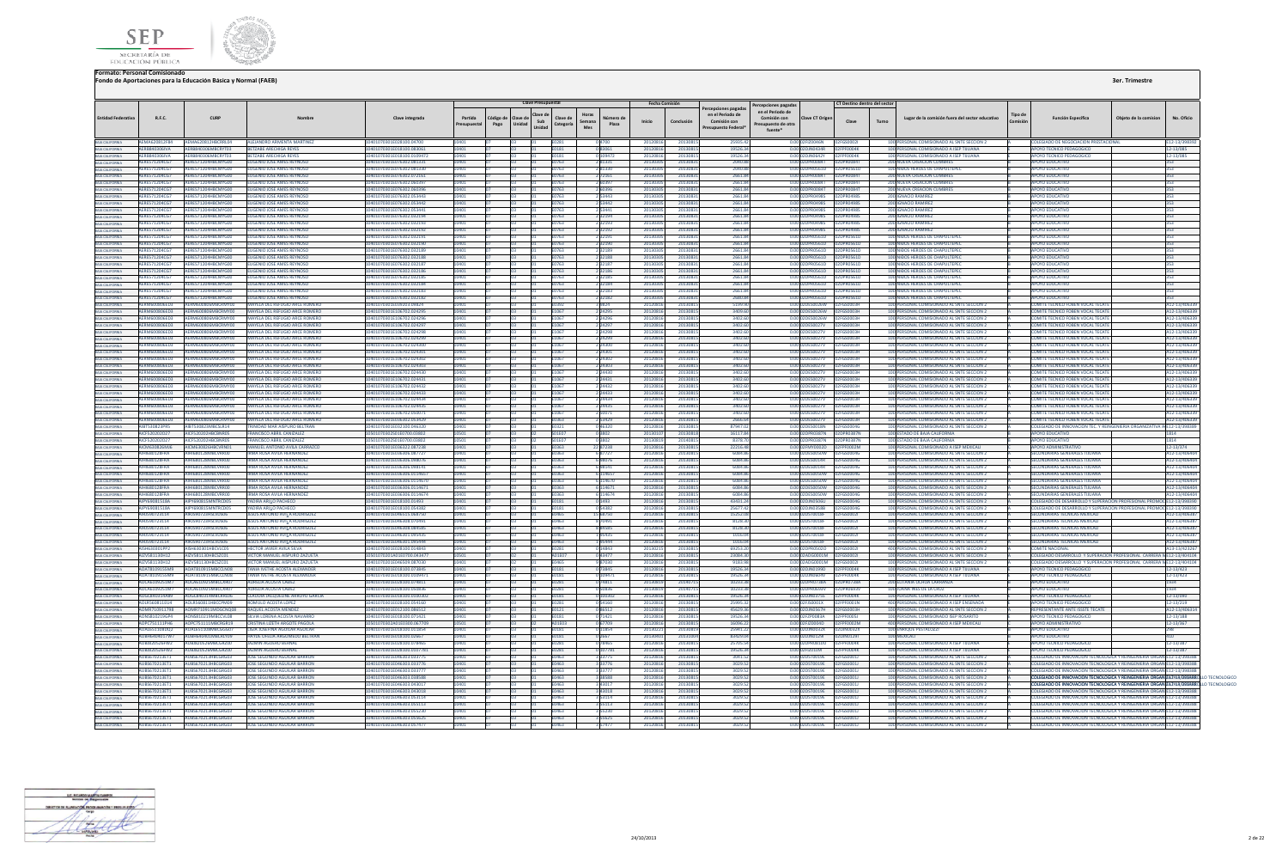



**3er. Trimestre**

## **Formato: Personal Comisionado Fondo de Aportaciones para la Educación Básica y Normal (FAEB)**

|                                                                                             |                                       |                                                    |                                                                               |                                                      |                        |      |                             | <b>Clave Presupuestal</b> |                                                 |                            | Fecha Comisión       |                      |                                                                                 | Percepciones pagadas                                                                 | CT Destino dentro del sector |       |                                                                                          |         |                                                                                                                                   |                       |                                         |
|---------------------------------------------------------------------------------------------|---------------------------------------|----------------------------------------------------|-------------------------------------------------------------------------------|------------------------------------------------------|------------------------|------|-----------------------------|---------------------------|-------------------------------------------------|----------------------------|----------------------|----------------------|---------------------------------------------------------------------------------|--------------------------------------------------------------------------------------|------------------------------|-------|------------------------------------------------------------------------------------------|---------|-----------------------------------------------------------------------------------------------------------------------------------|-----------------------|-----------------------------------------|
| <b>Entidad Federativa</b>                                                                   | R.F.C.                                | <b>CURP</b>                                        | Nombre                                                                        | Clave integrada                                      | Partida<br>Presupuesta | Pago | ódigo de Clave de<br>Unidad | Sub<br>Unidad             | Horas<br>Clave de<br>Semana<br>Categoría<br>Mes | Número de<br>Plaza         | Inicio               | Conclusión           | Percepciones pagadas<br>en el Periodo de<br>Comisión con<br>Presupuesto Federal | en el Periodo de<br>Comisión con<br>Clave CT Origen<br>resupuesto de otra<br>fuente* | Clave                        | Turno | Lugar de la comisión fuera del sector educativo                                          | Tipo de | <b>Función Específica</b>                                                                                                         | Obieto de la comision | No. Oficio                              |
| BAIA CALIFORNIA<br>BAIA CALIFORNIA                                                          | <b>AFMA620812F84</b><br>AFRRR40306MA  | AEMA620812HBCRRIOL<br><b>AFRRR40306MRCRYT03</b>    | ALEJANDRO ARMENTA MARTINEZ<br><b>RETZARE ARECHIGA REVES</b>                   | 10401070301E028100.04700<br>101070301E018100.083061  |                        |      |                             |                           | F <sub>02</sub> R <sup>*</sup>                  | 04700                      | 20120816<br>20120816 | 2013081<br>2013081   | 25025.42<br>1952634                                                             | 0.00.02EIZ0046N 02EGS0002<br>0.0002DIN0434R 02FPF0004K                               |                              |       | 100 PERSONAL COMISIONADO AL SNTF SECCION 2<br>100 PERSONAL COMISIONADO A ISEP TIILIANA   |         | COLEGIADO DE NEGOCIACION PRESTACIONAL<br>APOYO TECNICO PEDAGOGICO                                                                 |                       | F12-13/398393<br>$2 - 13/085$           |
|                                                                                             | AERB840306IVA                         | RB840306MBCRYT03                                   | <b>TZABE ARECHIGA REYES</b>                                                   | 1070301E018100.010947                                |                        |      |                             |                           | E0181<br>E0181                                  | 083061<br>109472           | 2012081              | 2013081              | 19526.34                                                                        | 0.00 02DJN0642Y                                                                      | PFPF0004K                    |       | 100 PERSONAL COMISIONADO A ISEP TUUANA                                                   |         | <b>APOYO TECNICO PEDAGOGICO</b>                                                                                                   |                       | 2-13/085                                |
| BAJA CALIFORNIA<br>BAJA CALIFORNIA                                                          | AERE571204CG7                         | ERES71204HBCMYG00                                  | UGENIO JOSE AMES REYNOSO                                                      | 01070301E076302.081331                               | 0401                   |      | 03                          |                           | E0763                                           | 281331                     | 2013030              | 20130831             | 2040.88                                                                         | 0.00 02DPR0084T  02DPR0084T                                                          |                              |       | 200 NUEVA CREACION CUMBRES                                                               |         | <b>APOYO EDUCATIVO</b>                                                                                                            |                       |                                         |
|                                                                                             | AERE571204CG7                         | AERES71204HBCMYG00                                 | <b>UGENIO JOSE AMES REYNOSC</b>                                               | 01070301E076302.081330                               |                        |      | 03                          |                           | E0763                                           | 281330                     | 2013030              | 2013083              | 2040.88                                                                         | 0.00 02DPR0561D                                                                      | 02DPR0561D                   |       | 100 NIDOS HEROES DE CHAPULTEPEC                                                          |         | <b>APOYO EDUCATIVO</b>                                                                                                            |                       |                                         |
| BAIA CALIFORNIA<br>BAIA CALIFORNIA                                                          | <b>AFRES71204067</b>                  | AFRES71204HRCMYG00                                 | <b>FUGENIO JOSE AMES REYNOSO</b>                                              | 401070301E076302.072161                              | 1401                   |      | n <sub>2</sub>              |                           | F0763                                           | 2 72161                    | 2013030              | 20130831             | 266184                                                                          | 0.0002DPR0084T 02DPR0084T                                                            |                              |       | 200 NUEVA CREACION CUMBRES                                                               |         | ΔΡΟΥΩ ΕΒΗΓΑΤΙΝΩ                                                                                                                   |                       |                                         |
| BAJA CALIFORNIA                                                                             | AFRES71204067                         | <b>SERES71204HRCMYGOO</b>                          | <b>UGENIO JOSE AMES REYNOSC</b>                                               | 401070301E076302.060397                              |                        |      |                             |                           | 0763                                            | PEN <sub>a</sub>           | 201303               | 2013083              | 2661.84                                                                         | 0.00 02DPR0084T                                                                      | 02DPR0084T                   |       | 200 NUEVA CREACION CUMBRES                                                               |         | <b>APOVO EDUCATIVO</b>                                                                                                            |                       |                                         |
| BAJA CALIFORNIA<br>BAJA CALIFORNIA                                                          | <b>AERES71204CG7</b>                  | ERES71204HRCMVG00                                  | <b>ENIO JOSE AMES REYNOSO</b>                                                 | 01070301E076302.060396                               |                        |      |                             |                           |                                                 |                            | 201303               | 2013083              | 2661.84                                                                         | 0.00 02DPR0084T                                                                      | <b>DPROORAT</b>              |       | 200 NUEVA CREACION CUMBRE                                                                |         | <b>APOYO EDUCATIVO</b>                                                                                                            |                       |                                         |
|                                                                                             | AFRES71204CG7                         | RES71204HRCMYGOO                                   | GENIO JOSE AMES REYNOS                                                        | 01070301E076302.053443                               |                        |      |                             |                           |                                                 | 53443                      | 20130                | 2013083              | 2661.84                                                                         | 0.00 02DPR04985                                                                      | <b>DRRAGS</b>                |       | 200 IGNACIO RAMIRE                                                                       |         | OYO EDUCATIV                                                                                                                      |                       |                                         |
| .<br>Baja California<br>Baja California                                                     | <b>AERES71204CG7</b>                  | ERES71204HBCMYG00                                  | <b>GENIO JOSE AMES REYNOSC</b>                                                | 01070301E076302.053442                               |                        |      |                             |                           | 0763                                            | 53442                      | 201303               | 2013083              | 2661.84                                                                         | 0.00 02DPR0498S                                                                      | 2DPR04985                    |       | 200 IGNACIO RAMIREZ                                                                      |         | <b>APOYO EDUCATIVO</b>                                                                                                            |                       |                                         |
|                                                                                             | AFRES71204CG7<br>AFRES71204067        | AFRES71204HRCMYG00<br>AFRES71204HRCMYG00           | <b>FUGENIO JOSE AMES REYNOSC</b><br><b>FUGENIO JOSE AMES REYNOSC</b>          | 401070301E076302.053441<br>401070301E076302.032194   |                        |      |                             |                           | F0763<br><b>E0763</b>                           | 253441                     | 2013030<br>2013030   | 20130831<br>2013083  | 266184                                                                          | 0.00.02DPR04985 02DPR04985                                                           |                              |       | 200 IGNACIO RAMIREZ                                                                      |         | ΔΡΟΥΩ ΕΡΗΓΑΤΙΝΩ<br>ΔΡΟΥΩ ΕΒΗΓΑΤΙΝΩ                                                                                                |                       |                                         |
|                                                                                             | AFRES71204CG7                         | RES71204HRCMYG00                                   | ENIO JOSE AMES REYNOSO                                                        | 076302.03219                                         |                        |      |                             |                           |                                                 | 2 3 2 1 9 4                | 201303               | 201308               | 2661.84<br>2661.8                                                               | 0.00 02DPR0498S   02DPR0498S<br><b>PRO4985</b>                                       |                              |       | 200 IGNACIO RAMIREZ<br><b>200 IGNACIO RAMIREZ</b>                                        |         | <b>OYO EDUCATIV</b>                                                                                                               |                       |                                         |
| BAJA CALIFORNIA<br>BAJA CALIFORNIA<br>BAJA CALIFORNIA                                       | AERE571204CG7                         | ERES71204HBCMYG00                                  | <b>JGENIO JOSE AMES REYNOSO</b>                                               | 01070301E076302.032192                               |                        |      |                             |                           | E0763                                           | 2 3 2 1 9 2                | 201303               | 2013083              | 2661.84                                                                         | 0.00 02DPR0498S   02DPR0498S                                                         |                              |       | 200 IGNACIO RAMIREZ                                                                      |         | <b>APOYO EDUCATIVO</b>                                                                                                            |                       |                                         |
| BAIA CALIFORNIA                                                                             | AERES71204CG7                         | ERES71204HBCMYG00                                  | <b>GENIO JOSE AMES REYNOSO</b>                                                | 101070301E076302.032191                              |                        |      |                             |                           | 1763                                            | 3219:                      | 20130                | 2013083              | 2661.84                                                                         | 0.00 02DPR0561D                                                                      | 2DPR0561D                    |       | 100 NIDOS HEROES DE CHAPULTEPI                                                           |         | <b>POYO EDUCATIVO</b>                                                                                                             |                       |                                         |
| <b>BAJA CALIFORNIA</b>                                                                      | AFRES71204CG7                         | AFRES71204HRCMYGOO                                 | <b>FUGENIO JOSE AMES REYNOSC</b>                                              | 1401070301E076302.032190                             |                        |      |                             |                           | F0763                                           | 2 3 2 1 9 0                | 2013030              | 20130831             | 2661.84                                                                         | 0.00 02DPR0561D 02DPR0561D                                                           |                              |       | 100 NIROS HEROES DE CHAPULITEREC                                                         |         | ΔΡΟΥΩ ΕΒΗΓΑΤΙΝΩ                                                                                                                   |                       |                                         |
| BAIA CALIFORNIA<br>BAIA CALIFORNIA<br>BAIA CALIFORNIA                                       | AERE571204CG7                         | ERES71204HBCMYG00                                  | <b>UGENIO JOSE AMES REYNOSC</b>                                               | 01070301E076302.032189                               |                        |      |                             |                           | 1763                                            | 232189                     | 201303               | 2013083              | 2661.84                                                                         | 0.00 02DPR0561D                                                                      | 020PR0561F                   |       | 100 NIDOS HEROES DE CHAPULTEPE                                                           |         | <b>APOYO EDUCATIVO</b>                                                                                                            |                       |                                         |
|                                                                                             | AFRES71204CG7                         | <b>FRES71204HRCMYGOD</b>                           | <b>IGENIO IOSE AMES REYNOSC</b>                                               | 01070301F076302.032188                               |                        |      |                             |                           |                                                 | 232188                     | 201303               | 2013083              | 2661.84                                                                         | 0.00.02DPR0561D                                                                      | <b>020PR0561F</b>            |       | 100 NIROS HEROES DE CHAPLILTEPE                                                          |         | ΙΡΟΥΩ ΕΠΙΙΣΑΤΙΜ                                                                                                                   |                       |                                         |
|                                                                                             | AERES71204067                         | <b>SPES71204HRCMVGOO</b>                           | <b>IGENIO IOSE AMES REYNOSC</b>                                               | 401070301F076302.032187                              |                        |      |                             |                           | 0763                                            | 232187                     | 201303               | 2013083              | 2661.84                                                                         | 0.00 02DPR0561D                                                                      | 1200005610                   |       | 100 NIDOS HEROES DE CHAPULTEPE                                                           |         | ΔΡΟΥΩ ΕΠΙΙΣΑΤΙΚ                                                                                                                   |                       |                                         |
| BAIA CALIFORNIA<br>BAIA CALIFORNIA                                                          | AERES71204CG7                         | ERES71204HBCMYG00                                  | <b>GENIO JOSE AMES REYNOSO</b>                                                | 01070301E076302.032186                               |                        |      |                             |                           | 0763                                            | 232186                     | 2013030              | 20130831             | 2661.84                                                                         |                                                                                      |                              |       | 100 NIDOS HEROES DE CHAPULTEPEC                                                          |         | APOYO EDUCATIVO                                                                                                                   |                       |                                         |
| <b>BAIA CALIFORNIA</b>                                                                      | AERE571204CG7<br>AFRES71204067        | <b>SERES71204HRCMYGOO</b><br>AFRES71204HRCMYGOO    | <b>LIGENIO JOSE AMES REYNOSC</b><br><b>FLIGENIO JOSE AMES REYNOSO</b>         | 01070301E076302.032185<br>401070301F076302 032184    | 0.401                  |      |                             |                           | <b>F0763</b><br><b>E0763</b>                    | 2 3 2 1 8 5                | 2013030<br>2013030   | 2013083<br>20130831  | 2661.84<br>266184                                                               | 0.00.02DPR0561D 02DPR0561D                                                           |                              |       | 100 NIDOS HEROES DE CHAPULTEPEC<br>100 NIĐOS HEROES DE CHAPLILTEREC                      |         | <b>APOYO EDUCATIVO</b><br>ΔΡΟΥΩ ΕΒΗΓΑΤΙΝΩ                                                                                         |                       | 353.<br>$353 -$                         |
|                                                                                             | AFRES71204CG7                         | FRES71204HRCMYG00                                  | <b>IGENIO IOSE AMES REYNOSC</b>                                               | 101070301F076302.032183                              |                        |      | na                          |                           |                                                 | 2 3 2 1 8 4<br>2 3 2 1 8 3 | 201303               | 2013083              | 2661.84                                                                         | 0.00 02DPR0561D                                                                      | 12DPR0561F                   |       | 100 NIDOS HEROES DE CHAPLILTEPE                                                          |         | <b>POYO FDUCATIVO</b>                                                                                                             |                       |                                         |
| BAJA CALIFORNIA<br>BAJA CALIFORNIA<br>BAJA CALIFORNIA                                       | AERES71204CG7                         | <b>ERES71204HBCMVG00</b>                           | <b>GENIO IOSE AMES REVNOSC</b>                                                | 101070201E076202.032182                              |                        |      |                             |                           | 0763                                            | 232182                     | 201303               | 2013083              | 2680.84                                                                         | 0.00 02DPR0561D                                                                      | 2DPR0561F                    |       | 100 NIROS HEROES DE CHAPLILTERE                                                          |         | <b>AROVO EDUCATIVO</b>                                                                                                            |                       |                                         |
|                                                                                             | ERM600806ED3                          | M600806MBCRMY00                                    | <b>ELA DEL REFUGIO ARCE ROMI</b>                                              | 1070301E039203.09824                                 |                        |      |                             |                           |                                                 |                            | 201208               | 2013081              | 5199.9                                                                          | ES0026W                                                                              |                              |       | 100 PERSONAL COMISIONADO AL SNTE SECCION                                                 |         | OMITE TECNICO FOBEN VOCAL TEO                                                                                                     |                       | 12-13/4063                              |
| BAIA CALIFORNIA<br>BAIA CALIFORNIA                                                          | RM600806ED3                           |                                                    | AYELA DEL REFUGIO ARCE ROMERO                                                 | 01070301E106702.024295                               |                        |      |                             |                           |                                                 | 2 24295                    | 201208               | 2013081              | 3409.60                                                                         | 0.00 02DES0026W                                                                      | 02FGS0003ł                   |       | 100 PERSONAL COMISIONADO AL SNTE SECCION 2                                               |         | COMITE TECNICO FOBEN VOCAL TECA                                                                                                   |                       | 12-13/40633                             |
| BAJA CALIFORNIA                                                                             | <b>AFRM600806FD3</b>                  | <b>FRM600806MRCRMY00</b>                           | <b><i>MAYELA DEL REFLIGIO ARCE ROMERO</i></b>                                 | 01070301E106702.024296                               |                        |      |                             |                           | F1067                                           | 2 24296                    | 20120816             | 2013081              | 3402.60                                                                         | 0.00.02DES0026W                                                                      | 02FGS0003H                   |       | 100 PERSONAL COMISIONADO AL SNTE SECCION 2                                               |         | COMITE TECNICO FOBEN VOCAL TECATI                                                                                                 |                       | 12-13/40633                             |
| BAIA CALIFORNIA<br>BAIA CALIFORNIA<br>BAIA CALIFORNIA<br>BAIA CALIFORNIA                    | AFRM600806FD3                         | <b>SERM600806MBCRMY00</b>                          | MAYELA DEL REFLIGIO ARCE ROMERO                                               | 401070301E106702 024297                              |                        |      |                             |                           | F1067                                           | 2 24297                    | 20120816             | 20130815             | 3402.60                                                                         | 0.00.02DES0027V 02EGS0003H                                                           |                              |       | 100 PERSONAL COMISIONADO AL SNTE SECCION 2                                               |         | COMITE TECNICO FOREN VOCAL TECATI                                                                                                 |                       | 12-13/40633                             |
|                                                                                             | <b>ERM600806ED3</b>                   | <b>AADCDAAVOO</b>                                  | <b>AAYELA DEL REFUGIO ARCE ROMERO</b>                                         | 1201E106707.024298                                   |                        |      |                             |                           | F1067                                           | 2 24298                    | 2012081              | 2013081              | 3402.60                                                                         | 0.00 02DES0027V                                                                      |                              |       | 100 PERSONAL COMISIONADO AL SNTE SECCIÓN                                                 |         | COMITE TECNICO FOREN VOCAL TECA                                                                                                   |                       | 12-13/4063                              |
|                                                                                             | RM600806ED3                           | 00806MBCRMY00                                      | <b>FLA DEL REFUGIO ARCE ROMERO</b>                                            | 070301E106702.024299                                 |                        |      |                             |                           |                                                 | 2 24299                    | 201208               | 2013081              | 3402.60                                                                         | 0.00 02DES0027V                                                                      | 02FGS0003F                   |       | 100 PERSONAL COMISIONADO AL SNTE SECCION 2                                               |         | OMITE TECNICO FOBEN VOCAL TECAT                                                                                                   |                       | 12-13/40633                             |
|                                                                                             | AERM600806ED3<br>AFRM600806FD3        | 1600806MBCRMY00<br><b>FRM600806MRCRMY00</b>        | <b>MAYELA DEL REFUGIO ARCE ROMERO</b><br><b>ANELA DEL REFUGIO ARCE ROMERO</b> | 1070301E106702.024300<br>01070301E106702.024301      |                        |      |                             |                           | E1067                                           | 2 24300                    | 2012081              | 2013081              | 3402.60                                                                         | 0.00 02DES0027V                                                                      | 02FGS0003F                   |       | 100 PERSONAL COMISIONADO AL SNTE SECCION 2<br>100 PERSONAL COMISIONADO AL SNTE SECCIÓN 2 |         | COMITE TECNICO FOBEN VOCAL TECATI<br>COMITE TECNICO FOREN VOCAL TECATI                                                            |                       | 12-13/40633                             |
| BAJA CALIFORNIA<br>BAJA CALIFORNIA<br>BAJA CALIFORNIA                                       | <b>AFRM600806FD3</b>                  | <b>SERM600806MRCRMY00</b>                          | MAYELA DEL REFUGIO ARCE ROMERO                                                | 101070301E106702.024302                              |                        |      |                             |                           | F1067<br>1067                                   | 2 24301                    | 20120816<br>2012081  | 20130815<br>2013081  | 3402.60<br>3402.60                                                              | 0.00 02DES0027V<br>0.00 02DES0027V                                                   | 02FGS0003H<br>02FGS0003H     |       | 100 PERSONAL COMISIONADO AL SNTE SECCION 2                                               |         | COMITE TECNICO FOBEN VOCAL TECAT                                                                                                  |                       | 12-13/406339<br>A12-13/40633            |
|                                                                                             | AERM600806ED3                         | RM600806MBCRMY00                                   | <b>AAYELA DEL REFUGIO ARCE ROMERO</b>                                         | 101070301E106702.024303                              |                        |      |                             |                           | 1067                                            | 2 24302<br>24303           | 201208               | 2013081              | 3402.60                                                                         | 0.00.02DES0027V                                                                      | <b>PEGSOODRH</b>             |       | 100 PERSONAL COMISIONADO AL SNTE SECCIÓN 2                                               |         | COMITE TECNICO FOREN VOCAL TECAT                                                                                                  |                       | 12-13/40633                             |
|                                                                                             | <b>EDMANOROSED2</b>                   | <b>M600806MBCRMV00</b>                             | <b>AYELA DEL REFUGIO ARCE ROMERO</b>                                          | 11070301E106702.024430                               |                        |      |                             |                           |                                                 | 24430                      | 201208               | 201308               | 3402.6                                                                          | 2DES0027V                                                                            | FGS0003H                     |       | 100 PERSONAL COMISIONADO AL SNTE SECCION :                                               |         | COMITE TECNICO FOBEN VOCAL TECAT                                                                                                  |                       | 12-13/40633                             |
| BAJA CALIFORNIA<br>BAJA CALIFORNIA                                                          | AERM600806ED3                         | M600806MBCRMY00                                    | MAYELA DEL REFUGIO ARCE ROMERO                                                | 01070301E106702.024431                               | 0401                   |      |                             |                           | E1067                                           | 2 2 4 4 3 1                | 20120816             | 20130815             | 3402.60                                                                         | 0.00 02DES0027V 02FGS0003H                                                           |                              |       | 100 PERSONAL COMISIONADO AL SNTE SECCION 2                                               |         | COMITE TECNICO FOBEN VOCAL TECATE                                                                                                 |                       | A12-13/40633                            |
| BAIA CALIFORNIA<br>BAIA CALIFORNIA                                                          | AFRM600806FD3                         | <b>M600806MRCRMY00</b>                             | AYELA DEL REFLIGIO ARCE ROMERO                                                | 070301E106702.024432                                 |                        |      |                             |                           | F1067                                           | 2 24432                    | 20120816             | 2013081              | 3402.60                                                                         | 0.00 02DES0027V                                                                      | 02EGS0003H                   |       | 100 PERSONAL COMISIONADO AL SNTE SECCION 2                                               |         | COMITE TECNICO FOREN VOCAL TECATE                                                                                                 |                       | 12-13/40633                             |
|                                                                                             | AERM600806ED3                         | AERM600806MBCRMY00                                 | MAYELA DEL REFUGIO ARCE ROMERO                                                | 401070301E106702.024433                              | 10401                  |      | na                          |                           | F1067                                           | 2 24433                    | 20120816             | 20130815             | 3402.60                                                                         | 0.00 02DES0027V 02FGS0003H                                                           |                              |       | 100 PERSONAL COMISIONADO AL SNTE SECCION 2                                               |         | COMITE TECNICO FOBEN VOCAL TECATE                                                                                                 |                       | A12-13/40633                            |
| BAJA CALIFORNIA                                                                             | AFRM600806ED3                         | AFRM600806MRCRMY00                                 | MAYELA DEL REFLIGIO ARCE ROMERO                                               | 0401070301F106702 024434                             | 0401                   |      |                             |                           | F1067                                           | 2 24434                    | 20120816             | 20130815             | 3402.60                                                                         | 0.00.02DES0027V                                                                      | 02FGS0003H                   |       | 100 PERSONAL COMISIONADO AL SNTE SECCION 2                                               |         | COMITE TECNICO FOREN VOCAL TECATE                                                                                                 |                       | 412-13/40633                            |
| BAIA CALIFORNIA<br>BAIA CALIFORNIA                                                          | <b>EDMANDROAFD3</b>                   | <b>M600806MBCRMV00</b>                             | <b>NYELA DEL PECHGIO ARCE ROMERO</b>                                          | 11070301E106702.024435                               |                        |      |                             |                           |                                                 | 2 24435                    | 201208               | 2013081              | 3402.60                                                                         | 0.00 02DES0027V                                                                      | <b>FGS00031</b>              |       | 100 PERSONAL COMISIONADO AL SNTE SECCION 2                                               |         | <b>COMITE TECNICO FOREN VOCAL TECAT</b>                                                                                           |                       | 12-13/40633                             |
|                                                                                             | <b>FOM600806FD3</b>                   | <b>M600806MBCRMV00</b>                             | AYELA DEL REFUGIO ARCE ROMERO                                                 | 01070301E106702.050071                               |                        |      |                             |                           | 1067                                            |                            | 201208               | 2013081              | 3402.60                                                                         | 0.00 02DES0027V                                                                      | 2FGS0003F                    |       | 100 PERSONAL COMISIONADO AL SNTE SECCION 2                                               |         | COMITE TECNICO FOBEN VOCAL TECAT                                                                                                  |                       | 12-13/4063                              |
| BAIA CALIFORNIA<br>BAIA CALIFORNIA                                                          | RM600806ED3<br>AIRT530823PR5          | <b>IGOORDGMRCRMYDD</b><br><b>NRTS30823MRCSLR14</b> | <b>YELA DEL REFUGIO ARCE ROMERO</b><br>RINIDAD MAR AISPURO BELTRAN            | 01070301E036302.053429<br>01070301E032100.046320     |                        |      |                             |                           | 0363                                            | 2 5 3 4 2 9<br>0.46320     | 201208<br>201208     | 2013081<br>2013081   | 2666.6<br>87947.02                                                              | 0.00 02DES0027V<br>0.00 02DES001RN                                                   | 2FGS0003H<br>02FGS00040      |       | 100 PERSONAL COMISIONADO AL SNTE SECCION 2<br>100 PERSONAL COMISIONADO AL SNTE SECCION 2 |         | OMITE TECNICO FOBEN VOCAL TECATI<br>COLEGIADO DE INNOVACION TEC Y REINGENIERIA ORGANIZATIVA                                       |                       | 12-13/40633                             |
|                                                                                             | AICE520202D27                         | AICES20202HRCRNR05                                 | <b>FRANCISCO ARRII CANIZALEZ</b>                                              | IS01070302S01E0700.03802                             |                        |      |                             |                           | FN321<br><b>SO1E07</b>                          |                            | 2013010              | 20130813             | 1611784                                                                         | 0.00.02DPR0387N 02DPR0387N                                                           |                              |       | 100 ESTADO DE BAJA CALIFORNIA                                                            |         | ΔΡΟΥΩ ΕΠΙΙΣΑΤΙΝΩ                                                                                                                  |                       | E12-13/39838<br>814                     |
| BAJA CALIFORNIA<br>BAJA CALIFORNIA<br>BAJA CALIFORNIA<br>BAJA CALIFORNIA                    | ICE520202027                          | <b>ESPORTABLEMENT</b>                              | <b>PANCISCO ARRIL CANIZALEZ</b>                                               | 2020250150200.03802                                  |                        |      |                             |                           |                                                 | 03802                      | 201208               | 2014081              | 8378.70                                                                         | PRO387N                                                                              | 02DPP0287M                   |       | STADO DE BAJA CALIFORNIA                                                                 |         | <b>DVO EDUCATIVO</b>                                                                                                              |                       |                                         |
|                                                                                             | AICM630826MJ6                         | CM630826HBCVRN01                                   | MANUEL ANTONIO AVILA CARRAZ                                                   | 01070301E036322.087238                               |                        |      | 03                          |                           |                                                 | 22 87238                   | 2012081              | 2013081              | 22216.48                                                                        | 0.00 02FMY0002D                                                                      |                              |       | 100 PERSONAL COMISIONADO A ISEP MEXICAL                                                  |         | <b>APOYO ADMINISTRATIVE</b>                                                                                                       |                       | 12-13/374                               |
|                                                                                             | <b>IHI680128FRA</b>                   | 680128MBCVRR00                                     | MA ROSA AVILA HERNANDEZ                                                       | 01070301E036306.087727                               |                        |      |                             |                           | E0363                                           | 687727                     | 2012081              | 2013081              | 6084.8                                                                          | 0.00 02DES0050W                                                                      | 02FGS0004G                   |       | 100 PERSONAL COMISIONADO AL SNTE SECCION :                                               |         | SECUNDARIAS GENERALES TUUANA                                                                                                      |                       | A12-13/40640                            |
| BAJA CALIFORNIA                                                                             | AIHI6R012RFRA                         | 1680128MRCVRR00                                    | RMA ROSA AVILA HERNANDEZ                                                      | 101070301E036306.098076                              |                        |      |                             |                           | <b>FN363</b>                                    | 698076                     | 2012081              | 2013081              | 6084.86                                                                         | 0.00 02DES0014R 02EGS0004G                                                           |                              |       | 100 PERSONAL COMISIONADO AL SNTE SECCIÓN 2                                               |         | SECUNDARIAS GENERALES THUANA                                                                                                      |                       | A12-13/40640                            |
| BAIA CALIFORNIA<br>BAIA CALIFORNIA<br>BAIA CALIFORNIA                                       | AIHI680128FRA                         | 1680128MRCVRR00                                    | <b>IRMA ROSA AVILA HERNANDEZ</b>                                              | 401070301E036306.098141                              |                        |      |                             |                           | FN363                                           | 698141                     | 2012081              | 2013081              | 6084.86                                                                         | 0.00 02DES0014R                                                                      | 02FGS0004G                   |       | 100 PERSONAL COMISIONADO AL SNTE SECCIÓN 2                                               |         | SECUNDARIAS GENERALES TUUANA                                                                                                      |                       | 12-13/40640                             |
|                                                                                             | <b>IHI680128FRA</b>                   | 680128MRCVRR00                                     | RMA ROSA AVII A HERNANDEZ                                                     | 01070301E036306 0114657                              |                        |      |                             |                           |                                                 | 6 11465                    | 2012081              | 2013081              | 6084.86                                                                         | 0.00.02DES0050W                                                                      | <b>2EGS0004G</b>             |       | 100 PERSONAL COMISIONADO AL SNTE SECCION 2                                               |         | SECUNDARIAS GENERALES TULIANA                                                                                                     |                       | 12-13/40640                             |
|                                                                                             | <b>NICRO12REPA</b>                    | 1680128MBCVRR00                                    | <b>RMA ROSA AVILA HERMANDEZ</b>                                               | 101070301E036306.0114670                             |                        |      |                             |                           | EN 262                                          | 6 11467                    | 2012081              | 2012091              | 6084.86                                                                         | 0.00 02DES0050W                                                                      | 02FGS0004G                   |       | 100 PERSONAL COMISIONADO AL SNTE SECCION 2                                               |         | <b>SECUNDARIAS GENERALES THUANA</b>                                                                                               |                       | 12-13/40640                             |
| BAIA CALIFORNIA<br>BAIA CALIFORNIA                                                          | 1680128FRA                            | 680128MRCVRR00                                     | MA ROSA AVILA HERNANDEZ                                                       | 01070301E036306.011467                               |                        |      |                             |                           |                                                 | 11467                      | 201208               | 2013081              | 6084.86                                                                         | DES0050W                                                                             | <b>FGS00040</b>              |       | 100 PERSONAL COMISIONADO AL SNTE SECCION :                                               |         | ECUNDARIAS GENERALES TUUANA                                                                                                       |                       | 12-13/40640                             |
| BAJA CALIFORNIA                                                                             | HI680128FRA<br>AIPY69081518A          | 680128MBCVRR00<br>JPY690815MNTRCD05                | <b>RMA ROSA AVILA HERNANDEZ</b>                                               | 070301E036306.0114674<br>401070301E018100.01493      |                        |      |                             |                           | F0363                                           | 6 114674                   | 2012081<br>20120816  | 20130815<br>20130815 | 6084.86<br>43431.24                                                             | 0.00.02DES0050W 02EGS0004G<br>0.00 02DJN0506U                                        |                              |       | 100 PERSONAL COMISIONADO AL SNTE SECCION 2<br>100 PERSONAL COMISIONADO AL SNTE SECCION 2 |         | SECUNDARIAS GENERALES THUANA<br>COLEGIADO DE DESARROLLO Y SUPERACION PROFESIONAL PROMO                                            |                       | 12-13/40640<br>E12-13/39839             |
| <b>BAJA CALIFORNIA</b>                                                                      | AIPY69081518A                         | JPY690815MNTRCD05                                  | YADIRA ARIAO PACHECO<br>VADIRA ARILO PACHECO                                  | 401070301F018100.054382                              |                        |      | 03                          |                           | E0181<br><b>F0181</b>                           | 0 1493<br>0.54382          | 2012081              | 2013081              | 25677.42                                                                        | 0.00.02DIN0358B                                                                      | 02FGS0004G<br>02FGS0004G     |       | 100 PERSONAL COMISIONADO AL SNTE SECCION 2                                               |         | COLEGIADO DE DESARROLLO Y SUPERACION PROFESIONAL PROMO                                                                            |                       | F12-13/39839                            |
| BAJA CALIFORNIA                                                                             | 101500722114                          | <b>BISQN723HSLVDS06</b>                            | SUS ANTONIO AVILA RODRIGUE                                                    | 101070301E016515 068750                              |                        |      |                             |                           | <b>FN465</b>                                    | 5 68750                    | 2012081              | 2013081              | 15252.08                                                                        | 0.00102DST0018E                                                                      | 02EGS0002                    |       | 100 PERSONAL COMISIONADO AL SNTE SECCION 2                                               |         | <b>SECUNDARIAS TECNICAS MEYICAU</b>                                                                                               |                       | 12-13/40638                             |
|                                                                                             | RJ590723114                           | 590723HSLVDS06                                     | <b>SUS ANTONIO AVILA RODRIGUE</b>                                             | 01070301E046308.070491                               |                        |      |                             |                           |                                                 |                            | 201208               | 2013081              | 8128.3                                                                          | <b>ST0018F</b>                                                                       | <b>FGS0002</b>               |       | 100 PERSONAL COMISIONADO AL SNTE SECCION :                                               |         | <b>ECUNDARIAS TECNICAS MEXICALI</b>                                                                                               |                       | 12-13/40638                             |
| BAJA CALIFORNIA<br>BAJA CALIFORNIA                                                          | IRJ590723114                          |                                                    | <b>ESUS ANTONIO AVILA RODRIGUE</b>                                            | 01070301E046308.084585                               |                        |      |                             |                           |                                                 |                            | 201208               | 2013081              | 8128.30                                                                         | <b>STOO1 RF</b>                                                                      | 02FGS0002                    |       | 100 PERSONAL COMISIONADO AL SNTE SECCION 2                                               |         | ECUNDARIAS TECNICAS MEXICALI                                                                                                      |                       | 12-13/40638                             |
|                                                                                             | URJ590723114                          | JRJ590723HSLVDS06                                  | JESUS ANTONIO AVI <sub>Á</sub> A RODRIGUEZ                                    | 01070301E046301.095435                               |                        |      |                             |                           | 0463                                            | 195435                     | 2012081              | 2013081              | 1016.04                                                                         | 0.00 02DST0018F                                                                      | 02FGS00021                   |       | 100 PERSONAL COMISIONADO AL SNTE SECCION 2                                               |         | SECUNDARIAS TECNICAS MEXICALI                                                                                                     |                       | 12-13/40638                             |
|                                                                                             | AIRJ590723114                         | NRJ590723HSLVDS06                                  | <b>JESUS ANTONIO AVILA RODRIGUEZ</b>                                          | 401070301E046301.095444                              |                        |      |                             |                           | <b>F0463</b>                                    | 195444                     | 20120816             | 2013081              | 1016.04                                                                         |                                                                                      |                              |       | 100 PERSONAL COMISIONADO AL SNTE SECCION 2                                               |         | SECUNDARIAS TECNICAS MEXICALI                                                                                                     |                       | A12-13/40638                            |
| BAIA CALIFORNIA<br>BAIA CALIFORNIA<br>BAIA CALIFORNIA<br>BAIA CALIFORNIA<br>BAIA CALIFORNIA | COO POCOCAHOL                         | SH620201HBCVI COS                                  | <b>HECTOR JAVIER AVILA SILVA</b>                                              | 01070301E028100.014843                               |                        |      |                             |                           | <b>F0281</b>                                    | 0 14843                    | 2012021              | 2012091              | 69253.20                                                                        | 0.00 02DPR05020                                                                      | nascsonna                    |       | 400 PERSONAL COMISIONADO AL SNTE SECCION 2                                               |         | COMITE NACIONAL                                                                                                                   |                       | 13-13/42326                             |
|                                                                                             | AIZV581130H12                         | EV581130HBCSZC01                                   | <b>CTOR MANUEL AISPURO ZAZUET</b>                                             | 1070201A01E0700.04347                                |                        |      |                             |                           |                                                 | 043477                     | 201208               | 2013081              | 23084.30                                                                        | 0.00 02ADG0001M                                                                      |                              |       | 100 PERSONAL COMISIONADO AL SNTE SECCION 2                                               |         | COLEGIADO DESARROLLO Y SUPERACION PROFESIONAL CARRER.                                                                             |                       | E12-13/40410                            |
|                                                                                             | AIZV581130H12                         | AIZV581130HBCSZC01                                 | VICTOR MANUEL AISPURO ZAZUETA<br>TANIA IVETHE ACOSTA ALEXANDER                | 401070201E046509.087030                              |                        |      |                             |                           | E0465                                           | 987030                     | 2012081              | 20130815             | 9183.98                                                                         | 0.00 02ADG0001M 02FGS0002I                                                           |                              |       | 100 PERSONAL COMISIONADO AL SNTE SECCION 2                                               |         | COLEGIADO DESARROLLO Y SUPERACION PROFESIONAL CARRERA N E12-13/40410-                                                             |                       |                                         |
| BAIA CALIFORNIA                                                                             | AOAT8109155M9<br><b>AOATR109155M9</b> | AOAT810915MBCCLN08<br>MOATR10915MRCCLN08           | ΤΑΝΙΑ ΙΝΈΤΗΕ ΑΓΩΝΤΑ ΑΙ ΕΧΑΝΩΕΡ                                                | 01070301E018100.073845<br>11070301F018100.0109471    |                        |      |                             |                           | E0181<br>F0181                                  | 073845<br>110947           | 20120816<br>2012081  | 20130815<br>2013081  | 19526.34<br>19526.34                                                            | 0.00 02DJN0199D<br>0.00.02DIN0604V                                                   | 02FPF0004K<br>02FPF0004K     |       | 100 PERSONAL COMISIONADO A ISEP TUUANA<br>100 PERSONAL COMISIONADO A ISEP TIILIANA       |         | <b>APOYO TECNICO PEDAGOGICO</b><br>APOYO TECNICO PEDAGOGICO                                                                       |                       | 12-13/423<br>2-13/423                   |
| BAIA CALIFORNIA<br>BAIA CALIFORNIA<br>BAIA CALIFORNIA<br>BAIA CALIFORNIA                    | <b>AOCA6109251M7</b>                  | MCA610925MBCCXR07                                  | <b>MIRELIA ACOSTA CADEZ</b>                                                   | 101070301E028100.074811                              |                        |      |                             |                           | <b>FN281</b>                                    | 174811                     | 2013081              | 2014071              | 10233.38                                                                        | 0.00.02DPR0738A                                                                      | 02DPR0738A                   |       | 200 ELITANIA OCHOA CARRANZA                                                              |         | ΔΡΟΥΩ ΕΠΙΙΣΑΤΙΝΩ                                                                                                                  |                       |                                         |
|                                                                                             | <b>MOCA6109251M7</b>                  | OCA610925MBCCXR07                                  | <b>URFUA ACOSTA CADEZ</b>                                                     | 01070301E028100.050836                               |                        |      |                             |                           |                                                 | 50836                      | 201308               | 201407               | 10233.3                                                                         | 0.00 02DPR0693V                                                                      | <b>IDPRO693V</b>             |       | 100 JUANA INES DE LA CRUZ                                                                |         | ΙΡΟΥΩ ΕΠΙΙΓΑΤΙΝΩ                                                                                                                  |                       |                                         |
|                                                                                             | <b>MOGCR40314AR9</b>                  | OGCR40314MRCRRIOS                                  | CLAUDIA IACOUFUNE ARROYO GARCH                                                | 101070301E018100.0100302                             |                        |      |                             |                           | E0181                                           | 10030                      | 201208               | 2013081              | 19526.34                                                                        | 0.00 02DJN0375S                                                                      | EDENNAM                      |       | 100 PERSONAL COMISIONADO A ISEP TUUANA                                                   |         | APOYO TECNICO PEDAGOGICO                                                                                                          |                       | 2-13/090                                |
|                                                                                             | <b>AOI R560811FU4</b>                 | OLBS60811HBCCPM09                                  | OMULO ACOSTA LOPEZ                                                            | 01070301E028100.054160                               |                        |      |                             |                           | 0281                                            | 054160                     | 2012081              | 2013081              | 25995.32                                                                        | 0.00 02FJS0001X                                                                      | <b>FPF0001N</b>              |       | 400 PERSONAL COMISIONADO A ISEP ENSENADA                                                 |         | <b>APOYO TECNICO PEDAGOGICO</b>                                                                                                   |                       | 2-13/219                                |
| BAIA CALIFORNIA<br>BAIA CALIFORNIA                                                          | AOMR710911798                         | AOMR710911MDGCNQ08                                 | <b>RAQUEL ACOSTA MENDEZ</b>                                                   | 401070301E012100.086512                              |                        |      | ln3.                        |                           | E0121                                           | 086512                     | 20120816             | 20130815             | 45629.36                                                                        | 0.00 02DJN0567H                                                                      | 02EGS0003H                   |       | 100 PERSONAL COMISIONADO AL SNTE SECCION 2                                               |         | REPRESENTANTE ANTE ISSSTE TECATE                                                                                                  |                       | A12-13/406314                           |
|                                                                                             | AONS8102196P4                         | AONS810219MBCCVIOR                                 | SILVIA LORENA ACOSTA NAVARRO                                                  | 0401070301F018100 071421                             | LOAD1                  |      | n3.                         |                           | <b>F0181</b>                                    | 0 71421                    | 20120816             | 20130815             | 1952634                                                                         | 0.0002EZP0083A 02EPE0005L                                                            |                              |       | 100 PERSONAL COMISIONADO ISEP ROSARITO                                                   |         | APOYO TECNICO PEDAGOGICO                                                                                                          |                       | 12-13/188                               |
| BAIA CALIFORNIA<br>BAIA CALIFORNIA<br>BAIA CALIFORNIA                                       | AOPC751111PH6                         | MPC751111MRCRGR19                                  | <b>CRISTINA UZETH ARGOTE PAGOLA</b>                                           | 501070302401E0300.067709                             |                        |      |                             |                           | <b>A01E03</b>                                   | 0 67709                    | 2012081              | 2013081              | 16096 22                                                                        | 0.00.02E120004D                                                                      | 02EPE0002M                   |       | 400 PERSONAL COMISIONADO A ISEP MEXICALL                                                 |         | ΔΡΟΥΩ ΔΟΜΙΝΙΚΤΡΑΤΙΝΟ                                                                                                              |                       | $2 - 13/367$                            |
|                                                                                             | UIAL651108DO2                         |                                                    | GIA IOSEEINA AGUILAR AGUILAR                                                  | 101070301F018100 011854                              |                        |      |                             |                           | 0181                                            | 11854                      | 201302               | 2013081              | 25941.22                                                                        | 0.00 02DJN0032X                                                                      | DIN0032X                     |       | 100 ENRIQUE PESTALOZZI                                                                   |         | ΔΡΟΥΩ ΕΠΗΓΑΤΙΝΩ                                                                                                                   |                       |                                         |
| BAIA CALIFORNIA<br>BAIA CALIFORNIA                                                          | UBH6404017W7<br>AUBJ820526FW2         | H640401MRCRI Y09                                   | <b>YDE OFELIA ARGUMEDO BELTRAN</b><br><b>JAZMIN AGUERO BERNAI</b>             | 01070301E018100.02667                                |                        |      |                             |                           | 0181                                            |                            | 201304               | 201310               | 83429.04<br>25705.54                                                            | <b>DJN01291</b><br>0.00 02DPR0810U                                                   | UN01291                      |       | 100 MEXICALI<br>100 PERSONAL COMISIONADO A ISEP TUUANA                                   |         | POYO EDUCATIVO                                                                                                                    |                       | 12-13/387                               |
|                                                                                             | AUBJ820526FW2                         | UBJ820526MBCGRZ00<br>AURI820526MRCGRZ00            | <b>IAZMIN AGUERO BERNAL</b>                                                   | 1070301E028100.078465<br>0401070301E028100.0107781   |                        |      |                             |                           | E0281<br>E0281                                  | 0 78465<br>0 107781        | 201208<br>20120816   | 2013081<br>20130815  | 19526.34                                                                        | 0.00 02FIZ0109I                                                                      | 02FPF0004K                   |       | 100 PERSONAL COMISIONADO A ISEP TIJUANA                                                  |         | APOYO TECNICO PEDAGOGICO<br>APOYO TECNICO PEDAGOGICO                                                                              |                       | 12-13/387                               |
| BAIA CALIFORNIA<br>BAIA CALIFORNIA<br>BAIA CALIFORNIA                                       | AURS670213FT1                         | URS670213HRCGRG03                                  | <b>JOSE SEGUNDO AGUILAR BARRON</b>                                            | 401070301F046303.033775                              |                        |      |                             |                           | ENA63                                           | 22775                      | 2012081              | 2013081              | 3041.52                                                                         | 0.00 02DST0019E                                                                      | 02EGS00011                   |       | 100 PERSONAL COMISIONADO AL SNTE SECCION 2                                               |         | COLEGIADO DE INNOVACION TECNOLOGICA Y REINGENIERIA ORGI                                                                           |                       | F12-13/39838                            |
|                                                                                             | AUBS670213ET1                         | IRS670213HRCGRG03                                  | JOSE SEGUNDO AGUILAR BARRO                                                    | <b>FN46303 03377</b>                                 |                        |      |                             |                           |                                                 | 333776                     | 2012081              | 2013081              | 3029.52                                                                         | 0.00 02DST0019E                                                                      |                              |       | 100 PERSONAL COMISIONADO AL SNTE SECCIÓN :                                               |         | COLEGIADO DE INNOVACION TECNOLOGICA Y REINGENIERIA ORG/                                                                           |                       | E12-13/39838                            |
|                                                                                             | AUBS670213ET1                         | JBS670213HBCGRG03                                  | JOSE SEGUNDO AGUILAR BARRON                                                   | 70301E046303.03377                                   |                        |      |                             |                           |                                                 |                            | 2012081              | 2013081              | 3029.5                                                                          | DST0019E                                                                             | 02FGS0001J                   |       | 100 PERSONAL COMISIONADO AL SNTE SECCION 2                                               |         | COLEGIADO DE INNOVACION TECNOLOGICA Y REINGENIERIA ORGA                                                                           |                       | E12-13/39838                            |
| BAIA CALIFORNIA<br>BAIA CALIFORNIA                                                          | AUBS670213ET1                         | UBS670213HBCGRG03                                  | JOSE SEGUNDO AGUILAR BARRON                                                   | 401070301E046303.03858B                              |                        |      |                             |                           | E0463                                           | 338588                     | 2012081              | 2013081              | 3029.52                                                                         | 0.00 02DST0019E                                                                      | 02FGS0001J                   |       | 100 PERSONAL COMISIONADO AL SNTE SECCION 2                                               |         | COLEGIADO DE INNOVACION TECNOLOGICA Y REINGENIERIA ORGA                                                                           |                       | <b>VIZAZIVA/BESSERCILLO TECNOLOGICO</b> |
| BAIA CALIFORNIA<br>BAIA CALIFORNIA<br>BAIA CALIFORNIA                                       | AUBS670213ET1                         | NUBS670213HBCGRG03                                 | <b>JOSE SEGUNDO AGUILAR BARRON</b>                                            | 101070301E046303.043017                              |                        |      |                             |                           | FN463                                           | 343017                     | 20120816             | 2013081              | 3029.52                                                                         | 0.0002DST0019E                                                                       | 02FGS0001J                   |       | 100 PERSONAL COMISIONADO AL SNTE SECCION 2                                               |         | COLEGIADO DE INNOVACION TECNOLOGICA Y REINGENIERIA ORGANIZAZIVA/BESBBBCLLO TECNOLOGICO                                            |                       |                                         |
|                                                                                             | AURS670213FT1                         | URS670213HRCGRG03                                  | <b>IOSE SEGUNDO AGUILAR BARRON</b>                                            | 401070301F046303.043018                              |                        |      |                             |                           | 0462                                            | 3 43018                    | 2012081              | 2013081              | 3029.52                                                                         | 0.00 02DST0019F                                                                      | 12EGS00011                   |       | 100 PERSONAL COMISIONADO AL SNTE SECCION 2                                               |         | COLEGIADO DE INNOVACIÓN TECNOLOGICA Y REINGENIERIA ORGAN E12-13/39838                                                             |                       |                                         |
|                                                                                             | AURS670213FT1                         | IRS670213HRCGRG03                                  | <b>JOSE SEGUNDO AGUILAR BARRON</b>                                            | 01070301F046303.053114                               |                        |      |                             |                           |                                                 | \$3114                     | 201208               | 2013081              | 3029.53                                                                         | 0.00 02DST0019F                                                                      | <b>FGS0001</b>               |       | 100 PERSONAL COMISIONADO AL SNTE SECCION :                                               |         | OLEGIADO DE INNOVACIÓN TECNOLOGICA Y REINGENIERIA ORGA                                                                            |                       | 12-13/39838                             |
| BAJA CALIFORNIA                                                                             | AUBS670213ET1                         | BS670213HBCGRG03                                   | JOSE SEGUNDO AGUILAR BARRON                                                   | 1070301E046303.055113                                |                        |      |                             |                           | 1463                                            | 55113                      | 201208               | 2013081              | 3029.52                                                                         | DST0019E                                                                             | 02FGS0001J                   |       | 100 PERSONAL COMISIONADO AL SNTE SECCION 2                                               |         | COLEGIADO DE INNOVACION TECNOLOGICA Y REINGENIERIA ORG/                                                                           |                       | E12-13/398388                           |
| BAJA CALIFORNIA                                                                             | AUBS670213ET1                         | UBS670213HBCGRG03                                  | JOSE SEGUNDO AGUILAR BARRON                                                   | 01070301E046303.055230                               | 10401                  |      | 03                          |                           | E0463                                           | 355230                     | 20120816             | 2013081              | 3029.52                                                                         |                                                                                      |                              |       | 100 PERSONAL COMISIONADO AL SNTE SECCION 2                                               |         | COLEGIADO DE INNOVACION TECNOLOGICA Y REINGENIERIA ORGAN E12-13/398388                                                            |                       |                                         |
| BAIA CALIFORNIA                                                                             | AUBS670213ET1                         | AUBS670213HBCGRG03                                 | JOSE SEGUNDO AGUILAR BARRON                                                   | 0401070301E046303.055625<br>1401070301F046303.057477 | 10401                  |      | 03                          |                           | E0463                                           | 3 5 5 6 2 5                | 20120816             | 20130815             | 3029.52                                                                         | 0.00 02DST0019E                                                                      |                              |       | 100 PERSONAL COMISIONADO AL SNTE SECCION 2                                               |         | COLEGIADO DE INNOVACION TECNOLOGICA Y REINGENIERIA ORGAN E12-13/398388<br>COLEGIADO DE INNOVACION TECNOLOGICA Y REINGENIERIA ORGA |                       |                                         |
|                                                                                             | AURS670213FT1                         | URS670213HRCGRG03                                  | <b>IOSE SEGUNDO AGUILAR BARRON</b>                                            |                                                      |                        |      |                             |                           | 6360                                            | 57471                      | 2012081              | 2012091              | 3029.52                                                                         |                                                                                      | 2EGS00011                    |       | 100 PERSONAL COMISIONADO AL SNTE SECCION 2                                               |         |                                                                                                                                   |                       | F12-13/398388                           |

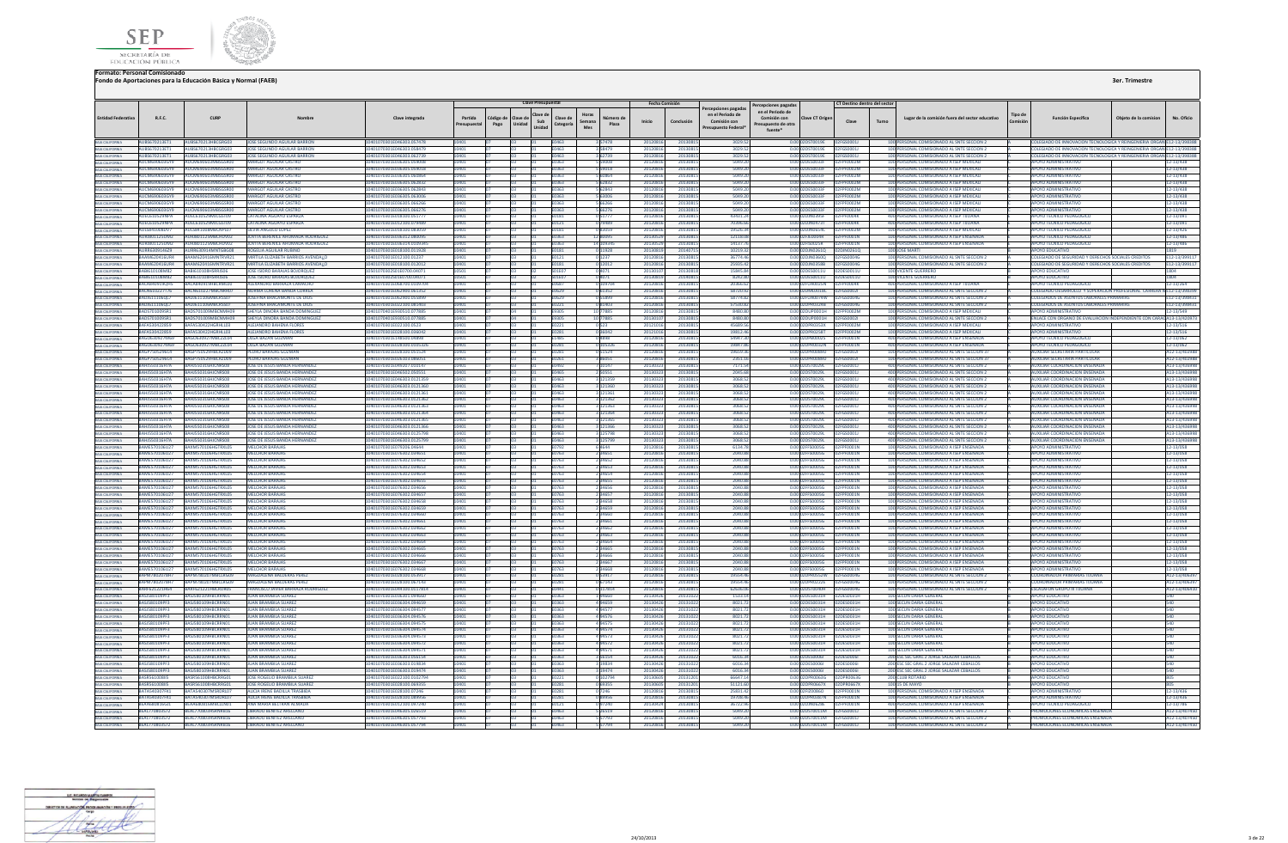



| en el Periodo de<br>en el Periodo de<br>Horas<br>Tipo de<br>Clave d<br><b>Fntidad Federativ</b><br>R.F.C.<br>CURP<br>Clave integrada<br>Partida<br>ódigo de<br>Clave de<br>Clave de<br>Vúmero de<br>Comisión con<br><b>Clave CT Origer</b><br>Lugar de la comisión fuera del sector educativo<br><b>Función Específica</b><br>Nombre<br>Sub<br>Semana<br>Inicio<br>Conclusión<br>Comisión con<br>Clave<br>Turno<br>Pago<br>Unidad<br>Categoría<br>Plaza<br>resupuesto de otra<br>Presupuestal<br>Unidad<br>Mes<br>Presupuesto Federa<br>fuente*<br>BAJA CALIFORNIA<br>AURS670213FT1<br>AURS670213HRCGRG03 UOSE SEGUNDO AGUILAR BARRON<br>10401070301F046303 057478<br><b>F0463</b><br>3 57478<br>20120816<br>20130815<br>3029.52<br>0.00 02DST0019E 02EGS0001L<br>100 PERSONAL COMISIONADO AL SNTE SECCION 2<br>COLEGIADO DE INNOVACION TECNOLOGICA Y REINGENIERIA ORGANIE12-13/398388<br>10401<br>Tn3<br>AURS670212ET1<br>AURS670212HRCGRG03<br><b>IOSE SEGUNDO AGUILAR BARRON</b><br>101070301E046303.058479<br><b>F0463</b><br>258470<br>20120816<br>20130811<br>3020.52<br>0.0002DST0019E 02EGS0001L<br>100 PERSONAL COMISIONADO AL SNTE SECCION 2<br>COLEGIADO DE INNOVACION TECNOLOGICA Y REINGENIERIA ORGAN E12-13/398388<br>BAJA CALIFORNIA<br>10401<br>BAJA CALIFORNIA<br>BAJA CALIFORNIA<br>AUBS670213ET1<br>UBS670213HBCGRG03<br><b>OSE SEGUNDO AGUILAR BARRON</b><br>01070301E046303.062739<br>2012081<br>2013081<br>3029.57<br>ERSONAL COMISIONADO AL SNTE SECCION 2<br>OLEGIADO DE INNOVACION TECNOLOGICA Y REINGENIERIA ORG<br>62739<br>DST0019E<br>2FGS0001J<br>0463<br>20130815<br>5049.20<br>0.00 02DES0033E<br>100 PERSONAL COMISIONADO A ISEP MEXICALI<br><b>ALICM690603GY9</b><br>ARGOT AGUILAR CASTRO<br><b>FO36305 059008</b><br>59008<br>2012081<br><b>APOYO ADMINISTRATIVE</b><br><b>UCM690603MRSGSR00</b><br>6380<br>FPE0002M<br>5049.20<br><b>AUCM690603GY9</b><br><b>AARGOT AGUILAR CASTRO</b><br>01070301E036305.059018<br>2012081<br>2013081<br>100 PERSONAL COMISIONADO A ISEP MEXICALI<br><b>APOYO ADMINISTRATIVO</b><br><b>NUCMEROGORMRSGSROOT</b><br>5363<br>559018<br>0.00 02DES0033E<br><b>DENNATA</b><br><b><i>RYDE0806036V9</i></b><br><b>UCM690603MBSGSR00</b><br><b><i>JARGOT AGUILAR CASTRO</i></b><br>401070301E036305.060864<br><b>5 60864</b><br>2012081<br>2013081<br>5049.20<br>0.00.02DES0033E<br>PE0002M<br>100 PERSONAL COMISIONADO A ISEP MEXICALI<br><b>APOYO ADMINISTRATIVO</b><br>A CALIFORNIA<br>0363<br>BAJA CALIFORNIA<br>ALICMAGOOGO3GYQ<br><b>ALICMARDORO3MBSGSROOT</b><br>MARGOT AGUILAR CASTRO<br>101070301E036305.062832<br>5 62832<br>20120816<br>20120915<br>5049.20<br>0.00020ES0033E<br>EDENNOTAE<br>100 PERSONAL COMISIONADO A ISEP MEXICALI<br><b>AROVO ADMINISTRATIVO</b><br><b>M01</b><br>F0363<br><b>PYDEGGGGGYS</b><br>01070301E036305.062843<br>562843<br>5049.20<br>100 PERSONAL COMISIONADO A ISEP MEXICAL<br><b>APOYO ADMINISTRATIVO</b><br>BAJA CALIFORNIA<br>CM690603MBSGSR00<br>ARGOT AGUILAR CASTRO<br>201208<br>2013081<br>0.00 02DES0033F<br>FOODZM<br>5049.20<br><b>APOYO ADMINISTRATIVO</b><br><b>PYDEGGGGANNIA</b><br><b>CM690603MBSGSR00</b><br><b>MARGOT AGUILAR CASTRO</b><br>101070301E036305.063006<br>5 63006<br>2012081<br>2013081<br>0.00 02DES0033F<br>100 PERSONAL COMISIONADO A ISEP MEXICAL<br>AUCM690603GY9<br>UCM690603MBSGSR00<br><b>ARGOT AGUILAR CASTRO</b><br>01070301E036305.066266<br>2012081<br>2013081<br>5049.20<br>0.00 02DES0033F<br>F0002M<br>100 PERSONAL COMISIONADO A ISEP MEXICAL<br><b>POYO ADMINISTRATIVO</b><br>363<br><b>AUCM690603GY9</b><br>66276<br>5049.20<br>0.00.02DES0033E<br>100 PERSONAL COMISIONADO A ISEP MEXICALL<br>ΔΡΟΥΩ ΔΟΜΙΝΙΚΤΡΑΤΙΝΟ<br>AUCM690603MBSGSR00<br>MARGOT AGUILAR CASTRO<br>401070301E036305.066276<br>F0363<br>20120816<br>20130815<br>2505000284<br>ALIEC61052QNDA<br><b>MIEC610529MICGST09</b><br>CATALINA AGUAYO ESPARZA<br>101070201E018100.051777<br><b>E0181</b><br>0.51777<br>20120816<br>2012091<br>43431.24<br>0.00 020 N0395E<br><b>EDENNAK</b><br><b>400 PERSONAL COMISIONADO A ISER TILLIANA</b><br>APOVO TECNICO PEDAGOGICI<br>AUEC610529NPA<br>UEC610529MJCGST09<br><b>CATALINA AGUAYO ESPARZA</b><br>01070301E012100.079489<br>70396.6<br>0.00 02D IN0473T<br>400 PERSONAL COMISIONADO A ISEP TUUANA<br><b>APOYO TECNICO PEDAGOGICO</b><br>79489<br>201208<br>201308<br>EDODAK<br>AULS841008DV7<br>NULS841008MBCNPL07<br>SILVIA ANGULO LOPEZ<br>101070301E018100.083059<br>083059<br>201208<br>2013081<br>19526.34<br>0.00 02DJN0654C<br>100 PERSONAL COMISIONADO A ISEP MEXICALI<br>APOYO TECNICO PEDAGOGICO<br>E0181<br>AURJ801125UM2<br>NURJ801125MBCHDV02<br><b>OVITA BERENICE AHUMADA RODRIGUEZ</b><br>01070301E036312.080095<br>2013052<br>20130815<br>12118.08<br>0.00 02FJE0004R<br>PF0001N<br>100 PERSONAL COMISIONADO A ISEP ENSENADA<br>APOYO TECNICO PEDAGOGICO<br>0363<br>12 80095<br><b>IOVITA RERENICE AHUMADA RODRIGUEZ</b><br>AURIR01125UM2<br>AURIS01125MBCHDV02<br>1401070301F036314 0109345<br>2013052<br>20130815<br>0.00 02FIS0025R<br>100 PERSONAL COMISIONADO A ISEP ENSENADA<br>APOYO TECNICO PEDAGOGICO<br>14 10934<br>14137.76<br>F0363<br>02FPF0001N<br>AURR630914629<br>AURR630914MNTGBG08<br>0401070301E018100.011928<br>20130819<br>20140715<br>0.00 02DJN0261Q 02DJN0261Q<br>ROGELIA AGUILAR RUBINO<br>10219.32<br>100 JOSE MARTI<br>APOYO EDUCATIVO<br>E0181<br>0 11928<br>10401<br>BAJA CALIFORNIA<br>RAAM620416UR4<br>COLEGIADO DE SEGURIDAD Y DERECHOS SOCIALES CREDITOS<br>RAAM620416MNTRVR21<br>MIRTILA FLIZARETH RARRIOS AVENDALO<br>0401070301F012100.01237<br>n 1237<br>2012081<br>2013081<br>36774.46<br>0.00.02DIN03600<br>02FGS0004G<br>100 PERSONAL COMISIONADO AL SNTE SECCION 2<br>EN171<br><b>BAAM620416URA</b><br><b>RAAM620416MNTPVP21</b><br>MIRTILA FLIZARETH RARRIOS AVENDALO<br>101070201E018100.012012<br>EN181<br>0 12012<br>2012081<br>20120915<br>25025.42<br>0.000201N0358B<br><b>DREGSOONE</b><br>100 PERSONAL COMISIONADO AL SNTE SECCION 2<br>COLEGIADO DE SEGURIDAD Y DERECHOS SOCIALES CREDITOS<br>0404<br>A CALIFORNIA<br>ABI610108M82<br><b>BI610108HSRRIS06</b><br><b>OSE ISIDRO BARAJAS BOJORQUEZ</b><br>1070302S01E0700.04071<br>201301<br>2013081<br>15845.84<br>0.00 02DES0011U<br><b>100 VICENTE GUERRERO</b><br>POYO EDUCATIVO<br>02DES0011U<br>BAJA CALIFORNIA<br>RARI610108M82<br>04071<br>2014081<br>0.00.02DES0011U<br>100 VICENTE GUERRERO<br>ARI610108HSRRIS06<br><b>IOSE ISIDRO BARAJAS ROJOROUEZ</b><br>10302501E0700.04071<br>2013081<br>8242.80<br>02DES0011U<br>ΔΡΟΥΩ ΕΒΗΓΑΤΙΝΩ<br>501F07<br>BACA840919QH5<br>BACAR40919HBCRML00<br>ALEXANDRO BARRAZA CAMACHO<br>01070301E068700.0109704<br>2012081<br>2013081<br>20366.62<br>0.00 02FUA0025N<br>400 PERSONAL COMISIONADO A ISEP TUUAN<br>APOYO TECNICO PEDAGOGICO<br><b>DZEPENNAK</b><br>0687<br>0 10970<br>3ACN610227MRCNRR07<br>401070301E062900.061352<br>58720.92<br>COLEGIADO DESARROLLO, Y SUPERACION PROFESIONAL, CARRERA N E12-13/39839<br><b>RACN610227T76</b><br>NORMA LORENA RANDA CORREA<br><b>DCAN:</b><br>0.61352<br>2012081<br>2013081<br>0.00.02DMI0018C 02EGS0002L<br>100 PERSONAL COMISIONADO AL SNTE SECCION 2<br>CALIFORNIA<br><b>BADI611106017</b><br>ADI611106MBCRSS07<br><b>IOSEEINA BRACAMONTE DE DIOS</b><br>401070301E062900.055899<br>05303<br>055899<br>2012081<br>2013091<br>58774.87<br>0.00.02EUA0074W<br>256500046<br>100 PERSONAL COMISIONADO AL SNTE SECCION 2<br>COLEGIADOS DE ASUNTOS LARORALES PRIMARIAS<br>BADJ611106OL7<br>DI611106MRCRSS07<br><b>SEFINA BRACAMONTE DE DIOS</b><br>101070301F022100.081403<br>201208<br>57530.82<br>0.00102DPR0324B<br>100 PERSONAL COMISIONADO AL SNTE SECCION 2<br><b>COLEGIADOS DE ASUNTOS LABORALES PRIMARIAS</b><br>0.8140<br>2013081<br><b>FGS0004G</b><br>BAJA CALIFORNIA<br>102010100101<br><b>2201000148CNN4H00</b><br>SHEYLA DINORA RANDA DOMINGUE<br>101070401E930510.077889<br>10 7788<br>201208<br>2013081<br>8480.80<br>0.0002011P0001H<br>100 PERSONAL COMISIONADO A ISEP MEXICAL<br>ABOVO ADAMINICTRATIVO<br>8480.80<br>ADS701009SR1<br>S701009MRCNMH09<br>EYLA DINORA BANDA DOMINGUEZ<br>101070401E930510.077885<br>10 77885<br>201301<br>2013081<br>0.00 02DUP0001H<br><b>FGS00021</b><br>100 PERSONAL COMISIONADO AL SNTE SECCION :<br>INLACE CON ORGANO DE EVALUACION INDEPENDIENTE CON CAR<br>9305<br>3AFA530422HGRHLL03<br>0.523<br>45689.56<br>0.00 02DPR0353X<br>100 PERSONAL COMISIONADO A ISEP MEXICALL<br><b>RAFAS30422859</b><br>ALEIANDRO BAHENA FLORES<br>401070301E022100.0523<br>EN221<br>201210<br>20130815<br>12EDE0002M<br>APOYO ADMINISTRATIVO<br><b>APOYO ADMINISTRATIVO</b><br><b>RAFA530422859</b><br><b>3AFA530422HGRHII03</b><br>ΔΙΕΙΔΝΩΡΩ ΒΑΗΕΝΑ ΕΙΩΡΕΣ<br>401070301F028100.036042<br><b>F0281</b><br>036042<br>201210<br>20130815<br>19812.46<br>0.00.02DPR0258T<br>02FPF0002M<br>100 PERSONAL COMISIONADO A ISEP MEXICALI<br><b>BAGO630927M69</b><br>50630927MRC22L04<br><b>JIGA BAZAN GUZMAN</b><br>1070301F148500.04898<br>5494736<br>400 PERSONAL COMISIONADO A ISEP ENSENAD<br>POYO TECNICO PEDAGOGIO<br>201208<br>201308<br>0.00.02DPR0002S<br><b>DENNA1N</b><br>19847.86<br>BAGO630927M69<br>0630927MRC22L04<br><b>OLGA BAZAN GUZMAN</b><br>101070301E028100.010532<br>E0281<br>0 105326<br>201208<br>2013081<br>0.00 02DPR0032N<br>400 PERSONAL COMISIONADO A ISEP ENSENADA<br>APOYO TECNICO PEDAGOGICO<br>BAJA CALIFORNIA<br>AGP7505296C4<br>P750529HBCRZD09<br><b>DRO BARAJAS GUZMAN</b><br>01070301E028100.051524<br>2012081<br>2013081<br>19659.36<br>0.00 02DPR0089O<br>100 PERSONAL COMISIONADO AL SNTE SECCION 3<br>UXILIAR SECRETARIA PARTICULAI<br>PFGS00021<br>0281<br>BAJA CALIFORNIA<br><b>RAGP7505296C4</b><br>3462750529HRCR2D09<br>0401070301E026103.086051<br>2351.16<br>0.00020PR00890 02EGS0002<br>100 PERSONAL COMISIONADO AL SNTE SECCION 37<br>AUXILIAR SECRETARIA PARTICULAR<br>PEDRO BARAIAS GUZMAN<br>3 86051<br>2012081<br>20130815<br><b>PAIA CALIFORNIA</b><br>FN261<br><b>RAHISSO316H7A</b><br><b>ANISSO316HICNRSOR</b><br>JOSE DE JESUS BANDA HERNANDEZ<br>0401070301E049207.010147<br>20130323<br>20130815<br>0.00 02DST0029L<br>400 PERSONAL COMISIONADO AL SNTE SECCION 2<br><b>AUXILIAR COORDINACION ENSENADA</b><br>7171.54<br>02FGS0001J<br>10147<br>BAJA CALIFORNIA<br><b>F0492</b><br><b>RAHISSO316H7A</b><br>1401070301F046502.050551<br>400 PERSONAL COMISIONADO AL SNTE SECCION 2<br>AUXILIAR COORDINACION ENSENADA<br><b>NHISSO316HICNRSOR</b><br><b>IOSE DE IESUS RANDA HERNANDEZ</b><br>23M0<br>50551<br>2013032<br>20130815<br>2045.68<br>0.00102DST0029L<br>02FGS0001L<br>BAHJ550316H7A<br>JOSE DE JESUS BANDA HERNANNE:<br>1070301E046303.0121359<br>121359<br>2013081<br>3068.52<br>0.00 02DST0029L<br>400 PERSONAL COMISIONADO AL SNTE SECCION 2<br>U550316HJCNRS08<br>E0463<br>2013032<br>02FGS0001.<br>UXILIAR COORDINACION ENSENADA<br>BAJA CALIFORNIA<br>BAHJ550316H7A<br>U550316HJCNRS08<br>DSE DE JESUS BANDA HERNANDEZ<br>01070301E046303.0121360<br>121360<br>201303<br>2013081<br>3068.52<br>0.00 02DST0029L<br>400 PERSONAL COMISIONADO AL SNTE SECCION 2<br>IXILIAR COORDINACION ENSENADA<br>BAJA CALIFORNIA<br>0463<br>02FGS0001J<br><b>AHI550316H7A</b><br>1070301F046303 0121361<br>1463<br>20130815<br>3068.52<br>0.00 02DST0029L<br>400 PERSONAL COMISIONADO AL SNTE SECCION 2<br><b>MIXILIAR COORDINACION ENSENADA</b><br>HISS0316HICNRS08<br><b>IOSE DE JESUS RANDA HERNANDEZ</b><br>121361<br>2013032<br>02EGS00011<br>A CALIFORNIA<br><b>RAHISSO316H7A</b><br>101070301E046303.0121362<br>20130815<br>3068.52<br>400 PERSONAL COMISIONADO AL SNTE SECCION 2<br><b>MIXILIAR COORDINACION ENSENADA</b><br><b>HISSO316HICNRSOR</b><br>JOSE DE JESUS BANDA HERNANDEZ<br>2013032<br>0.00 02DST0029L<br>3 121362<br>02FGS0001J<br><b>A CALIFORNIA</b><br><b>Fab0</b><br><b>RAHIS50316H7A</b><br>1401070301F046303 0121363<br>3068.52<br>400 PERSONAL COMISIONADO AL SNTE SECCION 2<br><b>HISSO316HICNRSOR</b><br><b>JOSE DE JESUS RANDA HERNANDEZ</b><br>ENA63<br>121363<br>2013032<br>2013081<br>0.00102DST0029L<br>02EGS00011<br>ΔΗΧΙΗΔΒ ΣΩΩΒΩΙΝΑΣΙΩΝ ΕΝSΕΝΑΩΔ<br><b>RAHISSO316H7A</b><br><b>JOSE DE JESUS BANDA HERNANDEZ</b><br>1401070301F046303 0121364<br>400 PERSONAL COMISIONADO AL SNTE SECCIÓN 2<br>HISS0316HICNRS08<br><b>FN463</b><br>121364<br>20130323<br>2013081<br>3068.52<br>0.00.02DST0029L 02EGS0001L<br>AUXILIAR COORDINACION ENSENADA<br>LUVUI<br><b>RAHISSO316H7A</b><br>HISSO216HICNPSOS<br><b>IOSE DE JESUS RANDA HERNANDEZ</b><br>101070301E046303.0121365<br>12136<br>201303<br>2012091<br>3068.52<br>0.000205700291<br>ADDIRERSONAL COMISIONADO AL SNTE SECCION 2<br>AUXILIAR COORDINACION ENSENADA<br>nasa<br>12EGS00011<br>BAJA CALIFORNIA<br><b>RAHISSO316H7A</b><br>JOSE DE JESUS BANDA HERNANDEZ<br>1401070301F046303 0121366<br>2013081<br>3068.52<br>0.00 02DST0029L<br>400 PERSONAL COMISIONADO AL SNTE SECCION 2<br>AUXILIAR COORDINACION ENSENADA<br>HISSO316HICNRSOS<br>E0463<br>121366<br>2013032<br>2FGS0001J<br>3068.52<br>400 PERSONAL COMISIONADO AL SNTE SECCIÓN 2<br>AHJ550316H7A<br>HJ550316HJCNRS08<br>DSE DE JESUS BANDA HERNANDEZ<br>01070301E046303.0125798<br>201303<br>2013081<br>0.00 02DST0029L<br>UXILIAR COORDINACION ENSENADA<br>125798<br>EGS00011<br>1463<br>RAHI550316H7A<br>JOSE DE JESUS BANDA HERNANDEZ<br>401070301F046303 0125799<br>3068.52<br>0.00 02DST0029L<br>400 PERSONAL COMISIONADO AL SNTE SECCION 2<br>AHISSO316HICNRSOR<br>EaMO<br>3 125799<br>2013032<br>20130815<br>1256500011<br><b>MIXILIAR COORDINACION ENSENADA</b><br><b>BAME570106U27</b><br>BAXM570106HGTRXL05<br>MELCHOR BARAIAS<br>401070301F079206.04644<br>F0792<br>6.4644<br>20120816<br>2013081<br>6134.78<br>0.00.02EES0005G<br>02FPF0001N<br>100 PERSONAL COMISIONADO A ISEP ENSENADA<br><b>APOYO ADMINISTRATIVO</b><br><b>RAME570106U27</b><br><b>AYMS70106HCTPYIOS</b><br><b>FICHOR BARAIA</b><br>101070301E076302.034651<br>201208<br>2040.8<br>0.00 02FFS0005G<br>100 PERSONAL COMISIONADO A ISEP ENSENADA<br>ΔΡΟΥΩ ΔΟΜΙΝΙΝΤΑ ΤΙΜ<br>34651<br>2013081<br><b>DENNA1N</b><br>RAME570106U27<br>234652<br>2040.88<br>100 PERSONAL COMISIONADO A ISEP ENSENADA<br><b>APOYO ADMINISTRATIVO</b><br><b>AYMS70106HCTRYLOS</b><br><b><i>IFI CHOR BARAIA</i></b><br>101070301E076302.034652<br>0763<br>201208<br>2013081<br>0.00 02FFS0005G<br>AME570106U27<br>M570106HGTRXL05<br>ELCHOR BARAJA<br>01070301E076302.034653<br>201208<br>2013081<br>2040.8<br>0.00 02FFS0005G<br>PFOOD1N<br>100 PERSONAL COMISIONADO A ISEP ENSENADA<br>POYO ADMINISTRATIVO<br>763<br>BAJA CALIFORNIA<br>2040.88<br>100 PERSONAL COMISIONADO A ISEP ENSENADA<br><b>APOYO ADMINISTRATIVO</b><br>AME570106U27<br>AXM570106HGTRXL05<br>ELCHOR BARAJAS<br>01070301E076302.034654<br>2 34654<br>20120816<br>2013081<br>0.00 02FFS0005G<br>0763<br>BAME570106U27<br>RAXM570106HGTRXL05<br><b>MELCHOR BARAJAS</b><br>0401070301E076302.034655<br>20120816<br>20130815<br>2040.88<br>0.00 02FFS0005G<br>02FPF0001N<br>100 PERSONAL COMISIONADO A ISEP ENSENADA<br>APOYO ADMINISTRATIVO<br>2 3 4 6 5 5<br>E0763<br>BAJA CALIFORNIA<br><b>RAMES70106U27</b><br>RAXM570106HGTRXL05<br><b><i>MELCHOR BARAIAS</i></b><br>0401070301E076302.034656<br>234656<br>20130815<br><b>2040 88</b><br>0.00102EES0005G<br>100 PERSONAL COMISIONADO A ISEP ENSENADA<br><b>APOYO ADMINISTRATIVO</b><br>F0763<br>20120816<br>02EDE0001N<br><b>RAME570106U27</b><br><b>AYMS70106HGTPYIOS</b><br><b>FICHOR BARAIA</b><br>01070301E076302.034657<br>34657<br>2012081<br>2013081<br>2040 88<br>0.00.02EES0005G<br>100 PERSONAL COMISIONADO A ISEP ENSENADA<br>APOVO ADMINISTRATIVO<br>F0763<br><b>EDENNAN</b><br>BAME570106U27<br>XM570106HGTRXL05<br>LCHOR BARAJA<br>01070301E076302.034658<br>201208<br>2013081<br>2040.8<br>0.00 02FFS0005G<br>100 PERSONAL COMISIONADO A ISEP ENSENAD<br><b>APOYO ADMINISTRATIVO</b><br>BAJA CALIFORNIA<br>BAIA CALIFORNIA<br>BAME570106U27<br>2 3 4 6 5 9<br>20120816<br>20130815<br>2040.88<br>100 PERSONAL COMISIONADO A ISEP ENSENADA<br><b>APOYO ADMINISTRATIVO</b><br>BAXM570106HGTRXL05<br><b>MELCHOR BARAJAS</b><br>401070301E076302.034659<br>E0763<br>03<br>BAJA CALIFORNIA<br><b>RAMES70106U27</b><br>RAXM570106HGTRXL05<br>MELCHOR BARAIAS<br>401070301E076302.034660<br>20120816<br>20130815<br>2040.88<br>0.00 02FFS0005G<br>100 PERSONAL COMISIONADO A ISEP ENSENADA<br><b>APOYO ADMINISTRATIVO</b><br>02FPF0001N<br>E0763<br>234660<br><b>RAMES70106U27</b><br>0.000 02FES0005G 02FPE0001N<br><b>APOYO ADMINISTRATIVO</b><br>BAJA CALIFORNIA<br><b>RAXM570106HGTRXL05</b><br><b>MELCHOR BARAIAS</b><br>124661 202311-076302<br>234661<br>20120816<br>2013081<br><b>2040 88</b><br>100 PERSONAL COMISIONADO A ISEP ENSENADA<br><b>E0763</b><br><b>APOYO ADMINISTRATIVO</b><br>RAME570106U27<br>RAXM570106HGTRXL05<br><b><i>IFI CHOR BARAIAS</i></b><br>401070301E076302.034662<br>2012081<br>0.00 02FFS0005G<br>100 PERSONAL COMISIONADO A ISEP ENSENADA<br>F0763<br>34662<br>2013081<br>2040.88<br><b>COENNAIN</b><br><b>BAMES70106U27</b><br><b>AVMS70106HGTPYIOS</b><br>ELCHOR BARAIAS<br>101070301E076302.034663<br>2 34663<br>2012081<br>2012081<br><b>2040 88</b><br>0.00 02FES0005G<br>100 PERSONAL COMISIONADO A ISER ENSENADA<br>AROVO ADMINISTRATIVO<br>0762<br><b>EDENNA1N</b><br>A CALIFORNIA<br><b>RAMES70106U27</b><br><b>BAYMS70106HCTRYLOS</b><br>MELCHOP BARAIAS<br>401070301E076302.034664<br>234664<br>2012081<br>2013081<br><b>2040 88</b><br>0.0002FFS0005G<br>100 PERSONAL COMISIONADO A ISEP ENSENADA<br><b>AROVO ADMINISTRATIVO</b><br>E0763<br><b>REPERDATING</b><br>A CALIFORNIA<br>AME570106U27<br>AXM570106HGTRXIOS<br>CHOR BARAIAS<br>01070301E076302.034665<br>2012081<br>2013081<br>2040.88<br>0.00 02FFS0005G<br>100 PERSONAL COMISIONADO A ISEP ENSENADA<br><b>APOYO ADMINISTRATIVO</b><br><b>FPE0001N</b><br>34665<br>1763<br>BAME570106U27<br>0.00 02FFS0005G<br>100 PERSONAL COMISIONADO A ISEP ENSENADA<br><b>3AXMS70106HGTRXL0S</b><br>070301E076302.034666<br>34666<br>2012081<br>2013081<br>2040.88<br><b>APOYO ADMINISTRATIVO</b><br>ELCHOR BARAJAS<br>0763<br>PE0001N<br><b>APOYO ADMINISTRATIVO</b><br><b>RAME570106U27</b><br>BAXM570106HGTRXL05<br><b>FLCHOR BARAIAS</b><br>401070301E076302.034667<br>2012081<br>2040.88<br>100 PERSONAL COMISIONADO A ISEP ENSENADA<br>F0763<br>34667<br>20130815<br>0.00.02EES0005G<br><b>DEPERADINAL</b><br><b>BAMES70106U27</b><br><b>AYMS70106HGTPYIOS</b><br><b>ELCHOR BARAIAS</b><br>11070301E076302.034669<br>201208<br>2040.81<br>0.00 02EES0005G<br>100 PERSONAL COMISIONADO A ISEP ENSENADA<br><b>AROVO ADMINISTRATIVO</b><br>34668<br>2013091<br>DEGOOS N<br><b>BARM7802078H7</b><br><b>BARM780207MBCLRG09</b><br><b>MAGDALENA RALDERAS PERI</b><br>101070301E028100.053917<br>0 53917<br>20120816<br>2013081<br>19554.46<br>0.00102DPR0552W<br>100 PERSONAL COMISIONADO AL SNTE SECCION 2<br><b>COORDINADOR PRIMARIAS THUAMA</b><br>BAJA CALIFORNIA<br>E0281<br><b>FGS0004G</b><br>APM7802078H7<br>M780207MBCLRG09<br><b>GDALENA BALDERAS PERE</b><br>01070301E028100.067143<br>201208<br>2013081<br>19554.4<br>0.00 02DPR0222E<br><b>FGS00040</b><br>100 PERSONAL COMISIONADO AL SNTE SECCION :<br>OORDINADOR PRIMARIAS TIILIANA<br>028<br>67143<br><b>BAIA CALIFORNIA</b><br>BARF621221H64<br>F621221HBCRDR05<br>RANCISCO JAVIER BARRAZA RODRIGUEZ<br>01070301E044100.0117814<br>0441<br>117814<br>2012081<br>2013081<br>62636.06<br>0.00 02DST0040H<br>100 PERSONAL COMISIONADO AL SNTE SECCION 2<br><b>ESCALAFON GRUPO III TIJUANA</b><br>2FGS00040<br>RASISRO109PE3<br><b>ASIS80109HRCRRN01</b><br><b>ILIAN BRAMBILA SUAREZ</b><br>01070301E036301.094660<br>20130426<br>2013102<br>1533.14<br>0.00 02DES0031H<br>12DE50031H<br>100 SECUN DARIA GENERAL<br><b>APOYO EDUCATIVO</b><br>1363<br>94660<br>494659<br>0.00.02DES0031H 02DES0031H<br>100 SECUN DARIA GENERAL<br><b>RASIS80109PF3</b><br><b>3ASIS80109HRCRRN01</b><br><b>ILIAN BRAMBILA SUAREZ</b><br>401070301F036304 094659<br>F0363<br>20130426<br>2013102<br>8021.72<br>ΔΡΟΥΩ ΕΒΗΓΑΤΙΝΩ<br>2000110402124<br>ASIS80109HBCPPMO<br><b>ILIAN RRAMBILA SUAREZ</b><br><b>20301F036304 094522</b><br>494577<br>20130426<br>2013102<br>802172<br>02DES0031<br>100 SECUN DARIA GENERA<br>ΔΡΟΥΩ ΕΠΙΙΣΑΤΙΜ<br>E0363<br>0.00.02DES0031H<br>BASJ580109PF3<br>SI580109HRCRRNO<br><b>JAN BRAMBILA SUARE</b><br>01070301E036304.09457<br>494576<br>201304<br>201310<br>8021.7<br>0.00 02DES0031H<br>02DES0031H<br>100 SECUN DARIA GENERAL<br><b>APOYO EDUCATIV</b><br>BAJA CALIFORNIA<br>BASJ580109PF3<br><b>JUAN BRAMBILA SUAREZ</b><br>494575<br>8021.72<br>3ASJ580109HBCRRN0:<br>01070301E036304.094575<br>E0363<br>2013042<br>2013102<br>0.00 02DES0031H 02DES0031H<br>100 SECUN DARIA GENERAL<br><b>APOYO EDUCATIVO</b><br><b>RASISR0109PE3</b><br><b>RASISRO109HRCRRNO1</b><br><b>ILIAN BRAMBILA SUAREZ</b><br>0401070301E036304.094574<br>20130426<br>20131022<br>8021.72<br>0.0002DES0031H<br>02DE50031H<br>100 SECUN DARIA GENERAL<br><b>APOYO EDUCATIVO</b><br>494574<br>RAIA CALIFORNIA<br>F0363<br><b>RASISR0109PF3</b><br><b>RASISRO109HRCRRNO1</b><br><b>ILIAN BRAMBILA SUAREZ</b><br>0401070301E036304.094573<br>494573<br>2013102<br>8021.72<br>0.00 02DES0031H 02DES0031H<br><b>APOYO EDUCATIVO</b><br>F0363<br>20130426<br>100 SECUN DARIA GENERAL<br><b>JUAN BRAMBILA SUAREZ</b><br>RASISRO109PE3<br><b>ASIS80109HRCRRN01</b><br>0401070301F036304 094572<br>20131023<br>100 SECUN DARIA GENERAL<br>ΔΡΟΥΩ ΕΒΗΓΑΤΙΝΩ<br>494572<br>20130426<br>802172<br>0.0002DES0031H 02DES0031H<br>F0363<br>230001100023<br><b>ASISRO10QHRCRRNO1</b><br><b>ILIAN RRAMBILA SITAREZ</b><br>101070201E026204.094571<br>$A$ 04571<br>2013042<br>2013107<br>8021.77<br>0.00 02DES0021H<br>02DES0021H<br>100 SECUN DARIA GENERAL<br>AROVO EDITCATIVO<br>0262<br><b>BASISR0100DE3</b><br><b>ASISRO109HBCRRNO1</b><br><b>ILIAN BRAMBILA SUARES</b><br>M01070201E026202.056154<br>3 56154<br>20130426<br>20131023<br>601634<br>0.00102DES0006L<br>02DE50006<br>200 ESC SEC GRAL 2 JORGE SALAZAR CERALLOS<br>AROVO EDUCATIVO<br><b>FN363</b><br><b>MASISRO109PF3</b><br>UAN BRAMBILA SUAREZ<br>2013042<br>6016.34<br>200 ESC SEC GRAL 2 JORGE SALAZAR CEBALLOS<br>ISIS80109HRCRRNO<br>11070301F036303.019834<br>2013102<br>0.00 02DES0006L<br>2DES00061<br>POYO EDUCATIVO<br>19834<br>1363<br>RASISR0109PF3<br>ASIS80109HRCRRN01<br>70301E036303.019474<br>3 19474<br>2013102<br>6016.34<br>0.00.02DES0006L<br>200 ESC SEC GRAL 2 JORGE SALAZAR CEBALLOS<br><b>ILIAN BRAMBILA SUAREZ</b><br>2013042<br>02DES00061<br><b>APOYO EDUCATIVO</b><br><b>Eagn</b><br><b>RASR561008U5</b><br>ASR561008HRCRRG01<br>101070301F022100.0102794<br>2013060<br>6664714<br>0.00 02DPR0063G<br><b>IOSE ROGELIO BRAMBILA SLIARE</b><br>0221<br>0102794<br>201312<br>02DPR00630<br>200 CIUR ROTARIO<br><b>APOYO EDUCATIVO</b><br><b>RASRS61008US</b><br>ASR561008HRCRRG01<br><b>JOSE ROGELIO BRAMBILA SUAREZ</b><br>401070301E028100.069355<br>0 69355<br>2013060<br>2013120<br>51121.60<br>0.0002DPR0667X 02DPR0667X<br>100 15 DE MAYO<br>ΔΡΟΥΩ ΕΒΗΓΑΤΙΝΩ<br><b>FN281</b><br><b>RATAS40307EK1</b><br><b>ATAS40307MSRDRIO7</b><br>AUCIA IRENE RADIUA TRASRIDA<br>101070301E028100.07246<br>07246<br>2012081<br>2013091<br>25821.42<br>0.00 02FIZ0086O<br>100 PERSONAL COMISIONADO A ISEP ENSENADA<br><b>AROVO ADMINISTRATIVO</b><br><b>F0281</b><br><b>NOEDENNATN</b><br><b>ATAS40307FK1</b><br>100 PERSONAL COMISIONADO A ISEP ENSENADA<br><b>APOYO ADMINISTRATIVO</b><br><b>ATAS40307MSPDPI07</b><br>ΜΙΓΙΑ ΙΒΕΝΕ ΒΑΠΙΙΤΑ ΤΒΑSΒΙΘΑ<br>01070301E028100.089956<br>201208<br>201308<br>19708.46<br>0.00 02DPR0387N<br>PENNO1 N<br>400 PERSONAL COMISIONADO A ISEP ENSENADA<br>REAA680816GI1<br>REAA680816MBCLIN01<br>097240<br>2013042<br>2013081<br>36722.96<br>0.00.02DIN0628F<br>ANA MARIA RELTRAN ALMADA<br>F012100.097240<br>F0121<br>FPE0001N<br>APOYO TECNICO PEDAGOGICO<br>5049.20<br>100 PERSONAL COMISIONADO AL SNTE SECCIÓN 2<br><b>REAL770803572</b><br>REAL770R03HSRNRR16<br><b>LIBRADO BENITEZ ARELLANO</b><br>401070301F046305 026519<br>20120816<br>20130815<br>0.00.02DST0011M 02EGS0001L<br><b>FN463</b><br>5 26519<br>PROMOCIONES ECONOMICAS ENSENAD<br><b>REAL770803572</b><br>0.00.02DST0011M 02EGS0001L<br>100 PERSONAL COMISIONADO AL SNTE SECCIÓN 2 |  |                    |                                 |                          |  | <b>Clave Presupuestal</b> |       |        | Fecha Comisión |         | ercepciones pagadas | Percepciones pagadas | CT Destino dentro del sector |  |                                 |                       |               |
|----------------------------------------------------------------------------------------------------------------------------------------------------------------------------------------------------------------------------------------------------------------------------------------------------------------------------------------------------------------------------------------------------------------------------------------------------------------------------------------------------------------------------------------------------------------------------------------------------------------------------------------------------------------------------------------------------------------------------------------------------------------------------------------------------------------------------------------------------------------------------------------------------------------------------------------------------------------------------------------------------------------------------------------------------------------------------------------------------------------------------------------------------------------------------------------------------------------------------------------------------------------------------------------------------------------------------------------------------------------------------------------------------------------------------------------------------------------------------------------------------------------------------------------------------------------------------------------------------------------------------------------------------------------------------------------------------------------------------------------------------------------------------------------------------------------------------------------------------------------------------------------------------------------------------------------------------------------------------------------------------------------------------------------------------------------------------------------------------------------------------------------------------------------------------------------------------------------------------------------------------------------------------------------------------------------------------------------------------------------------------------------------------------------------------------------------------------------------------------------------------------------------------------------------------------------------------------------------------------------------------------------------------------------------------------------------------------------------------------------------------------------------------------------------------------------------------------------------------------------------------------------------------------------------------------------------------------------------------------------------------------------------------------------------------------------------------------------------------------------------------------------------------------------------------------------------------------------------------------------------------------------------------------------------------------------------------------------------------------------------------------------------------------------------------------------------------------------------------------------------------------------------------------------------------------------------------------------------------------------------------------------------------------------------------------------------------------------------------------------------------------------------------------------------------------------------------------------------------------------------------------------------------------------------------------------------------------------------------------------------------------------------------------------------------------------------------------------------------------------------------------------------------------------------------------------------------------------------------------------------------------------------------------------------------------------------------------------------------------------------------------------------------------------------------------------------------------------------------------------------------------------------------------------------------------------------------------------------------------------------------------------------------------------------------------------------------------------------------------------------------------------------------------------------------------------------------------------------------------------------------------------------------------------------------------------------------------------------------------------------------------------------------------------------------------------------------------------------------------------------------------------------------------------------------------------------------------------------------------------------------------------------------------------------------------------------------------------------------------------------------------------------------------------------------------------------------------------------------------------------------------------------------------------------------------------------------------------------------------------------------------------------------------------------------------------------------------------------------------------------------------------------------------------------------------------------------------------------------------------------------------------------------------------------------------------------------------------------------------------------------------------------------------------------------------------------------------------------------------------------------------------------------------------------------------------------------------------------------------------------------------------------------------------------------------------------------------------------------------------------------------------------------------------------------------------------------------------------------------------------------------------------------------------------------------------------------------------------------------------------------------------------------------------------------------------------------------------------------------------------------------------------------------------------------------------------------------------------------------------------------------------------------------------------------------------------------------------------------------------------------------------------------------------------------------------------------------------------------------------------------------------------------------------------------------------------------------------------------------------------------------------------------------------------------------------------------------------------------------------------------------------------------------------------------------------------------------------------------------------------------------------------------------------------------------------------------------------------------------------------------------------------------------------------------------------------------------------------------------------------------------------------------------------------------------------------------------------------------------------------------------------------------------------------------------------------------------------------------------------------------------------------------------------------------------------------------------------------------------------------------------------------------------------------------------------------------------------------------------------------------------------------------------------------------------------------------------------------------------------------------------------------------------------------------------------------------------------------------------------------------------------------------------------------------------------------------------------------------------------------------------------------------------------------------------------------------------------------------------------------------------------------------------------------------------------------------------------------------------------------------------------------------------------------------------------------------------------------------------------------------------------------------------------------------------------------------------------------------------------------------------------------------------------------------------------------------------------------------------------------------------------------------------------------------------------------------------------------------------------------------------------------------------------------------------------------------------------------------------------------------------------------------------------------------------------------------------------------------------------------------------------------------------------------------------------------------------------------------------------------------------------------------------------------------------------------------------------------------------------------------------------------------------------------------------------------------------------------------------------------------------------------------------------------------------------------------------------------------------------------------------------------------------------------------------------------------------------------------------------------------------------------------------------------------------------------------------------------------------------------------------------------------------------------------------------------------------------------------------------------------------------------------------------------------------------------------------------------------------------------------------------------------------------------------------------------------------------------------------------------------------------------------------------------------------------------------------------------------------------------------------------------------------------------------------------------------------------------------------------------------------------------------------------------------------------------------------------------------------------------------------------------------------------------------------------------------------------------------------------------------------------------------------------------------------------------------------------------------------------------------------------------------------------------------------------------------------------------------------------------------------------------------------------------------------------------------------------------------------------------------------------------------------------------------------------------------------------------------------------------------------------------------------------------------------------------------------------------------------------------------------------------------------------------------------------------------------------------------------------------------------------------------------------------------------------------------------------------------------------------------------------------------------------------------------------------------------------------------------------------------------------------------------------------------------------------------------------------------------------------------------------------------------------------------------------------------------------------------------------------------------------------------------------------------------------------------------------------------------------------------------------------------------------------------------------------------------------------------------------------------------------------------------------------------------------------------------------------------------------------------------------------------------------------------------------------------------------------------------------------------------------------------------------------------------------------------------------------------------------------------------------------------------------------------------------------------------------------------------------------------------------------------------------------------------------------------------------------------------------------------------------------------------------------------------------------------------------------------------------------------------------------------------------------------------------------------------------------------------------------------------------------------------------------------------------------------------------------------------------------------------------------------------------------------------------------------------------------------------------------------------------------------------------------------------------------------------------------------------------------------------------------------------------------------------------------------------------------------------------------------------------------------------------------------------------------------------------------------------------------------------------------------------------------------------------------------------------------------------------------------------------------------------------------------------------------------------------------------------------------------------------------------------------------------------------------------------------------------------------------------------------------------------------------------------------------------------------------------------------------------------------------------------------------------------------------------------------------------------------------------------------------------------------------------------------------------------------------------------------------------------------------------------------------------------------------------------------------------------------------------------------------------------------------------------------------------------------------------------------------------------------------------------------------------------------------------------------------------------------------------------------------------------------------------------------------------------------------------------------------------------------------------------------------------------------------------------------------------------------------------------------------------------------------------------------------------------------------------------------------------------------------------------------------------------------------------------------------------------------------------------------------------------------------------------------------------------------------------------------------------------------------------------------------------------------------------------------------------------------------------------------------------------------------------------------------------------------------------------------------------------------------------------------------------------------------------------------------------------------------------------------------------------------------------------------------------------------------------------------------------------------------------------------------------------------------------------------------------------------------------------------------------------------------------------------------------------------------------------------------------------------------------------------------------------------------------------------------------------------------------------------------------------------------------------------------------------------------------------------------------------------------------------------------------------------------------------------------------------------------------------------------------------------------------------------------------------------------------------------------------------------------------------------------------------------------------------------------------------------------------------------------------------------------------------------------------------------------------------------------------------------------------------------------------------------------------------------------------------------------------------------------------------------------------------------------------------------------------------------------------------------------------------------------------------------------------------------------------------------------------------------------------------------------------------------------------------------------------------------------------------------------------------------------------------------------------------------------------------------------------------------------------------------------------------------------------------------------------------------------------------------------------------------------------------------------------------------------------------------------------------------------------------------------------------------------------------------------------------------------------------------------------------------------------------------------------------------------------------------------------------------------------------------------------------------------------------------------------------------------------------------------------------------------------------------------------------------------------------------------------------------------------------------------------------------------------------------------------------------------------------------------------------------------------------------------------------------------------------------------------------------------------------------------------------------------------------------------------------------------------------------------------------------------------------------------------------------------------------------------------------------------------------------------------------------------------------------------------------------------------------------------------------------------------------------------------------------------------------------------------------------------------------------------------------------------------------------------------------------------------------------------------------------------------------------------------------------------------------------------------------------------------------------------------------------------------------------------------------------------------------------------------------------------------------------------------------------------------------------------------------------------------------------------------------------------------------------------------------------------------------------------------------------------------------------------------------------------------------------------------------------------------------------------------------------------------------------------------------------------------------------------------------------------------------------------------------------------------------------------------------------------------------------------------------------------------------------------------------------------------------------------------------------------------------------------------------------------------------------------------------------------------------------------------------------------------------------------------------------------------------------------------------------------------------------------------------------------------------------------------------------------------------------------------------------------------------------------------------------------------------------------------------------------------------------------------------------------------------------------------------------------------------------------------------------------------------------------------------------------------------------------------------------------------------------------------------------------------------------------------------------------------------------------------------------------------------------------------------------------------------------------------------------------------------------------------------------------------------------------------------------------------------------------------------------------------------------------------------------------------------------------------------------------------------------------------------------------------------------------------------------------------------------------------------------------------------------------------------------------------------------------------------------------------------------------------------------------------------------------------------------------------------------------------------------------------------------------------------------------------------------------------------------------------------------------------------------------------------------------------------------------------------------------------------------------------------------------------------------------------------------------------------------------------------------------------------------------------------------------------------------------------------------------------------------------------------------------------------------------------------------------------------------------------------------------------------------------------------------------------------------------------------------------------------------------------------------------------------------------------------------------------------------------------------------------------------------------------------------------------------------------------------------------------------------------------------------------------------------------------------------------------------------------------------------------------------------------------------------------------------------------------------------------------------------------------------------------------------------------------------------------------------------------------------------------------------------------------------------------------------------------------------------------------------------------------------------------------------------------------------------------------------------------------------------------------------------------------------------------------------------------------------------------------------------------------------------------------------------|--|--------------------|---------------------------------|--------------------------|--|---------------------------|-------|--------|----------------|---------|---------------------|----------------------|------------------------------|--|---------------------------------|-----------------------|---------------|
|                                                                                                                                                                                                                                                                                                                                                                                                                                                                                                                                                                                                                                                                                                                                                                                                                                                                                                                                                                                                                                                                                                                                                                                                                                                                                                                                                                                                                                                                                                                                                                                                                                                                                                                                                                                                                                                                                                                                                                                                                                                                                                                                                                                                                                                                                                                                                                                                                                                                                                                                                                                                                                                                                                                                                                                                                                                                                                                                                                                                                                                                                                                                                                                                                                                                                                                                                                                                                                                                                                                                                                                                                                                                                                                                                                                                                                                                                                                                                                                                                                                                                                                                                                                                                                                                                                                                                                                                                                                                                                                                                                                                                                                                                                                                                                                                                                                                                                                                                                                                                                                                                                                                                                                                                                                                                                                                                                                                                                                                                                                                                                                                                                                                                                                                                                                                                                                                                                                                                                                                                                                                                                                                                                                                                                                                                                                                                                                                                                                                                                                                                                                                                                                                                                                                                                                                                                                                                                                                                                                                                                                                                                                                                                                                                                                                                                                                                                                                                                                                                                                                                                                                                                                                                                                                                                                                                                                                                                                                                                                                                                                                                                                                                                                                                                                                                                                                                                                                                                                                                                                                                                                                                                                                                                                                                                                                                                                                                                                                                                                                                                                                                                                                                                                                                                                                                                                                                                                                                                                                                                                                                                                                                                                                                                                                                                                                                                                                                                                                                                                                                                                                                                                                                                                                                                                                                                                                                                                                                                                                                                                                                                                                                                                                                                                                                                                                                                                                                                                                                                                                                                                                                                                                                                                                                                                                                                                                                                                                                                                                                                                                                                                                                                                                                                                                                                                                                                                                                                                                                                                                                                                                                                                                                                                                                                                                                                                                                                                                                                                                                                                                                                                                                                                                                                                                                                                                                                                                                                                                                                                                                                                                                                                                                                                                                                                                                                                                                                                                                                                                                                                                                                                                                                                                                                                                                                                                                                                                                                                                                                                                                                                                                                                                                                                                                                                                                                                                                                                                                                                                                                                                                                                                                                                                                                                                                                                                                                                                                                                                                                                                                                                                                                                                                                                                                                                                                                                                                                                                                                                                                                                                                                                                                                                                                                                                                                                                                                                                                                                                                                                                                                                                                                                                                                                                                                                                                                                                                                                                                                                                                                                                                                                                                                                                                                                                                                                                                                                                                                                                                                                                                                                                                                                                                                                                                                                                                                                                                                                                                                                                                                                                                                                                                                                                                                                                                                                                                                                                                                                                                                                                                                                                                                                                                                                                                                                                                                                                                                                                                                                                                                                                                                                                                                                                                                                                                                                                                                                                                                                                                                                                                                                                                                                                                                                                                                                                                                                                                                                                                                                                                                                                                                                                                                                                                                                                                                                                                                                                                                                                                                                                                                                                                                                                                                                                                                                                                                                                                                                                                                                                                                                                                                                                                                                                                                                                                                                                                                                                                                                                                                                                                                                                                                                                                                                                                                                                                                                                                                                                                                                                                                                                                                                                                                                                                                                                                                                                                                                                                                                                                                                                                                                                                                                                                                                                                                                                                                                                                                                                                                                                                                                                                                                                                                                                                                                                                                                                                                                                                                                                                                                                                                                                                                                                                                                                                                                                                                                                                                                                                                                                                                                                                                                                                                                                                                                                                                                                                                                                                                                                                                                                                                                                                                                                                                                                                                        |  |                    |                                 |                          |  |                           |       |        |                |         |                     |                      |                              |  |                                 | Objeto de la comision | No. Oficio    |
|                                                                                                                                                                                                                                                                                                                                                                                                                                                                                                                                                                                                                                                                                                                                                                                                                                                                                                                                                                                                                                                                                                                                                                                                                                                                                                                                                                                                                                                                                                                                                                                                                                                                                                                                                                                                                                                                                                                                                                                                                                                                                                                                                                                                                                                                                                                                                                                                                                                                                                                                                                                                                                                                                                                                                                                                                                                                                                                                                                                                                                                                                                                                                                                                                                                                                                                                                                                                                                                                                                                                                                                                                                                                                                                                                                                                                                                                                                                                                                                                                                                                                                                                                                                                                                                                                                                                                                                                                                                                                                                                                                                                                                                                                                                                                                                                                                                                                                                                                                                                                                                                                                                                                                                                                                                                                                                                                                                                                                                                                                                                                                                                                                                                                                                                                                                                                                                                                                                                                                                                                                                                                                                                                                                                                                                                                                                                                                                                                                                                                                                                                                                                                                                                                                                                                                                                                                                                                                                                                                                                                                                                                                                                                                                                                                                                                                                                                                                                                                                                                                                                                                                                                                                                                                                                                                                                                                                                                                                                                                                                                                                                                                                                                                                                                                                                                                                                                                                                                                                                                                                                                                                                                                                                                                                                                                                                                                                                                                                                                                                                                                                                                                                                                                                                                                                                                                                                                                                                                                                                                                                                                                                                                                                                                                                                                                                                                                                                                                                                                                                                                                                                                                                                                                                                                                                                                                                                                                                                                                                                                                                                                                                                                                                                                                                                                                                                                                                                                                                                                                                                                                                                                                                                                                                                                                                                                                                                                                                                                                                                                                                                                                                                                                                                                                                                                                                                                                                                                                                                                                                                                                                                                                                                                                                                                                                                                                                                                                                                                                                                                                                                                                                                                                                                                                                                                                                                                                                                                                                                                                                                                                                                                                                                                                                                                                                                                                                                                                                                                                                                                                                                                                                                                                                                                                                                                                                                                                                                                                                                                                                                                                                                                                                                                                                                                                                                                                                                                                                                                                                                                                                                                                                                                                                                                                                                                                                                                                                                                                                                                                                                                                                                                                                                                                                                                                                                                                                                                                                                                                                                                                                                                                                                                                                                                                                                                                                                                                                                                                                                                                                                                                                                                                                                                                                                                                                                                                                                                                                                                                                                                                                                                                                                                                                                                                                                                                                                                                                                                                                                                                                                                                                                                                                                                                                                                                                                                                                                                                                                                                                                                                                                                                                                                                                                                                                                                                                                                                                                                                                                                                                                                                                                                                                                                                                                                                                                                                                                                                                                                                                                                                                                                                                                                                                                                                                                                                                                                                                                                                                                                                                                                                                                                                                                                                                                                                                                                                                                                                                                                                                                                                                                                                                                                                                                                                                                                                                                                                                                                                                                                                                                                                                                                                                                                                                                                                                                                                                                                                                                                                                                                                                                                                                                                                                                                                                                                                                                                                                                                                                                                                                                                                                                                                                                                                                                                                                                                                                                                                                                                                                                                                                                                                                                                                                                                                                                                                                                                                                                                                                                                                                                                                                                                                                                                                                                                                                                                                                                                                                                                                                                                                                                                                                                                                                                                                                                                                                                                                                                                                                                                                                                                                                                                                                                                                                                                                                                                                                                                                                                                                                                                                                                                                                                                                                                                                                                                                                                                                                                                                                                                                                                                                                                                                                                                                                                                                        |  |                    |                                 |                          |  |                           |       |        |                |         |                     |                      |                              |  |                                 |                       |               |
|                                                                                                                                                                                                                                                                                                                                                                                                                                                                                                                                                                                                                                                                                                                                                                                                                                                                                                                                                                                                                                                                                                                                                                                                                                                                                                                                                                                                                                                                                                                                                                                                                                                                                                                                                                                                                                                                                                                                                                                                                                                                                                                                                                                                                                                                                                                                                                                                                                                                                                                                                                                                                                                                                                                                                                                                                                                                                                                                                                                                                                                                                                                                                                                                                                                                                                                                                                                                                                                                                                                                                                                                                                                                                                                                                                                                                                                                                                                                                                                                                                                                                                                                                                                                                                                                                                                                                                                                                                                                                                                                                                                                                                                                                                                                                                                                                                                                                                                                                                                                                                                                                                                                                                                                                                                                                                                                                                                                                                                                                                                                                                                                                                                                                                                                                                                                                                                                                                                                                                                                                                                                                                                                                                                                                                                                                                                                                                                                                                                                                                                                                                                                                                                                                                                                                                                                                                                                                                                                                                                                                                                                                                                                                                                                                                                                                                                                                                                                                                                                                                                                                                                                                                                                                                                                                                                                                                                                                                                                                                                                                                                                                                                                                                                                                                                                                                                                                                                                                                                                                                                                                                                                                                                                                                                                                                                                                                                                                                                                                                                                                                                                                                                                                                                                                                                                                                                                                                                                                                                                                                                                                                                                                                                                                                                                                                                                                                                                                                                                                                                                                                                                                                                                                                                                                                                                                                                                                                                                                                                                                                                                                                                                                                                                                                                                                                                                                                                                                                                                                                                                                                                                                                                                                                                                                                                                                                                                                                                                                                                                                                                                                                                                                                                                                                                                                                                                                                                                                                                                                                                                                                                                                                                                                                                                                                                                                                                                                                                                                                                                                                                                                                                                                                                                                                                                                                                                                                                                                                                                                                                                                                                                                                                                                                                                                                                                                                                                                                                                                                                                                                                                                                                                                                                                                                                                                                                                                                                                                                                                                                                                                                                                                                                                                                                                                                                                                                                                                                                                                                                                                                                                                                                                                                                                                                                                                                                                                                                                                                                                                                                                                                                                                                                                                                                                                                                                                                                                                                                                                                                                                                                                                                                                                                                                                                                                                                                                                                                                                                                                                                                                                                                                                                                                                                                                                                                                                                                                                                                                                                                                                                                                                                                                                                                                                                                                                                                                                                                                                                                                                                                                                                                                                                                                                                                                                                                                                                                                                                                                                                                                                                                                                                                                                                                                                                                                                                                                                                                                                                                                                                                                                                                                                                                                                                                                                                                                                                                                                                                                                                                                                                                                                                                                                                                                                                                                                                                                                                                                                                                                                                                                                                                                                                                                                                                                                                                                                                                                                                                                                                                                                                                                                                                                                                                                                                                                                                                                                                                                                                                                                                                                                                                                                                                                                                                                                                                                                                                                                                                                                                                                                                                                                                                                                                                                                                                                                                                                                                                                                                                                                                                                                                                                                                                                                                                                                                                                                                                                                                                                                                                                                                                                                                                                                                                                                                                                                                                                                                                                                                                                                                                                                                                                                                                                                                                                                                                                                                                                                                                                                                                                                                                                                                                                                                                                                                                                                                                                                                                                                                                                                                                                                                                                                                                                                                                                                                                                                                                                                                                                                                                                                                                                                                                                                                                                                                                                                                                                                                                                                                                                                                                                                                                                                                                                                                                                                                        |  |                    |                                 |                          |  |                           |       |        |                |         |                     |                      |                              |  |                                 |                       |               |
|                                                                                                                                                                                                                                                                                                                                                                                                                                                                                                                                                                                                                                                                                                                                                                                                                                                                                                                                                                                                                                                                                                                                                                                                                                                                                                                                                                                                                                                                                                                                                                                                                                                                                                                                                                                                                                                                                                                                                                                                                                                                                                                                                                                                                                                                                                                                                                                                                                                                                                                                                                                                                                                                                                                                                                                                                                                                                                                                                                                                                                                                                                                                                                                                                                                                                                                                                                                                                                                                                                                                                                                                                                                                                                                                                                                                                                                                                                                                                                                                                                                                                                                                                                                                                                                                                                                                                                                                                                                                                                                                                                                                                                                                                                                                                                                                                                                                                                                                                                                                                                                                                                                                                                                                                                                                                                                                                                                                                                                                                                                                                                                                                                                                                                                                                                                                                                                                                                                                                                                                                                                                                                                                                                                                                                                                                                                                                                                                                                                                                                                                                                                                                                                                                                                                                                                                                                                                                                                                                                                                                                                                                                                                                                                                                                                                                                                                                                                                                                                                                                                                                                                                                                                                                                                                                                                                                                                                                                                                                                                                                                                                                                                                                                                                                                                                                                                                                                                                                                                                                                                                                                                                                                                                                                                                                                                                                                                                                                                                                                                                                                                                                                                                                                                                                                                                                                                                                                                                                                                                                                                                                                                                                                                                                                                                                                                                                                                                                                                                                                                                                                                                                                                                                                                                                                                                                                                                                                                                                                                                                                                                                                                                                                                                                                                                                                                                                                                                                                                                                                                                                                                                                                                                                                                                                                                                                                                                                                                                                                                                                                                                                                                                                                                                                                                                                                                                                                                                                                                                                                                                                                                                                                                                                                                                                                                                                                                                                                                                                                                                                                                                                                                                                                                                                                                                                                                                                                                                                                                                                                                                                                                                                                                                                                                                                                                                                                                                                                                                                                                                                                                                                                                                                                                                                                                                                                                                                                                                                                                                                                                                                                                                                                                                                                                                                                                                                                                                                                                                                                                                                                                                                                                                                                                                                                                                                                                                                                                                                                                                                                                                                                                                                                                                                                                                                                                                                                                                                                                                                                                                                                                                                                                                                                                                                                                                                                                                                                                                                                                                                                                                                                                                                                                                                                                                                                                                                                                                                                                                                                                                                                                                                                                                                                                                                                                                                                                                                                                                                                                                                                                                                                                                                                                                                                                                                                                                                                                                                                                                                                                                                                                                                                                                                                                                                                                                                                                                                                                                                                                                                                                                                                                                                                                                                                                                                                                                                                                                                                                                                                                                                                                                                                                                                                                                                                                                                                                                                                                                                                                                                                                                                                                                                                                                                                                                                                                                                                                                                                                                                                                                                                                                                                                                                                                                                                                                                                                                                                                                                                                                                                                                                                                                                                                                                                                                                                                                                                                                                                                                                                                                                                                                                                                                                                                                                                                                                                                                                                                                                                                                                                                                                                                                                                                                                                                                                                                                                                                                                                                                                                                                                                                                                                                                                                                                                                                                                                                                                                                                                                                                                                                                                                                                                                                                                                                                                                                                                                                                                                                                                                                                                                                                                                                                                                                                                                                                                                                                                                                                                                                                                                                                                                                                                                                                                                                                                                                                                                                                                                                                                                                                                                                                                                                                                                                                                                                                                                                                                                                                                                                                                                                                                                                                                                                                                                                                                                        |  |                    |                                 |                          |  |                           |       |        |                |         |                     |                      |                              |  |                                 |                       | 12-13/39838   |
|                                                                                                                                                                                                                                                                                                                                                                                                                                                                                                                                                                                                                                                                                                                                                                                                                                                                                                                                                                                                                                                                                                                                                                                                                                                                                                                                                                                                                                                                                                                                                                                                                                                                                                                                                                                                                                                                                                                                                                                                                                                                                                                                                                                                                                                                                                                                                                                                                                                                                                                                                                                                                                                                                                                                                                                                                                                                                                                                                                                                                                                                                                                                                                                                                                                                                                                                                                                                                                                                                                                                                                                                                                                                                                                                                                                                                                                                                                                                                                                                                                                                                                                                                                                                                                                                                                                                                                                                                                                                                                                                                                                                                                                                                                                                                                                                                                                                                                                                                                                                                                                                                                                                                                                                                                                                                                                                                                                                                                                                                                                                                                                                                                                                                                                                                                                                                                                                                                                                                                                                                                                                                                                                                                                                                                                                                                                                                                                                                                                                                                                                                                                                                                                                                                                                                                                                                                                                                                                                                                                                                                                                                                                                                                                                                                                                                                                                                                                                                                                                                                                                                                                                                                                                                                                                                                                                                                                                                                                                                                                                                                                                                                                                                                                                                                                                                                                                                                                                                                                                                                                                                                                                                                                                                                                                                                                                                                                                                                                                                                                                                                                                                                                                                                                                                                                                                                                                                                                                                                                                                                                                                                                                                                                                                                                                                                                                                                                                                                                                                                                                                                                                                                                                                                                                                                                                                                                                                                                                                                                                                                                                                                                                                                                                                                                                                                                                                                                                                                                                                                                                                                                                                                                                                                                                                                                                                                                                                                                                                                                                                                                                                                                                                                                                                                                                                                                                                                                                                                                                                                                                                                                                                                                                                                                                                                                                                                                                                                                                                                                                                                                                                                                                                                                                                                                                                                                                                                                                                                                                                                                                                                                                                                                                                                                                                                                                                                                                                                                                                                                                                                                                                                                                                                                                                                                                                                                                                                                                                                                                                                                                                                                                                                                                                                                                                                                                                                                                                                                                                                                                                                                                                                                                                                                                                                                                                                                                                                                                                                                                                                                                                                                                                                                                                                                                                                                                                                                                                                                                                                                                                                                                                                                                                                                                                                                                                                                                                                                                                                                                                                                                                                                                                                                                                                                                                                                                                                                                                                                                                                                                                                                                                                                                                                                                                                                                                                                                                                                                                                                                                                                                                                                                                                                                                                                                                                                                                                                                                                                                                                                                                                                                                                                                                                                                                                                                                                                                                                                                                                                                                                                                                                                                                                                                                                                                                                                                                                                                                                                                                                                                                                                                                                                                                                                                                                                                                                                                                                                                                                                                                                                                                                                                                                                                                                                                                                                                                                                                                                                                                                                                                                                                                                                                                                                                                                                                                                                                                                                                                                                                                                                                                                                                                                                                                                                                                                                                                                                                                                                                                                                                                                                                                                                                                                                                                                                                                                                                                                                                                                                                                                                                                                                                                                                                                                                                                                                                                                                                                                                                                                                                                                                                                                                                                                                                                                                                                                                                                                                                                                                                                                                                                                                                                                                                                                                                                                                                                                                                                                                                                                                                                                                                                                                                                                                                                                                                                                                                                                                                                                                                                                                                                                                                                                                                                                                                                                                                                                                                                                                                                                                                                                                                                                                                                                                                                                                                                                                                                                                                                                                                                                                                                                                                                                                                                                                                                                        |  |                    |                                 |                          |  |                           |       |        |                |         |                     |                      |                              |  |                                 |                       | 2-13/438      |
|                                                                                                                                                                                                                                                                                                                                                                                                                                                                                                                                                                                                                                                                                                                                                                                                                                                                                                                                                                                                                                                                                                                                                                                                                                                                                                                                                                                                                                                                                                                                                                                                                                                                                                                                                                                                                                                                                                                                                                                                                                                                                                                                                                                                                                                                                                                                                                                                                                                                                                                                                                                                                                                                                                                                                                                                                                                                                                                                                                                                                                                                                                                                                                                                                                                                                                                                                                                                                                                                                                                                                                                                                                                                                                                                                                                                                                                                                                                                                                                                                                                                                                                                                                                                                                                                                                                                                                                                                                                                                                                                                                                                                                                                                                                                                                                                                                                                                                                                                                                                                                                                                                                                                                                                                                                                                                                                                                                                                                                                                                                                                                                                                                                                                                                                                                                                                                                                                                                                                                                                                                                                                                                                                                                                                                                                                                                                                                                                                                                                                                                                                                                                                                                                                                                                                                                                                                                                                                                                                                                                                                                                                                                                                                                                                                                                                                                                                                                                                                                                                                                                                                                                                                                                                                                                                                                                                                                                                                                                                                                                                                                                                                                                                                                                                                                                                                                                                                                                                                                                                                                                                                                                                                                                                                                                                                                                                                                                                                                                                                                                                                                                                                                                                                                                                                                                                                                                                                                                                                                                                                                                                                                                                                                                                                                                                                                                                                                                                                                                                                                                                                                                                                                                                                                                                                                                                                                                                                                                                                                                                                                                                                                                                                                                                                                                                                                                                                                                                                                                                                                                                                                                                                                                                                                                                                                                                                                                                                                                                                                                                                                                                                                                                                                                                                                                                                                                                                                                                                                                                                                                                                                                                                                                                                                                                                                                                                                                                                                                                                                                                                                                                                                                                                                                                                                                                                                                                                                                                                                                                                                                                                                                                                                                                                                                                                                                                                                                                                                                                                                                                                                                                                                                                                                                                                                                                                                                                                                                                                                                                                                                                                                                                                                                                                                                                                                                                                                                                                                                                                                                                                                                                                                                                                                                                                                                                                                                                                                                                                                                                                                                                                                                                                                                                                                                                                                                                                                                                                                                                                                                                                                                                                                                                                                                                                                                                                                                                                                                                                                                                                                                                                                                                                                                                                                                                                                                                                                                                                                                                                                                                                                                                                                                                                                                                                                                                                                                                                                                                                                                                                                                                                                                                                                                                                                                                                                                                                                                                                                                                                                                                                                                                                                                                                                                                                                                                                                                                                                                                                                                                                                                                                                                                                                                                                                                                                                                                                                                                                                                                                                                                                                                                                                                                                                                                                                                                                                                                                                                                                                                                                                                                                                                                                                                                                                                                                                                                                                                                                                                                                                                                                                                                                                                                                                                                                                                                                                                                                                                                                                                                                                                                                                                                                                                                                                                                                                                                                                                                                                                                                                                                                                                                                                                                                                                                                                                                                                                                                                                                                                                                                                                                                                                                                                                                                                                                                                                                                                                                                                                                                                                                                                                                                                                                                                                                                                                                                                                                                                                                                                                                                                                                                                                                                                                                                                                                                                                                                                                                                                                                                                                                                                                                                                                                                                                                                                                                                                                                                                                                                                                                                                                                                                                                                                                                                                                                                                                                                                                                                                                                                                                                                                                                                                                                                                                                                                                                                                                                                                                                                                                                                                                                                                                                                                                                                                                                                        |  |                    |                                 |                          |  |                           |       |        |                |         |                     |                      |                              |  |                                 |                       | $2 - 13/438$  |
|                                                                                                                                                                                                                                                                                                                                                                                                                                                                                                                                                                                                                                                                                                                                                                                                                                                                                                                                                                                                                                                                                                                                                                                                                                                                                                                                                                                                                                                                                                                                                                                                                                                                                                                                                                                                                                                                                                                                                                                                                                                                                                                                                                                                                                                                                                                                                                                                                                                                                                                                                                                                                                                                                                                                                                                                                                                                                                                                                                                                                                                                                                                                                                                                                                                                                                                                                                                                                                                                                                                                                                                                                                                                                                                                                                                                                                                                                                                                                                                                                                                                                                                                                                                                                                                                                                                                                                                                                                                                                                                                                                                                                                                                                                                                                                                                                                                                                                                                                                                                                                                                                                                                                                                                                                                                                                                                                                                                                                                                                                                                                                                                                                                                                                                                                                                                                                                                                                                                                                                                                                                                                                                                                                                                                                                                                                                                                                                                                                                                                                                                                                                                                                                                                                                                                                                                                                                                                                                                                                                                                                                                                                                                                                                                                                                                                                                                                                                                                                                                                                                                                                                                                                                                                                                                                                                                                                                                                                                                                                                                                                                                                                                                                                                                                                                                                                                                                                                                                                                                                                                                                                                                                                                                                                                                                                                                                                                                                                                                                                                                                                                                                                                                                                                                                                                                                                                                                                                                                                                                                                                                                                                                                                                                                                                                                                                                                                                                                                                                                                                                                                                                                                                                                                                                                                                                                                                                                                                                                                                                                                                                                                                                                                                                                                                                                                                                                                                                                                                                                                                                                                                                                                                                                                                                                                                                                                                                                                                                                                                                                                                                                                                                                                                                                                                                                                                                                                                                                                                                                                                                                                                                                                                                                                                                                                                                                                                                                                                                                                                                                                                                                                                                                                                                                                                                                                                                                                                                                                                                                                                                                                                                                                                                                                                                                                                                                                                                                                                                                                                                                                                                                                                                                                                                                                                                                                                                                                                                                                                                                                                                                                                                                                                                                                                                                                                                                                                                                                                                                                                                                                                                                                                                                                                                                                                                                                                                                                                                                                                                                                                                                                                                                                                                                                                                                                                                                                                                                                                                                                                                                                                                                                                                                                                                                                                                                                                                                                                                                                                                                                                                                                                                                                                                                                                                                                                                                                                                                                                                                                                                                                                                                                                                                                                                                                                                                                                                                                                                                                                                                                                                                                                                                                                                                                                                                                                                                                                                                                                                                                                                                                                                                                                                                                                                                                                                                                                                                                                                                                                                                                                                                                                                                                                                                                                                                                                                                                                                                                                                                                                                                                                                                                                                                                                                                                                                                                                                                                                                                                                                                                                                                                                                                                                                                                                                                                                                                                                                                                                                                                                                                                                                                                                                                                                                                                                                                                                                                                                                                                                                                                                                                                                                                                                                                                                                                                                                                                                                                                                                                                                                                                                                                                                                                                                                                                                                                                                                                                                                                                                                                                                                                                                                                                                                                                                                                                                                                                                                                                                                                                                                                                                                                                                                                                                                                                                                                                                                                                                                                                                                                                                                                                                                                                                                                                                                                                                                                                                                                                                                                                                                                                                                                                                                                                                                                                                                                                                                                                                                                                                                                                                                                                                                                                                                                                                                                                                                                                                                                                                                                                                                                                                                                                                                                                                                                                                                                                                                                                                                                                                                                                                                                                                                                                                                                                                                                                        |  |                    |                                 |                          |  |                           |       |        |                |         |                     |                      |                              |  |                                 |                       | 2-13/438      |
|                                                                                                                                                                                                                                                                                                                                                                                                                                                                                                                                                                                                                                                                                                                                                                                                                                                                                                                                                                                                                                                                                                                                                                                                                                                                                                                                                                                                                                                                                                                                                                                                                                                                                                                                                                                                                                                                                                                                                                                                                                                                                                                                                                                                                                                                                                                                                                                                                                                                                                                                                                                                                                                                                                                                                                                                                                                                                                                                                                                                                                                                                                                                                                                                                                                                                                                                                                                                                                                                                                                                                                                                                                                                                                                                                                                                                                                                                                                                                                                                                                                                                                                                                                                                                                                                                                                                                                                                                                                                                                                                                                                                                                                                                                                                                                                                                                                                                                                                                                                                                                                                                                                                                                                                                                                                                                                                                                                                                                                                                                                                                                                                                                                                                                                                                                                                                                                                                                                                                                                                                                                                                                                                                                                                                                                                                                                                                                                                                                                                                                                                                                                                                                                                                                                                                                                                                                                                                                                                                                                                                                                                                                                                                                                                                                                                                                                                                                                                                                                                                                                                                                                                                                                                                                                                                                                                                                                                                                                                                                                                                                                                                                                                                                                                                                                                                                                                                                                                                                                                                                                                                                                                                                                                                                                                                                                                                                                                                                                                                                                                                                                                                                                                                                                                                                                                                                                                                                                                                                                                                                                                                                                                                                                                                                                                                                                                                                                                                                                                                                                                                                                                                                                                                                                                                                                                                                                                                                                                                                                                                                                                                                                                                                                                                                                                                                                                                                                                                                                                                                                                                                                                                                                                                                                                                                                                                                                                                                                                                                                                                                                                                                                                                                                                                                                                                                                                                                                                                                                                                                                                                                                                                                                                                                                                                                                                                                                                                                                                                                                                                                                                                                                                                                                                                                                                                                                                                                                                                                                                                                                                                                                                                                                                                                                                                                                                                                                                                                                                                                                                                                                                                                                                                                                                                                                                                                                                                                                                                                                                                                                                                                                                                                                                                                                                                                                                                                                                                                                                                                                                                                                                                                                                                                                                                                                                                                                                                                                                                                                                                                                                                                                                                                                                                                                                                                                                                                                                                                                                                                                                                                                                                                                                                                                                                                                                                                                                                                                                                                                                                                                                                                                                                                                                                                                                                                                                                                                                                                                                                                                                                                                                                                                                                                                                                                                                                                                                                                                                                                                                                                                                                                                                                                                                                                                                                                                                                                                                                                                                                                                                                                                                                                                                                                                                                                                                                                                                                                                                                                                                                                                                                                                                                                                                                                                                                                                                                                                                                                                                                                                                                                                                                                                                                                                                                                                                                                                                                                                                                                                                                                                                                                                                                                                                                                                                                                                                                                                                                                                                                                                                                                                                                                                                                                                                                                                                                                                                                                                                                                                                                                                                                                                                                                                                                                                                                                                                                                                                                                                                                                                                                                                                                                                                                                                                                                                                                                                                                                                                                                                                                                                                                                                                                                                                                                                                                                                                                                                                                                                                                                                                                                                                                                                                                                                                                                                                                                                                                                                                                                                                                                                                                                                                                                                                                                                                                                                                                                                                                                                                                                                                                                                                                                                                                                                                                                                                                                                                                                                                                                                                                                                                                                                                                                                                                                                                                                                                                                                                                                                                                                                                                                                                                                                                                                                                                                                                                                                                                                                                                                                                                                                                                                                                                                                                                                                                                                        |  |                    |                                 |                          |  |                           |       |        |                |         |                     |                      |                              |  |                                 |                       | 2-13/438      |
|                                                                                                                                                                                                                                                                                                                                                                                                                                                                                                                                                                                                                                                                                                                                                                                                                                                                                                                                                                                                                                                                                                                                                                                                                                                                                                                                                                                                                                                                                                                                                                                                                                                                                                                                                                                                                                                                                                                                                                                                                                                                                                                                                                                                                                                                                                                                                                                                                                                                                                                                                                                                                                                                                                                                                                                                                                                                                                                                                                                                                                                                                                                                                                                                                                                                                                                                                                                                                                                                                                                                                                                                                                                                                                                                                                                                                                                                                                                                                                                                                                                                                                                                                                                                                                                                                                                                                                                                                                                                                                                                                                                                                                                                                                                                                                                                                                                                                                                                                                                                                                                                                                                                                                                                                                                                                                                                                                                                                                                                                                                                                                                                                                                                                                                                                                                                                                                                                                                                                                                                                                                                                                                                                                                                                                                                                                                                                                                                                                                                                                                                                                                                                                                                                                                                                                                                                                                                                                                                                                                                                                                                                                                                                                                                                                                                                                                                                                                                                                                                                                                                                                                                                                                                                                                                                                                                                                                                                                                                                                                                                                                                                                                                                                                                                                                                                                                                                                                                                                                                                                                                                                                                                                                                                                                                                                                                                                                                                                                                                                                                                                                                                                                                                                                                                                                                                                                                                                                                                                                                                                                                                                                                                                                                                                                                                                                                                                                                                                                                                                                                                                                                                                                                                                                                                                                                                                                                                                                                                                                                                                                                                                                                                                                                                                                                                                                                                                                                                                                                                                                                                                                                                                                                                                                                                                                                                                                                                                                                                                                                                                                                                                                                                                                                                                                                                                                                                                                                                                                                                                                                                                                                                                                                                                                                                                                                                                                                                                                                                                                                                                                                                                                                                                                                                                                                                                                                                                                                                                                                                                                                                                                                                                                                                                                                                                                                                                                                                                                                                                                                                                                                                                                                                                                                                                                                                                                                                                                                                                                                                                                                                                                                                                                                                                                                                                                                                                                                                                                                                                                                                                                                                                                                                                                                                                                                                                                                                                                                                                                                                                                                                                                                                                                                                                                                                                                                                                                                                                                                                                                                                                                                                                                                                                                                                                                                                                                                                                                                                                                                                                                                                                                                                                                                                                                                                                                                                                                                                                                                                                                                                                                                                                                                                                                                                                                                                                                                                                                                                                                                                                                                                                                                                                                                                                                                                                                                                                                                                                                                                                                                                                                                                                                                                                                                                                                                                                                                                                                                                                                                                                                                                                                                                                                                                                                                                                                                                                                                                                                                                                                                                                                                                                                                                                                                                                                                                                                                                                                                                                                                                                                                                                                                                                                                                                                                                                                                                                                                                                                                                                                                                                                                                                                                                                                                                                                                                                                                                                                                                                                                                                                                                                                                                                                                                                                                                                                                                                                                                                                                                                                                                                                                                                                                                                                                                                                                                                                                                                                                                                                                                                                                                                                                                                                                                                                                                                                                                                                                                                                                                                                                                                                                                                                                                                                                                                                                                                                                                                                                                                                                                                                                                                                                                                                                                                                                                                                                                                                                                                                                                                                                                                                                                                                                                                                                                                                                                                                                                                                                                                                                                                                                                                                                                                                                                                                                                                                                                                                                                                                                                                                                                                                                                                                                                                                                                                                                                                                                                                                                                                                                                                                                                                                                                                                                                                                                                                        |  |                    |                                 |                          |  |                           |       |        |                |         |                     |                      |                              |  |                                 |                       | 2-13/438      |
|                                                                                                                                                                                                                                                                                                                                                                                                                                                                                                                                                                                                                                                                                                                                                                                                                                                                                                                                                                                                                                                                                                                                                                                                                                                                                                                                                                                                                                                                                                                                                                                                                                                                                                                                                                                                                                                                                                                                                                                                                                                                                                                                                                                                                                                                                                                                                                                                                                                                                                                                                                                                                                                                                                                                                                                                                                                                                                                                                                                                                                                                                                                                                                                                                                                                                                                                                                                                                                                                                                                                                                                                                                                                                                                                                                                                                                                                                                                                                                                                                                                                                                                                                                                                                                                                                                                                                                                                                                                                                                                                                                                                                                                                                                                                                                                                                                                                                                                                                                                                                                                                                                                                                                                                                                                                                                                                                                                                                                                                                                                                                                                                                                                                                                                                                                                                                                                                                                                                                                                                                                                                                                                                                                                                                                                                                                                                                                                                                                                                                                                                                                                                                                                                                                                                                                                                                                                                                                                                                                                                                                                                                                                                                                                                                                                                                                                                                                                                                                                                                                                                                                                                                                                                                                                                                                                                                                                                                                                                                                                                                                                                                                                                                                                                                                                                                                                                                                                                                                                                                                                                                                                                                                                                                                                                                                                                                                                                                                                                                                                                                                                                                                                                                                                                                                                                                                                                                                                                                                                                                                                                                                                                                                                                                                                                                                                                                                                                                                                                                                                                                                                                                                                                                                                                                                                                                                                                                                                                                                                                                                                                                                                                                                                                                                                                                                                                                                                                                                                                                                                                                                                                                                                                                                                                                                                                                                                                                                                                                                                                                                                                                                                                                                                                                                                                                                                                                                                                                                                                                                                                                                                                                                                                                                                                                                                                                                                                                                                                                                                                                                                                                                                                                                                                                                                                                                                                                                                                                                                                                                                                                                                                                                                                                                                                                                                                                                                                                                                                                                                                                                                                                                                                                                                                                                                                                                                                                                                                                                                                                                                                                                                                                                                                                                                                                                                                                                                                                                                                                                                                                                                                                                                                                                                                                                                                                                                                                                                                                                                                                                                                                                                                                                                                                                                                                                                                                                                                                                                                                                                                                                                                                                                                                                                                                                                                                                                                                                                                                                                                                                                                                                                                                                                                                                                                                                                                                                                                                                                                                                                                                                                                                                                                                                                                                                                                                                                                                                                                                                                                                                                                                                                                                                                                                                                                                                                                                                                                                                                                                                                                                                                                                                                                                                                                                                                                                                                                                                                                                                                                                                                                                                                                                                                                                                                                                                                                                                                                                                                                                                                                                                                                                                                                                                                                                                                                                                                                                                                                                                                                                                                                                                                                                                                                                                                                                                                                                                                                                                                                                                                                                                                                                                                                                                                                                                                                                                                                                                                                                                                                                                                                                                                                                                                                                                                                                                                                                                                                                                                                                                                                                                                                                                                                                                                                                                                                                                                                                                                                                                                                                                                                                                                                                                                                                                                                                                                                                                                                                                                                                                                                                                                                                                                                                                                                                                                                                                                                                                                                                                                                                                                                                                                                                                                                                                                                                                                                                                                                                                                                                                                                                                                                                                                                                                                                                                                                                                                                                                                                                                                                                                                                                                                                                                                                                                                                                                                                                                                                                                                                                                                                                                                                                                                                                                                                                                                                                                                                                                                                                                                                                                                                                                                                                                                                                                                                                                        |  |                    |                                 |                          |  |                           |       |        |                |         |                     |                      |                              |  |                                 |                       | 2-13/438      |
|                                                                                                                                                                                                                                                                                                                                                                                                                                                                                                                                                                                                                                                                                                                                                                                                                                                                                                                                                                                                                                                                                                                                                                                                                                                                                                                                                                                                                                                                                                                                                                                                                                                                                                                                                                                                                                                                                                                                                                                                                                                                                                                                                                                                                                                                                                                                                                                                                                                                                                                                                                                                                                                                                                                                                                                                                                                                                                                                                                                                                                                                                                                                                                                                                                                                                                                                                                                                                                                                                                                                                                                                                                                                                                                                                                                                                                                                                                                                                                                                                                                                                                                                                                                                                                                                                                                                                                                                                                                                                                                                                                                                                                                                                                                                                                                                                                                                                                                                                                                                                                                                                                                                                                                                                                                                                                                                                                                                                                                                                                                                                                                                                                                                                                                                                                                                                                                                                                                                                                                                                                                                                                                                                                                                                                                                                                                                                                                                                                                                                                                                                                                                                                                                                                                                                                                                                                                                                                                                                                                                                                                                                                                                                                                                                                                                                                                                                                                                                                                                                                                                                                                                                                                                                                                                                                                                                                                                                                                                                                                                                                                                                                                                                                                                                                                                                                                                                                                                                                                                                                                                                                                                                                                                                                                                                                                                                                                                                                                                                                                                                                                                                                                                                                                                                                                                                                                                                                                                                                                                                                                                                                                                                                                                                                                                                                                                                                                                                                                                                                                                                                                                                                                                                                                                                                                                                                                                                                                                                                                                                                                                                                                                                                                                                                                                                                                                                                                                                                                                                                                                                                                                                                                                                                                                                                                                                                                                                                                                                                                                                                                                                                                                                                                                                                                                                                                                                                                                                                                                                                                                                                                                                                                                                                                                                                                                                                                                                                                                                                                                                                                                                                                                                                                                                                                                                                                                                                                                                                                                                                                                                                                                                                                                                                                                                                                                                                                                                                                                                                                                                                                                                                                                                                                                                                                                                                                                                                                                                                                                                                                                                                                                                                                                                                                                                                                                                                                                                                                                                                                                                                                                                                                                                                                                                                                                                                                                                                                                                                                                                                                                                                                                                                                                                                                                                                                                                                                                                                                                                                                                                                                                                                                                                                                                                                                                                                                                                                                                                                                                                                                                                                                                                                                                                                                                                                                                                                                                                                                                                                                                                                                                                                                                                                                                                                                                                                                                                                                                                                                                                                                                                                                                                                                                                                                                                                                                                                                                                                                                                                                                                                                                                                                                                                                                                                                                                                                                                                                                                                                                                                                                                                                                                                                                                                                                                                                                                                                                                                                                                                                                                                                                                                                                                                                                                                                                                                                                                                                                                                                                                                                                                                                                                                                                                                                                                                                                                                                                                                                                                                                                                                                                                                                                                                                                                                                                                                                                                                                                                                                                                                                                                                                                                                                                                                                                                                                                                                                                                                                                                                                                                                                                                                                                                                                                                                                                                                                                                                                                                                                                                                                                                                                                                                                                                                                                                                                                                                                                                                                                                                                                                                                                                                                                                                                                                                                                                                                                                                                                                                                                                                                                                                                                                                                                                                                                                                                                                                                                                                                                                                                                                                                                                                                                                                                                                                                                                                                                                                                                                                                                                                                                                                                                                                                                                                                                                                                                                                                                                                                                                                                                                                                                                                                                                                                                                                                                                                                                                                                                                                                                                                                                                                                                                                                                                                                                                                        |  |                    |                                 |                          |  |                           |       |        |                |         |                     |                      |                              |  |                                 |                       | 2-13/438      |
|                                                                                                                                                                                                                                                                                                                                                                                                                                                                                                                                                                                                                                                                                                                                                                                                                                                                                                                                                                                                                                                                                                                                                                                                                                                                                                                                                                                                                                                                                                                                                                                                                                                                                                                                                                                                                                                                                                                                                                                                                                                                                                                                                                                                                                                                                                                                                                                                                                                                                                                                                                                                                                                                                                                                                                                                                                                                                                                                                                                                                                                                                                                                                                                                                                                                                                                                                                                                                                                                                                                                                                                                                                                                                                                                                                                                                                                                                                                                                                                                                                                                                                                                                                                                                                                                                                                                                                                                                                                                                                                                                                                                                                                                                                                                                                                                                                                                                                                                                                                                                                                                                                                                                                                                                                                                                                                                                                                                                                                                                                                                                                                                                                                                                                                                                                                                                                                                                                                                                                                                                                                                                                                                                                                                                                                                                                                                                                                                                                                                                                                                                                                                                                                                                                                                                                                                                                                                                                                                                                                                                                                                                                                                                                                                                                                                                                                                                                                                                                                                                                                                                                                                                                                                                                                                                                                                                                                                                                                                                                                                                                                                                                                                                                                                                                                                                                                                                                                                                                                                                                                                                                                                                                                                                                                                                                                                                                                                                                                                                                                                                                                                                                                                                                                                                                                                                                                                                                                                                                                                                                                                                                                                                                                                                                                                                                                                                                                                                                                                                                                                                                                                                                                                                                                                                                                                                                                                                                                                                                                                                                                                                                                                                                                                                                                                                                                                                                                                                                                                                                                                                                                                                                                                                                                                                                                                                                                                                                                                                                                                                                                                                                                                                                                                                                                                                                                                                                                                                                                                                                                                                                                                                                                                                                                                                                                                                                                                                                                                                                                                                                                                                                                                                                                                                                                                                                                                                                                                                                                                                                                                                                                                                                                                                                                                                                                                                                                                                                                                                                                                                                                                                                                                                                                                                                                                                                                                                                                                                                                                                                                                                                                                                                                                                                                                                                                                                                                                                                                                                                                                                                                                                                                                                                                                                                                                                                                                                                                                                                                                                                                                                                                                                                                                                                                                                                                                                                                                                                                                                                                                                                                                                                                                                                                                                                                                                                                                                                                                                                                                                                                                                                                                                                                                                                                                                                                                                                                                                                                                                                                                                                                                                                                                                                                                                                                                                                                                                                                                                                                                                                                                                                                                                                                                                                                                                                                                                                                                                                                                                                                                                                                                                                                                                                                                                                                                                                                                                                                                                                                                                                                                                                                                                                                                                                                                                                                                                                                                                                                                                                                                                                                                                                                                                                                                                                                                                                                                                                                                                                                                                                                                                                                                                                                                                                                                                                                                                                                                                                                                                                                                                                                                                                                                                                                                                                                                                                                                                                                                                                                                                                                                                                                                                                                                                                                                                                                                                                                                                                                                                                                                                                                                                                                                                                                                                                                                                                                                                                                                                                                                                                                                                                                                                                                                                                                                                                                                                                                                                                                                                                                                                                                                                                                                                                                                                                                                                                                                                                                                                                                                                                                                                                                                                                                                                                                                                                                                                                                                                                                                                                                                                                                                                                                                                                                                                                                                                                                                                                                                                                                                                                                                                                                                                                                                                                                                                                                                                                                                                                                                                                                                                                                                                                                                                                                                                                                                                                                                                                                                                                                                                                                                                                                                                                                                                                                                                                        |  |                    |                                 |                          |  |                           |       |        |                |         |                     |                      |                              |  |                                 |                       | 12-13/438     |
|                                                                                                                                                                                                                                                                                                                                                                                                                                                                                                                                                                                                                                                                                                                                                                                                                                                                                                                                                                                                                                                                                                                                                                                                                                                                                                                                                                                                                                                                                                                                                                                                                                                                                                                                                                                                                                                                                                                                                                                                                                                                                                                                                                                                                                                                                                                                                                                                                                                                                                                                                                                                                                                                                                                                                                                                                                                                                                                                                                                                                                                                                                                                                                                                                                                                                                                                                                                                                                                                                                                                                                                                                                                                                                                                                                                                                                                                                                                                                                                                                                                                                                                                                                                                                                                                                                                                                                                                                                                                                                                                                                                                                                                                                                                                                                                                                                                                                                                                                                                                                                                                                                                                                                                                                                                                                                                                                                                                                                                                                                                                                                                                                                                                                                                                                                                                                                                                                                                                                                                                                                                                                                                                                                                                                                                                                                                                                                                                                                                                                                                                                                                                                                                                                                                                                                                                                                                                                                                                                                                                                                                                                                                                                                                                                                                                                                                                                                                                                                                                                                                                                                                                                                                                                                                                                                                                                                                                                                                                                                                                                                                                                                                                                                                                                                                                                                                                                                                                                                                                                                                                                                                                                                                                                                                                                                                                                                                                                                                                                                                                                                                                                                                                                                                                                                                                                                                                                                                                                                                                                                                                                                                                                                                                                                                                                                                                                                                                                                                                                                                                                                                                                                                                                                                                                                                                                                                                                                                                                                                                                                                                                                                                                                                                                                                                                                                                                                                                                                                                                                                                                                                                                                                                                                                                                                                                                                                                                                                                                                                                                                                                                                                                                                                                                                                                                                                                                                                                                                                                                                                                                                                                                                                                                                                                                                                                                                                                                                                                                                                                                                                                                                                                                                                                                                                                                                                                                                                                                                                                                                                                                                                                                                                                                                                                                                                                                                                                                                                                                                                                                                                                                                                                                                                                                                                                                                                                                                                                                                                                                                                                                                                                                                                                                                                                                                                                                                                                                                                                                                                                                                                                                                                                                                                                                                                                                                                                                                                                                                                                                                                                                                                                                                                                                                                                                                                                                                                                                                                                                                                                                                                                                                                                                                                                                                                                                                                                                                                                                                                                                                                                                                                                                                                                                                                                                                                                                                                                                                                                                                                                                                                                                                                                                                                                                                                                                                                                                                                                                                                                                                                                                                                                                                                                                                                                                                                                                                                                                                                                                                                                                                                                                                                                                                                                                                                                                                                                                                                                                                                                                                                                                                                                                                                                                                                                                                                                                                                                                                                                                                                                                                                                                                                                                                                                                                                                                                                                                                                                                                                                                                                                                                                                                                                                                                                                                                                                                                                                                                                                                                                                                                                                                                                                                                                                                                                                                                                                                                                                                                                                                                                                                                                                                                                                                                                                                                                                                                                                                                                                                                                                                                                                                                                                                                                                                                                                                                                                                                                                                                                                                                                                                                                                                                                                                                                                                                                                                                                                                                                                                                                                                                                                                                                                                                                                                                                                                                                                                                                                                                                                                                                                                                                                                                                                                                                                                                                                                                                                                                                                                                                                                                                                                                                                                                                                                                                                                                                                                                                                                                                                                                                                                                                                                                                                                                                                                                                                                                                                                                                                                                                                                                                                                                                                                                                                                                                                                                                                                                                                                                                                                                                                                                                                                                                                                                                                                                        |  |                    |                                 |                          |  |                           |       |        |                |         |                     |                      |                              |  |                                 |                       | 2-13/091      |
|                                                                                                                                                                                                                                                                                                                                                                                                                                                                                                                                                                                                                                                                                                                                                                                                                                                                                                                                                                                                                                                                                                                                                                                                                                                                                                                                                                                                                                                                                                                                                                                                                                                                                                                                                                                                                                                                                                                                                                                                                                                                                                                                                                                                                                                                                                                                                                                                                                                                                                                                                                                                                                                                                                                                                                                                                                                                                                                                                                                                                                                                                                                                                                                                                                                                                                                                                                                                                                                                                                                                                                                                                                                                                                                                                                                                                                                                                                                                                                                                                                                                                                                                                                                                                                                                                                                                                                                                                                                                                                                                                                                                                                                                                                                                                                                                                                                                                                                                                                                                                                                                                                                                                                                                                                                                                                                                                                                                                                                                                                                                                                                                                                                                                                                                                                                                                                                                                                                                                                                                                                                                                                                                                                                                                                                                                                                                                                                                                                                                                                                                                                                                                                                                                                                                                                                                                                                                                                                                                                                                                                                                                                                                                                                                                                                                                                                                                                                                                                                                                                                                                                                                                                                                                                                                                                                                                                                                                                                                                                                                                                                                                                                                                                                                                                                                                                                                                                                                                                                                                                                                                                                                                                                                                                                                                                                                                                                                                                                                                                                                                                                                                                                                                                                                                                                                                                                                                                                                                                                                                                                                                                                                                                                                                                                                                                                                                                                                                                                                                                                                                                                                                                                                                                                                                                                                                                                                                                                                                                                                                                                                                                                                                                                                                                                                                                                                                                                                                                                                                                                                                                                                                                                                                                                                                                                                                                                                                                                                                                                                                                                                                                                                                                                                                                                                                                                                                                                                                                                                                                                                                                                                                                                                                                                                                                                                                                                                                                                                                                                                                                                                                                                                                                                                                                                                                                                                                                                                                                                                                                                                                                                                                                                                                                                                                                                                                                                                                                                                                                                                                                                                                                                                                                                                                                                                                                                                                                                                                                                                                                                                                                                                                                                                                                                                                                                                                                                                                                                                                                                                                                                                                                                                                                                                                                                                                                                                                                                                                                                                                                                                                                                                                                                                                                                                                                                                                                                                                                                                                                                                                                                                                                                                                                                                                                                                                                                                                                                                                                                                                                                                                                                                                                                                                                                                                                                                                                                                                                                                                                                                                                                                                                                                                                                                                                                                                                                                                                                                                                                                                                                                                                                                                                                                                                                                                                                                                                                                                                                                                                                                                                                                                                                                                                                                                                                                                                                                                                                                                                                                                                                                                                                                                                                                                                                                                                                                                                                                                                                                                                                                                                                                                                                                                                                                                                                                                                                                                                                                                                                                                                                                                                                                                                                                                                                                                                                                                                                                                                                                                                                                                                                                                                                                                                                                                                                                                                                                                                                                                                                                                                                                                                                                                                                                                                                                                                                                                                                                                                                                                                                                                                                                                                                                                                                                                                                                                                                                                                                                                                                                                                                                                                                                                                                                                                                                                                                                                                                                                                                                                                                                                                                                                                                                                                                                                                                                                                                                                                                                                                                                                                                                                                                                                                                                                                                                                                                                                                                                                                                                                                                                                                                                                                                                                                                                                                                                                                                                                                                                                                                                                                                                                                                                                                                                                                                                                                                                                                                                                                                                                                                                                                                                                                                                                                                                                                                                                                                                                                                                                                                                                                                                                                                                                                                                                                                                                                        |  |                    |                                 |                          |  |                           |       |        |                |         |                     |                      |                              |  |                                 |                       | $-13/091$     |
|                                                                                                                                                                                                                                                                                                                                                                                                                                                                                                                                                                                                                                                                                                                                                                                                                                                                                                                                                                                                                                                                                                                                                                                                                                                                                                                                                                                                                                                                                                                                                                                                                                                                                                                                                                                                                                                                                                                                                                                                                                                                                                                                                                                                                                                                                                                                                                                                                                                                                                                                                                                                                                                                                                                                                                                                                                                                                                                                                                                                                                                                                                                                                                                                                                                                                                                                                                                                                                                                                                                                                                                                                                                                                                                                                                                                                                                                                                                                                                                                                                                                                                                                                                                                                                                                                                                                                                                                                                                                                                                                                                                                                                                                                                                                                                                                                                                                                                                                                                                                                                                                                                                                                                                                                                                                                                                                                                                                                                                                                                                                                                                                                                                                                                                                                                                                                                                                                                                                                                                                                                                                                                                                                                                                                                                                                                                                                                                                                                                                                                                                                                                                                                                                                                                                                                                                                                                                                                                                                                                                                                                                                                                                                                                                                                                                                                                                                                                                                                                                                                                                                                                                                                                                                                                                                                                                                                                                                                                                                                                                                                                                                                                                                                                                                                                                                                                                                                                                                                                                                                                                                                                                                                                                                                                                                                                                                                                                                                                                                                                                                                                                                                                                                                                                                                                                                                                                                                                                                                                                                                                                                                                                                                                                                                                                                                                                                                                                                                                                                                                                                                                                                                                                                                                                                                                                                                                                                                                                                                                                                                                                                                                                                                                                                                                                                                                                                                                                                                                                                                                                                                                                                                                                                                                                                                                                                                                                                                                                                                                                                                                                                                                                                                                                                                                                                                                                                                                                                                                                                                                                                                                                                                                                                                                                                                                                                                                                                                                                                                                                                                                                                                                                                                                                                                                                                                                                                                                                                                                                                                                                                                                                                                                                                                                                                                                                                                                                                                                                                                                                                                                                                                                                                                                                                                                                                                                                                                                                                                                                                                                                                                                                                                                                                                                                                                                                                                                                                                                                                                                                                                                                                                                                                                                                                                                                                                                                                                                                                                                                                                                                                                                                                                                                                                                                                                                                                                                                                                                                                                                                                                                                                                                                                                                                                                                                                                                                                                                                                                                                                                                                                                                                                                                                                                                                                                                                                                                                                                                                                                                                                                                                                                                                                                                                                                                                                                                                                                                                                                                                                                                                                                                                                                                                                                                                                                                                                                                                                                                                                                                                                                                                                                                                                                                                                                                                                                                                                                                                                                                                                                                                                                                                                                                                                                                                                                                                                                                                                                                                                                                                                                                                                                                                                                                                                                                                                                                                                                                                                                                                                                                                                                                                                                                                                                                                                                                                                                                                                                                                                                                                                                                                                                                                                                                                                                                                                                                                                                                                                                                                                                                                                                                                                                                                                                                                                                                                                                                                                                                                                                                                                                                                                                                                                                                                                                                                                                                                                                                                                                                                                                                                                                                                                                                                                                                                                                                                                                                                                                                                                                                                                                                                                                                                                                                                                                                                                                                                                                                                                                                                                                                                                                                                                                                                                                                                                                                                                                                                                                                                                                                                                                                                                                                                                                                                                                                                                                                                                                                                                                                                                                                                                                                                                                                                                                                                                                                                                                                                                                                                                                                                                                                                                                                                                                                                                                                                                                                                                                                                                                                                                                                                                                                                                                                                                                                                                                        |  |                    |                                 |                          |  |                           |       |        |                |         |                     |                      |                              |  |                                 |                       | 2-13/426      |
|                                                                                                                                                                                                                                                                                                                                                                                                                                                                                                                                                                                                                                                                                                                                                                                                                                                                                                                                                                                                                                                                                                                                                                                                                                                                                                                                                                                                                                                                                                                                                                                                                                                                                                                                                                                                                                                                                                                                                                                                                                                                                                                                                                                                                                                                                                                                                                                                                                                                                                                                                                                                                                                                                                                                                                                                                                                                                                                                                                                                                                                                                                                                                                                                                                                                                                                                                                                                                                                                                                                                                                                                                                                                                                                                                                                                                                                                                                                                                                                                                                                                                                                                                                                                                                                                                                                                                                                                                                                                                                                                                                                                                                                                                                                                                                                                                                                                                                                                                                                                                                                                                                                                                                                                                                                                                                                                                                                                                                                                                                                                                                                                                                                                                                                                                                                                                                                                                                                                                                                                                                                                                                                                                                                                                                                                                                                                                                                                                                                                                                                                                                                                                                                                                                                                                                                                                                                                                                                                                                                                                                                                                                                                                                                                                                                                                                                                                                                                                                                                                                                                                                                                                                                                                                                                                                                                                                                                                                                                                                                                                                                                                                                                                                                                                                                                                                                                                                                                                                                                                                                                                                                                                                                                                                                                                                                                                                                                                                                                                                                                                                                                                                                                                                                                                                                                                                                                                                                                                                                                                                                                                                                                                                                                                                                                                                                                                                                                                                                                                                                                                                                                                                                                                                                                                                                                                                                                                                                                                                                                                                                                                                                                                                                                                                                                                                                                                                                                                                                                                                                                                                                                                                                                                                                                                                                                                                                                                                                                                                                                                                                                                                                                                                                                                                                                                                                                                                                                                                                                                                                                                                                                                                                                                                                                                                                                                                                                                                                                                                                                                                                                                                                                                                                                                                                                                                                                                                                                                                                                                                                                                                                                                                                                                                                                                                                                                                                                                                                                                                                                                                                                                                                                                                                                                                                                                                                                                                                                                                                                                                                                                                                                                                                                                                                                                                                                                                                                                                                                                                                                                                                                                                                                                                                                                                                                                                                                                                                                                                                                                                                                                                                                                                                                                                                                                                                                                                                                                                                                                                                                                                                                                                                                                                                                                                                                                                                                                                                                                                                                                                                                                                                                                                                                                                                                                                                                                                                                                                                                                                                                                                                                                                                                                                                                                                                                                                                                                                                                                                                                                                                                                                                                                                                                                                                                                                                                                                                                                                                                                                                                                                                                                                                                                                                                                                                                                                                                                                                                                                                                                                                                                                                                                                                                                                                                                                                                                                                                                                                                                                                                                                                                                                                                                                                                                                                                                                                                                                                                                                                                                                                                                                                                                                                                                                                                                                                                                                                                                                                                                                                                                                                                                                                                                                                                                                                                                                                                                                                                                                                                                                                                                                                                                                                                                                                                                                                                                                                                                                                                                                                                                                                                                                                                                                                                                                                                                                                                                                                                                                                                                                                                                                                                                                                                                                                                                                                                                                                                                                                                                                                                                                                                                                                                                                                                                                                                                                                                                                                                                                                                                                                                                                                                                                                                                                                                                                                                                                                                                                                                                                                                                                                                                                                                                                                                                                                                                                                                                                                                                                                                                                                                                                                                                                                                                                                                                                                                                                                                                                                                                                                                                                                                                                                                                                                                                                                                                                                                                                                                                                                                                                                                                                                                                                                                                                                                                                        |  |                    |                                 |                          |  |                           |       |        |                |         |                     |                      |                              |  |                                 |                       | 2-13/486      |
|                                                                                                                                                                                                                                                                                                                                                                                                                                                                                                                                                                                                                                                                                                                                                                                                                                                                                                                                                                                                                                                                                                                                                                                                                                                                                                                                                                                                                                                                                                                                                                                                                                                                                                                                                                                                                                                                                                                                                                                                                                                                                                                                                                                                                                                                                                                                                                                                                                                                                                                                                                                                                                                                                                                                                                                                                                                                                                                                                                                                                                                                                                                                                                                                                                                                                                                                                                                                                                                                                                                                                                                                                                                                                                                                                                                                                                                                                                                                                                                                                                                                                                                                                                                                                                                                                                                                                                                                                                                                                                                                                                                                                                                                                                                                                                                                                                                                                                                                                                                                                                                                                                                                                                                                                                                                                                                                                                                                                                                                                                                                                                                                                                                                                                                                                                                                                                                                                                                                                                                                                                                                                                                                                                                                                                                                                                                                                                                                                                                                                                                                                                                                                                                                                                                                                                                                                                                                                                                                                                                                                                                                                                                                                                                                                                                                                                                                                                                                                                                                                                                                                                                                                                                                                                                                                                                                                                                                                                                                                                                                                                                                                                                                                                                                                                                                                                                                                                                                                                                                                                                                                                                                                                                                                                                                                                                                                                                                                                                                                                                                                                                                                                                                                                                                                                                                                                                                                                                                                                                                                                                                                                                                                                                                                                                                                                                                                                                                                                                                                                                                                                                                                                                                                                                                                                                                                                                                                                                                                                                                                                                                                                                                                                                                                                                                                                                                                                                                                                                                                                                                                                                                                                                                                                                                                                                                                                                                                                                                                                                                                                                                                                                                                                                                                                                                                                                                                                                                                                                                                                                                                                                                                                                                                                                                                                                                                                                                                                                                                                                                                                                                                                                                                                                                                                                                                                                                                                                                                                                                                                                                                                                                                                                                                                                                                                                                                                                                                                                                                                                                                                                                                                                                                                                                                                                                                                                                                                                                                                                                                                                                                                                                                                                                                                                                                                                                                                                                                                                                                                                                                                                                                                                                                                                                                                                                                                                                                                                                                                                                                                                                                                                                                                                                                                                                                                                                                                                                                                                                                                                                                                                                                                                                                                                                                                                                                                                                                                                                                                                                                                                                                                                                                                                                                                                                                                                                                                                                                                                                                                                                                                                                                                                                                                                                                                                                                                                                                                                                                                                                                                                                                                                                                                                                                                                                                                                                                                                                                                                                                                                                                                                                                                                                                                                                                                                                                                                                                                                                                                                                                                                                                                                                                                                                                                                                                                                                                                                                                                                                                                                                                                                                                                                                                                                                                                                                                                                                                                                                                                                                                                                                                                                                                                                                                                                                                                                                                                                                                                                                                                                                                                                                                                                                                                                                                                                                                                                                                                                                                                                                                                                                                                                                                                                                                                                                                                                                                                                                                                                                                                                                                                                                                                                                                                                                                                                                                                                                                                                                                                                                                                                                                                                                                                                                                                                                                                                                                                                                                                                                                                                                                                                                                                                                                                                                                                                                                                                                                                                                                                                                                                                                                                                                                                                                                                                                                                                                                                                                                                                                                                                                                                                                                                                                                                                                                                                                                                                                                                                                                                                                                                                                                                                                                                                                                                                                                                                                                                                                                                                                                                                                                                                                                                                                                                                                                                                                                                                                                                                                                                                                                                                                                                                                                                                                                                                                                                        |  |                    |                                 |                          |  |                           |       |        |                |         |                     |                      |                              |  |                                 |                       | 12-13/486     |
|                                                                                                                                                                                                                                                                                                                                                                                                                                                                                                                                                                                                                                                                                                                                                                                                                                                                                                                                                                                                                                                                                                                                                                                                                                                                                                                                                                                                                                                                                                                                                                                                                                                                                                                                                                                                                                                                                                                                                                                                                                                                                                                                                                                                                                                                                                                                                                                                                                                                                                                                                                                                                                                                                                                                                                                                                                                                                                                                                                                                                                                                                                                                                                                                                                                                                                                                                                                                                                                                                                                                                                                                                                                                                                                                                                                                                                                                                                                                                                                                                                                                                                                                                                                                                                                                                                                                                                                                                                                                                                                                                                                                                                                                                                                                                                                                                                                                                                                                                                                                                                                                                                                                                                                                                                                                                                                                                                                                                                                                                                                                                                                                                                                                                                                                                                                                                                                                                                                                                                                                                                                                                                                                                                                                                                                                                                                                                                                                                                                                                                                                                                                                                                                                                                                                                                                                                                                                                                                                                                                                                                                                                                                                                                                                                                                                                                                                                                                                                                                                                                                                                                                                                                                                                                                                                                                                                                                                                                                                                                                                                                                                                                                                                                                                                                                                                                                                                                                                                                                                                                                                                                                                                                                                                                                                                                                                                                                                                                                                                                                                                                                                                                                                                                                                                                                                                                                                                                                                                                                                                                                                                                                                                                                                                                                                                                                                                                                                                                                                                                                                                                                                                                                                                                                                                                                                                                                                                                                                                                                                                                                                                                                                                                                                                                                                                                                                                                                                                                                                                                                                                                                                                                                                                                                                                                                                                                                                                                                                                                                                                                                                                                                                                                                                                                                                                                                                                                                                                                                                                                                                                                                                                                                                                                                                                                                                                                                                                                                                                                                                                                                                                                                                                                                                                                                                                                                                                                                                                                                                                                                                                                                                                                                                                                                                                                                                                                                                                                                                                                                                                                                                                                                                                                                                                                                                                                                                                                                                                                                                                                                                                                                                                                                                                                                                                                                                                                                                                                                                                                                                                                                                                                                                                                                                                                                                                                                                                                                                                                                                                                                                                                                                                                                                                                                                                                                                                                                                                                                                                                                                                                                                                                                                                                                                                                                                                                                                                                                                                                                                                                                                                                                                                                                                                                                                                                                                                                                                                                                                                                                                                                                                                                                                                                                                                                                                                                                                                                                                                                                                                                                                                                                                                                                                                                                                                                                                                                                                                                                                                                                                                                                                                                                                                                                                                                                                                                                                                                                                                                                                                                                                                                                                                                                                                                                                                                                                                                                                                                                                                                                                                                                                                                                                                                                                                                                                                                                                                                                                                                                                                                                                                                                                                                                                                                                                                                                                                                                                                                                                                                                                                                                                                                                                                                                                                                                                                                                                                                                                                                                                                                                                                                                                                                                                                                                                                                                                                                                                                                                                                                                                                                                                                                                                                                                                                                                                                                                                                                                                                                                                                                                                                                                                                                                                                                                                                                                                                                                                                                                                                                                                                                                                                                                                                                                                                                                                                                                                                                                                                                                                                                                                                                                                                                                                                                                                                                                                                                                                                                                                                                                                                                                                                                                                                                                                                                                                                                                                                                                                                                                                                                                                                                                                                                                                                                                                                                                                                                                                                                                                                                                                                                                                                                                                                                                                                                                                                                                                                                                                                                                                                                                                                                                                                                                                                                                                                                        |  |                    |                                 |                          |  |                           |       |        |                |         |                     |                      |                              |  |                                 |                       | 819           |
|                                                                                                                                                                                                                                                                                                                                                                                                                                                                                                                                                                                                                                                                                                                                                                                                                                                                                                                                                                                                                                                                                                                                                                                                                                                                                                                                                                                                                                                                                                                                                                                                                                                                                                                                                                                                                                                                                                                                                                                                                                                                                                                                                                                                                                                                                                                                                                                                                                                                                                                                                                                                                                                                                                                                                                                                                                                                                                                                                                                                                                                                                                                                                                                                                                                                                                                                                                                                                                                                                                                                                                                                                                                                                                                                                                                                                                                                                                                                                                                                                                                                                                                                                                                                                                                                                                                                                                                                                                                                                                                                                                                                                                                                                                                                                                                                                                                                                                                                                                                                                                                                                                                                                                                                                                                                                                                                                                                                                                                                                                                                                                                                                                                                                                                                                                                                                                                                                                                                                                                                                                                                                                                                                                                                                                                                                                                                                                                                                                                                                                                                                                                                                                                                                                                                                                                                                                                                                                                                                                                                                                                                                                                                                                                                                                                                                                                                                                                                                                                                                                                                                                                                                                                                                                                                                                                                                                                                                                                                                                                                                                                                                                                                                                                                                                                                                                                                                                                                                                                                                                                                                                                                                                                                                                                                                                                                                                                                                                                                                                                                                                                                                                                                                                                                                                                                                                                                                                                                                                                                                                                                                                                                                                                                                                                                                                                                                                                                                                                                                                                                                                                                                                                                                                                                                                                                                                                                                                                                                                                                                                                                                                                                                                                                                                                                                                                                                                                                                                                                                                                                                                                                                                                                                                                                                                                                                                                                                                                                                                                                                                                                                                                                                                                                                                                                                                                                                                                                                                                                                                                                                                                                                                                                                                                                                                                                                                                                                                                                                                                                                                                                                                                                                                                                                                                                                                                                                                                                                                                                                                                                                                                                                                                                                                                                                                                                                                                                                                                                                                                                                                                                                                                                                                                                                                                                                                                                                                                                                                                                                                                                                                                                                                                                                                                                                                                                                                                                                                                                                                                                                                                                                                                                                                                                                                                                                                                                                                                                                                                                                                                                                                                                                                                                                                                                                                                                                                                                                                                                                                                                                                                                                                                                                                                                                                                                                                                                                                                                                                                                                                                                                                                                                                                                                                                                                                                                                                                                                                                                                                                                                                                                                                                                                                                                                                                                                                                                                                                                                                                                                                                                                                                                                                                                                                                                                                                                                                                                                                                                                                                                                                                                                                                                                                                                                                                                                                                                                                                                                                                                                                                                                                                                                                                                                                                                                                                                                                                                                                                                                                                                                                                                                                                                                                                                                                                                                                                                                                                                                                                                                                                                                                                                                                                                                                                                                                                                                                                                                                                                                                                                                                                                                                                                                                                                                                                                                                                                                                                                                                                                                                                                                                                                                                                                                                                                                                                                                                                                                                                                                                                                                                                                                                                                                                                                                                                                                                                                                                                                                                                                                                                                                                                                                                                                                                                                                                                                                                                                                                                                                                                                                                                                                                                                                                                                                                                                                                                                                                                                                                                                                                                                                                                                                                                                                                                                                                                                                                                                                                                                                                                                                                                                                                                                                                                                                                                                                                                                                                                                                                                                                                                                                                                                                                                                                                                                                                                                                                                                                                                                                                                                                                                                                                                                                                                                                                                                                                                                                                                                                                                                                                                                                                                                                                                                                                                                                                        |  |                    |                                 |                          |  |                           |       |        |                |         |                     |                      |                              |  |                                 |                       | 12-13/39911   |
|                                                                                                                                                                                                                                                                                                                                                                                                                                                                                                                                                                                                                                                                                                                                                                                                                                                                                                                                                                                                                                                                                                                                                                                                                                                                                                                                                                                                                                                                                                                                                                                                                                                                                                                                                                                                                                                                                                                                                                                                                                                                                                                                                                                                                                                                                                                                                                                                                                                                                                                                                                                                                                                                                                                                                                                                                                                                                                                                                                                                                                                                                                                                                                                                                                                                                                                                                                                                                                                                                                                                                                                                                                                                                                                                                                                                                                                                                                                                                                                                                                                                                                                                                                                                                                                                                                                                                                                                                                                                                                                                                                                                                                                                                                                                                                                                                                                                                                                                                                                                                                                                                                                                                                                                                                                                                                                                                                                                                                                                                                                                                                                                                                                                                                                                                                                                                                                                                                                                                                                                                                                                                                                                                                                                                                                                                                                                                                                                                                                                                                                                                                                                                                                                                                                                                                                                                                                                                                                                                                                                                                                                                                                                                                                                                                                                                                                                                                                                                                                                                                                                                                                                                                                                                                                                                                                                                                                                                                                                                                                                                                                                                                                                                                                                                                                                                                                                                                                                                                                                                                                                                                                                                                                                                                                                                                                                                                                                                                                                                                                                                                                                                                                                                                                                                                                                                                                                                                                                                                                                                                                                                                                                                                                                                                                                                                                                                                                                                                                                                                                                                                                                                                                                                                                                                                                                                                                                                                                                                                                                                                                                                                                                                                                                                                                                                                                                                                                                                                                                                                                                                                                                                                                                                                                                                                                                                                                                                                                                                                                                                                                                                                                                                                                                                                                                                                                                                                                                                                                                                                                                                                                                                                                                                                                                                                                                                                                                                                                                                                                                                                                                                                                                                                                                                                                                                                                                                                                                                                                                                                                                                                                                                                                                                                                                                                                                                                                                                                                                                                                                                                                                                                                                                                                                                                                                                                                                                                                                                                                                                                                                                                                                                                                                                                                                                                                                                                                                                                                                                                                                                                                                                                                                                                                                                                                                                                                                                                                                                                                                                                                                                                                                                                                                                                                                                                                                                                                                                                                                                                                                                                                                                                                                                                                                                                                                                                                                                                                                                                                                                                                                                                                                                                                                                                                                                                                                                                                                                                                                                                                                                                                                                                                                                                                                                                                                                                                                                                                                                                                                                                                                                                                                                                                                                                                                                                                                                                                                                                                                                                                                                                                                                                                                                                                                                                                                                                                                                                                                                                                                                                                                                                                                                                                                                                                                                                                                                                                                                                                                                                                                                                                                                                                                                                                                                                                                                                                                                                                                                                                                                                                                                                                                                                                                                                                                                                                                                                                                                                                                                                                                                                                                                                                                                                                                                                                                                                                                                                                                                                                                                                                                                                                                                                                                                                                                                                                                                                                                                                                                                                                                                                                                                                                                                                                                                                                                                                                                                                                                                                                                                                                                                                                                                                                                                                                                                                                                                                                                                                                                                                                                                                                                                                                                                                                                                                                                                                                                                                                                                                                                                                                                                                                                                                                                                                                                                                                                                                                                                                                                                                                                                                                                                                                                                                                                                                                                                                                                                                                                                                                                                                                                                                                                                                                                                                                                                                                                                                                                                                                                                                                                                                                                                                                                                                                                                                                                                                                                                                                                                                                                                                                                                                                                                                                                                                                                                                        |  |                    |                                 |                          |  |                           |       |        |                |         |                     |                      |                              |  |                                 |                       | F12-13/399111 |
|                                                                                                                                                                                                                                                                                                                                                                                                                                                                                                                                                                                                                                                                                                                                                                                                                                                                                                                                                                                                                                                                                                                                                                                                                                                                                                                                                                                                                                                                                                                                                                                                                                                                                                                                                                                                                                                                                                                                                                                                                                                                                                                                                                                                                                                                                                                                                                                                                                                                                                                                                                                                                                                                                                                                                                                                                                                                                                                                                                                                                                                                                                                                                                                                                                                                                                                                                                                                                                                                                                                                                                                                                                                                                                                                                                                                                                                                                                                                                                                                                                                                                                                                                                                                                                                                                                                                                                                                                                                                                                                                                                                                                                                                                                                                                                                                                                                                                                                                                                                                                                                                                                                                                                                                                                                                                                                                                                                                                                                                                                                                                                                                                                                                                                                                                                                                                                                                                                                                                                                                                                                                                                                                                                                                                                                                                                                                                                                                                                                                                                                                                                                                                                                                                                                                                                                                                                                                                                                                                                                                                                                                                                                                                                                                                                                                                                                                                                                                                                                                                                                                                                                                                                                                                                                                                                                                                                                                                                                                                                                                                                                                                                                                                                                                                                                                                                                                                                                                                                                                                                                                                                                                                                                                                                                                                                                                                                                                                                                                                                                                                                                                                                                                                                                                                                                                                                                                                                                                                                                                                                                                                                                                                                                                                                                                                                                                                                                                                                                                                                                                                                                                                                                                                                                                                                                                                                                                                                                                                                                                                                                                                                                                                                                                                                                                                                                                                                                                                                                                                                                                                                                                                                                                                                                                                                                                                                                                                                                                                                                                                                                                                                                                                                                                                                                                                                                                                                                                                                                                                                                                                                                                                                                                                                                                                                                                                                                                                                                                                                                                                                                                                                                                                                                                                                                                                                                                                                                                                                                                                                                                                                                                                                                                                                                                                                                                                                                                                                                                                                                                                                                                                                                                                                                                                                                                                                                                                                                                                                                                                                                                                                                                                                                                                                                                                                                                                                                                                                                                                                                                                                                                                                                                                                                                                                                                                                                                                                                                                                                                                                                                                                                                                                                                                                                                                                                                                                                                                                                                                                                                                                                                                                                                                                                                                                                                                                                                                                                                                                                                                                                                                                                                                                                                                                                                                                                                                                                                                                                                                                                                                                                                                                                                                                                                                                                                                                                                                                                                                                                                                                                                                                                                                                                                                                                                                                                                                                                                                                                                                                                                                                                                                                                                                                                                                                                                                                                                                                                                                                                                                                                                                                                                                                                                                                                                                                                                                                                                                                                                                                                                                                                                                                                                                                                                                                                                                                                                                                                                                                                                                                                                                                                                                                                                                                                                                                                                                                                                                                                                                                                                                                                                                                                                                                                                                                                                                                                                                                                                                                                                                                                                                                                                                                                                                                                                                                                                                                                                                                                                                                                                                                                                                                                                                                                                                                                                                                                                                                                                                                                                                                                                                                                                                                                                                                                                                                                                                                                                                                                                                                                                                                                                                                                                                                                                                                                                                                                                                                                                                                                                                                                                                                                                                                                                                                                                                                                                                                                                                                                                                                                                                                                                                                                                                                                                                                                                                                                                                                                                                                                                                                                                                                                                                                                                                                                                                                                                                                                                                                                                                                                                                                                                                                                                                                                                                                                                                                                                                                                                                                                                                                                                                                                                                                                                                                                                                                        |  |                    |                                 |                          |  |                           |       |        |                |         |                     |                      |                              |  |                                 |                       |               |
|                                                                                                                                                                                                                                                                                                                                                                                                                                                                                                                                                                                                                                                                                                                                                                                                                                                                                                                                                                                                                                                                                                                                                                                                                                                                                                                                                                                                                                                                                                                                                                                                                                                                                                                                                                                                                                                                                                                                                                                                                                                                                                                                                                                                                                                                                                                                                                                                                                                                                                                                                                                                                                                                                                                                                                                                                                                                                                                                                                                                                                                                                                                                                                                                                                                                                                                                                                                                                                                                                                                                                                                                                                                                                                                                                                                                                                                                                                                                                                                                                                                                                                                                                                                                                                                                                                                                                                                                                                                                                                                                                                                                                                                                                                                                                                                                                                                                                                                                                                                                                                                                                                                                                                                                                                                                                                                                                                                                                                                                                                                                                                                                                                                                                                                                                                                                                                                                                                                                                                                                                                                                                                                                                                                                                                                                                                                                                                                                                                                                                                                                                                                                                                                                                                                                                                                                                                                                                                                                                                                                                                                                                                                                                                                                                                                                                                                                                                                                                                                                                                                                                                                                                                                                                                                                                                                                                                                                                                                                                                                                                                                                                                                                                                                                                                                                                                                                                                                                                                                                                                                                                                                                                                                                                                                                                                                                                                                                                                                                                                                                                                                                                                                                                                                                                                                                                                                                                                                                                                                                                                                                                                                                                                                                                                                                                                                                                                                                                                                                                                                                                                                                                                                                                                                                                                                                                                                                                                                                                                                                                                                                                                                                                                                                                                                                                                                                                                                                                                                                                                                                                                                                                                                                                                                                                                                                                                                                                                                                                                                                                                                                                                                                                                                                                                                                                                                                                                                                                                                                                                                                                                                                                                                                                                                                                                                                                                                                                                                                                                                                                                                                                                                                                                                                                                                                                                                                                                                                                                                                                                                                                                                                                                                                                                                                                                                                                                                                                                                                                                                                                                                                                                                                                                                                                                                                                                                                                                                                                                                                                                                                                                                                                                                                                                                                                                                                                                                                                                                                                                                                                                                                                                                                                                                                                                                                                                                                                                                                                                                                                                                                                                                                                                                                                                                                                                                                                                                                                                                                                                                                                                                                                                                                                                                                                                                                                                                                                                                                                                                                                                                                                                                                                                                                                                                                                                                                                                                                                                                                                                                                                                                                                                                                                                                                                                                                                                                                                                                                                                                                                                                                                                                                                                                                                                                                                                                                                                                                                                                                                                                                                                                                                                                                                                                                                                                                                                                                                                                                                                                                                                                                                                                                                                                                                                                                                                                                                                                                                                                                                                                                                                                                                                                                                                                                                                                                                                                                                                                                                                                                                                                                                                                                                                                                                                                                                                                                                                                                                                                                                                                                                                                                                                                                                                                                                                                                                                                                                                                                                                                                                                                                                                                                                                                                                                                                                                                                                                                                                                                                                                                                                                                                                                                                                                                                                                                                                                                                                                                                                                                                                                                                                                                                                                                                                                                                                                                                                                                                                                                                                                                                                                                                                                                                                                                                                                                                                                                                                                                                                                                                                                                                                                                                                                                                                                                                                                                                                                                                                                                                                                                                                                                                                                                                                                                                                                                                                                                                                                                                                                                                                                                                                                                                                                                                                                                                                                                                                                                                                                                                                                                                                                                                                                                                                                                                                                                                                                                                                                                                                                                                                                                                                                                                                                                                                                                                                                        |  |                    |                                 |                          |  |                           |       |        |                |         |                     |                      |                              |  |                                 |                       | 804           |
|                                                                                                                                                                                                                                                                                                                                                                                                                                                                                                                                                                                                                                                                                                                                                                                                                                                                                                                                                                                                                                                                                                                                                                                                                                                                                                                                                                                                                                                                                                                                                                                                                                                                                                                                                                                                                                                                                                                                                                                                                                                                                                                                                                                                                                                                                                                                                                                                                                                                                                                                                                                                                                                                                                                                                                                                                                                                                                                                                                                                                                                                                                                                                                                                                                                                                                                                                                                                                                                                                                                                                                                                                                                                                                                                                                                                                                                                                                                                                                                                                                                                                                                                                                                                                                                                                                                                                                                                                                                                                                                                                                                                                                                                                                                                                                                                                                                                                                                                                                                                                                                                                                                                                                                                                                                                                                                                                                                                                                                                                                                                                                                                                                                                                                                                                                                                                                                                                                                                                                                                                                                                                                                                                                                                                                                                                                                                                                                                                                                                                                                                                                                                                                                                                                                                                                                                                                                                                                                                                                                                                                                                                                                                                                                                                                                                                                                                                                                                                                                                                                                                                                                                                                                                                                                                                                                                                                                                                                                                                                                                                                                                                                                                                                                                                                                                                                                                                                                                                                                                                                                                                                                                                                                                                                                                                                                                                                                                                                                                                                                                                                                                                                                                                                                                                                                                                                                                                                                                                                                                                                                                                                                                                                                                                                                                                                                                                                                                                                                                                                                                                                                                                                                                                                                                                                                                                                                                                                                                                                                                                                                                                                                                                                                                                                                                                                                                                                                                                                                                                                                                                                                                                                                                                                                                                                                                                                                                                                                                                                                                                                                                                                                                                                                                                                                                                                                                                                                                                                                                                                                                                                                                                                                                                                                                                                                                                                                                                                                                                                                                                                                                                                                                                                                                                                                                                                                                                                                                                                                                                                                                                                                                                                                                                                                                                                                                                                                                                                                                                                                                                                                                                                                                                                                                                                                                                                                                                                                                                                                                                                                                                                                                                                                                                                                                                                                                                                                                                                                                                                                                                                                                                                                                                                                                                                                                                                                                                                                                                                                                                                                                                                                                                                                                                                                                                                                                                                                                                                                                                                                                                                                                                                                                                                                                                                                                                                                                                                                                                                                                                                                                                                                                                                                                                                                                                                                                                                                                                                                                                                                                                                                                                                                                                                                                                                                                                                                                                                                                                                                                                                                                                                                                                                                                                                                                                                                                                                                                                                                                                                                                                                                                                                                                                                                                                                                                                                                                                                                                                                                                                                                                                                                                                                                                                                                                                                                                                                                                                                                                                                                                                                                                                                                                                                                                                                                                                                                                                                                                                                                                                                                                                                                                                                                                                                                                                                                                                                                                                                                                                                                                                                                                                                                                                                                                                                                                                                                                                                                                                                                                                                                                                                                                                                                                                                                                                                                                                                                                                                                                                                                                                                                                                                                                                                                                                                                                                                                                                                                                                                                                                                                                                                                                                                                                                                                                                                                                                                                                                                                                                                                                                                                                                                                                                                                                                                                                                                                                                                                                                                                                                                                                                                                                                                                                                                                                                                                                                                                                                                                                                                                                                                                                                                                                                                                                                                                                                                                                                                                                                                                                                                                                                                                                                                                                                                                                                                                                                                                                                                                                                                                                                                                                                                                                                                                                                                                                                                                                                                                                                                                                                                                                                                                                                                                                                                                                                                        |  |                    |                                 |                          |  |                           |       |        |                |         |                     |                      |                              |  |                                 |                       | 2-13/264      |
|                                                                                                                                                                                                                                                                                                                                                                                                                                                                                                                                                                                                                                                                                                                                                                                                                                                                                                                                                                                                                                                                                                                                                                                                                                                                                                                                                                                                                                                                                                                                                                                                                                                                                                                                                                                                                                                                                                                                                                                                                                                                                                                                                                                                                                                                                                                                                                                                                                                                                                                                                                                                                                                                                                                                                                                                                                                                                                                                                                                                                                                                                                                                                                                                                                                                                                                                                                                                                                                                                                                                                                                                                                                                                                                                                                                                                                                                                                                                                                                                                                                                                                                                                                                                                                                                                                                                                                                                                                                                                                                                                                                                                                                                                                                                                                                                                                                                                                                                                                                                                                                                                                                                                                                                                                                                                                                                                                                                                                                                                                                                                                                                                                                                                                                                                                                                                                                                                                                                                                                                                                                                                                                                                                                                                                                                                                                                                                                                                                                                                                                                                                                                                                                                                                                                                                                                                                                                                                                                                                                                                                                                                                                                                                                                                                                                                                                                                                                                                                                                                                                                                                                                                                                                                                                                                                                                                                                                                                                                                                                                                                                                                                                                                                                                                                                                                                                                                                                                                                                                                                                                                                                                                                                                                                                                                                                                                                                                                                                                                                                                                                                                                                                                                                                                                                                                                                                                                                                                                                                                                                                                                                                                                                                                                                                                                                                                                                                                                                                                                                                                                                                                                                                                                                                                                                                                                                                                                                                                                                                                                                                                                                                                                                                                                                                                                                                                                                                                                                                                                                                                                                                                                                                                                                                                                                                                                                                                                                                                                                                                                                                                                                                                                                                                                                                                                                                                                                                                                                                                                                                                                                                                                                                                                                                                                                                                                                                                                                                                                                                                                                                                                                                                                                                                                                                                                                                                                                                                                                                                                                                                                                                                                                                                                                                                                                                                                                                                                                                                                                                                                                                                                                                                                                                                                                                                                                                                                                                                                                                                                                                                                                                                                                                                                                                                                                                                                                                                                                                                                                                                                                                                                                                                                                                                                                                                                                                                                                                                                                                                                                                                                                                                                                                                                                                                                                                                                                                                                                                                                                                                                                                                                                                                                                                                                                                                                                                                                                                                                                                                                                                                                                                                                                                                                                                                                                                                                                                                                                                                                                                                                                                                                                                                                                                                                                                                                                                                                                                                                                                                                                                                                                                                                                                                                                                                                                                                                                                                                                                                                                                                                                                                                                                                                                                                                                                                                                                                                                                                                                                                                                                                                                                                                                                                                                                                                                                                                                                                                                                                                                                                                                                                                                                                                                                                                                                                                                                                                                                                                                                                                                                                                                                                                                                                                                                                                                                                                                                                                                                                                                                                                                                                                                                                                                                                                                                                                                                                                                                                                                                                                                                                                                                                                                                                                                                                                                                                                                                                                                                                                                                                                                                                                                                                                                                                                                                                                                                                                                                                                                                                                                                                                                                                                                                                                                                                                                                                                                                                                                                                                                                                                                                                                                                                                                                                                                                                                                                                                                                                                                                                                                                                                                                                                                                                                                                                                                                                                                                                                                                                                                                                                                                                                                                                                                                                                                                                                                                                                                                                                                                                                                                                                                                                                                                                                                                                                                                                                                                                                                                                                                                                                                                                                                                                                                                                                                                                                                                                                                                                                                                                                                                                                                                                                                                                                                                                                                        |  |                    |                                 |                          |  |                           |       |        |                |         |                     |                      |                              |  |                                 |                       |               |
|                                                                                                                                                                                                                                                                                                                                                                                                                                                                                                                                                                                                                                                                                                                                                                                                                                                                                                                                                                                                                                                                                                                                                                                                                                                                                                                                                                                                                                                                                                                                                                                                                                                                                                                                                                                                                                                                                                                                                                                                                                                                                                                                                                                                                                                                                                                                                                                                                                                                                                                                                                                                                                                                                                                                                                                                                                                                                                                                                                                                                                                                                                                                                                                                                                                                                                                                                                                                                                                                                                                                                                                                                                                                                                                                                                                                                                                                                                                                                                                                                                                                                                                                                                                                                                                                                                                                                                                                                                                                                                                                                                                                                                                                                                                                                                                                                                                                                                                                                                                                                                                                                                                                                                                                                                                                                                                                                                                                                                                                                                                                                                                                                                                                                                                                                                                                                                                                                                                                                                                                                                                                                                                                                                                                                                                                                                                                                                                                                                                                                                                                                                                                                                                                                                                                                                                                                                                                                                                                                                                                                                                                                                                                                                                                                                                                                                                                                                                                                                                                                                                                                                                                                                                                                                                                                                                                                                                                                                                                                                                                                                                                                                                                                                                                                                                                                                                                                                                                                                                                                                                                                                                                                                                                                                                                                                                                                                                                                                                                                                                                                                                                                                                                                                                                                                                                                                                                                                                                                                                                                                                                                                                                                                                                                                                                                                                                                                                                                                                                                                                                                                                                                                                                                                                                                                                                                                                                                                                                                                                                                                                                                                                                                                                                                                                                                                                                                                                                                                                                                                                                                                                                                                                                                                                                                                                                                                                                                                                                                                                                                                                                                                                                                                                                                                                                                                                                                                                                                                                                                                                                                                                                                                                                                                                                                                                                                                                                                                                                                                                                                                                                                                                                                                                                                                                                                                                                                                                                                                                                                                                                                                                                                                                                                                                                                                                                                                                                                                                                                                                                                                                                                                                                                                                                                                                                                                                                                                                                                                                                                                                                                                                                                                                                                                                                                                                                                                                                                                                                                                                                                                                                                                                                                                                                                                                                                                                                                                                                                                                                                                                                                                                                                                                                                                                                                                                                                                                                                                                                                                                                                                                                                                                                                                                                                                                                                                                                                                                                                                                                                                                                                                                                                                                                                                                                                                                                                                                                                                                                                                                                                                                                                                                                                                                                                                                                                                                                                                                                                                                                                                                                                                                                                                                                                                                                                                                                                                                                                                                                                                                                                                                                                                                                                                                                                                                                                                                                                                                                                                                                                                                                                                                                                                                                                                                                                                                                                                                                                                                                                                                                                                                                                                                                                                                                                                                                                                                                                                                                                                                                                                                                                                                                                                                                                                                                                                                                                                                                                                                                                                                                                                                                                                                                                                                                                                                                                                                                                                                                                                                                                                                                                                                                                                                                                                                                                                                                                                                                                                                                                                                                                                                                                                                                                                                                                                                                                                                                                                                                                                                                                                                                                                                                                                                                                                                                                                                                                                                                                                                                                                                                                                                                                                                                                                                                                                                                                                                                                                                                                                                                                                                                                                                                                                                                                                                                                                                                                                                                                                                                                                                                                                                                                                                                                                                                                                                                                                                                                                                                                                                                                                                                                                                                                                                                                                                                                                                                                                                                                                                                                                                                                                                                                                                                                                                                                                                                                                                                                                                                                                                                                                                                                                                                                                                                                                                                                                        |  |                    |                                 |                          |  |                           |       |        |                |         |                     |                      |                              |  |                                 |                       | 12.12/20942   |
|                                                                                                                                                                                                                                                                                                                                                                                                                                                                                                                                                                                                                                                                                                                                                                                                                                                                                                                                                                                                                                                                                                                                                                                                                                                                                                                                                                                                                                                                                                                                                                                                                                                                                                                                                                                                                                                                                                                                                                                                                                                                                                                                                                                                                                                                                                                                                                                                                                                                                                                                                                                                                                                                                                                                                                                                                                                                                                                                                                                                                                                                                                                                                                                                                                                                                                                                                                                                                                                                                                                                                                                                                                                                                                                                                                                                                                                                                                                                                                                                                                                                                                                                                                                                                                                                                                                                                                                                                                                                                                                                                                                                                                                                                                                                                                                                                                                                                                                                                                                                                                                                                                                                                                                                                                                                                                                                                                                                                                                                                                                                                                                                                                                                                                                                                                                                                                                                                                                                                                                                                                                                                                                                                                                                                                                                                                                                                                                                                                                                                                                                                                                                                                                                                                                                                                                                                                                                                                                                                                                                                                                                                                                                                                                                                                                                                                                                                                                                                                                                                                                                                                                                                                                                                                                                                                                                                                                                                                                                                                                                                                                                                                                                                                                                                                                                                                                                                                                                                                                                                                                                                                                                                                                                                                                                                                                                                                                                                                                                                                                                                                                                                                                                                                                                                                                                                                                                                                                                                                                                                                                                                                                                                                                                                                                                                                                                                                                                                                                                                                                                                                                                                                                                                                                                                                                                                                                                                                                                                                                                                                                                                                                                                                                                                                                                                                                                                                                                                                                                                                                                                                                                                                                                                                                                                                                                                                                                                                                                                                                                                                                                                                                                                                                                                                                                                                                                                                                                                                                                                                                                                                                                                                                                                                                                                                                                                                                                                                                                                                                                                                                                                                                                                                                                                                                                                                                                                                                                                                                                                                                                                                                                                                                                                                                                                                                                                                                                                                                                                                                                                                                                                                                                                                                                                                                                                                                                                                                                                                                                                                                                                                                                                                                                                                                                                                                                                                                                                                                                                                                                                                                                                                                                                                                                                                                                                                                                                                                                                                                                                                                                                                                                                                                                                                                                                                                                                                                                                                                                                                                                                                                                                                                                                                                                                                                                                                                                                                                                                                                                                                                                                                                                                                                                                                                                                                                                                                                                                                                                                                                                                                                                                                                                                                                                                                                                                                                                                                                                                                                                                                                                                                                                                                                                                                                                                                                                                                                                                                                                                                                                                                                                                                                                                                                                                                                                                                                                                                                                                                                                                                                                                                                                                                                                                                                                                                                                                                                                                                                                                                                                                                                                                                                                                                                                                                                                                                                                                                                                                                                                                                                                                                                                                                                                                                                                                                                                                                                                                                                                                                                                                                                                                                                                                                                                                                                                                                                                                                                                                                                                                                                                                                                                                                                                                                                                                                                                                                                                                                                                                                                                                                                                                                                                                                                                                                                                                                                                                                                                                                                                                                                                                                                                                                                                                                                                                                                                                                                                                                                                                                                                                                                                                                                                                                                                                                                                                                                                                                                                                                                                                                                                                                                                                                                                                                                                                                                                                                                                                                                                                                                                                                                                                                                                                                                                                                                                                                                                                                                                                                                                                                                                                                                                                                                                                                                                                                                                                                                                                                                                                                                                                                                                                                                                                                                                                                                                                                                                                                                                                                                                                                                                                                                                                                                                                                                                                                        |  |                    |                                 |                          |  |                           |       |        |                |         |                     |                      |                              |  |                                 |                       | 2-13/39843    |
|                                                                                                                                                                                                                                                                                                                                                                                                                                                                                                                                                                                                                                                                                                                                                                                                                                                                                                                                                                                                                                                                                                                                                                                                                                                                                                                                                                                                                                                                                                                                                                                                                                                                                                                                                                                                                                                                                                                                                                                                                                                                                                                                                                                                                                                                                                                                                                                                                                                                                                                                                                                                                                                                                                                                                                                                                                                                                                                                                                                                                                                                                                                                                                                                                                                                                                                                                                                                                                                                                                                                                                                                                                                                                                                                                                                                                                                                                                                                                                                                                                                                                                                                                                                                                                                                                                                                                                                                                                                                                                                                                                                                                                                                                                                                                                                                                                                                                                                                                                                                                                                                                                                                                                                                                                                                                                                                                                                                                                                                                                                                                                                                                                                                                                                                                                                                                                                                                                                                                                                                                                                                                                                                                                                                                                                                                                                                                                                                                                                                                                                                                                                                                                                                                                                                                                                                                                                                                                                                                                                                                                                                                                                                                                                                                                                                                                                                                                                                                                                                                                                                                                                                                                                                                                                                                                                                                                                                                                                                                                                                                                                                                                                                                                                                                                                                                                                                                                                                                                                                                                                                                                                                                                                                                                                                                                                                                                                                                                                                                                                                                                                                                                                                                                                                                                                                                                                                                                                                                                                                                                                                                                                                                                                                                                                                                                                                                                                                                                                                                                                                                                                                                                                                                                                                                                                                                                                                                                                                                                                                                                                                                                                                                                                                                                                                                                                                                                                                                                                                                                                                                                                                                                                                                                                                                                                                                                                                                                                                                                                                                                                                                                                                                                                                                                                                                                                                                                                                                                                                                                                                                                                                                                                                                                                                                                                                                                                                                                                                                                                                                                                                                                                                                                                                                                                                                                                                                                                                                                                                                                                                                                                                                                                                                                                                                                                                                                                                                                                                                                                                                                                                                                                                                                                                                                                                                                                                                                                                                                                                                                                                                                                                                                                                                                                                                                                                                                                                                                                                                                                                                                                                                                                                                                                                                                                                                                                                                                                                                                                                                                                                                                                                                                                                                                                                                                                                                                                                                                                                                                                                                                                                                                                                                                                                                                                                                                                                                                                                                                                                                                                                                                                                                                                                                                                                                                                                                                                                                                                                                                                                                                                                                                                                                                                                                                                                                                                                                                                                                                                                                                                                                                                                                                                                                                                                                                                                                                                                                                                                                                                                                                                                                                                                                                                                                                                                                                                                                                                                                                                                                                                                                                                                                                                                                                                                                                                                                                                                                                                                                                                                                                                                                                                                                                                                                                                                                                                                                                                                                                                                                                                                                                                                                                                                                                                                                                                                                                                                                                                                                                                                                                                                                                                                                                                                                                                                                                                                                                                                                                                                                                                                                                                                                                                                                                                                                                                                                                                                                                                                                                                                                                                                                                                                                                                                                                                                                                                                                                                                                                                                                                                                                                                                                                                                                                                                                                                                                                                                                                                                                                                                                                                                                                                                                                                                                                                                                                                                                                                                                                                                                                                                                                                                                                                                                                                                                                                                                                                                                                                                                                                                                                                                                                                                                                                                                                                                                                                                                                                                                                                                                                                                                                                                                                                                                                                                                                                                                                                                                                                                                                                                                                                                                                                                                                                                                                                                                                                                                                                                                                                                                                                                                                                                                                                                                                                                                                        |  |                    |                                 |                          |  |                           |       |        |                |         |                     |                      |                              |  |                                 |                       | $2 - 13/549$  |
|                                                                                                                                                                                                                                                                                                                                                                                                                                                                                                                                                                                                                                                                                                                                                                                                                                                                                                                                                                                                                                                                                                                                                                                                                                                                                                                                                                                                                                                                                                                                                                                                                                                                                                                                                                                                                                                                                                                                                                                                                                                                                                                                                                                                                                                                                                                                                                                                                                                                                                                                                                                                                                                                                                                                                                                                                                                                                                                                                                                                                                                                                                                                                                                                                                                                                                                                                                                                                                                                                                                                                                                                                                                                                                                                                                                                                                                                                                                                                                                                                                                                                                                                                                                                                                                                                                                                                                                                                                                                                                                                                                                                                                                                                                                                                                                                                                                                                                                                                                                                                                                                                                                                                                                                                                                                                                                                                                                                                                                                                                                                                                                                                                                                                                                                                                                                                                                                                                                                                                                                                                                                                                                                                                                                                                                                                                                                                                                                                                                                                                                                                                                                                                                                                                                                                                                                                                                                                                                                                                                                                                                                                                                                                                                                                                                                                                                                                                                                                                                                                                                                                                                                                                                                                                                                                                                                                                                                                                                                                                                                                                                                                                                                                                                                                                                                                                                                                                                                                                                                                                                                                                                                                                                                                                                                                                                                                                                                                                                                                                                                                                                                                                                                                                                                                                                                                                                                                                                                                                                                                                                                                                                                                                                                                                                                                                                                                                                                                                                                                                                                                                                                                                                                                                                                                                                                                                                                                                                                                                                                                                                                                                                                                                                                                                                                                                                                                                                                                                                                                                                                                                                                                                                                                                                                                                                                                                                                                                                                                                                                                                                                                                                                                                                                                                                                                                                                                                                                                                                                                                                                                                                                                                                                                                                                                                                                                                                                                                                                                                                                                                                                                                                                                                                                                                                                                                                                                                                                                                                                                                                                                                                                                                                                                                                                                                                                                                                                                                                                                                                                                                                                                                                                                                                                                                                                                                                                                                                                                                                                                                                                                                                                                                                                                                                                                                                                                                                                                                                                                                                                                                                                                                                                                                                                                                                                                                                                                                                                                                                                                                                                                                                                                                                                                                                                                                                                                                                                                                                                                                                                                                                                                                                                                                                                                                                                                                                                                                                                                                                                                                                                                                                                                                                                                                                                                                                                                                                                                                                                                                                                                                                                                                                                                                                                                                                                                                                                                                                                                                                                                                                                                                                                                                                                                                                                                                                                                                                                                                                                                                                                                                                                                                                                                                                                                                                                                                                                                                                                                                                                                                                                                                                                                                                                                                                                                                                                                                                                                                                                                                                                                                                                                                                                                                                                                                                                                                                                                                                                                                                                                                                                                                                                                                                                                                                                                                                                                                                                                                                                                                                                                                                                                                                                                                                                                                                                                                                                                                                                                                                                                                                                                                                                                                                                                                                                                                                                                                                                                                                                                                                                                                                                                                                                                                                                                                                                                                                                                                                                                                                                                                                                                                                                                                                                                                                                                                                                                                                                                                                                                                                                                                                                                                                                                                                                                                                                                                                                                                                                                                                                                                                                                                                                                                                                                                                                                                                                                                                                                                                                                                                                                                                                                                                                                                                                                                                                                                                                                                                                                                                                                                                                                                                                                                                                                                                                                                                                                                                                                                                                                                                                                                                                                                                                                                                                                                                                                                                                                                                                                                                                                                                                                                                                                                                                                                                                                                        |  |                    |                                 |                          |  |                           |       |        |                |         |                     |                      |                              |  |                                 |                       | 13-13/42097   |
|                                                                                                                                                                                                                                                                                                                                                                                                                                                                                                                                                                                                                                                                                                                                                                                                                                                                                                                                                                                                                                                                                                                                                                                                                                                                                                                                                                                                                                                                                                                                                                                                                                                                                                                                                                                                                                                                                                                                                                                                                                                                                                                                                                                                                                                                                                                                                                                                                                                                                                                                                                                                                                                                                                                                                                                                                                                                                                                                                                                                                                                                                                                                                                                                                                                                                                                                                                                                                                                                                                                                                                                                                                                                                                                                                                                                                                                                                                                                                                                                                                                                                                                                                                                                                                                                                                                                                                                                                                                                                                                                                                                                                                                                                                                                                                                                                                                                                                                                                                                                                                                                                                                                                                                                                                                                                                                                                                                                                                                                                                                                                                                                                                                                                                                                                                                                                                                                                                                                                                                                                                                                                                                                                                                                                                                                                                                                                                                                                                                                                                                                                                                                                                                                                                                                                                                                                                                                                                                                                                                                                                                                                                                                                                                                                                                                                                                                                                                                                                                                                                                                                                                                                                                                                                                                                                                                                                                                                                                                                                                                                                                                                                                                                                                                                                                                                                                                                                                                                                                                                                                                                                                                                                                                                                                                                                                                                                                                                                                                                                                                                                                                                                                                                                                                                                                                                                                                                                                                                                                                                                                                                                                                                                                                                                                                                                                                                                                                                                                                                                                                                                                                                                                                                                                                                                                                                                                                                                                                                                                                                                                                                                                                                                                                                                                                                                                                                                                                                                                                                                                                                                                                                                                                                                                                                                                                                                                                                                                                                                                                                                                                                                                                                                                                                                                                                                                                                                                                                                                                                                                                                                                                                                                                                                                                                                                                                                                                                                                                                                                                                                                                                                                                                                                                                                                                                                                                                                                                                                                                                                                                                                                                                                                                                                                                                                                                                                                                                                                                                                                                                                                                                                                                                                                                                                                                                                                                                                                                                                                                                                                                                                                                                                                                                                                                                                                                                                                                                                                                                                                                                                                                                                                                                                                                                                                                                                                                                                                                                                                                                                                                                                                                                                                                                                                                                                                                                                                                                                                                                                                                                                                                                                                                                                                                                                                                                                                                                                                                                                                                                                                                                                                                                                                                                                                                                                                                                                                                                                                                                                                                                                                                                                                                                                                                                                                                                                                                                                                                                                                                                                                                                                                                                                                                                                                                                                                                                                                                                                                                                                                                                                                                                                                                                                                                                                                                                                                                                                                                                                                                                                                                                                                                                                                                                                                                                                                                                                                                                                                                                                                                                                                                                                                                                                                                                                                                                                                                                                                                                                                                                                                                                                                                                                                                                                                                                                                                                                                                                                                                                                                                                                                                                                                                                                                                                                                                                                                                                                                                                                                                                                                                                                                                                                                                                                                                                                                                                                                                                                                                                                                                                                                                                                                                                                                                                                                                                                                                                                                                                                                                                                                                                                                                                                                                                                                                                                                                                                                                                                                                                                                                                                                                                                                                                                                                                                                                                                                                                                                                                                                                                                                                                                                                                                                                                                                                                                                                                                                                                                                                                                                                                                                                                                                                                                                                                                                                                                                                                                                                                                                                                                                                                                                                                                                                                                                                                                                                                                                                                                                                                                                                                                                                                                                                                                                                                                                                                                                                                                                                                                                                                                                                                                                                                                                                                                                                                                        |  |                    |                                 |                          |  |                           |       |        |                |         |                     |                      |                              |  |                                 |                       | $2 - 13/516$  |
|                                                                                                                                                                                                                                                                                                                                                                                                                                                                                                                                                                                                                                                                                                                                                                                                                                                                                                                                                                                                                                                                                                                                                                                                                                                                                                                                                                                                                                                                                                                                                                                                                                                                                                                                                                                                                                                                                                                                                                                                                                                                                                                                                                                                                                                                                                                                                                                                                                                                                                                                                                                                                                                                                                                                                                                                                                                                                                                                                                                                                                                                                                                                                                                                                                                                                                                                                                                                                                                                                                                                                                                                                                                                                                                                                                                                                                                                                                                                                                                                                                                                                                                                                                                                                                                                                                                                                                                                                                                                                                                                                                                                                                                                                                                                                                                                                                                                                                                                                                                                                                                                                                                                                                                                                                                                                                                                                                                                                                                                                                                                                                                                                                                                                                                                                                                                                                                                                                                                                                                                                                                                                                                                                                                                                                                                                                                                                                                                                                                                                                                                                                                                                                                                                                                                                                                                                                                                                                                                                                                                                                                                                                                                                                                                                                                                                                                                                                                                                                                                                                                                                                                                                                                                                                                                                                                                                                                                                                                                                                                                                                                                                                                                                                                                                                                                                                                                                                                                                                                                                                                                                                                                                                                                                                                                                                                                                                                                                                                                                                                                                                                                                                                                                                                                                                                                                                                                                                                                                                                                                                                                                                                                                                                                                                                                                                                                                                                                                                                                                                                                                                                                                                                                                                                                                                                                                                                                                                                                                                                                                                                                                                                                                                                                                                                                                                                                                                                                                                                                                                                                                                                                                                                                                                                                                                                                                                                                                                                                                                                                                                                                                                                                                                                                                                                                                                                                                                                                                                                                                                                                                                                                                                                                                                                                                                                                                                                                                                                                                                                                                                                                                                                                                                                                                                                                                                                                                                                                                                                                                                                                                                                                                                                                                                                                                                                                                                                                                                                                                                                                                                                                                                                                                                                                                                                                                                                                                                                                                                                                                                                                                                                                                                                                                                                                                                                                                                                                                                                                                                                                                                                                                                                                                                                                                                                                                                                                                                                                                                                                                                                                                                                                                                                                                                                                                                                                                                                                                                                                                                                                                                                                                                                                                                                                                                                                                                                                                                                                                                                                                                                                                                                                                                                                                                                                                                                                                                                                                                                                                                                                                                                                                                                                                                                                                                                                                                                                                                                                                                                                                                                                                                                                                                                                                                                                                                                                                                                                                                                                                                                                                                                                                                                                                                                                                                                                                                                                                                                                                                                                                                                                                                                                                                                                                                                                                                                                                                                                                                                                                                                                                                                                                                                                                                                                                                                                                                                                                                                                                                                                                                                                                                                                                                                                                                                                                                                                                                                                                                                                                                                                                                                                                                                                                                                                                                                                                                                                                                                                                                                                                                                                                                                                                                                                                                                                                                                                                                                                                                                                                                                                                                                                                                                                                                                                                                                                                                                                                                                                                                                                                                                                                                                                                                                                                                                                                                                                                                                                                                                                                                                                                                                                                                                                                                                                                                                                                                                                                                                                                                                                                                                                                                                                                                                                                                                                                                                                                                                                                                                                                                                                                                                                                                                                                                                                                                                                                                                                                                                                                                                                                                                                                                                                                                                                                                                                                                                                                                                                                                                                                                                                                                                                                                                                                                                                                                                                                                                                                                                                                                                                                                                                                                                                                                                                                                                                                                        |  |                    |                                 |                          |  |                           |       |        |                |         |                     |                      |                              |  |                                 |                       | $2 - 13/516$  |
|                                                                                                                                                                                                                                                                                                                                                                                                                                                                                                                                                                                                                                                                                                                                                                                                                                                                                                                                                                                                                                                                                                                                                                                                                                                                                                                                                                                                                                                                                                                                                                                                                                                                                                                                                                                                                                                                                                                                                                                                                                                                                                                                                                                                                                                                                                                                                                                                                                                                                                                                                                                                                                                                                                                                                                                                                                                                                                                                                                                                                                                                                                                                                                                                                                                                                                                                                                                                                                                                                                                                                                                                                                                                                                                                                                                                                                                                                                                                                                                                                                                                                                                                                                                                                                                                                                                                                                                                                                                                                                                                                                                                                                                                                                                                                                                                                                                                                                                                                                                                                                                                                                                                                                                                                                                                                                                                                                                                                                                                                                                                                                                                                                                                                                                                                                                                                                                                                                                                                                                                                                                                                                                                                                                                                                                                                                                                                                                                                                                                                                                                                                                                                                                                                                                                                                                                                                                                                                                                                                                                                                                                                                                                                                                                                                                                                                                                                                                                                                                                                                                                                                                                                                                                                                                                                                                                                                                                                                                                                                                                                                                                                                                                                                                                                                                                                                                                                                                                                                                                                                                                                                                                                                                                                                                                                                                                                                                                                                                                                                                                                                                                                                                                                                                                                                                                                                                                                                                                                                                                                                                                                                                                                                                                                                                                                                                                                                                                                                                                                                                                                                                                                                                                                                                                                                                                                                                                                                                                                                                                                                                                                                                                                                                                                                                                                                                                                                                                                                                                                                                                                                                                                                                                                                                                                                                                                                                                                                                                                                                                                                                                                                                                                                                                                                                                                                                                                                                                                                                                                                                                                                                                                                                                                                                                                                                                                                                                                                                                                                                                                                                                                                                                                                                                                                                                                                                                                                                                                                                                                                                                                                                                                                                                                                                                                                                                                                                                                                                                                                                                                                                                                                                                                                                                                                                                                                                                                                                                                                                                                                                                                                                                                                                                                                                                                                                                                                                                                                                                                                                                                                                                                                                                                                                                                                                                                                                                                                                                                                                                                                                                                                                                                                                                                                                                                                                                                                                                                                                                                                                                                                                                                                                                                                                                                                                                                                                                                                                                                                                                                                                                                                                                                                                                                                                                                                                                                                                                                                                                                                                                                                                                                                                                                                                                                                                                                                                                                                                                                                                                                                                                                                                                                                                                                                                                                                                                                                                                                                                                                                                                                                                                                                                                                                                                                                                                                                                                                                                                                                                                                                                                                                                                                                                                                                                                                                                                                                                                                                                                                                                                                                                                                                                                                                                                                                                                                                                                                                                                                                                                                                                                                                                                                                                                                                                                                                                                                                                                                                                                                                                                                                                                                                                                                                                                                                                                                                                                                                                                                                                                                                                                                                                                                                                                                                                                                                                                                                                                                                                                                                                                                                                                                                                                                                                                                                                                                                                                                                                                                                                                                                                                                                                                                                                                                                                                                                                                                                                                                                                                                                                                                                                                                                                                                                                                                                                                                                                                                                                                                                                                                                                                                                                                                                                                                                                                                                                                                                                                                                                                                                                                                                                                                                                                                                                                                                                                                                                                                                                                                                                                                                                                                                                                                                                                                                                                                                                                                                                                                                                                                                                                                                                                                                                                                                                                                                                                                                                                                                                                                                                                                                                                                                                                                                                                                                                                                                        |  |                    |                                 |                          |  |                           |       |        |                |         |                     |                      |                              |  |                                 |                       | $-13/062$     |
|                                                                                                                                                                                                                                                                                                                                                                                                                                                                                                                                                                                                                                                                                                                                                                                                                                                                                                                                                                                                                                                                                                                                                                                                                                                                                                                                                                                                                                                                                                                                                                                                                                                                                                                                                                                                                                                                                                                                                                                                                                                                                                                                                                                                                                                                                                                                                                                                                                                                                                                                                                                                                                                                                                                                                                                                                                                                                                                                                                                                                                                                                                                                                                                                                                                                                                                                                                                                                                                                                                                                                                                                                                                                                                                                                                                                                                                                                                                                                                                                                                                                                                                                                                                                                                                                                                                                                                                                                                                                                                                                                                                                                                                                                                                                                                                                                                                                                                                                                                                                                                                                                                                                                                                                                                                                                                                                                                                                                                                                                                                                                                                                                                                                                                                                                                                                                                                                                                                                                                                                                                                                                                                                                                                                                                                                                                                                                                                                                                                                                                                                                                                                                                                                                                                                                                                                                                                                                                                                                                                                                                                                                                                                                                                                                                                                                                                                                                                                                                                                                                                                                                                                                                                                                                                                                                                                                                                                                                                                                                                                                                                                                                                                                                                                                                                                                                                                                                                                                                                                                                                                                                                                                                                                                                                                                                                                                                                                                                                                                                                                                                                                                                                                                                                                                                                                                                                                                                                                                                                                                                                                                                                                                                                                                                                                                                                                                                                                                                                                                                                                                                                                                                                                                                                                                                                                                                                                                                                                                                                                                                                                                                                                                                                                                                                                                                                                                                                                                                                                                                                                                                                                                                                                                                                                                                                                                                                                                                                                                                                                                                                                                                                                                                                                                                                                                                                                                                                                                                                                                                                                                                                                                                                                                                                                                                                                                                                                                                                                                                                                                                                                                                                                                                                                                                                                                                                                                                                                                                                                                                                                                                                                                                                                                                                                                                                                                                                                                                                                                                                                                                                                                                                                                                                                                                                                                                                                                                                                                                                                                                                                                                                                                                                                                                                                                                                                                                                                                                                                                                                                                                                                                                                                                                                                                                                                                                                                                                                                                                                                                                                                                                                                                                                                                                                                                                                                                                                                                                                                                                                                                                                                                                                                                                                                                                                                                                                                                                                                                                                                                                                                                                                                                                                                                                                                                                                                                                                                                                                                                                                                                                                                                                                                                                                                                                                                                                                                                                                                                                                                                                                                                                                                                                                                                                                                                                                                                                                                                                                                                                                                                                                                                                                                                                                                                                                                                                                                                                                                                                                                                                                                                                                                                                                                                                                                                                                                                                                                                                                                                                                                                                                                                                                                                                                                                                                                                                                                                                                                                                                                                                                                                                                                                                                                                                                                                                                                                                                                                                                                                                                                                                                                                                                                                                                                                                                                                                                                                                                                                                                                                                                                                                                                                                                                                                                                                                                                                                                                                                                                                                                                                                                                                                                                                                                                                                                                                                                                                                                                                                                                                                                                                                                                                                                                                                                                                                                                                                                                                                                                                                                                                                                                                                                                                                                                                                                                                                                                                                                                                                                                                                                                                                                                                                                                                                                                                                                                                                                                                                                                                                                                                                                                                                                                                                                                                                                                                                                                                                                                                                                                                                                                                                                                                                                                                                                                                                                                                                                                                                                                                                                                                                                                                                                                                                                                                                                                                                                                                                                                                                                                                                                                                                                                                                                                                                                                                                        |  |                    |                                 |                          |  |                           |       |        |                |         |                     |                      |                              |  |                                 |                       | $2 - 13/062$  |
|                                                                                                                                                                                                                                                                                                                                                                                                                                                                                                                                                                                                                                                                                                                                                                                                                                                                                                                                                                                                                                                                                                                                                                                                                                                                                                                                                                                                                                                                                                                                                                                                                                                                                                                                                                                                                                                                                                                                                                                                                                                                                                                                                                                                                                                                                                                                                                                                                                                                                                                                                                                                                                                                                                                                                                                                                                                                                                                                                                                                                                                                                                                                                                                                                                                                                                                                                                                                                                                                                                                                                                                                                                                                                                                                                                                                                                                                                                                                                                                                                                                                                                                                                                                                                                                                                                                                                                                                                                                                                                                                                                                                                                                                                                                                                                                                                                                                                                                                                                                                                                                                                                                                                                                                                                                                                                                                                                                                                                                                                                                                                                                                                                                                                                                                                                                                                                                                                                                                                                                                                                                                                                                                                                                                                                                                                                                                                                                                                                                                                                                                                                                                                                                                                                                                                                                                                                                                                                                                                                                                                                                                                                                                                                                                                                                                                                                                                                                                                                                                                                                                                                                                                                                                                                                                                                                                                                                                                                                                                                                                                                                                                                                                                                                                                                                                                                                                                                                                                                                                                                                                                                                                                                                                                                                                                                                                                                                                                                                                                                                                                                                                                                                                                                                                                                                                                                                                                                                                                                                                                                                                                                                                                                                                                                                                                                                                                                                                                                                                                                                                                                                                                                                                                                                                                                                                                                                                                                                                                                                                                                                                                                                                                                                                                                                                                                                                                                                                                                                                                                                                                                                                                                                                                                                                                                                                                                                                                                                                                                                                                                                                                                                                                                                                                                                                                                                                                                                                                                                                                                                                                                                                                                                                                                                                                                                                                                                                                                                                                                                                                                                                                                                                                                                                                                                                                                                                                                                                                                                                                                                                                                                                                                                                                                                                                                                                                                                                                                                                                                                                                                                                                                                                                                                                                                                                                                                                                                                                                                                                                                                                                                                                                                                                                                                                                                                                                                                                                                                                                                                                                                                                                                                                                                                                                                                                                                                                                                                                                                                                                                                                                                                                                                                                                                                                                                                                                                                                                                                                                                                                                                                                                                                                                                                                                                                                                                                                                                                                                                                                                                                                                                                                                                                                                                                                                                                                                                                                                                                                                                                                                                                                                                                                                                                                                                                                                                                                                                                                                                                                                                                                                                                                                                                                                                                                                                                                                                                                                                                                                                                                                                                                                                                                                                                                                                                                                                                                                                                                                                                                                                                                                                                                                                                                                                                                                                                                                                                                                                                                                                                                                                                                                                                                                                                                                                                                                                                                                                                                                                                                                                                                                                                                                                                                                                                                                                                                                                                                                                                                                                                                                                                                                                                                                                                                                                                                                                                                                                                                                                                                                                                                                                                                                                                                                                                                                                                                                                                                                                                                                                                                                                                                                                                                                                                                                                                                                                                                                                                                                                                                                                                                                                                                                                                                                                                                                                                                                                                                                                                                                                                                                                                                                                                                                                                                                                                                                                                                                                                                                                                                                                                                                                                                                                                                                                                                                                                                                                                                                                                                                                                                                                                                                                                                                                                                                                                                                                                                                                                                                                                                                                                                                                                                                                                                                                                                                                                                                                                                                                                                                                                                                                                                                                                                                                                                                                                                                                                                                                                                                                                                                                                                                                                                                                                                                                                                                                        |  |                    |                                 |                          |  |                           |       |        |                |         |                     |                      |                              |  |                                 |                       | 12-13/40298   |
|                                                                                                                                                                                                                                                                                                                                                                                                                                                                                                                                                                                                                                                                                                                                                                                                                                                                                                                                                                                                                                                                                                                                                                                                                                                                                                                                                                                                                                                                                                                                                                                                                                                                                                                                                                                                                                                                                                                                                                                                                                                                                                                                                                                                                                                                                                                                                                                                                                                                                                                                                                                                                                                                                                                                                                                                                                                                                                                                                                                                                                                                                                                                                                                                                                                                                                                                                                                                                                                                                                                                                                                                                                                                                                                                                                                                                                                                                                                                                                                                                                                                                                                                                                                                                                                                                                                                                                                                                                                                                                                                                                                                                                                                                                                                                                                                                                                                                                                                                                                                                                                                                                                                                                                                                                                                                                                                                                                                                                                                                                                                                                                                                                                                                                                                                                                                                                                                                                                                                                                                                                                                                                                                                                                                                                                                                                                                                                                                                                                                                                                                                                                                                                                                                                                                                                                                                                                                                                                                                                                                                                                                                                                                                                                                                                                                                                                                                                                                                                                                                                                                                                                                                                                                                                                                                                                                                                                                                                                                                                                                                                                                                                                                                                                                                                                                                                                                                                                                                                                                                                                                                                                                                                                                                                                                                                                                                                                                                                                                                                                                                                                                                                                                                                                                                                                                                                                                                                                                                                                                                                                                                                                                                                                                                                                                                                                                                                                                                                                                                                                                                                                                                                                                                                                                                                                                                                                                                                                                                                                                                                                                                                                                                                                                                                                                                                                                                                                                                                                                                                                                                                                                                                                                                                                                                                                                                                                                                                                                                                                                                                                                                                                                                                                                                                                                                                                                                                                                                                                                                                                                                                                                                                                                                                                                                                                                                                                                                                                                                                                                                                                                                                                                                                                                                                                                                                                                                                                                                                                                                                                                                                                                                                                                                                                                                                                                                                                                                                                                                                                                                                                                                                                                                                                                                                                                                                                                                                                                                                                                                                                                                                                                                                                                                                                                                                                                                                                                                                                                                                                                                                                                                                                                                                                                                                                                                                                                                                                                                                                                                                                                                                                                                                                                                                                                                                                                                                                                                                                                                                                                                                                                                                                                                                                                                                                                                                                                                                                                                                                                                                                                                                                                                                                                                                                                                                                                                                                                                                                                                                                                                                                                                                                                                                                                                                                                                                                                                                                                                                                                                                                                                                                                                                                                                                                                                                                                                                                                                                                                                                                                                                                                                                                                                                                                                                                                                                                                                                                                                                                                                                                                                                                                                                                                                                                                                                                                                                                                                                                                                                                                                                                                                                                                                                                                                                                                                                                                                                                                                                                                                                                                                                                                                                                                                                                                                                                                                                                                                                                                                                                                                                                                                                                                                                                                                                                                                                                                                                                                                                                                                                                                                                                                                                                                                                                                                                                                                                                                                                                                                                                                                                                                                                                                                                                                                                                                                                                                                                                                                                                                                                                                                                                                                                                                                                                                                                                                                                                                                                                                                                                                                                                                                                                                                                                                                                                                                                                                                                                                                                                                                                                                                                                                                                                                                                                                                                                                                                                                                                                                                                                                                                                                                                                                                                                                                                                                                                                                                                                                                                                                                                                                                                                                                                                                                                                                                                                                                                                                                                                                                                                                                                                                                                                                                                                                                                                                                                                                                                                                                                                                                                                                                                                                                                                                                                                                                                        |  |                    |                                 |                          |  |                           |       |        |                |         |                     |                      |                              |  |                                 |                       | A12-13/40298  |
|                                                                                                                                                                                                                                                                                                                                                                                                                                                                                                                                                                                                                                                                                                                                                                                                                                                                                                                                                                                                                                                                                                                                                                                                                                                                                                                                                                                                                                                                                                                                                                                                                                                                                                                                                                                                                                                                                                                                                                                                                                                                                                                                                                                                                                                                                                                                                                                                                                                                                                                                                                                                                                                                                                                                                                                                                                                                                                                                                                                                                                                                                                                                                                                                                                                                                                                                                                                                                                                                                                                                                                                                                                                                                                                                                                                                                                                                                                                                                                                                                                                                                                                                                                                                                                                                                                                                                                                                                                                                                                                                                                                                                                                                                                                                                                                                                                                                                                                                                                                                                                                                                                                                                                                                                                                                                                                                                                                                                                                                                                                                                                                                                                                                                                                                                                                                                                                                                                                                                                                                                                                                                                                                                                                                                                                                                                                                                                                                                                                                                                                                                                                                                                                                                                                                                                                                                                                                                                                                                                                                                                                                                                                                                                                                                                                                                                                                                                                                                                                                                                                                                                                                                                                                                                                                                                                                                                                                                                                                                                                                                                                                                                                                                                                                                                                                                                                                                                                                                                                                                                                                                                                                                                                                                                                                                                                                                                                                                                                                                                                                                                                                                                                                                                                                                                                                                                                                                                                                                                                                                                                                                                                                                                                                                                                                                                                                                                                                                                                                                                                                                                                                                                                                                                                                                                                                                                                                                                                                                                                                                                                                                                                                                                                                                                                                                                                                                                                                                                                                                                                                                                                                                                                                                                                                                                                                                                                                                                                                                                                                                                                                                                                                                                                                                                                                                                                                                                                                                                                                                                                                                                                                                                                                                                                                                                                                                                                                                                                                                                                                                                                                                                                                                                                                                                                                                                                                                                                                                                                                                                                                                                                                                                                                                                                                                                                                                                                                                                                                                                                                                                                                                                                                                                                                                                                                                                                                                                                                                                                                                                                                                                                                                                                                                                                                                                                                                                                                                                                                                                                                                                                                                                                                                                                                                                                                                                                                                                                                                                                                                                                                                                                                                                                                                                                                                                                                                                                                                                                                                                                                                                                                                                                                                                                                                                                                                                                                                                                                                                                                                                                                                                                                                                                                                                                                                                                                                                                                                                                                                                                                                                                                                                                                                                                                                                                                                                                                                                                                                                                                                                                                                                                                                                                                                                                                                                                                                                                                                                                                                                                                                                                                                                                                                                                                                                                                                                                                                                                                                                                                                                                                                                                                                                                                                                                                                                                                                                                                                                                                                                                                                                                                                                                                                                                                                                                                                                                                                                                                                                                                                                                                                                                                                                                                                                                                                                                                                                                                                                                                                                                                                                                                                                                                                                                                                                                                                                                                                                                                                                                                                                                                                                                                                                                                                                                                                                                                                                                                                                                                                                                                                                                                                                                                                                                                                                                                                                                                                                                                                                                                                                                                                                                                                                                                                                                                                                                                                                                                                                                                                                                                                                                                                                                                                                                                                                                                                                                                                                                                                                                                                                                                                                                                                                                                                                                                                                                                                                                                                                                                                                                                                                                                                                                                                                                                                                                                                                                                                                                                                                                                                                                                                                                                                                                                                                                                                                                                                                                                                                                                                                                                                                                                                                                                                                                                                                                                                                                                                                                                                                                                                                                                                                                                                                                                                                                                                                        |  |                    |                                 |                          |  |                           |       |        |                |         |                     |                      |                              |  |                                 |                       | A13-13/43699  |
|                                                                                                                                                                                                                                                                                                                                                                                                                                                                                                                                                                                                                                                                                                                                                                                                                                                                                                                                                                                                                                                                                                                                                                                                                                                                                                                                                                                                                                                                                                                                                                                                                                                                                                                                                                                                                                                                                                                                                                                                                                                                                                                                                                                                                                                                                                                                                                                                                                                                                                                                                                                                                                                                                                                                                                                                                                                                                                                                                                                                                                                                                                                                                                                                                                                                                                                                                                                                                                                                                                                                                                                                                                                                                                                                                                                                                                                                                                                                                                                                                                                                                                                                                                                                                                                                                                                                                                                                                                                                                                                                                                                                                                                                                                                                                                                                                                                                                                                                                                                                                                                                                                                                                                                                                                                                                                                                                                                                                                                                                                                                                                                                                                                                                                                                                                                                                                                                                                                                                                                                                                                                                                                                                                                                                                                                                                                                                                                                                                                                                                                                                                                                                                                                                                                                                                                                                                                                                                                                                                                                                                                                                                                                                                                                                                                                                                                                                                                                                                                                                                                                                                                                                                                                                                                                                                                                                                                                                                                                                                                                                                                                                                                                                                                                                                                                                                                                                                                                                                                                                                                                                                                                                                                                                                                                                                                                                                                                                                                                                                                                                                                                                                                                                                                                                                                                                                                                                                                                                                                                                                                                                                                                                                                                                                                                                                                                                                                                                                                                                                                                                                                                                                                                                                                                                                                                                                                                                                                                                                                                                                                                                                                                                                                                                                                                                                                                                                                                                                                                                                                                                                                                                                                                                                                                                                                                                                                                                                                                                                                                                                                                                                                                                                                                                                                                                                                                                                                                                                                                                                                                                                                                                                                                                                                                                                                                                                                                                                                                                                                                                                                                                                                                                                                                                                                                                                                                                                                                                                                                                                                                                                                                                                                                                                                                                                                                                                                                                                                                                                                                                                                                                                                                                                                                                                                                                                                                                                                                                                                                                                                                                                                                                                                                                                                                                                                                                                                                                                                                                                                                                                                                                                                                                                                                                                                                                                                                                                                                                                                                                                                                                                                                                                                                                                                                                                                                                                                                                                                                                                                                                                                                                                                                                                                                                                                                                                                                                                                                                                                                                                                                                                                                                                                                                                                                                                                                                                                                                                                                                                                                                                                                                                                                                                                                                                                                                                                                                                                                                                                                                                                                                                                                                                                                                                                                                                                                                                                                                                                                                                                                                                                                                                                                                                                                                                                                                                                                                                                                                                                                                                                                                                                                                                                                                                                                                                                                                                                                                                                                                                                                                                                                                                                                                                                                                                                                                                                                                                                                                                                                                                                                                                                                                                                                                                                                                                                                                                                                                                                                                                                                                                                                                                                                                                                                                                                                                                                                                                                                                                                                                                                                                                                                                                                                                                                                                                                                                                                                                                                                                                                                                                                                                                                                                                                                                                                                                                                                                                                                                                                                                                                                                                                                                                                                                                                                                                                                                                                                                                                                                                                                                                                                                                                                                                                                                                                                                                                                                                                                                                                                                                                                                                                                                                                                                                                                                                                                                                                                                                                                                                                                                                                                                                                                                                                                                                                                                                                                                                                                                                                                                                                                                                                                                                                                                                                                                                                                                                                                                                                                                                                                                                                                                                                                                                                                                                                                                                                                                                                                                                                                                                                                                                                                                                                                                                                                                                        |  |                    |                                 |                          |  |                           |       |        |                |         |                     |                      |                              |  |                                 |                       | 413-13/43699  |
|                                                                                                                                                                                                                                                                                                                                                                                                                                                                                                                                                                                                                                                                                                                                                                                                                                                                                                                                                                                                                                                                                                                                                                                                                                                                                                                                                                                                                                                                                                                                                                                                                                                                                                                                                                                                                                                                                                                                                                                                                                                                                                                                                                                                                                                                                                                                                                                                                                                                                                                                                                                                                                                                                                                                                                                                                                                                                                                                                                                                                                                                                                                                                                                                                                                                                                                                                                                                                                                                                                                                                                                                                                                                                                                                                                                                                                                                                                                                                                                                                                                                                                                                                                                                                                                                                                                                                                                                                                                                                                                                                                                                                                                                                                                                                                                                                                                                                                                                                                                                                                                                                                                                                                                                                                                                                                                                                                                                                                                                                                                                                                                                                                                                                                                                                                                                                                                                                                                                                                                                                                                                                                                                                                                                                                                                                                                                                                                                                                                                                                                                                                                                                                                                                                                                                                                                                                                                                                                                                                                                                                                                                                                                                                                                                                                                                                                                                                                                                                                                                                                                                                                                                                                                                                                                                                                                                                                                                                                                                                                                                                                                                                                                                                                                                                                                                                                                                                                                                                                                                                                                                                                                                                                                                                                                                                                                                                                                                                                                                                                                                                                                                                                                                                                                                                                                                                                                                                                                                                                                                                                                                                                                                                                                                                                                                                                                                                                                                                                                                                                                                                                                                                                                                                                                                                                                                                                                                                                                                                                                                                                                                                                                                                                                                                                                                                                                                                                                                                                                                                                                                                                                                                                                                                                                                                                                                                                                                                                                                                                                                                                                                                                                                                                                                                                                                                                                                                                                                                                                                                                                                                                                                                                                                                                                                                                                                                                                                                                                                                                                                                                                                                                                                                                                                                                                                                                                                                                                                                                                                                                                                                                                                                                                                                                                                                                                                                                                                                                                                                                                                                                                                                                                                                                                                                                                                                                                                                                                                                                                                                                                                                                                                                                                                                                                                                                                                                                                                                                                                                                                                                                                                                                                                                                                                                                                                                                                                                                                                                                                                                                                                                                                                                                                                                                                                                                                                                                                                                                                                                                                                                                                                                                                                                                                                                                                                                                                                                                                                                                                                                                                                                                                                                                                                                                                                                                                                                                                                                                                                                                                                                                                                                                                                                                                                                                                                                                                                                                                                                                                                                                                                                                                                                                                                                                                                                                                                                                                                                                                                                                                                                                                                                                                                                                                                                                                                                                                                                                                                                                                                                                                                                                                                                                                                                                                                                                                                                                                                                                                                                                                                                                                                                                                                                                                                                                                                                                                                                                                                                                                                                                                                                                                                                                                                                                                                                                                                                                                                                                                                                                                                                                                                                                                                                                                                                                                                                                                                                                                                                                                                                                                                                                                                                                                                                                                                                                                                                                                                                                                                                                                                                                                                                                                                                                                                                                                                                                                                                                                                                                                                                                                                                                                                                                                                                                                                                                                                                                                                                                                                                                                                                                                                                                                                                                                                                                                                                                                                                                                                                                                                                                                                                                                                                                                                                                                                                                                                                                                                                                                                                                                                                                                                                                                                                                                                                                                                                                                                                                                                                                                                                                                                                                                                                                                                                                                                                                                                                                                                                                                                                                                                                                                                                                                                                                                                                                                                                                                                                                                                                                                                                                                                                                                                                                                                                                                                                        |  |                    |                                 |                          |  |                           |       |        |                |         |                     |                      |                              |  |                                 |                       | 13-13/4369    |
|                                                                                                                                                                                                                                                                                                                                                                                                                                                                                                                                                                                                                                                                                                                                                                                                                                                                                                                                                                                                                                                                                                                                                                                                                                                                                                                                                                                                                                                                                                                                                                                                                                                                                                                                                                                                                                                                                                                                                                                                                                                                                                                                                                                                                                                                                                                                                                                                                                                                                                                                                                                                                                                                                                                                                                                                                                                                                                                                                                                                                                                                                                                                                                                                                                                                                                                                                                                                                                                                                                                                                                                                                                                                                                                                                                                                                                                                                                                                                                                                                                                                                                                                                                                                                                                                                                                                                                                                                                                                                                                                                                                                                                                                                                                                                                                                                                                                                                                                                                                                                                                                                                                                                                                                                                                                                                                                                                                                                                                                                                                                                                                                                                                                                                                                                                                                                                                                                                                                                                                                                                                                                                                                                                                                                                                                                                                                                                                                                                                                                                                                                                                                                                                                                                                                                                                                                                                                                                                                                                                                                                                                                                                                                                                                                                                                                                                                                                                                                                                                                                                                                                                                                                                                                                                                                                                                                                                                                                                                                                                                                                                                                                                                                                                                                                                                                                                                                                                                                                                                                                                                                                                                                                                                                                                                                                                                                                                                                                                                                                                                                                                                                                                                                                                                                                                                                                                                                                                                                                                                                                                                                                                                                                                                                                                                                                                                                                                                                                                                                                                                                                                                                                                                                                                                                                                                                                                                                                                                                                                                                                                                                                                                                                                                                                                                                                                                                                                                                                                                                                                                                                                                                                                                                                                                                                                                                                                                                                                                                                                                                                                                                                                                                                                                                                                                                                                                                                                                                                                                                                                                                                                                                                                                                                                                                                                                                                                                                                                                                                                                                                                                                                                                                                                                                                                                                                                                                                                                                                                                                                                                                                                                                                                                                                                                                                                                                                                                                                                                                                                                                                                                                                                                                                                                                                                                                                                                                                                                                                                                                                                                                                                                                                                                                                                                                                                                                                                                                                                                                                                                                                                                                                                                                                                                                                                                                                                                                                                                                                                                                                                                                                                                                                                                                                                                                                                                                                                                                                                                                                                                                                                                                                                                                                                                                                                                                                                                                                                                                                                                                                                                                                                                                                                                                                                                                                                                                                                                                                                                                                                                                                                                                                                                                                                                                                                                                                                                                                                                                                                                                                                                                                                                                                                                                                                                                                                                                                                                                                                                                                                                                                                                                                                                                                                                                                                                                                                                                                                                                                                                                                                                                                                                                                                                                                                                                                                                                                                                                                                                                                                                                                                                                                                                                                                                                                                                                                                                                                                                                                                                                                                                                                                                                                                                                                                                                                                                                                                                                                                                                                                                                                                                                                                                                                                                                                                                                                                                                                                                                                                                                                                                                                                                                                                                                                                                                                                                                                                                                                                                                                                                                                                                                                                                                                                                                                                                                                                                                                                                                                                                                                                                                                                                                                                                                                                                                                                                                                                                                                                                                                                                                                                                                                                                                                                                                                                                                                                                                                                                                                                                                                                                                                                                                                                                                                                                                                                                                                                                                                                                                                                                                                                                                                                                                                                                                                                                                                                                                                                                                                                                                                                                                                                                                                                                                                                                                                                                                                                                                                                                                                                                                                                                                                                                                                                                                                                                                                                                                                                                                                                                                                                                                                                                                                                                                                                                                                        |  |                    |                                 |                          |  |                           |       |        |                |         |                     |                      |                              |  |                                 |                       | 13-13/43699   |
|                                                                                                                                                                                                                                                                                                                                                                                                                                                                                                                                                                                                                                                                                                                                                                                                                                                                                                                                                                                                                                                                                                                                                                                                                                                                                                                                                                                                                                                                                                                                                                                                                                                                                                                                                                                                                                                                                                                                                                                                                                                                                                                                                                                                                                                                                                                                                                                                                                                                                                                                                                                                                                                                                                                                                                                                                                                                                                                                                                                                                                                                                                                                                                                                                                                                                                                                                                                                                                                                                                                                                                                                                                                                                                                                                                                                                                                                                                                                                                                                                                                                                                                                                                                                                                                                                                                                                                                                                                                                                                                                                                                                                                                                                                                                                                                                                                                                                                                                                                                                                                                                                                                                                                                                                                                                                                                                                                                                                                                                                                                                                                                                                                                                                                                                                                                                                                                                                                                                                                                                                                                                                                                                                                                                                                                                                                                                                                                                                                                                                                                                                                                                                                                                                                                                                                                                                                                                                                                                                                                                                                                                                                                                                                                                                                                                                                                                                                                                                                                                                                                                                                                                                                                                                                                                                                                                                                                                                                                                                                                                                                                                                                                                                                                                                                                                                                                                                                                                                                                                                                                                                                                                                                                                                                                                                                                                                                                                                                                                                                                                                                                                                                                                                                                                                                                                                                                                                                                                                                                                                                                                                                                                                                                                                                                                                                                                                                                                                                                                                                                                                                                                                                                                                                                                                                                                                                                                                                                                                                                                                                                                                                                                                                                                                                                                                                                                                                                                                                                                                                                                                                                                                                                                                                                                                                                                                                                                                                                                                                                                                                                                                                                                                                                                                                                                                                                                                                                                                                                                                                                                                                                                                                                                                                                                                                                                                                                                                                                                                                                                                                                                                                                                                                                                                                                                                                                                                                                                                                                                                                                                                                                                                                                                                                                                                                                                                                                                                                                                                                                                                                                                                                                                                                                                                                                                                                                                                                                                                                                                                                                                                                                                                                                                                                                                                                                                                                                                                                                                                                                                                                                                                                                                                                                                                                                                                                                                                                                                                                                                                                                                                                                                                                                                                                                                                                                                                                                                                                                                                                                                                                                                                                                                                                                                                                                                                                                                                                                                                                                                                                                                                                                                                                                                                                                                                                                                                                                                                                                                                                                                                                                                                                                                                                                                                                                                                                                                                                                                                                                                                                                                                                                                                                                                                                                                                                                                                                                                                                                                                                                                                                                                                                                                                                                                                                                                                                                                                                                                                                                                                                                                                                                                                                                                                                                                                                                                                                                                                                                                                                                                                                                                                                                                                                                                                                                                                                                                                                                                                                                                                                                                                                                                                                                                                                                                                                                                                                                                                                                                                                                                                                                                                                                                                                                                                                                                                                                                                                                                                                                                                                                                                                                                                                                                                                                                                                                                                                                                                                                                                                                                                                                                                                                                                                                                                                                                                                                                                                                                                                                                                                                                                                                                                                                                                                                                                                                                                                                                                                                                                                                                                                                                                                                                                                                                                                                                                                                                                                                                                                                                                                                                                                                                                                                                                                                                                                                                                                                                                                                                                                                                                                                                                                                                                                                                                                                                                                                                                                                                                                                                                                                                                                                                                                                                                                                                                                                                                                                                                                                                                                                                                                                                                                                                                                                                                                                                                                                                                                                                                                                                                                                                                                                                                                                                                                                                                                        |  |                    |                                 |                          |  |                           |       |        |                |         |                     |                      |                              |  |                                 |                       | A13-13/4369   |
|                                                                                                                                                                                                                                                                                                                                                                                                                                                                                                                                                                                                                                                                                                                                                                                                                                                                                                                                                                                                                                                                                                                                                                                                                                                                                                                                                                                                                                                                                                                                                                                                                                                                                                                                                                                                                                                                                                                                                                                                                                                                                                                                                                                                                                                                                                                                                                                                                                                                                                                                                                                                                                                                                                                                                                                                                                                                                                                                                                                                                                                                                                                                                                                                                                                                                                                                                                                                                                                                                                                                                                                                                                                                                                                                                                                                                                                                                                                                                                                                                                                                                                                                                                                                                                                                                                                                                                                                                                                                                                                                                                                                                                                                                                                                                                                                                                                                                                                                                                                                                                                                                                                                                                                                                                                                                                                                                                                                                                                                                                                                                                                                                                                                                                                                                                                                                                                                                                                                                                                                                                                                                                                                                                                                                                                                                                                                                                                                                                                                                                                                                                                                                                                                                                                                                                                                                                                                                                                                                                                                                                                                                                                                                                                                                                                                                                                                                                                                                                                                                                                                                                                                                                                                                                                                                                                                                                                                                                                                                                                                                                                                                                                                                                                                                                                                                                                                                                                                                                                                                                                                                                                                                                                                                                                                                                                                                                                                                                                                                                                                                                                                                                                                                                                                                                                                                                                                                                                                                                                                                                                                                                                                                                                                                                                                                                                                                                                                                                                                                                                                                                                                                                                                                                                                                                                                                                                                                                                                                                                                                                                                                                                                                                                                                                                                                                                                                                                                                                                                                                                                                                                                                                                                                                                                                                                                                                                                                                                                                                                                                                                                                                                                                                                                                                                                                                                                                                                                                                                                                                                                                                                                                                                                                                                                                                                                                                                                                                                                                                                                                                                                                                                                                                                                                                                                                                                                                                                                                                                                                                                                                                                                                                                                                                                                                                                                                                                                                                                                                                                                                                                                                                                                                                                                                                                                                                                                                                                                                                                                                                                                                                                                                                                                                                                                                                                                                                                                                                                                                                                                                                                                                                                                                                                                                                                                                                                                                                                                                                                                                                                                                                                                                                                                                                                                                                                                                                                                                                                                                                                                                                                                                                                                                                                                                                                                                                                                                                                                                                                                                                                                                                                                                                                                                                                                                                                                                                                                                                                                                                                                                                                                                                                                                                                                                                                                                                                                                                                                                                                                                                                                                                                                                                                                                                                                                                                                                                                                                                                                                                                                                                                                                                                                                                                                                                                                                                                                                                                                                                                                                                                                                                                                                                                                                                                                                                                                                                                                                                                                                                                                                                                                                                                                                                                                                                                                                                                                                                                                                                                                                                                                                                                                                                                                                                                                                                                                                                                                                                                                                                                                                                                                                                                                                                                                                                                                                                                                                                                                                                                                                                                                                                                                                                                                                                                                                                                                                                                                                                                                                                                                                                                                                                                                                                                                                                                                                                                                                                                                                                                                                                                                                                                                                                                                                                                                                                                                                                                                                                                                                                                                                                                                                                                                                                                                                                                                                                                                                                                                                                                                                                                                                                                                                                                                                                                                                                                                                                                                                                                                                                                                                                                                                                                                                                                                                                                                                                                                                                                                                                                                                                                                                                                                                                                                                                                                                                                                                                                                                                                                                                                                                                                                                                                                                                                                                                                                                                                                                                                                                                                                                                                                                                                                                                                                                                                                                                        |  |                    |                                 |                          |  |                           |       |        |                |         |                     |                      |                              |  |                                 |                       | A13-13/4369   |
|                                                                                                                                                                                                                                                                                                                                                                                                                                                                                                                                                                                                                                                                                                                                                                                                                                                                                                                                                                                                                                                                                                                                                                                                                                                                                                                                                                                                                                                                                                                                                                                                                                                                                                                                                                                                                                                                                                                                                                                                                                                                                                                                                                                                                                                                                                                                                                                                                                                                                                                                                                                                                                                                                                                                                                                                                                                                                                                                                                                                                                                                                                                                                                                                                                                                                                                                                                                                                                                                                                                                                                                                                                                                                                                                                                                                                                                                                                                                                                                                                                                                                                                                                                                                                                                                                                                                                                                                                                                                                                                                                                                                                                                                                                                                                                                                                                                                                                                                                                                                                                                                                                                                                                                                                                                                                                                                                                                                                                                                                                                                                                                                                                                                                                                                                                                                                                                                                                                                                                                                                                                                                                                                                                                                                                                                                                                                                                                                                                                                                                                                                                                                                                                                                                                                                                                                                                                                                                                                                                                                                                                                                                                                                                                                                                                                                                                                                                                                                                                                                                                                                                                                                                                                                                                                                                                                                                                                                                                                                                                                                                                                                                                                                                                                                                                                                                                                                                                                                                                                                                                                                                                                                                                                                                                                                                                                                                                                                                                                                                                                                                                                                                                                                                                                                                                                                                                                                                                                                                                                                                                                                                                                                                                                                                                                                                                                                                                                                                                                                                                                                                                                                                                                                                                                                                                                                                                                                                                                                                                                                                                                                                                                                                                                                                                                                                                                                                                                                                                                                                                                                                                                                                                                                                                                                                                                                                                                                                                                                                                                                                                                                                                                                                                                                                                                                                                                                                                                                                                                                                                                                                                                                                                                                                                                                                                                                                                                                                                                                                                                                                                                                                                                                                                                                                                                                                                                                                                                                                                                                                                                                                                                                                                                                                                                                                                                                                                                                                                                                                                                                                                                                                                                                                                                                                                                                                                                                                                                                                                                                                                                                                                                                                                                                                                                                                                                                                                                                                                                                                                                                                                                                                                                                                                                                                                                                                                                                                                                                                                                                                                                                                                                                                                                                                                                                                                                                                                                                                                                                                                                                                                                                                                                                                                                                                                                                                                                                                                                                                                                                                                                                                                                                                                                                                                                                                                                                                                                                                                                                                                                                                                                                                                                                                                                                                                                                                                                                                                                                                                                                                                                                                                                                                                                                                                                                                                                                                                                                                                                                                                                                                                                                                                                                                                                                                                                                                                                                                                                                                                                                                                                                                                                                                                                                                                                                                                                                                                                                                                                                                                                                                                                                                                                                                                                                                                                                                                                                                                                                                                                                                                                                                                                                                                                                                                                                                                                                                                                                                                                                                                                                                                                                                                                                                                                                                                                                                                                                                                                                                                                                                                                                                                                                                                                                                                                                                                                                                                                                                                                                                                                                                                                                                                                                                                                                                                                                                                                                                                                                                                                                                                                                                                                                                                                                                                                                                                                                                                                                                                                                                                                                                                                                                                                                                                                                                                                                                                                                                                                                                                                                                                                                                                                                                                                                                                                                                                                                                                                                                                                                                                                                                                                                                                                                                                                                                                                                                                                                                                                                                                                                                                                                                                                                                                                                                                                                                                                                                                                                                                                                                                                                                                                                                                                                                                                                                                                                                                                                                                                                                                                                                                                                                                                                                                                                                                                                                        |  |                    |                                 |                          |  |                           |       |        |                |         |                     |                      |                              |  |                                 |                       | 13-13/4369    |
|                                                                                                                                                                                                                                                                                                                                                                                                                                                                                                                                                                                                                                                                                                                                                                                                                                                                                                                                                                                                                                                                                                                                                                                                                                                                                                                                                                                                                                                                                                                                                                                                                                                                                                                                                                                                                                                                                                                                                                                                                                                                                                                                                                                                                                                                                                                                                                                                                                                                                                                                                                                                                                                                                                                                                                                                                                                                                                                                                                                                                                                                                                                                                                                                                                                                                                                                                                                                                                                                                                                                                                                                                                                                                                                                                                                                                                                                                                                                                                                                                                                                                                                                                                                                                                                                                                                                                                                                                                                                                                                                                                                                                                                                                                                                                                                                                                                                                                                                                                                                                                                                                                                                                                                                                                                                                                                                                                                                                                                                                                                                                                                                                                                                                                                                                                                                                                                                                                                                                                                                                                                                                                                                                                                                                                                                                                                                                                                                                                                                                                                                                                                                                                                                                                                                                                                                                                                                                                                                                                                                                                                                                                                                                                                                                                                                                                                                                                                                                                                                                                                                                                                                                                                                                                                                                                                                                                                                                                                                                                                                                                                                                                                                                                                                                                                                                                                                                                                                                                                                                                                                                                                                                                                                                                                                                                                                                                                                                                                                                                                                                                                                                                                                                                                                                                                                                                                                                                                                                                                                                                                                                                                                                                                                                                                                                                                                                                                                                                                                                                                                                                                                                                                                                                                                                                                                                                                                                                                                                                                                                                                                                                                                                                                                                                                                                                                                                                                                                                                                                                                                                                                                                                                                                                                                                                                                                                                                                                                                                                                                                                                                                                                                                                                                                                                                                                                                                                                                                                                                                                                                                                                                                                                                                                                                                                                                                                                                                                                                                                                                                                                                                                                                                                                                                                                                                                                                                                                                                                                                                                                                                                                                                                                                                                                                                                                                                                                                                                                                                                                                                                                                                                                                                                                                                                                                                                                                                                                                                                                                                                                                                                                                                                                                                                                                                                                                                                                                                                                                                                                                                                                                                                                                                                                                                                                                                                                                                                                                                                                                                                                                                                                                                                                                                                                                                                                                                                                                                                                                                                                                                                                                                                                                                                                                                                                                                                                                                                                                                                                                                                                                                                                                                                                                                                                                                                                                                                                                                                                                                                                                                                                                                                                                                                                                                                                                                                                                                                                                                                                                                                                                                                                                                                                                                                                                                                                                                                                                                                                                                                                                                                                                                                                                                                                                                                                                                                                                                                                                                                                                                                                                                                                                                                                                                                                                                                                                                                                                                                                                                                                                                                                                                                                                                                                                                                                                                                                                                                                                                                                                                                                                                                                                                                                                                                                                                                                                                                                                                                                                                                                                                                                                                                                                                                                                                                                                                                                                                                                                                                                                                                                                                                                                                                                                                                                                                                                                                                                                                                                                                                                                                                                                                                                                                                                                                                                                                                                                                                                                                                                                                                                                                                                                                                                                                                                                                                                                                                                                                                                                                                                                                                                                                                                                                                                                                                                                                                                                                                                                                                                                                                                                                                                                                                                                                                                                                                                                                                                                                                                                                                                                                                                                                                                                                                                                                                                                                                                                                                                                                                                                                                                                                                                                                                                                                                                                                                                                                                                                                                                                                                                                                                                                                                                                                                                                                                                                                                                                                                                                                                                                                                                                                                                                                                                                                                                                                                        |  |                    |                                 |                          |  |                           |       |        |                |         |                     |                      |                              |  |                                 |                       | 13-13/43699   |
|                                                                                                                                                                                                                                                                                                                                                                                                                                                                                                                                                                                                                                                                                                                                                                                                                                                                                                                                                                                                                                                                                                                                                                                                                                                                                                                                                                                                                                                                                                                                                                                                                                                                                                                                                                                                                                                                                                                                                                                                                                                                                                                                                                                                                                                                                                                                                                                                                                                                                                                                                                                                                                                                                                                                                                                                                                                                                                                                                                                                                                                                                                                                                                                                                                                                                                                                                                                                                                                                                                                                                                                                                                                                                                                                                                                                                                                                                                                                                                                                                                                                                                                                                                                                                                                                                                                                                                                                                                                                                                                                                                                                                                                                                                                                                                                                                                                                                                                                                                                                                                                                                                                                                                                                                                                                                                                                                                                                                                                                                                                                                                                                                                                                                                                                                                                                                                                                                                                                                                                                                                                                                                                                                                                                                                                                                                                                                                                                                                                                                                                                                                                                                                                                                                                                                                                                                                                                                                                                                                                                                                                                                                                                                                                                                                                                                                                                                                                                                                                                                                                                                                                                                                                                                                                                                                                                                                                                                                                                                                                                                                                                                                                                                                                                                                                                                                                                                                                                                                                                                                                                                                                                                                                                                                                                                                                                                                                                                                                                                                                                                                                                                                                                                                                                                                                                                                                                                                                                                                                                                                                                                                                                                                                                                                                                                                                                                                                                                                                                                                                                                                                                                                                                                                                                                                                                                                                                                                                                                                                                                                                                                                                                                                                                                                                                                                                                                                                                                                                                                                                                                                                                                                                                                                                                                                                                                                                                                                                                                                                                                                                                                                                                                                                                                                                                                                                                                                                                                                                                                                                                                                                                                                                                                                                                                                                                                                                                                                                                                                                                                                                                                                                                                                                                                                                                                                                                                                                                                                                                                                                                                                                                                                                                                                                                                                                                                                                                                                                                                                                                                                                                                                                                                                                                                                                                                                                                                                                                                                                                                                                                                                                                                                                                                                                                                                                                                                                                                                                                                                                                                                                                                                                                                                                                                                                                                                                                                                                                                                                                                                                                                                                                                                                                                                                                                                                                                                                                                                                                                                                                                                                                                                                                                                                                                                                                                                                                                                                                                                                                                                                                                                                                                                                                                                                                                                                                                                                                                                                                                                                                                                                                                                                                                                                                                                                                                                                                                                                                                                                                                                                                                                                                                                                                                                                                                                                                                                                                                                                                                                                                                                                                                                                                                                                                                                                                                                                                                                                                                                                                                                                                                                                                                                                                                                                                                                                                                                                                                                                                                                                                                                                                                                                                                                                                                                                                                                                                                                                                                                                                                                                                                                                                                                                                                                                                                                                                                                                                                                                                                                                                                                                                                                                                                                                                                                                                                                                                                                                                                                                                                                                                                                                                                                                                                                                                                                                                                                                                                                                                                                                                                                                                                                                                                                                                                                                                                                                                                                                                                                                                                                                                                                                                                                                                                                                                                                                                                                                                                                                                                                                                                                                                                                                                                                                                                                                                                                                                                                                                                                                                                                                                                                                                                                                                                                                                                                                                                                                                                                                                                                                                                                                                                                                                                                                                                                                                                                                                                                                                                                                                                                                                                                                                                                                                                                                                                                                                                                                                                                                                                                                                                                                                                                                                                                                                                                                                                                                                                                                                                                                                                                                                                                                                                                                                                                                                                                        |  |                    |                                 |                          |  |                           |       |        |                |         |                     |                      |                              |  |                                 |                       | 13-13/43699   |
|                                                                                                                                                                                                                                                                                                                                                                                                                                                                                                                                                                                                                                                                                                                                                                                                                                                                                                                                                                                                                                                                                                                                                                                                                                                                                                                                                                                                                                                                                                                                                                                                                                                                                                                                                                                                                                                                                                                                                                                                                                                                                                                                                                                                                                                                                                                                                                                                                                                                                                                                                                                                                                                                                                                                                                                                                                                                                                                                                                                                                                                                                                                                                                                                                                                                                                                                                                                                                                                                                                                                                                                                                                                                                                                                                                                                                                                                                                                                                                                                                                                                                                                                                                                                                                                                                                                                                                                                                                                                                                                                                                                                                                                                                                                                                                                                                                                                                                                                                                                                                                                                                                                                                                                                                                                                                                                                                                                                                                                                                                                                                                                                                                                                                                                                                                                                                                                                                                                                                                                                                                                                                                                                                                                                                                                                                                                                                                                                                                                                                                                                                                                                                                                                                                                                                                                                                                                                                                                                                                                                                                                                                                                                                                                                                                                                                                                                                                                                                                                                                                                                                                                                                                                                                                                                                                                                                                                                                                                                                                                                                                                                                                                                                                                                                                                                                                                                                                                                                                                                                                                                                                                                                                                                                                                                                                                                                                                                                                                                                                                                                                                                                                                                                                                                                                                                                                                                                                                                                                                                                                                                                                                                                                                                                                                                                                                                                                                                                                                                                                                                                                                                                                                                                                                                                                                                                                                                                                                                                                                                                                                                                                                                                                                                                                                                                                                                                                                                                                                                                                                                                                                                                                                                                                                                                                                                                                                                                                                                                                                                                                                                                                                                                                                                                                                                                                                                                                                                                                                                                                                                                                                                                                                                                                                                                                                                                                                                                                                                                                                                                                                                                                                                                                                                                                                                                                                                                                                                                                                                                                                                                                                                                                                                                                                                                                                                                                                                                                                                                                                                                                                                                                                                                                                                                                                                                                                                                                                                                                                                                                                                                                                                                                                                                                                                                                                                                                                                                                                                                                                                                                                                                                                                                                                                                                                                                                                                                                                                                                                                                                                                                                                                                                                                                                                                                                                                                                                                                                                                                                                                                                                                                                                                                                                                                                                                                                                                                                                                                                                                                                                                                                                                                                                                                                                                                                                                                                                                                                                                                                                                                                                                                                                                                                                                                                                                                                                                                                                                                                                                                                                                                                                                                                                                                                                                                                                                                                                                                                                                                                                                                                                                                                                                                                                                                                                                                                                                                                                                                                                                                                                                                                                                                                                                                                                                                                                                                                                                                                                                                                                                                                                                                                                                                                                                                                                                                                                                                                                                                                                                                                                                                                                                                                                                                                                                                                                                                                                                                                                                                                                                                                                                                                                                                                                                                                                                                                                                                                                                                                                                                                                                                                                                                                                                                                                                                                                                                                                                                                                                                                                                                                                                                                                                                                                                                                                                                                                                                                                                                                                                                                                                                                                                                                                                                                                                                                                                                                                                                                                                                                                                                                                                                                                                                                                                                                                                                                                                                                                                                                                                                                                                                                                                                                                                                                                                                                                                                                                                                                                                                                                                                                                                                                                                                                                                                                                                                                                                                                                                                                                                                                                                                                                                                                                                                                                                                                                                                                                                                                                                                                                                                                                                                                                                                                                                                                                                                                                                                                                                                                                                                                                                                                                                                                                                                                                                                                        |  |                    |                                 |                          |  |                           |       |        |                |         |                     |                      |                              |  |                                 |                       | 13-13/43699   |
|                                                                                                                                                                                                                                                                                                                                                                                                                                                                                                                                                                                                                                                                                                                                                                                                                                                                                                                                                                                                                                                                                                                                                                                                                                                                                                                                                                                                                                                                                                                                                                                                                                                                                                                                                                                                                                                                                                                                                                                                                                                                                                                                                                                                                                                                                                                                                                                                                                                                                                                                                                                                                                                                                                                                                                                                                                                                                                                                                                                                                                                                                                                                                                                                                                                                                                                                                                                                                                                                                                                                                                                                                                                                                                                                                                                                                                                                                                                                                                                                                                                                                                                                                                                                                                                                                                                                                                                                                                                                                                                                                                                                                                                                                                                                                                                                                                                                                                                                                                                                                                                                                                                                                                                                                                                                                                                                                                                                                                                                                                                                                                                                                                                                                                                                                                                                                                                                                                                                                                                                                                                                                                                                                                                                                                                                                                                                                                                                                                                                                                                                                                                                                                                                                                                                                                                                                                                                                                                                                                                                                                                                                                                                                                                                                                                                                                                                                                                                                                                                                                                                                                                                                                                                                                                                                                                                                                                                                                                                                                                                                                                                                                                                                                                                                                                                                                                                                                                                                                                                                                                                                                                                                                                                                                                                                                                                                                                                                                                                                                                                                                                                                                                                                                                                                                                                                                                                                                                                                                                                                                                                                                                                                                                                                                                                                                                                                                                                                                                                                                                                                                                                                                                                                                                                                                                                                                                                                                                                                                                                                                                                                                                                                                                                                                                                                                                                                                                                                                                                                                                                                                                                                                                                                                                                                                                                                                                                                                                                                                                                                                                                                                                                                                                                                                                                                                                                                                                                                                                                                                                                                                                                                                                                                                                                                                                                                                                                                                                                                                                                                                                                                                                                                                                                                                                                                                                                                                                                                                                                                                                                                                                                                                                                                                                                                                                                                                                                                                                                                                                                                                                                                                                                                                                                                                                                                                                                                                                                                                                                                                                                                                                                                                                                                                                                                                                                                                                                                                                                                                                                                                                                                                                                                                                                                                                                                                                                                                                                                                                                                                                                                                                                                                                                                                                                                                                                                                                                                                                                                                                                                                                                                                                                                                                                                                                                                                                                                                                                                                                                                                                                                                                                                                                                                                                                                                                                                                                                                                                                                                                                                                                                                                                                                                                                                                                                                                                                                                                                                                                                                                                                                                                                                                                                                                                                                                                                                                                                                                                                                                                                                                                                                                                                                                                                                                                                                                                                                                                                                                                                                                                                                                                                                                                                                                                                                                                                                                                                                                                                                                                                                                                                                                                                                                                                                                                                                                                                                                                                                                                                                                                                                                                                                                                                                                                                                                                                                                                                                                                                                                                                                                                                                                                                                                                                                                                                                                                                                                                                                                                                                                                                                                                                                                                                                                                                                                                                                                                                                                                                                                                                                                                                                                                                                                                                                                                                                                                                                                                                                                                                                                                                                                                                                                                                                                                                                                                                                                                                                                                                                                                                                                                                                                                                                                                                                                                                                                                                                                                                                                                                                                                                                                                                                                                                                                                                                                                                                                                                                                                                                                                                                                                                                                                                                                                                                                                                                                                                                                                                                                                                                                                                                                                                                                                                                                                                                                                                                                                                                                                                                                                                                                                                                                                                                                                                                                                                                                                                                                                                                                                                                                                                                                                                                                                                                                                                                                        |  |                    |                                 |                          |  |                           |       |        |                |         |                     |                      |                              |  |                                 |                       | 13-13/4369    |
|                                                                                                                                                                                                                                                                                                                                                                                                                                                                                                                                                                                                                                                                                                                                                                                                                                                                                                                                                                                                                                                                                                                                                                                                                                                                                                                                                                                                                                                                                                                                                                                                                                                                                                                                                                                                                                                                                                                                                                                                                                                                                                                                                                                                                                                                                                                                                                                                                                                                                                                                                                                                                                                                                                                                                                                                                                                                                                                                                                                                                                                                                                                                                                                                                                                                                                                                                                                                                                                                                                                                                                                                                                                                                                                                                                                                                                                                                                                                                                                                                                                                                                                                                                                                                                                                                                                                                                                                                                                                                                                                                                                                                                                                                                                                                                                                                                                                                                                                                                                                                                                                                                                                                                                                                                                                                                                                                                                                                                                                                                                                                                                                                                                                                                                                                                                                                                                                                                                                                                                                                                                                                                                                                                                                                                                                                                                                                                                                                                                                                                                                                                                                                                                                                                                                                                                                                                                                                                                                                                                                                                                                                                                                                                                                                                                                                                                                                                                                                                                                                                                                                                                                                                                                                                                                                                                                                                                                                                                                                                                                                                                                                                                                                                                                                                                                                                                                                                                                                                                                                                                                                                                                                                                                                                                                                                                                                                                                                                                                                                                                                                                                                                                                                                                                                                                                                                                                                                                                                                                                                                                                                                                                                                                                                                                                                                                                                                                                                                                                                                                                                                                                                                                                                                                                                                                                                                                                                                                                                                                                                                                                                                                                                                                                                                                                                                                                                                                                                                                                                                                                                                                                                                                                                                                                                                                                                                                                                                                                                                                                                                                                                                                                                                                                                                                                                                                                                                                                                                                                                                                                                                                                                                                                                                                                                                                                                                                                                                                                                                                                                                                                                                                                                                                                                                                                                                                                                                                                                                                                                                                                                                                                                                                                                                                                                                                                                                                                                                                                                                                                                                                                                                                                                                                                                                                                                                                                                                                                                                                                                                                                                                                                                                                                                                                                                                                                                                                                                                                                                                                                                                                                                                                                                                                                                                                                                                                                                                                                                                                                                                                                                                                                                                                                                                                                                                                                                                                                                                                                                                                                                                                                                                                                                                                                                                                                                                                                                                                                                                                                                                                                                                                                                                                                                                                                                                                                                                                                                                                                                                                                                                                                                                                                                                                                                                                                                                                                                                                                                                                                                                                                                                                                                                                                                                                                                                                                                                                                                                                                                                                                                                                                                                                                                                                                                                                                                                                                                                                                                                                                                                                                                                                                                                                                                                                                                                                                                                                                                                                                                                                                                                                                                                                                                                                                                                                                                                                                                                                                                                                                                                                                                                                                                                                                                                                                                                                                                                                                                                                                                                                                                                                                                                                                                                                                                                                                                                                                                                                                                                                                                                                                                                                                                                                                                                                                                                                                                                                                                                                                                                                                                                                                                                                                                                                                                                                                                                                                                                                                                                                                                                                                                                                                                                                                                                                                                                                                                                                                                                                                                                                                                                                                                                                                                                                                                                                                                                                                                                                                                                                                                                                                                                                                                                                                                                                                                                                                                                                                                                                                                                                                                                                                                                                                                                                                                                                                                                                                                                                                                                                                                                                                                                                                                                                                                                                                                                                                                                                                                                                                                                                                                                                                                                                                                                                                                                                                                                                                                                                                                                                                                                                                                                                                                                                                                                                                                                        |  |                    |                                 |                          |  |                           |       |        |                |         |                     |                      |                              |  |                                 |                       | 413-13/43699  |
|                                                                                                                                                                                                                                                                                                                                                                                                                                                                                                                                                                                                                                                                                                                                                                                                                                                                                                                                                                                                                                                                                                                                                                                                                                                                                                                                                                                                                                                                                                                                                                                                                                                                                                                                                                                                                                                                                                                                                                                                                                                                                                                                                                                                                                                                                                                                                                                                                                                                                                                                                                                                                                                                                                                                                                                                                                                                                                                                                                                                                                                                                                                                                                                                                                                                                                                                                                                                                                                                                                                                                                                                                                                                                                                                                                                                                                                                                                                                                                                                                                                                                                                                                                                                                                                                                                                                                                                                                                                                                                                                                                                                                                                                                                                                                                                                                                                                                                                                                                                                                                                                                                                                                                                                                                                                                                                                                                                                                                                                                                                                                                                                                                                                                                                                                                                                                                                                                                                                                                                                                                                                                                                                                                                                                                                                                                                                                                                                                                                                                                                                                                                                                                                                                                                                                                                                                                                                                                                                                                                                                                                                                                                                                                                                                                                                                                                                                                                                                                                                                                                                                                                                                                                                                                                                                                                                                                                                                                                                                                                                                                                                                                                                                                                                                                                                                                                                                                                                                                                                                                                                                                                                                                                                                                                                                                                                                                                                                                                                                                                                                                                                                                                                                                                                                                                                                                                                                                                                                                                                                                                                                                                                                                                                                                                                                                                                                                                                                                                                                                                                                                                                                                                                                                                                                                                                                                                                                                                                                                                                                                                                                                                                                                                                                                                                                                                                                                                                                                                                                                                                                                                                                                                                                                                                                                                                                                                                                                                                                                                                                                                                                                                                                                                                                                                                                                                                                                                                                                                                                                                                                                                                                                                                                                                                                                                                                                                                                                                                                                                                                                                                                                                                                                                                                                                                                                                                                                                                                                                                                                                                                                                                                                                                                                                                                                                                                                                                                                                                                                                                                                                                                                                                                                                                                                                                                                                                                                                                                                                                                                                                                                                                                                                                                                                                                                                                                                                                                                                                                                                                                                                                                                                                                                                                                                                                                                                                                                                                                                                                                                                                                                                                                                                                                                                                                                                                                                                                                                                                                                                                                                                                                                                                                                                                                                                                                                                                                                                                                                                                                                                                                                                                                                                                                                                                                                                                                                                                                                                                                                                                                                                                                                                                                                                                                                                                                                                                                                                                                                                                                                                                                                                                                                                                                                                                                                                                                                                                                                                                                                                                                                                                                                                                                                                                                                                                                                                                                                                                                                                                                                                                                                                                                                                                                                                                                                                                                                                                                                                                                                                                                                                                                                                                                                                                                                                                                                                                                                                                                                                                                                                                                                                                                                                                                                                                                                                                                                                                                                                                                                                                                                                                                                                                                                                                                                                                                                                                                                                                                                                                                                                                                                                                                                                                                                                                                                                                                                                                                                                                                                                                                                                                                                                                                                                                                                                                                                                                                                                                                                                                                                                                                                                                                                                                                                                                                                                                                                                                                                                                                                                                                                                                                                                                                                                                                                                                                                                                                                                                                                                                                                                                                                                                                                                                                                                                                                                                                                                                                                                                                                                                                                                                                                                                                                                                                                                                                                                                                                                                                                                                                                                                                                                                                                                                                                                                                                                                                                                                                                                                                                                                                                                                                                                                                                                                                                                                                                                                                                                                                                                                                                                                                                                                                                                                                                                                                                        |  |                    |                                 |                          |  |                           |       |        |                |         |                     |                      |                              |  |                                 |                       | $2 - 13/058$  |
|                                                                                                                                                                                                                                                                                                                                                                                                                                                                                                                                                                                                                                                                                                                                                                                                                                                                                                                                                                                                                                                                                                                                                                                                                                                                                                                                                                                                                                                                                                                                                                                                                                                                                                                                                                                                                                                                                                                                                                                                                                                                                                                                                                                                                                                                                                                                                                                                                                                                                                                                                                                                                                                                                                                                                                                                                                                                                                                                                                                                                                                                                                                                                                                                                                                                                                                                                                                                                                                                                                                                                                                                                                                                                                                                                                                                                                                                                                                                                                                                                                                                                                                                                                                                                                                                                                                                                                                                                                                                                                                                                                                                                                                                                                                                                                                                                                                                                                                                                                                                                                                                                                                                                                                                                                                                                                                                                                                                                                                                                                                                                                                                                                                                                                                                                                                                                                                                                                                                                                                                                                                                                                                                                                                                                                                                                                                                                                                                                                                                                                                                                                                                                                                                                                                                                                                                                                                                                                                                                                                                                                                                                                                                                                                                                                                                                                                                                                                                                                                                                                                                                                                                                                                                                                                                                                                                                                                                                                                                                                                                                                                                                                                                                                                                                                                                                                                                                                                                                                                                                                                                                                                                                                                                                                                                                                                                                                                                                                                                                                                                                                                                                                                                                                                                                                                                                                                                                                                                                                                                                                                                                                                                                                                                                                                                                                                                                                                                                                                                                                                                                                                                                                                                                                                                                                                                                                                                                                                                                                                                                                                                                                                                                                                                                                                                                                                                                                                                                                                                                                                                                                                                                                                                                                                                                                                                                                                                                                                                                                                                                                                                                                                                                                                                                                                                                                                                                                                                                                                                                                                                                                                                                                                                                                                                                                                                                                                                                                                                                                                                                                                                                                                                                                                                                                                                                                                                                                                                                                                                                                                                                                                                                                                                                                                                                                                                                                                                                                                                                                                                                                                                                                                                                                                                                                                                                                                                                                                                                                                                                                                                                                                                                                                                                                                                                                                                                                                                                                                                                                                                                                                                                                                                                                                                                                                                                                                                                                                                                                                                                                                                                                                                                                                                                                                                                                                                                                                                                                                                                                                                                                                                                                                                                                                                                                                                                                                                                                                                                                                                                                                                                                                                                                                                                                                                                                                                                                                                                                                                                                                                                                                                                                                                                                                                                                                                                                                                                                                                                                                                                                                                                                                                                                                                                                                                                                                                                                                                                                                                                                                                                                                                                                                                                                                                                                                                                                                                                                                                                                                                                                                                                                                                                                                                                                                                                                                                                                                                                                                                                                                                                                                                                                                                                                                                                                                                                                                                                                                                                                                                                                                                                                                                                                                                                                                                                                                                                                                                                                                                                                                                                                                                                                                                                                                                                                                                                                                                                                                                                                                                                                                                                                                                                                                                                                                                                                                                                                                                                                                                                                                                                                                                                                                                                                                                                                                                                                                                                                                                                                                                                                                                                                                                                                                                                                                                                                                                                                                                                                                                                                                                                                                                                                                                                                                                                                                                                                                                                                                                                                                                                                                                                                                                                                                                                                                                                                                                                                                                                                                                                                                                                                                                                                                                                                                                                                                                                                                                                                                                                                                                                                                                                                                                                                                                                                                                                                                                                                                                                                                                                                                                                                                                                                                                                                                                                                                                                                                                                                                                                                                                                                                                                                                                                                                                                                                                                                        |  |                    |                                 |                          |  |                           |       |        |                |         |                     |                      |                              |  |                                 |                       | 2-13/058      |
|                                                                                                                                                                                                                                                                                                                                                                                                                                                                                                                                                                                                                                                                                                                                                                                                                                                                                                                                                                                                                                                                                                                                                                                                                                                                                                                                                                                                                                                                                                                                                                                                                                                                                                                                                                                                                                                                                                                                                                                                                                                                                                                                                                                                                                                                                                                                                                                                                                                                                                                                                                                                                                                                                                                                                                                                                                                                                                                                                                                                                                                                                                                                                                                                                                                                                                                                                                                                                                                                                                                                                                                                                                                                                                                                                                                                                                                                                                                                                                                                                                                                                                                                                                                                                                                                                                                                                                                                                                                                                                                                                                                                                                                                                                                                                                                                                                                                                                                                                                                                                                                                                                                                                                                                                                                                                                                                                                                                                                                                                                                                                                                                                                                                                                                                                                                                                                                                                                                                                                                                                                                                                                                                                                                                                                                                                                                                                                                                                                                                                                                                                                                                                                                                                                                                                                                                                                                                                                                                                                                                                                                                                                                                                                                                                                                                                                                                                                                                                                                                                                                                                                                                                                                                                                                                                                                                                                                                                                                                                                                                                                                                                                                                                                                                                                                                                                                                                                                                                                                                                                                                                                                                                                                                                                                                                                                                                                                                                                                                                                                                                                                                                                                                                                                                                                                                                                                                                                                                                                                                                                                                                                                                                                                                                                                                                                                                                                                                                                                                                                                                                                                                                                                                                                                                                                                                                                                                                                                                                                                                                                                                                                                                                                                                                                                                                                                                                                                                                                                                                                                                                                                                                                                                                                                                                                                                                                                                                                                                                                                                                                                                                                                                                                                                                                                                                                                                                                                                                                                                                                                                                                                                                                                                                                                                                                                                                                                                                                                                                                                                                                                                                                                                                                                                                                                                                                                                                                                                                                                                                                                                                                                                                                                                                                                                                                                                                                                                                                                                                                                                                                                                                                                                                                                                                                                                                                                                                                                                                                                                                                                                                                                                                                                                                                                                                                                                                                                                                                                                                                                                                                                                                                                                                                                                                                                                                                                                                                                                                                                                                                                                                                                                                                                                                                                                                                                                                                                                                                                                                                                                                                                                                                                                                                                                                                                                                                                                                                                                                                                                                                                                                                                                                                                                                                                                                                                                                                                                                                                                                                                                                                                                                                                                                                                                                                                                                                                                                                                                                                                                                                                                                                                                                                                                                                                                                                                                                                                                                                                                                                                                                                                                                                                                                                                                                                                                                                                                                                                                                                                                                                                                                                                                                                                                                                                                                                                                                                                                                                                                                                                                                                                                                                                                                                                                                                                                                                                                                                                                                                                                                                                                                                                                                                                                                                                                                                                                                                                                                                                                                                                                                                                                                                                                                                                                                                                                                                                                                                                                                                                                                                                                                                                                                                                                                                                                                                                                                                                                                                                                                                                                                                                                                                                                                                                                                                                                                                                                                                                                                                                                                                                                                                                                                                                                                                                                                                                                                                                                                                                                                                                                                                                                                                                                                                                                                                                                                                                                                                                                                                                                                                                                                                                                                                                                                                                                                                                                                                                                                                                                                                                                                                                                                                                                                                                                                                                                                                                                                                                                                                                                                                                                                                                                                                                                                                                                                                                                                                                                                                                                                                                                                                                                                                                                                                                                                                                                                                                                                                                                                                                                                                                                                                                                                                                                                                                                                                        |  |                    |                                 |                          |  |                           |       |        |                |         |                     |                      |                              |  |                                 |                       | 2-13/058      |
|                                                                                                                                                                                                                                                                                                                                                                                                                                                                                                                                                                                                                                                                                                                                                                                                                                                                                                                                                                                                                                                                                                                                                                                                                                                                                                                                                                                                                                                                                                                                                                                                                                                                                                                                                                                                                                                                                                                                                                                                                                                                                                                                                                                                                                                                                                                                                                                                                                                                                                                                                                                                                                                                                                                                                                                                                                                                                                                                                                                                                                                                                                                                                                                                                                                                                                                                                                                                                                                                                                                                                                                                                                                                                                                                                                                                                                                                                                                                                                                                                                                                                                                                                                                                                                                                                                                                                                                                                                                                                                                                                                                                                                                                                                                                                                                                                                                                                                                                                                                                                                                                                                                                                                                                                                                                                                                                                                                                                                                                                                                                                                                                                                                                                                                                                                                                                                                                                                                                                                                                                                                                                                                                                                                                                                                                                                                                                                                                                                                                                                                                                                                                                                                                                                                                                                                                                                                                                                                                                                                                                                                                                                                                                                                                                                                                                                                                                                                                                                                                                                                                                                                                                                                                                                                                                                                                                                                                                                                                                                                                                                                                                                                                                                                                                                                                                                                                                                                                                                                                                                                                                                                                                                                                                                                                                                                                                                                                                                                                                                                                                                                                                                                                                                                                                                                                                                                                                                                                                                                                                                                                                                                                                                                                                                                                                                                                                                                                                                                                                                                                                                                                                                                                                                                                                                                                                                                                                                                                                                                                                                                                                                                                                                                                                                                                                                                                                                                                                                                                                                                                                                                                                                                                                                                                                                                                                                                                                                                                                                                                                                                                                                                                                                                                                                                                                                                                                                                                                                                                                                                                                                                                                                                                                                                                                                                                                                                                                                                                                                                                                                                                                                                                                                                                                                                                                                                                                                                                                                                                                                                                                                                                                                                                                                                                                                                                                                                                                                                                                                                                                                                                                                                                                                                                                                                                                                                                                                                                                                                                                                                                                                                                                                                                                                                                                                                                                                                                                                                                                                                                                                                                                                                                                                                                                                                                                                                                                                                                                                                                                                                                                                                                                                                                                                                                                                                                                                                                                                                                                                                                                                                                                                                                                                                                                                                                                                                                                                                                                                                                                                                                                                                                                                                                                                                                                                                                                                                                                                                                                                                                                                                                                                                                                                                                                                                                                                                                                                                                                                                                                                                                                                                                                                                                                                                                                                                                                                                                                                                                                                                                                                                                                                                                                                                                                                                                                                                                                                                                                                                                                                                                                                                                                                                                                                                                                                                                                                                                                                                                                                                                                                                                                                                                                                                                                                                                                                                                                                                                                                                                                                                                                                                                                                                                                                                                                                                                                                                                                                                                                                                                                                                                                                                                                                                                                                                                                                                                                                                                                                                                                                                                                                                                                                                                                                                                                                                                                                                                                                                                                                                                                                                                                                                                                                                                                                                                                                                                                                                                                                                                                                                                                                                                                                                                                                                                                                                                                                                                                                                                                                                                                                                                                                                                                                                                                                                                                                                                                                                                                                                                                                                                                                                                                                                                                                                                                                                                                                                                                                                                                                                                                                                                                                                                                                                                                                                                                                                                                                                                                                                                                                                                                                                                                                                                                                                                                                                                                                                                                                                                                                                                                                                                                                                                                                                                                                                                                                                                                                                                                                                                                                                                                                                                                                                                                                                                                                        |  |                    |                                 |                          |  |                           |       |        |                |         |                     |                      |                              |  |                                 |                       | 2-13/058      |
|                                                                                                                                                                                                                                                                                                                                                                                                                                                                                                                                                                                                                                                                                                                                                                                                                                                                                                                                                                                                                                                                                                                                                                                                                                                                                                                                                                                                                                                                                                                                                                                                                                                                                                                                                                                                                                                                                                                                                                                                                                                                                                                                                                                                                                                                                                                                                                                                                                                                                                                                                                                                                                                                                                                                                                                                                                                                                                                                                                                                                                                                                                                                                                                                                                                                                                                                                                                                                                                                                                                                                                                                                                                                                                                                                                                                                                                                                                                                                                                                                                                                                                                                                                                                                                                                                                                                                                                                                                                                                                                                                                                                                                                                                                                                                                                                                                                                                                                                                                                                                                                                                                                                                                                                                                                                                                                                                                                                                                                                                                                                                                                                                                                                                                                                                                                                                                                                                                                                                                                                                                                                                                                                                                                                                                                                                                                                                                                                                                                                                                                                                                                                                                                                                                                                                                                                                                                                                                                                                                                                                                                                                                                                                                                                                                                                                                                                                                                                                                                                                                                                                                                                                                                                                                                                                                                                                                                                                                                                                                                                                                                                                                                                                                                                                                                                                                                                                                                                                                                                                                                                                                                                                                                                                                                                                                                                                                                                                                                                                                                                                                                                                                                                                                                                                                                                                                                                                                                                                                                                                                                                                                                                                                                                                                                                                                                                                                                                                                                                                                                                                                                                                                                                                                                                                                                                                                                                                                                                                                                                                                                                                                                                                                                                                                                                                                                                                                                                                                                                                                                                                                                                                                                                                                                                                                                                                                                                                                                                                                                                                                                                                                                                                                                                                                                                                                                                                                                                                                                                                                                                                                                                                                                                                                                                                                                                                                                                                                                                                                                                                                                                                                                                                                                                                                                                                                                                                                                                                                                                                                                                                                                                                                                                                                                                                                                                                                                                                                                                                                                                                                                                                                                                                                                                                                                                                                                                                                                                                                                                                                                                                                                                                                                                                                                                                                                                                                                                                                                                                                                                                                                                                                                                                                                                                                                                                                                                                                                                                                                                                                                                                                                                                                                                                                                                                                                                                                                                                                                                                                                                                                                                                                                                                                                                                                                                                                                                                                                                                                                                                                                                                                                                                                                                                                                                                                                                                                                                                                                                                                                                                                                                                                                                                                                                                                                                                                                                                                                                                                                                                                                                                                                                                                                                                                                                                                                                                                                                                                                                                                                                                                                                                                                                                                                                                                                                                                                                                                                                                                                                                                                                                                                                                                                                                                                                                                                                                                                                                                                                                                                                                                                                                                                                                                                                                                                                                                                                                                                                                                                                                                                                                                                                                                                                                                                                                                                                                                                                                                                                                                                                                                                                                                                                                                                                                                                                                                                                                                                                                                                                                                                                                                                                                                                                                                                                                                                                                                                                                                                                                                                                                                                                                                                                                                                                                                                                                                                                                                                                                                                                                                                                                                                                                                                                                                                                                                                                                                                                                                                                                                                                                                                                                                                                                                                                                                                                                                                                                                                                                                                                                                                                                                                                                                                                                                                                                                                                                                                                                                                                                                                                                                                                                                                                                                                                                                                                                                                                                                                                                                                                                                                                                                                                                                                                                                                                                                                                                                                                                                                                                                                                                                                                                                                                                                                                                                                                                                                                                                                                                                                                                                                                                                                                                                                                                                                                                                        |  |                    |                                 |                          |  |                           |       |        |                |         |                     |                      |                              |  |                                 |                       | 2-13/058      |
|                                                                                                                                                                                                                                                                                                                                                                                                                                                                                                                                                                                                                                                                                                                                                                                                                                                                                                                                                                                                                                                                                                                                                                                                                                                                                                                                                                                                                                                                                                                                                                                                                                                                                                                                                                                                                                                                                                                                                                                                                                                                                                                                                                                                                                                                                                                                                                                                                                                                                                                                                                                                                                                                                                                                                                                                                                                                                                                                                                                                                                                                                                                                                                                                                                                                                                                                                                                                                                                                                                                                                                                                                                                                                                                                                                                                                                                                                                                                                                                                                                                                                                                                                                                                                                                                                                                                                                                                                                                                                                                                                                                                                                                                                                                                                                                                                                                                                                                                                                                                                                                                                                                                                                                                                                                                                                                                                                                                                                                                                                                                                                                                                                                                                                                                                                                                                                                                                                                                                                                                                                                                                                                                                                                                                                                                                                                                                                                                                                                                                                                                                                                                                                                                                                                                                                                                                                                                                                                                                                                                                                                                                                                                                                                                                                                                                                                                                                                                                                                                                                                                                                                                                                                                                                                                                                                                                                                                                                                                                                                                                                                                                                                                                                                                                                                                                                                                                                                                                                                                                                                                                                                                                                                                                                                                                                                                                                                                                                                                                                                                                                                                                                                                                                                                                                                                                                                                                                                                                                                                                                                                                                                                                                                                                                                                                                                                                                                                                                                                                                                                                                                                                                                                                                                                                                                                                                                                                                                                                                                                                                                                                                                                                                                                                                                                                                                                                                                                                                                                                                                                                                                                                                                                                                                                                                                                                                                                                                                                                                                                                                                                                                                                                                                                                                                                                                                                                                                                                                                                                                                                                                                                                                                                                                                                                                                                                                                                                                                                                                                                                                                                                                                                                                                                                                                                                                                                                                                                                                                                                                                                                                                                                                                                                                                                                                                                                                                                                                                                                                                                                                                                                                                                                                                                                                                                                                                                                                                                                                                                                                                                                                                                                                                                                                                                                                                                                                                                                                                                                                                                                                                                                                                                                                                                                                                                                                                                                                                                                                                                                                                                                                                                                                                                                                                                                                                                                                                                                                                                                                                                                                                                                                                                                                                                                                                                                                                                                                                                                                                                                                                                                                                                                                                                                                                                                                                                                                                                                                                                                                                                                                                                                                                                                                                                                                                                                                                                                                                                                                                                                                                                                                                                                                                                                                                                                                                                                                                                                                                                                                                                                                                                                                                                                                                                                                                                                                                                                                                                                                                                                                                                                                                                                                                                                                                                                                                                                                                                                                                                                                                                                                                                                                                                                                                                                                                                                                                                                                                                                                                                                                                                                                                                                                                                                                                                                                                                                                                                                                                                                                                                                                                                                                                                                                                                                                                                                                                                                                                                                                                                                                                                                                                                                                                                                                                                                                                                                                                                                                                                                                                                                                                                                                                                                                                                                                                                                                                                                                                                                                                                                                                                                                                                                                                                                                                                                                                                                                                                                                                                                                                                                                                                                                                                                                                                                                                                                                                                                                                                                                                                                                                                                                                                                                                                                                                                                                                                                                                                                                                                                                                                                                                                                                                                                                                                                                                                                                                                                                                                                                                                                                                                                                                                                                                                                                                                                                                                                                                                                                                                                                                                                                                                                                                                                                                                                                                                                                                                                                                                                                                                                                                                                                                                                                                                                                                                                                        |  |                    |                                 |                          |  |                           |       |        |                |         |                     |                      |                              |  |                                 |                       | 12-13/058     |
|                                                                                                                                                                                                                                                                                                                                                                                                                                                                                                                                                                                                                                                                                                                                                                                                                                                                                                                                                                                                                                                                                                                                                                                                                                                                                                                                                                                                                                                                                                                                                                                                                                                                                                                                                                                                                                                                                                                                                                                                                                                                                                                                                                                                                                                                                                                                                                                                                                                                                                                                                                                                                                                                                                                                                                                                                                                                                                                                                                                                                                                                                                                                                                                                                                                                                                                                                                                                                                                                                                                                                                                                                                                                                                                                                                                                                                                                                                                                                                                                                                                                                                                                                                                                                                                                                                                                                                                                                                                                                                                                                                                                                                                                                                                                                                                                                                                                                                                                                                                                                                                                                                                                                                                                                                                                                                                                                                                                                                                                                                                                                                                                                                                                                                                                                                                                                                                                                                                                                                                                                                                                                                                                                                                                                                                                                                                                                                                                                                                                                                                                                                                                                                                                                                                                                                                                                                                                                                                                                                                                                                                                                                                                                                                                                                                                                                                                                                                                                                                                                                                                                                                                                                                                                                                                                                                                                                                                                                                                                                                                                                                                                                                                                                                                                                                                                                                                                                                                                                                                                                                                                                                                                                                                                                                                                                                                                                                                                                                                                                                                                                                                                                                                                                                                                                                                                                                                                                                                                                                                                                                                                                                                                                                                                                                                                                                                                                                                                                                                                                                                                                                                                                                                                                                                                                                                                                                                                                                                                                                                                                                                                                                                                                                                                                                                                                                                                                                                                                                                                                                                                                                                                                                                                                                                                                                                                                                                                                                                                                                                                                                                                                                                                                                                                                                                                                                                                                                                                                                                                                                                                                                                                                                                                                                                                                                                                                                                                                                                                                                                                                                                                                                                                                                                                                                                                                                                                                                                                                                                                                                                                                                                                                                                                                                                                                                                                                                                                                                                                                                                                                                                                                                                                                                                                                                                                                                                                                                                                                                                                                                                                                                                                                                                                                                                                                                                                                                                                                                                                                                                                                                                                                                                                                                                                                                                                                                                                                                                                                                                                                                                                                                                                                                                                                                                                                                                                                                                                                                                                                                                                                                                                                                                                                                                                                                                                                                                                                                                                                                                                                                                                                                                                                                                                                                                                                                                                                                                                                                                                                                                                                                                                                                                                                                                                                                                                                                                                                                                                                                                                                                                                                                                                                                                                                                                                                                                                                                                                                                                                                                                                                                                                                                                                                                                                                                                                                                                                                                                                                                                                                                                                                                                                                                                                                                                                                                                                                                                                                                                                                                                                                                                                                                                                                                                                                                                                                                                                                                                                                                                                                                                                                                                                                                                                                                                                                                                                                                                                                                                                                                                                                                                                                                                                                                                                                                                                                                                                                                                                                                                                                                                                                                                                                                                                                                                                                                                                                                                                                                                                                                                                                                                                                                                                                                                                                                                                                                                                                                                                                                                                                                                                                                                                                                                                                                                                                                                                                                                                                                                                                                                                                                                                                                                                                                                                                                                                                                                                                                                                                                                                                                                                                                                                                                                                                                                                                                                                                                                                                                                                                                                                                                                                                                                                                                                                                                                                                                                                                                                                                                                                                                                                                                                                                                                                                                                                                                                                                                                                                                                                                                                                                                                                                                                                                                                                                                                                                                                                                                                                                                                                                                                                                                                                                                                                                                                                                        |  |                    |                                 |                          |  |                           |       |        |                |         |                     |                      |                              |  |                                 |                       | 12-13/058     |
|                                                                                                                                                                                                                                                                                                                                                                                                                                                                                                                                                                                                                                                                                                                                                                                                                                                                                                                                                                                                                                                                                                                                                                                                                                                                                                                                                                                                                                                                                                                                                                                                                                                                                                                                                                                                                                                                                                                                                                                                                                                                                                                                                                                                                                                                                                                                                                                                                                                                                                                                                                                                                                                                                                                                                                                                                                                                                                                                                                                                                                                                                                                                                                                                                                                                                                                                                                                                                                                                                                                                                                                                                                                                                                                                                                                                                                                                                                                                                                                                                                                                                                                                                                                                                                                                                                                                                                                                                                                                                                                                                                                                                                                                                                                                                                                                                                                                                                                                                                                                                                                                                                                                                                                                                                                                                                                                                                                                                                                                                                                                                                                                                                                                                                                                                                                                                                                                                                                                                                                                                                                                                                                                                                                                                                                                                                                                                                                                                                                                                                                                                                                                                                                                                                                                                                                                                                                                                                                                                                                                                                                                                                                                                                                                                                                                                                                                                                                                                                                                                                                                                                                                                                                                                                                                                                                                                                                                                                                                                                                                                                                                                                                                                                                                                                                                                                                                                                                                                                                                                                                                                                                                                                                                                                                                                                                                                                                                                                                                                                                                                                                                                                                                                                                                                                                                                                                                                                                                                                                                                                                                                                                                                                                                                                                                                                                                                                                                                                                                                                                                                                                                                                                                                                                                                                                                                                                                                                                                                                                                                                                                                                                                                                                                                                                                                                                                                                                                                                                                                                                                                                                                                                                                                                                                                                                                                                                                                                                                                                                                                                                                                                                                                                                                                                                                                                                                                                                                                                                                                                                                                                                                                                                                                                                                                                                                                                                                                                                                                                                                                                                                                                                                                                                                                                                                                                                                                                                                                                                                                                                                                                                                                                                                                                                                                                                                                                                                                                                                                                                                                                                                                                                                                                                                                                                                                                                                                                                                                                                                                                                                                                                                                                                                                                                                                                                                                                                                                                                                                                                                                                                                                                                                                                                                                                                                                                                                                                                                                                                                                                                                                                                                                                                                                                                                                                                                                                                                                                                                                                                                                                                                                                                                                                                                                                                                                                                                                                                                                                                                                                                                                                                                                                                                                                                                                                                                                                                                                                                                                                                                                                                                                                                                                                                                                                                                                                                                                                                                                                                                                                                                                                                                                                                                                                                                                                                                                                                                                                                                                                                                                                                                                                                                                                                                                                                                                                                                                                                                                                                                                                                                                                                                                                                                                                                                                                                                                                                                                                                                                                                                                                                                                                                                                                                                                                                                                                                                                                                                                                                                                                                                                                                                                                                                                                                                                                                                                                                                                                                                                                                                                                                                                                                                                                                                                                                                                                                                                                                                                                                                                                                                                                                                                                                                                                                                                                                                                                                                                                                                                                                                                                                                                                                                                                                                                                                                                                                                                                                                                                                                                                                                                                                                                                                                                                                                                                                                                                                                                                                                                                                                                                                                                                                                                                                                                                                                                                                                                                                                                                                                                                                                                                                                                                                                                                                                                                                                                                                                                                                                                                                                                                                                                                                                                                                                                                                                                                                                                                                                                                                                                                                                                                                                                                                                                                                                                                                                                                                                                                                                                                                                                                                                                                                                                                                                                                                                                                                                                                                                                                                                                                                                                                                                                                                                                                                                                                        |  |                    |                                 |                          |  |                           |       |        |                |         |                     |                      |                              |  |                                 |                       | 2-13/058      |
|                                                                                                                                                                                                                                                                                                                                                                                                                                                                                                                                                                                                                                                                                                                                                                                                                                                                                                                                                                                                                                                                                                                                                                                                                                                                                                                                                                                                                                                                                                                                                                                                                                                                                                                                                                                                                                                                                                                                                                                                                                                                                                                                                                                                                                                                                                                                                                                                                                                                                                                                                                                                                                                                                                                                                                                                                                                                                                                                                                                                                                                                                                                                                                                                                                                                                                                                                                                                                                                                                                                                                                                                                                                                                                                                                                                                                                                                                                                                                                                                                                                                                                                                                                                                                                                                                                                                                                                                                                                                                                                                                                                                                                                                                                                                                                                                                                                                                                                                                                                                                                                                                                                                                                                                                                                                                                                                                                                                                                                                                                                                                                                                                                                                                                                                                                                                                                                                                                                                                                                                                                                                                                                                                                                                                                                                                                                                                                                                                                                                                                                                                                                                                                                                                                                                                                                                                                                                                                                                                                                                                                                                                                                                                                                                                                                                                                                                                                                                                                                                                                                                                                                                                                                                                                                                                                                                                                                                                                                                                                                                                                                                                                                                                                                                                                                                                                                                                                                                                                                                                                                                                                                                                                                                                                                                                                                                                                                                                                                                                                                                                                                                                                                                                                                                                                                                                                                                                                                                                                                                                                                                                                                                                                                                                                                                                                                                                                                                                                                                                                                                                                                                                                                                                                                                                                                                                                                                                                                                                                                                                                                                                                                                                                                                                                                                                                                                                                                                                                                                                                                                                                                                                                                                                                                                                                                                                                                                                                                                                                                                                                                                                                                                                                                                                                                                                                                                                                                                                                                                                                                                                                                                                                                                                                                                                                                                                                                                                                                                                                                                                                                                                                                                                                                                                                                                                                                                                                                                                                                                                                                                                                                                                                                                                                                                                                                                                                                                                                                                                                                                                                                                                                                                                                                                                                                                                                                                                                                                                                                                                                                                                                                                                                                                                                                                                                                                                                                                                                                                                                                                                                                                                                                                                                                                                                                                                                                                                                                                                                                                                                                                                                                                                                                                                                                                                                                                                                                                                                                                                                                                                                                                                                                                                                                                                                                                                                                                                                                                                                                                                                                                                                                                                                                                                                                                                                                                                                                                                                                                                                                                                                                                                                                                                                                                                                                                                                                                                                                                                                                                                                                                                                                                                                                                                                                                                                                                                                                                                                                                                                                                                                                                                                                                                                                                                                                                                                                                                                                                                                                                                                                                                                                                                                                                                                                                                                                                                                                                                                                                                                                                                                                                                                                                                                                                                                                                                                                                                                                                                                                                                                                                                                                                                                                                                                                                                                                                                                                                                                                                                                                                                                                                                                                                                                                                                                                                                                                                                                                                                                                                                                                                                                                                                                                                                                                                                                                                                                                                                                                                                                                                                                                                                                                                                                                                                                                                                                                                                                                                                                                                                                                                                                                                                                                                                                                                                                                                                                                                                                                                                                                                                                                                                                                                                                                                                                                                                                                                                                                                                                                                                                                                                                                                                                                                                                                                                                                                                                                                                                                                                                                                                                                                                                                                                                                                                                                                                                                                                                                                                                                                                                                                                                                                                                                                                                                                                                                                                                                                                                                                                                                                                                                                                                                                                                                                                                                                                                                                                                                                                                                                                                                                                                                                                                                                                                                                                                        |  |                    |                                 |                          |  |                           |       |        |                |         |                     |                      |                              |  |                                 |                       | 2-13/058      |
|                                                                                                                                                                                                                                                                                                                                                                                                                                                                                                                                                                                                                                                                                                                                                                                                                                                                                                                                                                                                                                                                                                                                                                                                                                                                                                                                                                                                                                                                                                                                                                                                                                                                                                                                                                                                                                                                                                                                                                                                                                                                                                                                                                                                                                                                                                                                                                                                                                                                                                                                                                                                                                                                                                                                                                                                                                                                                                                                                                                                                                                                                                                                                                                                                                                                                                                                                                                                                                                                                                                                                                                                                                                                                                                                                                                                                                                                                                                                                                                                                                                                                                                                                                                                                                                                                                                                                                                                                                                                                                                                                                                                                                                                                                                                                                                                                                                                                                                                                                                                                                                                                                                                                                                                                                                                                                                                                                                                                                                                                                                                                                                                                                                                                                                                                                                                                                                                                                                                                                                                                                                                                                                                                                                                                                                                                                                                                                                                                                                                                                                                                                                                                                                                                                                                                                                                                                                                                                                                                                                                                                                                                                                                                                                                                                                                                                                                                                                                                                                                                                                                                                                                                                                                                                                                                                                                                                                                                                                                                                                                                                                                                                                                                                                                                                                                                                                                                                                                                                                                                                                                                                                                                                                                                                                                                                                                                                                                                                                                                                                                                                                                                                                                                                                                                                                                                                                                                                                                                                                                                                                                                                                                                                                                                                                                                                                                                                                                                                                                                                                                                                                                                                                                                                                                                                                                                                                                                                                                                                                                                                                                                                                                                                                                                                                                                                                                                                                                                                                                                                                                                                                                                                                                                                                                                                                                                                                                                                                                                                                                                                                                                                                                                                                                                                                                                                                                                                                                                                                                                                                                                                                                                                                                                                                                                                                                                                                                                                                                                                                                                                                                                                                                                                                                                                                                                                                                                                                                                                                                                                                                                                                                                                                                                                                                                                                                                                                                                                                                                                                                                                                                                                                                                                                                                                                                                                                                                                                                                                                                                                                                                                                                                                                                                                                                                                                                                                                                                                                                                                                                                                                                                                                                                                                                                                                                                                                                                                                                                                                                                                                                                                                                                                                                                                                                                                                                                                                                                                                                                                                                                                                                                                                                                                                                                                                                                                                                                                                                                                                                                                                                                                                                                                                                                                                                                                                                                                                                                                                                                                                                                                                                                                                                                                                                                                                                                                                                                                                                                                                                                                                                                                                                                                                                                                                                                                                                                                                                                                                                                                                                                                                                                                                                                                                                                                                                                                                                                                                                                                                                                                                                                                                                                                                                                                                                                                                                                                                                                                                                                                                                                                                                                                                                                                                                                                                                                                                                                                                                                                                                                                                                                                                                                                                                                                                                                                                                                                                                                                                                                                                                                                                                                                                                                                                                                                                                                                                                                                                                                                                                                                                                                                                                                                                                                                                                                                                                                                                                                                                                                                                                                                                                                                                                                                                                                                                                                                                                                                                                                                                                                                                                                                                                                                                                                                                                                                                                                                                                                                                                                                                                                                                                                                                                                                                                                                                                                                                                                                                                                                                                                                                                                                                                                                                                                                                                                                                                                                                                                                                                                                                                                                                                                                                                                                                                                                                                                                                                                                                                                                                                                                                                                                                                                                                                                                                                                                                                                                                                                                                                                                                                                                                                                                                                                                                                                                                                                                                                                                                                                                                                                                                                                                                                                                                                                                                                                                        |  |                    |                                 |                          |  |                           |       |        |                |         |                     |                      |                              |  |                                 |                       | 12-13/058     |
|                                                                                                                                                                                                                                                                                                                                                                                                                                                                                                                                                                                                                                                                                                                                                                                                                                                                                                                                                                                                                                                                                                                                                                                                                                                                                                                                                                                                                                                                                                                                                                                                                                                                                                                                                                                                                                                                                                                                                                                                                                                                                                                                                                                                                                                                                                                                                                                                                                                                                                                                                                                                                                                                                                                                                                                                                                                                                                                                                                                                                                                                                                                                                                                                                                                                                                                                                                                                                                                                                                                                                                                                                                                                                                                                                                                                                                                                                                                                                                                                                                                                                                                                                                                                                                                                                                                                                                                                                                                                                                                                                                                                                                                                                                                                                                                                                                                                                                                                                                                                                                                                                                                                                                                                                                                                                                                                                                                                                                                                                                                                                                                                                                                                                                                                                                                                                                                                                                                                                                                                                                                                                                                                                                                                                                                                                                                                                                                                                                                                                                                                                                                                                                                                                                                                                                                                                                                                                                                                                                                                                                                                                                                                                                                                                                                                                                                                                                                                                                                                                                                                                                                                                                                                                                                                                                                                                                                                                                                                                                                                                                                                                                                                                                                                                                                                                                                                                                                                                                                                                                                                                                                                                                                                                                                                                                                                                                                                                                                                                                                                                                                                                                                                                                                                                                                                                                                                                                                                                                                                                                                                                                                                                                                                                                                                                                                                                                                                                                                                                                                                                                                                                                                                                                                                                                                                                                                                                                                                                                                                                                                                                                                                                                                                                                                                                                                                                                                                                                                                                                                                                                                                                                                                                                                                                                                                                                                                                                                                                                                                                                                                                                                                                                                                                                                                                                                                                                                                                                                                                                                                                                                                                                                                                                                                                                                                                                                                                                                                                                                                                                                                                                                                                                                                                                                                                                                                                                                                                                                                                                                                                                                                                                                                                                                                                                                                                                                                                                                                                                                                                                                                                                                                                                                                                                                                                                                                                                                                                                                                                                                                                                                                                                                                                                                                                                                                                                                                                                                                                                                                                                                                                                                                                                                                                                                                                                                                                                                                                                                                                                                                                                                                                                                                                                                                                                                                                                                                                                                                                                                                                                                                                                                                                                                                                                                                                                                                                                                                                                                                                                                                                                                                                                                                                                                                                                                                                                                                                                                                                                                                                                                                                                                                                                                                                                                                                                                                                                                                                                                                                                                                                                                                                                                                                                                                                                                                                                                                                                                                                                                                                                                                                                                                                                                                                                                                                                                                                                                                                                                                                                                                                                                                                                                                                                                                                                                                                                                                                                                                                                                                                                                                                                                                                                                                                                                                                                                                                                                                                                                                                                                                                                                                                                                                                                                                                                                                                                                                                                                                                                                                                                                                                                                                                                                                                                                                                                                                                                                                                                                                                                                                                                                                                                                                                                                                                                                                                                                                                                                                                                                                                                                                                                                                                                                                                                                                                                                                                                                                                                                                                                                                                                                                                                                                                                                                                                                                                                                                                                                                                                                                                                                                                                                                                                                                                                                                                                                                                                                                                                                                                                                                                                                                                                                                                                                                                                                                                                                                                                                                                                                                                                                                                                                                                                                                                                                                                                                                                                                                                                                                                                                                                                                                                                                                                                                                                                                                                                                                                                                                                                                                                                                                                                                                                                                                                                                                                                                                                                                                                                                                                                                                                                                                                                                                                                                                                                        |  |                    |                                 |                          |  |                           |       |        |                |         |                     |                      |                              |  |                                 |                       | 12-13/058     |
|                                                                                                                                                                                                                                                                                                                                                                                                                                                                                                                                                                                                                                                                                                                                                                                                                                                                                                                                                                                                                                                                                                                                                                                                                                                                                                                                                                                                                                                                                                                                                                                                                                                                                                                                                                                                                                                                                                                                                                                                                                                                                                                                                                                                                                                                                                                                                                                                                                                                                                                                                                                                                                                                                                                                                                                                                                                                                                                                                                                                                                                                                                                                                                                                                                                                                                                                                                                                                                                                                                                                                                                                                                                                                                                                                                                                                                                                                                                                                                                                                                                                                                                                                                                                                                                                                                                                                                                                                                                                                                                                                                                                                                                                                                                                                                                                                                                                                                                                                                                                                                                                                                                                                                                                                                                                                                                                                                                                                                                                                                                                                                                                                                                                                                                                                                                                                                                                                                                                                                                                                                                                                                                                                                                                                                                                                                                                                                                                                                                                                                                                                                                                                                                                                                                                                                                                                                                                                                                                                                                                                                                                                                                                                                                                                                                                                                                                                                                                                                                                                                                                                                                                                                                                                                                                                                                                                                                                                                                                                                                                                                                                                                                                                                                                                                                                                                                                                                                                                                                                                                                                                                                                                                                                                                                                                                                                                                                                                                                                                                                                                                                                                                                                                                                                                                                                                                                                                                                                                                                                                                                                                                                                                                                                                                                                                                                                                                                                                                                                                                                                                                                                                                                                                                                                                                                                                                                                                                                                                                                                                                                                                                                                                                                                                                                                                                                                                                                                                                                                                                                                                                                                                                                                                                                                                                                                                                                                                                                                                                                                                                                                                                                                                                                                                                                                                                                                                                                                                                                                                                                                                                                                                                                                                                                                                                                                                                                                                                                                                                                                                                                                                                                                                                                                                                                                                                                                                                                                                                                                                                                                                                                                                                                                                                                                                                                                                                                                                                                                                                                                                                                                                                                                                                                                                                                                                                                                                                                                                                                                                                                                                                                                                                                                                                                                                                                                                                                                                                                                                                                                                                                                                                                                                                                                                                                                                                                                                                                                                                                                                                                                                                                                                                                                                                                                                                                                                                                                                                                                                                                                                                                                                                                                                                                                                                                                                                                                                                                                                                                                                                                                                                                                                                                                                                                                                                                                                                                                                                                                                                                                                                                                                                                                                                                                                                                                                                                                                                                                                                                                                                                                                                                                                                                                                                                                                                                                                                                                                                                                                                                                                                                                                                                                                                                                                                                                                                                                                                                                                                                                                                                                                                                                                                                                                                                                                                                                                                                                                                                                                                                                                                                                                                                                                                                                                                                                                                                                                                                                                                                                                                                                                                                                                                                                                                                                                                                                                                                                                                                                                                                                                                                                                                                                                                                                                                                                                                                                                                                                                                                                                                                                                                                                                                                                                                                                                                                                                                                                                                                                                                                                                                                                                                                                                                                                                                                                                                                                                                                                                                                                                                                                                                                                                                                                                                                                                                                                                                                                                                                                                                                                                                                                                                                                                                                                                                                                                                                                                                                                                                                                                                                                                                                                                                                                                                                                                                                                                                                                                                                                                                                                                                                                                                                                                                                                                                                                                                                                                                                                                                                                                                                                                                                                                                                                                                                                                                                                                                                                                                                                                                                                                                                                                                                                                                                                                                                                                                                                                                                                                                                                                                                                                                                                                                                                                                                                                                        |  |                    |                                 |                          |  |                           |       |        |                |         |                     |                      |                              |  |                                 |                       | 12-13/058     |
|                                                                                                                                                                                                                                                                                                                                                                                                                                                                                                                                                                                                                                                                                                                                                                                                                                                                                                                                                                                                                                                                                                                                                                                                                                                                                                                                                                                                                                                                                                                                                                                                                                                                                                                                                                                                                                                                                                                                                                                                                                                                                                                                                                                                                                                                                                                                                                                                                                                                                                                                                                                                                                                                                                                                                                                                                                                                                                                                                                                                                                                                                                                                                                                                                                                                                                                                                                                                                                                                                                                                                                                                                                                                                                                                                                                                                                                                                                                                                                                                                                                                                                                                                                                                                                                                                                                                                                                                                                                                                                                                                                                                                                                                                                                                                                                                                                                                                                                                                                                                                                                                                                                                                                                                                                                                                                                                                                                                                                                                                                                                                                                                                                                                                                                                                                                                                                                                                                                                                                                                                                                                                                                                                                                                                                                                                                                                                                                                                                                                                                                                                                                                                                                                                                                                                                                                                                                                                                                                                                                                                                                                                                                                                                                                                                                                                                                                                                                                                                                                                                                                                                                                                                                                                                                                                                                                                                                                                                                                                                                                                                                                                                                                                                                                                                                                                                                                                                                                                                                                                                                                                                                                                                                                                                                                                                                                                                                                                                                                                                                                                                                                                                                                                                                                                                                                                                                                                                                                                                                                                                                                                                                                                                                                                                                                                                                                                                                                                                                                                                                                                                                                                                                                                                                                                                                                                                                                                                                                                                                                                                                                                                                                                                                                                                                                                                                                                                                                                                                                                                                                                                                                                                                                                                                                                                                                                                                                                                                                                                                                                                                                                                                                                                                                                                                                                                                                                                                                                                                                                                                                                                                                                                                                                                                                                                                                                                                                                                                                                                                                                                                                                                                                                                                                                                                                                                                                                                                                                                                                                                                                                                                                                                                                                                                                                                                                                                                                                                                                                                                                                                                                                                                                                                                                                                                                                                                                                                                                                                                                                                                                                                                                                                                                                                                                                                                                                                                                                                                                                                                                                                                                                                                                                                                                                                                                                                                                                                                                                                                                                                                                                                                                                                                                                                                                                                                                                                                                                                                                                                                                                                                                                                                                                                                                                                                                                                                                                                                                                                                                                                                                                                                                                                                                                                                                                                                                                                                                                                                                                                                                                                                                                                                                                                                                                                                                                                                                                                                                                                                                                                                                                                                                                                                                                                                                                                                                                                                                                                                                                                                                                                                                                                                                                                                                                                                                                                                                                                                                                                                                                                                                                                                                                                                                                                                                                                                                                                                                                                                                                                                                                                                                                                                                                                                                                                                                                                                                                                                                                                                                                                                                                                                                                                                                                                                                                                                                                                                                                                                                                                                                                                                                                                                                                                                                                                                                                                                                                                                                                                                                                                                                                                                                                                                                                                                                                                                                                                                                                                                                                                                                                                                                                                                                                                                                                                                                                                                                                                                                                                                                                                                                                                                                                                                                                                                                                                                                                                                                                                                                                                                                                                                                                                                                                                                                                                                                                                                                                                                                                                                                                                                                                                                                                                                                                                                                                                                                                                                                                                                                                                                                                                                                                                                                                                                                                                                                                                                                                                                                                                                                                                                                                                                                                                                                                                                                                                                                                                                                                                                                                                                                                                                                                                                                                                                                                                                                                                                                                                                                                                                                                                                                                                                                                                                                                                                                                                        |  |                    |                                 |                          |  |                           |       |        |                |         |                     |                      |                              |  |                                 |                       | 2-13/058      |
|                                                                                                                                                                                                                                                                                                                                                                                                                                                                                                                                                                                                                                                                                                                                                                                                                                                                                                                                                                                                                                                                                                                                                                                                                                                                                                                                                                                                                                                                                                                                                                                                                                                                                                                                                                                                                                                                                                                                                                                                                                                                                                                                                                                                                                                                                                                                                                                                                                                                                                                                                                                                                                                                                                                                                                                                                                                                                                                                                                                                                                                                                                                                                                                                                                                                                                                                                                                                                                                                                                                                                                                                                                                                                                                                                                                                                                                                                                                                                                                                                                                                                                                                                                                                                                                                                                                                                                                                                                                                                                                                                                                                                                                                                                                                                                                                                                                                                                                                                                                                                                                                                                                                                                                                                                                                                                                                                                                                                                                                                                                                                                                                                                                                                                                                                                                                                                                                                                                                                                                                                                                                                                                                                                                                                                                                                                                                                                                                                                                                                                                                                                                                                                                                                                                                                                                                                                                                                                                                                                                                                                                                                                                                                                                                                                                                                                                                                                                                                                                                                                                                                                                                                                                                                                                                                                                                                                                                                                                                                                                                                                                                                                                                                                                                                                                                                                                                                                                                                                                                                                                                                                                                                                                                                                                                                                                                                                                                                                                                                                                                                                                                                                                                                                                                                                                                                                                                                                                                                                                                                                                                                                                                                                                                                                                                                                                                                                                                                                                                                                                                                                                                                                                                                                                                                                                                                                                                                                                                                                                                                                                                                                                                                                                                                                                                                                                                                                                                                                                                                                                                                                                                                                                                                                                                                                                                                                                                                                                                                                                                                                                                                                                                                                                                                                                                                                                                                                                                                                                                                                                                                                                                                                                                                                                                                                                                                                                                                                                                                                                                                                                                                                                                                                                                                                                                                                                                                                                                                                                                                                                                                                                                                                                                                                                                                                                                                                                                                                                                                                                                                                                                                                                                                                                                                                                                                                                                                                                                                                                                                                                                                                                                                                                                                                                                                                                                                                                                                                                                                                                                                                                                                                                                                                                                                                                                                                                                                                                                                                                                                                                                                                                                                                                                                                                                                                                                                                                                                                                                                                                                                                                                                                                                                                                                                                                                                                                                                                                                                                                                                                                                                                                                                                                                                                                                                                                                                                                                                                                                                                                                                                                                                                                                                                                                                                                                                                                                                                                                                                                                                                                                                                                                                                                                                                                                                                                                                                                                                                                                                                                                                                                                                                                                                                                                                                                                                                                                                                                                                                                                                                                                                                                                                                                                                                                                                                                                                                                                                                                                                                                                                                                                                                                                                                                                                                                                                                                                                                                                                                                                                                                                                                                                                                                                                                                                                                                                                                                                                                                                                                                                                                                                                                                                                                                                                                                                                                                                                                                                                                                                                                                                                                                                                                                                                                                                                                                                                                                                                                                                                                                                                                                                                                                                                                                                                                                                                                                                                                                                                                                                                                                                                                                                                                                                                                                                                                                                                                                                                                                                                                                                                                                                                                                                                                                                                                                                                                                                                                                                                                                                                                                                                                                                                                                                                                                                                                                                                                                                                                                                                                                                                                                                                                                                                                                                                                                                                                                                                                                                                                                                                                                                                                                                                                                                                                                                                                                                                                                                                                                                                                                                                                                                                                                                                                                                                                                                                                                                                                                                                                                                                                                                                                                                                                                                                                                                                                        |  |                    |                                 |                          |  |                           |       |        |                |         |                     |                      |                              |  |                                 |                       | 2-13/058      |
|                                                                                                                                                                                                                                                                                                                                                                                                                                                                                                                                                                                                                                                                                                                                                                                                                                                                                                                                                                                                                                                                                                                                                                                                                                                                                                                                                                                                                                                                                                                                                                                                                                                                                                                                                                                                                                                                                                                                                                                                                                                                                                                                                                                                                                                                                                                                                                                                                                                                                                                                                                                                                                                                                                                                                                                                                                                                                                                                                                                                                                                                                                                                                                                                                                                                                                                                                                                                                                                                                                                                                                                                                                                                                                                                                                                                                                                                                                                                                                                                                                                                                                                                                                                                                                                                                                                                                                                                                                                                                                                                                                                                                                                                                                                                                                                                                                                                                                                                                                                                                                                                                                                                                                                                                                                                                                                                                                                                                                                                                                                                                                                                                                                                                                                                                                                                                                                                                                                                                                                                                                                                                                                                                                                                                                                                                                                                                                                                                                                                                                                                                                                                                                                                                                                                                                                                                                                                                                                                                                                                                                                                                                                                                                                                                                                                                                                                                                                                                                                                                                                                                                                                                                                                                                                                                                                                                                                                                                                                                                                                                                                                                                                                                                                                                                                                                                                                                                                                                                                                                                                                                                                                                                                                                                                                                                                                                                                                                                                                                                                                                                                                                                                                                                                                                                                                                                                                                                                                                                                                                                                                                                                                                                                                                                                                                                                                                                                                                                                                                                                                                                                                                                                                                                                                                                                                                                                                                                                                                                                                                                                                                                                                                                                                                                                                                                                                                                                                                                                                                                                                                                                                                                                                                                                                                                                                                                                                                                                                                                                                                                                                                                                                                                                                                                                                                                                                                                                                                                                                                                                                                                                                                                                                                                                                                                                                                                                                                                                                                                                                                                                                                                                                                                                                                                                                                                                                                                                                                                                                                                                                                                                                                                                                                                                                                                                                                                                                                                                                                                                                                                                                                                                                                                                                                                                                                                                                                                                                                                                                                                                                                                                                                                                                                                                                                                                                                                                                                                                                                                                                                                                                                                                                                                                                                                                                                                                                                                                                                                                                                                                                                                                                                                                                                                                                                                                                                                                                                                                                                                                                                                                                                                                                                                                                                                                                                                                                                                                                                                                                                                                                                                                                                                                                                                                                                                                                                                                                                                                                                                                                                                                                                                                                                                                                                                                                                                                                                                                                                                                                                                                                                                                                                                                                                                                                                                                                                                                                                                                                                                                                                                                                                                                                                                                                                                                                                                                                                                                                                                                                                                                                                                                                                                                                                                                                                                                                                                                                                                                                                                                                                                                                                                                                                                                                                                                                                                                                                                                                                                                                                                                                                                                                                                                                                                                                                                                                                                                                                                                                                                                                                                                                                                                                                                                                                                                                                                                                                                                                                                                                                                                                                                                                                                                                                                                                                                                                                                                                                                                                                                                                                                                                                                                                                                                                                                                                                                                                                                                                                                                                                                                                                                                                                                                                                                                                                                                                                                                                                                                                                                                                                                                                                                                                                                                                                                                                                                                                                                                                                                                                                                                                                                                                                                                                                                                                                                                                                                                                                                                                                                                                                                                                                                                                                                                                                                                                                                                                                                                                                                                                                                                                                                                                                                                                                                                                                                                                                                                                                                                                                                                                                                                                                                                                                                                                                                                                                                                                                                                                                                                                                                                                                                                                                                                                                                                                                                        |  |                    |                                 |                          |  |                           |       |        |                |         |                     |                      |                              |  |                                 |                       | 2-13/058      |
|                                                                                                                                                                                                                                                                                                                                                                                                                                                                                                                                                                                                                                                                                                                                                                                                                                                                                                                                                                                                                                                                                                                                                                                                                                                                                                                                                                                                                                                                                                                                                                                                                                                                                                                                                                                                                                                                                                                                                                                                                                                                                                                                                                                                                                                                                                                                                                                                                                                                                                                                                                                                                                                                                                                                                                                                                                                                                                                                                                                                                                                                                                                                                                                                                                                                                                                                                                                                                                                                                                                                                                                                                                                                                                                                                                                                                                                                                                                                                                                                                                                                                                                                                                                                                                                                                                                                                                                                                                                                                                                                                                                                                                                                                                                                                                                                                                                                                                                                                                                                                                                                                                                                                                                                                                                                                                                                                                                                                                                                                                                                                                                                                                                                                                                                                                                                                                                                                                                                                                                                                                                                                                                                                                                                                                                                                                                                                                                                                                                                                                                                                                                                                                                                                                                                                                                                                                                                                                                                                                                                                                                                                                                                                                                                                                                                                                                                                                                                                                                                                                                                                                                                                                                                                                                                                                                                                                                                                                                                                                                                                                                                                                                                                                                                                                                                                                                                                                                                                                                                                                                                                                                                                                                                                                                                                                                                                                                                                                                                                                                                                                                                                                                                                                                                                                                                                                                                                                                                                                                                                                                                                                                                                                                                                                                                                                                                                                                                                                                                                                                                                                                                                                                                                                                                                                                                                                                                                                                                                                                                                                                                                                                                                                                                                                                                                                                                                                                                                                                                                                                                                                                                                                                                                                                                                                                                                                                                                                                                                                                                                                                                                                                                                                                                                                                                                                                                                                                                                                                                                                                                                                                                                                                                                                                                                                                                                                                                                                                                                                                                                                                                                                                                                                                                                                                                                                                                                                                                                                                                                                                                                                                                                                                                                                                                                                                                                                                                                                                                                                                                                                                                                                                                                                                                                                                                                                                                                                                                                                                                                                                                                                                                                                                                                                                                                                                                                                                                                                                                                                                                                                                                                                                                                                                                                                                                                                                                                                                                                                                                                                                                                                                                                                                                                                                                                                                                                                                                                                                                                                                                                                                                                                                                                                                                                                                                                                                                                                                                                                                                                                                                                                                                                                                                                                                                                                                                                                                                                                                                                                                                                                                                                                                                                                                                                                                                                                                                                                                                                                                                                                                                                                                                                                                                                                                                                                                                                                                                                                                                                                                                                                                                                                                                                                                                                                                                                                                                                                                                                                                                                                                                                                                                                                                                                                                                                                                                                                                                                                                                                                                                                                                                                                                                                                                                                                                                                                                                                                                                                                                                                                                                                                                                                                                                                                                                                                                                                                                                                                                                                                                                                                                                                                                                                                                                                                                                                                                                                                                                                                                                                                                                                                                                                                                                                                                                                                                                                                                                                                                                                                                                                                                                                                                                                                                                                                                                                                                                                                                                                                                                                                                                                                                                                                                                                                                                                                                                                                                                                                                                                                                                                                                                                                                                                                                                                                                                                                                                                                                                                                                                                                                                                                                                                                                                                                                                                                                                                                                                                                                                                                                                                                                                                                                                                                                                                                                                                                                                                                                                                                                                                                                                                                                                                                                                                                                                                                                                                                                                                                                                                                                                                                                                                                                                                                                                                                                                                                                                                                                                                                                                                                                                                                                                                                                                                                                                                                        |  |                    |                                 |                          |  |                           |       |        |                |         |                     |                      |                              |  |                                 |                       | 2-13/058      |
|                                                                                                                                                                                                                                                                                                                                                                                                                                                                                                                                                                                                                                                                                                                                                                                                                                                                                                                                                                                                                                                                                                                                                                                                                                                                                                                                                                                                                                                                                                                                                                                                                                                                                                                                                                                                                                                                                                                                                                                                                                                                                                                                                                                                                                                                                                                                                                                                                                                                                                                                                                                                                                                                                                                                                                                                                                                                                                                                                                                                                                                                                                                                                                                                                                                                                                                                                                                                                                                                                                                                                                                                                                                                                                                                                                                                                                                                                                                                                                                                                                                                                                                                                                                                                                                                                                                                                                                                                                                                                                                                                                                                                                                                                                                                                                                                                                                                                                                                                                                                                                                                                                                                                                                                                                                                                                                                                                                                                                                                                                                                                                                                                                                                                                                                                                                                                                                                                                                                                                                                                                                                                                                                                                                                                                                                                                                                                                                                                                                                                                                                                                                                                                                                                                                                                                                                                                                                                                                                                                                                                                                                                                                                                                                                                                                                                                                                                                                                                                                                                                                                                                                                                                                                                                                                                                                                                                                                                                                                                                                                                                                                                                                                                                                                                                                                                                                                                                                                                                                                                                                                                                                                                                                                                                                                                                                                                                                                                                                                                                                                                                                                                                                                                                                                                                                                                                                                                                                                                                                                                                                                                                                                                                                                                                                                                                                                                                                                                                                                                                                                                                                                                                                                                                                                                                                                                                                                                                                                                                                                                                                                                                                                                                                                                                                                                                                                                                                                                                                                                                                                                                                                                                                                                                                                                                                                                                                                                                                                                                                                                                                                                                                                                                                                                                                                                                                                                                                                                                                                                                                                                                                                                                                                                                                                                                                                                                                                                                                                                                                                                                                                                                                                                                                                                                                                                                                                                                                                                                                                                                                                                                                                                                                                                                                                                                                                                                                                                                                                                                                                                                                                                                                                                                                                                                                                                                                                                                                                                                                                                                                                                                                                                                                                                                                                                                                                                                                                                                                                                                                                                                                                                                                                                                                                                                                                                                                                                                                                                                                                                                                                                                                                                                                                                                                                                                                                                                                                                                                                                                                                                                                                                                                                                                                                                                                                                                                                                                                                                                                                                                                                                                                                                                                                                                                                                                                                                                                                                                                                                                                                                                                                                                                                                                                                                                                                                                                                                                                                                                                                                                                                                                                                                                                                                                                                                                                                                                                                                                                                                                                                                                                                                                                                                                                                                                                                                                                                                                                                                                                                                                                                                                                                                                                                                                                                                                                                                                                                                                                                                                                                                                                                                                                                                                                                                                                                                                                                                                                                                                                                                                                                                                                                                                                                                                                                                                                                                                                                                                                                                                                                                                                                                                                                                                                                                                                                                                                                                                                                                                                                                                                                                                                                                                                                                                                                                                                                                                                                                                                                                                                                                                                                                                                                                                                                                                                                                                                                                                                                                                                                                                                                                                                                                                                                                                                                                                                                                                                                                                                                                                                                                                                                                                                                                                                                                                                                                                                                                                                                                                                                                                                                                                                                                                                                                                                                                                                                                                                                                                                                                                                                                                                                                                                                                                                                                                                                                                                                                                                                                                                                                                                                                                                                                                                                                                                                                                                                                                                                                                                                                                                                                                                                                                                                                                                                                                                                                                                                                                                                                                                                                                                                                                                                                                                                                                                                                                        |  |                    |                                 |                          |  |                           |       |        |                |         |                     |                      |                              |  |                                 |                       | 2-13/058      |
|                                                                                                                                                                                                                                                                                                                                                                                                                                                                                                                                                                                                                                                                                                                                                                                                                                                                                                                                                                                                                                                                                                                                                                                                                                                                                                                                                                                                                                                                                                                                                                                                                                                                                                                                                                                                                                                                                                                                                                                                                                                                                                                                                                                                                                                                                                                                                                                                                                                                                                                                                                                                                                                                                                                                                                                                                                                                                                                                                                                                                                                                                                                                                                                                                                                                                                                                                                                                                                                                                                                                                                                                                                                                                                                                                                                                                                                                                                                                                                                                                                                                                                                                                                                                                                                                                                                                                                                                                                                                                                                                                                                                                                                                                                                                                                                                                                                                                                                                                                                                                                                                                                                                                                                                                                                                                                                                                                                                                                                                                                                                                                                                                                                                                                                                                                                                                                                                                                                                                                                                                                                                                                                                                                                                                                                                                                                                                                                                                                                                                                                                                                                                                                                                                                                                                                                                                                                                                                                                                                                                                                                                                                                                                                                                                                                                                                                                                                                                                                                                                                                                                                                                                                                                                                                                                                                                                                                                                                                                                                                                                                                                                                                                                                                                                                                                                                                                                                                                                                                                                                                                                                                                                                                                                                                                                                                                                                                                                                                                                                                                                                                                                                                                                                                                                                                                                                                                                                                                                                                                                                                                                                                                                                                                                                                                                                                                                                                                                                                                                                                                                                                                                                                                                                                                                                                                                                                                                                                                                                                                                                                                                                                                                                                                                                                                                                                                                                                                                                                                                                                                                                                                                                                                                                                                                                                                                                                                                                                                                                                                                                                                                                                                                                                                                                                                                                                                                                                                                                                                                                                                                                                                                                                                                                                                                                                                                                                                                                                                                                                                                                                                                                                                                                                                                                                                                                                                                                                                                                                                                                                                                                                                                                                                                                                                                                                                                                                                                                                                                                                                                                                                                                                                                                                                                                                                                                                                                                                                                                                                                                                                                                                                                                                                                                                                                                                                                                                                                                                                                                                                                                                                                                                                                                                                                                                                                                                                                                                                                                                                                                                                                                                                                                                                                                                                                                                                                                                                                                                                                                                                                                                                                                                                                                                                                                                                                                                                                                                                                                                                                                                                                                                                                                                                                                                                                                                                                                                                                                                                                                                                                                                                                                                                                                                                                                                                                                                                                                                                                                                                                                                                                                                                                                                                                                                                                                                                                                                                                                                                                                                                                                                                                                                                                                                                                                                                                                                                                                                                                                                                                                                                                                                                                                                                                                                                                                                                                                                                                                                                                                                                                                                                                                                                                                                                                                                                                                                                                                                                                                                                                                                                                                                                                                                                                                                                                                                                                                                                                                                                                                                                                                                                                                                                                                                                                                                                                                                                                                                                                                                                                                                                                                                                                                                                                                                                                                                                                                                                                                                                                                                                                                                                                                                                                                                                                                                                                                                                                                                                                                                                                                                                                                                                                                                                                                                                                                                                                                                                                                                                                                                                                                                                                                                                                                                                                                                                                                                                                                                                                                                                                                                                                                                                                                                                                                                                                                                                                                                                                                                                                                                                                                                                                                                                                                                                                                                                                                                                                                                                                                                                                                                                                                                                                                                                                                                                                                                                                                                                                                                                                                                                                                                                                                                                                                                                                                                                                                                                                                                                                                                                                                                                                                                                                                                                                                                                                                        |  |                    |                                 |                          |  |                           |       |        |                |         |                     |                      |                              |  |                                 |                       | 2-13/058      |
|                                                                                                                                                                                                                                                                                                                                                                                                                                                                                                                                                                                                                                                                                                                                                                                                                                                                                                                                                                                                                                                                                                                                                                                                                                                                                                                                                                                                                                                                                                                                                                                                                                                                                                                                                                                                                                                                                                                                                                                                                                                                                                                                                                                                                                                                                                                                                                                                                                                                                                                                                                                                                                                                                                                                                                                                                                                                                                                                                                                                                                                                                                                                                                                                                                                                                                                                                                                                                                                                                                                                                                                                                                                                                                                                                                                                                                                                                                                                                                                                                                                                                                                                                                                                                                                                                                                                                                                                                                                                                                                                                                                                                                                                                                                                                                                                                                                                                                                                                                                                                                                                                                                                                                                                                                                                                                                                                                                                                                                                                                                                                                                                                                                                                                                                                                                                                                                                                                                                                                                                                                                                                                                                                                                                                                                                                                                                                                                                                                                                                                                                                                                                                                                                                                                                                                                                                                                                                                                                                                                                                                                                                                                                                                                                                                                                                                                                                                                                                                                                                                                                                                                                                                                                                                                                                                                                                                                                                                                                                                                                                                                                                                                                                                                                                                                                                                                                                                                                                                                                                                                                                                                                                                                                                                                                                                                                                                                                                                                                                                                                                                                                                                                                                                                                                                                                                                                                                                                                                                                                                                                                                                                                                                                                                                                                                                                                                                                                                                                                                                                                                                                                                                                                                                                                                                                                                                                                                                                                                                                                                                                                                                                                                                                                                                                                                                                                                                                                                                                                                                                                                                                                                                                                                                                                                                                                                                                                                                                                                                                                                                                                                                                                                                                                                                                                                                                                                                                                                                                                                                                                                                                                                                                                                                                                                                                                                                                                                                                                                                                                                                                                                                                                                                                                                                                                                                                                                                                                                                                                                                                                                                                                                                                                                                                                                                                                                                                                                                                                                                                                                                                                                                                                                                                                                                                                                                                                                                                                                                                                                                                                                                                                                                                                                                                                                                                                                                                                                                                                                                                                                                                                                                                                                                                                                                                                                                                                                                                                                                                                                                                                                                                                                                                                                                                                                                                                                                                                                                                                                                                                                                                                                                                                                                                                                                                                                                                                                                                                                                                                                                                                                                                                                                                                                                                                                                                                                                                                                                                                                                                                                                                                                                                                                                                                                                                                                                                                                                                                                                                                                                                                                                                                                                                                                                                                                                                                                                                                                                                                                                                                                                                                                                                                                                                                                                                                                                                                                                                                                                                                                                                                                                                                                                                                                                                                                                                                                                                                                                                                                                                                                                                                                                                                                                                                                                                                                                                                                                                                                                                                                                                                                                                                                                                                                                                                                                                                                                                                                                                                                                                                                                                                                                                                                                                                                                                                                                                                                                                                                                                                                                                                                                                                                                                                                                                                                                                                                                                                                                                                                                                                                                                                                                                                                                                                                                                                                                                                                                                                                                                                                                                                                                                                                                                                                                                                                                                                                                                                                                                                                                                                                                                                                                                                                                                                                                                                                                                                                                                                                                                                                                                                                                                                                                                                                                                                                                                                                                                                                                                                                                                                                                                                                                                                                                                                                                                                                                                                                                                                                                                                                                                                                                                                                                                                                                                                                                                                                                                                                                                                                                                                                                                                                                                                                                                                                                                                                                                                                                                                                                                                                                                                                                                                                                                                                                                                                                        |  |                    |                                 |                          |  |                           |       |        |                |         |                     |                      |                              |  |                                 |                       | 2-13/058      |
|                                                                                                                                                                                                                                                                                                                                                                                                                                                                                                                                                                                                                                                                                                                                                                                                                                                                                                                                                                                                                                                                                                                                                                                                                                                                                                                                                                                                                                                                                                                                                                                                                                                                                                                                                                                                                                                                                                                                                                                                                                                                                                                                                                                                                                                                                                                                                                                                                                                                                                                                                                                                                                                                                                                                                                                                                                                                                                                                                                                                                                                                                                                                                                                                                                                                                                                                                                                                                                                                                                                                                                                                                                                                                                                                                                                                                                                                                                                                                                                                                                                                                                                                                                                                                                                                                                                                                                                                                                                                                                                                                                                                                                                                                                                                                                                                                                                                                                                                                                                                                                                                                                                                                                                                                                                                                                                                                                                                                                                                                                                                                                                                                                                                                                                                                                                                                                                                                                                                                                                                                                                                                                                                                                                                                                                                                                                                                                                                                                                                                                                                                                                                                                                                                                                                                                                                                                                                                                                                                                                                                                                                                                                                                                                                                                                                                                                                                                                                                                                                                                                                                                                                                                                                                                                                                                                                                                                                                                                                                                                                                                                                                                                                                                                                                                                                                                                                                                                                                                                                                                                                                                                                                                                                                                                                                                                                                                                                                                                                                                                                                                                                                                                                                                                                                                                                                                                                                                                                                                                                                                                                                                                                                                                                                                                                                                                                                                                                                                                                                                                                                                                                                                                                                                                                                                                                                                                                                                                                                                                                                                                                                                                                                                                                                                                                                                                                                                                                                                                                                                                                                                                                                                                                                                                                                                                                                                                                                                                                                                                                                                                                                                                                                                                                                                                                                                                                                                                                                                                                                                                                                                                                                                                                                                                                                                                                                                                                                                                                                                                                                                                                                                                                                                                                                                                                                                                                                                                                                                                                                                                                                                                                                                                                                                                                                                                                                                                                                                                                                                                                                                                                                                                                                                                                                                                                                                                                                                                                                                                                                                                                                                                                                                                                                                                                                                                                                                                                                                                                                                                                                                                                                                                                                                                                                                                                                                                                                                                                                                                                                                                                                                                                                                                                                                                                                                                                                                                                                                                                                                                                                                                                                                                                                                                                                                                                                                                                                                                                                                                                                                                                                                                                                                                                                                                                                                                                                                                                                                                                                                                                                                                                                                                                                                                                                                                                                                                                                                                                                                                                                                                                                                                                                                                                                                                                                                                                                                                                                                                                                                                                                                                                                                                                                                                                                                                                                                                                                                                                                                                                                                                                                                                                                                                                                                                                                                                                                                                                                                                                                                                                                                                                                                                                                                                                                                                                                                                                                                                                                                                                                                                                                                                                                                                                                                                                                                                                                                                                                                                                                                                                                                                                                                                                                                                                                                                                                                                                                                                                                                                                                                                                                                                                                                                                                                                                                                                                                                                                                                                                                                                                                                                                                                                                                                                                                                                                                                                                                                                                                                                                                                                                                                                                                                                                                                                                                                                                                                                                                                                                                                                                                                                                                                                                                                                                                                                                                                                                                                                                                                                                                                                                                                                                                                                                                                                                                                                                                                                                                                                                                                                                                                                                                                                                                                                                                                                                                                                                                                                                                                                                                                                                                                                                                                                                                                                                                                                                                                                                                                                                                                                                                                                                                                                                                                                                                                                                                                                                                                                                                                                                                                                                                                                                                                                                                                                                                                        |  |                    |                                 |                          |  |                           |       |        |                |         |                     |                      |                              |  |                                 |                       | 12-13/40639   |
|                                                                                                                                                                                                                                                                                                                                                                                                                                                                                                                                                                                                                                                                                                                                                                                                                                                                                                                                                                                                                                                                                                                                                                                                                                                                                                                                                                                                                                                                                                                                                                                                                                                                                                                                                                                                                                                                                                                                                                                                                                                                                                                                                                                                                                                                                                                                                                                                                                                                                                                                                                                                                                                                                                                                                                                                                                                                                                                                                                                                                                                                                                                                                                                                                                                                                                                                                                                                                                                                                                                                                                                                                                                                                                                                                                                                                                                                                                                                                                                                                                                                                                                                                                                                                                                                                                                                                                                                                                                                                                                                                                                                                                                                                                                                                                                                                                                                                                                                                                                                                                                                                                                                                                                                                                                                                                                                                                                                                                                                                                                                                                                                                                                                                                                                                                                                                                                                                                                                                                                                                                                                                                                                                                                                                                                                                                                                                                                                                                                                                                                                                                                                                                                                                                                                                                                                                                                                                                                                                                                                                                                                                                                                                                                                                                                                                                                                                                                                                                                                                                                                                                                                                                                                                                                                                                                                                                                                                                                                                                                                                                                                                                                                                                                                                                                                                                                                                                                                                                                                                                                                                                                                                                                                                                                                                                                                                                                                                                                                                                                                                                                                                                                                                                                                                                                                                                                                                                                                                                                                                                                                                                                                                                                                                                                                                                                                                                                                                                                                                                                                                                                                                                                                                                                                                                                                                                                                                                                                                                                                                                                                                                                                                                                                                                                                                                                                                                                                                                                                                                                                                                                                                                                                                                                                                                                                                                                                                                                                                                                                                                                                                                                                                                                                                                                                                                                                                                                                                                                                                                                                                                                                                                                                                                                                                                                                                                                                                                                                                                                                                                                                                                                                                                                                                                                                                                                                                                                                                                                                                                                                                                                                                                                                                                                                                                                                                                                                                                                                                                                                                                                                                                                                                                                                                                                                                                                                                                                                                                                                                                                                                                                                                                                                                                                                                                                                                                                                                                                                                                                                                                                                                                                                                                                                                                                                                                                                                                                                                                                                                                                                                                                                                                                                                                                                                                                                                                                                                                                                                                                                                                                                                                                                                                                                                                                                                                                                                                                                                                                                                                                                                                                                                                                                                                                                                                                                                                                                                                                                                                                                                                                                                                                                                                                                                                                                                                                                                                                                                                                                                                                                                                                                                                                                                                                                                                                                                                                                                                                                                                                                                                                                                                                                                                                                                                                                                                                                                                                                                                                                                                                                                                                                                                                                                                                                                                                                                                                                                                                                                                                                                                                                                                                                                                                                                                                                                                                                                                                                                                                                                                                                                                                                                                                                                                                                                                                                                                                                                                                                                                                                                                                                                                                                                                                                                                                                                                                                                                                                                                                                                                                                                                                                                                                                                                                                                                                                                                                                                                                                                                                                                                                                                                                                                                                                                                                                                                                                                                                                                                                                                                                                                                                                                                                                                                                                                                                                                                                                                                                                                                                                                                                                                                                                                                                                                                                                                                                                                                                                                                                                                                                                                                                                                                                                                                                                                                                                                                                                                                                                                                                                                                                                                                                                                                                                                                                                                                                                                                                                                                                                                                                                                                                                                                                                                                                                                                                                                                                                                                                                                                                                                                                                                                                                                                                                                                                                                                                                                                                                                                                                                                                                                                                                                                                                                                                                                                        |  |                    |                                 |                          |  |                           |       |        |                |         |                     |                      |                              |  |                                 |                       | 12-13/4063    |
|                                                                                                                                                                                                                                                                                                                                                                                                                                                                                                                                                                                                                                                                                                                                                                                                                                                                                                                                                                                                                                                                                                                                                                                                                                                                                                                                                                                                                                                                                                                                                                                                                                                                                                                                                                                                                                                                                                                                                                                                                                                                                                                                                                                                                                                                                                                                                                                                                                                                                                                                                                                                                                                                                                                                                                                                                                                                                                                                                                                                                                                                                                                                                                                                                                                                                                                                                                                                                                                                                                                                                                                                                                                                                                                                                                                                                                                                                                                                                                                                                                                                                                                                                                                                                                                                                                                                                                                                                                                                                                                                                                                                                                                                                                                                                                                                                                                                                                                                                                                                                                                                                                                                                                                                                                                                                                                                                                                                                                                                                                                                                                                                                                                                                                                                                                                                                                                                                                                                                                                                                                                                                                                                                                                                                                                                                                                                                                                                                                                                                                                                                                                                                                                                                                                                                                                                                                                                                                                                                                                                                                                                                                                                                                                                                                                                                                                                                                                                                                                                                                                                                                                                                                                                                                                                                                                                                                                                                                                                                                                                                                                                                                                                                                                                                                                                                                                                                                                                                                                                                                                                                                                                                                                                                                                                                                                                                                                                                                                                                                                                                                                                                                                                                                                                                                                                                                                                                                                                                                                                                                                                                                                                                                                                                                                                                                                                                                                                                                                                                                                                                                                                                                                                                                                                                                                                                                                                                                                                                                                                                                                                                                                                                                                                                                                                                                                                                                                                                                                                                                                                                                                                                                                                                                                                                                                                                                                                                                                                                                                                                                                                                                                                                                                                                                                                                                                                                                                                                                                                                                                                                                                                                                                                                                                                                                                                                                                                                                                                                                                                                                                                                                                                                                                                                                                                                                                                                                                                                                                                                                                                                                                                                                                                                                                                                                                                                                                                                                                                                                                                                                                                                                                                                                                                                                                                                                                                                                                                                                                                                                                                                                                                                                                                                                                                                                                                                                                                                                                                                                                                                                                                                                                                                                                                                                                                                                                                                                                                                                                                                                                                                                                                                                                                                                                                                                                                                                                                                                                                                                                                                                                                                                                                                                                                                                                                                                                                                                                                                                                                                                                                                                                                                                                                                                                                                                                                                                                                                                                                                                                                                                                                                                                                                                                                                                                                                                                                                                                                                                                                                                                                                                                                                                                                                                                                                                                                                                                                                                                                                                                                                                                                                                                                                                                                                                                                                                                                                                                                                                                                                                                                                                                                                                                                                                                                                                                                                                                                                                                                                                                                                                                                                                                                                                                                                                                                                                                                                                                                                                                                                                                                                                                                                                                                                                                                                                                                                                                                                                                                                                                                                                                                                                                                                                                                                                                                                                                                                                                                                                                                                                                                                                                                                                                                                                                                                                                                                                                                                                                                                                                                                                                                                                                                                                                                                                                                                                                                                                                                                                                                                                                                                                                                                                                                                                                                                                                                                                                                                                                                                                                                                                                                                                                                                                                                                                                                                                                                                                                                                                                                                                                                                                                                                                                                                                                                                                                                                                                                                                                                                                                                                                                                                                                                                                                                                                                                                                                                                                                                                                                                                                                                                                                                                                                                                                                                                                                                                                                                                                                                                                                                                                                                                                                                                                                                                                                                                                                                                                                                                                                                                                                                                                                                                                                                                                                                                                        |  |                    |                                 |                          |  |                           |       |        |                |         |                     |                      |                              |  |                                 |                       | 12-13/40641   |
|                                                                                                                                                                                                                                                                                                                                                                                                                                                                                                                                                                                                                                                                                                                                                                                                                                                                                                                                                                                                                                                                                                                                                                                                                                                                                                                                                                                                                                                                                                                                                                                                                                                                                                                                                                                                                                                                                                                                                                                                                                                                                                                                                                                                                                                                                                                                                                                                                                                                                                                                                                                                                                                                                                                                                                                                                                                                                                                                                                                                                                                                                                                                                                                                                                                                                                                                                                                                                                                                                                                                                                                                                                                                                                                                                                                                                                                                                                                                                                                                                                                                                                                                                                                                                                                                                                                                                                                                                                                                                                                                                                                                                                                                                                                                                                                                                                                                                                                                                                                                                                                                                                                                                                                                                                                                                                                                                                                                                                                                                                                                                                                                                                                                                                                                                                                                                                                                                                                                                                                                                                                                                                                                                                                                                                                                                                                                                                                                                                                                                                                                                                                                                                                                                                                                                                                                                                                                                                                                                                                                                                                                                                                                                                                                                                                                                                                                                                                                                                                                                                                                                                                                                                                                                                                                                                                                                                                                                                                                                                                                                                                                                                                                                                                                                                                                                                                                                                                                                                                                                                                                                                                                                                                                                                                                                                                                                                                                                                                                                                                                                                                                                                                                                                                                                                                                                                                                                                                                                                                                                                                                                                                                                                                                                                                                                                                                                                                                                                                                                                                                                                                                                                                                                                                                                                                                                                                                                                                                                                                                                                                                                                                                                                                                                                                                                                                                                                                                                                                                                                                                                                                                                                                                                                                                                                                                                                                                                                                                                                                                                                                                                                                                                                                                                                                                                                                                                                                                                                                                                                                                                                                                                                                                                                                                                                                                                                                                                                                                                                                                                                                                                                                                                                                                                                                                                                                                                                                                                                                                                                                                                                                                                                                                                                                                                                                                                                                                                                                                                                                                                                                                                                                                                                                                                                                                                                                                                                                                                                                                                                                                                                                                                                                                                                                                                                                                                                                                                                                                                                                                                                                                                                                                                                                                                                                                                                                                                                                                                                                                                                                                                                                                                                                                                                                                                                                                                                                                                                                                                                                                                                                                                                                                                                                                                                                                                                                                                                                                                                                                                                                                                                                                                                                                                                                                                                                                                                                                                                                                                                                                                                                                                                                                                                                                                                                                                                                                                                                                                                                                                                                                                                                                                                                                                                                                                                                                                                                                                                                                                                                                                                                                                                                                                                                                                                                                                                                                                                                                                                                                                                                                                                                                                                                                                                                                                                                                                                                                                                                                                                                                                                                                                                                                                                                                                                                                                                                                                                                                                                                                                                                                                                                                                                                                                                                                                                                                                                                                                                                                                                                                                                                                                                                                                                                                                                                                                                                                                                                                                                                                                                                                                                                                                                                                                                                                                                                                                                                                                                                                                                                                                                                                                                                                                                                                                                                                                                                                                                                                                                                                                                                                                                                                                                                                                                                                                                                                                                                                                                                                                                                                                                                                                                                                                                                                                                                                                                                                                                                                                                                                                                                                                                                                                                                                                                                                                                                                                                                                                                                                                                                                                                                                                                                                                                                                                                                                                                                                                                                                                                                                                                                                                                                                                                                                                                                                                                                                                                                                                                                                                                                                                                                                                                                                                                                                                                                                                                                                                                                                                                                                                                                                                                                                                                                                                                                                                                        |  |                    |                                 |                          |  |                           |       |        |                |         |                     |                      |                              |  |                                 |                       |               |
|                                                                                                                                                                                                                                                                                                                                                                                                                                                                                                                                                                                                                                                                                                                                                                                                                                                                                                                                                                                                                                                                                                                                                                                                                                                                                                                                                                                                                                                                                                                                                                                                                                                                                                                                                                                                                                                                                                                                                                                                                                                                                                                                                                                                                                                                                                                                                                                                                                                                                                                                                                                                                                                                                                                                                                                                                                                                                                                                                                                                                                                                                                                                                                                                                                                                                                                                                                                                                                                                                                                                                                                                                                                                                                                                                                                                                                                                                                                                                                                                                                                                                                                                                                                                                                                                                                                                                                                                                                                                                                                                                                                                                                                                                                                                                                                                                                                                                                                                                                                                                                                                                                                                                                                                                                                                                                                                                                                                                                                                                                                                                                                                                                                                                                                                                                                                                                                                                                                                                                                                                                                                                                                                                                                                                                                                                                                                                                                                                                                                                                                                                                                                                                                                                                                                                                                                                                                                                                                                                                                                                                                                                                                                                                                                                                                                                                                                                                                                                                                                                                                                                                                                                                                                                                                                                                                                                                                                                                                                                                                                                                                                                                                                                                                                                                                                                                                                                                                                                                                                                                                                                                                                                                                                                                                                                                                                                                                                                                                                                                                                                                                                                                                                                                                                                                                                                                                                                                                                                                                                                                                                                                                                                                                                                                                                                                                                                                                                                                                                                                                                                                                                                                                                                                                                                                                                                                                                                                                                                                                                                                                                                                                                                                                                                                                                                                                                                                                                                                                                                                                                                                                                                                                                                                                                                                                                                                                                                                                                                                                                                                                                                                                                                                                                                                                                                                                                                                                                                                                                                                                                                                                                                                                                                                                                                                                                                                                                                                                                                                                                                                                                                                                                                                                                                                                                                                                                                                                                                                                                                                                                                                                                                                                                                                                                                                                                                                                                                                                                                                                                                                                                                                                                                                                                                                                                                                                                                                                                                                                                                                                                                                                                                                                                                                                                                                                                                                                                                                                                                                                                                                                                                                                                                                                                                                                                                                                                                                                                                                                                                                                                                                                                                                                                                                                                                                                                                                                                                                                                                                                                                                                                                                                                                                                                                                                                                                                                                                                                                                                                                                                                                                                                                                                                                                                                                                                                                                                                                                                                                                                                                                                                                                                                                                                                                                                                                                                                                                                                                                                                                                                                                                                                                                                                                                                                                                                                                                                                                                                                                                                                                                                                                                                                                                                                                                                                                                                                                                                                                                                                                                                                                                                                                                                                                                                                                                                                                                                                                                                                                                                                                                                                                                                                                                                                                                                                                                                                                                                                                                                                                                                                                                                                                                                                                                                                                                                                                                                                                                                                                                                                                                                                                                                                                                                                                                                                                                                                                                                                                                                                                                                                                                                                                                                                                                                                                                                                                                                                                                                                                                                                                                                                                                                                                                                                                                                                                                                                                                                                                                                                                                                                                                                                                                                                                                                                                                                                                                                                                                                                                                                                                                                                                                                                                                                                                                                                                                                                                                                                                                                                                                                                                                                                                                                                                                                                                                                                                                                                                                                                                                                                                                                                                                                                                                                                                                                                                                                                                                                                                                                                                                                                                                                                                                                                                                                                                                                                                                                                                                                                                                                                                                                                                                                                                                                                                                                                                                                                                                                                                                                                                                                                                                                                                                                                                                                                                                        |  |                    |                                 |                          |  |                           |       |        |                |         |                     |                      |                              |  |                                 |                       |               |
|                                                                                                                                                                                                                                                                                                                                                                                                                                                                                                                                                                                                                                                                                                                                                                                                                                                                                                                                                                                                                                                                                                                                                                                                                                                                                                                                                                                                                                                                                                                                                                                                                                                                                                                                                                                                                                                                                                                                                                                                                                                                                                                                                                                                                                                                                                                                                                                                                                                                                                                                                                                                                                                                                                                                                                                                                                                                                                                                                                                                                                                                                                                                                                                                                                                                                                                                                                                                                                                                                                                                                                                                                                                                                                                                                                                                                                                                                                                                                                                                                                                                                                                                                                                                                                                                                                                                                                                                                                                                                                                                                                                                                                                                                                                                                                                                                                                                                                                                                                                                                                                                                                                                                                                                                                                                                                                                                                                                                                                                                                                                                                                                                                                                                                                                                                                                                                                                                                                                                                                                                                                                                                                                                                                                                                                                                                                                                                                                                                                                                                                                                                                                                                                                                                                                                                                                                                                                                                                                                                                                                                                                                                                                                                                                                                                                                                                                                                                                                                                                                                                                                                                                                                                                                                                                                                                                                                                                                                                                                                                                                                                                                                                                                                                                                                                                                                                                                                                                                                                                                                                                                                                                                                                                                                                                                                                                                                                                                                                                                                                                                                                                                                                                                                                                                                                                                                                                                                                                                                                                                                                                                                                                                                                                                                                                                                                                                                                                                                                                                                                                                                                                                                                                                                                                                                                                                                                                                                                                                                                                                                                                                                                                                                                                                                                                                                                                                                                                                                                                                                                                                                                                                                                                                                                                                                                                                                                                                                                                                                                                                                                                                                                                                                                                                                                                                                                                                                                                                                                                                                                                                                                                                                                                                                                                                                                                                                                                                                                                                                                                                                                                                                                                                                                                                                                                                                                                                                                                                                                                                                                                                                                                                                                                                                                                                                                                                                                                                                                                                                                                                                                                                                                                                                                                                                                                                                                                                                                                                                                                                                                                                                                                                                                                                                                                                                                                                                                                                                                                                                                                                                                                                                                                                                                                                                                                                                                                                                                                                                                                                                                                                                                                                                                                                                                                                                                                                                                                                                                                                                                                                                                                                                                                                                                                                                                                                                                                                                                                                                                                                                                                                                                                                                                                                                                                                                                                                                                                                                                                                                                                                                                                                                                                                                                                                                                                                                                                                                                                                                                                                                                                                                                                                                                                                                                                                                                                                                                                                                                                                                                                                                                                                                                                                                                                                                                                                                                                                                                                                                                                                                                                                                                                                                                                                                                                                                                                                                                                                                                                                                                                                                                                                                                                                                                                                                                                                                                                                                                                                                                                                                                                                                                                                                                                                                                                                                                                                                                                                                                                                                                                                                                                                                                                                                                                                                                                                                                                                                                                                                                                                                                                                                                                                                                                                                                                                                                                                                                                                                                                                                                                                                                                                                                                                                                                                                                                                                                                                                                                                                                                                                                                                                                                                                                                                                                                                                                                                                                                                                                                                                                                                                                                                                                                                                                                                                                                                                                                                                                                                                                                                                                                                                                                                                                                                                                                                                                                                                                                                                                                                                                                                                                                                                                                                                                                                                                                                                                                                                                                                                                                                                                                                                                                                                                                                                                                                                                                                                                                                                                                                                                                                                                                                                                                                                                                                                                                                                                                                                                                                                                                                                                                                                                                                                                                                                                                                                        |  |                    |                                 |                          |  |                           |       |        |                |         |                     |                      |                              |  |                                 |                       |               |
|                                                                                                                                                                                                                                                                                                                                                                                                                                                                                                                                                                                                                                                                                                                                                                                                                                                                                                                                                                                                                                                                                                                                                                                                                                                                                                                                                                                                                                                                                                                                                                                                                                                                                                                                                                                                                                                                                                                                                                                                                                                                                                                                                                                                                                                                                                                                                                                                                                                                                                                                                                                                                                                                                                                                                                                                                                                                                                                                                                                                                                                                                                                                                                                                                                                                                                                                                                                                                                                                                                                                                                                                                                                                                                                                                                                                                                                                                                                                                                                                                                                                                                                                                                                                                                                                                                                                                                                                                                                                                                                                                                                                                                                                                                                                                                                                                                                                                                                                                                                                                                                                                                                                                                                                                                                                                                                                                                                                                                                                                                                                                                                                                                                                                                                                                                                                                                                                                                                                                                                                                                                                                                                                                                                                                                                                                                                                                                                                                                                                                                                                                                                                                                                                                                                                                                                                                                                                                                                                                                                                                                                                                                                                                                                                                                                                                                                                                                                                                                                                                                                                                                                                                                                                                                                                                                                                                                                                                                                                                                                                                                                                                                                                                                                                                                                                                                                                                                                                                                                                                                                                                                                                                                                                                                                                                                                                                                                                                                                                                                                                                                                                                                                                                                                                                                                                                                                                                                                                                                                                                                                                                                                                                                                                                                                                                                                                                                                                                                                                                                                                                                                                                                                                                                                                                                                                                                                                                                                                                                                                                                                                                                                                                                                                                                                                                                                                                                                                                                                                                                                                                                                                                                                                                                                                                                                                                                                                                                                                                                                                                                                                                                                                                                                                                                                                                                                                                                                                                                                                                                                                                                                                                                                                                                                                                                                                                                                                                                                                                                                                                                                                                                                                                                                                                                                                                                                                                                                                                                                                                                                                                                                                                                                                                                                                                                                                                                                                                                                                                                                                                                                                                                                                                                                                                                                                                                                                                                                                                                                                                                                                                                                                                                                                                                                                                                                                                                                                                                                                                                                                                                                                                                                                                                                                                                                                                                                                                                                                                                                                                                                                                                                                                                                                                                                                                                                                                                                                                                                                                                                                                                                                                                                                                                                                                                                                                                                                                                                                                                                                                                                                                                                                                                                                                                                                                                                                                                                                                                                                                                                                                                                                                                                                                                                                                                                                                                                                                                                                                                                                                                                                                                                                                                                                                                                                                                                                                                                                                                                                                                                                                                                                                                                                                                                                                                                                                                                                                                                                                                                                                                                                                                                                                                                                                                                                                                                                                                                                                                                                                                                                                                                                                                                                                                                                                                                                                                                                                                                                                                                                                                                                                                                                                                                                                                                                                                                                                                                                                                                                                                                                                                                                                                                                                                                                                                                                                                                                                                                                                                                                                                                                                                                                                                                                                                                                                                                                                                                                                                                                                                                                                                                                                                                                                                                                                                                                                                                                                                                                                                                                                                                                                                                                                                                                                                                                                                                                                                                                                                                                                                                                                                                                                                                                                                                                                                                                                                                                                                                                                                                                                                                                                                                                                                                                                                                                                                                                                                                                                                                                                                                                                                                                                                                                                                                                                                                                                                                                                                                                                                                                                                                                                                                                                                                                                                                                                                                                                                                                                                                                                                                                                                                                                                                                                                                                                                                                                                                                                                                                                                                                                                                                                                                                                                                                                                                                                                        |  |                    |                                 |                          |  |                           |       |        |                |         |                     |                      |                              |  |                                 |                       |               |
|                                                                                                                                                                                                                                                                                                                                                                                                                                                                                                                                                                                                                                                                                                                                                                                                                                                                                                                                                                                                                                                                                                                                                                                                                                                                                                                                                                                                                                                                                                                                                                                                                                                                                                                                                                                                                                                                                                                                                                                                                                                                                                                                                                                                                                                                                                                                                                                                                                                                                                                                                                                                                                                                                                                                                                                                                                                                                                                                                                                                                                                                                                                                                                                                                                                                                                                                                                                                                                                                                                                                                                                                                                                                                                                                                                                                                                                                                                                                                                                                                                                                                                                                                                                                                                                                                                                                                                                                                                                                                                                                                                                                                                                                                                                                                                                                                                                                                                                                                                                                                                                                                                                                                                                                                                                                                                                                                                                                                                                                                                                                                                                                                                                                                                                                                                                                                                                                                                                                                                                                                                                                                                                                                                                                                                                                                                                                                                                                                                                                                                                                                                                                                                                                                                                                                                                                                                                                                                                                                                                                                                                                                                                                                                                                                                                                                                                                                                                                                                                                                                                                                                                                                                                                                                                                                                                                                                                                                                                                                                                                                                                                                                                                                                                                                                                                                                                                                                                                                                                                                                                                                                                                                                                                                                                                                                                                                                                                                                                                                                                                                                                                                                                                                                                                                                                                                                                                                                                                                                                                                                                                                                                                                                                                                                                                                                                                                                                                                                                                                                                                                                                                                                                                                                                                                                                                                                                                                                                                                                                                                                                                                                                                                                                                                                                                                                                                                                                                                                                                                                                                                                                                                                                                                                                                                                                                                                                                                                                                                                                                                                                                                                                                                                                                                                                                                                                                                                                                                                                                                                                                                                                                                                                                                                                                                                                                                                                                                                                                                                                                                                                                                                                                                                                                                                                                                                                                                                                                                                                                                                                                                                                                                                                                                                                                                                                                                                                                                                                                                                                                                                                                                                                                                                                                                                                                                                                                                                                                                                                                                                                                                                                                                                                                                                                                                                                                                                                                                                                                                                                                                                                                                                                                                                                                                                                                                                                                                                                                                                                                                                                                                                                                                                                                                                                                                                                                                                                                                                                                                                                                                                                                                                                                                                                                                                                                                                                                                                                                                                                                                                                                                                                                                                                                                                                                                                                                                                                                                                                                                                                                                                                                                                                                                                                                                                                                                                                                                                                                                                                                                                                                                                                                                                                                                                                                                                                                                                                                                                                                                                                                                                                                                                                                                                                                                                                                                                                                                                                                                                                                                                                                                                                                                                                                                                                                                                                                                                                                                                                                                                                                                                                                                                                                                                                                                                                                                                                                                                                                                                                                                                                                                                                                                                                                                                                                                                                                                                                                                                                                                                                                                                                                                                                                                                                                                                                                                                                                                                                                                                                                                                                                                                                                                                                                                                                                                                                                                                                                                                                                                                                                                                                                                                                                                                                                                                                                                                                                                                                                                                                                                                                                                                                                                                                                                                                                                                                                                                                                                                                                                                                                                                                                                                                                                                                                                                                                                                                                                                                                                                                                                                                                                                                                                                                                                                                                                                                                                                                                                                                                                                                                                                                                                                                                                                                                                                                                                                                                                                                                                                                                                                                                                                                                                                                                                                                                                                                                                                                                                                                                                                                                                                                                                                                                                                                                                                                                                                                                                                                                                                                                                                                                                                                                                                                                                                                                                                        |  |                    |                                 |                          |  |                           |       |        |                |         |                     |                      |                              |  |                                 |                       |               |
|                                                                                                                                                                                                                                                                                                                                                                                                                                                                                                                                                                                                                                                                                                                                                                                                                                                                                                                                                                                                                                                                                                                                                                                                                                                                                                                                                                                                                                                                                                                                                                                                                                                                                                                                                                                                                                                                                                                                                                                                                                                                                                                                                                                                                                                                                                                                                                                                                                                                                                                                                                                                                                                                                                                                                                                                                                                                                                                                                                                                                                                                                                                                                                                                                                                                                                                                                                                                                                                                                                                                                                                                                                                                                                                                                                                                                                                                                                                                                                                                                                                                                                                                                                                                                                                                                                                                                                                                                                                                                                                                                                                                                                                                                                                                                                                                                                                                                                                                                                                                                                                                                                                                                                                                                                                                                                                                                                                                                                                                                                                                                                                                                                                                                                                                                                                                                                                                                                                                                                                                                                                                                                                                                                                                                                                                                                                                                                                                                                                                                                                                                                                                                                                                                                                                                                                                                                                                                                                                                                                                                                                                                                                                                                                                                                                                                                                                                                                                                                                                                                                                                                                                                                                                                                                                                                                                                                                                                                                                                                                                                                                                                                                                                                                                                                                                                                                                                                                                                                                                                                                                                                                                                                                                                                                                                                                                                                                                                                                                                                                                                                                                                                                                                                                                                                                                                                                                                                                                                                                                                                                                                                                                                                                                                                                                                                                                                                                                                                                                                                                                                                                                                                                                                                                                                                                                                                                                                                                                                                                                                                                                                                                                                                                                                                                                                                                                                                                                                                                                                                                                                                                                                                                                                                                                                                                                                                                                                                                                                                                                                                                                                                                                                                                                                                                                                                                                                                                                                                                                                                                                                                                                                                                                                                                                                                                                                                                                                                                                                                                                                                                                                                                                                                                                                                                                                                                                                                                                                                                                                                                                                                                                                                                                                                                                                                                                                                                                                                                                                                                                                                                                                                                                                                                                                                                                                                                                                                                                                                                                                                                                                                                                                                                                                                                                                                                                                                                                                                                                                                                                                                                                                                                                                                                                                                                                                                                                                                                                                                                                                                                                                                                                                                                                                                                                                                                                                                                                                                                                                                                                                                                                                                                                                                                                                                                                                                                                                                                                                                                                                                                                                                                                                                                                                                                                                                                                                                                                                                                                                                                                                                                                                                                                                                                                                                                                                                                                                                                                                                                                                                                                                                                                                                                                                                                                                                                                                                                                                                                                                                                                                                                                                                                                                                                                                                                                                                                                                                                                                                                                                                                                                                                                                                                                                                                                                                                                                                                                                                                                                                                                                                                                                                                                                                                                                                                                                                                                                                                                                                                                                                                                                                                                                                                                                                                                                                                                                                                                                                                                                                                                                                                                                                                                                                                                                                                                                                                                                                                                                                                                                                                                                                                                                                                                                                                                                                                                                                                                                                                                                                                                                                                                                                                                                                                                                                                                                                                                                                                                                                                                                                                                                                                                                                                                                                                                                                                                                                                                                                                                                                                                                                                                                                                                                                                                                                                                                                                                                                                                                                                                                                                                                                                                                                                                                                                                                                                                                                                                                                                                                                                                                                                                                                                                                                                                                                                                                                                                                                                                                                                                                                                                                                                                                                                                                                                                                                                                                                                                                                                                                                                                                                                                                                                                                                                                                                                                                                                                                                                                                                                                                                                                                                                                                                                                                                                                                                        |  |                    |                                 |                          |  |                           |       |        |                |         |                     |                      |                              |  |                                 |                       |               |
|                                                                                                                                                                                                                                                                                                                                                                                                                                                                                                                                                                                                                                                                                                                                                                                                                                                                                                                                                                                                                                                                                                                                                                                                                                                                                                                                                                                                                                                                                                                                                                                                                                                                                                                                                                                                                                                                                                                                                                                                                                                                                                                                                                                                                                                                                                                                                                                                                                                                                                                                                                                                                                                                                                                                                                                                                                                                                                                                                                                                                                                                                                                                                                                                                                                                                                                                                                                                                                                                                                                                                                                                                                                                                                                                                                                                                                                                                                                                                                                                                                                                                                                                                                                                                                                                                                                                                                                                                                                                                                                                                                                                                                                                                                                                                                                                                                                                                                                                                                                                                                                                                                                                                                                                                                                                                                                                                                                                                                                                                                                                                                                                                                                                                                                                                                                                                                                                                                                                                                                                                                                                                                                                                                                                                                                                                                                                                                                                                                                                                                                                                                                                                                                                                                                                                                                                                                                                                                                                                                                                                                                                                                                                                                                                                                                                                                                                                                                                                                                                                                                                                                                                                                                                                                                                                                                                                                                                                                                                                                                                                                                                                                                                                                                                                                                                                                                                                                                                                                                                                                                                                                                                                                                                                                                                                                                                                                                                                                                                                                                                                                                                                                                                                                                                                                                                                                                                                                                                                                                                                                                                                                                                                                                                                                                                                                                                                                                                                                                                                                                                                                                                                                                                                                                                                                                                                                                                                                                                                                                                                                                                                                                                                                                                                                                                                                                                                                                                                                                                                                                                                                                                                                                                                                                                                                                                                                                                                                                                                                                                                                                                                                                                                                                                                                                                                                                                                                                                                                                                                                                                                                                                                                                                                                                                                                                                                                                                                                                                                                                                                                                                                                                                                                                                                                                                                                                                                                                                                                                                                                                                                                                                                                                                                                                                                                                                                                                                                                                                                                                                                                                                                                                                                                                                                                                                                                                                                                                                                                                                                                                                                                                                                                                                                                                                                                                                                                                                                                                                                                                                                                                                                                                                                                                                                                                                                                                                                                                                                                                                                                                                                                                                                                                                                                                                                                                                                                                                                                                                                                                                                                                                                                                                                                                                                                                                                                                                                                                                                                                                                                                                                                                                                                                                                                                                                                                                                                                                                                                                                                                                                                                                                                                                                                                                                                                                                                                                                                                                                                                                                                                                                                                                                                                                                                                                                                                                                                                                                                                                                                                                                                                                                                                                                                                                                                                                                                                                                                                                                                                                                                                                                                                                                                                                                                                                                                                                                                                                                                                                                                                                                                                                                                                                                                                                                                                                                                                                                                                                                                                                                                                                                                                                                                                                                                                                                                                                                                                                                                                                                                                                                                                                                                                                                                                                                                                                                                                                                                                                                                                                                                                                                                                                                                                                                                                                                                                                                                                                                                                                                                                                                                                                                                                                                                                                                                                                                                                                                                                                                                                                                                                                                                                                                                                                                                                                                                                                                                                                                                                                                                                                                                                                                                                                                                                                                                                                                                                                                                                                                                                                                                                                                                                                                                                                                                                                                                                                                                                                                                                                                                                                                                                                                                                                                                                                                                                                                                                                                                                                                                                                                                                                                                                                                                                                                                                                                                                                                                                                                                                                                                                                                                                                                                                                                                                                                                                                                                                                                                                                                                                                                                                                                                                                                                                                                                                                                                        |  |                    |                                 |                          |  |                           |       |        |                |         |                     |                      |                              |  |                                 |                       |               |
|                                                                                                                                                                                                                                                                                                                                                                                                                                                                                                                                                                                                                                                                                                                                                                                                                                                                                                                                                                                                                                                                                                                                                                                                                                                                                                                                                                                                                                                                                                                                                                                                                                                                                                                                                                                                                                                                                                                                                                                                                                                                                                                                                                                                                                                                                                                                                                                                                                                                                                                                                                                                                                                                                                                                                                                                                                                                                                                                                                                                                                                                                                                                                                                                                                                                                                                                                                                                                                                                                                                                                                                                                                                                                                                                                                                                                                                                                                                                                                                                                                                                                                                                                                                                                                                                                                                                                                                                                                                                                                                                                                                                                                                                                                                                                                                                                                                                                                                                                                                                                                                                                                                                                                                                                                                                                                                                                                                                                                                                                                                                                                                                                                                                                                                                                                                                                                                                                                                                                                                                                                                                                                                                                                                                                                                                                                                                                                                                                                                                                                                                                                                                                                                                                                                                                                                                                                                                                                                                                                                                                                                                                                                                                                                                                                                                                                                                                                                                                                                                                                                                                                                                                                                                                                                                                                                                                                                                                                                                                                                                                                                                                                                                                                                                                                                                                                                                                                                                                                                                                                                                                                                                                                                                                                                                                                                                                                                                                                                                                                                                                                                                                                                                                                                                                                                                                                                                                                                                                                                                                                                                                                                                                                                                                                                                                                                                                                                                                                                                                                                                                                                                                                                                                                                                                                                                                                                                                                                                                                                                                                                                                                                                                                                                                                                                                                                                                                                                                                                                                                                                                                                                                                                                                                                                                                                                                                                                                                                                                                                                                                                                                                                                                                                                                                                                                                                                                                                                                                                                                                                                                                                                                                                                                                                                                                                                                                                                                                                                                                                                                                                                                                                                                                                                                                                                                                                                                                                                                                                                                                                                                                                                                                                                                                                                                                                                                                                                                                                                                                                                                                                                                                                                                                                                                                                                                                                                                                                                                                                                                                                                                                                                                                                                                                                                                                                                                                                                                                                                                                                                                                                                                                                                                                                                                                                                                                                                                                                                                                                                                                                                                                                                                                                                                                                                                                                                                                                                                                                                                                                                                                                                                                                                                                                                                                                                                                                                                                                                                                                                                                                                                                                                                                                                                                                                                                                                                                                                                                                                                                                                                                                                                                                                                                                                                                                                                                                                                                                                                                                                                                                                                                                                                                                                                                                                                                                                                                                                                                                                                                                                                                                                                                                                                                                                                                                                                                                                                                                                                                                                                                                                                                                                                                                                                                                                                                                                                                                                                                                                                                                                                                                                                                                                                                                                                                                                                                                                                                                                                                                                                                                                                                                                                                                                                                                                                                                                                                                                                                                                                                                                                                                                                                                                                                                                                                                                                                                                                                                                                                                                                                                                                                                                                                                                                                                                                                                                                                                                                                                                                                                                                                                                                                                                                                                                                                                                                                                                                                                                                                                                                                                                                                                                                                                                                                                                                                                                                                                                                                                                                                                                                                                                                                                                                                                                                                                                                                                                                                                                                                                                                                                                                                                                                                                                                                                                                                                                                                                                                                                                                                                                                                                                                                                                                                                                                                                                                                                                                                                                                                                                                                                                                                                                                                                                                                                                                                                                                                                                                                                                                                                                                                                                                                                                                                                                                                                                                                                                                                                                                                                                                                                                                                                                                                                                                                                                                                        |  |                    |                                 |                          |  |                           |       |        |                |         |                     |                      |                              |  |                                 |                       |               |
|                                                                                                                                                                                                                                                                                                                                                                                                                                                                                                                                                                                                                                                                                                                                                                                                                                                                                                                                                                                                                                                                                                                                                                                                                                                                                                                                                                                                                                                                                                                                                                                                                                                                                                                                                                                                                                                                                                                                                                                                                                                                                                                                                                                                                                                                                                                                                                                                                                                                                                                                                                                                                                                                                                                                                                                                                                                                                                                                                                                                                                                                                                                                                                                                                                                                                                                                                                                                                                                                                                                                                                                                                                                                                                                                                                                                                                                                                                                                                                                                                                                                                                                                                                                                                                                                                                                                                                                                                                                                                                                                                                                                                                                                                                                                                                                                                                                                                                                                                                                                                                                                                                                                                                                                                                                                                                                                                                                                                                                                                                                                                                                                                                                                                                                                                                                                                                                                                                                                                                                                                                                                                                                                                                                                                                                                                                                                                                                                                                                                                                                                                                                                                                                                                                                                                                                                                                                                                                                                                                                                                                                                                                                                                                                                                                                                                                                                                                                                                                                                                                                                                                                                                                                                                                                                                                                                                                                                                                                                                                                                                                                                                                                                                                                                                                                                                                                                                                                                                                                                                                                                                                                                                                                                                                                                                                                                                                                                                                                                                                                                                                                                                                                                                                                                                                                                                                                                                                                                                                                                                                                                                                                                                                                                                                                                                                                                                                                                                                                                                                                                                                                                                                                                                                                                                                                                                                                                                                                                                                                                                                                                                                                                                                                                                                                                                                                                                                                                                                                                                                                                                                                                                                                                                                                                                                                                                                                                                                                                                                                                                                                                                                                                                                                                                                                                                                                                                                                                                                                                                                                                                                                                                                                                                                                                                                                                                                                                                                                                                                                                                                                                                                                                                                                                                                                                                                                                                                                                                                                                                                                                                                                                                                                                                                                                                                                                                                                                                                                                                                                                                                                                                                                                                                                                                                                                                                                                                                                                                                                                                                                                                                                                                                                                                                                                                                                                                                                                                                                                                                                                                                                                                                                                                                                                                                                                                                                                                                                                                                                                                                                                                                                                                                                                                                                                                                                                                                                                                                                                                                                                                                                                                                                                                                                                                                                                                                                                                                                                                                                                                                                                                                                                                                                                                                                                                                                                                                                                                                                                                                                                                                                                                                                                                                                                                                                                                                                                                                                                                                                                                                                                                                                                                                                                                                                                                                                                                                                                                                                                                                                                                                                                                                                                                                                                                                                                                                                                                                                                                                                                                                                                                                                                                                                                                                                                                                                                                                                                                                                                                                                                                                                                                                                                                                                                                                                                                                                                                                                                                                                                                                                                                                                                                                                                                                                                                                                                                                                                                                                                                                                                                                                                                                                                                                                                                                                                                                                                                                                                                                                                                                                                                                                                                                                                                                                                                                                                                                                                                                                                                                                                                                                                                                                                                                                                                                                                                                                                                                                                                                                                                                                                                                                                                                                                                                                                                                                                                                                                                                                                                                                                                                                                                                                                                                                                                                                                                                                                                                                                                                                                                                                                                                                                                                                                                                                                                                                                                                                                                                                                                                                                                                                                                                                                                                                                                                                                                                                                                                                                                                                                                                                                                                                                                                                                                                                                                                                                                                                                                                                                                                                                                                                                                                                                                                                                                                                                                                                                                                                                                                                                                                                                                                                                                                                                                                                                                                        |  |                    |                                 |                          |  |                           |       |        |                |         |                     |                      |                              |  |                                 |                       |               |
|                                                                                                                                                                                                                                                                                                                                                                                                                                                                                                                                                                                                                                                                                                                                                                                                                                                                                                                                                                                                                                                                                                                                                                                                                                                                                                                                                                                                                                                                                                                                                                                                                                                                                                                                                                                                                                                                                                                                                                                                                                                                                                                                                                                                                                                                                                                                                                                                                                                                                                                                                                                                                                                                                                                                                                                                                                                                                                                                                                                                                                                                                                                                                                                                                                                                                                                                                                                                                                                                                                                                                                                                                                                                                                                                                                                                                                                                                                                                                                                                                                                                                                                                                                                                                                                                                                                                                                                                                                                                                                                                                                                                                                                                                                                                                                                                                                                                                                                                                                                                                                                                                                                                                                                                                                                                                                                                                                                                                                                                                                                                                                                                                                                                                                                                                                                                                                                                                                                                                                                                                                                                                                                                                                                                                                                                                                                                                                                                                                                                                                                                                                                                                                                                                                                                                                                                                                                                                                                                                                                                                                                                                                                                                                                                                                                                                                                                                                                                                                                                                                                                                                                                                                                                                                                                                                                                                                                                                                                                                                                                                                                                                                                                                                                                                                                                                                                                                                                                                                                                                                                                                                                                                                                                                                                                                                                                                                                                                                                                                                                                                                                                                                                                                                                                                                                                                                                                                                                                                                                                                                                                                                                                                                                                                                                                                                                                                                                                                                                                                                                                                                                                                                                                                                                                                                                                                                                                                                                                                                                                                                                                                                                                                                                                                                                                                                                                                                                                                                                                                                                                                                                                                                                                                                                                                                                                                                                                                                                                                                                                                                                                                                                                                                                                                                                                                                                                                                                                                                                                                                                                                                                                                                                                                                                                                                                                                                                                                                                                                                                                                                                                                                                                                                                                                                                                                                                                                                                                                                                                                                                                                                                                                                                                                                                                                                                                                                                                                                                                                                                                                                                                                                                                                                                                                                                                                                                                                                                                                                                                                                                                                                                                                                                                                                                                                                                                                                                                                                                                                                                                                                                                                                                                                                                                                                                                                                                                                                                                                                                                                                                                                                                                                                                                                                                                                                                                                                                                                                                                                                                                                                                                                                                                                                                                                                                                                                                                                                                                                                                                                                                                                                                                                                                                                                                                                                                                                                                                                                                                                                                                                                                                                                                                                                                                                                                                                                                                                                                                                                                                                                                                                                                                                                                                                                                                                                                                                                                                                                                                                                                                                                                                                                                                                                                                                                                                                                                                                                                                                                                                                                                                                                                                                                                                                                                                                                                                                                                                                                                                                                                                                                                                                                                                                                                                                                                                                                                                                                                                                                                                                                                                                                                                                                                                                                                                                                                                                                                                                                                                                                                                                                                                                                                                                                                                                                                                                                                                                                                                                                                                                                                                                                                                                                                                                                                                                                                                                                                                                                                                                                                                                                                                                                                                                                                                                                                                                                                                                                                                                                                                                                                                                                                                                                                                                                                                                                                                                                                                                                                                                                                                                                                                                                                                                                                                                                                                                                                                                                                                                                                                                                                                                                                                                                                                                                                                                                                                                                                                                                                                                                                                                                                                                                                                                                                                                                                                                                                                                                                                                                                                                                                                                                                                                                                                                                                                                                                                                                                                                                                                                                                                                                                                                                                                                                                                                                                                                                                                                                                                                                                                                                                                                                                                                                                                                                                                                                        |  |                    |                                 |                          |  |                           |       |        |                |         |                     |                      |                              |  |                                 |                       |               |
|                                                                                                                                                                                                                                                                                                                                                                                                                                                                                                                                                                                                                                                                                                                                                                                                                                                                                                                                                                                                                                                                                                                                                                                                                                                                                                                                                                                                                                                                                                                                                                                                                                                                                                                                                                                                                                                                                                                                                                                                                                                                                                                                                                                                                                                                                                                                                                                                                                                                                                                                                                                                                                                                                                                                                                                                                                                                                                                                                                                                                                                                                                                                                                                                                                                                                                                                                                                                                                                                                                                                                                                                                                                                                                                                                                                                                                                                                                                                                                                                                                                                                                                                                                                                                                                                                                                                                                                                                                                                                                                                                                                                                                                                                                                                                                                                                                                                                                                                                                                                                                                                                                                                                                                                                                                                                                                                                                                                                                                                                                                                                                                                                                                                                                                                                                                                                                                                                                                                                                                                                                                                                                                                                                                                                                                                                                                                                                                                                                                                                                                                                                                                                                                                                                                                                                                                                                                                                                                                                                                                                                                                                                                                                                                                                                                                                                                                                                                                                                                                                                                                                                                                                                                                                                                                                                                                                                                                                                                                                                                                                                                                                                                                                                                                                                                                                                                                                                                                                                                                                                                                                                                                                                                                                                                                                                                                                                                                                                                                                                                                                                                                                                                                                                                                                                                                                                                                                                                                                                                                                                                                                                                                                                                                                                                                                                                                                                                                                                                                                                                                                                                                                                                                                                                                                                                                                                                                                                                                                                                                                                                                                                                                                                                                                                                                                                                                                                                                                                                                                                                                                                                                                                                                                                                                                                                                                                                                                                                                                                                                                                                                                                                                                                                                                                                                                                                                                                                                                                                                                                                                                                                                                                                                                                                                                                                                                                                                                                                                                                                                                                                                                                                                                                                                                                                                                                                                                                                                                                                                                                                                                                                                                                                                                                                                                                                                                                                                                                                                                                                                                                                                                                                                                                                                                                                                                                                                                                                                                                                                                                                                                                                                                                                                                                                                                                                                                                                                                                                                                                                                                                                                                                                                                                                                                                                                                                                                                                                                                                                                                                                                                                                                                                                                                                                                                                                                                                                                                                                                                                                                                                                                                                                                                                                                                                                                                                                                                                                                                                                                                                                                                                                                                                                                                                                                                                                                                                                                                                                                                                                                                                                                                                                                                                                                                                                                                                                                                                                                                                                                                                                                                                                                                                                                                                                                                                                                                                                                                                                                                                                                                                                                                                                                                                                                                                                                                                                                                                                                                                                                                                                                                                                                                                                                                                                                                                                                                                                                                                                                                                                                                                                                                                                                                                                                                                                                                                                                                                                                                                                                                                                                                                                                                                                                                                                                                                                                                                                                                                                                                                                                                                                                                                                                                                                                                                                                                                                                                                                                                                                                                                                                                                                                                                                                                                                                                                                                                                                                                                                                                                                                                                                                                                                                                                                                                                                                                                                                                                                                                                                                                                                                                                                                                                                                                                                                                                                                                                                                                                                                                                                                                                                                                                                                                                                                                                                                                                                                                                                                                                                                                                                                                                                                                                                                                                                                                                                                                                                                                                                                                                                                                                                                                                                                                                                                                                                                                                                                                                                                                                                                                                                                                                                                                                                                                                                                                                                                                                                                                                                                                                                                                                                                                                                                                                                                                                                                                                                                                                                                                                                                                                                                                                                                                                                                                                                                                                        |  |                    |                                 |                          |  |                           |       |        |                |         |                     |                      |                              |  |                                 |                       |               |
|                                                                                                                                                                                                                                                                                                                                                                                                                                                                                                                                                                                                                                                                                                                                                                                                                                                                                                                                                                                                                                                                                                                                                                                                                                                                                                                                                                                                                                                                                                                                                                                                                                                                                                                                                                                                                                                                                                                                                                                                                                                                                                                                                                                                                                                                                                                                                                                                                                                                                                                                                                                                                                                                                                                                                                                                                                                                                                                                                                                                                                                                                                                                                                                                                                                                                                                                                                                                                                                                                                                                                                                                                                                                                                                                                                                                                                                                                                                                                                                                                                                                                                                                                                                                                                                                                                                                                                                                                                                                                                                                                                                                                                                                                                                                                                                                                                                                                                                                                                                                                                                                                                                                                                                                                                                                                                                                                                                                                                                                                                                                                                                                                                                                                                                                                                                                                                                                                                                                                                                                                                                                                                                                                                                                                                                                                                                                                                                                                                                                                                                                                                                                                                                                                                                                                                                                                                                                                                                                                                                                                                                                                                                                                                                                                                                                                                                                                                                                                                                                                                                                                                                                                                                                                                                                                                                                                                                                                                                                                                                                                                                                                                                                                                                                                                                                                                                                                                                                                                                                                                                                                                                                                                                                                                                                                                                                                                                                                                                                                                                                                                                                                                                                                                                                                                                                                                                                                                                                                                                                                                                                                                                                                                                                                                                                                                                                                                                                                                                                                                                                                                                                                                                                                                                                                                                                                                                                                                                                                                                                                                                                                                                                                                                                                                                                                                                                                                                                                                                                                                                                                                                                                                                                                                                                                                                                                                                                                                                                                                                                                                                                                                                                                                                                                                                                                                                                                                                                                                                                                                                                                                                                                                                                                                                                                                                                                                                                                                                                                                                                                                                                                                                                                                                                                                                                                                                                                                                                                                                                                                                                                                                                                                                                                                                                                                                                                                                                                                                                                                                                                                                                                                                                                                                                                                                                                                                                                                                                                                                                                                                                                                                                                                                                                                                                                                                                                                                                                                                                                                                                                                                                                                                                                                                                                                                                                                                                                                                                                                                                                                                                                                                                                                                                                                                                                                                                                                                                                                                                                                                                                                                                                                                                                                                                                                                                                                                                                                                                                                                                                                                                                                                                                                                                                                                                                                                                                                                                                                                                                                                                                                                                                                                                                                                                                                                                                                                                                                                                                                                                                                                                                                                                                                                                                                                                                                                                                                                                                                                                                                                                                                                                                                                                                                                                                                                                                                                                                                                                                                                                                                                                                                                                                                                                                                                                                                                                                                                                                                                                                                                                                                                                                                                                                                                                                                                                                                                                                                                                                                                                                                                                                                                                                                                                                                                                                                                                                                                                                                                                                                                                                                                                                                                                                                                                                                                                                                                                                                                                                                                                                                                                                                                                                                                                                                                                                                                                                                                                                                                                                                                                                                                                                                                                                                                                                                                                                                                                                                                                                                                                                                                                                                                                                                                                                                                                                                                                                                                                                                                                                                                                                                                                                                                                                                                                                                                                                                                                                                                                                                                                                                                                                                                                                                                                                                                                                                                                                                                                                                                                                                                                                                                                                                                                                                                                                                                                                                                                                                                                                                                                                                                                                                                                                                                                                                                                                                                                                                                                                                                                                                                                                                                                                                                                                                                                                                                                                                                                                                                                                                                                                                                                                                                                                                                                                                                                                                        |  |                    |                                 |                          |  |                           |       |        |                |         |                     |                      |                              |  |                                 |                       |               |
|                                                                                                                                                                                                                                                                                                                                                                                                                                                                                                                                                                                                                                                                                                                                                                                                                                                                                                                                                                                                                                                                                                                                                                                                                                                                                                                                                                                                                                                                                                                                                                                                                                                                                                                                                                                                                                                                                                                                                                                                                                                                                                                                                                                                                                                                                                                                                                                                                                                                                                                                                                                                                                                                                                                                                                                                                                                                                                                                                                                                                                                                                                                                                                                                                                                                                                                                                                                                                                                                                                                                                                                                                                                                                                                                                                                                                                                                                                                                                                                                                                                                                                                                                                                                                                                                                                                                                                                                                                                                                                                                                                                                                                                                                                                                                                                                                                                                                                                                                                                                                                                                                                                                                                                                                                                                                                                                                                                                                                                                                                                                                                                                                                                                                                                                                                                                                                                                                                                                                                                                                                                                                                                                                                                                                                                                                                                                                                                                                                                                                                                                                                                                                                                                                                                                                                                                                                                                                                                                                                                                                                                                                                                                                                                                                                                                                                                                                                                                                                                                                                                                                                                                                                                                                                                                                                                                                                                                                                                                                                                                                                                                                                                                                                                                                                                                                                                                                                                                                                                                                                                                                                                                                                                                                                                                                                                                                                                                                                                                                                                                                                                                                                                                                                                                                                                                                                                                                                                                                                                                                                                                                                                                                                                                                                                                                                                                                                                                                                                                                                                                                                                                                                                                                                                                                                                                                                                                                                                                                                                                                                                                                                                                                                                                                                                                                                                                                                                                                                                                                                                                                                                                                                                                                                                                                                                                                                                                                                                                                                                                                                                                                                                                                                                                                                                                                                                                                                                                                                                                                                                                                                                                                                                                                                                                                                                                                                                                                                                                                                                                                                                                                                                                                                                                                                                                                                                                                                                                                                                                                                                                                                                                                                                                                                                                                                                                                                                                                                                                                                                                                                                                                                                                                                                                                                                                                                                                                                                                                                                                                                                                                                                                                                                                                                                                                                                                                                                                                                                                                                                                                                                                                                                                                                                                                                                                                                                                                                                                                                                                                                                                                                                                                                                                                                                                                                                                                                                                                                                                                                                                                                                                                                                                                                                                                                                                                                                                                                                                                                                                                                                                                                                                                                                                                                                                                                                                                                                                                                                                                                                                                                                                                                                                                                                                                                                                                                                                                                                                                                                                                                                                                                                                                                                                                                                                                                                                                                                                                                                                                                                                                                                                                                                                                                                                                                                                                                                                                                                                                                                                                                                                                                                                                                                                                                                                                                                                                                                                                                                                                                                                                                                                                                                                                                                                                                                                                                                                                                                                                                                                                                                                                                                                                                                                                                                                                                                                                                                                                                                                                                                                                                                                                                                                                                                                                                                                                                                                                                                                                                                                                                                                                                                                                                                                                                                                                                                                                                                                                                                                                                                                                                                                                                                                                                                                                                                                                                                                                                                                                                                                                                                                                                                                                                                                                                                                                                                                                                                                                                                                                                                                                                                                                                                                                                                                                                                                                                                                                                                                                                                                                                                                                                                                                                                                                                                                                                                                                                                                                                                                                                                                                                                                                                                                                                                                                                                                                                                                                                                                                                                                                                                                                                                                                                                                                                                                                                                                                                                                                                                                                                                                                                                                                                                                                                                                                                                                                                                                                                                                                                                                                                                                                                                                                                                                                                                                                                        |  |                    |                                 |                          |  |                           |       |        |                |         |                     |                      |                              |  |                                 |                       |               |
|                                                                                                                                                                                                                                                                                                                                                                                                                                                                                                                                                                                                                                                                                                                                                                                                                                                                                                                                                                                                                                                                                                                                                                                                                                                                                                                                                                                                                                                                                                                                                                                                                                                                                                                                                                                                                                                                                                                                                                                                                                                                                                                                                                                                                                                                                                                                                                                                                                                                                                                                                                                                                                                                                                                                                                                                                                                                                                                                                                                                                                                                                                                                                                                                                                                                                                                                                                                                                                                                                                                                                                                                                                                                                                                                                                                                                                                                                                                                                                                                                                                                                                                                                                                                                                                                                                                                                                                                                                                                                                                                                                                                                                                                                                                                                                                                                                                                                                                                                                                                                                                                                                                                                                                                                                                                                                                                                                                                                                                                                                                                                                                                                                                                                                                                                                                                                                                                                                                                                                                                                                                                                                                                                                                                                                                                                                                                                                                                                                                                                                                                                                                                                                                                                                                                                                                                                                                                                                                                                                                                                                                                                                                                                                                                                                                                                                                                                                                                                                                                                                                                                                                                                                                                                                                                                                                                                                                                                                                                                                                                                                                                                                                                                                                                                                                                                                                                                                                                                                                                                                                                                                                                                                                                                                                                                                                                                                                                                                                                                                                                                                                                                                                                                                                                                                                                                                                                                                                                                                                                                                                                                                                                                                                                                                                                                                                                                                                                                                                                                                                                                                                                                                                                                                                                                                                                                                                                                                                                                                                                                                                                                                                                                                                                                                                                                                                                                                                                                                                                                                                                                                                                                                                                                                                                                                                                                                                                                                                                                                                                                                                                                                                                                                                                                                                                                                                                                                                                                                                                                                                                                                                                                                                                                                                                                                                                                                                                                                                                                                                                                                                                                                                                                                                                                                                                                                                                                                                                                                                                                                                                                                                                                                                                                                                                                                                                                                                                                                                                                                                                                                                                                                                                                                                                                                                                                                                                                                                                                                                                                                                                                                                                                                                                                                                                                                                                                                                                                                                                                                                                                                                                                                                                                                                                                                                                                                                                                                                                                                                                                                                                                                                                                                                                                                                                                                                                                                                                                                                                                                                                                                                                                                                                                                                                                                                                                                                                                                                                                                                                                                                                                                                                                                                                                                                                                                                                                                                                                                                                                                                                                                                                                                                                                                                                                                                                                                                                                                                                                                                                                                                                                                                                                                                                                                                                                                                                                                                                                                                                                                                                                                                                                                                                                                                                                                                                                                                                                                                                                                                                                                                                                                                                                                                                                                                                                                                                                                                                                                                                                                                                                                                                                                                                                                                                                                                                                                                                                                                                                                                                                                                                                                                                                                                                                                                                                                                                                                                                                                                                                                                                                                                                                                                                                                                                                                                                                                                                                                                                                                                                                                                                                                                                                                                                                                                                                                                                                                                                                                                                                                                                                                                                                                                                                                                                                                                                                                                                                                                                                                                                                                                                                                                                                                                                                                                                                                                                                                                                                                                                                                                                                                                                                                                                                                                                                                                                                                                                                                                                                                                                                                                                                                                                                                                                                                                                                                                                                                                                                                                                                                                                                                                                                                                                                                                                                                                                                                                                                                                                                                                                                                                                                                                                                                                                                                                                                                                                                                                                                                                                                                                                                                                                                                                                                                                                                                                                                                                                                                                                                                                                                                                                                                                                                                                                                                                                                                        |  |                    |                                 |                          |  |                           |       |        |                |         |                     |                      |                              |  |                                 |                       |               |
|                                                                                                                                                                                                                                                                                                                                                                                                                                                                                                                                                                                                                                                                                                                                                                                                                                                                                                                                                                                                                                                                                                                                                                                                                                                                                                                                                                                                                                                                                                                                                                                                                                                                                                                                                                                                                                                                                                                                                                                                                                                                                                                                                                                                                                                                                                                                                                                                                                                                                                                                                                                                                                                                                                                                                                                                                                                                                                                                                                                                                                                                                                                                                                                                                                                                                                                                                                                                                                                                                                                                                                                                                                                                                                                                                                                                                                                                                                                                                                                                                                                                                                                                                                                                                                                                                                                                                                                                                                                                                                                                                                                                                                                                                                                                                                                                                                                                                                                                                                                                                                                                                                                                                                                                                                                                                                                                                                                                                                                                                                                                                                                                                                                                                                                                                                                                                                                                                                                                                                                                                                                                                                                                                                                                                                                                                                                                                                                                                                                                                                                                                                                                                                                                                                                                                                                                                                                                                                                                                                                                                                                                                                                                                                                                                                                                                                                                                                                                                                                                                                                                                                                                                                                                                                                                                                                                                                                                                                                                                                                                                                                                                                                                                                                                                                                                                                                                                                                                                                                                                                                                                                                                                                                                                                                                                                                                                                                                                                                                                                                                                                                                                                                                                                                                                                                                                                                                                                                                                                                                                                                                                                                                                                                                                                                                                                                                                                                                                                                                                                                                                                                                                                                                                                                                                                                                                                                                                                                                                                                                                                                                                                                                                                                                                                                                                                                                                                                                                                                                                                                                                                                                                                                                                                                                                                                                                                                                                                                                                                                                                                                                                                                                                                                                                                                                                                                                                                                                                                                                                                                                                                                                                                                                                                                                                                                                                                                                                                                                                                                                                                                                                                                                                                                                                                                                                                                                                                                                                                                                                                                                                                                                                                                                                                                                                                                                                                                                                                                                                                                                                                                                                                                                                                                                                                                                                                                                                                                                                                                                                                                                                                                                                                                                                                                                                                                                                                                                                                                                                                                                                                                                                                                                                                                                                                                                                                                                                                                                                                                                                                                                                                                                                                                                                                                                                                                                                                                                                                                                                                                                                                                                                                                                                                                                                                                                                                                                                                                                                                                                                                                                                                                                                                                                                                                                                                                                                                                                                                                                                                                                                                                                                                                                                                                                                                                                                                                                                                                                                                                                                                                                                                                                                                                                                                                                                                                                                                                                                                                                                                                                                                                                                                                                                                                                                                                                                                                                                                                                                                                                                                                                                                                                                                                                                                                                                                                                                                                                                                                                                                                                                                                                                                                                                                                                                                                                                                                                                                                                                                                                                                                                                                                                                                                                                                                                                                                                                                                                                                                                                                                                                                                                                                                                                                                                                                                                                                                                                                                                                                                                                                                                                                                                                                                                                                                                                                                                                                                                                                                                                                                                                                                                                                                                                                                                                                                                                                                                                                                                                                                                                                                                                                                                                                                                                                                                                                                                                                                                                                                                                                                                                                                                                                                                                                                                                                                                                                                                                                                                                                                                                                                                                                                                                                                                                                                                                                                                                                                                                                                                                                                                                                                                                                                                                                                                                                                                                                                                                                                                                                                                                                                                                                                                                                                                                                                                                                                                                                                                                                                                                                                                                                                                                                                                                                                                                                                                                                                                                                                                                                                                                                                                                                                                                                                                                                                                                                        |  |                    |                                 |                          |  |                           |       |        |                |         |                     |                      |                              |  |                                 |                       | 2-13/436      |
|                                                                                                                                                                                                                                                                                                                                                                                                                                                                                                                                                                                                                                                                                                                                                                                                                                                                                                                                                                                                                                                                                                                                                                                                                                                                                                                                                                                                                                                                                                                                                                                                                                                                                                                                                                                                                                                                                                                                                                                                                                                                                                                                                                                                                                                                                                                                                                                                                                                                                                                                                                                                                                                                                                                                                                                                                                                                                                                                                                                                                                                                                                                                                                                                                                                                                                                                                                                                                                                                                                                                                                                                                                                                                                                                                                                                                                                                                                                                                                                                                                                                                                                                                                                                                                                                                                                                                                                                                                                                                                                                                                                                                                                                                                                                                                                                                                                                                                                                                                                                                                                                                                                                                                                                                                                                                                                                                                                                                                                                                                                                                                                                                                                                                                                                                                                                                                                                                                                                                                                                                                                                                                                                                                                                                                                                                                                                                                                                                                                                                                                                                                                                                                                                                                                                                                                                                                                                                                                                                                                                                                                                                                                                                                                                                                                                                                                                                                                                                                                                                                                                                                                                                                                                                                                                                                                                                                                                                                                                                                                                                                                                                                                                                                                                                                                                                                                                                                                                                                                                                                                                                                                                                                                                                                                                                                                                                                                                                                                                                                                                                                                                                                                                                                                                                                                                                                                                                                                                                                                                                                                                                                                                                                                                                                                                                                                                                                                                                                                                                                                                                                                                                                                                                                                                                                                                                                                                                                                                                                                                                                                                                                                                                                                                                                                                                                                                                                                                                                                                                                                                                                                                                                                                                                                                                                                                                                                                                                                                                                                                                                                                                                                                                                                                                                                                                                                                                                                                                                                                                                                                                                                                                                                                                                                                                                                                                                                                                                                                                                                                                                                                                                                                                                                                                                                                                                                                                                                                                                                                                                                                                                                                                                                                                                                                                                                                                                                                                                                                                                                                                                                                                                                                                                                                                                                                                                                                                                                                                                                                                                                                                                                                                                                                                                                                                                                                                                                                                                                                                                                                                                                                                                                                                                                                                                                                                                                                                                                                                                                                                                                                                                                                                                                                                                                                                                                                                                                                                                                                                                                                                                                                                                                                                                                                                                                                                                                                                                                                                                                                                                                                                                                                                                                                                                                                                                                                                                                                                                                                                                                                                                                                                                                                                                                                                                                                                                                                                                                                                                                                                                                                                                                                                                                                                                                                                                                                                                                                                                                                                                                                                                                                                                                                                                                                                                                                                                                                                                                                                                                                                                                                                                                                                                                                                                                                                                                                                                                                                                                                                                                                                                                                                                                                                                                                                                                                                                                                                                                                                                                                                                                                                                                                                                                                                                                                                                                                                                                                                                                                                                                                                                                                                                                                                                                                                                                                                                                                                                                                                                                                                                                                                                                                                                                                                                                                                                                                                                                                                                                                                                                                                                                                                                                                                                                                                                                                                                                                                                                                                                                                                                                                                                                                                                                                                                                                                                                                                                                                                                                                                                                                                                                                                                                                                                                                                                                                                                                                                                                                                                                                                                                                                                                                                                                                                                                                                                                                                                                                                                                                                                                                                                                                                                                                                                                                                                                                                                                                                                                                                                                                                                                                                                                                                                                                                                                                                                                                                                                                                                                                                                                                                                                                                                                                                                                                                                                                                                                                                                                                                                                                                                                                                                                                                                                                                                                                                                        |  |                    |                                 |                          |  |                           |       |        |                |         |                     |                      |                              |  |                                 |                       | 2-13/436      |
|                                                                                                                                                                                                                                                                                                                                                                                                                                                                                                                                                                                                                                                                                                                                                                                                                                                                                                                                                                                                                                                                                                                                                                                                                                                                                                                                                                                                                                                                                                                                                                                                                                                                                                                                                                                                                                                                                                                                                                                                                                                                                                                                                                                                                                                                                                                                                                                                                                                                                                                                                                                                                                                                                                                                                                                                                                                                                                                                                                                                                                                                                                                                                                                                                                                                                                                                                                                                                                                                                                                                                                                                                                                                                                                                                                                                                                                                                                                                                                                                                                                                                                                                                                                                                                                                                                                                                                                                                                                                                                                                                                                                                                                                                                                                                                                                                                                                                                                                                                                                                                                                                                                                                                                                                                                                                                                                                                                                                                                                                                                                                                                                                                                                                                                                                                                                                                                                                                                                                                                                                                                                                                                                                                                                                                                                                                                                                                                                                                                                                                                                                                                                                                                                                                                                                                                                                                                                                                                                                                                                                                                                                                                                                                                                                                                                                                                                                                                                                                                                                                                                                                                                                                                                                                                                                                                                                                                                                                                                                                                                                                                                                                                                                                                                                                                                                                                                                                                                                                                                                                                                                                                                                                                                                                                                                                                                                                                                                                                                                                                                                                                                                                                                                                                                                                                                                                                                                                                                                                                                                                                                                                                                                                                                                                                                                                                                                                                                                                                                                                                                                                                                                                                                                                                                                                                                                                                                                                                                                                                                                                                                                                                                                                                                                                                                                                                                                                                                                                                                                                                                                                                                                                                                                                                                                                                                                                                                                                                                                                                                                                                                                                                                                                                                                                                                                                                                                                                                                                                                                                                                                                                                                                                                                                                                                                                                                                                                                                                                                                                                                                                                                                                                                                                                                                                                                                                                                                                                                                                                                                                                                                                                                                                                                                                                                                                                                                                                                                                                                                                                                                                                                                                                                                                                                                                                                                                                                                                                                                                                                                                                                                                                                                                                                                                                                                                                                                                                                                                                                                                                                                                                                                                                                                                                                                                                                                                                                                                                                                                                                                                                                                                                                                                                                                                                                                                                                                                                                                                                                                                                                                                                                                                                                                                                                                                                                                                                                                                                                                                                                                                                                                                                                                                                                                                                                                                                                                                                                                                                                                                                                                                                                                                                                                                                                                                                                                                                                                                                                                                                                                                                                                                                                                                                                                                                                                                                                                                                                                                                                                                                                                                                                                                                                                                                                                                                                                                                                                                                                                                                                                                                                                                                                                                                                                                                                                                                                                                                                                                                                                                                                                                                                                                                                                                                                                                                                                                                                                                                                                                                                                                                                                                                                                                                                                                                                                                                                                                                                                                                                                                                                                                                                                                                                                                                                                                                                                                                                                                                                                                                                                                                                                                                                                                                                                                                                                                                                                                                                                                                                                                                                                                                                                                                                                                                                                                                                                                                                                                                                                                                                                                                                                                                                                                                                                                                                                                                                                                                                                                                                                                                                                                                                                                                                                                                                                                                                                                                                                                                                                                                                                                                                                                                                                                                                                                                                                                                                                                                                                                                                                                                                                                                                                                                                                                                                                                                                                                                                                                                                                                                                                                                                                                                                                                                                                                                                                                                                                                                                                                                                                                                                                                                                                                                                                                                                                                                                                                                                                                                                                                                                                                                                                                                                                                                                                                                                                        |  |                    |                                 |                          |  |                           |       |        |                |         |                     |                      |                              |  |                                 |                       | 2-13/786      |
|                                                                                                                                                                                                                                                                                                                                                                                                                                                                                                                                                                                                                                                                                                                                                                                                                                                                                                                                                                                                                                                                                                                                                                                                                                                                                                                                                                                                                                                                                                                                                                                                                                                                                                                                                                                                                                                                                                                                                                                                                                                                                                                                                                                                                                                                                                                                                                                                                                                                                                                                                                                                                                                                                                                                                                                                                                                                                                                                                                                                                                                                                                                                                                                                                                                                                                                                                                                                                                                                                                                                                                                                                                                                                                                                                                                                                                                                                                                                                                                                                                                                                                                                                                                                                                                                                                                                                                                                                                                                                                                                                                                                                                                                                                                                                                                                                                                                                                                                                                                                                                                                                                                                                                                                                                                                                                                                                                                                                                                                                                                                                                                                                                                                                                                                                                                                                                                                                                                                                                                                                                                                                                                                                                                                                                                                                                                                                                                                                                                                                                                                                                                                                                                                                                                                                                                                                                                                                                                                                                                                                                                                                                                                                                                                                                                                                                                                                                                                                                                                                                                                                                                                                                                                                                                                                                                                                                                                                                                                                                                                                                                                                                                                                                                                                                                                                                                                                                                                                                                                                                                                                                                                                                                                                                                                                                                                                                                                                                                                                                                                                                                                                                                                                                                                                                                                                                                                                                                                                                                                                                                                                                                                                                                                                                                                                                                                                                                                                                                                                                                                                                                                                                                                                                                                                                                                                                                                                                                                                                                                                                                                                                                                                                                                                                                                                                                                                                                                                                                                                                                                                                                                                                                                                                                                                                                                                                                                                                                                                                                                                                                                                                                                                                                                                                                                                                                                                                                                                                                                                                                                                                                                                                                                                                                                                                                                                                                                                                                                                                                                                                                                                                                                                                                                                                                                                                                                                                                                                                                                                                                                                                                                                                                                                                                                                                                                                                                                                                                                                                                                                                                                                                                                                                                                                                                                                                                                                                                                                                                                                                                                                                                                                                                                                                                                                                                                                                                                                                                                                                                                                                                                                                                                                                                                                                                                                                                                                                                                                                                                                                                                                                                                                                                                                                                                                                                                                                                                                                                                                                                                                                                                                                                                                                                                                                                                                                                                                                                                                                                                                                                                                                                                                                                                                                                                                                                                                                                                                                                                                                                                                                                                                                                                                                                                                                                                                                                                                                                                                                                                                                                                                                                                                                                                                                                                                                                                                                                                                                                                                                                                                                                                                                                                                                                                                                                                                                                                                                                                                                                                                                                                                                                                                                                                                                                                                                                                                                                                                                                                                                                                                                                                                                                                                                                                                                                                                                                                                                                                                                                                                                                                                                                                                                                                                                                                                                                                                                                                                                                                                                                                                                                                                                                                                                                                                                                                                                                                                                                                                                                                                                                                                                                                                                                                                                                                                                                                                                                                                                                                                                                                                                                                                                                                                                                                                                                                                                                                                                                                                                                                                                                                                                                                                                                                                                                                                                                                                                                                                                                                                                                                                                                                                                                                                                                                                                                                                                                                                                                                                                                                                                                                                                                                                                                                                                                                                                                                                                                                                                                                                                                                                                                                                                                                                                                                                                                                                                                                                                                                                                                                                                                                                                                                                                                                                                                                                                                                                                                                                                                                                                                                                                                                                                                                                                                                                                                                                                                                                                                                                                                                                                                                                                                                                                                                                                                                                                        |  |                    |                                 |                          |  |                           |       |        |                |         |                     |                      |                              |  |                                 |                       | 412-13/40745  |
|                                                                                                                                                                                                                                                                                                                                                                                                                                                                                                                                                                                                                                                                                                                                                                                                                                                                                                                                                                                                                                                                                                                                                                                                                                                                                                                                                                                                                                                                                                                                                                                                                                                                                                                                                                                                                                                                                                                                                                                                                                                                                                                                                                                                                                                                                                                                                                                                                                                                                                                                                                                                                                                                                                                                                                                                                                                                                                                                                                                                                                                                                                                                                                                                                                                                                                                                                                                                                                                                                                                                                                                                                                                                                                                                                                                                                                                                                                                                                                                                                                                                                                                                                                                                                                                                                                                                                                                                                                                                                                                                                                                                                                                                                                                                                                                                                                                                                                                                                                                                                                                                                                                                                                                                                                                                                                                                                                                                                                                                                                                                                                                                                                                                                                                                                                                                                                                                                                                                                                                                                                                                                                                                                                                                                                                                                                                                                                                                                                                                                                                                                                                                                                                                                                                                                                                                                                                                                                                                                                                                                                                                                                                                                                                                                                                                                                                                                                                                                                                                                                                                                                                                                                                                                                                                                                                                                                                                                                                                                                                                                                                                                                                                                                                                                                                                                                                                                                                                                                                                                                                                                                                                                                                                                                                                                                                                                                                                                                                                                                                                                                                                                                                                                                                                                                                                                                                                                                                                                                                                                                                                                                                                                                                                                                                                                                                                                                                                                                                                                                                                                                                                                                                                                                                                                                                                                                                                                                                                                                                                                                                                                                                                                                                                                                                                                                                                                                                                                                                                                                                                                                                                                                                                                                                                                                                                                                                                                                                                                                                                                                                                                                                                                                                                                                                                                                                                                                                                                                                                                                                                                                                                                                                                                                                                                                                                                                                                                                                                                                                                                                                                                                                                                                                                                                                                                                                                                                                                                                                                                                                                                                                                                                                                                                                                                                                                                                                                                                                                                                                                                                                                                                                                                                                                                                                                                                                                                                                                                                                                                                                                                                                                                                                                                                                                                                                                                                                                                                                                                                                                                                                                                                                                                                                                                                                                                                                                                                                                                                                                                                                                                                                                                                                                                                                                                                                                                                                                                                                                                                                                                                                                                                                                                                                                                                                                                                                                                                                                                                                                                                                                                                                                                                                                                                                                                                                                                                                                                                                                                                                                                                                                                                                                                                                                                                                                                                                                                                                                                                                                                                                                                                                                                                                                                                                                                                                                                                                                                                                                                                                                                                                                                                                                                                                                                                                                                                                                                                                                                                                                                                                                                                                                                                                                                                                                                                                                                                                                                                                                                                                                                                                                                                                                                                                                                                                                                                                                                                                                                                                                                                                                                                                                                                                                                                                                                                                                                                                                                                                                                                                                                                                                                                                                                                                                                                                                                                                                                                                                                                                                                                                                                                                                                                                                                                                                                                                                                                                                                                                                                                                                                                                                                                                                                                                                                                                                                                                                                                                                                                                                                                                                                                                                                                                                                                                                                                                                                                                                                                                                                                                                                                                                                                                                                                                                                                                                                                                                                                                                                                                                                                                                                                                                                                                                                                                                                                                                                                                                                                                                                                                                                                                                                                                                                                                                                                                                                                                                                                                                                                                                                                                                                                                                                                                                                                                                                                                                                                                                                                                                                                                                                                                                                                                                                                                                                                                                                                                                                                                                                                                                                                                                                                                                                                                                                                                                                                        |  | REAL770803HSRNRR16 | <b>LIBRADO BENITEZ ARELLANO</b> | 0401070301F046305.057793 |  |                           | F0463 | 557793 | 2012081        | 2013081 | 5049.20             |                      |                              |  | PROMOCIONES ECONOMICAS ENSENADA |                       | A12-13/40745  |
| BEAL770803S72<br><b>REAL770803HSRNRR16</b><br>LIBRADO BENITEZ ARFITANO<br>1401070301E046305.057794<br>E0463<br>5 57794<br>2012081<br>2013081<br>5049.20<br>0.00 02DST0011M 02FGS0001J<br>100 PERSONAL COMISIONADO AL SNTE SECCION 2<br>PROMOCIONES ECONOMICAS ENSENADA                                                                                                                                                                                                                                                                                                                                                                                                                                                                                                                                                                                                                                                                                                                                                                                                                                                                                                                                                                                                                                                                                                                                                                                                                                                                                                                                                                                                                                                                                                                                                                                                                                                                                                                                                                                                                                                                                                                                                                                                                                                                                                                                                                                                                                                                                                                                                                                                                                                                                                                                                                                                                                                                                                                                                                                                                                                                                                                                                                                                                                                                                                                                                                                                                                                                                                                                                                                                                                                                                                                                                                                                                                                                                                                                                                                                                                                                                                                                                                                                                                                                                                                                                                                                                                                                                                                                                                                                                                                                                                                                                                                                                                                                                                                                                                                                                                                                                                                                                                                                                                                                                                                                                                                                                                                                                                                                                                                                                                                                                                                                                                                                                                                                                                                                                                                                                                                                                                                                                                                                                                                                                                                                                                                                                                                                                                                                                                                                                                                                                                                                                                                                                                                                                                                                                                                                                                                                                                                                                                                                                                                                                                                                                                                                                                                                                                                                                                                                                                                                                                                                                                                                                                                                                                                                                                                                                                                                                                                                                                                                                                                                                                                                                                                                                                                                                                                                                                                                                                                                                                                                                                                                                                                                                                                                                                                                                                                                                                                                                                                                                                                                                                                                                                                                                                                                                                                                                                                                                                                                                                                                                                                                                                                                                                                                                                                                                                                                                                                                                                                                                                                                                                                                                                                                                                                                                                                                                                                                                                                                                                                                                                                                                                                                                                                                                                                                                                                                                                                                                                                                                                                                                                                                                                                                                                                                                                                                                                                                                                                                                                                                                                                                                                                                                                                                                                                                                                                                                                                                                                                                                                                                                                                                                                                                                                                                                                                                                                                                                                                                                                                                                                                                                                                                                                                                                                                                                                                                                                                                                                                                                                                                                                                                                                                                                                                                                                                                                                                                                                                                                                                                                                                                                                                                                                                                                                                                                                                                                                                                                                                                                                                                                                                                                                                                                                                                                                                                                                                                                                                                                                                                                                                                                                                                                                                                                                                                                                                                                                                                                                                                                                                                                                                                                                                                                                                                                                                                                                                                                                                                                                                                                                                                                                                                                                                                                                                                                                                                                                                                                                                                                                                                                                                                                                                                                                                                                                                                                                                                                                                                                                                                                                                                                                                                                                                                                                                                                                                                                                                                                                                                                                                                                                                                                                                                                                                                                                                                                                                                                                                                                                                                                                                                                                                                                                                                                                                                                                                                                                                                                                                                                                                                                                                                                                                                                                                                                                                                                                                                                                                                                                                                                                                                                                                                                                                                                                                                                                                                                                                                                                                                                                                                                                                                                                                                                                                                                                                                                                                                                                                                                                                                                                                                                                                                                                                                                                                                                                                                                                                                                                                                                                                                                                                                                                                                                                                                                                                                                                                                                                                                                                                                                                                                                                                                                                                                                                                                                                                                                                                                                                                                                                                                                                                                                                                                                                                                                                                                                                                                                                                                                                                                                                                                                                                                                                                                                                                                                                                                                                                                                                                                                                                                                                                                                                                                                                                                                                                                                                                                                                                                                                                                                                                                                                                                                                                                                                                                                                                                                                                                                                                                                                                                                                                                                                                                                                                                                                                                                                                                                                                                                                                                                                                                                                                                                                                                                                                                                                                                                                                                                                 |  |                    |                                 |                          |  |                           |       |        |                |         |                     |                      |                              |  |                                 |                       | 12-13/40745   |

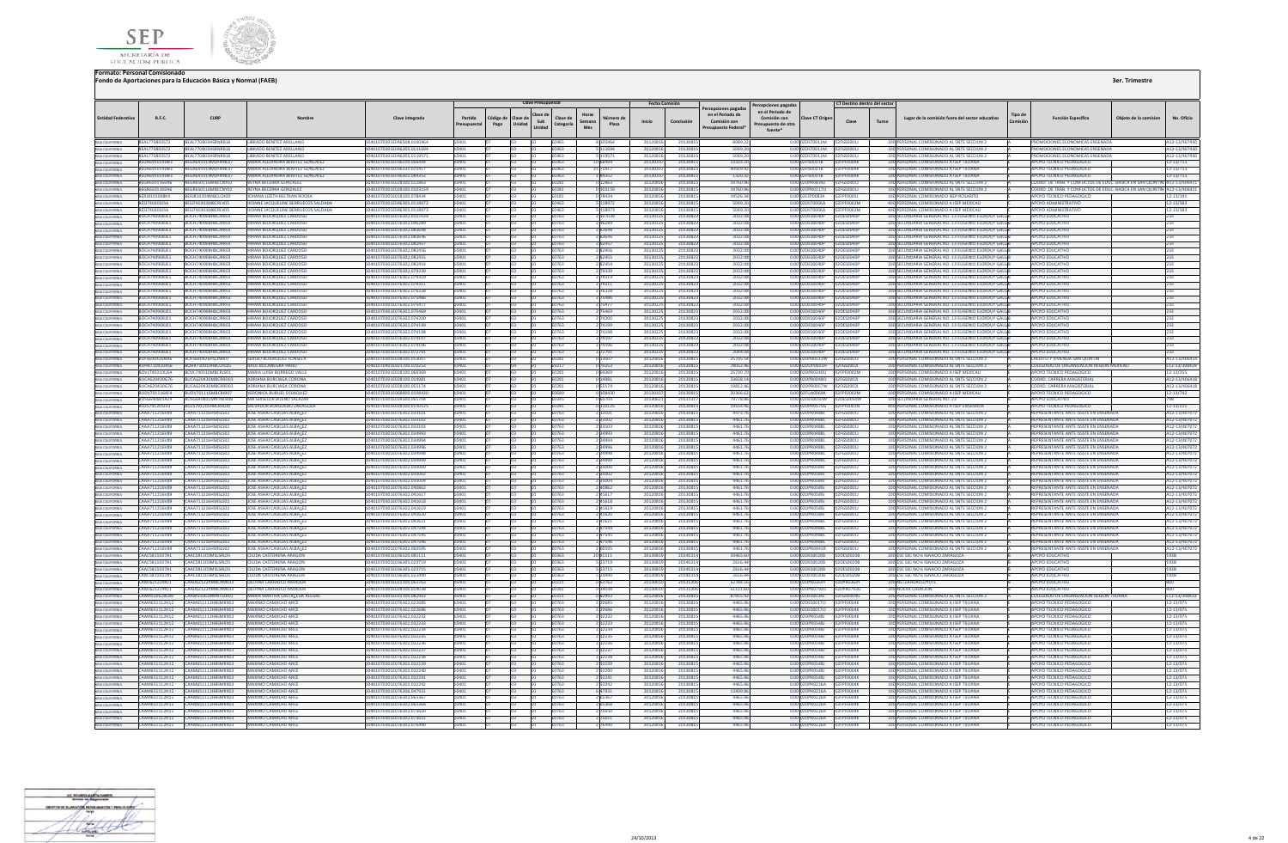



|                                                                          |                                       |                                                                                          |                                                                                 |                                                         |            |                   | <b>Clave Presupuestal</b>                       |                              |                                     | <b>Fecha Comisión</b> |                      |                                                                             | Percepciones pagadas                                              |                                               | CT Destino dentro del sector         |                                                                                                           |         |                                                                                |                       |                                |
|--------------------------------------------------------------------------|---------------------------------------|------------------------------------------------------------------------------------------|---------------------------------------------------------------------------------|---------------------------------------------------------|------------|-------------------|-------------------------------------------------|------------------------------|-------------------------------------|-----------------------|----------------------|-----------------------------------------------------------------------------|-------------------------------------------------------------------|-----------------------------------------------|--------------------------------------|-----------------------------------------------------------------------------------------------------------|---------|--------------------------------------------------------------------------------|-----------------------|--------------------------------|
| <b>Entidad Federativa</b>                                                | R.F.C.                                | CURP                                                                                     | Nombre                                                                          | Clave integrada                                         | Partida    | Código de<br>Pago | Clave di<br>clave de<br>Sub<br>Unidad<br>Unidad | Clave de<br>Categoria        | Número de<br>Semana<br>Plaza<br>Mes | Inicio                | Conclusión           | rcepciones pagada<br>en el Periodo de<br>Comisión con<br>resupuesto Federal | en el Periodo de<br>Comisión con<br>resupuesto de otra<br>fuente* | Clave CT Origen                               | Clave                                | Lugar de la comisión fuera del sector educativo<br>Turno                                                  | Tipo de | <b>Función Específica</b>                                                      | Obieto de la comision | No. Oficio                     |
| BAJA CALIFORNIA                                                          | BEAL770803572                         | BEAL770803HSRNRB16                                                                       | LIBRADO BENITEZ ARELLANO                                                        | 10401070301E046508.0100464                              | 10401      |                   |                                                 | <b>FO465</b>                 | 8 100464                            | 20120816              | 20130815             | 9080.27                                                                     |                                                                   | 0.00 02DST0011M 02EGS0001L                    |                                      | 100 PERSONAL COMISIONADO AL SNTE SECCIÓN 2                                                                |         | PROMOCIONES ECONOMICAS ENSENADA                                                |                       | A12-13/407450                  |
| BAJA CALIFORNIA                                                          | <b>REAL770803572</b>                  | <b>REAL220803HSPNPR16</b>                                                                | <b>URPADO RENITEZ ARELLANO</b>                                                  | 10401070301E046305.0111694                              |            |                   |                                                 | EO463                        | 111694                              | 20120816              | 2013091              | 5049.7                                                                      |                                                                   | 0.00 02DST0011M                               | CSOOD11                              | 100 PERSONAL COMISIONADO AL SNTE SECCION 2                                                                |         | PROMOCIONES ECONOMICAS ENSENADA                                                |                       | 12-13/407450                   |
| BAIA CALIFORNIA<br>BAIA CALIFORNIA                                       | BEAL770803572<br><b>REGA691019DR3</b> | BEAL770803HSRNRB16<br>REGA691019MDENNL07                                                 | <b>LIBRADO BENITEZ ARELLANO</b><br>MARIA ALFIANDRA RENITEZ GONZALEZ             | 10401070301E046305.0119571<br>10401070301E036310.066494 | 1401       |                   |                                                 | 0463<br><b>FO363</b>         | 5 119571<br>10 66494                | 20120816<br>20130107  | 2013081              | 5049.2<br>13203.2                                                           |                                                                   | 0.00 02DST0011M<br>0.00 02FIS0031B            | <b>FGS0001J</b><br>PEDDDAK           | 100 PERSONAL COMISIONADO AL SNTE SECCION 2<br>100 PERSONAL COMISIONADO A ISEP TUUANA                      |         | PROMOCIONES ECONOMICAS ENSENADA<br>APOYO TECNICO PEDAGOGICO                    |                       | 12-13/407450                   |
|                                                                          | <b>REGA691019DR3</b>                  | BEGA691019MDENNL07                                                                       | MARIA ALFIANDRA RENITEZ GONZALEZ                                                | 10401070301F036331 071417                               |            |                   |                                                 | F0363                        | 31 71417                            | 2013010               | 20130815<br>2013081  | 409299                                                                      |                                                                   | 0.00 02EIS0031B                               | PENNAK                               | 100 PERSONAL COMISIONADO A ISEP TIILIANA                                                                  |         | <b>APOYO TECNICO PEDAGOGICO</b>                                                |                       | 12-13/713<br>12-13/713         |
| BAIA CALIFORNIA<br>BAIA CALIFORNIA<br>BAIA CALIFORNIA                    | <b>REGA691019DR3</b>                  | <b>REGA691019MDENNL07</b>                                                                | MARIA ALFIANDRA RENITEZ GONZALEZ                                                | 10401070301F036301 084352                               |            |                   |                                                 | 6380                         | 184352                              | 201301                | 2013081              | 1320.3                                                                      |                                                                   | 0.00 02FIS0031B                               | <b>FOOD4K</b>                        | 100 PERSONAL COMISIONADO A ISEP TUUANA                                                                    |         | APOYO TECNICO PEDAGOGICO                                                       |                       | $2 - 13/713$                   |
|                                                                          | <b>BEGR650116EN6</b>                  | EGR650116MBCCNY02                                                                        | <b>REYNA BECERRA GONZALEZ</b>                                                   | 10401070301E028100.012863                               |            |                   |                                                 |                              | 0 12863                             | 201208                | 2013081              | 19760.                                                                      |                                                                   | 0.00 02DPR0839Z                               |                                      | 100 PERSONAL COMISIONADO AL SNTE SECCION 2                                                                |         | COORD. DE TRAB. Y CONFLICTOS DE EDUC. BASICA EN SAN QUIN                       |                       | A12-13/40641                   |
| BAJA CALIFORNIA                                                          | <b>BEGR650116EN6</b>                  | BEGR650116MBCCNY02                                                                       | REYNA BECERRA GONZALEZ                                                          | 10401070301E028100.0103159                              |            |                   |                                                 | 0281                         | 0 103159                            | 20120816              | 20130815             | 19760.9                                                                     |                                                                   | 0.00 02DPR0117U                               | GS0001J                              | 100 PERSONAL COMISIONADO AL SNTE SECCION 2                                                                |         | COORD, DE TRAB, Y CONFLICTOS DE EDUC, BASICA EN SAN QUIN                       |                       | A12-13/406411                  |
| <b>BAJA CALIFORNIA</b>                                                   | RERISTOTO4RK4<br>BESI740303J5A        | RERIS10104MRCLCH00<br>BESI740303MBCRLV05                                                 | <b>IOHANA LIZETH RELTRAN ROCHA</b><br><b>IVONNE IACOUFUNE BERRUFCOS SALDADA</b> | 10401070301F018100 078434<br>10401070301E046305.0118972 |            |                   |                                                 | <b>F0181</b><br><b>FN463</b> | 0.78434<br>5 118972                 | 20120816<br>20120816  | 20130815<br>20130815 | 195263<br>5049.2                                                            |                                                                   | 0.00 02FZP0083A<br>0.000205700064             | <b>PEPENDOSI</b><br><b>2FPF0002M</b> | 100 PERSONAL COMISIONADO ISEP ROSARITO<br>400 PERSONAL COMISIONADO A ISEP MEXICALI                        |         | APOVO TECNICO PEDAGOGICO<br>APOYO ADMINISTRATIVO                               |                       | 12-13/191<br>$12 - 13/383$     |
| BAJA CALIFORNIA<br>BAJA CALIFORNIA<br>BAJA CALIFORNIA                    | BESI740303J5A                         | BESI740303MBCRLV05                                                                       | ONNE JACQUELINE BERRUECOS SALDADA                                               | 10401070301E046305.011897                               |            |                   |                                                 |                              | 5 118973                            | 2012081               | 2013081              | 5049.2                                                                      |                                                                   | 0.00 02DST0006A                               | F0002M                               | 400 PERSONAL COMISIONADO A ISEP MEXICAL                                                                   |         | <b>APOYO ADMINISTRATIVO</b>                                                    |                       | 12-13/383                      |
|                                                                          | BOCH740908JE1                         | BOCH740908HBCJRR03                                                                       | <b>HIRAM BOJORQUEZ CARDOSO</b>                                                  | 10401070301E076302.0107039                              |            |                   |                                                 | E0763                        | 2 107039                            | 20130225              | 20130823             | 2032.01                                                                     |                                                                   | 0.00 02DES0040P                               | 2DES0040P                            | 200 SECUNDARIA GENERAL NO. 13 EUGENIO ELORDUY GALLE                                                       |         | <b>APOYO EDUCATIVO</b>                                                         |                       | 233                            |
| BAJA CALIFORNIA                                                          | BOCH740908JE1                         | BOCH740908HBCJRR03                                                                       | HIRAM BOJORQUEZ CARDOSO                                                         | 10401070301E076302.096289                               |            |                   |                                                 | 1763                         | 296289                              | 2013022               | 20130823             | 2032.0                                                                      |                                                                   | 0.00 02DES0040P                               | 2DES0040P                            | 200 SECUNDARIA GENERAL NO. 13 EUGENIO ELORDUY GAL                                                         |         | <b>APOYO EDUCATIVO</b>                                                         |                       |                                |
| BAIA CALIFORNIA                                                          | ROCH7409081F1                         | BOCH740908HBCIRR03                                                                       | HIRAM BOIOROUFZ CARDOSO                                                         | 10401070301E076302.083648                               |            |                   |                                                 | 63763                        | 2.83648                             | 2013022               | 20130823             | 2032.0                                                                      |                                                                   | 0.00 02DES0040P                               | <b>D2DES0040P</b>                    | 100 SECUNDARIA GENERAL NO. 13 FUGENIO FLORDUY GALL                                                        |         | ΔΡΟΥΩ ΕΒΗΓΑΤΙΥΩ                                                                |                       |                                |
| BAJA CALIFORNIA                                                          | <b>BOCH7409081E1</b>                  | <b>BOCHZ40908HBCIPP03</b>                                                                | HIRAM BOIOROUEZ CARDOSO                                                         | 10401070301E076302.083646                               |            |                   |                                                 | 0763                         | 2.83646                             | 20130225              | 20130823             | 20220                                                                       |                                                                   | 0.00 02DES0040R                               | <b>DODESCOMOR</b>                    | 100 SECUNDARIA GENERAL NO. 13 EUGENIO ELORDUY GALL                                                        |         | AROVO EDUCATIVO                                                                |                       |                                |
| BAIA CALIFORNIA<br>BAIA CALIFORNIA                                       | BOCH740908JE1<br>BOCH740908JE1        | 3OCH740908HBCJRR03<br>BOCH740908HBCJRR03                                                 | <b>IRAM BOJORQUEZ CARDOSC</b><br>HIRAM BOJORQUEZ CARDOS                         | 0401070301E076302.082457<br>10401070301E076302.082456   |            |                   |                                                 | 3763                         | 282457<br>282456                    | 201302<br>2013022     | 2013082<br>20130823  | 2032.0<br>2032.0                                                            |                                                                   | 0.00 02DES0040P<br>0.00 02DES0040P            | DES0040F<br>2DES0040                 | 100 SECUNDARIA GENERAL NO. 13 EUGENIO ELORDUY GAL<br>100 SECUNDARIA GENERAL NO. 13 EUGENIO ELORDUY GALL   |         | <b>APOYO EDUCATIVI</b><br><b>APOYO EDUCATIV</b>                                |                       |                                |
| BAJA CALIFORNIA                                                          | ROCH7409081F1                         | <b>BOCH740908HBCIRR03</b>                                                                | HIRAM BOJOROUEZ CARDOSO                                                         | 10401070301E076302.082455                               |            |                   |                                                 | 0763                         | 282455                              | 20130225              | 20130823             | 2032.0                                                                      |                                                                   | 0.00 02DES0040P                               | <b>2DES0040P</b>                     | 100 SECUNDARIA GENERAL NO. 13 EUGENIO ELORDUY GALL                                                        |         | ΔΡΟΥΩ ΕΠΙΙΣΑΤΙΜ                                                                |                       |                                |
|                                                                          | ROCH7409081F1                         | <b>BOCH740908HBCIRR03</b>                                                                | HIRAM BOIOROUEZ CARDOSO                                                         | 10401070301F076302.082454                               |            |                   |                                                 | 1762                         | 282454                              | 201302                | 20130823             | 2032.0                                                                      |                                                                   | 0.00 02DES0040P                               | <b>2DES0040P</b>                     | 100 SECUNDARIA GENERAL NO. 13 FUGENIO ELORDUY GALL                                                        |         | ΔΡΟΥΩ ΕΠΙΙΣΑΤΙΜ                                                                |                       |                                |
| BAIA CALIFORNIA<br>BAIA CALIFORNIA                                       | BOCH740908JE1                         | BOCH740908HBCJRR03                                                                       | <b>HIRAM BOJORQUEZ CARDOSO</b>                                                  | 10401070301E076302.079339                               |            |                   |                                                 | E0763                        | 2 79339                             | 20130225              | 20130823             | 2032.0                                                                      |                                                                   | 0.00 02DES0040P   02DES0040F                  |                                      | 100 SECUNDARIA GENERAL NO. 13 EUGENIO ELORDUY GALLE                                                       |         | <b>APOYO EDUCATIVI</b>                                                         |                       | 233                            |
| BAIA CALIFORNIA<br>BAIA CALIFORNIA                                       | BOCH740908JE1                         | BOCH740908HBCJRR03                                                                       | <b>IRAM BOJORQUEZ CARDOSO</b>                                                   | 10401070301E076302.079319                               |            |                   |                                                 | 0763                         | 2 79319                             | 20130225              | 20130823             | 2032.0                                                                      |                                                                   | 0.00 02DES0040P                               | 2DES0040F                            | 100 SECUNDARIA GENERAL NO. 13 EUGENIO ELORDUY GALL                                                        |         | <b>APOYO EDUCATIVO</b>                                                         |                       |                                |
| <b>BAJA CALIFORNIA</b>                                                   | ROCH7409081F1<br>ROCH7409081F1        | <b>BOCH740908HBCIRR03</b><br>BOCH740908HBCJRR03                                          | HIRAM ROJOROUFZ CARDOSC<br>HIRAM BOIOROUFZ CARDOSO                              | 10401070301F076302 079311<br>10401070301E076302.076328  |            |                   |                                                 | F0763                        | 2 79311                             | 20130225<br>20130225  | 20130823<br>20130823 | 2032.0                                                                      |                                                                   | 0.00 02DES0040P<br>0.00 02DES0040P            | 02DES0040P<br>02DES0040P             | 200 SECUNDARIA GENERAL NO. 13 EUGENIO ELORDUY GALLE<br>200 SECUNDARIA GENERAL NO. 13 EUGENIO ELORDUY GALL |         | <b>APOYO EDUCATIVO</b><br>ΔΡΟΥΩ ΕΠΙΙΣΑΤΙΝΩ                                     |                       | 233                            |
|                                                                          | ROCH7409081F1                         | <b>BOCH740908HBCIRR03</b>                                                                | HIRAM BOJORQUEZ CARDOSO                                                         | I0401070301E076302.075486                               |            |                   |                                                 | 0762<br>1763                 | 2 76328<br>75486                    | 201302                | 2013082              | 2032.0<br>2032.0                                                            |                                                                   | 0.00 02DES0040P                               | <b>2DES0040P</b>                     | 100 SECUNDARIA GENERAL NO. 13 EUGENIO ELORDUY GALL                                                        |         | ΙΡΟΥΩ ΕΠΙΙΣΑΤΙΜ                                                                |                       |                                |
| BAJA CALIFORNIA<br>BAJA CALIFORNIA                                       | BOCH740908JE1                         | BOCH740908HBCJRR03                                                                       | HIRAM BOJORQUEZ CARDOSO                                                         | 10401070301E076302.075477                               |            |                   |                                                 |                              | 2 7 5 4 7 7                         | 2013022               | 20130823             | 2032.0                                                                      |                                                                   | 0.00 02DES0040P                               | 02DES0040F                           | 100 SECUNDARIA GENERAL NO. 13 EUGENIO ELORDUY GALL                                                        |         | <b>APOYO EDUCATIVI</b>                                                         |                       |                                |
| BAJA CALIFORNIA                                                          | BOCH740908JE1                         | BOCH740908HBCJRR03                                                                       | <b>IRAM BOJORQUEZ CARDOSO</b>                                                   | I0401070301E076302.075469                               |            |                   |                                                 | 763                          | 2 75469                             | 2013022               | 20130823             | 2032.                                                                       |                                                                   | 0.00 02DES0040P                               | 2DES0040F                            | 100 SECUNDARIA GENERAL NO. 13 EUGENIO ELORDUY GALL                                                        |         | <b>APOYO EDUCATIVI</b>                                                         |                       |                                |
| <b>BAJA CALIFORNIA</b>                                                   | ROCH7409081F1                         | <b>BOCH740908HBCIRR03</b>                                                                | HIRAM BOJOROUEZ CARDOS                                                          | 10401070301E076302.074200                               |            |                   |                                                 | 1763                         | 2 74200                             | 2013022               | 20130823             | 20321                                                                       |                                                                   | 0.00 02DES0040P                               | <b>2DES0040E</b>                     | 100 SECUNDARIA GENERAL NO. 13 FUGENIO FLORDUY GAL                                                         |         | ΔΡΟΥΟ ΕΒΙΙΣΑΤΙΜ                                                                |                       |                                |
| BAIA CALIFORNIA                                                          | BOCH740908JE1                         | BOCH740908HBCIRR03                                                                       | HIRAM BOIOROUFZ CARDOSO                                                         | 10401070301E076302.074199                               |            |                   |                                                 | F0763                        | 2 74199                             | 20130225              | 20130823             | 2032.0                                                                      |                                                                   | 0.00 02DES0040P                               | 02DES0040P                           | 100 SECUNDARIA GENERAL NO. 13 EUGENIO ELORDUY GALL                                                        |         | ΔΡΟΥΩ ΕΒΗΓΑΤΙΜ                                                                 |                       | 233                            |
| BAIA CALIFORNIA                                                          | BOCH740908JE1                         | BOCH740908HBCJRR03                                                                       | HIRAM BOJORQUEZ CARDOS                                                          | 070301E076302.07419                                     |            |                   |                                                 |                              |                                     | 201302                | 2013082              | 2032                                                                        |                                                                   | DES0040P                                      | 2DES0040F                            | 100 SECUNDARIA GENERAL NO. 13 EUGENIO ELORDUY GAL                                                         |         | POYO EDUCATIV                                                                  |                       |                                |
| BAJA CALIFORNIA                                                          | BOCH740908JE1                         | BOCH740908HBCJRR03                                                                       | HIRAM BOJORQUEZ CARDOSO                                                         | 10401070301E076302.074197                               | 0401       |                   |                                                 | E0763                        | 2 74197                             | 20130225              | 20130823             | 2032.0                                                                      |                                                                   | 0.00 02DES0040P                               | 02DES0040P                           | 100 SECUNDARIA GENERAL NO. 13 EUGENIO ELORDUY GALL                                                        |         | <b>APOYO EDUCATIVO</b>                                                         |                       | 233                            |
| BAJA CALIFORNIA                                                          | BOCH740908JE1<br>ROCH7409081F1        | <b>BOCH740908HBCIRR03</b><br><b>BOCH740908HBCIRR03</b>                                   | HIRAM BOIOROUEZ CARDOSO<br>HIRAM BOIOROUFZ CARDOSO                              | 10401070301E076302.074196<br>10401070301E076302.072791  |            |                   |                                                 | F0763<br>0763                | 2 74196<br>2 72791                  | 20130225<br>20130225  | 20130823<br>20130823 | 2032.0<br>2044.0                                                            |                                                                   | 0.00 02DES0040P<br>0.00.02DES0040P            | 02DES0040P<br><b>D2DES0040P</b>      | 100 SECUNDARIA GENERAL NO. 13 EUGENIO ELORDUY GALL<br>100 SECUNDARIA GENERAL NO. 13 EUGENIO ELORDUY GALL  |         | <b>APOYO EDUCATIVO</b><br>ΔΡΟΥΩ ΕΠΙΙΣΑΤΙΝΟ                                     |                       | 233                            |
| BAIA CALIFORNIA<br>BAIA CALIFORNIA                                       | BOFS690426NA6                         | <b>BOES690426HSLINR07</b>                                                                | <b>SERGIO ROJOROUEZ FONSECA</b>                                                 | 10401070301E028100.01300                                |            |                   |                                                 | 0281                         | 0 13007                             | 2012081               | 2013081              | 257055                                                                      |                                                                   | 0.00 02DPR0511W                               | <b>EGS00011</b>                      | 100 PERSONAL COMISIONADO AL SNTE SECCION 2                                                                |         | <b>CREDITO Y VIVIENDA SAN OLUNTIN</b>                                          |                       | A12-13/406414                  |
|                                                                          | BOHR710910RS6                         | BOHR710910HBCCRL05                                                                       | RAUL BOCANEGRA HARO                                                             | 10401070401E921700.070253                               |            |                   |                                                 | 9217                         | 0 70253                             | 2012081               | 2013081              | 78052.4                                                                     |                                                                   | 0.00 02DUP0001H                               | SS0002                               | 100 PERSONAL COMISIONADO AL SNTE SECCION 2                                                                |         | COLEGIADO DE ORGANIZACION REGION MEXICA                                        |                       | 12-13/398429                   |
| BAJA CALIFORNIA<br>BAJA CALIFORNIA                                       | <b>BOVL740310UEA</b>                  | BOVL740310MBCRLS01                                                                       | <b>MARIA LUISA BORREGO VALL</b>                                                 | 10401070301E028100.069369                               |            |                   |                                                 | 0281                         | <b>Parea</b> 0                      | 2012081               | 2013081              | 25730                                                                       |                                                                   | 0.00 02DPR0240U                               | <b>FOODZM</b>                        | 100 PERSONAL COMISIONADO A ISEP MEXICALI                                                                  |         | APOYO TECNICO PEDAGOGICO                                                       |                       | $2 - 13/255$                   |
| BAJA CALIFORNIA<br>BAJA CALIFORNIA<br>BAJA CALIFORNIA                    | <b>BUCA620430676</b>                  | BUCA620430MBCRRD03                                                                       | ADRIANA BURGIAGA CORONA                                                         | 10401070301E028100 014981                               |            |                   |                                                 | FN281                        | 0.14981                             | 20120816              | 2013081              | 336581                                                                      |                                                                   | 0.00 02DPR0048Q                               | 2EGS00021                            | 100 PERSONAL COMISIONADO AL SNTE SECCION 2                                                                |         | <b>COORD CARRERA MAGISTERIAL</b>                                               |                       | 112-13/406418                  |
|                                                                          | BUCA620430676                         | BUCA620430MBCRRD03                                                                       | ADRIANA BURCIAGA CORONA                                                         | 10401070301E028100.055174                               |            |                   |                                                 | F0281                        | 055174                              | 20120816              | 2013081              | 19812.4                                                                     |                                                                   | 0.00.02DPR0057W                               | 2EGS00021                            | 100 PERSONAL COMISIONADO AL SNTE SECCION 2                                                                |         | <b>COORD CARRERA MAGISTERIAL</b>                                               |                       | A12-13/406418                  |
|                                                                          | <b>RUDV701116KF4</b>                  | <b>RUDV701116MRCRIR07</b>                                                                | <b>VERONICA BURUEL DOJAQUEZ</b>                                                 | 10401070301F068900.010843                               |            |                   |                                                 | E0689                        | 0 108430                            | 2013010               | 2013081              | 20366.6                                                                     |                                                                   | 0.00 02FUA0069K                               | PE0002M                              | 100 PERSONAL COMISIONADO A ISEP MEXICALI                                                                  |         | APOYO TECNICO PEDAGOGICO                                                       |                       | 12-13/742                      |
| BAJA CALIFORNIA<br><b>BAJA CALIFORNIA</b>                                | BUSG640801AZ9<br><b>RUZS791205133</b> | BUSG640801MNTNLR08<br>BUZS791205HBCRRL00                                                 | MA GRISELDA BUENO SALAZAI<br>SALVADOR BURGUEĐO ZARAGOZA                         | 10401070301E034500.065704<br>10401070301E028100 0110125 |            |                   |                                                 | 3345<br>FN 281               | 0 65704<br>0 110125                 | 2013062<br>20120816   | 2013121<br>20130815  | 79778.8<br>195544                                                           |                                                                   | 0.00 02DES0050W<br>0.00.02DPR0575G            | 2DES0050W<br><b>2FPF0001N</b>        | 100 SECUNDARIA GENERAL NO. 23<br>400 PERSONAL COMISIONADO A ISEP ENSENADA                                 |         | <b>APOYO EDUCATIVO</b><br>APOVO TECNICO PEDAGOGICO                             |                       | $12 - 13/211$                  |
|                                                                          | CAAA711216V89                         | CAAA711216HSRSLS02                                                                       | JOSE ASHAI CASILLAS ALBALEZ                                                     | 10401070301E076302.033101                               |            |                   |                                                 | 0763                         | 2 3 3 1 0 1                         | 20120816              | 2013081              | 4473.7                                                                      |                                                                   | 0.00 02DPR0488L                               | <b>EGS00011</b>                      | 100 PERSONAL COMISIONADO AL SNTE SECCION 2                                                                |         | REPRESENTANTE ANTE ISSSTE EN ENSENAL                                           |                       | A12-13/407072                  |
| BAIA CALIFORNIA<br>BAIA CALIFORNIA<br>BAIA CALIFORNIA                    | CAAA711216V89                         | CAAA711216HSRSLS02                                                                       | JOSE ASHAI CASILLAS ALBALEZ                                                     | 10401070301F076302 033102                               |            |                   |                                                 | 1763                         | 2 3 3 1 0 2                         | 20120816              | 20130815             | 44617                                                                       |                                                                   | 0.00 02DPR048BL                               | <b>EGS00011</b>                      | 100 PERSONAL COMISIONADO AL SNTE SECCION 2                                                                |         | REPRESENTANTE ANTE ISSSTE EN ENSENADA                                          |                       | A12-13/407072                  |
|                                                                          | <b>CAAA711216V89</b>                  | <b>CAAA711216HSRSIS02</b>                                                                | JOSE ASHAI CASILLAS ALBALEZ                                                     | 10401070201E076202.023102                               |            |                   |                                                 | 1763                         | 2 3 3 1 0 3                         | 20120816              | 20130815             | 44617                                                                       |                                                                   | 0.00 02DPR048BL                               | GSOOD11                              | 100 PERSONAL COMISIONADO AL SNTE SECCION 2                                                                |         | REPRESENTANTE ANTE ISSSTE EN ENSENADA                                          |                       | A12-13/407072                  |
| BAJA CALIFORNIA<br>BAJA CALIFORNIA                                       | CAAA711216V89                         | CAAA711216HSRSLS02                                                                       | <b>IOSE ASHALCASILLAS ALBALEZ</b>                                               | 10401070301E076302.034993                               |            |                   |                                                 | 1763                         | 2 34993                             | 20120816              | 20130815             | 4461.7                                                                      |                                                                   | 0.00 02DPR0488L                               | <b>EGS00011</b>                      | 100 PERSONAL COMISIONADO AL SNTE SECCION 2                                                                |         | REPRESENTANTE ANTE ISSSTE EN ENSENADA                                          |                       | 12-13/407072                   |
|                                                                          | CAAA711216V89                         | CAAA711216HSRSLS02                                                                       | JOSE ASHAI CASILLAS ALBALEZ                                                     | 10401070301E076302.034994                               |            |                   |                                                 | E0763                        | 2 3 4 9 9 4                         | 20120816              | 20130815             | 4461.7                                                                      |                                                                   | 0.00 02DPR0488L                               | 02FGS0001J                           | 100 PERSONAL COMISIONADO AL SNTE SECCION 2                                                                |         | REPRESENTANTE ANTE ISSSTE EN ENSENADA                                          |                       | A12-13/407072                  |
| BAIA CALIFORNIA<br>BAIA CALIFORNIA                                       |                                       | CAAA711216V89 CAAA711216HSRSIS02                                                         | <b>JOSE ASHALCASILLAS ALBALEZ</b><br>JOSE ASHAI CASILLAS ALBALE                 | 10401070301E076302.034996<br>10401070301E076302.03499J  | 0401       |                   |                                                 | <b>F0763</b>                 | 2 3 4 9 9 6<br>2 34998              | 20120816<br>2012081   | 20130815<br>2013081  | 4461.76<br>4461.                                                            |                                                                   | 0.00.02DPR0488L 02EGS0001L<br>0.00.02DPR0488L |                                      | 100 PERSONAL COMISIONADO AL SNTE SECCION 2<br>100 PERSONAL COMISIONADO AL SNTE SECCION                    |         | REPRESENTANTE ANTE ISSSTE EN ENSENADA<br>REPRESENTANTE ANTE ISSSTE EN ENSENAD. |                       | A12-13/407072                  |
| BAJA CALIFORNIA                                                          | CAAA711216V89<br>CAAA711216V89        | CAAA711216HSRSLS02<br>CAAA711216HSRSLS02                                                 | <b>JOSE ASHAI CASILLAS ALBALE</b>                                               | 10401070301E076302.034999                               |            |                   |                                                 |                              | 2 34999                             | 2012081               | 2013081              | 4461.                                                                       |                                                                   | 0.00 02DPR048BL                               |                                      | 100 PERSONAL COMISIONADO AL SNTE SECCION 2                                                                |         | REPRESENTANTE ANTE ISSSTE EN ENSENAD                                           |                       | 12-13/407072<br>A12-13/407072  |
| BAJA CALIFORNIA                                                          | <b>CAAA711216V89</b>                  | CAAA711216HSRSLS02                                                                       | <b>IOSE ASHALCASILLAS ALBALEZ</b>                                               | 10401070301E076302.03500                                |            |                   |                                                 | 1763                         | 2135000                             | 2012081               | 2013081              | 4461                                                                        |                                                                   | 0.0002DPR05891                                | GS00011                              | 100 PERSONAL COMISIONADO AL SNTE SECCIÓN 2                                                                |         | REPRESENTANTE ANTE ISSSTE EN ENSENADA                                          |                       | 12-13/407072                   |
|                                                                          | CAAA711216V89                         | CAAA711216HSRSLS02                                                                       | <b>JOSE ASHALCASILLAS ALBALEZ</b>                                               | 10401070301E076302.035002                               |            |                   |                                                 | FN763                        | 2 35002                             | 20120816              | 20130815             | 4461.7                                                                      |                                                                   | 0.00 02DPR0589J                               | 2EGS00011                            | 100 PERSONAL COMISIONADO AL SNTE SECCION 2                                                                |         | REPRESENTANTE ANTE ISSSTE EN ENSENADA                                          |                       | A12-13/407072                  |
| BAIA CALIFORNIA<br>BAIA CALIFORNIA                                       | <b>CAAA711216V89</b>                  | <b>CAAA711216HSRSLS02</b>                                                                | <b>JOSE ASHALCASILLAS ALBALEZ</b>                                               | 10401070301E076302.035004                               |            |                   |                                                 | 1763                         | 2 35004                             | 20120816              | 20130815             | 44617                                                                       |                                                                   | 0.00102DPR05891                               | <b>EGSOOD11</b>                      | 100 PERSONAL COMISIONADO AL SNTE SECCION 2                                                                |         | REPRESENTANTE ANTE ISSSTE EN ENSENADA                                          |                       | 112-13/407072                  |
| BAIA CALIFORNIA<br>BAIA CALIFORNIA                                       | CAAA711216V89                         | CAAA711216HSRSLS02                                                                       | JOSE ASHAI CASILLAS ALBALEZ                                                     | 10401070301E076302.040862                               |            |                   |                                                 | 0763                         | 2 40862                             | 2012081               | 2013081              | 44617                                                                       |                                                                   | 0.00102DPR05891                               | GSOOD11                              | 100 PERSONAL COMISIONADO AL SNTE SECCION 2                                                                |         | REPRESENTANTE ANTE ISSSTE EN ENSENADA                                          |                       | A12-13/407072                  |
|                                                                          | <b>CAAA711216V89</b>                  | CAAA711216HSRSLS02                                                                       | <b>IOSE ASHALCASILLAS ALBALEZ</b>                                               | 10401070301E076302.041617                               | 401        |                   |                                                 | 6763                         | 2 4 1 6 1 7                         | 20120816              | 20130815             | 44617                                                                       |                                                                   | 0.00.02DPR05891                               | <b>EGS00011</b>                      | 100 PERSONAL COMISIONADO AL SNTE SECCIÓN 2                                                                |         | REPRESENTANTE ANTE ISSSTE EN ENSENADA                                          |                       | A12-13/407072                  |
| BAJA CALIFORNIA<br>BAJA CALIFORNIA                                       | CAAA711216V89                         | CAAA711216V89 CAAA711216HSRSLS02<br>CAAA711216HSRSLS02                                   | JOSE ASHAI CASILLAS ALBALEZ<br><b>JOSE ASHALCASILLAS ALBALEZ</b>                | 10401070301E076302.041618<br>10401070301E076302.041619  | 0401       |                   |                                                 | E0763<br>F0763               | 2 4 1 6 1 8<br>241619               | 20120816<br>20120816  | 20130815<br>20130815 | 4461.7<br>44617                                                             |                                                                   | 0.00 02DPR0589J<br>0.00 02DPR05891            | 02FGS0001J<br>2EGS00011              | 100 PERSONAL COMISIONADO AL SNTE SECCION 2<br>100 PERSONAL COMISIONADO AL SNTE SECCION 2                  |         | REPRESENTANTE ANTE ISSSTE EN ENSENADA<br>REPRESENTANTE ANTE ISSSTE EN ENSENADA |                       | A12-13/407072<br>A12-13/407072 |
| BAJA CALIFORNIA                                                          |                                       | CAAA711216V89 CAAA711216HSRSLS02                                                         | JOSE ASHAI CASILLAS ALBALEZ                                                     | 10401070301E076302.041620                               |            |                   |                                                 | E0763                        | 2 41620                             | 20120816              | 20130815             | 44617                                                                       |                                                                   | 0.00 02DPR0589J                               | <b>EGSOOD11</b>                      | 100 PERSONAL COMISIONADO AL SNTE SECCION 2                                                                |         | REPRESENTANTE ANTE ISSSTE EN ENSENADA                                          |                       | A12-13/407072                  |
|                                                                          | CAAA711216V89                         | CAAA711216HSRSLS02                                                                       | JOSE ASHAI CASILLAS ALBALE                                                      | 10401070301E076302.041621                               |            |                   |                                                 |                              | 24162                               | 2012081               | 2013081              | 4461.                                                                       |                                                                   | 0.00 02DPR048BL                               | GS0001J                              | 100 PERSONAL COMISIONADO AL SNTE SECCION 2                                                                |         | REPRESENTANTE ANTE ISSSTE EN ENSENADA                                          |                       | 12-13/407072                   |
| .<br>Baja California<br>Baja California                                  | CAAA711216V89                         | CAAA711216HSRSLS02                                                                       | JOSE ASHAI CASILLAS ALBALEZ                                                     | 10401070301E076302.047544                               |            |                   |                                                 | 0763                         | 247544                              | 20120816              | 2013081              | 4461.                                                                       |                                                                   | 0.00 02DPR048BL                               | <b>FGS0001J</b>                      | 100 PERSONAL COMISIONADO AL SNTE SECCION 2                                                                |         | REPRESENTANTE ANTE ISSSTE EN ENSENADA                                          |                       | A12-13/407072                  |
| BAIA CALIFORNIA<br>BAIA CALIFORNIA                                       | CAAA711216V89                         | CAAA711216HSRSLS02                                                                       | JOSE ASHAI CASILLAS ALBALEZ                                                     | 10401070301E076302.047545                               |            |                   |                                                 | F0763                        | 247545                              | 20120816              | 2013081              | 4461.7                                                                      |                                                                   | 0.00 02DPR048BL                               | 12EGS00011                           | 100 PERSONAL COMISIONADO AL SNTE SECCION 2                                                                |         | REPRESENTANTE ANTE ISSSTE EN ENSENADA                                          |                       | A12-13/407072                  |
|                                                                          | <b>CAAA711216V89</b>                  | CAAA711216HSRSLS02                                                                       | <b>JOSE ASHALCASILLAS ALBALEZ</b>                                               | 10401070301F076302.047546                               |            |                   |                                                 | 1763                         | 2 47546                             | 20120816              | 20130815             | 44617                                                                       |                                                                   | 0.00.02DPR0488L                               | 2EGS00011                            | 100 PERSONAL COMISIONADO AL SNTE SECCION 2                                                                |         | REPRESENTANTE ANTE ISSSTE EN ENSENADA                                          |                       | A12-13/407072                  |
| BAJA CALIFORNIA                                                          | CAAA711216V89<br>CAAC5811037A1        | CAAA711216HSRSLS02<br>CAACS81103MSLSRL05                                                 | JOSE ASHAI CASILLAS ALBALEZ<br><b>CELIDA CASTORENA ARAGON</b>                   | 10401070301E076302.060595<br>10401070301E036320.081111  |            |                   |                                                 | 0363                         | 2 60595<br>20 81111                 | 20120816<br>20130819  | 2013081<br>20140214  | 4461.7<br>10465.6                                                           |                                                                   | 0.00 02DPR0441R<br>0.00 02DES0020B            | <b>FGS0001J</b><br>2DES0020B         | 100 PERSONAL COMISIONADO AL SNTE SECCION 2<br>200 ESC SEC NO 6 IGNACIO ZARAGOZA                           |         | REPRESENTANTE ANTE ISSSTE EN ENSENADA<br><b>APOYO EDUCATIVO</b>                |                       | A12-13/407072                  |
| BAIA CALIFORNIA<br>BAIA CALIFORNIA                                       | CAAC5811037A1                         | CAACS81103MSLSRL05                                                                       | <b>CELIDA CASTORENA ARAGON</b>                                                  | 10401070301E036305.023719                               | 1401       |                   |                                                 | E0363                        | 5 23719                             | 20130819              | 20140214             | 2616.4                                                                      |                                                                   | 0.00 02DES0020B                               | 02DES0020B                           | 200 ESC SEC NO 6 IGNACIO ZARAGOZA                                                                         |         | APOYO EDUCATIVO                                                                |                       | 1938<br>1938                   |
| BAJA CALIFORNIA                                                          | <b>CAACS811037A1</b>                  | CAACS81103MSLSRL05                                                                       | CELIDA CASTORENA ARAGON                                                         | 10401070301F036305 023715                               |            |                   |                                                 | <b>FN363</b>                 | 5 23715                             | 20130819              | 20140214             | 26164                                                                       |                                                                   | 0.00 02DES0020B                               | 2DE50020B                            | 200 FSC SEC NO 6 IGNACIO ZARAGOZA                                                                         |         | ΔΡΟΥΩ ΕΒΗΓΑΤΙΥΩ                                                                |                       | 1938                           |
| BAIA CALIFORNIA                                                          | <b>CAACSR11027A1</b>                  | CAACSR1103MSLSRL0S                                                                       | CELIDA CASTORENA ARAGON                                                         | 10401070301F036305 023490                               |            |                   |                                                 | 0363                         | 5 23490                             | 2013081               | 20140214             | 2616.4                                                                      |                                                                   | 0.00 02DES0020B                               | DES0020R                             | 200 FSC SEC NO 6 IGNACIO ZARAGOZA                                                                         |         | AROVO EDUCATIVO                                                                |                       | 1938                           |
| BAIA CALIFORNIA<br>BAIA CALIFORNIA<br>BAIA CALIFORNIA<br>BAIA CALIFORNIA | <b>CAAD6212241111</b>                 | CAAD621224MBCRMIN3                                                                       | DELEINA CARRAZCO AMADOR                                                         | 10401070301E022100.063763                               |            |                   |                                                 |                              | 0 63763                             | 20130610              | 2013120              | 52784.1                                                                     |                                                                   | 0.00.02DPR0369Y                               | <b>DPRO369Y</b>                      | 100 NETZAHLIALCOYOTI                                                                                      |         | ΔΡΩΥΩ ΕΠΙΙΣΑΤΙΝΩ                                                               |                       |                                |
|                                                                          | CAAD621224IU1                         | CAAD621224MBCRML03                                                                       | <b>DELFINA CARRAZCO AMADOI</b>                                                  | I0401070301E028100.014038                               |            |                   |                                                 | 0281                         | 0 14038                             | 20130610              | 20131206             | 51121.6                                                                     |                                                                   | 0.00 02DPR0793U                               | 2DPR0793U                            | <b>200 NUEVA CREACION</b>                                                                                 |         | <b>APOYO EDUCATIVO</b>                                                         |                       |                                |
|                                                                          | CAAM651112H12                         | CAAMS50628CB9 CAAMS50628MNTSLR01<br>CAAM651112HRSMPY02                                   | MARIA MARTHA CASTALEDA ALEGRE<br>MAXIMO CAMACHO ARCE                            | 10401070301E032100.082993<br>10401070201E076202.022685  |            |                   |                                                 | E0321<br>6350                | 082993                              | 20120816<br>20120816  | 20130815<br>2013081  | 87955.4<br><b>AA65.0</b>                                                    |                                                                   | 0.00 02DES0034E<br>0.00.02DES00170            | <b>DZEGSOODAG</b><br><b>DENNAK</b>   | 100 PERSONAL COMISIONADO AL SNTE SECCIÓN 2<br>100 PERSONAL COMISIONADO A ISEP TIILIANA                    |         | <b>COLEGIADO DE ORGANIZACION REGION TUUANA</b><br>AROVO TECNICO REDAGOGICO     |                       | E12-13/398433<br>$2 - 13/075$  |
|                                                                          | CAAM651112H12                         | CAAM651112HBSMRX03                                                                       | <b>MAXIMO CAMACHO ARCE</b>                                                      | 10401070301E076302.02268                                |            |                   |                                                 |                              | 2 2 2 6 8 5                         | 2012081               | 2013081              | 4465.9                                                                      |                                                                   | 0.00 02DES0017O                               | <b>FOOD4K</b>                        | 100 PERSONAL COMISIONADO A ISEP TUUANA                                                                    |         | <b>APOYO TECNICO PEDAGOGICO</b>                                                |                       | 12-13/075                      |
| BAIA CALIFORNIA<br>BAIA CALIFORNIA                                       |                                       | CAAM651112H12 CAAM651112HBSMRX03                                                         | MAXIMO CAMACHO ARCE                                                             | 10401070301E076302.032232                               | 0401       |                   |                                                 | E0763                        | 2 3 2 2 3 2                         | 20120816              | 20130815             | 4465.9                                                                      |                                                                   | 0.00 02DPR0548J                               | PF0004K                              | 100 PERSONAL COMISIONADO A ISEP TUUANA                                                                    |         | APOYO TECNICO PEDAGOGICO                                                       |                       | 12-13/075                      |
| BAJA CALIFORNIA                                                          | CAAM651112H12                         | CAAM651112HBSMRX03                                                                       | ΜΑΧΙΜΟ ΓΑΜΑΓΗΟ ΑRΓΕ                                                             | 10401070301E076302.032233                               |            |                   |                                                 | E0763                        | 2 3 2 2 3 3                         | 20120816              | 2013081              | 4465.9                                                                      |                                                                   | 0.00 02DPR0548J                               | PF0004K                              | 100 PERSONAL COMISIONADO A ISEP TUUANA                                                                    |         | APOYO TECNICO PEDAGOGICO                                                       |                       | 12-13/075                      |
| BAIA CALIFORNIA<br>BAIA CALIFORNIA                                       | <b>CAAM651112H12</b>                  | CAAM651112HRSMRX03                                                                       | MAXIMO CAMACHO ARCE                                                             | 10401070301F076302 032234                               |            |                   |                                                 | 0763                         | 232234                              | 20120816              | 2013081              | 4465.9                                                                      |                                                                   | 0.0002DPR05481                                | PENNAK                               | 100 PERSONAL COMISIONADO A ISEP TIILIANA                                                                  |         | APOYO TECNICO PEDAGOGICO                                                       |                       | 12-13/075                      |
|                                                                          |                                       | CAAM651112H12 CAAM651112HRSMRX03                                                         | MAXIMO CAMACHO ARCE                                                             | 10401070201E076202.032235                               |            |                   |                                                 | 0763                         | 2 3 2 2 3 5                         | 20120816              | 20130815             | <b>AA65.98</b>                                                              |                                                                   | 0.00.020PR05481                               | <b>PENNAK</b>                        | 100 PERSONAL COMISIONADO A ISER TILLIANA                                                                  |         | AROVO TECNICO REDAGOGICO                                                       |                       | 12-13/075                      |
| BAIA CALIFORNIA<br>BAIA CALIFORNIA                                       | CAAM651112H12                         | CAAM651112HBSMRX03                                                                       | MAXIMO CAMACHO ARCI                                                             | 10401070301E076302.032236                               |            |                   |                                                 |                              | 2 3 2 2 3 6                         | 2012081               | 2013081              | 4465.                                                                       | 0.00                                                              | 2DPR0548J                                     | 0004K                                | 100 PERSONAL COMISIONADO A ISEP TIJUANA                                                                   |         | APOYO TECNICO PEDAGOGICO                                                       |                       | 2-13/075                       |
|                                                                          | CAAM651112H12                         | CAAM651112H12 CAAM651112HBSMRX03<br>CAAM651112HBSMRX03                                   | MAXIMO CAMACHO ARCE<br>MAXIMO CAMACHO ARCE                                      | 10401070301E076302.032237<br>10401070301E076302.032238  |            |                   |                                                 | E0763<br>FN763               | 2 3 2 2 3 7<br>2 3 2 2 3 8          | 20120816<br>20120816  | 20130815<br>20130815 | 4465.9<br>4465.9                                                            |                                                                   | 0.00 02DPR0548J<br>0.00 02DPR0548J            | 0004K<br><b>FOODAK</b>               | 100 PERSONAL COMISIONADO A ISEP TUUANA<br>100 PERSONAL COMISIONADO A ISEP TUUANA                          |         | APOYO TECNICO PEDAGOGICO<br>APOYO TECNICO PEDAGOGICO                           |                       | 12-13/075<br>12-13/075         |
| BAIA CALIFORNIA<br>BAIA CALIFORNIA<br>BAIA CALIFORNIA                    | CAAM651112H12                         | CAAM651112HBSMRX03                                                                       | ΜΑΧΙΜΟ ΓΑΜΑΓΗΟ ΑRΓΕ                                                             | 10401070301F076302 032239                               |            |                   |                                                 | 0763                         | 2 32239                             | 20120816              | 2013081              | 4465.9                                                                      |                                                                   | 0.00 02DPR05481                               | PENNAK                               | 100 PERSONAL COMISIONADO A ISEP TUUANA                                                                    |         | <b>APOYO TECNICO PEDAGOGICO</b>                                                |                       | 12-13/075                      |
|                                                                          |                                       | CAAM651112H12 CAAM651112HBSMRX03                                                         | MAXIMO CAMACHO ARC                                                              | 10401070301E076302.03224                                |            |                   |                                                 |                              | 2 3 2 2 4 0                         | 20120816              | 2013081              | 4465.9                                                                      |                                                                   |                                               |                                      | 100 PERSONAL COMISIONADO A ISEP TIJUANA                                                                   |         | APOYO TECNICO PEDAGOGICO                                                       |                       | 12-13/075                      |
| BAJA CALIFORNIA                                                          | CAAM651112H12                         | CAAM651112HBSMRX03                                                                       | <b>MAXIMO CAMACHO ARCE</b>                                                      | 10401070301E076302.032241                               |            |                   |                                                 | E0763                        | 2 3 2 2 4 1                         | 20120816              | 20130815             | 4465.9                                                                      |                                                                   | 0.00 02DPR0548J                               | <b>FOOD4K</b>                        | 100 PERSONAL COMISIONADO A ISEP TUUANA                                                                    |         | APOYO TECNICO PEDAGOGICO                                                       |                       | 12-13/075                      |
| BAR CALIFORNIA<br>BAIA CALIFORNIA<br>BAIA CALIFORNIA<br>BAIA CALIFORNIA  |                                       | CAAM651112H12 CAAM651112HRSMRX03                                                         | MAXIMO CAMACHO ARCE                                                             | 10401070301E076302.032242                               |            |                   |                                                 | <b>F0763</b>                 | 2 3 2 2 4 2                         | 20120816              | 2013081              | 4465.9                                                                      |                                                                   | 0.00 02DPR0226A                               | PENNNAK                              | 100 PERSONAL COMISIONADO A ISEP TIILIANA                                                                  |         | APOYO TECNICO PEDAGOGICO                                                       |                       | 12-13/075                      |
|                                                                          |                                       | CAAM651112H12 CAAM651112HBSMRX03                                                         | MAXIMO CAMACHO ARCE                                                             | 10401070301E076306.047931                               | <b>M01</b> |                   |                                                 | F0763                        | 6 47931                             | 20120816              | 20130815             | 13409.86                                                                    |                                                                   | 0.00 02DPR0226A                               | <b>EPENNAK</b>                       | 100 PERSONAL COMISIONADO A ISEP TIILIANA                                                                  |         | APOYO TECNICO PEDAGOGICO                                                       |                       | $12 - 13/075$                  |
|                                                                          | CAAM651112H12                         | CAAM651112HBSMRV02                                                                       | MAXIMO CAMACHO ARCI                                                             | 10401070301E076302.065367                               |            |                   |                                                 | 762                          | 265367                              | 2012081               | 2012091              | AA65.0                                                                      |                                                                   | 0.00 0208802264                               | <b>PENNAK</b>                        | 100 PERSONAL COMISIONADO A ISER TILLIANA                                                                  |         | AROVO TECNICO REDAGOGICO                                                       |                       | 2-13/075                       |
| BAIA CALIFORNIA                                                          |                                       | CAAM651112H12 CAAM651112HBSMRX03 MAXIMO CAMACHO ARCE<br>CAAM651112H12 CAAM651112HBSMRX03 | MAXIMO CAMACHO ARCE                                                             | 10401070301E076302.065368<br>10401070301E076302.075650  | 1401       |                   |                                                 | E0763<br>1763                | 2 65368<br>2 75650                  | 20120816<br>20120816  | 20130815<br>20130815 | 4465.96<br>4465.9                                                           |                                                                   | 0.00 02DPR0226A<br>0.00 02DPR0226A            | FOOD4K<br><b>FOODAK</b>              | 100 PERSONAL COMISIONADO A ISEP TIJUANA<br>100 PERSONAL COMISIONADO A ISEP TIJUANA                        |         | APOYO TECNICO PEDAGOGICO<br>APOYO TECNICO PEDAGOGICO                           |                       | 12-13/075<br>12-13/075         |
|                                                                          |                                       | CAAM651112H12 CAAM651112HRSMRX03                                                         | MAXIMO CAMACHO ARCE                                                             | 10401070301E076302.075651                               |            |                   |                                                 | F0763                        | 2.75651                             | 20120816              | 20130815             | 4465.9                                                                      |                                                                   | 0.00 02DPR0226A                               | PENNAK                               | 100 PERSONAL COMISIONADO A ISEP TIILIANA                                                                  |         | APOYO TECNICO PEDAGOGICO                                                       |                       | 12-13/075                      |
|                                                                          | <b>CAAM651112H12</b>                  | CAAM651112HBSMRX03                                                                       | MAXIMO CAMACHO ARCE                                                             | 0401070301E076302.076490                                |            |                   |                                                 |                              |                                     | 20120816              | 2012091              | AACC O                                                                      |                                                                   | 0.00.020PR0226A                               | <b>ENNAV</b>                         | 100 PERSONAL COMISIONADO A ISER TILLIANA                                                                  |         | AROVO TECNICO REDAGOGICI                                                       |                       |                                |

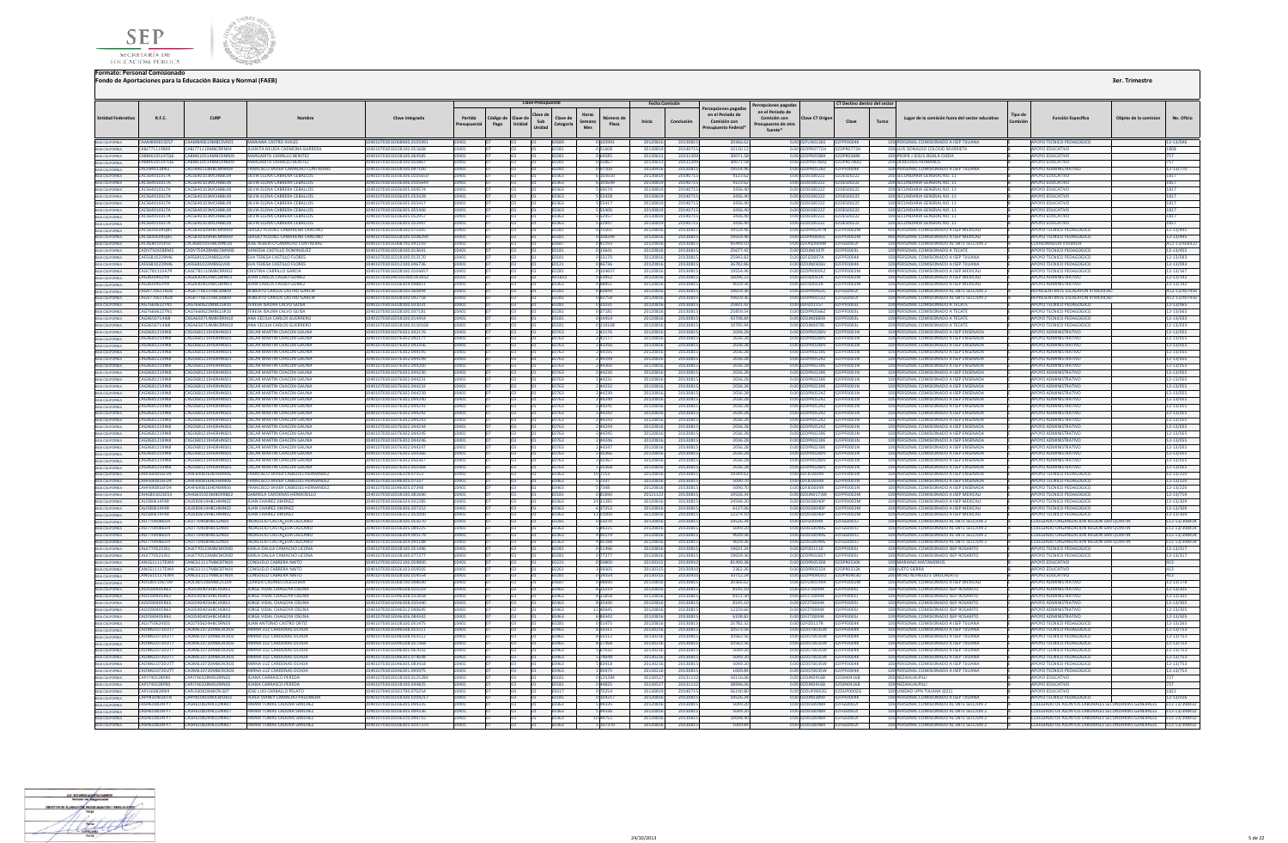



|                                                                                                                |                                              |                                                 |                                                                         |                                                        |                              |                                      | <b>Clave Presupuestal</b> |                              |                        |                    | Fecha Comisión     |                     |                                                                             |                                                                                           |                                                          | CT Destino dentro del sector |       |                                                                                          |         |                                                                                                                            |                       |                           |
|----------------------------------------------------------------------------------------------------------------|----------------------------------------------|-------------------------------------------------|-------------------------------------------------------------------------|--------------------------------------------------------|------------------------------|--------------------------------------|---------------------------|------------------------------|------------------------|--------------------|--------------------|---------------------|-----------------------------------------------------------------------------|-------------------------------------------------------------------------------------------|----------------------------------------------------------|------------------------------|-------|------------------------------------------------------------------------------------------|---------|----------------------------------------------------------------------------------------------------------------------------|-----------------------|---------------------------|
| <b>Entidad Federativa</b>                                                                                      | R.F.C.                                       | CURP                                            | Nombre                                                                  | Clave integrada                                        | Partida<br><b>resupuesta</b> | Código de Clave de<br>Pago<br>Unidad | Clave de<br>Sub<br>Unidad | Clave de<br>Categoría        | Horas<br>Semana<br>Mes | Número de<br>Plaza | Inicio             | Conclusión          | ercepciones pagadas<br>en el Periodo de<br>Comisión con<br>esupuesto Federa | Percepciones pagadas<br>en el Periodo de<br>Comisión con<br>resupuesto de otra<br>fuente* | <b>Clave CT Origen</b>                                   | Clave                        | Turno | Lugar de la comisión fuera del sector educativo                                          | Tipo de | <b>Función Específica</b>                                                                                                  | Objeto de la comision | No. Oficio                |
| BAIA CALIFORNIA<br>BAIA CALIFORNIA                                                                             |                                              | CAAM8406192S7 CAAM840619MBCSVR01                | <b>MARIANA CASTRO AVILES</b>                                            | 10401070301E068900 010599                              |                              | Tna                                  |                           | <b>FO689</b>                 |                        |                    | 2012081            |                     | 20366.62                                                                    |                                                                                           |                                                          |                              |       | 100 PERSONAL COMISIONADO A ISFP TIILIANA                                                 |         | APOYO TECNICO PEDAGOGICO                                                                                                   |                       | 12-13/046                 |
|                                                                                                                | CABJ7711199K9<br><b>CARM610514T06</b>        | CARI771119MRCRRN04<br>ARM610514MRCRNR09         | JUANITA NEUDA CARMONA BARRERA<br>MARGARITA CARRILLO BENITEZ             | 10401070201E028100.051608<br>0401070301E028100.064585  | 10401                        |                                      |                           | E0281<br>F0281               | 51608<br>64585         |                    | 2013081<br>2013061 | 201407<br>2013120   | 10130.1<br>300715                                                           |                                                                                           | 0.00 02DPR0772H 02DPR0772H<br>0.00.02DPR0588K            | 02DPR0588K                   |       | 100 LUIS DONALDO COLOSIO MURRIFTA<br>100 PROFR LIFSUS SIGALA OIFDA                       |         | ΔΡΟΥΩ ΕΠΙΙΣΑΤΙΝΩ<br><b>POYO FDUCATIVO</b>                                                                                  |                       | 1808                      |
| BAIA CALIFORNIA<br>BAIA CALIFORNIA                                                                             | CABM610514T06                                | CARM610514MRCRNR09                              | MARGARITA CARRILLO BENITEZ                                              | 10401070301E028100.050867                              | 10401<br>10401               |                                      |                           | E0281                        | 50867                  |                    | 2013061            | 201312              | 30071.51                                                                    |                                                                                           |                                                          |                              |       | <b>200 DERECHOS HUMANOS</b>                                                              |         | <b>APOYO EDUCATIVO</b>                                                                                                     |                       |                           |
| BAIA CALIFORNIA<br>BAIA CALIFORNIA<br>BAIA CALIFORNIA<br>BAIA CALIFORNIA<br>BAIA CALIFORNIA<br>BAIA CALIFORNIA | CACE840118912                                | CACER4011RHRCMNR09                              | <b>FRANCISCO IAVIER CAMACHO CONTRERAS</b>                               | 10401070301E028100.097100                              | 10401                        | na.                                  |                           | <b>F0281</b>                 | 0.97100                |                    | 20130416           | 20130815            | 1955446                                                                     |                                                                                           | 0.00.02DPR01287 02FPF0004K                               |                              |       | 100 PERSONAL COMISIONADO A ISEP TIILIANA                                                 |         | ΔΡΟΥΩ ΔΟΜΙΝΙΣΤΒΑΤΙΝΟ                                                                                                       |                       | $12 - 13/770$             |
|                                                                                                                | CACS640103LTA                                | CACS640103MCHRRL09                              | SILVIA FLENA CARRERA CERALLOS                                           | 10401070301E036306 010565                              | 10401                        |                                      |                           | <b>F0363</b>                 | 105650                 |                    | 2013081            | 201407              | 4123.6                                                                      |                                                                                           | 0.00 02DES00222                                          | 02DE500222                   |       | 200 SECUNDARIA GENERAL NO. 11                                                            |         | ΔΡΟΥΩ ΕΒΗΓΑΤΙΚ                                                                                                             |                       | 817                       |
|                                                                                                                | CACS640103LTA                                | CACS640103MCHRRI09                              | SILVIA ELENA CABRERA CERALLOS                                           | 10401070301E036306 010564                              | 10401                        |                                      |                           | E0363                        | 105649                 |                    | 2013081            | 2014071             | 4123.62                                                                     |                                                                                           | 0.00 02DES0022Z 02DES0022Z                               |                              |       | 200 SECUNDARIA GENERAL NO. 11                                                            |         | ΔΡΟΥΩ ΕΠΙΙΣΑΤΙΚ                                                                                                            |                       | 1817                      |
|                                                                                                                | CACS640103LTA                                | <b>CACS640103MCHRRI09</b>                       | SILVIA FI FNA CARRERA CERALLO                                           | 10401070301E036305.059574                              |                              |                                      |                           | E0363                        |                        |                    | 201308             | 201407              | 34364                                                                       |                                                                                           | 0.00 02DES0022Z                                          | 02DES0022Z                   |       | 100 SECUNDARIA GENERAL NO. :                                                             |         | OYO EDUCATIVO                                                                                                              |                       |                           |
|                                                                                                                | <b>CACS640103LTA</b>                         | CACS640103MCHBBL09                              | SILVIA ELENA CABRERA CEBALLOS                                           | I0401070301E036305.055428                              |                              |                                      |                           | E0363                        | 55428                  |                    | 201308             | 201407              | 3436.4                                                                      |                                                                                           | 0.00 02DES0022Z                                          | 02DES0022Z                   |       | 100 SECUNDARIA GENERAL NO. 11                                                            |         | <b>POYO EDUCATIVO</b>                                                                                                      |                       | 1817                      |
| BAIA CALIFORNIA<br>BAIA CALIFORNIA<br>BAIA CALIFORNIA<br>BAIA CALIFORNIA<br>BAIA CALIFORNIA                    | CACS640103LTA                                | CACS640103MCHRRI09                              | SILVIA FIENA CARRERA CERAILOS                                           | 10401070301E036305.055417                              |                              |                                      |                           | E0363                        | 55417                  |                    | 2013081            | 2014071             | 3436.40                                                                     |                                                                                           | 0.00 02DES0022Z 02DES0022Z                               |                              |       | 100 SECUNDARIA GENERAL NO. 11                                                            |         | <b>APOYO EDUCATIVO</b>                                                                                                     |                       | 1817                      |
|                                                                                                                | CACS640103LTA                                | <b>CACS640103MCHRRIO9</b>                       | SILVIA FIENA CARRERA CERAILOS                                           | 10401070301E036305.055406                              | 10401                        |                                      |                           | <b>E0363</b>                 | 55406                  |                    | 2013081            | 2014071             | 3436.40                                                                     |                                                                                           | 0.00.02DES00222 02DES00222                               |                              |       | 100 SECUNDARIA GENERAL NO. 11                                                            |         | ΔΡΟΥΩ ΕΒΗΓΑΤΙΝΩ                                                                                                            |                       | 1817                      |
|                                                                                                                | CACS640103LTA                                | <b>CACS640103MCHRRIO9</b>                       | SILVIA ELENA CABRERA CEBALLOS                                           | 10401070301E036305.05295                               |                              |                                      |                           | E0363                        | 52057                  |                    | 2013081            | 201407              | 3436.40                                                                     |                                                                                           | 0.00.02DES00222 02DES00222                               |                              |       | 100 SECUNDARIA GENERAL NO. 11                                                            |         | <b>OVO EDUCATIVO</b>                                                                                                       |                       | 1817                      |
|                                                                                                                | CACS640103LTA<br>CACS830509QB5               | ACS640103MCHBBL09<br>CACS830509HBCMNR09         | SILVIA ELENA CABRERA CEBALLOS<br>SERGIO YEUDIEL CAMARENA CANCIN         | 10401070301E036305.0529<br>10401070301E028100.07550    | 10401                        |                                      |                           | 0363<br>E0281                | 75505                  |                    | 201308<br>2012081  | 201407<br>2013081   | 3436.4<br>19554.4                                                           |                                                                                           | 0.00 02DES0022Z 02DES0022Z<br>0.00 02DPR0247N 02FPF0002M |                              |       | 100 SECUNDARIA GENERAL NO. 11<br>400 PERSONAL COMISIONADO A ISEP MEXICALI                |         | OYO EDUCATIVO<br>APOYO TECNICO PEDAGOGICO                                                                                  |                       | 12-13/495                 |
| BAJA CALIFORNIA                                                                                                | CACS830509QB5                                | <b>CACSR30509HRCMNR09</b>                       | SERGIO YEUDIEL CAMARENA CANCINO                                         | 10401070301E028100.0108294                             |                              |                                      |                           | E0281                        | 108294                 |                    | 2012081            | 2013081             | 19554.46                                                                    |                                                                                           | 0.0002DPR0645L 02FPF0002M                                |                              |       | 400 PERSONAL COMISIONADO A ISEP MEXICALI                                                 |         | APOYO TECNICO PEDAGOGICO                                                                                                   |                       | 12-13/495                 |
| BAIA CALIFORNIA<br>BAIA CALIFORNIA<br>BAIA CALIFORNIA<br>BAIA CALIFORNIA                                       | CACX680105PL0                                | <b>CXCA680105HRCMN100</b>                       | <b>IOSE ALBERTO CAMACHO CONTRERAS</b>                                   | 10401070301E068700.041193                              | 10401                        |                                      |                           | E0687                        | 41193                  |                    | 2012081            | 2013081             | 45449.10                                                                    |                                                                                           | 0.00 02FAS0004M 02FGS0002I                               |                              |       | 100 PERSONAL COMISIONADO AL SNTE SECCION 2                                               |         | <b>COORDINADOR VIVIENDA</b>                                                                                                |                       | A12-13/40642              |
|                                                                                                                | CADV7504288M3                                | CADV75042RMRCSMN00                              | VANESSA CASTILLO DOMINGUEZ                                              | 10401070301E018100.013641                              | LOVU <sub>1</sub>            |                                      |                           | <b>F0181</b>                 | 13641                  |                    | 2012081            | 2013081             | 2567742                                                                     |                                                                                           | 0.0002DIN0197E 02EPE0003L                                |                              |       | 100 PERSONAL COMISIONADO A TECATE                                                        |         | APOYO TECNICO PEDAGOGICO                                                                                                   |                       | $2 - 13/455$              |
|                                                                                                                | CAFE681022RM6                                | CAFE681022MBSSUVM                               | <b>EVA TERESA CASTILLO ELORES</b>                                       | 10401070301F018100 01317                               |                              |                                      |                           | 1181                         |                        |                    | 201208             | 201208              | 25943.8                                                                     |                                                                                           | 0.00.0251700074                                          | <b>DREPERDAMK</b>            |       | 100 PERSONAL COMISIONADO A ISEP TIILIANA                                                 |         | <b>NROVO TECNICO REDAGOGIO</b>                                                                                             |                       | !-13/093                  |
|                                                                                                                | CAFE681022RM6                                | CAFF681022MBSSLV04                              | <b>EVA TERESA CASTILLO FLORES</b>                                       | 10401070301E012100.046736                              |                              |                                      |                           | E0121                        |                        |                    | 201208             | 201308              | 36782.8                                                                     |                                                                                           | 0.00 02DJN0506U 02FPF0004K                               |                              |       | 100 PERSONAL COMISIONADO A ISEP TUUANA                                                   |         | <b>APOYO TECNICO PEDAGOGICO</b>                                                                                            |                       | 2-13/093                  |
| BAIA CALIFORNIA<br>BAIA CALIFORNIA<br>BAIA CALIFORNIA<br>BAIA CALIFORNIA<br>BAIA CALIFORNIA                    | CAGC781110A79                                | AGC781110MBCRRR02                               | CRISTINA CARRILLO GARCIA                                                | 0401070301E028100.010465                               |                              |                                      |                           | 0281                         |                        |                    | 2012081            | 2013081             | 19554.4                                                                     |                                                                                           | 0.00 02DPR0095Z                                          | 2FPF0002M                    |       | 400 PERSONAL COMISIONADO A ISEP MEXICALI                                                 |         | OYO TECNICO PEDAGOGICO                                                                                                     |                       | $2 - 13/167$              |
|                                                                                                                | CAGIS30402IVS                                | CAGIR30402HRCSMN03                              | <b>ILIAN CARLOS CASSIO GOME?</b>                                        | 10501070302401E0300.053952                             |                              |                                      |                           | A01E03                       | 53952                  |                    | 2012081            | 2013081             | 16096.2                                                                     |                                                                                           | 0.00 02FIS0032A 02FPF0002M                               |                              |       | 100 PERSONAL COMISIONADO A ISEP MEXICALI                                                 |         | ΔΡΟΥΩ ΔΟΜΙΝΙΣΤΒΑΤΙΝΩ                                                                                                       |                       | 12-13/142                 |
|                                                                                                                | CAGIR30402IVR<br><b>CAGR770611N78</b>        | CAG IR30402HRCSMN03<br>CAGR770611HRCSRR09       | <b>ILIAN CARLOS CASSIO GOMEZ</b><br><b>ROBERTO CARLOS CASTRO GARCIA</b> | 10401070301F036304 098851<br>10401070301F028100.060844 | 10401                        | n3.                                  |                           | <b>E0363</b><br><b>FN281</b> | 498851<br>60844        |                    | 2012081<br>2012081 | 2013081<br>2013081  | 4039.36<br>196593                                                           |                                                                                           | 0.00.02FIS0032A 02FPF0002M                               |                              |       | 100 PERSONAL COMISIONADO A ISEP MEXICALI<br>100 PERSONAL COMISIONADO AL SNTE SECCION :   |         | ΔΡΩΥΩ ΔΩΜΙΝΙΝΤΑΤΙΝΩ<br><b>REPRESENTANTE ESCALAEON III MEXICA</b>                                                           |                       | 12-13/142                 |
|                                                                                                                | CAGR770611NZ8                                | CAGR770611HBCSRB09                              | ROBERTO CARLOS CASTRO GARCIA                                            | I0401070301E028100.092758                              |                              |                                      |                           | E0281                        | 92758                  |                    | 201208             | 201308              | 196593                                                                      |                                                                                           | 0.00 02DPR0463C 02FGS0002I<br>0.00 02DPR0153Z 02FGS0002I |                              |       | 100 PERSONAL COMISIONADO AL SNTE SECCION 2                                               |         | REPRESENTANTE ESCALAFON III MEXICA                                                                                         |                       | 12-13/407<br>12-13/4074   |
|                                                                                                                | <b>CAGT660622TN1</b>                         | GT660622MBCLSR10                                | <b>TERESA ISAURA CALVO GUISA</b>                                        | I0401070301E028100.03103                               |                              |                                      |                           | 10281                        | 1031                   |                    | 201208             | 2013081             | 25831.4                                                                     |                                                                                           | 0.00 02FIZ0115T                                          | 2FPF0003L                    |       | 100 PERSONAL COMISIONADO A TECATE                                                        |         | OYO TECNICO PEDAGOGICO                                                                                                     |                       | 2-13/065                  |
|                                                                                                                | CAGT660622TN1                                | AGT660622MBCLSR10                               | TERESA ISAURA CALVO GUISA                                               | 0401070301E028100.03718                                |                              |                                      |                           | 0281                         | 7181                   |                    | 201208             | 201308              | 25859.                                                                      |                                                                                           | 0.00 02DPR05667                                          | <b>2EPE00031</b>             |       | 100 PERSONAL COMISIONADO A TECAT                                                         |         |                                                                                                                            |                       | $2 - 13/065$              |
| BAIA CALIFORNIA<br>BAIA CALIFORNIA<br>BAIA CALIFORNIA<br>BAIA CALIFORNIA<br>BAIA CALIFORNIA                    | CAGX650714l68                                | CXGA650714MBCRRN10                              | ANA CECILIA CARLOS GUERRERO                                             | 10401070301E018100.014454                              | 10401                        |                                      |                           | E0181                        | 14454                  |                    | 2012081            | 2013081             | 43708.84                                                                    |                                                                                           | 0.00 02DJN0680A 02FPF0003L                               |                              |       | 100 PERSONAL COMISIONADO A TECATE                                                        |         | APOYO TECNICO PEDAGOGICO                                                                                                   |                       | 2-13/033                  |
|                                                                                                                | CAGY650714168                                | CYGA650714MBCRRN10                              | ANA CECILIA CARLOS GUERRERO                                             | 10401070201E018100.0110169                             |                              |                                      |                           | <b>F0181</b>                 | 110168                 |                    | 2012081            | 2013081             | 19795.94                                                                    |                                                                                           | 0.00.02DIN0078S 02EPE0003L                               |                              |       | 100 PERSONAL COMISIONADO A TECATE                                                        |         | AROVO TECNICO REDAGOGICO                                                                                                   |                       | $2 - 13/033$              |
|                                                                                                                | <b>CAGX681219IN8</b>                         | CXGO681219HSRHNS01                              | OSCAR MARTIN CHACON GAUNA                                               | 10401070301F076302.042176                              |                              |                                      |                           | E0763                        | 42176                  |                    | 201208             | 2013081             | 2048.2                                                                      |                                                                                           | 0.00 02DPR0280V 02FPF0001N                               |                              |       | 100 PERSONAL COMISIONADO A ISEP ENSENAD                                                  |         | <b>DOVO ADMINISTRATIVO</b>                                                                                                 |                       | 2-13/055                  |
| BAIA CALIFORNIA<br>BAIA CALIFORNIA                                                                             | CAGX681219IN8                                | XG0681219HSRHNS01                               | OSCAR MARTIN CHACON GAUNA                                               | 0401070301E076302.04217                                |                              |                                      |                           | :0763                        |                        |                    | 201208             | 2013081             | 2036.2                                                                      |                                                                                           | 0.00 02DPR0280V                                          | 2FPF0001N                    |       | 100 PERSONAL COMISIONADO A ISEP ENSENADA                                                 |         | OYO ADMINISTRATIVO                                                                                                         |                       | 2-13/055                  |
|                                                                                                                | <b>CAGX681219IN8</b>                         | CXGO681219HSRHNS01                              | <b>OSCAR MARTIN CHACON GAUNA</b>                                        | 10401070301E076302.043356                              | 10401                        |                                      |                           | E0763                        | 43356                  |                    | 2012081            | 2013081             | 2036.28                                                                     |                                                                                           | 0.00 02DPR0280V 02FPF0001N                               |                              |       | 100 PERSONAL COMISIONADO A ISEP ENSENADA                                                 |         | <b>APOYO ADMINISTRATIVO</b>                                                                                                |                       | 12-13/055                 |
| BAIA CALIFORNIA<br>BAIA CALIFORNIA<br>BAIA CALIFORNIA                                                          | <b>CAGX681219IN8</b>                         | CXGO681219HSRHNS01                              | <b>OSCAR MARTIN CHACON GAUNA</b>                                        | I0401070301E076302.044195                              |                              |                                      |                           | E0763                        | 44195                  |                    | 2012081            | 2013081             | 2036.28                                                                     |                                                                                           | 0.0002DPR0239E 02EPE0001N                                |                              |       | 100 PERSONAL COMISIONADO A ISEP ENSENADA                                                 |         | <b>POYO ADMINISTRATIVO</b>                                                                                                 |                       | $2 - 13/055$              |
|                                                                                                                | <b>CAGX681219IN8</b><br><b>CAGX681219IN8</b> | <b>CXGO681219HSRHNS01</b><br>CXGO681219HSRHNS01 | <b>OSCAR MARTIN CHACON GAUNA</b><br>OSCAR MARTIN CHACON GAUNA           | 10401070301F076302.044199<br>10401070301E076302.044200 |                              |                                      |                           | <b>F0763</b><br><b>F0763</b> | 44199<br><b>AA200</b>  |                    | 2012081<br>2012081 | 2013081<br>2013081  | 2036.28<br>2036.21                                                          |                                                                                           | 0.0002DPR05247 02EPE0001N<br>0.0002DPR0239E 02EPE0001N   |                              |       | 100 PERSONAL COMISIONADO A ISEP ENSENADA<br>100 PERSONAL COMISIONADO A ISEP ENSENADA     |         | <b>APOYO ADMINISTRATIVO</b><br><b>APOYO ADMINISTRATIVO</b>                                                                 |                       | 12-13/055<br>$2 - 13/055$ |
|                                                                                                                | <b>CAGX681219IN8</b>                         | <b>XGO681219HSRHNS01</b>                        | <b>DSCAR MARTIN CHACON GAUNA</b>                                        | 10401070301F076302.044230                              |                              |                                      |                           | E0763                        | <b>AA230</b>           |                    | 2012081            | 2013081             | 2036.2                                                                      |                                                                                           | 0.00102DPR0239E                                          | 02ERE0001N                   |       | 100 PERSONAL COMISIONADO A ISEP ENSENADA                                                 |         | <b>MROYO ADMINISTRATIVE</b>                                                                                                |                       | 2-13/055                  |
| BAIA CALIFORNIA<br>BAIA CALIFORNIA                                                                             | CAGX681219IN8                                | CXGO681219HSRHNS01                              | OSCAR MARTIN CHACON GAUNA                                               | 10401070301E076302.044231                              | 10401                        |                                      |                           | E0763                        | 244231                 |                    | 2012081            | 2013081             | 2036.28                                                                     |                                                                                           |                                                          |                              |       | 100 PERSONAL COMISIONADO A ISEP ENSENADA                                                 |         | <b>APOYO ADMINISTRATIVO</b>                                                                                                |                       | 12-13/055                 |
|                                                                                                                | CAGX681219IN8                                | <b>CXGO681219HSRHNS01</b>                       | OSCAR MARTIN CHACON GALINA                                              | I0401070301E076302.044232                              | 10401                        |                                      |                           | E0763                        | 44232                  |                    | 2012081            | 2013081             | 2036.2                                                                      |                                                                                           | 0.00 02DPR0239E 02FPF0001N                               |                              |       | 100 PERSONAL COMISIONADO A ISEP ENSENADA                                                 |         | POYO ADMINISTRATIVO                                                                                                        |                       | $2 - 13/055$              |
| BAIA CALIFORNIA<br>BAIA CALIFORNIA                                                                             | CAGX681219IN8                                | CXGO681219HSRHNS01                              | <b>OSCAR MARTIN CHACON GAUNA</b>                                        | 10401070301E076302.044239                              | 10401                        |                                      |                           | E0763                        | 44239                  |                    | 2012081            | 2013081             | 2036.2                                                                      |                                                                                           | 0.00 02DPR0524Z                                          | 02ERE0001N                   |       | 100 PERSONAL COMISIONADO A ISEP ENSENADA                                                 |         | <b>APOYO ADMINISTRATIVO</b>                                                                                                |                       | 12-13/055                 |
| BAJA CALIFORNIA                                                                                                | <b>CAGX681219IN8</b>                         | CXGO681219HSRHNS01                              | OSCAR MARTIN CHACON GALINA                                              | 10401070301F076302.044240                              | 10401                        |                                      |                           | <b>E0763</b>                 | 44240                  |                    | 2012081            | 2013081             | 2036.28                                                                     |                                                                                           | 0.00.02DPR05247 02EPE0001N                               |                              |       | 100 PERSONAL COMISIONADO A ISEP ENSENADA                                                 |         | <b>APOYO ADMINISTRATIVO</b>                                                                                                |                       | $2 - 13/055$              |
| BAIA CALIFORNIA<br>BAIA CALIFORNIA                                                                             | <b>CAGX681219IN8</b>                         | VGO681210HSPHNS01                               | OSCAR MARTIN CHACON GALINA                                              | 10401070301F076302.044241                              |                              |                                      |                           | <b>FN763</b>                 | <b>AA2A1</b>           |                    | 2012081            | 2013081             | 2026.2                                                                      |                                                                                           | 0.00.020PR05247                                          | <b>DEDENNATN</b>             |       | 100 PERSONAL COMISIONADO A ISER ENSENADA                                                 |         | <b>MROYO ADMINISTRATIVE</b>                                                                                                |                       | 2-13/055                  |
|                                                                                                                | CAGX681219IN8                                | KGO681219HSRHNS01                               | <b>OSCAR MARTIN CHACON GAUNA</b>                                        | 10401070301E076302.044242                              | 10401                        |                                      |                           | E0763                        | 44242                  |                    | 201208             | 2013081             | 2036.28                                                                     |                                                                                           | 0.00 02DPR0524Z                                          | 2FPF0001N                    |       | 100 PERSONAL COMISIONADO A ISEP ENSENADA                                                 |         | ΔΡΟΥΟ ΔΟΜΙΝΙΣΤΡΑΤΙΝΟ                                                                                                       |                       | $2 - 13/055$              |
| BAIA CALIFORNIA<br>BAIA CALIFORNIA                                                                             | <b>CAGX681219IN8</b><br>CAGX681219IN8        | XGO681219HSRHNS01                               | OSCAR MARTIN CHACON GAUNA<br>OSCAR MARTIN CHACON GAUNA                  | 0401070301E076302.044243<br>I0401070301E076302.044244  |                              |                                      |                           | E0763                        | 14243                  |                    | 201208             | 2013081             | 2036.2                                                                      |                                                                                           | 0.00 02DPR05242<br>0.00 02DPR0524Z                       | <b>FOOD1N</b>                |       | 100 PERSONAL COMISIONADO A ISEP ENSENADA                                                 |         | POYO ADMINISTRATIV<br><b>APOYO ADMINISTRATIVO</b>                                                                          |                       | 2-13/055                  |
|                                                                                                                | <b>CAGX681219IN8</b>                         | XG0681219HSRHNS01<br><b>EXGO681219HSRHNS01</b>  | OSCAR MARTIN CHACON GAUNA                                               | 10401070301F076302.044245                              |                              |                                      |                           | E0763<br>F0763               | 44244<br>44245         |                    | 201208<br>2012081  | 2013081<br>2013081  | 2036.2<br>2036.21                                                           |                                                                                           | 0.00.02DPR0239E                                          | PF0001N<br>02FPF0001N        |       | 100 PERSONAL COMISIONADO A ISEP ENSENADA<br>100 PERSONAL COMISIONADO A ISEP ENSENADA     |         | <b>APOYO ADMINISTRATIVE</b>                                                                                                |                       | 2-13/055<br>$2 - 13/055$  |
| BAIA CALIFORNIA<br>BAIA CALIFORNIA<br>BAIA CALIFORNIA                                                          | <b>CAGX681219IN8</b>                         | <b>CXGO681219HSRHNS01</b>                       | <b>OSCAR MARTIN CHACON GAUNA</b>                                        | 10401070301E076302.044246                              |                              |                                      |                           | <b>F0763</b>                 |                        |                    | 2012081            | 2013081             | 2036.21                                                                     |                                                                                           | 0.00.02DPR0239E 02EPE0001N                               |                              |       | 100 PERSONAL COMISIONADO A ISEP ENSENADA                                                 |         | POYO ADMINISTRATIVO                                                                                                        |                       | 2-13/055                  |
|                                                                                                                | CAGX681219IN8                                |                                                 | <b>OSCAR MARTIN CHACON GAUNA</b>                                        | 0401070301E076302.04424                                |                              |                                      |                           | E0763                        | 44247                  |                    | 201208             | 2013081             | 2036.28                                                                     |                                                                                           | 0.00 02DPR0239E 02FPF0001N                               |                              |       | 100 PERSONAL COMISIONADO A ISEP ENSENAD                                                  |         |                                                                                                                            |                       | 12-13/055                 |
| BAJA CALIFORNIA                                                                                                | <b>CAGX681219IN8</b>                         | XGO681219HSRHNS01                               | <b>OSCAR MARTIN CHACON GAUNA</b>                                        | 10401070301E076302.050366                              |                              |                                      |                           | 0763                         |                        |                    | 201208             | 2013081             | 2036.2                                                                      |                                                                                           | 0.00 02DPR0280V                                          | 2FPF0001N                    |       | 100 PERSONAL COMISIONADO A ISEP ENSENADA                                                 |         | OYO ADMINISTRATIVO                                                                                                         |                       | 2-13/055                  |
| <b>BAJA CALIFORNIA</b>                                                                                         | <b>CAGX681219IN8</b>                         | CXGO681219HSRHNS01                              | OSCAR MARTIN CHACON GAUNA                                               | 10401070301E076302.05036                               |                              |                                      |                           | E0763                        |                        |                    | 2012081            | 2013081             | 2036.2                                                                      |                                                                                           | 0.00 02DPR0280V                                          | 02FPF0001N                   |       | 100 PERSONAL COMISIONADO A ISEP ENSENADA                                                 |         | <b>APOYO ADMINISTRATIVO</b>                                                                                                |                       | 2-13/055                  |
| BAJA CALIFORNIA                                                                                                | CAGX681219IN8                                | <b>CXGO681219HSRHNS01</b>                       | <b>OSCAR MARTIN CHACON GALINA</b>                                       | I0401070301E076302.050368                              |                              |                                      |                           | E0763                        | 83802                  |                    | 2012081            | 2013081             | 2036.28                                                                     |                                                                                           | 0.0002DPR0280V 02FPE0001N                                |                              |       | 100 PERSONAL COMISIONADO A ISEP ENSENADA                                                 |         | <b>POYO ADMINISTRATIVO</b>                                                                                                 |                       | $2 - 13/055$              |
| BAIA CALIFORNIA<br>BAIA CALIFORNIA                                                                             | CAHF690816FD4                                | <b>ANCEODE16HOCODOG</b>                         | <b>FRANCISCO IAVIER CARIEDES HERNANDE</b>                               | 10401070301F036319.07153                               |                              |                                      |                           | <b>FN363</b>                 |                        |                    | 2012081            | 2013081             | 19344.63                                                                    |                                                                                           | 0.00 02FIF0004R                                          | <b>INTERFORM</b>             |       | 100 PERSONAL COMISIONADO A ISEP ENSENADA                                                 |         | POYO TECNICO PEDAGOGIO                                                                                                     |                       | $2 - 13/220$              |
|                                                                                                                | CAHF690816FD4                                | CAHE690816HDEBBB06                              | <b>FRANCISCO JAVIER CARIEDES HERNANDEZ</b>                              | 10401070301F046305.07337                               | 10401                        |                                      |                           | <b>F0463</b>                 | 7337                   |                    | 2012081            | 2013081             | 5090.70                                                                     |                                                                                           |                                                          |                              |       | 100 PERSONAL COMISIONADO A ISEP ENSENADA                                                 |         | APOYO TECNICO PEDAGOGICO                                                                                                   |                       | $2 - 13/220$              |
| BAIA CALIFORNIA<br>BAIA CALIFORNIA                                                                             | CAHF690816FD4                                | CAHE690816HDEBBB06                              | <b>FRANCISCO JAVIER CABIEDES HERNANDEZ</b>                              | 10401070301F046305.07348                               | IM <sub>01</sub>             |                                      |                           | <b>F0463</b>                 |                        |                    | 2012081            | 2013081             | 5090.7                                                                      |                                                                                           | 0.00.02FIF0004R 02FPF0001N                               |                              |       | 100 PERSONAL COMISIONADO A ISEP ENSENADA                                                 |         | APOYO TECNICO PEDAGOGICO                                                                                                   |                       | 2-13/220                  |
|                                                                                                                | CAHG831023E53                                | CAHG831023MBCRRB02                              | <b>GABRIELA CARDENAS HERMOSILLO</b>                                     | 10401070301E018100.081690                              | 10401                        |                                      |                           | E0181                        | 081690                 |                    | 2012112            | 2013081             | 19526.34                                                                    |                                                                                           | 0.00 02DJN0173W 02FPF0002M                               |                              |       | 100 PERSONAL COMISIONADO A ISEP MEXICALI                                                 |         | APOYO TECNICO PEDAGOGICO                                                                                                   |                       | 12-13/719                 |
| BAJA CALIFORNIA                                                                                                | CAJJ580614F48<br>CAU580614F48                | CAUSS0614HRCHMN02<br>CAUS80614HRCHMN02          | JUAN CHAIREZ JIMENEZ<br><b>ILIAN CHAIREZ IIMENEZ</b>                    | I0401070301E036324.031285<br>10401070301E036306 037252 | 10401                        |                                      |                           | E0363<br><b>FO363</b>        | 24 31285<br>637252     |                    | 2012081<br>2012081 | 2013081<br>20130815 | 24548.20<br>6137.0                                                          |                                                                                           | 0.00.02DES0040P 02EPE0002M                               |                              |       | 100 PERSONAL COMISIONADO A ISEP MEXICALI<br>100 PERSONAL COMISIONADO A ISEP MEXICALI     |         | OYO TECNICO PEDAGOGICO<br>APOYO TECNICO PEDAGOGICO                                                                         |                       | 2-13/309<br>12-13/309     |
|                                                                                                                | CAJJ580614F48                                | CAUS80614HRCHMN02                               | <b>ILIAN CHAIREZ IIMENEZ</b>                                            | 10401070301E036312.051000                              |                              |                                      |                           | E0363                        | 251000                 |                    | 2012081            | 2013081             | 12274.10                                                                    |                                                                                           | 0.00 02DES0040P 02FPF0002M                               |                              |       | 100 PERSONAL COMISIONADO A ISEP MEXICAL                                                  |         | POYO TECNICO PEDAGOGICO                                                                                                    |                       | 2-13/309                  |
|                                                                                                                | <b>CALI7704086U4</b>                         | CALIZZ0408HRCSZNO0                              | <b>INDALECIO CASTALEDA LAZCANO</b>                                      | 10401070301E028100.055070                              | 10401                        |                                      |                           | <b>F0281</b>                 |                        |                    | 201208             | 2013081             | 1952634                                                                     |                                                                                           | 0.00 02FIZ0094X 02FGS0001J                               |                              |       | 100 PERSONAL COMISIONADO AL SNTE SECCION :                                               |         | COLEGIADO ORGANIZACION REGION SAN OLIINTIN                                                                                 |                       | 12-13/39843               |
| BAJA CALIFORNIA<br>BAJA CALIFORNIA                                                                             | CALI7704086U4                                | CALI770408HBCSZN00                              | <b>INDALECIO CASTALEDA LAZCANO</b>                                      | 10401070301E036305.08922                               |                              |                                      |                           | E0363                        |                        |                    | 201208             | 201308              | 5049.2                                                                      |                                                                                           | 0.00 02DES0049G                                          | 02FGS0001J                   |       | 100 PERSONAL COMISIONADO AL SNTE SECCION 2                                               |         | COLEGIADO ORGANIZACION REGION SAN QUINTIT                                                                                  |                       | 12-13/3984                |
| BAJA CALIFORNIA                                                                                                | CALI7704086U4                                | CALI770408HBCSZNOD                              | NDALECIO CASTAI.EDA LAZCANO                                             | 0401070301E036304.095179                               |                              |                                      |                           | E0363                        | 5179                   |                    | 201208             | 2013081             | 4039.3                                                                      |                                                                                           | 0.00 02DES0049G                                          | 02FGS0001J                   |       | 100 PERSONAL COMISIONADO AL SNTE SECCION 2                                               |         | COLEGIADO ORGANIZACION REGION SAN QUINTIN                                                                                  |                       | 12-13/39843               |
| <b>BAIA CALIFORNIA</b>                                                                                         | CALI7704086U4                                | CALIZZ0408HRCSZNO0                              | ΙΝΩΔΙ ΕΠΩ ΓΑΝΤΑ (ΕΠΑ Ι ΑΖΓΑΝΩ                                           | 10401070301F036304 095188                              |                              |                                      |                           | <b>FO363</b>                 | 95188                  |                    | 2012081            | 2013081             | 4039.36                                                                     |                                                                                           | 0.00.02DES0049G 02EGS0001L                               |                              |       | 100 PERSONAL COMISIONADO AL SNTE SECCION 2                                               |         | COLEGIADO ORGANIZACION REGION SAN OLIINTIE                                                                                 |                       | 12-13/398434              |
| BAIA CALIFORNIA<br>BAIA CALIFORNIA<br>BAIA CALIFORNIA                                                          | CALK770523351                                | CALK770523MRCMCR00                              | KARLA DALILA CAMACHO LICONA                                             | 10401070301E028100.051496                              | 10401                        |                                      |                           | <b>F0281</b>                 | 51496                  |                    | 2012081            | 2013081             | 19631.24                                                                    |                                                                                           | 0.00.02FIZ0111X 02FPE0005L                               |                              |       | 100 PERSONAL COMISIONADO ISEP ROSARITO                                                   |         | APOYO TECNICO PEDAGOGICO                                                                                                   |                       | $2 - 13/317$              |
|                                                                                                                | CALK770523351                                | CALK220523MBCMCR0                               | KARLA DALILA CAMACHO LICON                                              | 20301E028100.0772                                      |                              |                                      |                           | <b>F0281</b>                 |                        |                    | 201208             | 201308              | 19659                                                                       |                                                                                           | 02DPR0183T                                               |                              |       | PERSONAL COMISIONADO ISEP ROSAR                                                          |         | OYO TECNICO PEDAGO                                                                                                         |                       | $2 - 13/317$              |
|                                                                                                                | CANC611117EW4<br>CANC611117EW4               | CANC611117MBCBTN04<br>CANC611117MBCBTN04        | <b>CONSUELO CABRERA NAITO</b><br><b>CONSUELO CABRERA NAITO</b>          | 10401070301E026103.05950                               |                              |                                      |                           | E0221                        | 0 59800                |                    | 201303             | 2013091<br>2013091  | 81499.3<br>2362.2                                                           |                                                                                           | 0.00 02DPR0530K 02DPR0530K<br>0.00 02DPR0332K            | 02DPR0332K                   |       | 100 MARIANO MATAMOROS<br>100 JUSTO SIERRA                                                |         |                                                                                                                            |                       | 413                       |
| BAJA CALIFORNIA<br><b>RAIA CALIFORNIA</b>                                                                      |                                              | CANC611117FW4 CANC611117MRCRTN04                | <b>CONSUEIO CARRERA NAITO</b>                                           | 10401070301F028100 014554                              | 10401                        |                                      |                           | E0261<br><b>F0281</b>        | 59505<br>14554         |                    | 201303<br>201303   | 2013091             | 33712.24                                                                    |                                                                                           | 0.0002DPR04030 02DPR04030                                |                              |       | 200 MTRO ALEREDO E LIBUCHURTU                                                            |         | POYO EDUCATIVO<br>ΔΡΩΥΩ ΕΒΗΓΑΤΙΝΩ                                                                                          |                       | 113<br>413                |
|                                                                                                                | CAOC8011067D9                                | CAOC801106MBCZCL09                              | <b>CLARIZA CAZARES OCEGUERA</b>                                         | 10401070301E068700.098690                              | 10401                        |                                      |                           | E0687                        | 198690                 |                    | 2012081            | 2013081             | 20366.62                                                                    |                                                                                           | 0.00 02FUA0144A 02FPF0002M                               |                              |       | 100 PERSONAL COMISIONADO A ISEP MEXICALI                                                 |         | <b>APOYO ADMINISTRATIVO</b>                                                                                                |                       | 12-13/178                 |
| BAIA CALIFORNIA<br>BAIA CALIFORNIA<br>BAIA CALIFORNIA                                                          | <b>CAOIS90405R63</b>                         | <b>CAO IS 90405 HRCHSR03</b>                    | <b>IORGE VIDAL CHAGOYA OSUNA</b>                                        | 10401070301F046508 025519                              |                              |                                      |                           | <b>FN465</b>                 | 25510                  |                    | 2012081            | 2013081             | 8145.16                                                                     |                                                                                           | 0.00.02EZT0004K 02EPE0005L                               |                              |       | 100 PERSONAL COMISIONADO ISEP ROSARITO                                                   |         | <b>APOYO ADMINISTRATIVO</b>                                                                                                |                       | 2-13/305                  |
|                                                                                                                | CA0J590405R63                                | <b>CAO1590405HRCHSR03</b>                       | JORGE VIDAL CHAGOYA OSUNA                                               | 10401070301F046308 031858                              |                              |                                      |                           | <b>F0463</b>                 | 31858                  |                    | 201208             | 2013081             | 815130                                                                      |                                                                                           | 0.00 02FZT0004K 02FPF0005J                               |                              |       | 100 PERSONAL COMISIONADO ISEP ROSARITI                                                   |         | POYO ADMINISTRATIVO                                                                                                        |                       | 2-13/305                  |
|                                                                                                                | CA0J590405R63                                | CAOJ590405HBCHSR03                              | JORGE VIDAL CHAGOYA OSUNA                                               | 10401070301E046308.035440                              |                              |                                      |                           | 0463                         | 35440                  |                    | 2012081            | 2013081             | 8145.10                                                                     |                                                                                           | 0.00 02FZT0004K 02FPF0005J                               |                              |       | 100 PERSONAL COMISIONADO ISEP ROSARITO                                                   |         | OYO ADMINISTRATIVO                                                                                                         |                       | 2-13/305                  |
|                                                                                                                | CAOIS90405R63                                | <b>CAOIS90405HRCHSR03</b>                       | <b>IORGE VIDAL CHAGOYA OSLINA</b>                                       | 0401070301E046312.040645                               | 10401                        |                                      |                           | <b>F0463</b>                 | 2.40645                |                    | 2012081            | 2013081             | 12229.66                                                                    |                                                                                           | 0.00.02E2T0004K                                          | 02EPE00051                   |       | 100 PERSONAL COMISIONADO ISEP ROSARITO                                                   |         | <b>APOYO ADMINISTRATIVE</b>                                                                                                |                       | 2-13/305                  |
| BAIA CALIFORNIA<br>BAIA CALIFORNIA<br>BAIA CALIFORNIA<br>BAIA CALIFORNIA                                       | CAOJ590405R63                                | CAOJ590405HBCHSR03                              | JORGE VIDAL CHAGOYA OSUNA                                               | 10401070301E046306.084342                              | 10401                        |                                      |                           | E0463                        | 684342                 |                    | 2012081            | 2013081             | 6108.82                                                                     |                                                                                           | 0.00 02FZT0004K 02FPF0005J                               |                              |       | 100 PERSONAL COMISIONADO ISEP ROSARITO                                                   |         | <b>APOYO ADMINISTRATIVO</b>                                                                                                |                       | 12-13/305                 |
|                                                                                                                | CA01750624101                                | <b>CAO1750624HRCSRN03</b>                       | <b>ILIAN ANTONIO CASTRO ORTIZ</b>                                       | 10401070301E028100.051475                              | 10401                        |                                      |                           | <b>F0281</b>                 | 651475                 |                    | 2012081            | 2013081             | 25782.33                                                                    |                                                                                           | 0.00.02FIZ0117R 02FPF0004K                               |                              |       | 100 PERSONAL COMISIONADO A ISEP TIILIANA                                                 |         | APOYO TECNICO PEDAGOGICO                                                                                                   |                       | $2 - 13/265$              |
|                                                                                                                | <b>CAOM610720UT7</b>                         | CAOM610720MBCRCR03                              | MIRNA 1117 CARDENAS OCHOA                                               | 10401070301F046508 055511                              |                              |                                      |                           | <b>FN465</b>                 | 55511                  |                    | 2013021            | 2013081             | 10573.5                                                                     |                                                                                           | 0.00 02DST0035W 02FPF0004K                               |                              |       | 100 PERSONAL COMISIONADO A ISEP TIILIANA                                                 |         | <b>APOYO TECNICO PEDAGOGICO</b>                                                                                            |                       | 2-13/753                  |
| BAJA CALIFORNIA<br>BAJA CALIFORNIA<br>BAJA CALIFORNIA                                                          | <b>CAOM610720UT7</b><br><b>CAOM610720UT7</b> | CAOM610720MBCRCR03<br>CAOM610720MBCRCR03        | MIRNA LUZ CARDENAS OCHOA<br>MIRNA 1117 CARDENAS OCHOA                   | 10401070301E046508.05551<br>10401070301E046508.057368  | 10401                        |                                      |                           | <b>FN465</b><br><b>FN465</b> | 55512<br>57368         |                    | 201302<br>201302   | 201308<br>2013081   | 10562.5<br>10562.56                                                         |                                                                                           | 0.00102DST0035W 02FPF0004K<br>0.0002DST0035W 02FPF0004K  |                              |       | 100 PERSONAL COMISIONADO A ISEP TUUANA<br>100 PERSONAL COMISIONADO A ISEP TIILIANA       |         | POYO TECNICO PEDAGOGICO<br>OYO TECNICO PEDAGOGICO                                                                          |                       | 2-13/753<br>2-13/753      |
|                                                                                                                | CAOM610720UT7                                | CAOM610720MBCRCR03                              | MIRNA LUZ CARDENAS OCHOA                                                | 10401070301E046305.067032                              |                              |                                      |                           | E0463                        | 7032                   |                    | 201302             | 2013081             | 5049.2                                                                      |                                                                                           | 0.00 02DST0035W                                          | PFPF0004K                    |       | 100 PERSONAL COMISIONADO A ISEP TUUANA                                                   |         | POYO TECNICO PEDAGOGICO                                                                                                    |                       | 2-13/753                  |
| <b>BAJA CALIFORNIA</b>                                                                                         |                                              | CAOM610720UT7 CAOM610720MBCRCR03                | MIRNA 1117 CARDENAS OCHOA                                               | 10401070301E046305.074648                              | 10401                        |                                      |                           | <b>FN463</b>                 | 74648                  |                    | 201302             | 2013081             | 5049.20                                                                     |                                                                                           | 0.00 02DST0035W 02FPF0004K                               |                              |       | 100 PERSONAL COMISIONADO A ISEP TIILIANA                                                 |         | APOYO TECNICO PEDAGOGICO                                                                                                   |                       | 12-13/753                 |
|                                                                                                                |                                              | CAOM610720UT7 CAOM610720MBCRCR03                | MIRNA 1117 CARDENAS OCHOA                                               | 10401070301F046305.083418                              | 10401                        |                                      |                           | <b>FN463</b>                 | 83418                  |                    | 2013021            | 2013081             | 5049.20                                                                     |                                                                                           | 0.00.02DST0035W 02EPE0004K                               |                              |       | 100 PERSONAL COMISIONADO A ISEP TIILIANA                                                 |         | <b>APOYO TECNICO PEDAGOGICO</b>                                                                                            |                       | 2-13/753                  |
| BAIA CALIFORNIA<br>BAIA CALIFORNIA                                                                             | <b>CAOM610720UT7</b>                         | CAOM610720MBCRCR03                              | MIRNA LUZ CARDENAS OCHOA                                                | 10401070301E046301.095975                              |                              |                                      |                           | <b>FN463</b>                 |                        |                    | 201302             | 2013081             | 1009.8                                                                      |                                                                                           |                                                          |                              |       | 100 PERSONAL COMISIONADO A ISEP TUUANA                                                   |         | OYO TECNICO PEDAGOGICO                                                                                                     |                       | $2 - 13/753$              |
| BAIA CALIFORNIA                                                                                                | CAPJ740328P80                                | CAPJ740328MSLRRN02                              | <b>JUANA CARRASCO PEREDA</b>                                            | 10401070301E018100.012528                              |                              |                                      |                           | E0181                        | 125284                 |                    | 2013052            | 2013112             | 10116.0                                                                     |                                                                                           | 0.00 02DJN0416B 02DJN0416B                               |                              |       | 200 NEZAHUALPILLI                                                                        |         | OYO EDUCATIVO                                                                                                              |                       |                           |
| BAIA CALIFORNIA<br>BAIA CALIFORNIA                                                                             | CAPJ740328P80                                | CAPJ740328MSLRRN02                              | <b>JUANA CARRASCO PEREDA</b>                                            | I0401070301E018100.044825                              |                              |                                      |                           | E0181                        | 14825                  |                    | 201305             | 201311              | 38996.0                                                                     |                                                                                           | 0.00 02DJN0416B                                          | <b>2DJN0416B</b>             |       | 100 NEZAHUALPILLI                                                                        |         | POYO EDUCATIVO                                                                                                             |                       |                           |
|                                                                                                                | CAPI SOOR28919                               | CAPI 500828HRCRLS07                             | <b>JOSE LUIS CARBALLO PELATO</b>                                        | 10401070401E921700.070254                              | 10401                        |                                      |                           | F9717                        | 70254                  |                    | 201308             | 2014071             | 56190.80                                                                    |                                                                                           | 0.00.020UP00026 020UP00026                               |                              |       | 100 UNIDAD UPN TIIUANA (022)                                                             |         | ΔΡΟΥΩ ΕΝΗΣΑΤΙΛΩ                                                                                                            |                       | 1821                      |
| BAIA CALIFORNIA                                                                                                | CAPP810403DT8                                | CAPP810403MJCMLR03                              | PERLA VIANEY CAMACHO PALOMERA                                           | 10401070301E018100.0104217                             | 10401                        |                                      |                           | E0181                        | 0 104217               |                    | 2012081            | 2013081             | 19526.34                                                                    |                                                                                           | 0.00 02DJN0389V 02FPF0004K                               |                              |       | 100 PERSONAL COMISIONADO A ISEP TUUANA                                                   |         | <b>APOYO TECNICO PEDAGOGICO</b>                                                                                            |                       | 12-13/026                 |
|                                                                                                                | <b>CASH610824FY7</b>                         | <b>CASH610824HCLDNR07</b>                       | HIRAM TOMAS CADENA SANCHEZ                                              | 10401070301E036305.094335                              |                              |                                      |                           | <b>FN363</b>                 |                        |                    | 201208             | 201308              | 50492                                                                       |                                                                                           | 0.00 02DES004RH                                          | 02EGS0002L                   |       | 100 PERSONAL COMISIONADO AL SNTE SECCIÓN 2                                               |         | OLEGIADO DE ASUNTOS LABORALES SECUNDARIAS GENERALES                                                                        |                       | 12-13/398432              |
| BAIA CALIFORNIA                                                                                                | CASH610824FY7                                | CASH610824HCLDNR07<br>CASH610824HCLDNR07        | <b>HIRAM TOMAS CADENA SANCHE</b><br><b>HIRAM TOMAS CADENA SANCHEZ</b>   | 10401070301E036305.09433<br>10401070301E036310.099755  |                              |                                      |                           | E0363                        | 94336                  |                    | 2012081<br>2012081 | 2013081<br>2013081  | 5049.20<br>10098.40                                                         |                                                                                           | 0.00 02DES0048H 02FGS0002L<br>0.00 02DES0048H            |                              |       | 100 PERSONAL COMISIONADO AL SNTE SECCION 2<br>100 PERSONAL COMISIONADO AL SNTE SECCION 2 |         | COLEGIADO DE ASUNTOS LABORALES SECUNDARIAS GENERALES E12-13/398432<br>COLEGIADO DE ASUNTOS LABORALES SECUNDARIAS GENERALES |                       |                           |
| BAJA CALIFORNIA<br>BAJA CALIFORNIA                                                                             | CASH610824FY7<br>CASH610824FY7               | CASH610824HCLDNR07                              | HIRAM TOMAS CADENA SANCHEZ                                              | 10401070301E036301.0107370                             |                              |                                      |                           | E0363<br>E0363               | 1099755<br>107370      |                    | 20120816           | 20130815            | 100984                                                                      |                                                                                           | 0.00 02DES0048H 02FGS0002I                               | 02FGS00021                   |       | 100 PERSONAL COMISIONADO AL SNTE SECCION 2                                               |         | COLEGIADO DE ASUNTOS LABORALES SECUNDARIAS GENERALES E12-13/398432                                                         |                       | E12-13/398432             |
|                                                                                                                |                                              |                                                 |                                                                         |                                                        |                              |                                      |                           |                              |                        |                    |                    |                     |                                                                             |                                                                                           |                                                          |                              |       |                                                                                          |         |                                                                                                                            |                       |                           |

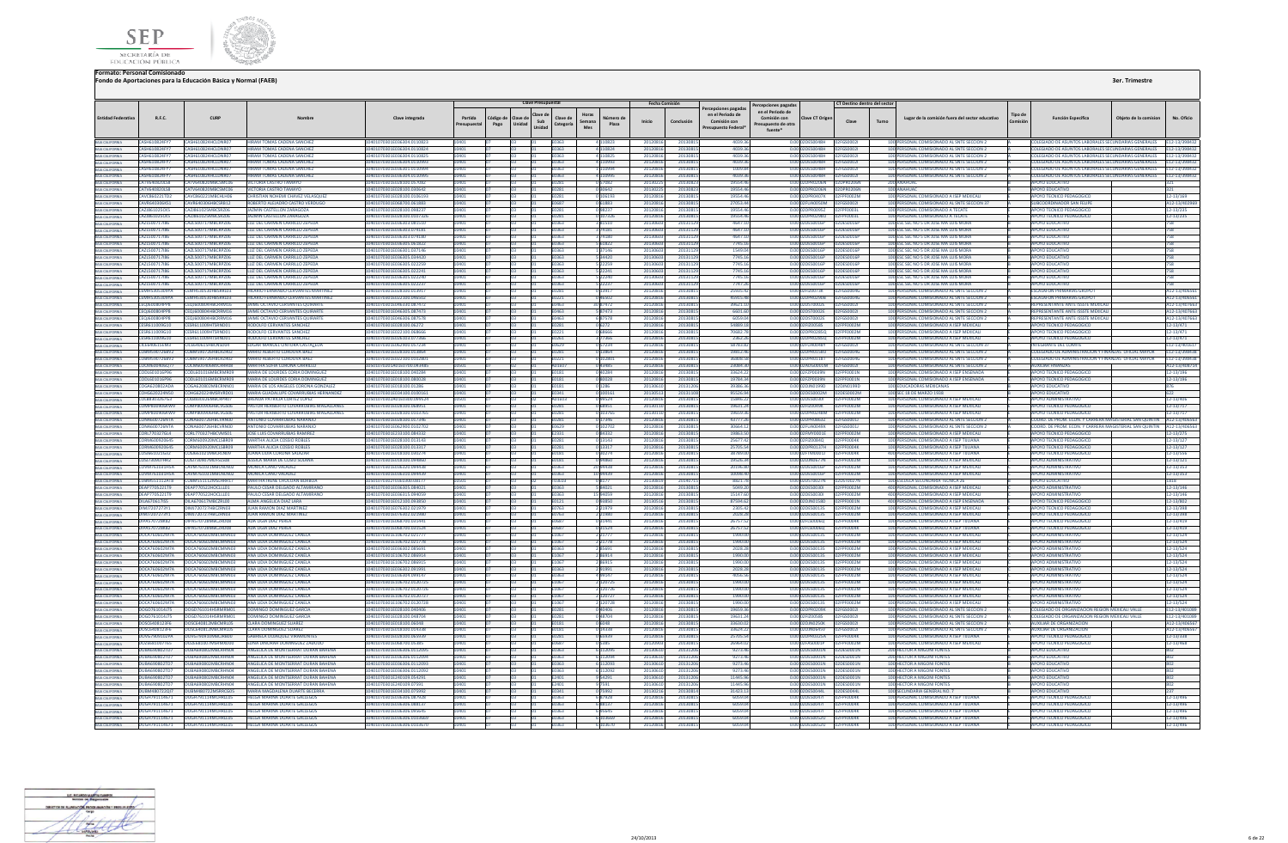



|                                                                          |                                        |                                                        |                                                                              |                                                         |                       |                   | <b>Clave Presupuestal</b>                     |                       |                                              | <b>Fecha Comisión</b> |                     |                                                                              |                                                                                           |                                    | CT Destino dentro del sector  |       |                                                                                          |         |                                                                                                                           |                       |                                |
|--------------------------------------------------------------------------|----------------------------------------|--------------------------------------------------------|------------------------------------------------------------------------------|---------------------------------------------------------|-----------------------|-------------------|-----------------------------------------------|-----------------------|----------------------------------------------|-----------------------|---------------------|------------------------------------------------------------------------------|-------------------------------------------------------------------------------------------|------------------------------------|-------------------------------|-------|------------------------------------------------------------------------------------------|---------|---------------------------------------------------------------------------------------------------------------------------|-----------------------|--------------------------------|
| <b>Entidad Federativa</b>                                                | R.F.C.                                 | CURP                                                   | Nombre                                                                       | Clave integrada                                         | Partida<br>resupuesta | Código de<br>Pago | Clave d<br>Clave de<br>Sub<br>Unidad<br>Unida | Clave de<br>Categoría | Horas<br>Número de<br>Semana<br>Plaza<br>Mes | Inicio                | Conclusión          | ercepciones pagadas<br>en el Periodo de<br>Comisión con<br>resupuesto Federa | Percepciones pagadas<br>en el Periodo de<br>Comisión con<br>resupuesto de otra<br>fuente* | <b>Clave CT Origer</b>             | Clave                         | Turno | Lugar de la comisión fuera del sector educativo                                          | Tipo de | <b>Función Específica</b>                                                                                                 | Obieto de la comision | No. Oficio                     |
| BAIA CALIFORNIA                                                          | CASH610824FY7                          | CASH610824HCLDNR07                                     | <b>HIRAM TOMAS CADENA SANCHEZ</b>                                            | 10401070301F036304 0110823                              | 10401                 |                   | 103                                           | E0363                 | 4 110823                                     | 20120816              | 20130815            | 4039.36                                                                      |                                                                                           | 0.00 02DES004RH 02EGS0002          |                               |       | 100 PERSONAL COMISIONADO AL SNTE SECCION 2                                               |         | COLEGIADO DE ASUNTOS LABORALES SECUNDARIAS GENERALES E12-13/398432                                                        |                       |                                |
| BAJA CALIFORNIA                                                          | CASH610824FY7<br>CASH610824FY7         | CASH610824HCLDNR07<br>CASH610824HCLDNR07               | HIRAM TOMAS CADENA SANCHEZ<br>RAM TOMAS CADENA SANCHEZ                       | 10401070201E026204 0110824<br>101070301F036304 0110825  | 10401                 |                   |                                               | <b>F0363</b>          | 4 110824                                     | 20120816<br>20120816  | 2013081<br>2013081  | 4039.3<br>40393                                                              |                                                                                           | 0.00 02DES004RH<br>0.00.02DES0048H | 0256500021<br><b>EGS00021</b> |       | 100 PERSONAL COMISIONADO AL SNTE SECCION 2<br>100 PERSONAL COMISIONADO AL SNTE SECCION 2 |         | COLEGIADO DE ASUNTOS LABORALES SECUNDARIAS GENERALES E12-13/398432<br>ILEGIADO DE ASUNTOS LARORALES SECUNDARIAS GENERALES |                       | F12-13/398432                  |
| BAJA CALIFORNIA<br><b>BAJA CALIFORNIA</b>                                | CASH610824FY7                          | CASH610824HCLDNR07                                     | HIRAM TOMAS CADENA SANCHEZ                                                   | 10401070301E036304.0110993                              | 1401                  |                   |                                               | 53803<br><b>E0363</b> | 4 110825<br>4 110993                         | 20120816              | 20130815            | 4039.3                                                                       |                                                                                           | 0.00 02DES0048H                    | 2EGS00021                     |       | 100 PERSONAL COMISIONADO AL SNTE SECCION 2                                               |         | COLEGIADO DE ASUNTOS LABORALES SECUNDARIAS GENERALES E12-13/398432                                                        |                       |                                |
|                                                                          | CASH610824FY7                          | CASH610824HCLDNR07                                     | HIRAM TOMAS CADENA SANCHEZ                                                   | 10401070301F036301 0110994                              | 10401                 |                   |                                               | <b>E0363</b>          | 1110994                                      | 20120816              | 20130815            | 1009.8                                                                       |                                                                                           | 0.00 02DES004RH                    | 02EGS0002L                    |       | 100 PERSONAL COMISIONADO AL SNTE SECCION 2                                               |         | OLEGIADO DE ASUNTOS LABORALES SECUNDARIAS GENERALES F12-13/398432                                                         |                       |                                |
| BAIA CALIFORNIA<br>BAIA CALIFORNIA                                       | CASH610824FY7                          | CASH610824HCLDNR07                                     | HIRAM TOMAS CADENA SANCHEZ                                                   | 10401070301F036304 0110995                              |                       |                   |                                               | F0363                 | 4 110995                                     | 20120816              | 2013081             | 4039.3                                                                       |                                                                                           | 0.00.02DES0048H                    | <b>EGS00021</b>               |       | 100 PERSONAL COMISIONADO AL SNTE SECCION 2                                               |         | OLEGIADO DE ASUNTOS LABORALES SECUNDARIAS GENERALES                                                                       |                       | E12-13/398432                  |
| BAJA CALIFORNIA                                                          | CATV640820158                          | CATV640820MBCSMC06                                     | <b>MCTORIA CASTRO TAMANO</b>                                                 | 10401070301E028100.057082                               |                       |                   |                                               | <b>F0281</b>          | 0.57082                                      | 20130225              | 2013082             | 10554.4                                                                      |                                                                                           | 0.00 02DPR0206N                    | <b>DRROZGEN</b>               |       | 200 ANAHLIAC                                                                             |         | <b>POVO EDUCATIVO</b>                                                                                                     |                       |                                |
| BAIA CALIFORNIA<br>BAIA CALIFORNIA                                       | CATV640820LS8                          | ATV640R20MRCSMCD                                       | <b>ICTORIA CASTRO TAMAYO</b>                                                 | 0401070301E028100.030642                                |                       |                   |                                               | 281                   | 0 30 642                                     | 201302                | 2013082             | 19554.4                                                                      |                                                                                           | 0.00 02DPR0206N                    | PRO206N                       |       | 100 ANAHUAC                                                                              |         | OYO EDUCATIVO                                                                                                             |                       |                                |
|                                                                          | CAVC860221TD2                          | CAVC860221MBCHLH06                                     | CHRISTIAN NOHEMI CHAVEZ VELASQUEZ                                            | 10401070301E028100.0106193                              |                       |                   |                                               | 0281                  | 0 10 6 19 3                                  | 20120816              | 2013081             | 19554.4                                                                      |                                                                                           | 0.00 02DPR0407K                    | F0002M                        |       | 100 PERSONAL COMISIONADO A ISEP MEXICALI                                                 |         | <b>POYO TECNICO PEDAGOGICO</b>                                                                                            |                       | 12-13/169                      |
| BAJA CALIFORNIA                                                          | CAVR640306KS1                          | CAVR640306HRCSRR12                                     | ROBERTO ALEIADRO CASTRO VERDUGO                                              | 10401070301E068700.061883                               |                       |                   |                                               | 1687                  | 0 61883                                      | 20120816              | 20130815            | 27053.4                                                                      |                                                                                           | 0.00 02FUA0050M                    | <b>EGS00021</b>               |       | 100 PERSONAL COMISIONADO AL SNTE SECCION 37                                              |         | <b>JIRCOORDINADOR SAN FELIPE</b>                                                                                          |                       | A12-13/402969                  |
|                                                                          | CAZJ861025CK5                          | <b>CAZI861025MBCSRZ06</b>                              | <b>IAZMIN CASTELLON ZARAGOZA</b>                                             | 10401070301E028100.098237                               |                       |                   |                                               | 0281                  | 098237                                       | 2012081               | 2013081             | 195544                                                                       |                                                                                           | 0.00 02DPR00957                    | <b>FOOORI</b>                 |       | 100 PERSONAL COMISIONADO A TECATE                                                        |         | POYO TECNICO PEDAGOGICO                                                                                                   |                       | 12-13/235                      |
|                                                                          | CAZJ861025CK5<br>CAZL500717I86         | CAZJ861025MBCSRZ06<br>CAZL500717MBCRPZ06               | JAZMIN CASTELLON ZARAGOZ/<br>LUZ DEL CARMEN CARRILLO ZEPEDA                  | 0401070301E028100.010232<br>10401070301E036303.08151    |                       |                   |                                               | E0281<br>E0363        | 0 107326                                     | 2012081<br>201306     | 2013081<br>2013112  | 19554.4<br>4647.1                                                            |                                                                                           | 0.00 02DPR0298U<br>0.00 02DES0016P | F0003<br><b>DES0016P</b>      |       | 100 PERSONAL COMISIONADO A TECATI<br>100 ESC SEC NO 5 DR JOSE MA LUIS MORA               |         | POYO TECNICO PEDAGOGICO<br>POYO EDUCATIVO                                                                                 |                       | 12-13/235<br>758               |
| BAJA CALIFORNIA<br>BAJA CALIFORNIA                                       | CAZL500717186                          | CAZL500717MBCRPZ06                                     | LUZ DEL CARMEN CARRILLO ZEPEDA                                               | 10401070301E036303.074181                               |                       |                   |                                               | E0363                 | 381510<br>374181                             | 201306                | 20131129            | 4647.1                                                                       |                                                                                           | 0.00 02DES0016P                    | DES0016F                      |       | 100 ESC SEC NO 5 DR JOSE MA LUIS MORA                                                    |         | <b>POYO EDUCATIVO</b>                                                                                                     |                       | 758                            |
| RAIA CALIFORNIA                                                          | CA71500717186                          | CA71500717MBCRP706                                     | <b>1117 DEL CARMEN CARRILLO ZEPEDA</b>                                       | 10401070301E036303.074180                               |                       |                   |                                               | 0363                  | 3 74180                                      | 201306                | 2013112             | 46471                                                                        |                                                                                           | 0.00 02DES0016P                    | 2DE50016P                     |       | 100 ESC SEC NO 5 DR JOSE MA LUIS MORA                                                    |         | POYO EDUCATIVO                                                                                                            |                       | 758                            |
|                                                                          | CAZL500717186                          | CA71500717MRCRP706                                     | <b>ILIZ DEL CARMEN CARRILLO ZEPEDA</b>                                       | 10401070301E036305.061822                               |                       |                   |                                               | 53803                 | 5 61822                                      | 201306                | 2013112             | 7745.1                                                                       |                                                                                           | 0.00 02DES0016P                    | 2DES0016P                     |       | 100 ESC SEC NO 5 DR JOSE MA LUIS MORA                                                    |         | <b>POYO EDUCATIVO</b>                                                                                                     |                       | 758                            |
|                                                                          | <b>CAZL500717I86</b>                   | <b>CAZI 500717MRCRP706</b>                             | <b>ILIZ DEL CARMEN CARRILLO ZEPEDA</b>                                       | 10401070301E036301.037146                               |                       |                   |                                               | 0363                  | 1 37146                                      | 201306                | 2013112             | 1549.0                                                                       |                                                                                           | 0.00 02DES0016P                    | DES0016E                      |       | 100 ESC SEC NO 5 DR JOSE MA LUIS MORA                                                    |         | <b>POYO FDUCATIVO</b>                                                                                                     |                       | 758                            |
| BAJA CALIFORNIA                                                          | CA71500717186                          | CAZL500717MBCRR706                                     | <b>ILIZ DEL CARMEN CARRILLO ZEPEDA</b>                                       | 10401070301F036305 034420                               |                       |                   |                                               | 0262                  | 5 34420                                      | 2013060               | 2013112             | <b>77451</b>                                                                 |                                                                                           | 0.00020ES0016R                     | DES0016P                      |       | 100 ESC SEC NO 5 DR JOSE MA LUIS MORA                                                    |         | <b>POYO EDUCATIVO</b>                                                                                                     |                       | 758                            |
| BAIA CALIFORNIA                                                          | CAZL500717186                          | CA71500717MRCRP706                                     | LUZ DEL CARMEN CARRILLO ZEPEDA                                               | 10401070301E036305 022259                               |                       |                   |                                               | 59263                 | 5 22259                                      | 201306                | 2013117             | 77451                                                                        |                                                                                           | 0.00.02DES0016P                    | ES0016P                       |       | 100 ESC SEC NO 5 DR JOSE MA LUIS MORA                                                    |         | POYO EDUCATIVO                                                                                                            |                       | 758                            |
| BAIA CALIFORNIA                                                          | CAZL500717I86                          | CA7L500717MRCRP706                                     | <b>ILIZ DEL CARMEN CARRILLO ZEPEDA</b>                                       | 0401070301E036305.022241                                |                       |                   |                                               | 363                   | 5 22241                                      | 201306                | 20131129            | 77451                                                                        |                                                                                           | 0.00 02DES0016P                    | <b>DES0016P</b>               |       | 100 ESC SEC NO 5 DR JOSE MA LUIS MORA                                                    |         | POYO EDUCATIVO                                                                                                            |                       | 758                            |
|                                                                          | CAZL500717I86                          | CAZL500717MRCRP706                                     | LUZ DEL CARMEN CARRILLO ZEPEDA                                               | 10401070301E036305.022240                               |                       |                   |                                               | F0363                 | 5 22240                                      | 201306                | 20131129            | 7745.1                                                                       |                                                                                           | 0.00 02DES0016P                    | 2DES0016P                     |       | 100 ESC SEC NO 5 DR JOSE MA LUIS MORA                                                    |         | POYO EDUCATIVO                                                                                                            |                       | 758                            |
| <b>BAIA CALIFORNIA</b>                                                   | CA7L500717186<br><b>CEMMESJUSSUOVA</b> | CAZL500717MBCRP706<br>CEMH530530HB5RRI03               | <b>LUZ DEL CARMEN CARRILLO ZEPEDA</b><br>HILARIO EERNANDO CERVANTES MARTINES | 10401070301E036305.022237<br>10401070201E028100.012917  | 1401                  |                   |                                               | F0363<br><b>EN281</b> | 5 22237                                      | 2013060<br>2012081    | 2013112<br>2013081  | 77472<br>25935.4                                                             |                                                                                           | 0.00.02DES0016P<br>0.00.025/200238 | 2DES0016P<br><b>EGSOOMG</b>   |       | 100 ESC SEC NO 5 DR JOSE MAILIJS MORA<br>100 PERSONAL COMISIONADO AL SNTE SECCION :      |         | <b>POYO EDUCATIVO</b><br><b>ESCALAEON PRIMARIAS GRUPO L</b>                                                               |                       | 758                            |
| BAJA CALIFORNIA                                                          | CEMH5305309YA                          | <b>CEMH530530HBSRRIO3</b>                              | HILARIO FFRNANDO CERVANTES MARTINEZ                                          | 10401070301E022100.046507                               |                       |                   |                                               |                       | 0 13917<br>0.46502                           | 20120816              | 2013081             | 45915.4                                                                      |                                                                                           | 0.00102DPR0290B                    | SSOODAG                       |       | 100 PERSONAL COMISIONADO AL SNTE SECCION 2                                               |         | <b>ESCALAFON PRIMARIAS GRUPO</b>                                                                                          |                       | A12-13/406561<br>A12-13/406561 |
| BAIA CALIFORNIA<br>BAJA CALIFORNIA                                       | CEQJ600804PP8                          | CEQJ600804HBCRRM16                                     | IME OCTAVIO CERVANTES QUIRARTI                                               | 0401070301E046330.087472                                |                       |                   |                                               |                       | 30 87472                                     | 2012081               | 2013081             | 39621.1                                                                      |                                                                                           | 0.00 02DST0002E                    | <b>SSOOO2</b>                 |       | 100 PERSONAL COMISIONADO AL SNTE SECCION 2                                               |         | PRESENTANTE ANTE ISSSTE MEXICA                                                                                            |                       | 12-13/407663                   |
|                                                                          | CEQJ600804PP8                          | CEQJ600804HBCRRM16                                     | JAIME OCTAVIO CERVANTES QUIRARTE                                             | 10401070301E046305.087473                               |                       |                   |                                               | 0463                  | 587473                                       | 20120816              | 2013081             | 6601.6                                                                       |                                                                                           | 0.00 02DST0002E                    | SS00021                       |       | 100 PERSONAL COMISIONADO AL SNTE SECCION 2                                               |         | EPRESENTANTE ANTE ISSSTE MEXICALI                                                                                         |                       | A12-13/407663                  |
| BAJA CALIFORNIA                                                          | <b>CEQJ600804PP8</b>                   | CEO IGOOROAHRCRRM16                                    | JAIME OCTAVIO CERVANTES QUIRARTE                                             | 10401070301E046306.087578                               |                       |                   |                                               | 10463                 | 687578                                       | 20120816              | 2013081             | 60590                                                                        |                                                                                           | 0.00 02DST0002E                    | <b>EGSOODZI</b>               |       | 100 PERSONAL COMISIONADO AL SNTE SECCION 2                                               |         | <b>FPRESENTANTE ANTE ISSSTE MEXICAL</b>                                                                                   |                       | A12-13/407663                  |
|                                                                          | CESR611009610                          | CESP611009HTSPND01                                     | <b>RODOLFO CERVANTES SANCHEZ</b>                                             | 10401070301E028100.06272                                |                       |                   |                                               | 1207                  | 06272                                        | 20120816              | 2013081             | 548891                                                                       |                                                                                           | 0.00.02FIZ00585                    | <b>ENONYM</b>                 |       | 100 PERSONAL COMISIONADO A ISEP MEXICALI                                                 |         | POVO TECNICO PEDAGOGICO                                                                                                   |                       | 12-13/471                      |
|                                                                          | CESR611009G10                          | CESR611009HTSRND                                       |                                                                              | 022100.0686                                             |                       |                   |                                               |                       | 0 6866                                       | 2012081               | 2013081             | 70682.7                                                                      |                                                                                           | 0.00 02DPR0285Q                    |                               |       | 100 PERSONAL COMISIONADO A ISEP MEXICA                                                   |         |                                                                                                                           |                       | 12-13/471                      |
| BAIA CALIFORNIA<br>BAIA CALIFORNIA                                       | CESR611009G10                          | CESR611009HTSRND01                                     | RODOLFO CERVANTES SANCHEZ                                                    | 10401070301E026103.077366                               |                       |                   |                                               |                       | 377366                                       | 2012081               | 2013081             | 2362.2                                                                       |                                                                                           | 0.00 02DPR0285Q                    | F0002M                        |       | 100 PERSONAL COMISIONADO A ISEP MEXICALI                                                 |         | OYO TECNICO PEDAGOGICO                                                                                                    |                       | 12-13/471                      |
|                                                                          | CICE640615EM3                          | CICE640615HBCNSD04                                     | EDGAR MANUEL CINTORA CASTALEDA                                               | 10401070301E062900.057234                               | 0401                  |                   |                                               | E0629                 | 057234                                       | 20120816              | 2013081             | 58783.8                                                                      |                                                                                           | 0.00 02FUA0048Y                    | <b>FGS0002</b>                |       | 100 PERSONAL COMISIONADO AL SNTE SECCION 37                                              |         | NTEGRANTE DEL COMITE                                                                                                      |                       | E12-13/40161                   |
| BAIA CALIFORNIA<br>BAIA CALIFORNIA<br>BAIA CALIFORNIA                    | CORM590726RV2<br>CORM590726BV2         | CORM590726HRCRZR02<br>CORM590726HRCRZR02               | MARIO ALBERTO CORDOVA BAEZ                                                   | 10401070301E028100.013864                               |                       |                   |                                               | 1281                  | 0 13864                                      | 20120816              | 20130819            | 19812.4                                                                      |                                                                                           | 0.00 02DPR0158U<br>0.00 02DPR011RT | EGS0004G<br><b>DIMOD233</b>   |       | 100 PERSONAL COMISIONADO AL SNTE SECCION 2                                               |         | COLEGIADO DE ADMINISTRACION Y FINANZAS OFICIAL MAYOR<br>COLEGIADO DE ADMINISTRACION Y FINANZAS, OFICIAL MAYOR             |                       | E12-13/398438                  |
|                                                                          |                                        | COCM600406077 COCM600406MICRRR0R                       | MARIO ALBERTO CORDOVA BAEZ<br><b>MARTHA SOFIA CORONA CARRILLO</b>            | 10401070301F022100 010280<br>10501070201A01E0700.043485 |                       |                   |                                               | 01507                 | 0 102801<br>0.43485                          | 20120816<br>20120816  | 2013081<br>2013081  | 36808.5<br>230843                                                            |                                                                                           | 0.00.02ADG0001M                    | <b>GS0002L</b>                |       | 100 PERSONAL COMISIONADO AL SNTE SECCION 2<br>100 PERSONAL COMISIONADO AL SNTE SECCION 2 |         | AUXILIAR FINANZAS                                                                                                         |                       | F12-13/398438<br>A12-13/408714 |
|                                                                          | CODI 601016P96                         | CODI 601016MBCRMR09                                    | MARIA DE LOURDES CORIA DOMINGUE                                              | 10401070201E018100.040284                               |                       |                   |                                               | 1191                  | <b>NRCON</b>                                 | 2012081               | 2013081             | 33624.2                                                                      |                                                                                           | 0.00102EZP0039N                    | PENNA1 N                      |       | 100 PERSONAL COMISIONADO A ISEP ENSENADA                                                 |         | POYO TECNICO PEDAGOGIO                                                                                                    |                       | 12-13/196                      |
| BAIA CALIFORNIA<br>BAIA CALIFORNIA                                       |                                        |                                                        | MARIA DE LOURDES CORIA DOMINGUEZ                                             | 10401070301E018100.080028                               | 1401                  |                   |                                               | E0181                 | 080028                                       | 20120816              | 20130815            | 19784.34                                                                     |                                                                                           | 0.00 02FZP0039N                    | F0001N                        |       | 100 PERSONAL COMISIONADO A ISEP ENSENADA                                                 |         | POYO TECNICO PEDAGOGICO                                                                                                   |                       | 12-13/196                      |
|                                                                          | COGA620802ADA                          | COGA620802MBCRNN01                                     | MARIA DE LOS ANGELES CORONA GONZALEZ                                         | 0401070301E018100.01286                                 |                       |                   |                                               | 0181                  | 0 1 2 8 6                                    | 20130610              | 20131206            | 39386.3                                                                      |                                                                                           | 0.00 02DJN0199D                    | IN0199D                       |       | 100 EDUCADORAS MEXICANAS                                                                 |         | POYO EDUCATIVO                                                                                                            |                       | 876                            |
| BAIA CALIFORNIA<br>BAIA CALIFORNIA                                       |                                        | COHG620224N50 COHG620224MSRVRD01                       | MARIA GUADALUPE COVARRUBIAS HERNANDEZ                                        | 10401070301E034100.0100161                              |                       |                   |                                               | <b>EN341</b>          | 0 100161                                     | 20130513              | 20131108            | 95526.9                                                                      |                                                                                           | 0.00 02DES0002M                    | DES0002M                      |       | 100 SEC 18 DE MARZO 1938                                                                 |         | <b>APOYO EDUCATIVO</b>                                                                                                    |                       | 622                            |
| BAIA CALIFORNIA                                                          | COLB8303267G3                          | COLBR30326MBCRPR07                                     | <b><i>RRENDA PATRICIA CORTEZ LOPEZ</i></b>                                   | 0501070302401E0300.099524                               |                       |                   |                                               | 01503                 | 099524                                       | 20120816              | 2013081             | 15846.2                                                                      |                                                                                           | 0.00.02DES0030L                    | F0002M                        |       | 100 PERSONAL COMISIONADO A ISEP MEXICALI                                                 |         | POYO ADMINISTRATIVO                                                                                                       |                       | 12-13/406                      |
| BAIA CALIFORNIA<br>BAIA CALIFORNIA                                       | <b>COMPSOD906KW9</b>                   | <b>COMPRODIGHBCVGSO6</b>                               | PASTOR HERIRERTO COVARRURIAS MAGALLANES                                      | 10401070201E028100.068951                               |                       |                   |                                               | 0281                  | 068951                                       | 2013011               | 2013081             | 19631.2                                                                      |                                                                                           | 0.00 02EIZ0049K                    | <b>ENONYME</b>                |       | 100 PERSONAL COMISIONADO A ISEP MEXICALL                                                 |         | <b>POVO TECNICO PEDAGOGIO</b>                                                                                             |                       | $12 - 13/717$                  |
|                                                                          |                                        | COMP800906KW9 COMP800906HBCVGS06                       | PASTOR HERIBERTO COVARRUBIAS MAGALLANES                                      | 10401070301E028100.0103765                              |                       |                   |                                               |                       | 0 103765                                     | 20130110              | 2013081             | 19659.3                                                                      |                                                                                           | 0.00 02DPR0248M                    | F0002M                        |       | 100 PERSONAL COMISIONADO A ISEP MEXICALI                                                 |         | OYO TECNICO PEDAGOGICO                                                                                                    |                       | 12-13/717                      |
| BAIA CALIFORNIA<br>BAIA CALIFORNIA                                       | <b>CONA600726NTA</b><br>CONA600726NTA  | CONA600726HBCVRN00<br>CONA600726HBCVRN00               | ANTONIO COVARRUBIAS NARANJO<br>ANTONIO COVARRUBIAS NARANJO                   | 10401070301E028100.017346<br>10401070301E062900.0102702 |                       |                   |                                               | 0281                  | 0 17346                                      | 2012081<br>2012081    | 2013081             | 43777.2                                                                      |                                                                                           | 0.00 02DPR0863Z<br>0.00 02FUA0049X | 550001J                       |       | 100 PERSONAL COMISIONADO AL SNTE SECCION 2<br>100 PERSONAL COMISIONADO AL SNTE SECCION 2 |         | OORD. DE PROM. ECON. Y CARRERA MAGISTERIAL SAN QUINTIN<br>OORD, DE PROM, ECON, Y CARRERA MAGISTERIAL SAN QUINTIN          |                       | A12-13/406563                  |
|                                                                          |                                        | CORL770327GL4 CORL770327HBCVMS01                       | <b>JOSE LUIS COVARRUBIAS RAMIREZ</b>                                         | 10401070301F233100.084332                               |                       |                   |                                               | 0629<br>F2331         | 0 102702                                     | 20120816              | 2013081<br>2013081  | 30664.1<br>19863                                                             |                                                                                           | 0.00 02FMY0001E                    | 5S0001J<br>F0002M             |       | 100 PERSONAL COMISIONADO A ISEP MEXICALI                                                 |         | POYO TECNICO PEDAGOGICO                                                                                                   |                       | A12-13/406563                  |
| BAJA CALIFORNIA                                                          | CORMSDORMS                             | CORMEODO20MCLSRR00                                     | MARTHA ALICIA COSSIO ROBLES                                                  | 0401070201E028100.012143                                |                       |                   |                                               |                       | 084332<br>0 13143                            | 2012081               | 2013081             | 256774                                                                       |                                                                                           | 0.00 025/2008 40                   | <b>COODAK</b>                 |       | 100 PERSONAL COMISIONADO A ISEP TIILIANA                                                 |         | OVO TECNICO PEDAGOGICI                                                                                                    |                       | 12-13/275<br>2-13/127          |
| BAIA CALIFORNIA<br>BAIA CALIFORNIA                                       |                                        | CORM600920645 CORM600920MCLSBR09                       | MARTHA ALICIA COSSIO ROBLES                                                  | 10401070301E028100.013317                               |                       |                   |                                               | E0281                 | 0 13317                                      | 20120816              | 2013081             | 25705.5                                                                      |                                                                                           | 0.00 02DPR0137H                    | <b>FOOD4K</b>                 |       | 100 PERSONAL COMISIONADO A ISEP TUUANA                                                   |         | POYO TECNICO PEDAGOGICO                                                                                                   |                       | 12-13/127                      |
| <b>BAJA CALIFORNIA</b>                                                   | COSJ661021G32                          | COSJ661021MBCRLN09                                     | <b>UANA LIDIA CORONA SALAZA</b>                                              | 10401070301E018100.030274                               |                       |                   |                                               | 0181                  | 0 30274                                      | 20120816              | 2013081             | 38789.0                                                                      |                                                                                           | 0.00 02FTM0001J                    | FOOD4K                        |       | 400 PERSONAL COMISIONADO A ISEP TUUANA                                                   |         | POYO TECNICO PEDAGOGICO                                                                                                   |                       | 12-13/556                      |
| <b>BAJA CALIFORNIA</b>                                                   | COSJ730907HR2                          | COSJ730907MDFSLS08                                     | JESSICA MARIA DE COSIO SOLANA                                                | 10401070301E018100.09486                                |                       |                   |                                               | 0181                  | O 94860                                      | 20120816              | 2013081             | 19526.                                                                       |                                                                                           | 0.00 02DJN0677N                    | FOOD2M                        |       | 100 PERSONAL COMISIONADO A ISEP MEXICAL                                                  |         | POYO ADMINISTRATIVO                                                                                                       |                       | 12-13/121                      |
| BAJA CALIFORNIA                                                          | COVM761031H5A                          | CAVM761031MRCNLN02                                     | MONICA CANO VALADEZ                                                          | 10401070301E036320.094438                               |                       |                   |                                               | 50363                 | 20 94438                                     | 20120816              | 2013081             | 20196.8                                                                      |                                                                                           | 0.00 02DES0016P                    | <b>FOODZM</b>                 |       | 100 PERSONAL COMISIONADO A ISEP MEXICALI                                                 |         | POYO ADMINISTRATIVO                                                                                                       |                       | 12-13/353                      |
| BAIA CALIFORNIA<br>BAIA CALIFORNIA                                       |                                        | COVM761031H5A CAVM761031MRCNLN02                       | MONICA CANO VALADEZ                                                          | 10401070301F036310.094439                               |                       |                   |                                               | <b>FN363</b>          | 10 94439                                     | 20120816              | 2013081             | 100984                                                                       |                                                                                           | 0.00 02DES0016P                    | PENNO2M                       |       | 100 PERSONAL COMISIONADO A ISEP MEXICALI                                                 |         | <b>IPOYO ADMINISTRATIVO</b>                                                                                               |                       | 12-13/353                      |
|                                                                          |                                        | CURMSS1112ATR CURMSS1112MSLHRR17                       | MARTHA IRENE CHUCUAN BORBOA                                                  | 10501070302T03E0300.08177                               |                       |                   |                                               | mafna.                | 0.8177                                       | 20130819              | 2014071             | 88217                                                                        |                                                                                           | 0.00102DST0027N                    | <b>DSTOO27N</b>               |       | 100 ESCUELA SECUNDARIA TECNICA 26                                                        |         | <b>POYO EDUCATIVO</b>                                                                                                     |                       | 1818                           |
| BAIA CALIFORNIA<br>BAIA CALIFORNIA                                       | DEAP7705221T9                          | DFAP770522HOCLLL01                                     | AULO CESAR DELGADO ALTAMIRANO                                                | 10401070301E036305.084021                               |                       |                   |                                               | 363                   | 5 84021                                      | 2012081               | 2013081             | 5049.2                                                                       |                                                                                           | 0.00 02DES00301                    | FOOD2M                        |       | 400 PERSONAL COMISIONADO A ISEP MEXICA                                                   |         | <b>POYO ADMINISTRATIVO</b>                                                                                                |                       | 12-13/146                      |
|                                                                          | DEAP7705221T9                          | DEAP770522HOCLLL01<br>DILA670617MBCZRL00               | PAULO CESAR DELGADO ALTAMIRANO                                               | 10401070301E036315.094059                               |                       |                   |                                               | E0363                 | 15 94059                                     | 20120816<br>20130516  | 2013081             | 15147.6<br>87594.6                                                           |                                                                                           | 0.00 02DES00301<br>0.00 02DJN0158D | F0002M                        |       | 400 PERSONAL COMISIONADO A ISEP MEXICALI                                                 |         | <b>IPOYO ADMINISTRATIVO</b>                                                                                               |                       | 12-13/146                      |
| BAJA CALIFORNIA<br><b>BAJA CALIFORNIA</b>                                | <b>DILA670617IS5</b><br>DIM17207273Y1  | <b>DIMIT20722HBCZPN02</b>                              | ALMA ANGELICA DIAZ LARA<br><b>ILIAN RAMON DIAZ MARTINE</b>                   | 10401070301E012100.093850<br>10401070301E076302.021979  |                       |                   |                                               | 0121<br>0763          | 093850<br>2 21979                            | 2012081               | 2013081<br>2013081  | 2305.4                                                                       |                                                                                           | 0.00 02DES0013S                    | FOOD1N<br>F0002M              |       | 400 PERSONAL COMISIONADO A ISEP ENSENADA<br>100 PERSONAL COMISIONADO A ISEP MEXICALI     |         | POYO TECNICO PEDAGOGICO<br>POYO TECNICO PEDAGOGICO                                                                        |                       | 12-13/802<br>12-13/398         |
| <b>BAJA CALIFORNIA</b>                                                   | DIM17207273Y1                          | DIM1720727HRCZRN03                                     | <b>ILIAN RAMON DIAZ MARTINEZ</b>                                             | 10401070301E076302.021980                               |                       |                   |                                               | F0763                 | 2 21980                                      | 20120816              | 2013081             | 2028.2                                                                       |                                                                                           | 0.0002DES00135                     | PE0002M                       |       | 100 PERSONAL COMISIONADO A ISEP MEXICALL                                                 |         | <b>POYO TECNICO PEDAGOGICO</b>                                                                                            |                       | 12-13/398                      |
|                                                                          | DIPAS70728KR2                          | DIPAS70728MBCZRD08                                     | ADA LIGIA DIAZ PEREA                                                         | 0401070301F068700 031441                                |                       |                   |                                               | 687                   | 31441                                        | 2012081               | 2013081             | 26757.5                                                                      |                                                                                           | 0.00 02FLS0006Q                    | <b>FOODAK</b>                 |       | 100 PERSONAL COMISIONADO A ISEP TUUANA                                                   |         | POYO TECNICO PEDAGOGICO                                                                                                   |                       | 2-13/419                       |
| BAIA CALIFORNIA<br>BAIA CALIFORNIA                                       | <b>DIPA570728K82</b>                   | DIPAS70728MBCZRD08                                     | <b>ADA LIGIA DIAZ PEREA</b>                                                  | 10401070301E068700.031524                               |                       |                   |                                               |                       | 0 31524                                      | 2012081               | 2013081             | 26757.5                                                                      |                                                                                           | 0.00 02FLS0006Q                    |                               |       | 100 PERSONAL COMISIONADO A ISEP TUUANA                                                   |         | OYO TECNICO PEDAGOGICO                                                                                                    |                       | 12-13/419                      |
| .<br>Baia California<br>Baia California                                  | DOCA760602M7A                          | DOCA760602MBCMNN03                                     | ANA LIDIA DOMINGUEZ CANEL                                                    | 0401070301E106702.02177                                 |                       |                   |                                               | 1067                  |                                              | 2012081               | 2013081             | 1990.                                                                        |                                                                                           | 0.00 02DES0013S                    | F0002M                        |       | 100 PERSONAL COMISIONADO A ISEP MEXICAL                                                  |         | OYO ADMINISTRATIVO                                                                                                        |                       | 12-13/524                      |
|                                                                          |                                        | DOCA760602M7A DOCA760602MRCMNN03                       | ANA LIDIA DOMINGUEZ CANELA                                                   | 10401070301E106702.021778                               |                       |                   |                                               | 1067                  | 2 21778                                      | 2012081               | 2013081             | 1990f                                                                        |                                                                                           | 0.0002DES00135                     | F0002M                        |       | 100 PERSONAL COMISIONADO A ISEP MEXICALI                                                 |         | <b>POYO ADMINISTRATIVO</b>                                                                                                |                       | 12-13/524                      |
| BAIA CALIFORNIA<br>BAIA CALIFORNIA<br>BAIA CALIFORNIA                    |                                        | DOCA760602M7A DOCA760602MBCMNN03                       | ANA LIDIA DOMINGUEZ CANELA                                                   | 10401070301F036302.085691                               |                       |                   |                                               | F0363                 | 285691                                       | 20120816              | 2013081             | 2028.2                                                                       |                                                                                           | 0.00 02DES0013S                    | PE0002M                       |       | 100 PERSONAL COMISIONADO A ISEP MEXICALI                                                 |         | <b>POYO ADMINISTRATIVO</b>                                                                                                |                       | 12-13/524                      |
|                                                                          |                                        | DOCA760602M7A DOCA760602MBCMNN03                       | ANA LIDIA DOMINGUEZ CANELA                                                   | 10401070301F106702.086914                               |                       |                   |                                               | 51067                 | 286914                                       | 2012081               | 2013081             | 1990.0                                                                       |                                                                                           | 0.00 02DES0013S                    | <b>F0002M</b>                 |       | 100 PERSONAL COMISIONADO A ISEP MEXICALI                                                 |         | <b>POYO ADMINISTRATIVO</b>                                                                                                |                       | 12-13/524                      |
|                                                                          | DOCA760602M7A                          | DOCA760602MBCMNN03<br>DOCA760602M7A DOCA760602MBCMNN03 | ANA LIDIA DOMINGUEZ CANEL                                                    | 10401070301E106702.086915<br>10401070301E036302.091991  |                       |                   |                                               | 1067                  | 28691                                        | 2012081<br>20120816   | 2013081<br>2013081  | 1990.0<br>2028.2                                                             |                                                                                           | 0.00 02DES0013S<br>0.00 02DES0013S | F0002M<br>FOOD2M              |       | 100 PERSONAL COMISIONADO A ISEP MEXICAL                                                  |         | POYO ADMINISTRATIVO<br><b>POYO ADMINISTRATIVO</b>                                                                         |                       | 12-13/524                      |
| <b>BAJA CALIFORNIA</b><br><b>BAJA CALIFORNIA</b>                         | <b>DOCA760602M7A</b>                   | DOCA760602MRCMNN03                                     | ANA LIDIA DOMINGUEZ CANELA<br>ANA LIDIA DOMINGUEZ CANELA                     | 10401070301E036304.099147                               |                       |                   |                                               | 0363<br>1363          | 291991<br>4 9914                             | 2012081               | 2013081             | 4056                                                                         |                                                                                           | 0.00 02DES0013S                    | F0002M                        |       | 100 PERSONAL COMISIONADO A ISEP MEXICALI<br>100 PERSONAL COMISIONADO A ISER MEXICAL      |         | <b>POYO ADMINISTRATIVO</b>                                                                                                |                       | 12-13/524<br>12-13/524         |
|                                                                          |                                        | DOCA760602M7A DOCA760602MBCMNN03                       | ANA LIDIA DOMINGUEZ CANELA                                                   | 10401070301E106702.012072                               |                       |                   |                                               | E1067                 | 2 120725                                     | 20120816              | 2013081             | 1990.0                                                                       |                                                                                           | 0.00 02DES0013S                    | PF0002M                       |       | 100 PERSONAL COMISIONADO A ISEP MEXICALI                                                 |         | <b>APOYO ADMINISTRATIVO</b>                                                                                               |                       | 12-13/524                      |
| BAIA CALIFORNIA<br>BAIA CALIFORNIA<br>BAIA CALIFORNIA<br>BAIA CALIFORNIA |                                        | DOCA760602M7A DOCA760602MRCMNN03                       | ANA LIDIA DOMINGUEZ CANELA                                                   | 10401070301E106702.0120726                              |                       |                   |                                               | F1067                 | 2120726                                      | 20120816              | 2013081             | 19900                                                                        |                                                                                           | 0.00 02DES0013S                    | PENNO2M                       |       | 100 PERSONAL COMISIONADO A ISEP MEXICALI                                                 |         | ΔΡΩΥΩ ΔΩΜΙΝΙΝΤΡΑΤΙΝΩ                                                                                                      |                       | 12-13/524                      |
|                                                                          |                                        | DOCA760602M7A DOCA760602MRCMNN03                       | ANA LIDIA DOMINGUEZ CANELA                                                   | 10401070301E106702.0120727                              |                       |                   |                                               | 1067                  | 120727                                       | 20120816              | 2013081             | 1990.0                                                                       |                                                                                           | 0.0002DES00135                     | <b>FOODZM</b>                 |       | 100 PERSONAL COMISIONADO A ISEP MEXICAL                                                  |         | POYO ADMINISTRATIVO                                                                                                       |                       | 12-13/524                      |
|                                                                          |                                        | DOCA760602M7A DOCA760602MBCMNN03                       | ANA LIDIA DOMINGUEZ CANELA                                                   | 10401070301E106702.0120728                              |                       |                   |                                               | 1067                  | 2 120728                                     | 20120816              | 2013081             | 1990.0                                                                       |                                                                                           | 0.00 02DES0013S                    | FOOD2M                        |       | 100 PERSONAL COMISIONADO A ISEP MEXICALI                                                 |         | POYO ADMINISTRATIVO                                                                                                       |                       | 12-13/524                      |
| BAIA CALIFORNIA<br>BAIA CALIFORNIA                                       |                                        | DOGD761014175 DOGD761014HSRMRM01                       | DOMINGO DOMINGUEZ GARCIA                                                     | 10401070301F028100.040406                               | 1401                  |                   |                                               | <b>F0281</b>          | 040406                                       | 20120816              | 20130815            | 196593                                                                       |                                                                                           | 0.00 02DPR0209K                    | GS0002L                       |       | 100 PERSONAL COMISIONADO AL SNTE SECCION 2                                               |         | TOI FGIADO DE ORGANIZACION REGION MEXICALI VALLE                                                                          |                       | E12-13/401089                  |
| <b>BAJA CALIFORNIA</b>                                                   | DOGD761014J75                          | DOGD761014HSRMRM01                                     | DOMINGO DOMINGUEZ GARCIA                                                     | 0401070301E028100.048704                                |                       |                   |                                               | 0281                  | 048704                                       | 20120816              | 2013081             | 19631.2                                                                      |                                                                                           | 0.00 02FIZ00585                    | FGS00021                      |       | 100 PERSONAL COMISIONADO AL SNTE SECCION 2                                               |         | OLEGIADO DE ORGANIZACION REGION MEXICALI VALLI                                                                            |                       | 12-13/401089                   |
| <b>BAJA CALIFORNIA</b>                                                   | DOSC6408123E6                          | DOSC640812MBCMBL05                                     | <b>CLARA DOMINGUEZ SUAREZ</b>                                                | 10401070301F018100.06048                                | 101                   |                   |                                               | <b>F0181</b>          | 0.6048                                       | 20120816              | 2013081             | 33630.0                                                                      |                                                                                           | 0.00.02DIN0250K                    | <b>EGS00021</b>               |       | 100 PERSONAL COMISIONADO AL SNTE SECCION 2                                               |         | MIXILIAR DE ORGANIZACIÓN                                                                                                  |                       | 412-13/406567                  |
| <b>BAJA CALIFORNIA</b>                                                   | DOSC6408123F6                          | DOSC640812MBCMBL05                                     | <b>CLARA DOMINGUEZ SUAREZ</b>                                                | 10401070301F018100 014338                               |                       |                   |                                               | 1181                  | 0 14338                                      | 2012081               | 2013081             | 33624.2                                                                      |                                                                                           | 0.00 02D INDEASY                   | GS00021                       |       | 100 PERSONAL COMISIONADO AL SNTE SECCIÓN 2                                               |         | <b>UIXILIAR DE ORGANIZACIÓN</b>                                                                                           |                       | A12-13/406567                  |
| BAIA CALIFORNIA<br>BAIA CALIFORNIA                                       | DOVG7909102PA                          | DOVG790910MBCJRB00                                     | <b>GABRIELA DOJAQUEZ VIRAMONT</b><br><b>FDNA DINORAH DOMINGUEZ ZAĐUDO</b>    | 0401070301E028100.065939<br>0401070301F068700.05389     |                       |                   |                                               |                       | 05385                                        | 201208<br>201209      | 2013081<br>2013081  | 25705.5<br>26964                                                             |                                                                                           | 0.00 02DPR0325A<br>0.00 02FAS0001P | <b>FOOD4K</b>                 |       | 100 PERSONAL COMISIONADO A ISEP TUUANA<br>100 PERSONAL COMISIONADO A ISEP MEXICALI       |         | OYO TECNICO PEDAGOGIO<br>OYO TECNICO PEDAGOGICO                                                                           |                       | 12-13/338<br>12-13/468         |
| <b>BAJA CALIFORNIA</b>                                                   | <b>DUBA690802TD7</b>                   | DUBA690802MBCRHN04                                     | ANGELICA DE MONTSERRAT DURAN BAHENA                                          | 10401070301E036306.011209                               |                       |                   |                                               | 0363                  | 6 112095                                     | 201306                | 2013120             | 9273.4                                                                       |                                                                                           | 0.00 02DES0001N                    | <b>DES0001N</b>               |       | <b>200 HECTOR A MIGONI FONTES</b>                                                        |         | POYO EDUCATIVO                                                                                                            |                       |                                |
| <b>BAJA CALIFORNIA</b>                                                   | DURA690802TD7                          | DURA690802MRCRHN04                                     | ANGELICA DE MONTSERRAT DURAN RAHENA                                          | 10401070301F036306 011209                               |                       |                   |                                               | 50363                 | 6 112094                                     | 2013061               | 2013120             | 92734                                                                        |                                                                                           | 0.00 02DES0001N                    | DES0001N                      |       | <b>200 HECTOR A MIGONI FONTES</b>                                                        |         | <b>POYO EDUCATIVO</b>                                                                                                     |                       |                                |
|                                                                          | DURA690802TD7                          | DURA690802MBCRHN04                                     | ANGELICA DE MONTSERRAT DURAN RAHENA                                          | 10401070301F036306 0112093                              |                       |                   |                                               | F0363                 | 6 112093                                     | 20130610              | 2013120             | 9273.4                                                                       |                                                                                           | 0.00 02DES0001N                    | ZDES0001N                     |       | 100 HECTOR A MIGONI FONTES                                                               |         | <b>POYO EDUCATIVO</b>                                                                                                     |                       | 802                            |
| BAIA CALIFORNIA<br>BAIA CALIFORNIA                                       | DURA690802TD7                          | DURA690802MBCRHN04                                     | ANGELICA DE MONTSERRAT DURAN BAHENA                                          | 0401070301E036306.011209                                |                       |                   |                                               |                       | 6 112092                                     | 201306                | 201312              | 9273.4                                                                       |                                                                                           | 0.00.02DES0001N                    | ES0001N                       |       | 100 HECTOR A MIGONI FONTEY                                                               |         | OYO EDUCATIVO                                                                                                             |                       |                                |
| BAIA CALIFORNIA                                                          | DUBA690802TD7                          |                                                        | ANGELICA DE MONTSERRAT DURAN BAHENA                                          | 10401070301E240109.054291                               | 3401                  |                   |                                               | E2401                 | 9 5 4 2 9 1                                  | 2013061               | 2013120             | 11445.9                                                                      |                                                                                           | 0.00 02DES0001N                    | <b>DES0001N</b>               |       | 100 HECTOR A MIGONI FONTES                                                               |         | POYO EDUCATIVO                                                                                                            |                       | 802                            |
| BAJA CALIFORNIA                                                          | <b>DUBA690802TD7</b>                   | UBA690802MBCRHN04                                      | ANGELICA DE MONTSERRAT DURAN BAHENA                                          | 10401070301E240109.07591                                |                       |                   |                                               | 2401                  |                                              | 201306                | 201312              | 11445.                                                                       |                                                                                           | 0.00 02DES0001N                    | <b>DES0001N</b>               |       | 100 HECTOR A MIGONI FONTES                                                               |         | OYO EDUCATIVO                                                                                                             |                       |                                |
| <b>BAJA CALIFORNIA</b>                                                   | DURM480722017                          | DURM480722MSRRCGOS                                     | <b>MARIA MAGDALENA DUARTE RECERRA</b>                                        | 10401070301E034100.075992                               |                       |                   |                                               | <b>FN341</b>          | 0.75992                                      | 20130216              | 2013081             | 31423.1                                                                      |                                                                                           | 0.00102DES0044L                    | <b>2DES00441</b>              |       | 100 SECUNDARIA GENERAL NO. 7                                                             |         | <b>POYO FDUCATIVO</b>                                                                                                     |                       |                                |
| BAIA CALIFORNIA<br>BAIA CALIFORNIA                                       | DUGH791114671                          | DUGH791114MCHRLL05                                     | <b>HELGA MARINA DUARTE GALLEGOS</b>                                          | 10401070301E036306.087928                               |                       |                   |                                               | E0363                 | 687928                                       | 20120816              | 2013081             | 6059.0                                                                       |                                                                                           | 0.00 02DES0047L                    | FPF0004K                      |       | 100 PERSONAL COMISIONADO A ISEP TUUANA                                                   |         | POYO TECNICO PEDAGOGICO                                                                                                   |                       | 12-13/496                      |
|                                                                          | DUGH791114671                          | DUGH791114MCHRIIOS                                     | HELGA MARINA DUARTE GALLEGOS                                                 | 10401070301E036306.088137                               |                       |                   |                                               | <b>FO363</b>          | 688137                                       | 2012081               | 2013081             | 6059.0                                                                       |                                                                                           | 0.00.02DES0047L                    | PENNAK                        |       | 100 PERSONAL COMISIONADO A ISEP TILLIANA                                                 |         | POYO TECNICO PEDAGOGICO                                                                                                   |                       | 12-13/496                      |
| BAIA CALIFORNIA                                                          | DUGH791114671                          | DUGH791114MCHRLL05<br>DUGH791114MCHRLL05               | <b>HELGA MARINA DUARTE GALLEGO</b><br><b>HELGA MARINA DUARTE GALLEGOS</b>    | 10401070301E036306.09564<br>10401070301E036306.0103669  |                       |                   |                                               |                       | 695645                                       | 20120816<br>20120816  | 2013081             | 6059.0<br>6059.0                                                             |                                                                                           | 0.00 02DES0047L<br>0.00 02DES0052U |                               |       | 100 PERSONAL COMISIONADO A ISEP TUUANA<br>100 PERSONAL COMISIONADO A ISEP TUUANA         |         | POYO TECNICO PEDAGOGICO<br>APOYO TECNICO PEDAGOGICO                                                                       |                       | 12-13/496                      |
| BAJA CALIFORNIA<br>BAJA CALIFORNIA                                       | DUGH791114671<br>DUGH791114671         | DUGH791114MCHRLL05                                     | HELGA MARINA DUARTE GALLEGOS                                                 | 10401070301F036306 0103670                              |                       |                   |                                               | E0363<br>F0363        | 6 103669<br>6 103670                         | 20120816              | 20130819<br>2013081 |                                                                              |                                                                                           | 0.00 02DES0052U                    | FPF0004K<br><b>FPFOODAK</b>   |       | 100 PERSONAL COMISIONADO A ISEP TUUANA                                                   |         | APOYO TECNICO PEDAGOGICO                                                                                                  |                       | 12-13/496<br>12-13/496         |
|                                                                          |                                        |                                                        |                                                                              |                                                         |                       |                   |                                               |                       |                                              |                       |                     |                                                                              |                                                                                           |                                    |                               |       |                                                                                          |         |                                                                                                                           |                       |                                |

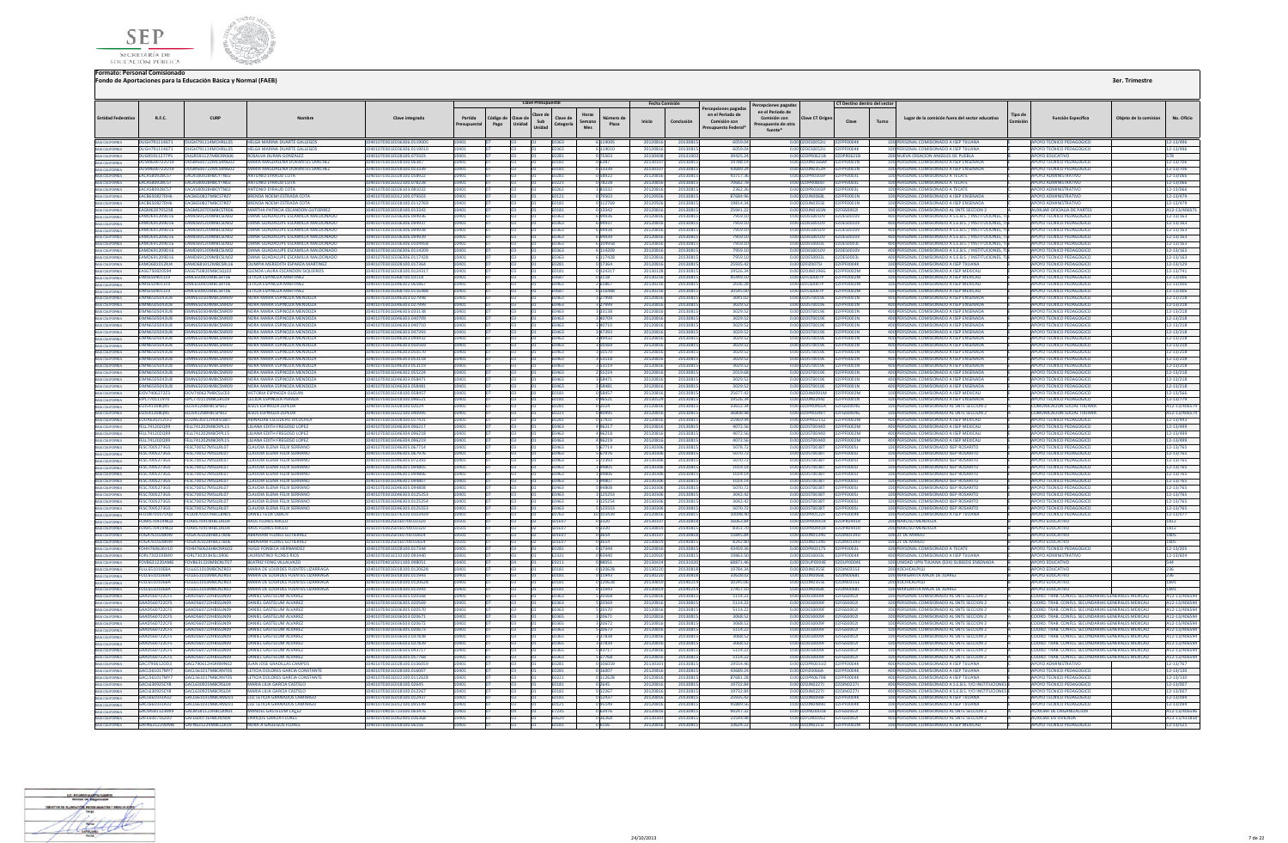



|                                                                                                                                   |                                              |                                                 |                                                                            |                                                         |                      |                   | <b>Clave Presupuesta</b>            |                                          |                     | <b>Fecha Comisión</b> |                      |                                                      | Percepciones pagada:                                   |                                                          | CT Destino dentro del sector |       |                                                                                                                |                            |                                                                              |                       |                              |
|-----------------------------------------------------------------------------------------------------------------------------------|----------------------------------------------|-------------------------------------------------|----------------------------------------------------------------------------|---------------------------------------------------------|----------------------|-------------------|-------------------------------------|------------------------------------------|---------------------|-----------------------|----------------------|------------------------------------------------------|--------------------------------------------------------|----------------------------------------------------------|------------------------------|-------|----------------------------------------------------------------------------------------------------------------|----------------------------|------------------------------------------------------------------------------|-----------------------|------------------------------|
| <b>Entidad Federativa</b>                                                                                                         | R.F.C.                                       | CURF                                            | Nombre                                                                     | Clave integrada                                         | Partida<br>resupuest | Código de<br>Pago | lave de<br>lave de<br>Sub<br>Unidad | Horas<br>Clave de<br>Semana<br>Categoría | Número di<br>Plaza  | Inicio                | Conclusión           | repciones pagada<br>en el Periodo de<br>Comisión con | en el Periodo de<br>Comisión con<br>resupuesto de otra | <b>Clave CT Origen</b>                                   | Clave                        | Turno | Lugar de la comisión fuera del sector educativo                                                                | <b>Tipo de</b><br>Comisión | <b>Función Específica</b>                                                    | Obieto de la comision | No. Oficio                   |
|                                                                                                                                   |                                              |                                                 |                                                                            |                                                         |                      |                   | Unidad                              | Mes                                      |                     |                       |                      | <b>Presupuesto Federal</b>                           | fuente*                                                |                                                          |                              |       |                                                                                                                |                            |                                                                              |                       |                              |
| BAJA CALIFORNIA<br>BAJA CALIFORNIA<br>BAJA CALIFORNIA<br>BAJA CALIFORNIA                                                          |                                              |                                                 | DUGH791114671 DUGH791114MCHRLL05 HELGA MARINA DUARTE GALLEGOS              | 10401070301E036306 0119005                              | 10401                |                   | <b>In3</b>                          | E0363                                    | 6 119005            | 20120816              | 20130815             | 6059.04                                              |                                                        | 0.00 02DES0052U 02FPF0004K                               |                              |       | 100 PERSONAL COMISIONADO A ISEP TIJUANA                                                                        |                            | APOYO TECNICO PEDAGOGICO                                                     |                       | 12-13/496                    |
|                                                                                                                                   | DUGH791114671                                | DUGH791114MCHRLL05                              | <b>HELGA MARINA DUARTE GALLEGOS</b>                                        | 10401070301E036306.0119010                              | 10401                |                   |                                     | E0363                                    | 6 119010            | 20120816              | 2013081              | 6059.0                                               |                                                        | 0.00 02DES0052U 02FPF0004K                               |                              |       | 100 PERSONAL COMISIONADO A ISEP TUUANA                                                                         |                            | APOYO TECNICO PEDAGOGICO                                                     |                       | 12-13/496                    |
|                                                                                                                                   | DUGR5911277P5                                | DUGR591127MRCRNS06                              | ROSALVA DURAN GONZALEZ                                                     | 10401070301E028100.075503                               |                      |                   |                                     | E0281                                    | 175503              | 2013040               | 2013100              | 39425.2                                              |                                                        |                                                          |                              |       | 200 NUEVA CREACION ANGELES DE PUEBLA                                                                           |                            | ΔΡΟΥΩ ΕΒΗΓΑΤΙΝΩ                                                              |                       |                              |
|                                                                                                                                   | DUSM600722U19                                | DUSM600722MCSRNG02                              | MARIA MAGDALENA DURANTES SANCHEZ                                           | 10401070301E018100.06387                                |                      |                   |                                     | E0181                                    | 0 6387              | 201301                | 2013081              | 19788.1                                              |                                                        |                                                          | 2FPF0001N                    |       | 100 PERSONAL COMISIONADO A ISEP ENSENADA                                                                       |                            | <b>APOYO TECNICO PEDAGOGICO</b>                                              |                       | 12-13/706                    |
| BAIA CALIFORNIA<br>BAIA CALIFORNIA                                                                                                | DUSM600722U19                                | DUSM600722MCSRNG02                              | MARIA MAGDALENA DURANTES SANCHEZ                                           | 10401070301E018100.013339                               |                      |                   |                                     | E0181                                    | 013339              | 201301                | 2013081              | 43689.2                                              |                                                        | 0.00 02DJN0352H 02FPF0001N                               |                              |       | 100 PERSONAL COMISIONADO A ISEP ENSENADA                                                                       |                            | <b>APOYO TECNICO PEDAGOGICO</b>                                              |                       | 12-13/706                    |
|                                                                                                                                   | <b>FACAS80928CS7</b><br>EACA580928C57        | <b>FACASS0928HRCYTN02</b><br>EACA580928HBCYTN02 | ANTONIO EYRALID COTA<br>ANTONIO EYRAUD COTA                                | 10401070301E028100.058922<br>10401070301E022100.078228  |                      |                   |                                     | <b>F0281</b>                             | 058922              | 2012081<br>20120816   | 2013081<br>20130815  | 437173<br>70682.7                                    |                                                        | 0.00 02DPR0303P<br>0.00 02DPR08051 02FPF0003L            | 02EPE0003L                   |       | 100 PERSONAL COMISIONADO A TECATE<br>100 PERSONAL COMISIONADO A TECATE                                         |                            | <b>APOYO ADMINISTRATIVE</b>                                                  |                       | 12-13/066<br>12-13/066       |
| BAIA CALIFORNIA<br>BAIA CALIFORNIA<br>BAIA CALIFORNIA                                                                             | <b>FACASS0928CS7</b>                         | <b>FACASS0928HRCYTN02</b>                       | <b>ANTONIO EYRALID COTA</b>                                                | 10401070301E026103.081032                               | 10401                |                   |                                     | E0221<br>F0261                           | 078228<br>381032    | 20120816              | 2013081              | 2362.2                                               |                                                        | 0.0002DPR0303P                                           | 02FPF0003L                   |       | 100 PERSONAL COMISIONADO A TECATE                                                                              |                            | <b>APOYO ADMINISTRATIVO</b><br><b>APOYO ADMINISTRATIVO</b>                   |                       | 12-13/066                    |
|                                                                                                                                   | <b>EACRESOR22DHE</b>                         | <b>EACRESOR27MBCSTR07</b>                       | <b>RPENDA NOEMLESTRADA COT.</b>                                            | 104010702015012100.079502                               |                      |                   |                                     | E0121                                    | 79503               | 201209                | 2013081              | 87684.0L                                             |                                                        | 0.00.0201N0068L                                          | 02ERED01N                    |       | 100 PERSONAL COMISIONADO A ISEP ENSENADA                                                                       |                            | AROVO ADMINISTRATIVO                                                         |                       | 12-13/479                    |
|                                                                                                                                   | <b>EACB650827DH6</b>                         | EACB650827MBCSTR07                              | BRENDA NOEMI ESTRADA COTA                                                  | 01070301E018100.011276                                  |                      |                   |                                     | 0181                                     |                     | 20120                 | 2013081              | 19814.3                                              |                                                        | DJN0355E                                                 | <b>F0001N</b>                |       | 100 PERSONAL COMISIONADO A ISEP ENSENAD.                                                                       |                            | OYO ADMINISTRATIVO                                                           |                       | 2-13/479                     |
| BARCALIFORNIA<br>BAIA CALIFORNIA<br>BAIA CALIFORNIA<br>BAIA CALIFORNIA<br>BAIA CALIFORNIA                                         | <b>FAGM620705258</b>                         | <b>FAGM620705MRCSTRO6</b>                       | MARTHA PATRICIA ESCANDON GUTIERREZ                                         | 10401070301F018100.013342                               |                      |                   |                                     | E0181                                    | 0 13342             | 2012081               | 20130815             | 25941.2                                              |                                                        | 0.00 02D IN0165N 02EGS0002L                              |                              |       | 100 PERSONAL COMISIONADO AL SNTE SECCION 2                                                                     |                            | AUXILIAR OFICIALIA DE PARTES                                                 |                       | A12-13/4065                  |
|                                                                                                                                   | EAMD691209D16                                | EAMD691209MBCSLN02                              | DIANA GUADALUPE ESCAMILLA MALDONADO                                        | 0401070301E036306.094936                                |                      |                   |                                     | E0363                                    | 694936              | 20120816              | 2013081              | 7959.1                                               |                                                        | 0.00 02DES0010V                                          | 02DES0010V                   |       | 400 PERSONAL COMISIONADO A S.E.B.S. / INSTITUCIONES.                                                           |                            | APOYO TECNICO PEDAGOGICO                                                     |                       | 12-13/163                    |
|                                                                                                                                   |                                              | FAMD691209D16 FAMD691209MRCSLN02                | DIANA GUADALUPE ESCAMILLA MALDONADO                                        | 10401070301E036306.094937                               |                      |                   |                                     | F0363                                    | 694937              | 20120816              | 20130815             | 7959.10                                              |                                                        | 0.00.02DES0010V 02DES0010V                               |                              |       | 400 PERSONAL COMISIONADO A S.E.B.S. / INSTITUCIONES, TH                                                        |                            | APOYO TECNICO PEDAGOGICO                                                     |                       | $12 - 13/163$                |
|                                                                                                                                   | <b>FAMD691209D16</b>                         | <b>EAMDE01200MBCSLN02</b>                       | DIANA GUADALUPE ESCAMILLA MALDONADO                                        | 10401070201E026206.094928                               |                      |                   |                                     | E0363                                    | 694938              | 20120816              | 20130815             | 7959 10                                              |                                                        | 0.00.02DES0010V                                          | 02DE50010V                   |       | 400 PERSONAL COMISIONADO A S.E.B.S. / INSTITUCIONES.                                                           |                            | AROVO TECNICO REDAGOGICO                                                     |                       | 12-13/163                    |
|                                                                                                                                   | EAMD691209D16                                | EAMD691209MBCSLN02                              | IANA GUADALUPE ESCAMILLA MALDONADO                                         | 01070301E036306.094939                                  |                      |                   |                                     |                                          |                     | 201208                | 2013081              | 7959.1                                               |                                                        | DES0010V                                                 | <b>2DES0010V</b>             |       | 400 PERSONAL COMISIONADO A S.E.B.S. / INSTITUCIONES                                                            |                            | OYO TECNICO PEDAGOGICO                                                       |                       | $2 - 13/163$                 |
| BAIA CALIFORNIA<br>BAIA CALIFORNIA<br>BAIA CALIFORNIA<br>BAIA CALIFORNIA<br>BAIA CALIFORNIA<br>BAIA CALIFORNIA<br>BAIA CALIFORNIA | EAMD691209D16<br>EAMD691209D16               | EAMD691209MBCSLN02<br>EAMD691209MBCSLN02        | DIANA GUADALUPE ESCAMILLA MALDONADO<br>DIANA GUADALUPE ESCAMILLA MALDONADO | 0401070301E036306.010495<br>0401070301E036306.0114209   |                      |                   |                                     | E0363<br>E0363                           | 5 114209            | 201208<br>2012081     | 2013081<br>2013081   | 7959.1<br>7959.1                                     |                                                        | 0.00.02DES0003L<br>0.00 02DES0010V                       | 2DES0003<br>02DES0010V       |       | 400 PERSONAL COMISIONADO A S.E.B.S. / INSTITUCIONES<br>400 PERSONAL COMISIONADO A S.E.R.S. / INSTITUCIONES, TL |                            | APOVO TECNICO PEDAGOGICO                                                     |                       | $2 - 13/163$<br>12-13/163    |
|                                                                                                                                   |                                              | FAMD691209D16 FAMD691209MRCSLN02                | DIANA GUADALUPE ESCAMILLA MALDONADO                                        | 10401070301E036306.0117428                              |                      |                   |                                     | E0363                                    | 6 117428            | 20120816              | 2013081              | 7959.10                                              |                                                        | 0.00 02DES0003L 02DES0003L                               |                              |       | 400 PERSONAL COMISIONADO A S.E.B.S. / INSTITUCIONES, TI                                                        |                            | APOYO TECNICO PEDAGOGICO                                                     |                       | $12 - 13/163$                |
|                                                                                                                                   | <b>FAMO681012KI4</b>                         | FAMO681012MRCSRL16                              | <b>OUMPIA MEREDITH ESPARZA MARTINEZ</b>                                    | 10401070301E028100.017364                               |                      |                   |                                     | <b>FN281</b>                             | 017364              | 20120816              | 20130815             | 25935.43                                             |                                                        | 0.00.02EIZ00751 02EPE0004K                               |                              |       | 100 PERSONAL COMISIONADO A ISEP TIILIANA                                                                       |                            | APOYO TECNICO PEDAGOGICO                                                     |                       | 12-13/129                    |
|                                                                                                                                   | EASG750820594                                | EASG750820MBCSQL02                              | <b>GLENDA LAURA ESCANDON SIQUEIROS</b>                                     | 0401070301E018100.012431                                |                      |                   |                                     | 0181                                     | 12431               | 201301                | 201308               | 19526.3                                              |                                                        | 0.00 02DJN0196G                                          | 2FPF0002M                    |       | 400 PERSONAL COMISIONADO A ISEP MEXICAL                                                                        |                            | OYO TECNICO PEDAGOGICO                                                       |                       | $2 - 13/741$                 |
|                                                                                                                                   | EIML6509011L9                                | EIML650901MBCSRT06                              | LETICIA ESPINOZA MARTINEZ                                                  | 10401070301E068700.03118                                |                      |                   |                                     | E0687                                    | 0 3 1 1 8           | 2013021               | 20130815             | 45449.10                                             |                                                        | 0.00 02FLS0007P 02FPF0002M                               |                              |       | 100 PERSONAL COMISIONADO A ISEP MEXICALI                                                                       |                            | APOYO TECNICO PEDAGOGICO                                                     |                       | 12-13/006                    |
| BAJA CALIFORNIA                                                                                                                   | EIML6509011L9                                | EIML650901MBCSRT06                              | <b>LETICIA ESPINOZA MARTINEZ</b>                                           | 10401070301E046302.06586                                |                      |                   |                                     | E0463                                    | 2 65867             | 2013021               | 2013081              | 2036.2                                               |                                                        | 0.00 02FLS0007P                                          | 02EPE0002M                   |       | 100 PERSONAL COMISIONADO A ISEP MEXICALI                                                                       |                            | <b>APOYO TECNICO PEDAGOGICO</b>                                              |                       | 12-13/006                    |
| <b>BAJA CALIFORNIA</b>                                                                                                            | EIML6509011L9                                | FIMI 650901MRCSRT06                             | LETICIA ESPINOZA MARTINEZ                                                  | 10401070301E068700.0116488                              |                      |                   |                                     | <b>FO687</b>                             | 0 116488            | 20130216              | 20130815             | 20545.00                                             |                                                        | 0.00102ELS0007P 02EPE0002M                               |                              |       | 100 PERSONAL COMISIONADO A ISEP MEXICALI                                                                       |                            | APOYO TECNICO PEDAGOGICO                                                     |                       | 12-13/006                    |
| BAIA CALIFORNIA<br>BAIA CALIFORNIA<br>BAIA CALIFORNIA                                                                             | <b>FIMN6505043UR</b>                         | <b>EIMMESOSOMMBCSNROG</b>                       | NORA MARIA ESPINOZA MENDOZA                                                | 10401070301E046303.027998                               |                      |                   |                                     | FN463                                    | 27998               | 20120816              | 2013081              | 3041.03                                              |                                                        | 0.00102DST0019E                                          | 02FPF0001N                   |       | 400 PERSONAL COMISIONADO A ISEP ENSENADA                                                                       |                            | <b>POYO TECNICO PEDAGOGICO</b>                                               |                       | 12-13/218                    |
|                                                                                                                                   | <b>FIMN6505043UR</b>                         | <b>FIMN650504MRCSNR09</b>                       | NORA MARIA ESPINOZA MENDOZA                                                | 10401070301F046303.027999                               |                      |                   |                                     | FNA63                                    | 27999               | 2012081               | 2013081              | 3029.52                                              |                                                        | 0.00102DST0019E                                          | <b>2FPF0001N</b>             |       | 400 PERSONAL COMISIONADO A ISEP ENSENADA                                                                       |                            | APOYO TECNICO PEDAGOGICO                                                     |                       | 12-13/218                    |
|                                                                                                                                   | <b>EIMN6505043U8</b><br>EIMN6505043U8        | <b>EIMMASOSOMMRCSNROG</b><br>MN650504MBCSNR09   | NORA MARIA ESPINOZA MENDOZA<br>NORA MARIA ESPINOZA MENDOZA                 | 10401070301E046303.033138<br>401070301E046303.040709    |                      |                   |                                     | E0463<br>1463                            | 333138              | 2012081<br>2012081    | 2013081<br>2013081   | 3029.52<br>3029.5                                    |                                                        | 0.00 02DST0019E<br>ST0019E                               | PENOD1N<br>F0001N            |       | 400 PERSONAL COMISIONADO A ISEP ENSENADA<br>400 PERSONAL COMISIONADO A ISEP ENSENADA                           |                            | APOVO TECNICO PEDAGOGICO<br>OYO TECNICO PEDAGOGICO                           |                       | $2 - 13/218$<br>$2 - 13/218$ |
| BAIA CALIFORNIA<br>BAIA CALIFORNIA                                                                                                | <b>EIMN6505043U8</b>                         |                                                 | NORA MARIA ESPINOZA MENDOZA                                                | 10401070301E046303.040710                               |                      |                   |                                     | E0463                                    | 40710               | 20120816              |                      | 3029.52                                              | 0.00                                                   | 0.00 02DST0019E                                          | FOOD1N                       |       | 400 PERSONAL COMISIONADO A ISEP ENSENADA                                                                       |                            |                                                                              |                       |                              |
| BAIA CALIFORNIA                                                                                                                   | FIMN6505043UR                                | EIMN650504MBCSNR09<br><b>FIMN650504MRCSNR09</b> | NORA MARIA ESPINOZA MENDOZA                                                | 10401070301F046303.047393                               |                      |                   |                                     | F0463                                    | 8 47393             | 20120816              | 2013081<br>20130815  | 3029.52                                              |                                                        | 0.00.02DST0019E                                          | <b>EPENOD1N</b>              |       | 400 PERSONAL COMISIONADO A ISEP ENSENADA                                                                       |                            | APOYO TECNICO PEDAGOGICO<br><b>POYO TECNICO PEDAGOGICO</b>                   |                       | 12-13/218<br>12-13/218       |
|                                                                                                                                   | <b>FIMN6505043U8</b>                         | <b>EIMMASSOSOMMRCSNROG</b>                      | NORA MARIA ESPINOZA MENDOZA                                                | 0401070201E046303.049437                                |                      |                   |                                     | CaN <sub>D</sub> :                       | A9431               | 2012081               | 2013081              | 3029.5                                               | 000                                                    | <b>STOO1 OF</b>                                          | ENNAN N                      |       | 400 PERSONAL COMISIONADO A ISEP ENSENADA                                                                       |                            | <b>POVO TECNICO PEDAGOGICO</b>                                               |                       | 12-13/218                    |
| BAIA CALIFORNIA<br>BAIA CALIFORNIA                                                                                                | <b>EIMN6505043U8</b>                         | <b>FIMN650504MRCSNR09</b>                       | NORA MARIA ESPINOZA MENDOZA                                                | 10401070301E046303.050569                               |                      |                   |                                     | E0463                                    | 3 5 0 5 6 9         | 20120816              | 20130815             | 3029.52                                              |                                                        | 0.00 02DST0019E                                          | FOOD1N                       |       | 400 PERSONAL COMISIONADO A ISEP ENSENADA                                                                       |                            | APOYO TECNICO PEDAGOGICO                                                     |                       | 12-13/218                    |
|                                                                                                                                   | EIMN6505043U8                                |                                                 | NORA MARIA ESPINOZA MENDOZA                                                | 1070301E046303.0505                                     |                      |                   |                                     | 1463                                     |                     | 2012081               | 2013081              | 3029.5                                               |                                                        | <b>ST0019E</b>                                           |                              |       | 400 PERSONAL COMISIONADO A ISEP ENSENAD                                                                        |                            | DYO TECNICO PEDAGOGICO                                                       |                       | 12-13/218                    |
| BAIA CALIFORNIA<br>BAIA CALIFORNIA                                                                                                | <b>EIMN6505043U8</b>                         | IN650504MBCSNR09                                | NORA MARIA ESPINOZA MENDOZA                                                | 10401070301E046303.053118                               |                      |                   |                                     | 0463                                     | 353118              | 2012081               | 2013081              | 3029.52                                              |                                                        | 0.00 02DST0019E                                          | F0001N                       |       | 400 PERSONAL COMISIONADO A ISEP ENSENADA                                                                       |                            | <b>POYO TECNICO PEDAGOGICO</b>                                               |                       | 12-13/218                    |
| BAJA CALIFORNIA                                                                                                                   | <b>FIMN6505043UR</b>                         | <b>FIMN650504MRCSNR09</b>                       | NORA MARIA ESPINOZA MENDOZA                                                | 0401070301E046303.053119                                |                      |                   |                                     | nasa                                     | 53119               | 2012081               | 2013081              | 3029.5                                               |                                                        | 0.00020570019E                                           | PEODO1N                      |       | 400 PERSONAL COMISIONADO A ISEP ENSENADA                                                                       |                            | <b>POYO TECNICO PEDAGOGICO</b>                                               |                       | 12-13/218                    |
| BAIA CALIFORNIA<br>BAIA CALIFORNIA                                                                                                | <b>FIMN6505043UR</b>                         | FIMN650504MBCSNR09                              | NORA MARIA ESPINOZA MENDOZA                                                | 10401070301F046302.055224                               |                      |                   |                                     | FN463                                    | 55224               | 20120816              | 20130815             | 2019 61                                              |                                                        | 0.00 02DST0019F                                          | PE0001N                      |       | 400 PERSONAL COMISIONADO A ISEP ENSENADA                                                                       |                            | <b>APOYO TECNICO PEDAGOGICO</b>                                              |                       | 12-13/218                    |
|                                                                                                                                   | <b>EIMN6505043U8</b>                         | <b>MN650504MRCSNR09</b>                         | NORA MARIA ESPINOZA MENDOZA                                                | 01070301E046303.05847                                   |                      |                   |                                     | E0463                                    | 358471              | 2012081               | 2013081              | 3029.5                                               | 0.00 02                                                | STOO1 OF                                                 | F0001N                       |       | 400 PERSONAL COMISIONADO A ISEP ENSENAD                                                                        |                            | OYO TECNICO PEDAGOGICO                                                       |                       | 12-13/218                    |
| BAJA CALIFORNIA<br>BAJA CALIFORNIA                                                                                                | <b>EIMN6505043U8</b><br>EIOV740627223        | MN650504MBCSNR09<br>EIOV740627MBCSLC03          | NORA MARIA ESPINOZA MENDOZA<br><b>VICTORIA ESPINOZA OLGUIN</b>             | 0401070301E046303.058481<br>10401070301E018100.058457   |                      |                   |                                     | 0463<br>E0181                            | 358481<br>058457    | 20120816<br>20120816  | 2013081<br>20130815  | 3029.5<br>25677.42                                   |                                                        | 0.00 02DST0019E<br>0.00 02DJN0091M                       | FOOD1N                       |       | 400 PERSONAL COMISIONADO A ISEP ENSENADA<br>100 PERSONAL COMISIONADO A ISEP MEXICALI                           |                            | OYO TECNICO PEDAGOGICO                                                       |                       | 12-13/218                    |
| BAJA CALIFORNIA                                                                                                                   | EIPC770111970                                | EIPC770111MBCSRC09                              | <b>CECIUA ESPINOZA PERAZA</b>                                              | 10401070301E018100.096521                               |                      |                   |                                     | E0181                                    | 096521              | 20130529              | 2013081              | 19526.34                                             |                                                        | 0.00 02DJN0244Z                                          | F0002M<br>02FPF0001N         |       | 100 PERSONAL COMISIONADO A ISEP ENSENADA                                                                       |                            | APOYO TECNICO PEDAGOGICO<br>APOYO TECNICO PEDAGOGICO                         |                       | 12-13/566<br>12-13/779       |
|                                                                                                                                   | <b>FIZIS412080RS</b>                         | <b>121541208HRCSPS02</b>                        | <b>IFSUS ESPINOZA ZEPEDA</b>                                               | 0401070301E028100.02024                                 |                      |                   |                                     | <b>FN281</b>                             |                     | 2012081               | 2013081              | 33652.3                                              |                                                        | 0.00 02DPR0465A                                          | <b>GSOONG</b>                |       | 100 PERSONAL COMISIONADO AL SNTE SECCION :                                                                     |                            | OMUNICACION SOCIAL THUANA                                                    |                       | 412-13/4065                  |
| BAJA CALIFORNIA                                                                                                                   | <b>FIZIS412080RS</b>                         | <b>FIZIS41208HRCSPS02</b>                       | <b>IFSUS ESPINOZA ZEPEDA</b>                                               | 10401070301F022100.040995                               |                      |                   |                                     | E0221                                    | 040995              | 20120816              | 20130815             | 36808.98                                             |                                                        | 0.00102DPR0340T                                          | 12EGS0004G                   |       | 100 PERSONAL COMISIONADO AL SNTE SECCIÓN 2                                                                     |                            | COMUNICACIÓN SOCIAL THUANA                                                   |                       | A12-13/406574                |
| BAJA CALIFORNIA                                                                                                                   | <b>EUDA630212CF2</b>                         | <b>IDA630212HSRSCRD</b>                         | ABINADAB ESCUDERO DICOCHE/                                                 | 10401070301E028100.017431                               |                      |                   |                                     | E0281                                    | 1743                | 2012081               | 2013081              | 25969.9                                              |                                                        | 0.00 02DPR0211Z                                          | <b>DENNADA</b>               |       | 400 PFRSONAL COMISIONADO A ISEP MEXICALI                                                                       |                            | APOYO TECNICO PEDAGOGICO                                                     |                       | 12-13/443                    |
| BAJA CALIFORNIA                                                                                                                   | FELL741202Q99                                | LL741202MBCRPL15                                | LILIANA EDITH FREGOSO LOPEZ                                                | I0401070301E046304.09621                                |                      |                   |                                     | E0463                                    | 496217              | 201208                | 2013081              | 4072.5                                               |                                                        | STOD44D                                                  |                              |       | 400 PERSONAL COMISIONADO A ISEP MEXICAL                                                                        |                            | APOYO TECNICO PEDAGOGICO                                                     |                       | 12-13/499                    |
|                                                                                                                                   | FELL741202Q99                                | ELL741202MBCRPL15                               | LILIANA EDITH FREGOSO LOPEZ                                                | 0401070301E046304.096218                                |                      |                   |                                     | 0463                                     | 496218              | 20120816              | 2013081              | 4072.5                                               | 0.00                                                   | DST0044D                                                 | <b>MS003</b>                 |       | 400 PERSONAL COMISIONADO A ISEP MEXICALI                                                                       |                            | POYO TECNICO PEDAGOGICO                                                      |                       | 12-13/499                    |
|                                                                                                                                   | FFI1741202099                                | FELL741202MRCRPL15                              | <b>HIJANA EDITH EREGOSO LOPEZ</b>                                          | 10401070301F046304 096219                               |                      |                   |                                     | F0463                                    | 496219              | 20120816              | 20130815             | 4072.56                                              |                                                        | 0.00.02DST0044D                                          | <b>F0002M</b>                |       | 400 PERSONAL COMISIONADO A ISEP MEXICALL                                                                       |                            | APOYO TECNICO PEDAGOGICO                                                     |                       | 12-13/499                    |
|                                                                                                                                   | FESC7005273G5                                | FESC 200522MSLLRI02                             | <b>CLAUDIA FLENA FELIX SERRANC</b>                                         | 10401070301F046305.067714                               |                      |                   |                                     | <b>FN463</b>                             | 5 67714             | 2013030               | 2013081              | 5078.7                                               |                                                        | 0.00020500381                                            | <b>FOOOST</b>                |       | 100 PERSONAL COMISIONADO ISEP ROSARITO                                                                         |                            | <b>IPOYO TECNICO PEDAGOGICO</b>                                              |                       | 12-13/765                    |
|                                                                                                                                   | FESC7005273G5                                | ESC700527MSLLRL07                               | CLAUDIA ELENA FELIX SERRANO                                                | 0401070301E046305.06797                                 |                      |                   |                                     |                                          |                     | 20130                 | 2013081              | 5070.7                                               | 0.00                                                   | <b>ST0038T</b>                                           | 0005J                        |       | 100 PERSONAL COMISIONADO ISEP ROSARITO                                                                         |                            | OYO TECNICO PEDAGOGICO                                                       |                       | 12-13/765                    |
|                                                                                                                                   | FESC7005273G5<br>FESC7005273G5               | ESC700527MSLLRLD<br>FESC700527MSLLRL01          | <b>CLAUDIA ELENA FELIX SERRANO</b><br><b>CLAUDIA ELENA FELIX SERRANO</b>   | 0401070301E046305.07239<br>10401070301E046301.094805    |                      |                   |                                     | 0463<br>0463                             | 72393               | 2013<br>201303        | 2013081<br>20130815  | 5070<br>1014.14                                      |                                                        | 0.00 02DST0038T                                          | <b>FOODSJ</b>                |       | 100 PERSONAL COMISIONADO ISEP ROSARI<br>100 PERSONAL COMISIONADO ISEP ROSARITO                                 |                            | POYO TECNICO PEDAGOGICO                                                      |                       | 12-13/769<br>12-13/765       |
|                                                                                                                                   | FFSC7005273G5                                | FESC 700527MSLIRIOT                             | <b>CLAUDIA FLENA FELIX SERRANO</b>                                         | 10401070301F046301 094806                               |                      |                   |                                     | <b>FN463</b>                             | 94806               | 201303                | 2013081              | 1014.14                                              |                                                        | 0.00102DST0038T                                          | <b>FPENNOST</b>              |       | 100 PERSONAL COMISIONADO ISEP ROSARITO                                                                         |                            | APOYO TECNICO PEDAGOGICO                                                     |                       | 12-13/765                    |
|                                                                                                                                   | FESC2005223G5                                | FESC700527MSLLRL07                              | <b>CLAUDIA FLENA FELIX SERRANO</b>                                         | 10401070301E046301.094807                               |                      |                   |                                     | FNA63                                    | 194807              | 201303                | 2013081              | 101414                                               |                                                        | 0.0002DST0038T                                           | 2FPF0005J                    |       | 100 PERSONAL COMISIONADO ISEP ROSARITO                                                                         |                            | <b>POYO TECNICO PEDAGOGICO</b>                                               |                       | 12-13/765                    |
|                                                                                                                                   | FFSC7005273G5                                | FESC700527MSLIRL07                              | CLAUDIA FLENA FELIX SERRANO                                                | 01070301F046305.094808                                  |                      |                   |                                     | 1463                                     | 94808               | 20130                 | 2013081              | 5070.7                                               | 0.00                                                   | 5500387                                                  | <b>ENNOST</b>                |       | 100 PERSONAL COMISIONADO ISEP ROSARITO                                                                         |                            | <b>IPOYO TECNICO PEDAGOGICO</b>                                              |                       | 12-13/765                    |
| BAJA CALIFORNIA                                                                                                                   | FESC7005273G5                                | FESC700527MSLLRL0                               | <b>CLAUDIA ELENA FELIX SERRANO</b>                                         | 10401070301E046303.0125253                              |                      |                   |                                     | E0463                                    | 3 125253            | 201303                | 20130815             | 3042.42                                              |                                                        | 0.00 02DST0038T                                          | <b>FOODSJ</b>                |       | 100 PERSONAL COMISIONADO ISEP ROSARITO                                                                         |                            | <b>APOYO TECNICO PEDAGOGICO</b>                                              |                       | 12-13/765                    |
| BAIA CALIFORNIA                                                                                                                   | FESC7005273G5                                | FESC700527MSLLRL07                              | CLAUDIA ELENA FELIX SERRANO                                                | 0401070301E046303.0125254                               |                      |                   |                                     | 0463                                     | 125254              | 2013030               | 2013081              | 3042.42                                              | 0.00                                                   | 2DST0038T                                                | FPF0005J                     |       | 100 PERSONAL COMISIONADO ISEP ROSARITO                                                                         |                            | <b>IPOYO TECNICO PEDAGOGICO</b>                                              |                       | 12-13/765                    |
|                                                                                                                                   | FESC7005273G5                                | FESC200522MSLLRL02                              | <b>CLAUDIA ELENA FELIX SERRANO</b>                                         | 10401070301E046305.0125553                              |                      |                   |                                     | E0463                                    | 5 125553            | 2013030               | 20130815             | 5070.72                                              |                                                        | 0.00 02DST0038T                                          | 02FPF00051                   |       | 100 PERSONAL COMISIONADO ISEP ROSARITO                                                                         |                            | APOYO TECNICO PEDAGOGICO                                                     |                       | 12-13/765                    |
|                                                                                                                                   | FELIDR70107DO0                               | FEUD870107HBCLBN01                              | <b>DANIEL FELIX UBACH</b>                                                  | 0401070301E076310.0103439                               |                      |                   |                                     | 0763                                     | 0 103439            | 2012081               | 2013081              | 100984                                               |                                                        | 0.00 02DPR0122E                                          | <b>SEPERADAR</b>             |       | 100 PERSONAL COMISIONADO A ISEP TILIJANA                                                                       |                            | POYO TECNICO PEDAGOGICO                                                      |                       | 12-13/077                    |
| BAJA CALIFORNIA<br>BAJA CALIFORNIA                                                                                                | <b>FOAR570419NO3</b><br><b>FOARS70419NO3</b> | FOARS70419HRCLRL04<br>COARS 70419HRCLRLOA       | <b>RAULELORES ARCEO</b><br><b>PAUL ELOPES ARCEC</b>                        | 0501070302501E0700.03320<br>050107030250160700.03320    |                      |                   |                                     | SO1F07                                   | 03320               | 201301<br>2013081     | 20130818<br>2014081  | 16063.8<br>92517                                     |                                                        | 0.00 02DPR0441R<br>0.000209904418                        | 2DPR0441R<br>02DRRA41R       |       | 200 NARCISO MENDOZA<br>200 NARCISO MENDOZA                                                                     |                            | ΔΡΩΥΩ ΕΒΗΓΑΤΙΝΩ<br><b>MPOVO EDI ICATIVO</b>                                  |                       | 1812<br>1812                 |
|                                                                                                                                   | FOGA761028KH9                                | OGA761028HBCLTB06                               | <b>ABRAHAM FLORES GUTIERR</b>                                              | 501070302S01E0700.03654                                 |                      |                   |                                     |                                          |                     | 201301                | 2013081              | 15845.8                                              |                                                        | 0.00 02DJN0134U                                          | 2DJN0134U                    |       | 100 21 DE MARZO                                                                                                |                            | POYO EDUCATIVO                                                               |                       |                              |
| BAJA CALIFORNIA<br><b>BAIA CALIFORNIA</b>                                                                                         | <b>FOGA761028KH9</b>                         | FOGA761028HBCLTB06                              | <b>ABRAHAM FLORES GUTIERREZ</b>                                            | 1070302S01E0700.03654                                   |                      |                   |                                     |                                          | 0 3654              | 201308                | 2014081              | 8242.80                                              |                                                        | 0.00 02DJN0134U                                          | <b>DJN0134U</b>              |       | 100 21 DE MARZO                                                                                                |                            | OYO EDUCATIVO                                                                |                       | 1805                         |
|                                                                                                                                   | FOHH760626V10                                | FOHH760626HRCNRG02                              | HUGO FONSECA HERNANDEZ                                                     | 10401070301F028100 017344                               | 10401                |                   |                                     | <b>F0281</b>                             | 0.17344             | 20120816              | 20130815             | 4345936                                              |                                                        | 0.00.02DPR03175 02EPE0003L                               |                              |       | 100 PERSONAL COMISIONADO A TECATE                                                                              |                            | APOYO TECNICO PEDAGOGICO                                                     |                       | 12-13/205                    |
| BAIA CALIFORNIA<br>BAIA CALIFORNIA<br>BAIA CALIFORNIA                                                                             | FORL730203FM0                                | <b>FORL730203HSLLSR06</b>                       | LAURENTINO FLORES RIOS                                                     | 10401070301F233100.093440                               |                      |                   |                                     | F2331                                    | 0.93440             | 2012092               | 2013081              | 19863.50                                             |                                                        | 0.0002DES0003L                                           | 02FPF0004K                   |       | 400 PERSONAL COMISIONADO A ISEP TIILIANA                                                                       |                            | <b>APOYO ADMINISTRATIVO</b>                                                  |                       | 12-13/604                    |
|                                                                                                                                   | FOVB631220AM6                                | COVRESS 1220MBCNLTD                             | <b>BEATRIZ FONG VILLALVAZ</b>                                              | 01070401F921100.0980                                    |                      |                   |                                     | E9211                                    | 9805                | 201304                | 201310               | 68871.4                                              |                                                        | 0.00 02DUP0004E                                          | <b>DO LIBOOOA</b>            |       | 100 UNIDAD UPN TIJUANA (024) SUBSEDE ENSENADA                                                                  |                            | <b>IPOYO EDUCATIVE</b>                                                       |                       |                              |
| BAJA CALIFORNIA<br>BAJA CALIFORNIA                                                                                                | FULL651010EBA                                | LL651010MBCNZR03                                | <b>AARIA DE LOURDES FUENTES LIZARRAGA</b>                                  | 01070301E018100.012062                                  |                      |                   |                                     | E0181                                    | 120628              | 201302                | 2013081              | 19784.3                                              | 0.000                                                  | JN0355E                                                  | UN0355E                      |       | 200 XOCHICALPILLI                                                                                              |                            | OYO EDUCATIV                                                                 |                       |                              |
|                                                                                                                                   | FULL651010EBA                                | LOMBCNZR03                                      | <b>MARIA DE LOURDES FUENTES LIZARRAGA</b>                                  | 10401070301E018100.011943                               |                      |                   |                                     | E0181                                    | 0 11943             | 2013022               | 20130818             | 33628.0                                              |                                                        | 0.00 02DJN0068L                                          | 02DJN0068L                   |       | 100 MARGARITA MAZA DE JUAREZ                                                                                   |                            | <b>APOYO EDUCATIVO</b>                                                       |                       | 236                          |
| BAIA CALIFORNIA<br>BAIA CALIFORNIA<br>BAIA CALIFORNIA                                                                             | <b>FULL651010EBA</b><br>FULL651010EBA        | <b>FULL651010MRCNZR03</b><br>FULL651010MBCNZR03 | MARIA DE LOURDES FUENTES LIZARRAGA<br>MARIA DE LOURDES FUENTES LIZARRAGA   | 10401070301E018100.0120628<br>10401070301E018100.011943 |                      |                   |                                     | E0181                                    | 0 120628<br>0 11943 | 20130819<br>20130819  | 20140214<br>20140214 | 10245.0<br>17457.10                                  |                                                        | 0.00 02DJN0355E 02DJN0355E<br>0.00 02DJN0068L 02DJN0068L |                              |       | 200 XOCHICALPILLI<br>100 MARGARITA MAZA DE ILIAREZ                                                             |                            | <b>APOYO EDUCATIVO</b>                                                       |                       | 1891<br>1891                 |
|                                                                                                                                   | <b>GAAD560722CF5</b>                         | <b>SAADS60722HRSSLN09</b>                       | DANIEL GASTELLIM ALVAREZ                                                   | 0401070301E036305.020568                                |                      |                   |                                     | E0181<br>F0363                           | 20568               | 2012081               | 2013081              | 5114.2                                               |                                                        | 0.00 02DES0009F                                          | 02EGS00021                   |       | 100 PERSONAL COMISIONADO AL SNTE SECCION 2                                                                     |                            | <b>APOYO EDUCATIVO</b><br>COORD, TRAB, CONFLS, SECUNDARIAS GENERALES MEXICAL |                       | A12-13/4065                  |
| BAJA CALIFORNIA                                                                                                                   | GAAD560722CF5                                | AAD560722HBSSLN09                               | DANIEL GASTELUM ALVAREZ                                                    | 01070301E036305.020569                                  |                      |                   |                                     | E0363                                    |                     | 2012081               | 20130815             | 5114.2                                               |                                                        | 0.00 02DES0009F                                          | 02FGS00021                   |       | 100 PERSONAL COMISIONADO AL SNTE SECCION 2                                                                     |                            | COORD, TRAB, CONFLS, SECUNDARIAS GENERALES MEXICALI                          |                       | 12-13/40659                  |
| BAJA CALIFORNIA                                                                                                                   | GAAD560722CF5                                | SAAD560722HBSSLN09                              | DANIEL GASTELUM ALVARE                                                     | 10401070301E036305.020570                               |                      |                   |                                     | E0363                                    | 20570               | 20120816              | 20130815             | 5114.2                                               |                                                        | 0.00 02DES0009F 02FGS0002I                               |                              |       | 100 PERSONAL COMISIONADO AL SNTE SECCION 2                                                                     |                            | COORD, TRAB, CONFLS, SECUNDARIAS GENERALES MEXICALI                          |                       | A12-13/40659                 |
|                                                                                                                                   | <b>GAAD560722CE5</b>                         | AADS60722HRSSLN09                               | DANIEL GASTELUM ALVAREZ                                                    | 0401070301E036503 020671                                |                      |                   |                                     | 2880                                     | 3 20671             | 20120816              | 2013081              | 3068.52                                              |                                                        | 0.00 02DES0009F                                          | 02FGS00021                   |       | 100 PERSONAL COMISIONADO AL SNTE SECCIÓN 2                                                                     |                            | COORD, TRAB, CONFLS, SECUNDARIAS GENERALES MEXICALI                          |                       | A12-13/40659                 |
| BAIA CALIFORNIA<br>BAIA CALIFORNIA                                                                                                | GAAD560722CF5                                | GAAD560722HBSSLN09                              | DANIEL GASTELUM ALVAREZ                                                    | 10401070301E036503.020672                               |                      |                   |                                     | E0365                                    | 3 20672             | 20120816              | 2013081              | 3068.52                                              |                                                        | 0.00 02DES0009F                                          | 02FGS00021                   |       | 100 PERSONAL COMISIONADO AL SNTE SECCION 2                                                                     |                            | COORD. TRAB. CONFLS. SECUNDARIAS GENERALES MEXICALI                          |                       | A12-13/40659                 |
| <b>BAJA CALIFORNIA</b>                                                                                                            | <b>GAAD560722CF5</b>                         | AAD560722HBSSLN09                               | DANIEL GASTELLIM ALVAREZ                                                   | 0401070301E036305.020673                                |                      |                   |                                     | 6380                                     | 20673               | 2012081               | 2013081              | 5114.23                                              |                                                        | 0.00 02DES0009E                                          | 02EGS00021                   |       | 100 PERSONAL COMISIONADO AL SNTE SECCION 2                                                                     |                            | <b>COORD TRAB CONFIS SECUNDARIAS GENERALES MEXICALL</b>                      |                       | A12-13/40659                 |
| BAIA CALIFORNIA<br>BAIA CALIFORNIA                                                                                                | GAAD560722CF5                                | <b>SAADS60722HRSSLN09</b>                       | DANIEL GASTELLIM ALVAREZ                                                   | 0401070301F036503 037838                                |                      |                   |                                     |                                          | 37838               | 201208                | 2013081              | 3068.5                                               |                                                        | 2DES0009E                                                | 2FGS0002                     |       | 100 PERSONAL COMISIONADO AL SNTE SECCION 2                                                                     |                            | COORD. TRAB. CONFLS. SECUNDARIAS GENERALES MEXICAL                           |                       | 112-13/4065                  |
|                                                                                                                                   | GAAD560722CFS                                | GAADS60722HRSSLN09                              | <b>DANIEL GASTELLIM ALVAREZ</b>                                            | 10401070301E036503.037839                               |                      |                   |                                     | E0365                                    | 37839               | 20120816              | 2013081              | 3068.52                                              |                                                        | 0.00 02DES0009F                                          | 02FGS0002                    |       | 100 PERSONAL COMISIONADO AL SNTE SECCION 2                                                                     |                            | COORD. TRAB. CONFLS. SECUNDARIAS GENERALES MEXICAL                           |                       | A12-13/4065                  |
| BAJA CALIFORNIA                                                                                                                   | <b>GAAD560722CF5</b><br><b>GAAD560722CF5</b> | AAD560722HBSSLN09<br>GAADS60722HRSSLN09         | DANIEL GASTELUM ALVARE<br><b>DANIEL GASTELLIM ALVARED</b>                  | 0401070301E036505.04371<br>10401070301F036305.057768    |                      |                   |                                     |                                          | 537768              | 201208                | 2013081<br>20130815  | 5114.2                                               |                                                        | 0.00 02DES0009F<br>0.00102DES0009E 02EGS0002L            | 2FGS00021                    |       | 100 PERSONAL COMISIONADO AL SNTE SECCION :<br>100 PERSONAL COMISIONADO AL SNTE SECCION 2                       |                            | COORD. TRAB. CONFLS. SECUNDARIAS GENERALES MEXICAL                           |                       | 12-13/40659                  |
| <b>BAIA CALIFORNIA</b>                                                                                                            | GAC1790612DD3                                | GAC (790612HSRRMNO2)                            | <b>ILIAN JOSE GRADILLAS CAMPOS</b>                                         | 10401070301E028100.0106059                              |                      |                   |                                     | <b>F0363</b><br><b>F0281</b>             | 0106059             | 20120816<br>2013030   | 20130815             | 5114.22<br>1955446                                   |                                                        | 0.0002DPR00310 02FPF0004K                                |                              |       | 400 PERSONAL COMISIONADO A ISEP TIILIANA                                                                       |                            | COORD. TRAB. CONFLS. SECUNDARIAS GENERALES MEXICALI<br>ΔΡΟΥΩ ΔΟΜΙΝΙΣΤΡΑΤΙΝΩ  |                       | A12-13/40659<br>12-13/767    |
| BAJA CALIFORNIA<br>BAJA CALIFORNIA                                                                                                | <b>GACL561017MV7</b>                         | GACL561017MBCRNT05                              | LETICIA DOLORES GARCIA CONSTANT                                            | 10401070301E028100.016007                               |                      |                   |                                     | <b>F0281</b>                             | 16007               | 2012081               | 2013081              | 43689.2                                              |                                                        | 0.00.025170066A                                          | 02FPF0004K                   |       | 400 PERSONAL COMISIONADO A ISEP TIILIANA                                                                       |                            | AROVO TECNICO REDAGOGICI                                                     |                       | 12-13/130                    |
| BAJA CALIFORNIA                                                                                                                   | GACL561017MY7                                | GACL561017MBCRNT05                              | LETICIA DOLORES GARCIA CONSTANTI                                           | I0401070301E022100.011262                               |                      |                   |                                     | E0221                                    | 0 112628            | 2012081               | 2013081              | 87681.2                                              |                                                        | 0.00 02DPR0679B                                          |                              |       | 400 PERSONAL COMISIONADO A ISEP TIJUANA                                                                        |                            | <b>APOYO TECNICO PEDAGOGICO</b>                                              |                       | 12-13/130                    |
| BAJA CALIFORNIA                                                                                                                   | GACL630925CY8                                | ACL630925MBCRSL04                               | MARIA LILIA GARCIA CASTELO                                                 | 0401070301E018100.02645                                 |                      |                   |                                     | 0181                                     |                     | 201208                | 2013081              | 19732.8                                              |                                                        | 0.00 02DJN0227J                                          | <b>2DJN0227J</b>             |       | 400 PERSONAL COMISIONADO A S.E.B.S. Y/O INSTITUCIO                                                             |                            | POYO TECNICO PEDAGOGICO                                                      |                       | 12-13/007                    |
| <b>BAJA CALIFORNIA</b>                                                                                                            | <b>GACL630925CY8</b>                         | GACL630925MRCRSL04                              | MARIA HI JA GARCIA CASTELO                                                 | 10401070301F018100 01226                                |                      |                   |                                     | <b>F0181</b>                             | 012267              | 20120816              | 2013081              | 19732.84                                             |                                                        | 0.0002DIN0227L 02DIN0227L                                |                              |       | 400 PERSONAL COMISIONADO A S.E.R.S. V/O INSTITUCIONES                                                          |                            | APOYO TECNICO PEDAGOGICO                                                     |                       | 12-13/007                    |
| BAIA CALIFORNIA                                                                                                                   | GACL661031A32                                | GACL661031MBCRMZ01                              | LUZ LETICIA GRANADOS CAMARGO                                               | 10401070301E018100.012437                               |                      |                   |                                     | E0181                                    | 0 12437             | 20120816              | 20130815             | 25935.42                                             |                                                        | 0.00 02DJN0098F 02FPF0004K                               |                              |       | 100 PERSONAL COMISIONADO A ISEP TUUANA                                                                         |                            | APOYO TECNICO PEDAGOGICO                                                     |                       | 12-13/094                    |
|                                                                                                                                   | GACL661031A32                                | GACL661021MBCRM201                              | <b>LUZ LETICIA GRANADOS CAMARGO</b>                                        | 0401070201E012100.095149                                |                      |                   |                                     | E0121                                    | 05149               | 201208                | 2013081              | 45889.5                                              |                                                        | 0.00.020 IN 048911                                       | 02FPF0004K                   |       | 100 PERSONAL COMISIONADO A ISEP TIILIANA                                                                       |                            | <b>POYO TECNICO PEDAGOGICO</b>                                               |                       | 12-13/094                    |
| BAIA CALIFORNIA                                                                                                                   | GACM581123MI9                                | GACM581123HBCSXN01                              | MANUEL GASTELUM CALEZ                                                      | 10401070401E723500.06347                                |                      |                   |                                     | E7235                                    | 0 63476             | 2012081               | 2013081              | 99247.3                                              |                                                        | 0.00 02DNL0001B  02FGS0002I                              |                              |       | 100 PERSONAL COMISIONADO AL SNTE SECCION :                                                                     |                            | <b>AUXILIAR DE ORGANIZACION</b>                                              |                       | A12-13/40659                 |
| BAIA CALIFORNIA                                                                                                                   | GAFE6007162D2                                | GAFE600716HBCRLN09                              | <b>ENRIQUE GARCIA FLORES</b>                                               | 0401070301E062900.036368                                |                      |                   |                                     | E0629                                    | 036368              | 2013030               | 20130815             | 23544.9                                              |                                                        | 0.00 02FUA0105Z 02FGS0002I                               |                              |       | 400 PERSONAL COMISIONADO AL SNTE SECCION 2                                                                     |                            | <b>AUXILIAR EN VIVIENDA</b>                                                  |                       | A13-13/431858                |
| BAJA CALIFORNIA                                                                                                                   |                                              | GAFN631229DM8 GAFN631229MBCLLR19                | NORA A GALLEGOS FLORES                                                     | 10401070301F018100.06156                                |                      |                   |                                     | E0181                                    | 0 6156              | 20120816              | 20130815             | 33624.22                                             |                                                        | 0.00 02DJN0211 02FPF0002M                                |                              |       | 100 PERSONAL COMISIONADO A ISEP MEXICALI                                                                       |                            | APOYO TECNICO PEDAGOGICO                                                     |                       | 12-13/521                    |

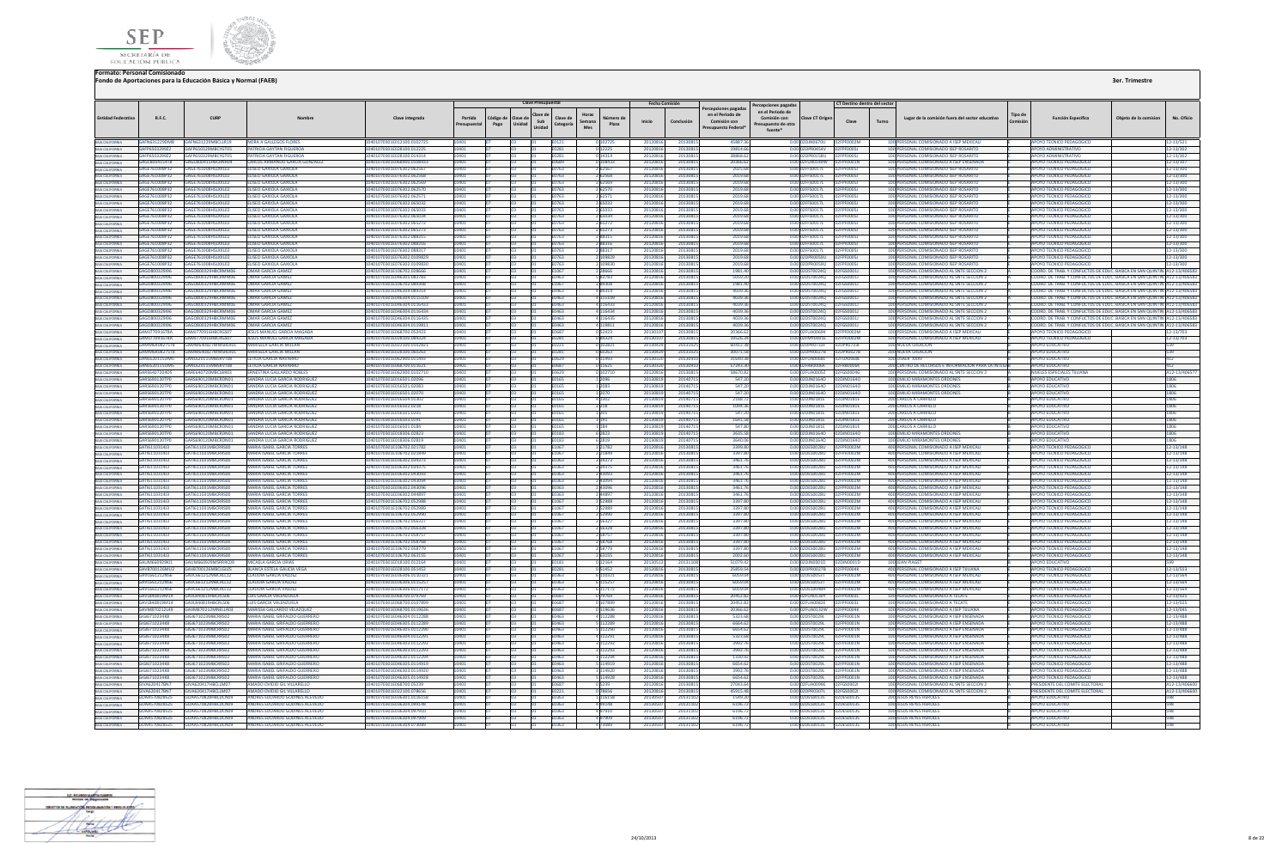



|         |                     | 3er. Trimestre        |  |
|---------|---------------------|-----------------------|--|
| Tipo de | Francisco Francisco | Objeto de la comicion |  |

|                                                                                             |                                |                                                          |                                                                  |                                                          |                        |                   | <b>Clave Pres</b>                   |                                                 |                    | Fecha Comisión       |                     |                                                                                | Percepciones pagada:                                               |                                                          | CT Destino dentro del secto   |       |                                                                                          |                            |                                                                                                                                                           |                                                                          |
|---------------------------------------------------------------------------------------------|--------------------------------|----------------------------------------------------------|------------------------------------------------------------------|----------------------------------------------------------|------------------------|-------------------|-------------------------------------|-------------------------------------------------|--------------------|----------------------|---------------------|--------------------------------------------------------------------------------|--------------------------------------------------------------------|----------------------------------------------------------|-------------------------------|-------|------------------------------------------------------------------------------------------|----------------------------|-----------------------------------------------------------------------------------------------------------------------------------------------------------|--------------------------------------------------------------------------|
| <b>Entidad Federativa</b>                                                                   | R.F.C.                         | CURF                                                     |                                                                  | Clave integrada                                          | Partida<br>Presupuesta | Código de<br>Pago | Clave de<br>Sub<br>Unidad<br>Unidad | Horas<br>Clave de<br>Semana<br>Categoría<br>Mes | Número d<br>Plaza  | Inicio               | Conclusión          | ercepciones pagadas<br>en el Periodo de<br>Comisión con<br>Presupuesto Federal | en el Periodo de<br>Comisión con<br>Presupuesto de otra<br>fuente* | Clave CT Origen                                          | Clave                         | Turno | Lugar de la comisión fuera del sector educativo                                          | <b>Tipo</b> de<br>Comisión | <b>Función Específica</b>                                                                                                                                 | No. Oficio<br>Obieto de la comision                                      |
| BAIA CALIFORNIA<br>BAIA CALIFORNIA                                                          |                                | GAFN631229DM8 GAFN631229MBCLLR19                         | <b>NORA A GALLEGOS FLORES</b>                                    | 10401070301E012100.0102725                               | 10401                  |                   |                                     | E0121                                           | 0 102725           | 20120816             | 20130815            | 45887.36                                                                       |                                                                    | 0.00 02DJN0670U 02FPF0002M                               |                               |       | 100 PERSONAL COMISIONADO A ISEP MEXICALI                                                 |                            | APOYO TECNICO PEDAGOGICO                                                                                                                                  | 12-13/521                                                                |
|                                                                                             | GAFP650329922                  | GAFP650329MRCYGT05                                       | PATRICIA GAYTAN FIGUEROA                                         | 10401070301F028100 012225                                |                        |                   |                                     | <b>F0281</b>                                    |                    | 20120816             | 2013081             | 19814.6                                                                        |                                                                    | 0.00 02DPR0454V                                          | <b>IndEpErionST</b>           |       | 100 PERSONAL COMISIONADO ISEP ROSARITO                                                   |                            | ΔΡΩΥΩ ΔΩΜΙΝΙΣΤΡΑΤΙΝΩ                                                                                                                                      | 12-13/302                                                                |
| BAJA CALIFORNIA                                                                             | GAFP6503299Z2                  |                                                          | PATRICIA GAYTAN FIGUERO                                          | 01E028100.014314                                         |                        |                   |                                     | E0281                                           | 0 14314            | 20120816             | 2013081             | 38868.6                                                                        |                                                                    | 0.00 02DPR0158U                                          |                               |       | 100 PERSONAL COMISIONADO ISEP ROSA                                                       |                            | <b>APOYO ADMINISTRATIVO</b>                                                                                                                               | 12-13/302                                                                |
| BAJA CALIFORNIA<br>BAJA CALIFORNIA                                                          | GAGC8004154T8                  | GAGC800415HBCRNR04                                       | CARLOS ARMANDO GARCIA GONZALEZ                                   | 10401070301E068900.0108433                               |                        |                   |                                     | E0689                                           | 108433             | 20120816             | 2013081             | 20366.62                                                                       |                                                                    | 0.00 02FUA0149W                                          | 2FPF0001N                     |       | 100 PERSONAL COMISIONADO A ISEP ENSENADA                                                 |                            | OYO TECNICO PEDAGOGICO                                                                                                                                    | 2-13/107                                                                 |
|                                                                                             | GAGE761008P32                  | <b>GAGE761008HSLXXL02</b>                                | ELISEO GAXIOLA GAXIOLA                                           | 10401070301E076302.062567                                | 0401                   |                   |                                     | F0763                                           | 2.62567            | 20120816             | 2013081             | 2025.61                                                                        |                                                                    | 0.00 02EES0017L                                          | 02FPF00051                    |       | 100 PERSONAL COMISIONADO ISEP ROSARITO                                                   |                            | APOYO TECNICO PEDAGOGICO                                                                                                                                  | 12-13/300                                                                |
| BAJA CALIFORNIA                                                                             | GAGE761008P32                  | GAGE761008HSLXXL02                                       | <b>FLISEO GAXIOLA GAXIOLA</b>                                    | 10401070301E076302.062568                                | 0.011                  |                   |                                     | <b>F0763</b>                                    | 2 62568            | 20120816             | 20130815            | 2019.61                                                                        |                                                                    | 0.00 02FFS0017L                                          | 02FPE00051                    |       | 100 PERSONAL COMISIONADO ISEP ROSARITO                                                   |                            | APOYO TECNICO PEDAGOGICO                                                                                                                                  | 12-13/300                                                                |
| BAJA CALIFORNIA<br>BAJA CALIFORNIA<br>BAJA CALIFORNIA                                       | GAGE761008P32                  | GAGE761008HSLXXL02                                       | <b>TIKED GAXIOLA GAXIOLA</b>                                     | 0401070301E076302.062569                                 |                        |                   |                                     |                                                 |                    | 201208               | 201308              | 2019.6                                                                         |                                                                    | 0.00 02FFS0017L                                          | PENNOSI                       |       | 100 PERSONAL COMISIONADO ISEP ROSARITO                                                   |                            | POYO TECNICO PEDAGOGICO                                                                                                                                   | 2-13/300                                                                 |
|                                                                                             | GAGE761008P32                  | GAGE761008HSLXXL02                                       | <b>ELISEO GAXIOLA GAXIOLA</b>                                    | 10401070301E076302.062570                                |                        |                   |                                     | E0763                                           | 2 62570            | 20120816             | 2013081             | 2019.68                                                                        |                                                                    | 0.00 02FFS0017L                                          | acocology                     |       | 100 PERSONAL COMISIONADO ISEP ROSARITO                                                   |                            | APOYO TECNICO PEDAGOGICO                                                                                                                                  | 12-13/300                                                                |
| BAIA CALIFORNIA<br>BAIA CALIFORNIA<br>BAIA CALIFORNIA<br>BAIA CALIFORNIA<br>BAIA CALIFORNIA | GAGE761008P32                  | GAGE761008HSLXXL02                                       | ELISEO GAXIOLA GAXIOLA                                           | I0401070301E076302.062571                                |                        |                   |                                     | 0763                                            |                    | 2012081              | 2013081             | 2019.6                                                                         |                                                                    | 0.00 02FFS0017L                                          | PFOODSJ                       |       | 100 PERSONAL COMISIONADO ISEP ROSARITO                                                   |                            | POYO TECNICO PEDAGOGICO                                                                                                                                   | $2 - 13/300$                                                             |
|                                                                                             | GAGE761008P32                  | <b>GAGEZ61008HSLXXL02</b>                                | <b>FLISEO GAXIOLA GAXIOLA</b>                                    | 10401070301E076302.065032                                |                        |                   |                                     | <b>F0763</b>                                    | 2 65032            | 20120816             | 2013081             | 2019.61                                                                        |                                                                    | 0.00102EES0017L                                          | 12FPF00051                    |       | 100 PERSONAL COMISIONADO ISEP ROSARITO                                                   |                            | APOYO TECNICO PEDAGOGICO                                                                                                                                  | 12-13/300                                                                |
|                                                                                             | GAGE761008P32                  | GAGE 761008HSLXXL02                                      | FLISEO GAXIOLA GAXIOLA                                           | 10401070301E076302.065033                                |                        |                   |                                     | E0763                                           | 2 65033            | 20120816             | 2013081             | 2019.6                                                                         |                                                                    | 0.00.02EES0017L 02EPE000SL                               |                               |       | 100 PERSONAL COMISIONADO ISEP ROSARITO                                                   |                            | <b>APOYO TECNICO PEDAGOGICO</b>                                                                                                                           | 12-13/300                                                                |
|                                                                                             | GAGE761008P32                  | GAGE761008HSLXXL02                                       | ELISEO GAXIOLA GAXIOLA                                           | 10401070301E076302.065034                                |                        |                   |                                     | E0763                                           |                    | 2012081              | 2013081             | 2019.6                                                                         |                                                                    | 0.00 02FFS0017L                                          | 2FPF0005J                     |       | 100 PERSONAL COMISIONADO ISEP ROSARITO                                                   |                            | <b>APOYO TECNICO PEDAGOGICO</b>                                                                                                                           | 12-13/300                                                                |
|                                                                                             | GAGE761008P32                  | GAGE761008HSLXXL02                                       | ELISEO GAXIOLA GAXIOLA                                           | 10401070301E076302.065272                                |                        |                   |                                     | E0763                                           | 2 65272            | 20120816             | 2013081             | 2019.61                                                                        |                                                                    | 0.00 02FFS0017L                                          | 02FPF0005J                    |       | 100 PERSONAL COMISIONADO ISEP ROSARITO                                                   |                            | <b>APOYO TECNICO PEDAGOGICO</b>                                                                                                                           | 12-13/300                                                                |
| BAJA CALIFORNIA                                                                             | GAGE761008P32                  | GAGE761008HSLXXL02                                       | FLISEO GAXIOLA GAXIOLA                                           | 10401070301E076302.065273                                | 0401                   |                   |                                     | E0763                                           | 2 65273            | 20120816             | 20130815            | 2019.68                                                                        |                                                                    | 0.00 02FFS0017L 02FPF0005J                               |                               |       | 100 PERSONAL COMISIONADO ISEP ROSARITO                                                   |                            | APOYO TECNICO PEDAGOGICO                                                                                                                                  | 12-13/300                                                                |
| <b>BAJA CALIFORNIA</b>                                                                      | GAGE761008P32                  | GAGE761008HSLXXL02                                       | ELISEO GAXIOLA GAXIOLA                                           | 10401070301E076302.088315                                |                        |                   |                                     | E0763                                           | 288315             | 2012081              | 2013081             | 2019.61                                                                        |                                                                    | 0.00 02FFS0017L                                          | 02FPF00051                    |       | 100 PERSONAL COMISIONADO ISEP ROSARITO                                                   |                            | APOYO TECNICO PEDAGOGICO                                                                                                                                  | 12-13/300                                                                |
| BAJA CALIFORNIA                                                                             | <b>GAGE761008P32</b>           | GAGE761008HSLXXL02                                       | <b>FLISEO GAXIOLA GAXIOLA</b>                                    | 10401070301E076302.088316                                |                        |                   |                                     | E0763                                           | 288316             | 2012081              | 2013081             | 2019 61                                                                        |                                                                    | 0.00 02FFS0017L                                          | 02FPF00051                    |       | 100 PERSONAL COMISIONADO ISEP ROSARITO                                                   |                            | <b>APOYO TECNICO PEDAGOGICO</b>                                                                                                                           | 12-13/300                                                                |
|                                                                                             | GAGE761008P32                  | GAGE761008HSLXXL02                                       | <b>ELISEO GAXIOLA GAXIOLA</b>                                    | I0401070301E076302.088317                                |                        |                   |                                     | FN763                                           | 288317             | 2012081              | 2013081             | 2019.6                                                                         |                                                                    | 0.00 02FFS0017L                                          | PENNOSI                       |       | 100 PERSONAL COMISIONADO ISEP ROSARITO                                                   |                            | APOYO TECNICO PEDAGOGICO                                                                                                                                  | 12-13/300                                                                |
|                                                                                             | GAGE761008P32                  | GAGE761008HSLXXL02                                       | <b>ELISEO GAXIOLA GAXIOLA</b>                                    | 10401070301E076302.0109829                               |                        |                   |                                     | E0763                                           | 2109829            | 20120816             | 2013081             | 2019.61                                                                        |                                                                    | 0.00102DPR0059U                                          | <b>2EPENDOSI</b>              |       | 100 PERSONAL COMISIONADO ISEP ROSARITO                                                   |                            | APOYO TECNICO PEDAGOGICO                                                                                                                                  | 12-13/300                                                                |
| BAIA CALIFORNIA<br>BAIA CALIFORNIA<br>BAIA CALIFORNIA<br>BAIA CALIFORNIA<br>BAIA CALIFORNIA | GAGE761008P32                  | GAGE761008HSLXXL02                                       | ELISEO GAXIOLA GAXIOLA                                           | 0401070301E076302.0109830                                |                        |                   |                                     | E0763                                           | 109830             | 2012081              | 2013081             | 2019.6                                                                         |                                                                    | 0.00 02DPR0059U                                          | 2FPF0005J                     |       | 100 PERSONAL COMISIONADO ISEP ROSARITO                                                   |                            | OYO TECNICO PEDAGOGICO                                                                                                                                    | 12-13/300                                                                |
|                                                                                             |                                |                                                          | OMAR GARCIA GAMEZ                                                | 10401070301E106702.028666                                |                        |                   |                                     | F1067                                           | 2.28666            | 20120816             | 20130815            | 1981.40                                                                        |                                                                    |                                                          |                               |       | 100 PERSONAL COMISIONADO AL SNTE SECCION 2                                               |                            | COORD, DE TRAB, Y CONFLICTOS DE EDUC, BASICA EN SAN QUINTIN A12-13/406583                                                                                 |                                                                          |
|                                                                                             | GAGO800329196                  | GAGORO0329HRCRMMO6                                       | <b>OMAR GARCIA GAME</b>                                          | 10401070301F046305.083783                                |                        |                   |                                     | E0463                                           | 583783             | 2012081              | 2013081             | 5059.20                                                                        |                                                                    | 0.00.02DST0024Q                                          | 02FGS0001                     |       | 100 PERSONAL COMISIONADO AL SNTE SECCION                                                 |                            | COORD. DE TRAB. Y CONFLICTOS DE EDUC. BASICA EN SAN QUINTIN A12-13/406583                                                                                 |                                                                          |
| BAIA CALIFORNIA                                                                             | GAGO800329I96                  | GAGO800329HBCRMM06                                       | <b>OMAR GARCIA GAME</b>                                          | 0401070301E106702.089308                                 |                        |                   |                                     |                                                 | 289308             | 2012081              | 2013081             | 1981.40                                                                        |                                                                    | 2DST0024Q                                                | 2FGS0001J                     |       | 100 PERSONAL COMISIONADO AL SNTE SECCION 2                                               |                            |                                                                                                                                                           | DORD, DE TRAB, Y CONFLICTOS DE EDUC, BASICA EN SAN QUINTIN A12-13/406583 |
| BAJA CALIFORNIA                                                                             | GAGO800329196                  | GAGO800329HBCRMM06<br>GAGORO0329HRCRMM06                 | OMAR GARCIA GAME<br>OMAR GARCIA GAME                             | 0401070301E046304.089314                                 |                        |                   |                                     | E0463                                           | 489314             | 2012081              | 2013081             | 4039.3                                                                         |                                                                    | 0.00 02DST0024Q                                          | 02FGS0001J                    |       | 100 PERSONAL COMISIONADO AL SNTE SECCION 2                                               |                            |                                                                                                                                                           | OORD. DE TRAB. Y CONFLICTOS DE EDUC. BASICA EN SAN QUINTIN A12-13/406583 |
| BAIA CALIFORNIA<br>BAIA CALIFORNIA<br>BAIA CALIFORNIA                                       | GAGO800329I96                  | GAGORO0329HRCRMM06                                       |                                                                  | I0401070301E046304.0115109                               |                        |                   |                                     | E0463                                           | 4 115109           | 20120816             | 20130815            | 4039.36                                                                        |                                                                    | 0.00 02DST0024Q 02FGS0001J                               |                               |       | 100 PERSONAL COMISIONADO AL SNTE SECCION 2                                               |                            | COORD. DE TRAB. Y CONFLICTOS DE EDUC. BASICA EN SAN QUINTIN A12-13/406583                                                                                 |                                                                          |
|                                                                                             | GAGORD0329196<br>CACORDOZZQIQ6 | GAGORDO229HRCPMMAD6                                      | OMAR GARCIA GAME<br>OMAR GARCIA GAME                             | 10401070301E046304.0116433<br>10401070301E046304:0116434 |                        |                   |                                     | Fabn <sup>:</sup><br>EOA63                      | 116433<br>4 116434 | 2012081<br>20120816  | 2013081<br>20120815 | 4039.34<br>4039.36                                                             |                                                                    | 0.00.02DST0024Q 02EGS0001L<br>0.00102DST00240 02EGS00011 |                               |       | 100 PERSONAL COMISIONADO AL SNTE SECCION 2<br>100 PERSONAL COMISIONADO AL SNTE SECCION 2 |                            | COORD, DE TRAR, Y CONFLICTOS DE EDUC, RASICA EN SAN OUINTIN, A12-13/406583.<br>COORD, DE TRAB Y CONFLICTOS DE EDUC, BASICA EN SAN OUINTIN (A12-13/406583) |                                                                          |
|                                                                                             |                                | GAGO800329HBCRMM06                                       |                                                                  |                                                          |                        |                   |                                     |                                                 |                    |                      |                     |                                                                                |                                                                    |                                                          |                               |       |                                                                                          |                            |                                                                                                                                                           |                                                                          |
| BAIA CALIFORNIA<br>BAIA CALIFORNIA                                                          | GAGO800329I96                  |                                                          | OMAR GARCIA GAMEZ                                                | 0401070301E046304.0116435                                |                        |                   |                                     | 0463                                            |                    | 201208               | 2013081             | 4039.3                                                                         | 0.00                                                               | ST0024Q                                                  | FGS00011                      |       | 100 PERSONAL COMISIONADO AL SNTE SECCION :                                               |                            | COORD. DE TRAB. Y CONFLICTOS DE EDUC. BASICA EN SAN QUINTIN A12-13/406583                                                                                 |                                                                          |
|                                                                                             |                                | GAGO800329I96 GAGO800329HBCRMM06 OMAR GARCIA GAMEZ       |                                                                  | 10401070301E046304.0119811                               |                        |                   |                                     | E0463                                           | 4 119811           | 20120816             | 20130815            | 4039.36                                                                        |                                                                    |                                                          |                               |       | 100 PERSONAL COMISIONADO AL SNTE SECCION 2                                               |                            | COORD, DE TRAB. Y CONFLICTOS DE EDUC. BASICA EN SAN QUINTIN A12-13/406583                                                                                 |                                                                          |
| BAJA CALIFORNIA<br>BAJA CALIFORNIA<br>BAJA CALIFORNIA                                       |                                | GAMI770916TRA GAMI770916HRCRGS07<br>GAMIZZ0916HBCRGS07   | <b>IFSUS MANUEL GARCIA MAGADA</b>                                | 10401070301F068700.052423                                | 10401                  |                   |                                     | <b>F0687</b>                                    | 052423             | 2013010              | 20130815            | 20366.62                                                                       |                                                                    | 0.00.02EUA0069K 02EPE0002M                               |                               |       | 100 PERSONAL COMISIONADO A ISEP MEXICALL                                                 |                            | APOYO TECNICO PEDAGOGICO                                                                                                                                  | 12-13/703                                                                |
|                                                                                             | <b>GAM1770916TRA</b>           |                                                          | JESUS MANUEL GARCIA MAGADA                                       | 10401070301F028100.084324                                |                        |                   |                                     | <b>F0281</b>                                    | 084324             | 201301               | 20130815            | 1952634                                                                        |                                                                    | 0.00.02EMY0001E 02EPE0002M                               |                               |       | 100 PERSONAL COMISIONADO A ISEP MEXICALL                                                 |                            | APOYO TECNICO PEDAGOGICO                                                                                                                                  | 12-13/703                                                                |
|                                                                                             | GAMM6408275T8                  | GAMM640827MMSRLR01                                       | <b>MARISELA GARCIA MILLAI</b>                                    | 10401070301E022100.010282                                |                        |                   |                                     | E0221                                           | 0 102821           | 201304               | 2013102             | 60412.3                                                                        |                                                                    | 0.00 02DPR0733F 02DPR0733F                               |                               |       | 100 NUEVA CREACION                                                                       |                            | <b>POYO EDUCATIVI</b>                                                                                                                                     | 539                                                                      |
| BAIA CALIFORNIA<br>BAIA CALIFORNIA<br>BAIA CALIFORNIA<br>BAIA CALIFORNIA<br>BAIA CALIFORNIA | GAMM6408275T8                  | GAMM640827MMSRLR01<br>GANI 620115UM5 GANI 620115MRSRVTOR | MARISELA GARCIA MILLAN                                           | I0401070301E028100.060263                                |                        |                   |                                     | :0281                                           | 60263              | 201304               | 2013102             | 30071.5                                                                        |                                                                    |                                                          |                               |       | <b>200 NUEVA CREACION</b>                                                                |                            | <b>POYO EDUCATIVO</b>                                                                                                                                     | 39                                                                       |
|                                                                                             |                                | GANL620115UM5 GANL620115MBSRVT08                         | <b>IFTICIA GARCIA NAVARRO</b><br><b>IFTICIA GARCIA NAVARRO</b>   | 10401070301E062900.011493<br>10401070301E068700 011621   |                        |                   |                                     | F0629                                           | 0 11493            | 2013032<br>20130320  | 2013091<br>2013091  | 31640.3<br>57243.30                                                            |                                                                    | 0.00.02FUA0068L 02FUA0068L<br>0.0002FRR0006K 02FRR0006K  |                               |       | 100 USAFR XXXV<br>200 CENTRO DE RECURSOS E INFORMACION PARA LA INTEGR                    |                            | <b>APOYO EDUCATIVO</b><br>ΔΡΟΥΩ ΕΠΙΙΣΑΤΙΝΩ                                                                                                                | 412                                                                      |
|                                                                                             | GARE6407204D5                  | GARESADZZOMRCJ RRD2                                      | <b>ERNESTINA GALLARDO ROBLES</b>                                 | 10401070301E062900.0102710                               |                        |                   |                                     | <b>F0687</b><br><b>PO620</b>                    | 0 11621<br>1102710 | 2012081              | 2013081             | 58670.83                                                                       |                                                                    | 0.00 02FUA0005Z 02FGS0004G                               |                               |       | 100 PERSONAL COMISIONADO AL SNTE SECCION 2                                               |                            | <b>NIVELES ESPECIALES TUUANA</b>                                                                                                                          | 412                                                                      |
|                                                                                             |                                |                                                          |                                                                  |                                                          |                        |                   |                                     |                                                 |                    |                      |                     |                                                                                |                                                                    |                                                          |                               |       |                                                                                          |                            |                                                                                                                                                           | A12-13/40657                                                             |
|                                                                                             | GARS690120TP0                  | GARS690120MBCRDN01<br>GARS690120MBCRDN01                 | SANDRA LUCIA GARCIA RODRIGUEZ                                    | 10401070301E016501.02096                                 |                        |                   |                                     | E0165                                           | 1 2096             | 20130819             | 20140715            | 547.20                                                                         |                                                                    | 0.00 02DJN01640  02DJN01640                              |                               |       | 100 EMILIO MIRAMONTES ORDONES                                                            |                            | <b>APOYO EDUCATIVO</b>                                                                                                                                    | 1806                                                                     |
| BAJA CALIFORNIA<br>BAJA CALIFORNIA                                                          | GARS690120TPD<br>GARS690120TPD | GARS690120MBCRDN01                                       | SANDRA LUCIA GARCIA RODRIGUEZ<br>SANDRA LUCIA GARCIA RODRIGUEZ   | 10401070301E016501.02083<br>10401070301F016501 02070     | 10401                  |                   |                                     | <b>F0165</b><br><b>F0165</b>                    | 1 2083<br>1 2070   | 20130819<br>20130819 | 2014071<br>20140715 | 547.20<br>547.20                                                               |                                                                    | 0.00 02DJN0164O  02DJN0164O<br>0.0002DIN01640 02DIN01640 |                               |       | 100 EMILIO MIRAMONTES ORDONES<br>100 FMILIO MIRAMONTES ORDONES                           |                            | APOYO EDUCATIVO<br>ΔΡΩΥΩ ΕΠΙΙΣΑΤΙΛΩ                                                                                                                       | 1806<br>1806                                                             |
| BAJA CALIFORNIA                                                                             | GARSSON120TRO                  | GARSSON120MBCRDM01                                       | SANDRA LUCIA GARCIA RODRIGUEZ                                    | 10401070201E016504.01207                                 | 10401                  |                   |                                     | E0165                                           | 4 1 3 0 2          | 20130819             | 2014071             | 2188.72                                                                        |                                                                    | 0.000201N0181E 0201N0181E                                |                               |       | 200 CARLOS A CARRILLO                                                                    |                            | <b>AROVO EDUCATIVO</b>                                                                                                                                    | 1806                                                                     |
|                                                                                             | GARS690120TP0                  | GARS690120MBCRDN01                                       | SANDRA LUCIA GARCIA RODRIGUEZ                                    | 10401070301E016502.0218                                  |                        |                   |                                     |                                                 | 2 2 18             | 2013081              | 2014071             | 1094.3                                                                         |                                                                    | 0.00 02DJN0181E                                          | 02DJN0181E                    |       | <b>200 CARLOS A CARRILLO</b>                                                             |                            | <b>APOYO EDUCATIVO</b>                                                                                                                                    | 1806                                                                     |
| BAJA CALIFORNIA<br>BAJA CALIFORNIA                                                          | <b>GARS690120TPD</b>           | GARS690120MBCRDN01                                       | SANDRA LUCIA GARCIA RODRIGUE                                     | 10401070301F016501.020                                   |                        |                   |                                     |                                                 |                    | 201308               | 201407              | 547.2                                                                          |                                                                    | 0.00 02DJN0181E                                          | 02DJN01818                    |       | <b>200 CARLOS A CARRILLO</b>                                                             |                            | <b>APOYO EDUCATIVA</b>                                                                                                                                    | 1806                                                                     |
| BAJA CALIFORNIA                                                                             | GARS690120TP0                  | GARS690120MBCRDN01                                       | SANDRA LUCIA GARCIA RODRIGUEZ                                    | 10401070301E016503.0191                                  |                        |                   |                                     | <b>F0165</b>                                    | 3 191              | 20130819             | 20140715            | 1641.58                                                                        |                                                                    |                                                          |                               |       | 200 CARLOS A CARRILLO                                                                    |                            | APOYO EDUCATIVO                                                                                                                                           | 1806                                                                     |
|                                                                                             | GARS690120TPD                  | GARS690120MRCRDN01                                       | SANDRA LUCIA GARCIA RODRIGUEZ                                    | 10401070301F016501 0184                                  |                        |                   |                                     | <b>F0165</b>                                    | 1 124              | 20130819             | 2014071             | 547.80                                                                         |                                                                    | 0.0002DIN0181F 02DIN0181F                                |                               |       | 200 CARLOS A CARRILLO                                                                    |                            | ΔΡΟΥΩ ΕΒΗΓΑΤΙΛΩ                                                                                                                                           | 1806                                                                     |
| BAIA CALIFORNIA<br>BAIA CALIFORNIA                                                          | GARS690120TP0                  | GARS690120MBCRDN01                                       | SANDRA LUCIA GARCIA RODRIGUEZ                                    | 10401070301E018306.02823                                 |                        |                   |                                     | E0183                                           | 6 2823             | 20130819             | 2014071             | 3635.58                                                                        |                                                                    | 0.00 02DJN0164O 02DJN0164O                               |                               |       | 100 EMILIO MIRAMONTES ORDONES                                                            |                            | APOYO EDUCATIVO                                                                                                                                           | 1806                                                                     |
|                                                                                             | GARS690120TP0                  | 5AR5690120MBCRDN01                                       | SANDRA LUCIA GARCIA RODRIGUEZ                                    | 10401070301E018306.02819                                 |                        |                   |                                     | E0183                                           | 6 2819             | 20130819             | 2014071             | 3640.0                                                                         |                                                                    | 0.00 02DJN0164O 02DJN0164O                               |                               |       | 100 EMILIO MIRAMONTES ORDONES                                                            |                            | OYO EDUCATIVO                                                                                                                                             | 806                                                                      |
| BAIA CALIFORNIA<br>BAIA CALIFORNIA                                                          | GATI611031413                  | GATI611031MRCRRS00                                       | MARIA ISAREL GARCIA TORRES                                       | 10401070301E106702.021782                                | 0401                   |                   |                                     | F1067                                           | 2 2 1 7 8 2        | 20120816             | 20130815            | 3399.80                                                                        |                                                                    | 0.00.02DES0028U 02EPE0002M                               |                               |       | 400 PERSONAL COMISIONADO A ISEP MEXICALI                                                 |                            | APOYO TECNICO PEDAGOGICO                                                                                                                                  | 12-13/148                                                                |
| BAIA CALIFORNIA                                                                             | GATI611031413                  | GATI611031MRCRRS00                                       | <b>MARIA ISAREL GARCIA TORRES</b>                                | 10401070301E106702.021849                                |                        |                   |                                     | F1067                                           | 2 2 1 8 4 9        | 20120816             | 2013081             | 3397.80                                                                        |                                                                    | 0.00.02DES0028U                                          | 12EDE000284                   |       | 400 PERSONAL COMISIONADO A ISEP MEXICALI                                                 |                            | <b>APOYO TECNICO PEDAGOGICO</b>                                                                                                                           | 12-13/148                                                                |
| BAJA CALIFORNIA                                                                             | <b>GATI611031413</b>           | GATI611031MRCRRS00                                       | <b>MARIA ISAREL GARCIA TORRES</b>                                | 10401070301F036302.034373                                |                        |                   |                                     | F0363                                           | 2 34373            | 20120816             | 20130815            | 3461.76                                                                        |                                                                    | 0.00102DES0028U                                          | <b>FOODZM</b>                 |       | 400 PERSONAL COMISIONADO A ISEP MEXICALL                                                 |                            | APOYO TECNICO PEDAGOGICO                                                                                                                                  | 12-13/148                                                                |
| BAJA CALIFORNIA                                                                             | GATI611031413                  | CATIS11021MBCRRS00                                       | MARIA ISABEL GARCIA TORRES                                       | 10401070301E036302.034375                                |                        |                   |                                     | E0363                                           | 2 34375            | 20120816             | 20130815            | 3461.7                                                                         |                                                                    | 0.00102DES0028U                                          | <b>DENNATAL</b>               |       | 400 PERSONAL COMISIONADO A ISEP MEXICALI                                                 |                            | AROVO TECNICO REDAGOGICO                                                                                                                                  | 12-13/148                                                                |
|                                                                                             | GATI6110314J3                  | AT1611031MBCRRS00                                        | <b>MARIA ISABEL GARCIA TORRES</b>                                | 0401070301E036302.043093                                 |                        |                   |                                     | 0363                                            | 243093             | 201208               | 2013081             | 3461.                                                                          |                                                                    | 0.00 02DES0028U                                          | F0002M                        |       | 400 PERSONAL COMISIONADO A ISEP MEXICAL                                                  |                            | <b>IPOYO TECNICO PEDAGOGICO</b>                                                                                                                           | $2 - 13/148$                                                             |
| BAIA CALIFORNIA<br>BAIA CALIFORNIA                                                          | GATI611031413                  | GATI611031MRCRRS00                                       | MARIA ISAREL GARCIA TORRES                                       | 10401070301E036302.043094                                |                        |                   |                                     | <b>F0363</b>                                    | 2 43094            | 20120816             | 20130815            | 3461.7                                                                         |                                                                    | 0.00.02DES0028U                                          | <b>F0002M</b>                 |       | 400 PERSONAL COMISIONADO A ISEP MEXICAL                                                  |                            | APOYO TECNICO PEDAGOGICO                                                                                                                                  | 12-13/148                                                                |
|                                                                                             | GAT16110314J3                  | GATI611031MBCRRS00                                       | MARIA ISABEL GARCIA TORRES                                       | 10401070301E036302.043096                                |                        |                   |                                     | E0363                                           | 2 43096            | 20120816             | 20130815            | 3461.7                                                                         |                                                                    | 0.00 02DES0028U 02FPF0002M                               |                               |       | 400 PERSONAL COMISIONADO A ISEP MEXICALI                                                 |                            | APOYO TECNICO PEDAGOGICO                                                                                                                                  | 12-13/148                                                                |
| BAIA CALIFORNIA<br>BAIA CALIFORNIA<br>BAIA CALIFORNIA                                       | GATI6110314J3                  | GAT1611031MBCRRS00                                       | <b>MARIA ISABEL GARCIA TORRE</b>                                 | 10401070301E036302.04489                                 |                        |                   |                                     | E0363                                           |                    | 201208               | 2013081             | 3461.                                                                          |                                                                    | 0.00 02DES0028U                                          | FPF0002M                      |       | 400 PERSONAL COMISIONADO A ISEP MEXICAL                                                  |                            | <b>APOYO TECNICO PEDAGOGICO</b>                                                                                                                           | 12-13/148                                                                |
|                                                                                             | GATI6110314J3                  | GAT1611031MBCRRS00                                       | <b>MARIA ISABEL GARCIA TORRES</b>                                | 10401070301E106702.052988                                |                        |                   |                                     | E1067                                           | 2 5 2 9 8 8        | 20120816             | 20130815            | 3397.80                                                                        |                                                                    | 0.00 02DES0028U                                          |                               |       | 400 PERSONAL COMISIONADO A ISEP MEXICALI                                                 |                            | APOYO TECNICO PEDAGOGICO                                                                                                                                  | 12-13/148                                                                |
| BAJA CALIFORNIA                                                                             | GAT16110314J3                  | GAT1611031MBCRRS00                                       | <b>MARIA ISAREL GARCIA TORRES</b>                                | 10401070301E106702.052989                                |                        |                   |                                     | E1067                                           | 252989             | 20120816             | 20130815            | 3397.80                                                                        |                                                                    | 0.00 02DES0028U                                          | 02EPE0002M                    |       | 400 PERSONAL COMISIONADO A ISEP MEXICALI                                                 |                            | APOYO TECNICO PEDAGOGICO                                                                                                                                  | 12-13/148                                                                |
| <b>BAJA CALIFORNIA</b>                                                                      | GAT16110314J3                  | GATI611031MBCRRS00                                       | MARIA ISABEL GARCIA TORRES                                       | 10401070301E106702.052990                                |                        |                   |                                     | F1067                                           | 2 52990            | 20120816             | 20130815            | 3397.80                                                                        |                                                                    | 0.00 02DES0028U 02FPF0002M                               |                               |       | 400 PERSONAL COMISIONADO A ISEP MEXICALI                                                 |                            | APOYO TECNICO PEDAGOGICO                                                                                                                                  | $12 - 13/148$                                                            |
| BAJA CALIFORNIA                                                                             | GATI611031413                  | GATI611031MRCRRS00                                       | <b>MARIA ISAREL GARCIA TORRES</b>                                | 10401070301E106702.056327                                |                        |                   |                                     | F1067                                           | 2.56327            | 20120816             | 2013081             | 3397.80                                                                        |                                                                    | 0.00.02DES0028U                                          | FPF0002M                      |       | 400 PERSONAL COMISIONADO A ISEP MEXICALI                                                 |                            | APOYO TECNICO PEDAGOGICO                                                                                                                                  | 12-13/148                                                                |
|                                                                                             | GATI611031413                  | GATI611031MRCRRS00                                       | <b>MARIA ISAREL GARCIA TORRES</b>                                | 10401070301F106702.056328                                |                        |                   |                                     | <b>E1067</b>                                    | 56328              | 2012081              | 2013081             | 3397.80                                                                        |                                                                    | 0.00102DES002RU                                          | <b>ENONYME</b>                |       | 400 PERSONAL COMISIONADO A ISEP MEXICALI                                                 |                            | APOYO TECNICO PEDAGOGICO                                                                                                                                  | 2-13/148                                                                 |
| BAIA CALIFORNIA<br>BAIA CALIFORNIA                                                          | GAT16110314J3                  | GATI611031MBCRRS00                                       | <b>MARIA ISABEL GARCIA TORRES</b>                                | I0401070301E106702.058757                                |                        |                   |                                     | E1067                                           | 258753             | 2012081              | 2013081             | 3397.80                                                                        |                                                                    | 0.00 02DES0028U                                          |                               |       | 400 PERSONAL COMISIONADO A ISEP MEXICAL                                                  |                            | <b>APOYO TECNICO PEDAGOGICO</b>                                                                                                                           | 12-13/148                                                                |
| BAIA CALIFORNIA<br>BAIA CALIFORNIA<br>BAIA CALIFORNIA                                       | GATI6110314J3                  | GAT1611031MBCRRS00                                       | <b>MARIA ISABEL GARCIA TORRES</b>                                | I0401070301E106702.058768                                |                        |                   |                                     | E1067                                           | 258768             | 20120816             | 20130815            | 3397.80                                                                        |                                                                    | 0.00 02DES0028U                                          | FOOD2M                        |       | 400 PERSONAL COMISIONADO A ISEP MEXICALI                                                 |                            | APOYO TECNICO PEDAGOGICO                                                                                                                                  | 12-13/148                                                                |
|                                                                                             | GATI611031413                  | GATI611031MRCRRS00                                       | <b>MARIA ISABEL GARCIA TORRES</b>                                | 10401070301E106702.058779                                |                        |                   |                                     | F1067                                           | 2.58779            | 20120816             | 20130815            | 3397.80                                                                        |                                                                    | 0.00.02DES0028U                                          | 02FPF0002M                    |       | 400 PERSONAL COMISIONADO A ISEP MEXICALI                                                 |                            | APOYO TECNICO PEDAGOGICO                                                                                                                                  | 12-13/148                                                                |
|                                                                                             | GATI611031413                  | GATI611031MRCRRS00                                       | <b>MARIA ISAREL GARCIA TORRE</b>                                 | 10401070301E106702.063155                                |                        |                   |                                     | E1067                                           | 2 63159            | 2012081              | 2013081             | 2002.60                                                                        |                                                                    | 0.00.02DES0028U                                          | <b>ENNOTA</b>                 |       | 400 PERSONAL COMISIONADO A ISEP MEXICAL                                                  |                            | <b>APOYO TECNICO PEDAGOGICO</b>                                                                                                                           | 12-13/148                                                                |
| BAJA CALIFORNIA<br>BAJA CALIFORNIA                                                          | GAU M660929KI1                 | AUM660929MSRRRC09                                        | <b>MICAELA GARCIA URIAS</b>                                      | 01070301E018100.012164                                   |                        |                   |                                     | E0181                                           | 0 12164            | 2013051              | 2013110             | 51079.4                                                                        |                                                                    | 0.00 02DJN0001D                                          | DJN0001D                      |       | 100 JEAN PIAGET                                                                          |                            | OYO EDUCATIVO                                                                                                                                             |                                                                          |
|                                                                                             | GAVB700126MU2                  | GAVB700126MBCLGL05                                       | <b>BLANCA ESTELA GALICIA VEG.</b>                                | 10401070301E028100.051452                                |                        |                   |                                     | E0281                                           | 051452             | 20120816             | 2013081             | 25859.54                                                                       |                                                                    | 0.00 02DPR0027B                                          | 02FPF0004K                    |       | 400 PERSONAL COMISIONADO A ISEP TUUANA                                                   |                            | APOYO TECNICO PEDAGOGICO                                                                                                                                  | 12-13/553                                                                |
| BAIA CALIFORNIA<br>BAIA CALIFORNIA<br>BAIA CALIFORNIA                                       | GAVC661212NS6                  | GAVC661212MBCRLL12                                       | <b>CLAUDIA GARCIA VALDEZ</b>                                     | 10401070301E036306.0110321                               |                        |                   |                                     | E0363                                           | 6 110321           | 20120816             | 2013081             | 6059.0                                                                         |                                                                    | 0.00 02DES0053T 02FPF0002M                               |                               |       | 400 PERSONAL COMISIONADO A ISEP MEXICALI                                                 |                            | APOYO TECNICO PEDAGOGICO                                                                                                                                  | 12-13/564                                                                |
|                                                                                             | <b>GAVC661212NS6</b>           | GAVC661212MRCRI112                                       | <b>CLAUDIA GARCIA VALDEZ</b>                                     | 10401070301E036306 0115257                               |                        |                   |                                     | <b>F0363</b>                                    | 6 115257           | 20120816             | 20130815            | 6059.04                                                                        |                                                                    | 0.00102DES0053T                                          | 02FPF0002M                    |       | 400 PERSONAL COMISIONADO A ISEP MEXICALL                                                 |                            | APOYO TECNICO PEDAGOGICO                                                                                                                                  | 12-13/564                                                                |
|                                                                                             | GAVGES1212NSS                  | <b>GAVC661212MBCRU12</b>                                 | CLAUDIA GARCIA VALDEZ                                            | 10401070301E036306.0117177                               |                        |                   |                                     | F0363                                           | 5117172            | 2012081              | 2013091             | 6050 C                                                                         |                                                                    | 0.00 02DES004RH                                          | <b>DENNATAL</b>               |       | 400 PERSONAL COMISIONADO A ISER MEYICALL                                                 |                            | AROVO TECNICO REDAGOGICO                                                                                                                                  | 12-13/564                                                                |
| BAIA CALIFORNIA<br>BAIA CALIFORNIA                                                          | GAVL840819M14                  | AVL840819HBCRLS06                                        | LUIS GARCIA VALENZUELA                                           | 0401070301E068700.079769                                 |                        |                   |                                     | 0687                                            | 79769              | 201208               | 2013081             | 20452.8                                                                        |                                                                    | 0.00 02FUA0130Y                                          | 0003L                         |       | 100 PERSONAL COMISIONADO A TECATE                                                        |                            | POYO TECNICO PEDAGOGICO                                                                                                                                   | $2 - 13/025$                                                             |
|                                                                                             | GAVL840819M14                  | GAVL840819HBCRLS06                                       | LUIS GARCIA VALENZUELA                                           | 10401070301E068700.0107899                               |                        |                   |                                     | <b>F0687</b>                                    | 0107899            | 20120816             | 2013081             | 20452.82                                                                       |                                                                    | 0.00 02FUA0082E                                          | <b>FOOD31</b>                 |       | 100 PERSONAL COMISIONADO A TECATE                                                        |                            | APOYO TECNICO PEDAGOGICO                                                                                                                                  | 12-13/025                                                                |
|                                                                                             | GAVM870212L49                  | GAVM870212MNFLLR03                                       | MARISSA GALLARDO VELAZQUEZ                                       | 10401070301E068700.0119636                               |                        |                   |                                     | <b>F0687</b>                                    | 0 119636           | 20120816             | 20130815            | 20366.62                                                                       |                                                                    | 0.00.02EU40132W                                          | 02FPF0004K                    |       | 100 PERSONAL COMISIONADO A ISEP TIILIANA                                                 |                            | APOYO TECNICO PEDAGOGICO                                                                                                                                  | 12-13/045                                                                |
|                                                                                             | <b>GIGI6710234KR</b>           | 36671023MBCRRS02                                         | <b>MARIA ISAREL GRIEALDO GUERRERO</b>                            | 10401070301F046304 0112288                               |                        |                   |                                     | <b>FN463</b>                                    | 112288             | 2012081              | 2013081             | 5323.6                                                                         |                                                                    | 0.00.02DST0029L                                          | FOOD1 N                       |       | 100 PERSONAL COMISIONADO A ISEP ENSENADA                                                 |                            | AROVO TECNICO REDAGOGICO                                                                                                                                  | 12-13/488                                                                |
| BAIA CALIFORNIA<br>BAIA CALIFORNIA<br>BAIA CALIFORNIA                                       | GIGI6710234K8                  | IGI671023MBCRRS02                                        | <b>MARIA ISABEL GRIFALDO GUERRER</b>                             | 10401070301E046305.0112289                               |                        |                   |                                     | E0463                                           | 5 112289           | 201208               | 20130815            | 6664.6                                                                         |                                                                    | 0.00 02DST0029L                                          |                               |       | 100 PERSONAL COMISIONADO A ISEP ENSENAD                                                  |                            | APOYO TECNICO PEDAGOGICO                                                                                                                                  | 12-13/488                                                                |
| BAJA CALIFORNIA                                                                             | GIGI6710234K8                  | IGI671023MBCRRS02                                        | MARIA ISABEL GRIFALDO GUERRERO                                   | 01070301E046305.0112290                                  |                        |                   |                                     | 1463                                            | 112290             | 2012081              | 2013081             | 6654.6                                                                         |                                                                    | 0.00 02DST0029L                                          | F0001N                        |       | 100 PERSONAL COMISIONADO A ISEP ENSENADA                                                 |                            | OYO TECNICO PEDAGOGICO                                                                                                                                    | 12-13/488                                                                |
| BAJA CALIFORNIA                                                                             | GIGI6710234KR                  | <b>GIGI671023MRCRRS02</b>                                | MARIA ISAREL GRIFALDO GUERRERO                                   | 10401070301F046304 0112291                               |                        |                   |                                     | <b>F0463</b>                                    | 4 112291           | 20120816             | 20130815            | 5323.68                                                                        |                                                                    | 0.00102DST0029L 02EPE0001N                               |                               |       | 100 PERSONAL COMISIONADO A ISEP ENSENADA                                                 |                            | APOYO TECNICO PEDAGOGICO                                                                                                                                  | 12-13/488                                                                |
| BAIA CALIFORNIA<br>BAIA CALIFORNIA<br>BAIA CALIFORNIA                                       | GIGI6710234KR                  | GIGI671023MRCRRS02                                       | MARIA ISAREL GRIFALDO GUERRERO                                   | 10401070301E046303.0112292                               |                        |                   |                                     | <b>F0463</b>                                    | 3112292            | 20120816             | 20130815            | 3992.7                                                                         |                                                                    | 0.000205700291                                           | 02FPF0001N                    |       | 100 PERSONAL COMISIONADO A ISEP ENSENADA                                                 |                            | APOYO TECNICO PEDAGOGICO                                                                                                                                  | 12-13/48R                                                                |
|                                                                                             | GIGI6710234K8                  | <b>MGI671023MRCRRSO</b>                                  | <b>MARIA ISABEL GRIFALDO GUERRERO</b>                            | I0401070301E046303.0112293                               |                        |                   |                                     | 6340                                            | 112293             | 2012081              | 2013081             | 3992.7                                                                         |                                                                    | 0.00102DST0029L                                          | <b>FPFOOO1N</b>               |       | 100 PERSONAL COMISIONADO A ISEP ENSENADA                                                 |                            | APOYO TECNICO PEDAGOGICO                                                                                                                                  | 12-13/488                                                                |
|                                                                                             | GIGI6710234K8                  | IGI671023MBCRRS02                                        | <b>MARIA ISABEL GRIFALDO GUERRERO</b>                            | 10401070301E046301.0112294                               |                        |                   |                                     | E0463                                           | 112294             | 201208               | 2013081             | 1330.9                                                                         |                                                                    | 0.00 02DST0029L                                          | <b>FOOD1N</b>                 |       | 100 PERSONAL COMISIONADO A ISEP ENSENADA                                                 |                            | <b>APOYO TECNICO PEDAGOGICO</b>                                                                                                                           | 12-13/488                                                                |
| BAJA CALIFORNIA<br>BAJA CALIFORNIA                                                          | GIGI6710234K8<br>GIGI6710234KR | <b>IGI671023MBCRRS02</b><br>IGI671023MRCRRS02            | MARIA ISAREL GRIFALDO GUERRERO<br>MARIA ISAREL GRIEALDO GUERRERO | 0401070301E046305.0114919<br>10401070301E046303.0114920  |                        |                   |                                     | <b>Fabn</b><br>EOA63                            | 114919<br>114920   | 20120816<br>20120816 | 20130815<br>2013081 | 6654.62<br>3992.7                                                              |                                                                    | 0.00 02DST0029L<br>0.00.02DST0029L                       | FPF0001N<br><b>DEDENNATAL</b> |       | 100 PERSONAL COMISIONADO A ISEP ENSENADA                                                 |                            | <b>IPOYO TECNICO PEDAGOGICO</b><br><b>APOYO TECNICO PEDAGOGICO</b>                                                                                        | 12-13/488<br>12-13/488                                                   |
| BAJA CALIFORNIA                                                                             | GIGI6710234K8                  | <b>GIGI671023MRCRRS02</b>                                | MARIA ISAREL GRIFALDO GUERRERO                                   | 10401070301F046305.0114928                               | 0401                   |                   |                                     | E0463                                           | 5 114928           | 20120816             | 20130815            | 6654.62                                                                        |                                                                    |                                                          |                               |       | 100 PERSONAL COMISIONADO A ISEP ENSENADA<br>100 PERSONAL COMISIONADO A ISEP ENSENADA     |                            | APOYO TECNICO PEDAGOGICO                                                                                                                                  | 12-13/488                                                                |
|                                                                                             | GIVA620417BN7                  | VA620417HBCLLM07                                         | AMADO OVIDIO GIL VILLARELLO                                      | 0401070301E068700.05239                                  |                        |                   |                                     | 0687                                            |                    | 201208               | 2013081             | 27043.6                                                                        |                                                                    | 0.00 02FUA0099E                                          | <b>FGS00021</b>               |       | 100 PERSONAL COMISIONADO AL SNTE SECCION :                                               |                            | PRESIDENTE DEL COMITE ELECTORA                                                                                                                            | 12-13/4066                                                               |
| BAJA CALIFORNIA<br>BAJA CALIFORNIA                                                          | <b>GIVA620417BN7</b>           | A620417HBCLLMC                                           | MADO OVIDIO GIL VILLARELLO                                       | 0401070301E022100.078656                                 |                        |                   |                                     | E0221                                           | 0 78656            | 2012081              | 2013081             | 45915.4                                                                        |                                                                    | 0.00 02DPR0307L                                          |                               |       | 100 PERSONAL COMISIONADO AL SNTE SECCION 2                                               |                            | RESIDENTE DEL COMITE ELECTORA                                                                                                                             | A12-13/406                                                               |
| BAJA CALIFORNIA                                                                             | <b>GOAAS70828525</b>           | <b>SOAAS70828HRCDCN09</b>                                | ANDRES EDUARDO GODINES ACEVEDO                                   | I0401070301E036301.0116158                               |                        |                   |                                     | FN363                                           | 1116158            | 201305               | 2013110             | 1549.2                                                                         |                                                                    | 0.00 02DES0013S                                          | 02DES0013S                    |       | 200 IFSUS REYES HEROLES                                                                  |                            | <b>POYO EDUCATIVO</b>                                                                                                                                     | 88.                                                                      |
| BAJA CALIFORNIA                                                                             | GOAA570828575                  | GOAA570828HBCDCN09                                       | ANDRES EDUARDO GODINES ACEVEDO                                   | 10401070301F036304 099148                                |                        |                   |                                     | F0363                                           | 499148             | 2013050              | 2013110             | 6196.7                                                                         |                                                                    | 0.00.02DES0013S                                          | 02DE500135                    |       | 100 IFSUS REYES HEROLES                                                                  |                            | ΔΡΟΥΩ ΕΠΙΙΣΑΤΙΝΩ                                                                                                                                          | 598                                                                      |
| BAIA CALIFORNIA                                                                             | GOAA570828525                  | SOAA570828HBCDCN09                                       | ANDRES EDUARDO GODINES ACEVEDI                                   | 1070301E036304.09791                                     |                        |                   |                                     |                                                 | 497910             | 201305               | 201311              | 6196.7                                                                         |                                                                    | 0.00 02DES0013S                                          | 02DES00135                    |       | 100 JESUS REYES HEROLE!                                                                  |                            | <b>POYO EDUCATIVO</b>                                                                                                                                     |                                                                          |
| BAJA CALIFORNIA                                                                             | GOAA570828525                  | OAA570828HBCDCN09                                        | ANDRES EDUARDO GODINES ACEVEDO                                   | 10401070301E036304.097909                                |                        |                   |                                     | E0363                                           | 497909             | 201305               | 2013110             | 6196.7                                                                         |                                                                    | 0.00 02DES0013S                                          | 2DES0013S                     |       | <b>100 JESUS REYES HEROLES</b>                                                           |                            | POYO EDUCATIVO                                                                                                                                            |                                                                          |
| BAJA CALIFORNIA                                                                             | GOAA570828525                  | GOAA570828HBCDCN09                                       | ANDRES EDUARDO GODINES ACEVEDO                                   | 10401070301F036304 073089                                |                        |                   |                                     | F0363                                           | 4 73089            | 201305               | 2013110             | 61967                                                                          |                                                                    | 0.00 02DES0013S 02DES0013S                               |                               |       | <b>100 JESUS REYES HEROLES</b>                                                           |                            | <b>APOYO EDUCATIVO</b>                                                                                                                                    |                                                                          |
|                                                                                             |                                |                                                          |                                                                  |                                                          |                        |                   |                                     |                                                 |                    |                      |                     |                                                                                |                                                                    |                                                          |                               |       |                                                                                          |                            |                                                                                                                                                           |                                                                          |

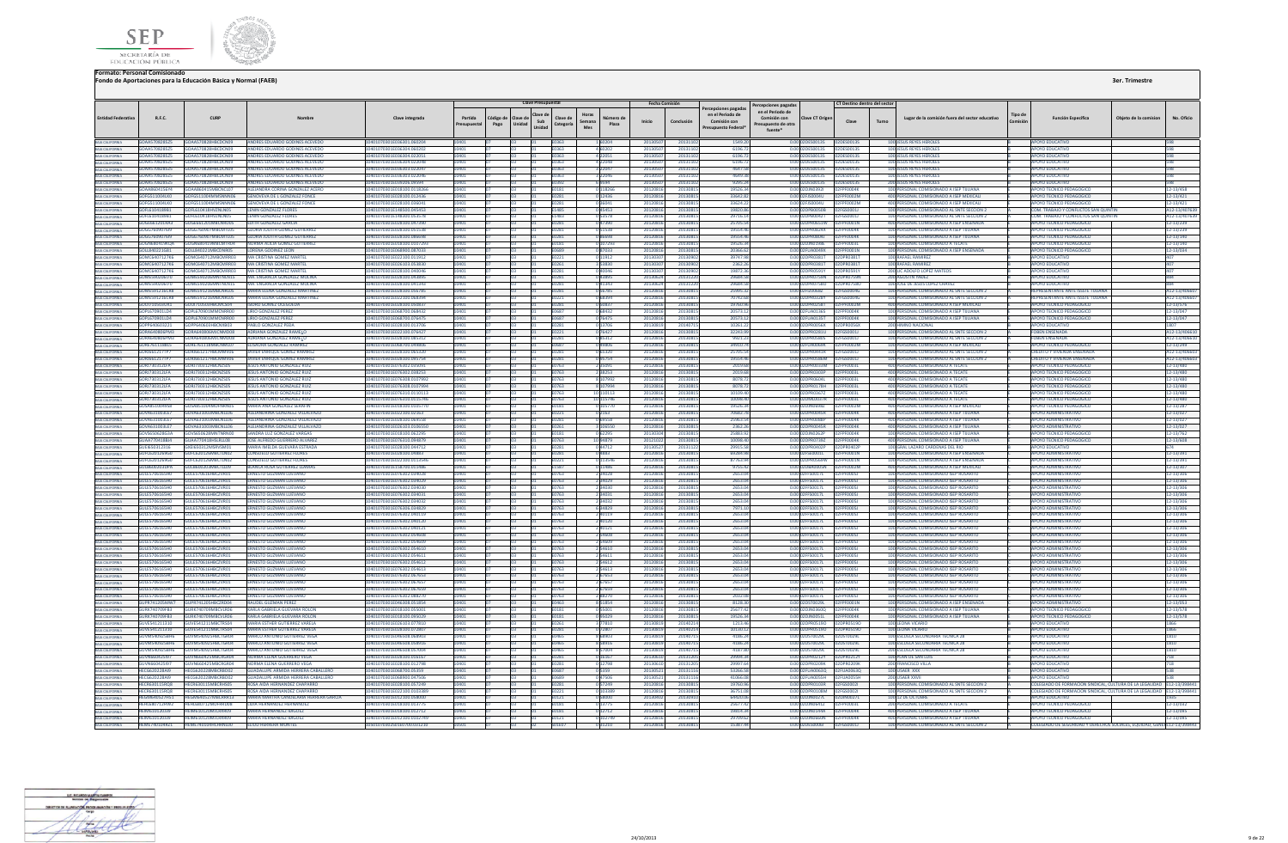



|                                                                                             |                                       |                                           |                                                                             |                                                          |                         |                   | <b>Clave Presupuestal</b>                                                |                                       | Fecha Comisión       |                   |                                                                              | Percepciones pagadas                                                                        | CT Destino dentro del secto |       |                                                                                    |         |                                                                        |                       |                        |
|---------------------------------------------------------------------------------------------|---------------------------------------|-------------------------------------------|-----------------------------------------------------------------------------|----------------------------------------------------------|-------------------------|-------------------|--------------------------------------------------------------------------|---------------------------------------|----------------------|-------------------|------------------------------------------------------------------------------|---------------------------------------------------------------------------------------------|-----------------------------|-------|------------------------------------------------------------------------------------|---------|------------------------------------------------------------------------|-----------------------|------------------------|
| <b>Entidad Federativa</b>                                                                   | R.F.C.                                | <b>CURP</b>                               | Nombre                                                                      | Clave integrada                                          | Partida<br>Presupuestal | Código de<br>Pago | Clave di<br>Clave de<br>Clave de<br>Sub<br>Unidad<br>Categoría<br>Unidad | Horas<br>Número de<br>Semana<br>Plaza | Inicio               | Conclusión        | ercepciones pagadas<br>en el Periodo de<br>Comisión con<br>resupuesto Federa | en el Periodo de<br>Comisión con<br><b>Clave CT Origer</b><br>resupuesto de otra<br>fuente* | Clave                       | Turno | Lugar de la comisión fuera del sector educativo                                    | Tipo de | <b>Función Específica</b>                                              | Obieto de la comision | No. Oficio             |
|                                                                                             |                                       | GOAA570828525 GOAA570828HBCDCN09          | <b>ANDRES EDUARDO GODINES ACEVEDO</b>                                       | 10401070301E036301.060204                                | 10401                   |                   | ln3<br>E0363                                                             | 1 60204                               | 20130507             | 2013110           | 1549.20                                                                      |                                                                                             |                             |       | 100 JESUS REYES HEROLFS                                                            |         | APOYO EDUCATIVO                                                        |                       | 598                    |
| BAJA CALIFORNIA<br>BAJA CALIFORNIA                                                          | GOAA570828525                         | GOAA570828HBCDCN09                        | ANDRES EDUARDO GODINES ACEVEDO                                              | 10401070201E026304.060207                                | 10401                   |                   | E0363                                                                    | 4 60202                               | 2013050              | 201311            | 61967                                                                        | 0.00.02DES0013S 02DES0013S                                                                  |                             |       | 100 IFSUS REYES HEROLES                                                            |         | APOVO EDUCATIVO                                                        |                       | 598                    |
| BAIA CALIFORNIA<br>BAIA CALIFORNIA                                                          | GOAA570828525                         | GOAA570828HBCDCN09                        | NDRES EDUARDO GODINES ACEVEDO                                               | 0401070301E036304.022051                                 | 0401                    |                   | 0363                                                                     | 4 2 2 0 5 1                           | 201305               | 201311            | 6196.7                                                                       | 0.00 02DES0013S                                                                             | 2DES0013S                   |       | <b>100 JESUS REYES HEROLES</b>                                                     |         | <b>APOYO EDUCATIVO</b>                                                 |                       | 598                    |
| <b>BAJA CALIFORNIA</b>                                                                      | GOAA570828525                         | GOAA570828HBCDCN09                        | ANDRES EDUARDO GODINES ACEVEDO                                              | 10401070301E036304.022048                                | 10401                   |                   | 53503                                                                    | 422048                                | 201305               | 201311            | 6196.7                                                                       | 0.00 02DES0013S                                                                             | 02DES0013S                  |       | <b>100 JESUS REYES HEROLES</b>                                                     |         | <b>APOYO EDUCATIVO</b>                                                 |                       | 598                    |
|                                                                                             | GOAA570828575<br>GOAA570828525        | GOAA570828HBCDCN09<br>GOAA570828HBCDCN09  | ANDRES EDUARDO GODINES ACEVEDO<br>ANDRES EDUARDO GODINES ACEVEDO            | 10401070301E036303.022047<br>10401070301E036303.022046   | 10401<br>10401          |                   | <b>F0363</b><br><b>FO363</b>                                             | 3 22047<br>3 22046                    | 2013050<br>2013050   | 201311<br>201311  | 4647.58<br>46493                                                             | 0.00.02DES0013S<br>0.00.02DES0013S                                                          | 02DE500135<br>02DE500135    |       | 100 IFSUS REYES HEROLES<br>100 IFSUS REYES HEROLES                                 |         | ΔΡΟΥΩ ΕΒΗΓΑΤΙΛΟ<br>ΔΡΟΥΩ ΕΒΗΓΑΤΙΛΩ                                     |                       | 598                    |
| BAIA CALIFORNIA<br>BAIA CALIFORNIA                                                          | GOAA570828525                         | GOAAS70828HBCDCN09                        | ANDRES EDUARDO GODINES ACEVEDO                                              | 10401070201E029206.09594                                 | 10401                   |                   | E0392                                                                    | 69594                                 | 2013050              | 201311            | 9295.2                                                                       | 0.00 02DES0013S                                                                             | 120E500135                  |       | <b>200 JESUS REYES HEROLES</b>                                                     |         | AROVO EDUCATIVO                                                        |                       | 598<br>598             |
|                                                                                             | GOAA8604156Y4                         | AA860415MBCNCL07                          | LEJANDRA CORINA GONZALEZ ACER                                               | 0401070301E018100.01182                                  |                         |                   |                                                                          | 0 118266                              | 201208               | 201308            | 19526.3                                                                      | 2DJN03921                                                                                   | FOOD4K                      |       | 100 PERSONAL COMISIONADO A ISEP TIJUANA                                            |         | APOYO TECNICO PED                                                      |                       | 12-13/458              |
| BAIA CALIFORNIA<br>BAIA CALIFORNIA                                                          | GOFG511004LK0                         |                                           | <b>GENOVEVA DE L GONZALEZ FONCE</b>                                         | 10401070301E028100.012436                                | 10401                   |                   | 0281                                                                     | 0 12436                               | 20120816             | 201308            | 33642.8                                                                      | 0.00 02FJS0004U                                                                             |                             |       | 400 PERSONAL COMISIONADO A ISEP MEXICALI                                           |         | <b>APOYO TECNICO PEDAGOGICO</b>                                        |                       | 12-13/421              |
|                                                                                             | GOFG511004LK0                         | GOFGS11004MMSNNN06                        | GENOVEVA DE L GONZALEZ FONCE                                                | 10401070301E028100.036041                                | 10401                   |                   | FN 281                                                                   | 0.36041                               | 20120816             | 2013081           | 33624.2                                                                      | 0.00 02FJ50004U                                                                             | <b>FOODZM</b>               |       | 400 PERSONAL COMISIONADO A ISEP MEXICALI                                           |         | APOYO TECNICO PEDAGOGICO                                               |                       | 12-13/421              |
| INAK CALIFORNIA<br>BAIA CALIFORNIA<br>BAIA CALIFORNIA<br>BAIA CALIFORNIA<br>BAIA CALIFORNIA | GOF1610418981                         | GOFI 610418HVZNI NOS                      | <b>IFNIN GONZALEZ FLORES</b>                                                | 10401070301F148500.045453                                | 10401                   |                   | F1485                                                                    | 0.45453                               | 20120816             | 201308            | 19820.8                                                                      | 0.00.02DPR0050B                                                                             | 02EGS00011                  |       | 100 PERSONAL COMISIONADO AL SNTE SECCION 2                                         |         | COM TRABAJO Y CONFLICTOS SAN OUINTIL                                   |                       | A12-13/40763           |
|                                                                                             | GOFL6104189B1                         | GOEL610418HVZNLNOS                        | <b>I FNIN GONZALEZ FLORES</b>                                               | 10401070201E148200.052579                                | 10401                   |                   | F1483                                                                    | 053578                                | 2012081              | 201308            | 297161                                                                       | 0.00.02DPR0042T                                                                             | 025GS00011                  |       | 100 PERSONAL COMISIONADO AL SNTE SECCIÓN 2                                         |         | COM TRABAJO Y CONFLICTOS SAN OLIMPIN                                   |                       | A12-13/4076            |
|                                                                                             | GOGE661201RA3                         | GOGE661201MBCNRD0                         | <b>DITH GONZALEZ GARCH</b>                                                  | 10401070301E028100.04739                                 |                         |                   |                                                                          | 047390                                | 2012081              | 201308            | 25705.5                                                                      | 0.00 02DPR0651W                                                                             | F0001N                      |       | 400 PERSONAL COMISIONADO A ISEP ENSENADA                                           |         | APOYO TECNICO PEDAGOGICO                                               |                       | 12-13/239              |
|                                                                                             | GOGG7609076l9<br>6066760907619        | GOGG760907MBCMTL05<br>GOGG760907MBCMTL05  | <b>GLORIA JUDITH GOMEZ GUTIERREZ</b><br><b>JORIA JUDITH GOMEZ GUTIERREZ</b> | 10401070301E028100.051538<br>10401070301E028100.086698   | 10401<br>10401          |                   | E0281<br>1281                                                            | 051538<br>886680                      | 20120816<br>2012081  | 201308            | 19554.4<br>195544                                                            | 0.00 02DPR0824X<br>0.00.02DPR08041                                                          | PF0004K<br>PENNAK           |       | 100 PERSONAL COMISIONADO A ISEP TUUANA<br>100 PERSONAL COMISIONADO A ISEP TIILIANA |         | APOYO TECNICO PEDAGOGICO<br>APOYO TECNICO PEDAGOGICO                   |                       | 12-13/239              |
| BAJA CALIFORNIA<br>BAJA CALIFORNIA                                                          | GOGN680419KOA                         | GOGN680419MBCMTR04                        | NORMA ALICIA GOMEZ GUTIERREZ                                                | 10401070301E018100.0107293                               | 10401                   |                   | <b>FN181</b>                                                             | 107293                                | 20120816             | 2013081<br>201308 | 19526.3                                                                      | 0.00 02D IN0198F                                                                            | PENONSI                     |       | 100 PERSONAL COMISIONADO A TECATE                                                  |         | APOYO TECNICO PEDAGOGICO                                               |                       | 12-13/140<br>12-13/140 |
|                                                                                             | GOLLR40221G81                         | GOLL840221MBCDNR05                        | <b>LORENA GODINEZ LEON</b>                                                  | 10401070301E068900.087033                                | 10401                   |                   | <b>FO689</b>                                                             | 087033                                | 20120816             | 201308            | 20366.6                                                                      | 0.00 02FUA0049X                                                                             | 02FPF0001N                  |       | 100 PERSONAL COMISIONADO A ISEP ENSENADA                                           |         | APOVO TECNICO PEDAGOGICO                                               |                       | 12-13/034              |
| BAIA CALIFORNIA<br>BAIA CALIFORNIA<br>BAIA CALIFORNIA                                       | <b>GOMC6407127K6</b>                  | GOMC640712MRCMRR03                        | MA CRISTINA GOMEZ MARTI                                                     | 10401070301F022100 011912                                |                         |                   |                                                                          | 0 11912                               | 201303               | 201309            | 397479                                                                       | 0.00 02DPR0381T                                                                             | PRO381T                     |       | 100 RAFAEL RAMIREZ                                                                 |         | ΔΡΟΥΩ ΕΒΗΓΑΤΙΝΩ                                                        |                       |                        |
|                                                                                             |                                       | GOMC6407127K6 GOMC640712MRCMRR03          | <b>MA CRISTINA GOMEZ MARTER</b>                                             | 10401070201E026102.052820                                | 10401                   |                   | FN261                                                                    | 353830                                | 2013030              | 201309            | 2362.2                                                                       |                                                                                             |                             |       | 100 RAFAEL RAMIREZ                                                                 |         | APOVO EDUCATIVO                                                        |                       | 407                    |
| .<br>Baia California<br>Baia California                                                     | GOMC6407127K6                         | GOMC640712MBCMRR03                        | MA CRISTINA GOMEZ MARTEI                                                    | 10401070301E028100.040046                                |                         |                   | 0281                                                                     | 040046                                | 201303               | 201309            | 19872.3                                                                      | 0.00 02DPR0591Y                                                                             | 2DPR0591Y                   |       | 200 LIC ADOLFO LOPEZ MATEOS                                                        |         | <b>APOYO EDUCATIVO</b>                                                 |                       |                        |
|                                                                                             | GOME590206170                         | GOMES90206MNTNLN15                        | MA ENGRACIA GONZALEZ MOLINA                                                 | 10401070301F028100 04389                                 | 10401                   |                   | 0281                                                                     | 0.43895                               | 20130624             | 201312            | 29684.5                                                                      | 0.00.02DPR0759N                                                                             | DPR0759N                    |       | 200 AGUSTIN YADEZ                                                                  |         | ΔΡΟΥΩ ΕΡΗΓΑΤΙΝΩ                                                        |                       | 884                    |
| <b>BAIA CALIFORNIA</b>                                                                      | GOME590206170                         | GOMESSO206MNTNLN15                        | MA ENGRACIA GONZALEZ MOLINA                                                 | 10401070301F028100.041343                                | 10401                   |                   | <b>F0281</b>                                                             | 041343                                | 20130624             | 201312            | 29684.5                                                                      | 0.00 02DPR07580                                                                             | 02DPR07580                  |       | 100 IOSE DE JESUS LOPEZ CHAVEZ                                                     |         | ΔΡΟΥΩ ΕΒΗΓΑΤΙΛΩ                                                        |                       | 994                    |
| <b>BAJA CALIFORNIA</b>                                                                      |                                       | GOMES91216CR8 GOMES91216MRCNRL05          | <b>MARIA FLENA GONZALEZ MARTINEZ</b>                                        | 10401070301E028100.056785                                | 10401                   |                   | FN281                                                                    | 0.56785                               | 20120816             | 201308            | 25995.3                                                                      | 0.00102EIZ0068Z                                                                             | 02FGS0004G                  |       | 100 PERSONAL COMISIONADO AL SNTE SECCION 2                                         |         | REPRESENTANTE ANTE ISSSTE THUJANA                                      |                       | A12-13/4066            |
| BAJA CALIFORNIA                                                                             | <b>GOMES91216CRR</b>                  | GOMESO1216MBCNRLOS                        | MARIA ELENA GONZALEZ MARTINEZ                                               | 10401070301E022100.068394                                | 10401                   |                   | 10221                                                                    | 68394                                 | 2012081              | 201308            | 70747.6                                                                      | 0.00 02DPR0328Y                                                                             | EGSODDAG                    |       | 100 PERSONAL COMISIONADO AL SNTE SECCION 2                                         |         | <b><i>REDRESENTANTE ANTE ISSSTE THUANA</i></b>                         |                       | A12-13/4066            |
| BAIA CALIFORNIA<br>BAIA CALIFORNIA                                                          | GOO1710503UK1<br>GOPL670901LD4        | GOOI710503HBCMCS04<br>GOPL670901MMCNRR00  | SIDRO GOMEZ OCEGUEDA<br><b>LIRIO GONZALEZ PERE</b>                          | 10401070301E028100.050837<br>10401070301E068700.068432   | 10401                   |                   |                                                                          | 0 50837<br>0 68432                    | 2012081              | 201308<br>201308  | 19760.9<br>20573.1                                                           | 0.00 02DPR0258T<br>0.00 02FUA0136S                                                          | FOOD2M                      |       | 400 PERSONAL COMISIONADO A ISEP MEXICALI<br>100 PERSONAL COMISIONADO A ISEP TUUANA |         | <b>APOYO TECNICO PEDAGOGICO</b><br>APOYO TECNICO PEDAGOGICO            |                       | 12-13/576<br>12-13/047 |
|                                                                                             | GOPL670901LD4                         | GOPL670901MMCNRR00                        | LIRIO GONZALEZ PEREZ                                                        | 10401070301E068700.076475                                | 10401                   |                   | <b>FO687</b>                                                             | 0 76475                               | 20120816<br>20120816 | 2013081           | 20573.12                                                                     | 0.00 02FUA0135T                                                                             | 02FPF0004K                  |       | 100 PERSONAL COMISIONADO A ISEP TIJUANA                                            |         | APOYO TECNICO PEDAGOGICO                                               |                       | 12-13/047              |
|                                                                                             | GOPP640603221                         | GOPP640603HRCNXR03                        | PARIO GONZALEZ PEDA                                                         | 10401070301F028100 013706                                | 10401                   |                   | <b>F0281</b>                                                             | 0 13706                               | 20130819             | 201407            | 10261.2                                                                      | 0.00.02DPR0056X                                                                             | 02DPR0056X                  |       | 200 HIMNO NACIONAL                                                                 |         | ΔΡΟΥΩ ΕΠΙΙΣΑΤΙΛΩ                                                       |                       | 1807                   |
| BAIA CALIFORNIA<br>BAIA CALIFORNIA<br>BAIA CALIFORNIA                                       | GORAGAOROGRAM2                        | <b>GORAGAORDEMICNMODE</b>                 | ADRIANA GONZALEZ RAME                                                       | 10401070201E022100.076427                                | 10401                   |                   | E0221                                                                    | 0.76427                               | 20120816             | 201308            | 32243.9                                                                      | 0.00020PR0281U                                                                              | 025GS00011                  |       | 100 REPSONAL COMISIONADO AL SNTE SECCION 7                                         |         | <b>EOREN ENSENADA</b>                                                  |                       | A12-13/4066            |
| BAIA CALIFORNIA                                                                             | GORA640806PM3                         | GORA640806MJCNMD08                        | <b>DRIANA GONZALEZ RAME!</b>                                                | 0401070301E028100.08531                                  |                         |                   |                                                                          |                                       | 201208               | 20130             | 9921.2                                                                       | 0.00 02DPR0580S                                                                             |                             |       | 100 PERSONAL COMISIONADO AL SNTE SECCION 2                                         |         | FOBEN ENSENADA                                                         |                       | A12-13/406             |
| BAIA CALIFORNIA                                                                             | GORE7611188L5                         | GORE761118MBCNML07                        | ELISAURA GONZALEZ RAMIREZ                                                   | 10401070301E068700.049806                                | 10401                   |                   | E0687                                                                    | 049806                                | 20120816             | 201308            | 34910.7                                                                      | 0.00 02FUA0069K 02                                                                          | <b>PF0002M</b>              |       | 100 PERSONAL COMISIONADO A ISEP MEXICALI                                           |         | APOYO TECNICO PEDAGOGICO                                               |                       | 12-13/249              |
| BAJA CALIFORNIA                                                                             | <b>GORI661217TP7</b>                  | GORI661217HRCMMV06                        | <b>AVIER ENRIQUE GOMEZ RAMIRE</b>                                           | 10401070301E028100.06532                                 | IM <sub>01</sub>        |                   | 1281                                                                     | 05320                                 | 2012081              | 2013081           | 25705                                                                        | 0.00 02DPR0441R                                                                             | 26500011                    |       | 100 PERSONAL COMISIONADO AL SNTE SECCIÓN 2                                         |         | <b>CREDITO Y VIVIENDA ENSENADA</b>                                     |                       | A12-13/4066            |
| <b>BAIA CALIFORNIA</b>                                                                      | <b>GORI661217TP7</b>                  | GORI661217HRCMMV06                        | <b>IAVIER ENRIOUE GOMEZ RAMIREZ</b>                                         | 10401070301E028100.095754                                | 10401                   |                   | FN281                                                                    | 095754                                | 20120816             | 201308            | 19554.4                                                                      | 0.00 02DPR0586M                                                                             | D2EGS00011                  |       | 100 PERSONAL COMISIONADO AL SNTE SECCION 2                                         |         | <b>CREDITO Y VIVIENDA ENSENADA</b>                                     |                       | A12-13/4066            |
|                                                                                             | GOR17303121FA                         | GOR (730312HRCN2S05                       | <b>IFSUS ANTONIO GONZALEZ RUIZ</b>                                          | 10401070301E076302.035091                                | IM <sub>01</sub>        |                   | 0762                                                                     | 2 35091                               | 2012081              | 201308            | 2019.6                                                                       | 0.00 02DPR0033M                                                                             | pennnai                     |       | 400 PERSONAL COMISIONADO A TECATE                                                  |         | APOYO TECNICO PEDAGOGICO                                               |                       | 12-13/480              |
| <b>A CALIFORNIA</b>                                                                         | GOR17303121FA                         | GOR1730312HRCN7S05                        | <b>ESUS ANTONIO GONZALEZ RUIZ</b>                                           | 10401070301E076302.038253                                |                         |                   |                                                                          | 2 38253                               | 2012081              | 201308            | 2019.6                                                                       | 0.00 02DPR0303P                                                                             | <b>FOOD31</b>               |       | 400 PERSONAL COMISIONADO A TECATI                                                  |         | APOYO TECNICO PEDAGOGICO                                               |                       | 12-13/480              |
| BAJA CALIFORNIA<br>BAJA CALIFORNIA                                                          | GORJ730312LFA<br>GORJ730312LFA        | GORJ730312HBCNZS05<br>GORJ730312HBCNZS05  | <b>JESUS ANTONIO GONZALEZ RUIZ</b><br><b>SUS ANTONIO GONZALEZ RUIZ</b>      | 10401070301E076308.0107992<br>10401070301E076308.0107994 | 10401<br>10401          |                   | E0763<br>0763                                                            | 8 107992<br>8 107994                  | 20120816<br>2012081  | 201308<br>2013081 | 8078.7<br>8078.7                                                             | 0.00 02DPR0604L<br>0.00 02DPR0178H                                                          | PF0003L<br>PF0003L          |       | 400 PERSONAL COMISIONADO A TECATI<br>400 PERSONAL COMISIONADO A TECATE             |         | APOYO TECNICO PEDAGOGICO<br>APOYO TECNICO PEDAGOGICO                   |                       | 12-13/480<br>12-13/480 |
|                                                                                             | GORJ730312LFA                         | GORJ730312HBCNZS05                        | <b>ESUS ANTONIO GONZALEZ RUIZ</b>                                           | 0401070301E076310.0110113                                | 10401                   |                   | 0763                                                                     | 10 110113                             | 20120816             | 201308            | 10109.4                                                                      | 0.00 02DPR03677                                                                             | <b>FOOD31</b>               |       | 400 PERSONAL COMISIONADO A TECATI                                                  |         | APOYO TECNICO PEDAGOGICO                                               |                       | 12-13/480              |
| <b>BAIA CALIFORNIA</b>                                                                      | <b>GOR1730312LFA</b>                  | <b>GOR1730312HRCN2S05</b>                 | <b>IFSUS ANTONIO GONZALEZ RUIZ</b>                                          | 10401070301F076310 0115746                               | 10401                   |                   | F0763                                                                    | 10 115746                             | 2012081              | 201308            | 100984                                                                       | 0.00 02DMI0037R                                                                             | Ennezi                      |       | 400 PERSONAL COMISIONADO A TECATE                                                  |         | <b>APOYO TECNICO PEDAGOGICO</b>                                        |                       | 12-13/480              |
| BAIA CALIFORNIA                                                                             | GOSARS1004958                         | GOSA851004MDENRN05                        | MARIA ANA GONZALEZ SERAFIN                                                  | 10401070301F018100 010577                                | 10401                   |                   | F0181                                                                    | 0.105770                              | 2012081              | 201308            | 195263                                                                       | 0.00.02DIN06987                                                                             | PE0002M                     |       | 400 PERSONAL COMISIONADO A ISEP MEXICAL                                            |         | APOYO TECNICO PEDAGOGICO                                               |                       | 12-13/287              |
| BAJA CALIFORNIA                                                                             | GOVA631003LE7                         | GOVA621002MBCNU106                        | ALEIANDRINA GONZALEZ VILLAIVAZO                                             | 10401070201E022100.02162                                 | 10401                   |                   | FN221                                                                    | 0 2163                                | 20120816             | 201308            | 70682.7                                                                      | 0.00102DPR0045R                                                                             | <b>NOEDENNAME</b>           |       | 400 PERSONAL COMISIONADO A ISEP TILIJANA                                           |         | AROVO ADMINISTRATIVO                                                   |                       | 12-13/027              |
| BAIA CALIFORNIA<br>BAIA CALIFORNIA                                                          | GOVA631003LE7                         | VA631003MBCNLL06                          | LEJANDRINA GONZALEZ VILLALVAZ                                               | 10401070301E028100.06955I                                |                         |                   |                                                                          | 069558                                | 2012081              | 201308            | 25963.5                                                                      | 0.00 02DPR0088P                                                                             | <b>FOODAK</b>               |       | 400 PERSONAL COMISIONADO A ISEP TIJUANA                                            |         | <b>APOYO ADMINISTRATIVO</b>                                            |                       | 12-13/027              |
|                                                                                             | GOVA631003LE7                         | GOVA631003MBCNLL06                        | ALEJANDRINA GONZALEZ VILLALVAZ                                              | 0401070301E026103.010655                                 | 10401                   |                   | )261                                                                     | 3 106550                              | 20120816             | 201308            | 2362.2                                                                       | 0.00 02DPR0045R                                                                             |                             |       | 400 PERSONAL COMISIONADO A ISEP TUUAN.                                             |         | <b>APOYO ADMINISTRATIVO</b>                                            |                       | 12-13/027              |
| BAIA CALIFORNIA                                                                             | GOVS650628G3A                         | GOVS650628MNTNRN00                        | SANDRA LUZ GONZALEZ VARGAS                                                  | 10401070301E018100.062295                                | 10401                   |                   | <b>F0181</b>                                                             | 062295                                | 20130304             | 201308            | 25883.92                                                                     | 0.00 02D IN 0262P                                                                           | <b>FOODAK</b>               |       | 100 PERSONAL COMISIONADO A ISEP TIILIANA                                           |         | APOYO TECNICO PEDAGOGICO                                               |                       | 12-13/762              |
| BAIA CALIFORNIA                                                                             | GUAA770418BI4<br>GUEI650312316        | GUAA770418HSLRLL08<br>GYEIGS0212MSPVSM01  | JOSE ALEREDO GUERRERO ALVAREZ<br>MARIA IMELDA GUEVARA ESTRADU               | 10401070301F076310 094879<br>10401070201E028100.044712   | 10401<br>10401          |                   | <b>F0763</b><br>F0281                                                    | 10 94879                              | 2012102<br>2013052   | 201308<br>201311  | 100984<br>29915.5                                                            | 0.00 02DPR07397<br>0.00 02DPR0402P                                                          | PENDDAK<br>02DRR0402R       |       | 400 PERSONAL COMISIONADO A ISEP TIILIANA<br>100 GRAL LAZARO CARDENAS DEL RIO       |         | APOYO TECNICO PEDAGOGICO<br>APOVO EDUCATIVO                            |                       | 12-13/608<br>674 C     |
| BAJA CALIFORNIA                                                                             | GUFC6201269GC                         | SUFC620126MBCTLN0.                        | <b>ONSUELO GUTIERREZ FLORES</b>                                             | 10401070301E028100.04883                                 |                         |                   |                                                                          | 044712                                | 2012081              | 201308            | 69284.9                                                                      | 0.00 02FSE0001L                                                                             | F0001N                      |       | 100 PERSONAL COMISIONADO A ISEP ENSENAD                                            |         | <b>APOYO ADMINISTRATIV</b>                                             |                       | 12-13/391              |
| BAJA CALIFORNIA                                                                             |                                       |                                           |                                                                             | 0401070301E022100.011354                                 | 10401                   |                   | 0221                                                                     | 0 113546                              | 2012081              | 201308            | 87763.9                                                                      | 0.00 02DPR0569W                                                                             |                             |       | 100 PERSONAL COMISIONADO A ISEP ENSENADA                                           |         | <b>APOYO ADMINISTRATIV</b>                                             |                       | 12-13/391              |
| BAJA CALIFORNIA                                                                             | <b>GULB600203DPA</b>                  | GULB600203MBCTLL09                        | BLANCA ROSA GUTIERREZ LLAMA                                                 | 10401070301E158700.011486                                | 10401                   |                   | 1587                                                                     | 0 1 1 4 8 6                           | 2012081              | 2013081           | 9755.4                                                                       | 0.00 02DBA0005N                                                                             | PF0002M                     |       | 400 PERSONAL COMISIONADO A ISEP MEXICALI                                           |         | <b>APOYO ADMINISTRATIVO</b>                                            |                       | 12-13/307              |
|                                                                                             | <b>GULFS706165HO</b>                  | GULFS70616HRCZVR01                        | <b>FRNESTO GUZMAN LUEVANO</b>                                               | 10401070301E076302.034028                                | 10401                   |                   | FN763                                                                    | 2 34028                               | 20120816             | 201308            | 2653.0                                                                       | 0.00 02FFS0017L                                                                             | <b>PENNOST</b>              |       | 100 PERSONAL COMISIONADO ISEP ROSARITO                                             |         | <b>APOYO ADMINISTRATIVO</b>                                            |                       | 12-13/306              |
|                                                                                             | <b>GULES706165HD</b>                  | GULES70616HBCZVR01                        | ERNESTO GUZMAN LUEVANO                                                      | 10401070301E076302:034029                                | <b>DAN1</b>             |                   | 1763                                                                     | 2 3 4 0 2 9                           | 2012081              | 201308            | 2653.0                                                                       | 0.00.02EES0017L                                                                             | 12FPF00051                  |       | 100 PERSONAL COMISIONADO ISEP ROSARITO                                             |         | <b>APOYO ADMINISTRATIVO</b>                                            |                       | 12-13/306              |
| <b>A CALIFORNIA</b>                                                                         | GUI ES706165HD                        | GULFS70616HRCZVRO                         | RNESTO GUZMAN LUEVANO                                                       | 10401070301E076302.03403                                 |                         |                   |                                                                          | 2 34030                               | 2012081              | 201308            | 2653.0                                                                       | 0.00 02FFS0017L                                                                             | <b>ENNOST</b>               |       | 100 PERSONAL COMISIONADO ISEP ROSARITO                                             |         | ΔΡΟΥΟ ΔΟΜΙΝΙΣΤΡΑΤΙΜ                                                    |                       | 12-13/306              |
| BAJA CALIFORNIA                                                                             | GULE5706165H0                         | GULES70616HBCZVR01                        | <b>RNESTO GUZMAN LUEVANC</b>                                                | 10401070301E076302.034031                                | 10401                   |                   | E0763                                                                    | 2 34031                               | 20120816             | 201308            | 2653.0                                                                       | 0.00 02FFS0017L                                                                             |                             |       | 100 PERSONAL COMISIONADO ISEP ROSARITO                                             |         | <b>APOYO ADMINISTRATIVO</b>                                            |                       | 12-13/306              |
| BAJA CALIFORNIA                                                                             | GULE5706165H0                         | GULE570616HBCZVR01                        | RNESTO GUZMAN LUEVANO                                                       | 10401070301E076302.034032                                | 10401                   |                   | 0763                                                                     | 2 34032                               | 2012081              | 201308            | 2653.0                                                                       | 0.00 02FFS0017L                                                                             | PF0005J                     |       | 100 PERSONAL COMISIONADO ISEP ROSARITO                                             |         | <b>APOYO ADMINISTRATIVO</b>                                            |                       | 12-13/306              |
|                                                                                             | GULF5706165HO<br>GULES206165HO        | GULFS70616HRCZVR01<br>GULES 20616HRCZVR01 | <b>RNESTO GUZMAN LUEVANO</b><br><b>FRNESTO GUZMAN LUEVANO</b>               | 10401070301E076306.034829<br>10401070301E076302.040119   | 10401                   |                   | F0763                                                                    | 634829                                | 20120816             | 201308            | 79711                                                                        | 0.00.02EES0017L                                                                             | PENNOS I<br>02FPE00051      |       | 100 PERSONAL COMISIONADO ISEP ROSARITO<br>100 PERSONAL COMISIONADO ISEP ROSARITO   |         | ΔΡΟΥΩ ΔΟΜΙΝΙΣΤΡΑΤΙΜ<br><b>APOYO ADMINISTRATIVO</b>                     |                       | 12-13/306              |
| <b>RAIA CALIFORNIA</b>                                                                      | GULF5706165H0                         | GULFS70616HRCZVR01                        | FRNESTO GUZMAN LUEVANO                                                      | 10401070301E076302.040120                                | 10401<br>10401          |                   | F0763<br>1763                                                            | 2 40119<br>2.40120                    | 20120816<br>20120816 | 201308<br>201308  | 2653.0<br>2653.0                                                             | 0.00 02EES0017L<br>0.00102EES0017L                                                          | <b>EPENDOSI</b>             |       | 100 PERSONAL COMISIONADO ISEP ROSARITO                                             |         | ΔΡΟΥΩ ΔΟΜΙΝΙΚΤΡΑΤΙΝΟ                                                   |                       | 12-13/306              |
| BAJA CALIFORNIA<br>BAJA CALIFORNIA                                                          | GULESZO6165HO                         | GULES20616HBCZVR01                        | <b>ERNESTO GUZMAN LUEVANO</b>                                               | 10401070201E076202.040121                                | 10401                   |                   | FN763                                                                    | 2.40121                               | 20120816             | 201308            | 2653.0                                                                       | 0.00 0255500171                                                                             | <b>DENNAST</b>              |       | 100 PERSONAL COMISIONADO ISER ROSARITO                                             |         | <b>AROVO ADMINISTRATIVO</b>                                            |                       | 12-13/306<br>12-13/306 |
|                                                                                             | GULES706165HD                         | GULES70616HBCZVRO                         | RNESTO GUZMAN LUEVANC                                                       | 10401070301E076302.054608                                |                         |                   |                                                                          | 2 54608                               | 2012081              | 201308            | 2653.0                                                                       | 0.00 02FFS0017L                                                                             | <b>FOODSJ</b>               |       | 100 PERSONAL COMISIONADO ISEP ROSARITO                                             |         | <b>APOYO ADMINISTRATIVO</b>                                            |                       | 12-13/306              |
| BAJA CALIFORNIA<br>BAJA CALIFORNIA                                                          | <b>GULES706165HO</b>                  | GULES70616HBCZVR01                        | RNESTO GUZMAN LUEVANC                                                       | 0401070301E076302.054609                                 | 0401                    |                   | )763                                                                     | 254609                                | 20120816             | 201308            | 2653.                                                                        | 0.00 02FFS0017L                                                                             | F0005.                      |       | 100 PERSONAL COMISIONADO ISEP ROSARITO                                             |         | <b>APOYO ADMINISTRATIVO</b>                                            |                       | 12-13/306              |
| BAIA CALIFORNIA                                                                             | GULF5706165H0                         | GULFS70616HRCZVR01                        | <b>FRNESTO GUZMAN LUEVANO</b>                                               | 10401070301E076302.054610                                | 10401                   |                   | <b>F0763</b>                                                             | 2.54610                               | 20120816             | 2013081           | 2653.04                                                                      | 0.00 02 FFS0017L                                                                            | 02EPE00051                  |       | 100 PERSONAL COMISIONADO ISEP ROSARITO                                             |         | ΔΡΟΥΩ ΔΩΜΙΝΙΣΤΡΑΤΙΝΩ                                                   |                       | 12-13/306              |
| BAIA CALIFORNIA                                                                             | GULF5706165H0                         | GULF570616HRCZVR01                        | <b>FRNESTO GUZMAN LUFVANO</b>                                               | 10401070301F076302.054611                                | 10401                   |                   | <b>F0763</b>                                                             | 2 54611                               | 20120816             | 201308            | 2653.0                                                                       | 0.00 02EES0017L                                                                             | 02FPF00051                  |       | 100 PERSONAL COMISIONADO ISEP ROSARITO                                             |         | APOYO ADMINISTRATIVO                                                   |                       | 12-13/306              |
| BAJA CALIFORNIA                                                                             | GULF5706165H0                         | GULESZO616HRCZVRO1                        | <b>ERNESTO GUZMAN LUEVANO</b>                                               | 10401070201E076202.054612                                | 10401                   |                   | F0763                                                                    | 2.54612                               | 20120816             | 201308            | 2653.0                                                                       | 0.00.02EES0017L                                                                             | <b>USODED CO</b>            |       | 100 PERSONAL COMISIONADO ISER ROSARITO                                             |         | <b>AROVO ADMINISTRATIVO</b>                                            |                       | 12-13/306              |
| BAJA CALIFORNIA                                                                             | GULES706165HO                         | GULES70616HBCZVRO                         | RNESTO GUZMAN LUEVANO                                                       | 10401070301E076302.05461                                 |                         |                   |                                                                          | 254613                                | 201208               | 201308            | 2653.0                                                                       | 0.00 02FFS0017L                                                                             | FOOOSJ                      |       | 100 PERSONAL COMISIONADO ISEP ROSARITO                                             |         | <b>APOYO ADMINISTRATIVO</b>                                            |                       | 12-13/306              |
| BAJA CALIFORNIA                                                                             | <b>GULES706165HO</b>                  |                                           | <b>RNESTO GUZMAN LUEVANO</b>                                                | 10401070301E076302.067653                                | 10401                   |                   | 0763                                                                     | 2 67653                               | 20120816             | 201308            | 2653.0                                                                       |                                                                                             |                             |       | 100 PERSONAL COMISIONADO ISEP ROSARITO                                             |         | <b>APOYO ADMINISTRATIVO</b>                                            |                       | 12-13/306              |
| BAJA CALIFORNIA                                                                             | <b>GULES706165HO</b><br>GULFS706165HO | GULES70616HBCZVR01<br>GULFS70616HRCZVR01  | RNESTO GUZMAN LUEVANC<br><b>FRNESTO GUZMAN LUEVANO</b>                      | 10401070301E076302.06765                                 | 0401<br>10401           |                   | 0763                                                                     | 2 67657<br>2 67659                    | 20120816             | 2013081           | 2653.0                                                                       | 0.00 02FFS0017L                                                                             | PFOODSJ<br><b>PENNOSI</b>   |       | 100 PERSONAL COMISIONADO ISEP ROSARITO<br>100 PERSONAL COMISIONADO ISEP ROSARITO   |         | <b>APOYO ADMINISTRATIVO</b><br>ΔΡΟΥΟ ΔΟΜΙΝΙΚΤΡΑΤΙΝΟ                    |                       | 12-13/306              |
| <b>BAIA CALIFORNIA</b>                                                                      | <b>GULFS706165HO</b>                  | GULES 20616HRCZVR01                       | <b>ERNESTO GUZMAN LUEVANO</b>                                               | 10401070301E076302.067659<br>10401070301E076302.088270   | LOVU1                   |                   | 1763<br>1763                                                             | 288270                                | 20120816<br>2012081  | 201308<br>201308  | 2653.0<br>2032.0                                                             | 0.00 02FFS0017L<br>0.0002FFS0017L                                                           | <b>PENDOST</b>              |       | 100 PERSONAL COMISIONADO ISEP ROSARITO                                             |         | <b>APOYO ADMINISTRATIVO</b>                                            |                       | 12-13/306<br>12-13/306 |
|                                                                                             | <b>GUPR741205MW7</b>                  | GUPR741205HBCZRD0                         | <b>AUDEL GUZMAN PEREZ</b>                                                   | 01070301E046308.05185                                    |                         |                   |                                                                          | 851854                                | 2012081              | 201308            | 8128.3                                                                       | 0.00 02DST0029L                                                                             | 0001N                       |       | 100 PERSONAL COMISIONADO A ISEP ENSENADA                                           |         | <b>APOYO ADMINISTRATIVO</b>                                            |                       | 12-13/053              |
| <b>A CALIFORNIA</b><br>BAJA CALIFORNIA                                                      | GURK740709FB3                         | GURK740709MBCVLR06                        | KARLA GABRIELA GUEVARA ROLON                                                | 10401070301E018100.055001                                | 10401                   |                   | E0181                                                                    | 055001                                | 20120816             | 201308            | 25677.4                                                                      | 0.00 02DJN0360Q                                                                             | PF0004K                     |       | 100 PERSONAL COMISIONADO A ISEP TUUANA                                             |         | APOYO TECNICO PEDAGOGICO                                               |                       | 12-13/578              |
| BAJA CALIFORNIA                                                                             | GURK740709FB3                         | GURK740709MBCVLR06                        | <b>ARLA GABRIELA GUEVARA ROLON</b>                                          | 10401070301E018100.095029                                | 10401                   |                   | E0181                                                                    | 095029                                | 20120816             | 201308            | 19526.34                                                                     | 0.00 02DJN0051L                                                                             | PF0004K                     |       | 100 PERSONAL COMISIONADO A ISEP TIJUANA                                            |         | APOYO TECNICO PEDAGOGICO                                               |                       | 12-13/578              |
| BAIA CALIFORNIA                                                                             | GLIVE541211310                        | GUVE541211MBCTRS04                        | MARIA ESTHER GUTIERREZ VARELA                                               | 10401070301E026103.077810                                | 10401                   |                   | F0261                                                                    | 377810                                | 2013081              | 201407            | 1213.4                                                                       | 0.00 02DPR05190                                                                             | 02DPR05190                  |       | 100 FONA VICARIO                                                                   |         | ΔΡΟΥΩ ΕΠΙΙΣΑΤΙΜ                                                        |                       | 1866                   |
| <b>BAJA CALIFORNIA</b>                                                                      | GLIVES41211310                        | GUVES41211MRCTRS04                        | <b>MARIA ESTHER GUTIERREZ VARELA</b>                                        | 10401070301E028100.072801                                | 10401                   |                   | <b>FN281</b>                                                             | 0.72807                               | 2013081              | 201402            | 101301                                                                       | 0.00 02DPR05190                                                                             | 02DPR05190                  |       | 100 LEONA VICARIO                                                                  |         | ΔΡΟΥΩ ΕΠΙΙΣΑΤΙΧΩ                                                       |                       | 1866                   |
| BAIA CALIFORNIA                                                                             | GLIVMS40925RH6                        | GUVMS40925HRCTGR04                        | MARCO ANTONIO GUTIFRREZ VEGA                                                | 10401070301F046508 068903                                | 10401                   |                   | 23M0                                                                     | 8 68903                               | 2013081              | 201407            | 41862                                                                        | 0.00.02DST0029L                                                                             | <b>ST00291</b>              |       | 100 ESCUELA SECUNDARIA TECNICA 28                                                  |         | ΔΡΟΥΩ ΕΡΗΓΟΔΤΙΛΟ                                                       |                       | 1810                   |
| BAJA CALIFORNIA                                                                             | GLIVM540925RH6                        | <b>GUVAASADQ2SHBCTGROA</b>                | MARCO ANTONIO GUTIERREZ VEGA                                                | 10401070201E046508 058916                                | 10401                   |                   | <b>FOARS</b>                                                             | 858916                                | 20120819             | 201407            | 41862                                                                        | 0.00.02DST0029L                                                                             | <b>IGENNTZA</b>             |       | 100 ESCUELA SECUNDARIA TECNICA 28                                                  |         | APOVO EDUCATIVO                                                        |                       | 1810                   |
| BAJA CALIFORNIA<br>BAJA CALIFORNIA                                                          | GUVM540925BH6                         | SUVM540925HBCTGR04                        | MARCO ANTONIO GUTIERREZ VEG                                                 | 10401070301E046508.05700                                 |                         |                   |                                                                          | 857004                                | 2013081              | 20140             | 4187.8                                                                       | 0.00 02DST0029L                                                                             | 5100291                     |       | 200 ESCUELA SECUNDARIA TECNICA 28                                                  |         | <b>APOYO EDUCATIVO</b>                                                 |                       | 1810                   |
|                                                                                             | GUVN660425197                         | SUVN660425MBCRGR04                        | ORMA ELENA GUERRERO VEGA                                                    | 10401070301E028100.01616)                                | 10401                   |                   | 0281                                                                     | 0 16167                               | 2013061              | 20131             | 29994.3                                                                      | 0.00 02DPR0212Y                                                                             | PR0212Y                     |       | 100 PLAN DE SAN LUIS                                                               |         | <b>APOYO EDUCATIVO</b>                                                 |                       | 718                    |
| BAJA CALIFORNIA                                                                             | GUVN660425197<br><b>HFCG620228AI9</b> | GUVN660425MBCRGR04<br>HECG620228MRCRRD02  | NORMA ELENA GUERRERO VEGA<br><b>GUADALUPE ARMIDA HERRERA CARALLERC</b>      | 10401070301E028100.012798<br>10401070301F068700.05359    | 10401<br>10401          |                   | E0281<br><b>F0687</b>                                                    | 012798<br>05359                       | 20130610<br>20130521 | 201312<br>201311  | 29997.6<br>53266.5                                                           | 0.00 02DPR0209K<br>0.0002FU400630 02FU400630                                                | 02DPR0209K                  |       | 200 FRANCISCO VILLA<br>100 USAER XXX                                               |         | <b>APOYO EDUCATIVO</b><br>ΔΡΟΥΩ ΕΒΗΓΑΤΙΛΩ                              |                       | 718<br>538             |
| BAJA CALIFORNIA<br>BAJA CALIFORNIA                                                          | <b>HFCG620228AI9</b>                  | HECG620228MBCRRD02                        | <b>SUADAILIDE ARMIDA HERRERA CARALLERO</b>                                  | 10401070201E068900.04750                                 | 10401                   |                   | <b>FO689</b>                                                             | 047506                                | 2013052              | 201311            | 410660                                                                       | 0.00 02FUA0055H                                                                             | <b>O2FUA0055H</b>           |       | 200 USAER XXVII                                                                    |         | ΔΡΟΥΩ ΕΒΗΓΑΤΙΜ                                                         |                       | 538                    |
|                                                                                             | <b>HECR630115RQ8</b>                  | CR630115MBCRHS0                           | OSA AIDA HERNANDEZ CHAPARR                                                  | 0401070301E028100.057249                                 |                         |                   |                                                                          | 057249                                | 2012081              | 20130             | 19760.                                                                       | <b>DPR0103R</b>                                                                             | <b>SSOOD21</b>              |       | 100 PERSONAL COMISIONADO AL SNTE SECCION 2                                         |         | COLEGIADO DE FORMACION SINDICAL, CULTURA DE LA LEG.                    |                       | E12-13/3984            |
| BAIA CALIFORNIA<br><b>BAIA CALIFORNIA</b>                                                   | <b>HECR630115RO8</b>                  |                                           | OSA AIDA HERNANDEZ CHA                                                      |                                                          | 10401                   |                   | 0221                                                                     | 0 103389                              |                      | 201308            | 36751                                                                        | 0.00 02DPR0108M                                                                             |                             |       | 100 PERSONAL COMISIONADO AL SNTE SECCION 2                                         |         | COLEGIADO DE FORMACION SINDICAL, CULTURA DE LA LEGALIDAD E12-13/3984   |                       |                        |
| <b>RAIA CALIFORNIA</b>                                                                      | HEGM640527H51                         | EGM640527MBCRRR13                         | AARIA MARTHA CANDELARIA HERRERA GARCIA                                      | 10401070301E012100.058000                                | 10401                   |                   | 0121                                                                     | 058000                                | 2013040              | 201309            | 64420.0                                                                      | 0.00 02DJN0027L                                                                             | 2DJN0027L                   |       | 100 12 DE OCTUBRE                                                                  |         | <b>APOYO EDUCATIVO</b>                                                 |                       |                        |
|                                                                                             | <b>HEHL680712HW2</b>                  | HEHL680712MDERRD08                        | <b>IDIA HERNANDEZ HERNANDEZ</b>                                             | 10401070301F018100 01377                                 | 10401                   |                   | <b>F0181</b>                                                             | 0.13775                               | 2012081              | 201308            | 256774                                                                       | 0.00.02DIN06417                                                                             | 02FPF0003L                  |       | 200 PERSONAL COMISIONADO A TECATE                                                  |         | APOYO TECNICO PEDAGOGICO                                               |                       | 12-13/032              |
|                                                                                             | <b>HEIM610120139</b>                  | <b>HEIM610120MICRYR09</b>                 | MARIA HERMANDEZ IDIGUEZ                                                     | 10401070201E018100.012712                                | 10401                   |                   | <b>F0181</b>                                                             | 0 12712                               | 20120816             | 201308            | 198143                                                                       | 0.00.02DIN0144A                                                                             | OZEPENNAK                   |       | 400 PERSONAL COMISIONADO A ISEP TIILIANA                                           |         | APOYO TECNICO PEDAGOGICO                                               |                       | 12-13/095              |
| <b>A CALIFORNIA</b>                                                                         | HEIM610120J39                         | HEIM610120MJCRXR09                        | MARIA HERNANDEZ IDIGUEZ                                                     | 0301E012100.01027                                        |                         |                   | E0121                                                                    | 0 102749                              | 201208               | 20130             | 29709.6                                                                      | DJN0660N                                                                                    | F0004K                      |       | 400 PERSONAL COMISIONADO A ISEP TUUAN/                                             |         | APOYO TECNICO PEDAGOGICO                                               |                       | 12-13/095              |
|                                                                                             | HEME740104RZ1                         | HEME740104HCHRNL00                        | <b>ELIUD HERRERA MONTES</b>                                                 | 10501070302501E0700.031210                               | 10501                   |                   | <b>SO1E07</b>                                                            | 031210                                | 20120816             | 201308            | 15387.4                                                                      | 0.00 02DES0006I                                                                             | GSOOD11                     |       | 100 PERSONAL COMISIONADO AL SNTE SECCION 2                                         |         | COLEGIADO DE SEGURIDAD Y DERECHOS SOCIALES, EQUIDAD, GENERE12-13/39844 |                       |                        |
|                                                                                             |                                       |                                           |                                                                             |                                                          |                         |                   |                                                                          |                                       |                      |                   |                                                                              |                                                                                             |                             |       |                                                                                    |         |                                                                        |                       |                        |

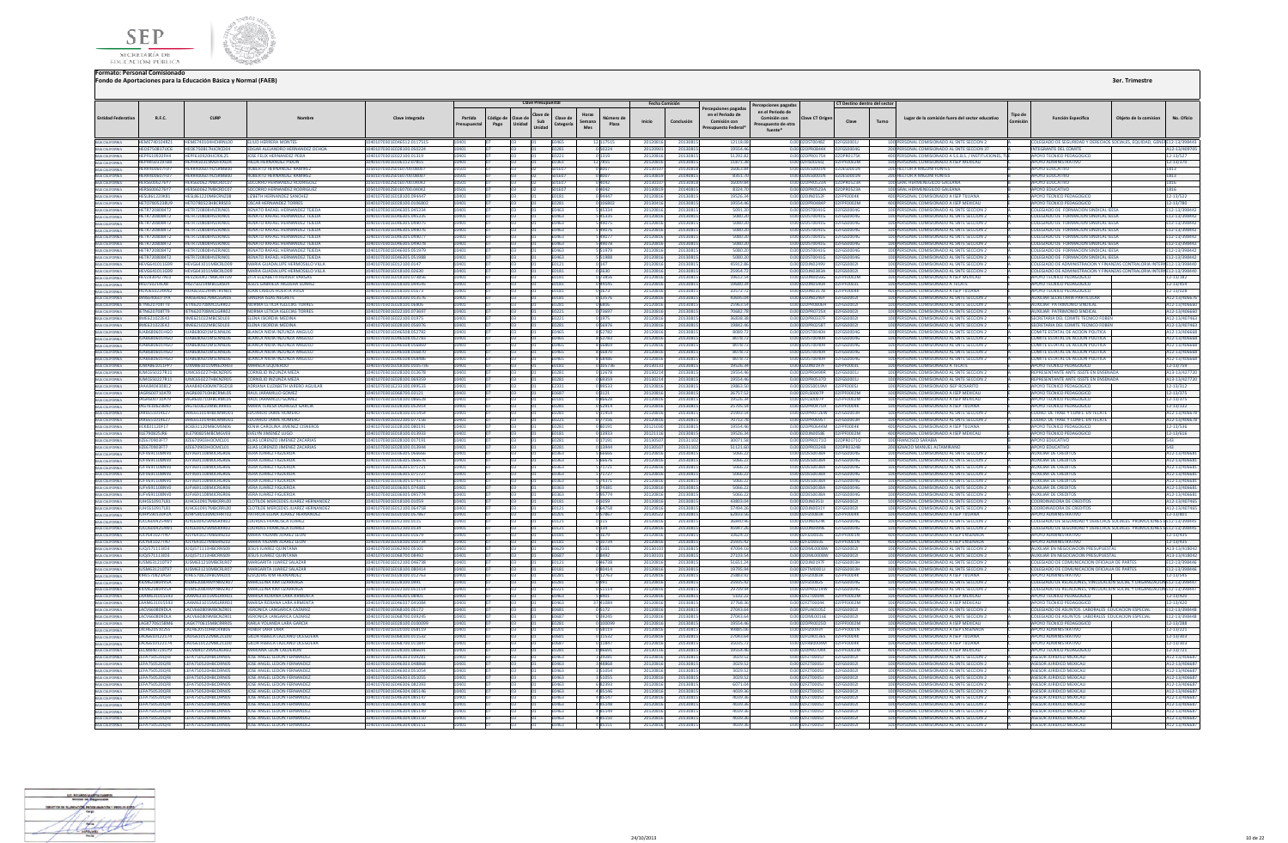



|                                                       |                                               |                                                        |                                                                                        |                                                         |                        |                  | <b>Clave Presupuestal</b>                                    |                                      | <b>Fecha Comisión</b> |                   |                                                                              | Percepciones pagadas                                                                       | CT Destino dentro del secto       |                                                                                                  |         |                                                                                                                                                     |                       |                              |
|-------------------------------------------------------|-----------------------------------------------|--------------------------------------------------------|----------------------------------------------------------------------------------------|---------------------------------------------------------|------------------------|------------------|--------------------------------------------------------------|--------------------------------------|-----------------------|-------------------|------------------------------------------------------------------------------|--------------------------------------------------------------------------------------------|-----------------------------------|--------------------------------------------------------------------------------------------------|---------|-----------------------------------------------------------------------------------------------------------------------------------------------------|-----------------------|------------------------------|
| <b>Entidad Federativa</b>                             | R.F.C.                                        | <b>CURP</b>                                            |                                                                                        | Clave integrada                                         | Partida<br>Presupuesta | ódigo de<br>Pago | Clave di<br>Clave de<br>Sub<br>Unidad<br>Categoría<br>Unidad | Horas<br>Número d<br>Semana<br>Plaza | Inicio                | Conclusión        | ercepciones pagadas<br>en el Periodo de<br>Comisión con<br>resupuesto Federa | en el Periodo de<br>Comisión con<br><b>Clave CT Origer</b><br>esupuesto de otra<br>fuente* | Clave                             | Lugar de la comisión fuera del sector educativo<br>Turno                                         | Tipo de | <b>Función Específica</b>                                                                                                                           | Obieto de la comision | No. Oficio                   |
| BAIA CALIFORNIA<br>BAIA CALIFORNIA                    | HFMF740104R71                                 | HEME740104HCHRN100                                     | <b>FUUD HERRERA MONTES</b>                                                             | 10401070301F046512 011751                               | 10401                  |                  | F <sub>046</sub>                                             | 12 117515                            | 20120816              | 201308            | 12118.0                                                                      | 00 02DST00487                                                                              |                                   | 100 PERSONAL COMISIONADO AL SNTE SECCION 2                                                       |         | COLEGIADO DE SEGURIDAD Y DERECHOS SOCIALES, EQUIDAD, GENERE12-13/398443                                                                             |                       |                              |
|                                                       | <b>HEOE750817UC6</b>                          | HEOE750817HJCRCD04                                     | <b>FDGAR ALEJANDRO HERNANDEZ OCHOA</b>                                                 | 10401070301E028100.050224                               | 10401                  |                  | E0281                                                        | 050224                               | 20120901              | 201308            | 19554.4                                                                      | 0.00 02DPR0844K 02FGS0004G                                                                 |                                   | 200 PERSONAL COMISIONADO AL SNTE SECCION 37                                                      |         | <b>INTEGRANTE DEL COMITE</b>                                                                                                                        |                       | A12-13/4097                  |
| <b>BAJA CALIFORNIA</b><br><b>BAJA CALIFORNIA</b>      | HEPF610920FH4<br>HEPH450319TRR                | HEPF610920HJCRXL25<br>HEPH450319MDERXI04               | OSE FELIX HERNANDEZ PEDA<br>HILDA HERNANDEZ PIĐON                                      | 01070301E022100.01319<br>10401070301F036112 07855       | 0401<br>10401          |                  | FN221<br>F0361                                               | 0 1 3 1 9<br>12, 7855                | 2012081<br>20120816   | 201308<br>201308  | 51292.8<br>118713                                                            | 0.00 02DPR0175K<br>0.00.02EIS00260                                                         | 12DPR0175K<br>02FPF0002M          | 400 PERSONAL COMISIONADO A S.E.B.S. / INSTITUCIONES,<br>100 PERSONAL COMISIONADO A ISEP MEXICALL |         | <b>APOYO TECNICO PEDAGOGICO</b><br>APOYO ADMINISTRATIVO                                                                                             |                       | 12-13/527<br>12-13/370       |
| BAJA CALIFORNIA                                       | HERR400607ED7                                 | HERR400607H7SRMR00                                     | <b>ROBERTO HERNANDEZ RAMIRE</b>                                                        | 10501070302501E0700.08007                               | 10501                  |                  | <b>SO1F07</b>                                                | 08007                                | 2013010               | 201308            | 16063.8                                                                      | 0.00 02DES0001N                                                                            | 02DE50001N                        | <b>200 HECTOR A MIGONI FONTES</b>                                                                |         | ΔΡΟΥΩ ΕΠΙΙΣΑΤΙΝΩ                                                                                                                                    |                       | 1813                         |
|                                                       | <b>HERR400607FD7</b>                          | <b>IFRR400607H7SRMR0</b>                               | ROBERTO HERNANDEZ RAMIREZ                                                              | 01070302S01E0700.08007                                  |                        |                  |                                                              |                                      | 2013081               | 201408            | 8351.7                                                                       | 0.00 02DES0001N                                                                            | ES0001N                           | <b>200 HECTOR A MIGONI FONTES</b>                                                                |         | <b>APOYO EDUCATIVO</b>                                                                                                                              |                       | 1813                         |
| BAIA CALIFORNIA<br>BAIA CALIFORNIA<br>BAIA CALIFORNIA | HERS6006276Y7                                 | HERS600627MRCRDC0                                      | SOCORRO HERNANDEZ RODRIGUE                                                             | 1501070302501F0700.0404                                 | 0501                   |                  |                                                              |                                      |                       | 20130             | 16009.8                                                                      | 0.00 02DPR0523A                                                                            | PROS234                           | 100 GRAL HERMENEGILDO GALEAN                                                                     |         | <b>APOYO EDUCATIVO</b>                                                                                                                              |                       | 1816                         |
|                                                       | HERS6006276Y7                                 | HERS600627MBCRDC07                                     | SOCORRO HERNANDEZ RODRIGUEZ                                                            | 10501070302S01E0700.04042                               | 10501                  |                  | <b>SO1E07</b>                                                | 0 4 0 4 2                            | 2013081               | 2014081           | 8324.7                                                                       | 0.00 02DPR0523A                                                                            | 02DPR0523A                        | 100 GRAL HERMENEGILDO GALEANA                                                                    |         | <b>APOYO EDUCATIVO</b>                                                                                                                              |                       | 1816                         |
| <b>BAJA CALIFORNIA</b>                                | HESL861220K81<br>HETO7805238U9                | HESI 861220MBCRN208<br>HETO780523HRCRRS03              | <b>LIZRETH HERNANDEZ SANCHEZ</b><br><b>OSCAR HERNANDEZ TORRES</b>                      | 10401070301E018100.094447<br>10401070301E028100.0106803 | 10401<br>10401         |                  | <b>F0181</b><br><b>F0281</b>                                 | 0.94447<br>0.106802                  | 20120816<br>20130416  | 201308<br>201308  | 19526.3<br>195544                                                            | 0.00 02D IN0552E<br>0.00 02DPR0484P                                                        | PENNAK<br>02FPF0002M              | 400 PERSONAL COMISIONADO A ISEP TIILIANA<br>400 PERSONAL COMISIONADO A ISEP MEXICALI             |         | <b>APOYO TECNICO PEDAGOGICO</b><br>APOVO TECNICO PEDAGOGICO                                                                                         |                       | 12-13/522<br>12-13/780       |
| BAJA CALIFORNIA<br><b>A CALIFORNIA</b>                | HETR7208084T2                                 | HETR720808HVZRINO                                      | <b>ENATO RAFAEL HERNANDEZ TEJ</b>                                                      | 10401070301E046305.04533                                |                        |                  |                                                              |                                      | 201208                | 201308            | 5091.2                                                                       | 0.00 02DST0041G                                                                            |                                   | 100 PERSONAL COMISIONADO AL SNTE SECCION                                                         |         | <b>COLEGIADO DE FORMACION SIND</b>                                                                                                                  |                       | E12-13/3984                  |
| <b>BAJA CALIFORNIA</b>                                | HETR7208084T2                                 | HETR720808HVZRJN01                                     | RENATO RAFAEL HERNANDEZ TEJEDA                                                         | 10401070301E046305.045335                               | 10401                  |                  | E0463                                                        | 545335                               | 20120816              | 201308            | 5080.2                                                                       | 0.00 02DST0041G                                                                            | 02FGS0004G                        | 100 PERSONAL COMISIONADO AL SNTE SECCION 2                                                       |         | COLEGIADO DE FORMACION SINDICAL IEESA                                                                                                               |                       | E12-13/39844                 |
| BAJA CALIFORNIA                                       | HETR7208084T2                                 | HETR720R08HV7RIN01                                     | <b>ENATO RAFAEL HERNANDEZ TEIFDA</b>                                                   | 10401070301F046305.04907                                | 10401                  |                  | <b>Fabn</b>                                                  | 549075                               | 20120816              | 201308            | 5080.2                                                                       | 0.00 02DST0041G                                                                            | 256500046                         | 100 PERSONAL COMISIONADO AL SNTE SECCION 2                                                       |         | COLEGIADO DE FORMACIÓN SINDICAL IFESA                                                                                                               |                       | E12-13/398442                |
| <b>BAIA CALIFORNIA</b>                                | HETR7208084T2                                 | HETR720808HVZRJN01                                     | RENATO RAFAEL HERNANDEZ TEJEDA                                                         | 10401070301E046305.049076                               | 10401                  |                  | E0463                                                        | 549076                               | 20120816              | 201308            | 5080.2                                                                       | 0.00 02DST0041G                                                                            | 02EGS0004G                        | 100 PERSONAL COMISIONADO AL SNTE SECCION 2                                                       |         | COLEGIADO DE FORMACION SINDICAL IEESA                                                                                                               |                       | E12-13/398442                |
| <b>RAIA CALIFORNIA</b>                                | HETR7208084T2<br>HETP7209094T2                | HFTR720808HV7RIN01<br>HETP720808HVZPIMO                | <b><i>RENATO RAFAEL HERNANDEZ TEIEDA</i></b><br><b>ENATO PAFAEL HERNANDEZ TEIEDA</b>   | 10401070301E046305.049077<br>10401070301F046305.04907   | 10401                  |                  | Fabn <sup>:</sup>                                            | 549077                               | 2012081<br>2012081    | 201308<br>201308  | 5080.2<br>5080.2                                                             | 0.00020500416<br>0.00.02DST0041G                                                           | <b>PEGSOODAG</b><br>GSOODAG       | 100 PERSONAL COMISIONADO AL SNTE SECCION 2                                                       |         | COLEGIADO DE FORMACION SINDICAL JEES/<br>COLEGIADO DE FORMACIÓN SINDICAL IFESA                                                                      |                       | F12-13/39844                 |
| BAIA CALIFORNIA<br>BAJA CALIFORNIA                    | HETR7208084T2                                 | HETR720808HVZRINO                                      | RENATO RAFAEL HERNANDEZ TEJEDA                                                         | 10401070301E046305.05197                                | 10401                  |                  | 0463                                                         | 49078<br>5 5 1 9 7 9                 | 2012081               | 2013081           | 5080.2                                                                       | 0.00 02DST0041G                                                                            | GS00046                           | 100 PERSONAL COMISIONADO AL SNTE SECCION 2<br>100 PERSONAL COMISIONADO AL SNTE SECCION 2         |         | COLEGIADO DE FORMACION SINDICAL IEESA                                                                                                               |                       | E12-13/39844<br>E12-13/39844 |
| BAJA CALIFORNIA                                       | <b>HETR7208084T2</b>                          | ETR720808HVZRJN01                                      | <b>ENATO RAFAEL HERNANDEZ TEJEDA</b>                                                   | 0401070301E046305.05198                                 |                        |                  | 1463                                                         | 5 5 1 9 8 8                          | 2012081               | 201308            | 5080.2                                                                       | 0.00 02DST0041G                                                                            | GS0004G                           | 100 PERSONAL COMISIONADO AL SNTE SECCION 2                                                       |         | COLEGIADO DE FORMACION SINDICAL IEESA                                                                                                               |                       | E12-13/39844                 |
|                                                       | HEVG641011G99                                 | HEVG641011MBCRLD09                                     | AARIA GUADALUPE HERMOSILLO VILLA                                                       | 10401070301E012100.0147                                 | 10401                  |                  | 0121                                                         | 0147                                 | 20120816              | 201308            | 45912.8                                                                      | 0.00 02DJN0249V                                                                            | <b>FGS00021</b>                   | 100 PERSONAL COMISIONADO AL SNTE SECCION 2                                                       |         | COLEGIADO DE ADMINISTRACION Y FINANZAS CONTRALORIA INTERNE12-13/39844                                                                               |                       |                              |
| <b>RAIA CALIFORNIA</b>                                | <b>HFVG641011G99</b>                          | HEVG641011MRCRLD09                                     | MARIA GUADALUPE HERMOSILLO VILLA                                                       | 10401070301E018100.02630                                | 10401                  |                  | <b>F0181</b>                                                 | 0 2630                               | 20120816              | 201308            | 25954.7                                                                      | 0.00.02DIN0383A                                                                            | 02EGS0002L                        | 100 PERSONAL COMISIONADO AL SNTE SECCIÓN 2                                                       |         | COLEGIADO DE ADMINISTRACION Y FINANZAS CONTRALORIA INTERNE12-13/39844                                                                               |                       |                              |
|                                                       | <b>HEVZ830427AL0</b>                          | HEVZ830427MRCRRT09                                     | <b>7ITA FUZARETH HERVER VARGAS</b>                                                     | 10401070301F018100.07385                                |                        |                  |                                                              | 0.73856                              | 2012081               | 201308            | 19612.5                                                                      | 0.00.02DIN0056G                                                                            | <b>COODZA4</b>                    | 100 PERSONAL COMISIONADO A ISEP MEXICALI                                                         |         | APOYO TECNICO PEDAGOGICO                                                                                                                            |                       | 12-13/182                    |
| BAIA CALIFORNIA                                       | HISJ750214LX8<br><b>HUAJ650224KN2</b>         | HISJ750214MBCGRS04<br>UAJ650224HNTRVNO                 | JESUS GABRIELA HIGUERA SUAREZ<br>UAN CARLOS HUERTA AVILA                               | 10401070301E018100.044549<br>10401070301E018100.01673   | 10401                  |                  | E0181<br>0181                                                | 044545<br>0 1673                     | 20120816<br>2012081   | 201308<br>201308  | 19680.3<br>33572.                                                            | 0.00 02DJN0540A (<br>0.00 02DJN0317B                                                       | PF0004K                           | 100 PERSONAL COMISIONADO A TECATI<br>400 PERSONAL COMISIONADO A ISEP TUUAN                       |         | APOYO TECNICO PEDAGOGICO<br>APOYO TECNICO PEDAGOGICO                                                                                                |                       | 12-13/454<br>12-13/028       |
| BAJA CALIFORNIA<br><b>RAIA CALIFORNIA</b>             | <b>IANS640607TPA</b>                          | <b>IANS640607MRCSGN05</b>                              | SANDRA ISLAS NEGRETE                                                                   | 10401070301E018100.013576                               | 10401                  |                  | <b>F0181</b>                                                 | 013576                               | 20120816              | 201308            | 436950                                                                       | 0.00.02DIN0246Y                                                                            | 02EGS00021                        | 100 PERSONAL COMISIONADO AL SNTE SECCION 2                                                       |         | AUXILIAR SECRETARIA PARTICULAR                                                                                                                      |                       | A12-13/4066                  |
| BAIA CALIFORNIA                                       | <b>IETN620708TT9</b>                          | <b>IFTN62070RMCLGRR02</b>                              | <b>NORMA LETICIA IGLECIAS TORRES</b>                                                   | 10401070301E028100.06806                                | 10401                  |                  | E0281                                                        | 0 6806                               | 2012081               | 201308            | 25963.5                                                                      | 0.00 02DPR0806H                                                                            | 02EGS00021                        | 100 PERSONAL COMISIONADO AL SNTE SECCION 2                                                       |         | AUXILIAR PATRIMONIO SINDICAL                                                                                                                        |                       | A12-13/4066                  |
|                                                       | IFTN620708TT9                                 | <b>IFTN62070RMCLGRR02</b>                              | NORMA LETICIA IGLECIAS TORRES                                                          | 10401070301E022100.073691                               | 10401                  |                  |                                                              | 0 73697                              | 20120816              | 201308            | 70682.7                                                                      | 0.00 02DPR0725X                                                                            | 56500021                          | 100 PERSONAL COMISIONADO AL SNTE SECCION 2                                                       |         | AUXILIAR PATRIMONIO SINDICAL                                                                                                                        |                       | A12-13/4066                  |
| BAJA CALIFORNIA                                       | <b>IIME621022E42</b>                          | IIME621022MBCSDL02                                     | ELEMA ISIORDIA MEDINA                                                                  | 10401070201E022100.01975                                | 10401                  |                  | F0221                                                        | 0 1975                               | 20120816              | 201308            | 369393                                                                       | 0.00 02DPR0337E                                                                            | <b>ICUUDSZSCU</b>                 | 100 PERSONAL COMISIONADO AL SNTE SECCION 2                                                       |         | SECRETARIA DEL COMITE TECNICO EORE                                                                                                                  |                       | A12-13/40746                 |
| BAIA CALIFORNIA<br>BAIA CALIFORNIA                    | <b>IIME621022E42</b>                          | IME621022MBCSDL03                                      | ENA ISIORDIA MEDINA                                                                    | 10401070301E028100.056976                               | 10401                  |                  | 0281                                                         | 056976                               | 2012081               | 201308            | 19842.4                                                                      | 0.00 02DPR0258T                                                                            | 2FGS00021                         | 100 PERSONAL COMISIONADO AL SNTE SECCION 2                                                       |         | SECRETARIA DEL COMITE TECNICO FOBER                                                                                                                 |                       | A12-13/40746                 |
| BAJA CALIFORNIA                                       | DON PORRABALIL<br>ILIAR680601HGO              | ILIAR680601MSLNNL06<br>ILIAR680601MSLNNL06             | RIANÇA NIDIA INZUNZA ANGULI<br><b>BLANCA NIDIA INZUNZA ANGULO</b>                      | 10401070301F046508.052782<br>10401070301F046508.052783  | 10401<br>10401         |                  | 2340<br>FO465                                                | 8 5 2 7 8 2<br>8 5 2 7 8 3           | 20120816<br>20120816  | 201308<br>201308  | 80897<br>80787                                                               | 0.00 02DST0040H<br>0.00.02DST0040H                                                         | <b>EGS00046</b><br>02EGS0004G     | 100 PERSONAL COMISIONADO AL SNTE SECCIÓN 2<br>100 PERSONAL COMISIONADO AL SNTE SECCIÓN 2         |         | COMITE ESTATAL DE ACCION POLITICA<br>COMITE ESTATAL DE ACCION POLITICA                                                                              |                       | A12-13/4066<br>A12-13/40666  |
| BAJA CALIFORNIA                                       | LIAR680601HGO                                 | ILIAR680601MSLNNL06                                    | <b>BLANCA NIDIA INZUNZA ANGULO</b>                                                     | 10401070301F046508 056869                               | 10401                  |                  | FN465                                                        | 856869                               | 2012081               | 201308            | 80787                                                                        | 0.00 02DST0040H                                                                            | 02FGS0004G                        | 100 PERSONAL COMISIONADO AL SNTE SECCION 2                                                       |         | COMITE ESTATAL DE ACCION POLITICA                                                                                                                   |                       | A12-13/40666                 |
| BAJA CALIFORNIA                                       | <b>ILIAR680601HGO</b>                         | <b>ILLARGROSO1MSLNNLO6</b>                             | <b>BLANCA NIDIA INZUNZA ANGULO</b>                                                     | 10401070201E046508 056870                               | 10401                  |                  | <b>FN465</b>                                                 | 8 5 6 8 7 0                          | 20120816              | 201308            | 80787                                                                        | 0.00 02DST0040H                                                                            | <b>DEGSOOMG</b>                   | 100 PERSONAL COMISIONADO AL SNTE SECCION 2                                                       |         | COMITE ESTATAL DE ACCION POLITICA                                                                                                                   |                       | A12-13/40666                 |
| BAIA CALIFORNIA<br>BAIA CALIFORNIA                    | <b>UAB680601HGO</b>                           | AR680601MSLNNL0                                        | ANCA NIDIA INZUNZA ANGUL                                                               | 0401070301E046508.05848                                 |                        |                  |                                                              | 858486                               | 201208                | 201308            | 8078.                                                                        | DST0040H                                                                                   | GSOOD40                           | 100 PERSONAL COMISIONADO AL SNTE SECCION 2                                                       |         | COMITE ESTATAL DE ACCION POLITICA                                                                                                                   |                       | A12-13/406                   |
|                                                       | <b>IUMA861011PP7</b>                          | <b>IUXM861011MNEZXR03</b>                              | <b>ARIELA IZQUIERDO</b>                                                                | 10401070301E018100.010573                               | 10401                  |                  | E0181                                                        | 0 105736                             | 20130131              | 201308            | 19526.3                                                                      | 0.00 02DJN0197F                                                                            | PF0003L                           | 100 PERSONAL COMISIONADO A TECATE                                                                |         | APOYO TECNICO PEDAGOGICO                                                                                                                            |                       | 12-13/759                    |
| BAJA CALIFORNIA                                       | <b>IUMC650227R11</b>                          | ILIMC650227HRCNZR05<br><b>ILIMC650227HRCNZROS</b>      | <b>CORNELIO INZUNZA MEZA</b><br>CORNELIO INZUNZA MEZA                                  | 10401070301E028100.012678<br>10401070201E028100.069259  | 10401<br>10401         |                  | <b>F0281</b><br><b>E0281</b>                                 | 012678<br>025030                     | 20130214              | 2013081           | 19554.46                                                                     | 0.00 02DPR0499R<br>0.00020PR05370                                                          | 02EGS00011<br>025GS0001L          | 100 PERSONAL COMISIONADO AL SNTE SECCION 2                                                       |         | REPRESENTANTE ANTE ISSSTE EN ENSENAD<br><b>DEDDESENTANTE ANTE ISSSTE EN ENSENADA</b>                                                                |                       | A13-13/42772                 |
| BAIA CALIFORNIA<br>BAIA CALIFORNIA                    | IUMC650227R11<br>JAAA840430812                | IAAAR40430MNTRGD18                                     | ADRIANA ELIZARETH JARERO AGUILAR                                                       | 10401070301E233100.09953                                | 10401                  |                  | E2331                                                        | 099533                               | 20130214<br>2012081   | 201308<br>201308  | 19554.4<br>19863.5                                                           | 0.00 02DES0019M                                                                            | <b>PENOOSI</b>                    | 100 PERSONAL COMISIONADO AL SNTE SECCION 2<br>100 PERSONAL COMISIONADO ISEP ROSARITO             |         | APOYO TECNICO PEDAGOGICO                                                                                                                            |                       | A13-13/4277.<br>12-13/312    |
|                                                       | JAGR600710AT9                                 | JAGR600710HBCRML05                                     | AUL JARAMILLO GOMEZ                                                                    | 10401070301E068700.03121                                | 10401                  |                  |                                                              | 03121                                | 2012081               | 201308            | 26757.5                                                                      | 0.00 02FLS0007P                                                                            | FOOD2M                            | 100 PERSONAL COMISIONADO A ISEP MEXICALI                                                         |         | APOYO TECNICO PEDAGOGICO                                                                                                                            |                       | 12-13/375                    |
| BAJA CALIFORNIA<br>BAJA CALIFORNIA                    | JAGR600710AT9                                 | JAGR600710HBCRML05                                     | RAUL JARAMILLO GOME                                                                    | 10401070301E018100.086628                               | 10401                  |                  | E0181                                                        | 086628                               | 20120816              | 201308            | 19526.3                                                                      | 0.00 02FLS0007P                                                                            | <b>PF0002M</b>                    | 100 PERSONAL COMISIONADO A ISEP MEXICALI                                                         |         | APOYO TECNICO PEDAGOGICO                                                                                                                            |                       | 12-13/375                    |
| <b>BAIA CALIFORNIA</b>                                | <b>IAGT6106236N7</b>                          | IAGT610623MRCRRR01                                     | MARIA TERESA IAUREGUI GARCU                                                            | 10401070301E028100.052914                               | 10401                  |                  | <b>FN281</b>                                                 | 052914                               | 20120816              | 2013081           | 25705.5                                                                      | 0.00 02DPR0475H                                                                            | 02FPF0004K                        | 100 PERSONAL COMISIONADO A ISEP TIILIANA                                                         |         | APOYO TECNICO PEDAGOGICO                                                                                                                            |                       | 12-13/132                    |
|                                                       | IARE651014E27                                 | <b>IAPE651014HBCMMADD1</b><br>IARF651014HRCMMD01       | DUARDO JAIME ROMERO<br><b>FDUARDO JAIME ROMERO</b>                                     | 10401070301F028100 011454<br>10401070301F022100 077156  | LOVU1                  |                  | 0281                                                         | 011454                               | 2012081               | 201308            | 25993.5<br>70712.7                                                           | n nn 02DPR0726W                                                                            | 12EGS0003H<br>02EGS0003H          | 100 PERSONAL COMISIONADO AL SNTE SECCION 2                                                       |         | COORD, DE TRAB, Y CONFL, FN TFCA'<br>COORD DE TRAB Y CONFL EN TECATE                                                                                |                       | A12-13/4066                  |
| BAJA CALIFORNIA<br>BAJA CALIFORNIA                    | JARE651014E27<br>JICK831120F1                 | ICK831120MBCMSN06                                      | INIA CAROLINA JIMENEZ CISNEROS                                                         | 10401070301E028100.08019                                | 10401                  |                  | E0221                                                        | 0 77156                              | 20120816<br>201210    | 201308<br>201308  | 19554.4                                                                      | 0.00 02DPR0695T<br>0.00 02DPR0644M                                                         | <b>FOODAK</b>                     | 100 PERSONAL COMISIONADO AL SNTE SECCION 2<br>400 PERSONAL COMISIONADO A ISEP TUUANA             |         | APOYO TECNICO PEDAGOGICO                                                                                                                            |                       | A12-13/4066<br>12-13/536     |
| <b>BAIA CALIFORNIA</b>                                | JILE790825JR6                                 | III F790825MRCMGV03                                    | <b>EVELYN IIMENEZ LUGO</b>                                                             | 10401070301F018100 013933                               | 10401                  |                  | <b>FN181</b>                                                 | 0 13933                              | 20121116              | 201308            | 195263                                                                       | 0.00.02DIN0058E                                                                            | PE0002M                           | 400 PERSONAL COMISIONADO A ISEP MEXICALI                                                         |         | APOYO TECNICO PEDAGOGICO                                                                                                                            |                       | 12-13/616                    |
| <b>BAIA CALIFORNIA</b>                                | JIZE670903FT7                                 | JIZE670903HOCMCL01                                     | LIAS LORENZO JIMENEZ ZACARIAS                                                          | 0401070301E028100.017191                                | 10401                  |                  | FN 281                                                       | 0 17191                              | 2013050               | 201311            | 30071.5                                                                      | 0.00 02DPR01710                                                                            | DPR01710                          | 100 FRANCISCO SARABIA                                                                            |         | <b>APOYO EDUCATIVO</b>                                                                                                                              |                       | 543                          |
|                                                       | II7F670903FT7                                 | IIZE670903HOCMCL01                                     | <b>FLIAS LORENZO JIMENEZ ZACARIAS</b>                                                  | 10401070301E028100.013944                               | 10401                  |                  | <b>F0281</b>                                                 | 0.13944                              | 2013050               | 201311            | 51121.6                                                                      | 0.00 02DPR0324B                                                                            | 02DPR0324B                        | 200 IGNACIO MANUEL ALTAMIRANO                                                                    |         | ΔΡΟΥΩ ΕΒΗΓΑΤΙΛΩ                                                                                                                                     |                       | 543                          |
|                                                       | JUFV691108NV0                                 | JUFV691108MJCRGRNF                                     | VERA ILIAREZ FIGUEROA                                                                  | 0401070201E026205.06666                                 | 10401                  |                  | E0363                                                        | 5 66666                              | 2012081               | 201308            | 50662                                                                        | 0.00 02DES0038A                                                                            | CSOOMG                            | 100 PERSONAL COMISIONADO AL SNTE SECCION 2                                                       |         | <b>AUXILIAR DE CREDITO</b>                                                                                                                          |                       | A12-13/40668                 |
|                                                       | JUFV691108NV0<br>JUFV691108NV0                | JUFV691108MJCRGR06<br>ILIEV691108MICRGR0               | <b>VERA JUAREZ FIGUEROA</b><br><b>VERA ILIAREZ FIGUEROJ</b>                            | 10401070301E036305.06667<br>10401070301E036305.071721   | 10401<br>10401         |                  | :0363                                                        | 5 6 6 6 7 6<br>5 71721               | 2012081<br>2012081    | 201308<br>201308  | 5066.2<br>5066.2                                                             | 0.00 02DES0038A<br>0.00 02DES0038A                                                         | GS0004G                           | 100 PERSONAL COMISIONADO AL SNTE SECCION 2<br>100 PERSONAL COMISIONADO AL SNTE SECCION           |         | <b>AUXILIAR DE CREDITOS</b><br><b>AUXILIAR DE CREDITO</b>                                                                                           |                       | A12-13/4066<br>A12-13/406    |
| <b>BAIA CALIFORNIA</b>                                | JUFV691108NV0                                 | ILIEV69110RMICRGR06                                    | <b>VERA ILIAREZ FIGUEROA</b>                                                           | 10401070301E036305.071727                               | 10401                  |                  | FN363                                                        | 571727                               | 20120816              | 2013081           | 5066.2                                                                       | 0.00.02DES0038A                                                                            | 12FGS0004G                        | 100 PERSONAL COMISIONADO AL SNTE SECCION 2                                                       |         | <b>AUXILIAR DE CREDITOS</b>                                                                                                                         |                       | A12-13/40668                 |
| BAIA CALIFORNIA                                       | JUFV691108NV0                                 | ILIEV691108MICRGR06                                    | <b>VERA ILIAREZ FIGUEROA</b>                                                           | 10401070301E036305.074371                               | 10401                  |                  | F0363                                                        | 5 74371                              | 20120816              | 201308            | 5066.2                                                                       | 0.00 02DES0038A                                                                            | 02FGS0004G                        | 100 PERSONAL COMISIONADO AL SNTE SECCION 2                                                       |         | <b>AUXILIAR DE CREDITOS</b>                                                                                                                         |                       | A12-13/40668                 |
|                                                       | JUFV691108NV0                                 | JUFV691108MJCRGR06                                     | <b>VERA ILIAREZ FIGUEROA</b>                                                           | 10401070301E036305.074381                               | 10401                  |                  | <b>F0363</b>                                                 | 5 74381                              | 20120816              | 201308            | 5066.2                                                                       | 0.00.02DES0038A 02EGS0004G                                                                 |                                   | 100 PERSONAL COMISIONADO AL SNTE SECCION 2                                                       |         | <b>AUXILIAR DE CREDITOS</b>                                                                                                                         |                       | A12-13/40668                 |
| BAIA CALIFORNIA                                       | JUFV691108NV0                                 | JUFV691108MJCRGR0                                      | <b>VERA JUAREZ FIGUERO</b>                                                             | 10401070301E036305.09577                                |                        |                  |                                                              | 595774                               | 2012081               | 201308            | 5066.2                                                                       | 0.00 02DES0038A                                                                            |                                   | 100 PERSONAL COMISIONADO AL SNTE SECCION                                                         |         | <b>AUXILIAR DE CREDITO</b>                                                                                                                          |                       | A12-13/4066                  |
| BAIA CALIFORNIA<br><b>BAIA CALIFORNIA</b>             | JUHC610917L81<br>JUHC610917L81                | JUHC610917MBCRRL00<br>JUHC610917MBCRRL00               | <b>CLOTILDE MERCEDES JUAREZ HERNANDEZ</b><br><b>CLOTH DE MERCEDES HIAREZ HERNANDEZ</b> | 10401070301E018100.01059<br>10401070301E012100.064758   | 10401<br>10401         |                  | E0181<br>E0121                                               | 0 1059<br>064758                     | 20120816<br>20120816  | 201308<br>201308  | 43803.0<br>57494.2                                                           | 0.00 02DJN0351<br>0.00 02DJN0031Y                                                          | 02FGS00021<br>02EGS00021          | 100 PERSONAL COMISIONADO AL SNTE SECCION 2<br>100 PERSONAL COMISIONADO AL SNTE SECCION 2         |         | COORDINADORA DE CREDITO<br><b>COORDINADORA DE CREDITOS</b>                                                                                          |                       | A12-13/4074<br>A12-13/4074   |
| BAJA CALIFORNIA                                       | JUHP590130PZA                                 | ILIHPS90130MDERRT02                                    | PATRICIA FLENA ILIAREZ HERNANDEZ                                                       | 10401070301E020100.057867                               | 10401                  |                  | <b>F0201</b>                                                 | 057867                               | 20130522              | 201308            | 62833.5                                                                      | 0.00 02FIZ0083R                                                                            | <b>D2FPF0004K</b>                 | 100 PERSONAL COMISIONADO A ISEP TUUANA                                                           |         | <b>APOYO ADMINISTRATIVO</b>                                                                                                                         |                       | 12-13/801                    |
|                                                       | <b>IIII 06004254W1</b>                        | ILIXI 600425MRSRXR02                                   | <b>I OURDES FRANCISCA JUAREZ</b>                                                       | 10401070301F012100 0115                                 | 10401                  |                  | F0121                                                        | 0 1 1 5                              | 20120816              | 201308            | 36840.9                                                                      | 0.00 02D IN0424K                                                                           | 02EGS0004G                        | 100 PERSONAL COMISIONADO AL SNTE SECCIÓN 2                                                       |         | COLEGIADO DE SEGURIDAD Y DERECHOS SOCIALES, PROMOCIONES RE12-13/398445                                                                              |                       |                              |
| BAJA CALIFORNIA                                       | <b>ILII O6004254W1</b>                        | <b>UYL600425MBSRYR07</b>                               | <b>OURDES FRANCISCA JUAREZ</b>                                                         | 10401070301E012100.0134                                 | <b>DAN1</b>            |                  |                                                              | 0 1 3 4                              | 2012081               | 201308            | 459472                                                                       | 0.00 02D INO099F                                                                           | CSOODAG                           | 100 PERSONAL COMISIONADO AL SNTE SECCION 2                                                       |         | COLEGIADO DE SEGURIDAD Y DERECHOS SOCIALES PROMOCIONES E E12-13/39844                                                                               |                       |                              |
| BAJA CALIFORNIA                                       | <b>JULY641027TN7</b>                          | JULY641027MBSRNZ0                                      | MARIA YAZMIN JUAREZ LEOI                                                               | 10401070301E018100.01679                                | 10401                  |                  |                                                              | 0 1 6 7 9                            | 2012081               | 201308            | 33624.2                                                                      | 0.00 02FJZ0003E                                                                            |                                   | 400 PERSONAL COMISIONADO A ISEP ENSENADA                                                         |         | <b>APOYO ADMINISTRATIVO</b>                                                                                                                         |                       | 12-13/435                    |
| <b>BAIA CALIFORNIA</b>                                | <b>JULY641027TN7</b><br><b>ILIOI571113ID3</b> | JLY641027MBSRNZ02<br>ILIOIS71113HRCRNS09               | ARIA YAZMIN JUAREZ LEON<br><b>IFSUS JUAREZ OUINTANA</b>                                | 0401070301E018100.01073<br>10401070301F062900.05101     | 0401<br>10401          |                  | 0181<br><b>F0629</b>                                         | 0 10734<br>0.5101                    | 20120816<br>2013010   | 201308<br>201308  | 25935.4<br>470941                                                            | 0.00 02FJZ0003E<br>0.00.02DML0008W 02EGS0002L                                              | <b>F0001N</b>                     | 400 PERSONAL COMISIONADO A ISEP ENSENADA<br>100 PERSONAL COMISIONADO AL SNTE SECCIÓN 2           |         | <b>APOYO ADMINISTRATIVO</b><br>AUXILIAR EN NEGOCIACIÓN PRESUPLIESTA                                                                                 |                       | 12-13/435<br>A13-13/41804    |
| BAIA CALIFORNIA                                       | JUQJ571113ID3                                 | <b>ILIOIS71113HRCRNS09</b>                             | <b>JESUS JUAREZ OUINTANA</b>                                                           | 10401070301F068700.08492                                | 10401                  |                  | <b>E0687</b>                                                 | 0 8492                               | 2013010               | 201308            | 27103.5                                                                      | 0.00.02DML0008W 02EGS0002L                                                                 |                                   | 100 PERSONAL COMISIONADO AL SNTE SECCIÓN 2                                                       |         | AUXILIAR EN NEGOCIACION PRESUPLIESTA                                                                                                                |                       | A13-13/41804                 |
|                                                       | USM631210T97                                  | USM631210MBCRLR0                                       | <b>ARGARITA JUAREZ SALAZA</b>                                                          | 10401070301E012100.04673                                |                        |                  |                                                              | 0.46738                              | 201208                | 201308            | 51651.7                                                                      | 0.00.02DIN0197E                                                                            | GSOODRE                           | 100 PERSONAL COMISIONADO AL SNTE SECCION                                                         |         | COLEGIADO DE COMUNICACION OFICIALIA DE PARTES                                                                                                       |                       | E12-13/39844                 |
|                                                       | JUSM631210T97                                 | JUSM631210MBCRLR0                                      | <b>MARGARITA JUAREZ SALAZAI</b>                                                        | 10401070301E018100.080414                               | 10401                  |                  | E0181                                                        | 080414                               | 20120816              | 201308            | 19795.9                                                                      | 0.00 02FTM0001J                                                                            | 02FGS0003H                        | 100 PERSONAL COMISIONADO AL SNTE SECCION 2                                                       |         | COLEGIADO DE COMUNICACION OFICIALIA DE PARTES                                                                                                       |                       | E12-13/3984                  |
|                                                       | KIHE570823AG9                                 | KIHES70823HBCMRZ01                                     | ZEQUIAS KIM HERNANDEZ                                                                  | 0401070301E028100.012763                                |                        |                  | 0281                                                         | 0 12763                              | 2012081               | 201308            | 25883.9                                                                      | 0.00 02FIZ0083R                                                                            | <b>PF0004K</b>                    | 100 PERSONAL COMISIONADO A ISEP TUUANA                                                           |         | APOYO ADMINISTRATIVO                                                                                                                                |                       | 12-13/545                    |
|                                                       | KII M620804VSA<br>KILM620804VSA               | KII M620804MYNMZR07<br>KILM620804MYNMZR07              | MARCELINA KIM LIZARRAGA<br>MARCELINA KIM LIZARRAGI                                     | 10401070301E028100.0991<br>10401070301E022100.051114    | 10401<br>LOVU1         |                  | FN281<br>0221                                                | 0.991                                | 20120816<br>2012081   | 201308<br>201308  | 25935.4<br>29709.9                                                           | 0.00102EIZ00825<br>0.00 02DPR0214W                                                         | 02EGS0004G<br><b>DECSODAGE</b>    | 100 PERSONAL COMISIONADO AL SNTE SECCION 2<br>100 PERSONAL COMISIONADO AL SNTE SECCIÓN 2         |         | COLEGIADO DE RELACIONES, VINCULACIÓN SOCIAL Y ORGANIZACIÓN E12-13/398443<br>COLEGIADO DE RELACIONES, VINCULACION SOCIAL Y ORGANIZACION E12-13/39844 |                       |                              |
|                                                       | <b>FP221015593</b>                            | <b>I AAM631015MSLRRR01</b>                             | MARISA ROXANA LARA ARMENT.                                                             | 10401070301F046305 08401                                |                        |                  |                                                              | 051114                               | 2012081               | 201308            | 5102.2                                                                       | 0.00 02FZT0004K                                                                            | PE0002M                           | 100 PERSONAL COMISIONADO A ISEP MEXICALI                                                         |         | APOYO TECNICO PEDAGOGICO                                                                                                                            |                       | 12-13/420                    |
|                                                       | LAAM631015593                                 | LAAM631015MSLRRR01                                     | MARISA ROXANA LARA ARMENTA                                                             | 10401070301E046337.04108                                | 10401                  |                  | E0463                                                        | 37 41084                             | 20120816              | 201308            | 37768.3                                                                      | 0.00 02FZT0004K                                                                            | PF0002M                           | 100 PERSONAL COMISIONADO A ISEP MEXICAL                                                          |         | APOYO TECNICO PEDAGOGICO                                                                                                                            |                       | 12-13/420                    |
| <b>BAIA CALIFORNIA</b>                                | LACV660809DLA                                 | LACV660809MBCNZR01                                     | <b>FRONICA LANGARICA CAZAREZ</b>                                                       | 10401070301E068100.05172                                | 10401                  |                  | 1890                                                         | 05172                                | 2012081               | 2013081           | 27043.64                                                                     | 0.00 02FUA0105Z                                                                            | <b>EGS00021</b>                   | 100 PERSONAL COMISIONADO AL SNTE SECCION 2                                                       |         | COLEGIADO DE ASUNTOS LABORALES EDUCACION ESPECIAL                                                                                                   |                       | E12-13/39844                 |
|                                                       | A IGP0809DLA                                  | LACV660809MBCNZR01                                     | <b>FRONICA LANGARICA CAZAREZ</b>                                                       | 10401070301E068700.03924                                | 10401                  |                  | <b>FN687</b>                                                 | 039245                               | 20120816              | 201308            | 27043.6                                                                      | 0.00.02DMI0016E                                                                            | <b>EGS00021</b>                   | 100 PERSONAL COMISIONADO AL SNTE SECCION 2                                                       |         | COLEGIADO DE ASUNTOS LABORALES EDUCACION ESPECIAL                                                                                                   |                       | 12-13/39844                  |
|                                                       | LAGK7706158M6                                 | LAGK770615MRCRRR05                                     | KARLA YOLANDA LARA GARCIA                                                              | 10401070301E028100.010009                               | 10401                  |                  | <b>F0281</b>                                                 | 0 100099                             | 20120816              | 201308            | 195544                                                                       | 0.00.02DPR0025D                                                                            | FPF0002M                          | 100 PERSONAL COMISIONADO A ISEP MEXICALL                                                         |         | APOYO TECNICO PEDAGOGICO                                                                                                                            |                       | 12-13/288                    |
| BAJA CALIFORNIA                                       | 2200120630141<br>LAOG610122174                | <b>IALH620510HBCRRR06</b><br><b>1A0G610122MBCZCL00</b> | <b>HURER LARA LARA</b><br>SILDA REBECA LAZCANO OCEGUERA                                | 10401070201E020100.058119<br>10401070301E068100.011533  | 10401<br>10401         |                  | E0201<br><b>FN681</b>                                        | 058119<br>0 11532                    | 20120816<br>20120816  | 201308<br>201308  | 00995.0<br>27043.6                                                           | 0.0002E120093Y<br>0.00 02FUA0136S                                                          | <b>DENNATAL</b><br><b>EDENNAK</b> | 100 PERSONAL COMISIONADO A ISEP ENSENADA<br>100 PERSONAL COMISIONADO A ISEP TIILIANA             |         | AROVO ADMINISTRATIVO<br><b>APOYO ADMINISTRATIVO</b>                                                                                                 |                       | 12-13/221<br>12-13/303       |
| BAIA CALIFORNIA<br>A CALIFORNIA                       | LAOG610122174                                 | AOG610122MBCZCL0                                       | ILDA REBECA LAZCANO OCEGUERA                                                           | 10401070301E068700.01184                                |                        |                  |                                                              | 011847                               | 201208                | 201308            | 35035                                                                        | 0.00 02FRB0004M                                                                            | F0004                             | 100 PERSONAL COMISIONADO A ISEP TUUANA                                                           |         | <b>APOYO ADMINISTRATIVO</b>                                                                                                                         |                       | 12-13/303                    |
| <b>BAIA CALIFORNIA</b>                                | LECM8407291Y9                                 | LECM840729MSLNLR02                                     | <b>AARIANA LEON CALDERON</b>                                                           | 10401070301E028100.086691                               | 10401                  |                  | E0281                                                        | 086691                               | 20130116              | 201308            | 19554.4                                                                      | 0.00 02DPR0704K                                                                            | PF0002M                           | 400 PERSONAL COMISIONADO A ISEP MEXICAL                                                          |         | <b>APOYO TECNICO PEDAGOGICO</b>                                                                                                                     |                       | 12-13/721                    |
| BAIA CALIFORNIA                                       | LEFA750520QF8                                 | LEFA750520HBCDRN05                                     | JOSE ANGEL LEDON FERNANDEZ                                                             | 10401070301E046303.039281                               | 10401                  |                  | E0463                                                        | 3 3 9 2 8 1                          | 20120816              | 201308            | 3029.5                                                                       | 0.00 02FZT000SJ                                                                            | 02EGS0002L                        | 100 PERSONAL COMISIONADO AL SNTE SECCION 2                                                       |         | ASESOR JURIDICO MEXICALI                                                                                                                            |                       | A12-13/4066                  |
|                                                       | <b>IFFA7505200F8</b>                          | <b>IEEA750520HRCDRN05</b>                              | <b>IOSE ANGEL LEDON FERNANDEZ</b>                                                      | 10401070301F046303.048868                               | 10401                  |                  | EOA63                                                        | 3 48868                              | 2012081               | 201308            | 3029.5                                                                       | 0.00.02EZT0005L                                                                            | 125GS00021                        | 100 PERSONAL COMISIONADO AL SNTE SECCIÓN 2                                                       |         | <b>ASESOR JURIDICO MEXICAL</b>                                                                                                                      |                       | A12-13/4066                  |
| <b>A CALIFORNIA</b>                                   | LEFA750520QF8                                 | LEFA750520HBCDRN05                                     | JOSE ANGEL LEDON FERNANDE                                                              | 10401070301E046303.05105                                | 10401                  |                  | E0463                                                        | 351054                               | 20120816              | 201308            | 3029.5                                                                       | 0.00 02FZT0005J                                                                            | 02FGS00021                        | 100 PERSONAL COMISIONADO AL SNTE SECCION                                                         |         | <b>ASESOR JURIDICO MEXICA</b>                                                                                                                       |                       | A12-13/4066                  |
| BAIA CALIFORNIA                                       | LEFA750520QF8                                 | EFA750520HBCDRN05                                      | OSE ANGEL LEDON FERNANDEZ                                                              | 10401070301E046303.051055                               | 10401                  |                  | 1463                                                         | 3 51055                              | 20120816              | 201308            | 3029.5                                                                       | 0.00 02FZT000SJ                                                                            | 2FGS00021                         | 100 PERSONAL COMISIONADO AL SNTE SECCION 2                                                       |         | <b>ASESOR JURIDICO MEXICALI</b>                                                                                                                     |                       | A12-13/40668                 |
|                                                       | <b>IFFA7505200FR</b><br>LEFA750520QF8         | <b>IFFA750520HRCDRN05</b><br>LEFA750520HBCDRN05        | <b>IOSE ANGEL LEDON FERNANDEZ</b><br>JOSE ANGEL LEDON FERNANDEZ                        | 10401070301F046306 082393<br>10401070301E046304.085146  | 10401<br>10401         |                  | <b>F0463</b><br>E0463                                        | 682393<br>485146                     | 20120816<br>20120816  | 201308<br>2013081 | 6071.0<br>4039.3                                                             | 0.00 0252100051<br>0.00 02FZT0005J 02FGS0002I                                              | 02EGS00021                        | 100 PERSONAL COMISIONADO AL SNTE SECCION 2<br>100 PERSONAL COMISIONADO AL SNTE SECCION 2         |         | <b>ASESOR JURIDICO MEXICALI</b><br>ASESOR JURIDICO MEXICALI                                                                                         |                       | A12-13/40668<br>A12-13/40668 |
|                                                       | LEEA750520OER                                 | <b>IFFA750520HRCDRN05</b>                              | <b>IOSE ANGEL LEDON FERNANDEZ</b>                                                      | 10401070301F046304 08514                                | 10401                  |                  | Fabn <sup>:</sup>                                            | 485147                               | 2012081               | 201308            | 40393                                                                        | 0.00 02E2T00051                                                                            | 02EGS0002L                        | 100 PERSONAL COMISIONADO AL SNTE SECCION 2                                                       |         | <b>ASESOR JURIDICO MEXICAL</b>                                                                                                                      |                       | A12-13/40668                 |
|                                                       | LEFA750520QF8                                 | LEFA750520HBCDRN05                                     | JOSE ANGEL LEDON FERNANDE                                                              | 10401070301E046304.085148                               |                        |                  | E0463                                                        | 485148                               | 2012081               | 201308            | 4039.3                                                                       | 0.00 02FZT0005J 02FGS0002I                                                                 |                                   | 100 PERSONAL COMISIONADO AL SNTE SECCION 2                                                       |         | <b>ASESOR JURIDICO MEXICAL</b>                                                                                                                      |                       | A12-13/4066                  |
| BAIA CALIFORNIA                                       | LEFA750520QF8                                 | LEFA750520HBCDRN05                                     | JOSE ANGEL LEDON FERNANDEZ                                                             | 10401070301E046304.085149                               | 10401                  |                  | E0463                                                        | 485149                               | 20120816              | 201308            | 4039.36                                                                      | 0.00 02FZT0005J                                                                            | 02FGS00021                        | 100 PERSONAL COMISIONADO AL SNTE SECCION 2                                                       |         | ASESOR JURIDICO MEXICALI                                                                                                                            |                       | A12-13/40668                 |
|                                                       | <b>IFFA750520OF8</b>                          | LEEA750520HRCDRN05                                     | JOSE ANGEL LEDON FERNANDEZ                                                             | 10401070301E046304.085150                               | 10401                  |                  | E0463                                                        | 485150                               | 20120816              | 201308            | 4039.3                                                                       | 0.00 02FZT0005J                                                                            | 02EGS0002L                        | 100 PERSONAL COMISIONADO AL SNTE SECCION 2                                                       |         | ASESOR JURIDICO MEXICALI                                                                                                                            |                       | A12-13/40668                 |
|                                                       | LEEA7505200ER                                 | <b>IEEA750520HBCDRN05</b>                              | <b>IOSE ANGEL LEDON FERNANDEZ</b>                                                      | 0401070201E046304.085151                                |                        |                  | EOA63                                                        | 4 85151                              | 20120816              | 201308            | 40393                                                                        | 0.00 0252100051                                                                            | <b>DZEGSOODZI</b>                 | 100 PERSONAL COMISIONADO AL SNTE SECCIÓN 2                                                       |         | <b>ASESOR JURIDICO MEXICAL</b>                                                                                                                      |                       | A12-13/4066                  |

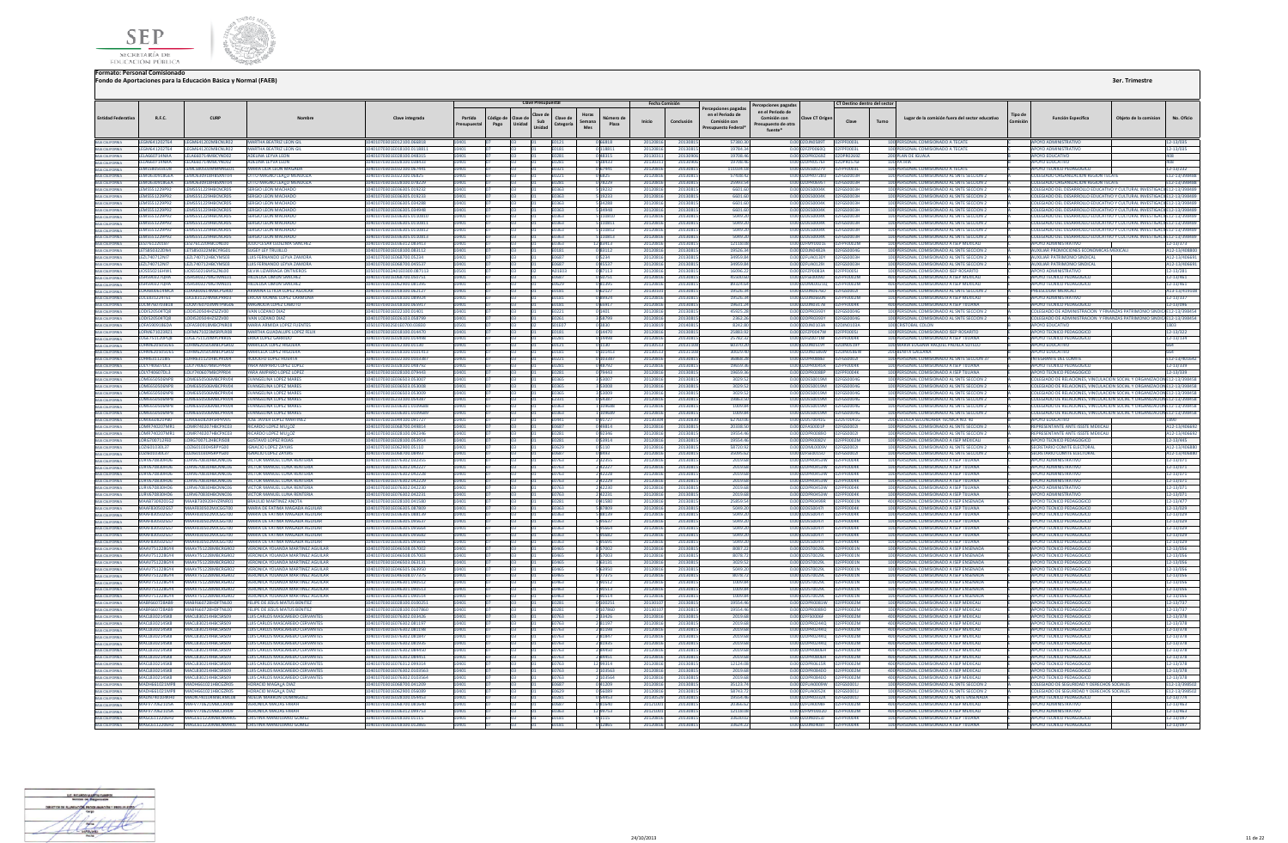



|                                                                                                                |                                            |                                                                       |                                                                               |                                                        |                       |                   | <b>Clave Presupuestal</b>           |                              |                          |                   | Fecha Comisión     |                    |                                                                                |                                                                                           |                                                            | CT Destino dentro del sector    |                                                                                          |                |                                                                                                                                                      |                       |                            |
|----------------------------------------------------------------------------------------------------------------|--------------------------------------------|-----------------------------------------------------------------------|-------------------------------------------------------------------------------|--------------------------------------------------------|-----------------------|-------------------|-------------------------------------|------------------------------|--------------------------|-------------------|--------------------|--------------------|--------------------------------------------------------------------------------|-------------------------------------------------------------------------------------------|------------------------------------------------------------|---------------------------------|------------------------------------------------------------------------------------------|----------------|------------------------------------------------------------------------------------------------------------------------------------------------------|-----------------------|----------------------------|
| <b>Entidad Federativ</b>                                                                                       | R.F.C.                                     | CURP                                                                  |                                                                               | Clave integrada                                        | Partida<br>resupuesta | Código de<br>Pago | Clave de<br>Sub<br>Unidad<br>Unidad | Clave de<br>Categoría        | Horas<br>Semana<br>Mes   | Número d<br>Plaza | Inicio             | Conclusión         | ercepciones pagadas<br>en el Periodo de<br>Comisión con<br>Presupuesto Federal | ercepciones pagadas<br>en el Periodo de<br>Comisión con<br>Presupuesto de otra<br>fuente* | <b>Clave CT Origer</b>                                     | Turno<br>Clave                  | Lugar de la comisión fuera del sector educativo                                          | <b>Tipo</b> de | <b>Función Específica</b>                                                                                                                            | Objeto de la comision | No. Oficio                 |
|                                                                                                                |                                            |                                                                       | <b>MARTHA BEATRIZ LEON GIL</b>                                                | 10401070301E012100.066818                              | 10401                 |                   |                                     | E0121                        | 066818                   |                   | 20120816           | 2013081            | 57380.30                                                                       |                                                                                           | 0.00 02DJN0589T 02FPF0003L                                 |                                 | 100 PERSONAL COMISIONADO A TECATE                                                        |                | APOYO ADMINISTRATIVO                                                                                                                                 |                       | 12-13/035                  |
|                                                                                                                |                                            |                                                                       | <b>ARTHA BEATRIZ LEON GI</b>                                                  | 01070301E018100.011881                                 |                       |                   |                                     | E0181                        | 0 118811                 |                   | 201208             | 201308             | 19784.3                                                                        |                                                                                           | 0.00 02FZP0060Q<br>0.00.020992697 820992697                | <b>PF0003L</b>                  | <b>ERSONAL COMISIONADO A TECA</b>                                                        |                | OYO ADMINISTRATIVO                                                                                                                                   |                       | 12-13/035                  |
|                                                                                                                |                                            |                                                                       | ADELINA LEYVA LEON<br>ADELINA LEYVA LEON                                      | 0401070301E028100.048315<br>0401070301E028100.038433   | 10401<br>10401        |                   |                                     | E0281<br><b>F0281</b>        | 048315<br>038433         |                   | 2013031<br>2013031 | 201309<br>201309   | 19708.4<br>19708.4                                                             |                                                                                           | 0.00.02DPR0576E                                            | 02DPR0576F                      | 200 PLAN DE IGUALA<br>100 PATRIA                                                         |                | APOYO EDUCATIVO<br>ΔΡΟΥΩ ΕΒΗΓΑΤΙΛΩ                                                                                                                   |                       | $A \cap R$<br>408          |
|                                                                                                                |                                            |                                                                       | <b>JARIA LILIA LEON MAGAD,</b>                                                | 0401070301E032100.067441                               |                       |                   |                                     |                              | 067441                   |                   | 2012081            | 2013081            | 111034.1                                                                       |                                                                                           | 0.00 02DES0027V                                            | 02EPE0003L                      | 100 PERSONAL COMISIONADO A TECATE                                                        |                | <b>APOYO TECNICO PEDAGO</b>                                                                                                                          |                       | 12-13/232                  |
|                                                                                                                |                                            |                                                                       | <b>ITTO MAGNO LEALO MENDOZ</b>                                                | 0401070301E022100.0682                                 | 10401                 |                   |                                     | E0221                        | 06825                    |                   | 2012081            | 2013081            | 57438.42                                                                       |                                                                                           | 0.00 02DPR0728U                                            | 02FGS0003F                      | 100 PERSONAL COMISIONADO AL SNTE SECCION :                                               |                | COLEGIADO ORGANIZACION REGION TECAT                                                                                                                  |                       | E12-13/39848               |
| BAIA CALIFORNIA<br>BAIA CALIFORNIA<br>BAIA CALIFORNIA<br>BAIA CALIFORNIA<br>BAIA CALIFORNIA                    | LEMO630918GEA                              | LEMO630918HBSXNT04                                                    | <b>ITTO MAGNO LEALO MENDOZA</b>                                               | 401070301E028100.078229                                |                       |                   |                                     | E0281                        | 078229                   |                   | 201208             | 2013081            | 25993.54                                                                       |                                                                                           | 0.00 02DPR0695T                                            | 02FGS0003H                      | 100 PERSONAL COMISIONADO AL SNTE SECCION 2                                               |                | COLEGIADO ORGANIZACION REGION TECATE                                                                                                                 |                       | E12-13/398488              |
|                                                                                                                | <b>IFMS551229P92</b><br>LEMS551229P92      | IFMS551229HRCNCROS<br>LEMSS51229HBCNCR05                              | <b>SERGIO LEON MACHADO</b><br>SERGIO LEON MACHADO                             | 0401070301E036305.019232<br>0401070301F036305 019233   |                       |                   |                                     | F0363                        | 19232                    |                   | 2012081<br>2012081 | 2013081<br>2013081 | 6601.60<br>6601.60                                                             |                                                                                           | 0.00 02DES0004K<br>0.00 02DES0004K                         | 02EGS0003E                      | 100 PERSONAL COMISIONADO AL SNTE SECCION 2<br>100 PERSONAL COMISIONADO AL SNTE SECCIÓN 2 |                | TOI FGIADO DEL DESARROLLO EDUCATIVO Y CULTURAL INVESTIGACI E12-13/398489<br>COLEGIADO DEL DESARROLLO EDUCATIVO Y CULTURAL INVESTIGACILE12-13/398489  |                       |                            |
|                                                                                                                | <b>IFMS551229P92</b>                       | <b>IFMSSS1229HRCNCR05</b>                                             | <b>SERGIO LEON MACHADO</b>                                                    | 0401070301F036305.034288                               |                       |                   |                                     | <b>F0363</b><br>F0363        | 5 19233<br><b>S34288</b> |                   | 201208             | 2013081            | 6601.60                                                                        |                                                                                           | 0.00 02DES0004K                                            | <b>D2EGS0003H</b><br>02FGS0003H | 100 PERSONAL COMISIONADO AL SNTE SECCION 2                                               |                | COLEGIADO DEL DESARROLLO EDUCATIVO Y CULTURAL INVESTIGACI E12-13/398489                                                                              |                       |                            |
|                                                                                                                |                                            | LEMS551229P92 LEMS551229HBCNCR05                                      | <b>SERGIO LEON MACHADO</b>                                                    | 0401070301E036305.034948                               | 10401                 |                   |                                     | E0363                        | 5 34948                  |                   | 2012081            | 2013081            | 6601.60                                                                        |                                                                                           | 0.00 02DES0004K                                            | 02FGS0003H                      | 100 PERSONAL COMISIONADO AL SNTE SECCION 2                                               |                | COLEGIADO DEL DESARROLLO EDUCATIVO Y CULTURAL INVESTIGACN E12-13/398489                                                                              |                       |                            |
| BAIA CALIFORNIA<br>BAIA CALIFORNIA                                                                             | <b>IFMS551229P92</b>                       | <b>IFMS551229HRCNCROS</b>                                             | <b>FRGIO LEON MACHADO</b>                                                     | 101070301F036305 0110810                               |                       |                   |                                     | <b>FO363</b>                 | 5 110810                 |                   | 2012081            | 2013081            | 5049.20                                                                        |                                                                                           | 0.00.02DES0004K 02EGS0003H                                 |                                 | 100 PERSONAL COMISIONADO AL SNTE SECCION 2                                               |                | OLEGIADO DEL DESARROLLO EDUCATIVO Y CULTURAL INVESTIGACILE12-13/398489                                                                               |                       |                            |
|                                                                                                                |                                            | LEMS551229P92 LEMS551229HBCNCR05                                      | SERGIO LEON MACHADO                                                           | 0401070301E036305.0110811                              |                       |                   |                                     | E0363                        | 5 110811                 |                   | 2012081            | 2013081            | 5049.20                                                                        |                                                                                           | 0.00 02DES0004K 02FGS0003H                                 |                                 | 100 PERSONAL COMISIONADO AL SNTE SECCION 2                                               |                | COLEGIADO DEL DESARROLLO EDUCATIVO Y CULTURAL INVESTIGACI E12-13/398489                                                                              |                       |                            |
| BAIA CALIFORNIA                                                                                                | <b>IFMS551229P92</b>                       | <b>IFMSSS1229HRCNCR05</b>                                             | SERGIO LEON MACHADO                                                           | 0401070301E036305.0110812                              |                       |                   |                                     | F0363                        | 5 110812                 |                   | 2012081            | 2013081            | 5049.20                                                                        |                                                                                           | 0.00 02DES0004K                                            | 02FGS0003H                      | 100 PERSONAL COMISIONADO AL SNTE SECCION 2                                               |                | COLEGIADO DEL DESARROLLO EDUCATIVO Y CULTURAL INVESTIGACI E12-13/398489                                                                              |                       |                            |
| BAJA CALIFORNIA<br>BAJA CALIFORNIA                                                                             | <b>IEMSSS1220002</b><br>LESJ7612201B7      | <b>IEMSSS1220HRCMCROS</b><br>LESI761220HBCDN100                       | <b>SERGIO LEON MACHADO</b><br>ULIO CESAR LEDEZMA SANCHEZ                      | 0401070301E036305.0110813<br>0401070301E036312.083413  |                       |                   |                                     | <b>E0262</b><br>E0363        | 110813<br>1283413        |                   | 201208<br>201208   | 2013081<br>2013081 | 5049.20<br>12118.08                                                            |                                                                                           | 0.00 02DES0004K<br>0.00 02FMY0001E                         | <b>D2EGS0003H</b><br>02EDE0002M | 100 PFRSONAL COMISIONADO AL SNTE SECCION 2<br>100 PERSONAL COMISIONADO A ISEP MEXICALI   |                | COLEGIADO DEL DESARROLLO EDUCATIVO Y CULTURAL INVESTIGACI E12-13/398489<br><b>AROVO ADMINISTRATIVO</b>                                               |                       | 12-13/373                  |
|                                                                                                                | LETS850322DN4                              | LETS850322MBCYRG01                                                    | SUGEY LEY TRUJILLO                                                            | 01070301E018100.083112                                 |                       |                   |                                     | E0181                        | 083112                   |                   | 201208             | 2013081            | 19526.34                                                                       |                                                                                           | 0.00 02DJN0482A                                            | 02FGS0004G                      | 100 PERSONAL COMISIONADO AL SNTE SECCION :                                               |                | UXILIAR PROMOCIONES ECONOMICAS MEXICAL                                                                                                               |                       | A12-13/408800              |
| BAIA CALIFORNIA<br>BAIA CALIFORNIA                                                                             | <b>IF71740712N17</b>                       | <b>IF7I740712HRCYMS03</b>                                             | Η ΗΝ ΕΕΡΝΑΝΙΚΟ Ι ΕΥΝΑ ΖΑΜΟΡΑ                                                  | 0401070301F068700.05234                                | 10401                 |                   |                                     | <b>F0687</b>                 | 0 5 2 3 4                |                   | 2012081            | 2013081            | 34959.84                                                                       |                                                                                           | 0.00 02FUA0130Y 02FGS0003H                                 |                                 | 100 PERSONAL COMISIONADO AL SNTE SECCION 2                                               |                | ΔΗΧΙΗΔΡ ΡΑΤΡΙΜΟΝΙΟ SINDICAL                                                                                                                          |                       | A12-13/406691              |
| BAJA CALIFORNIA                                                                                                | LEZL740712N17                              | LEZL740712HBCYMS03                                                    | LUIS FERNANDO LEYVA ZAMORA                                                    | 0401070301E068700.045537                               |                       |                   |                                     | <b>F0687</b>                 | 045537                   |                   | 2012081            | 2013081            | 34959.84                                                                       |                                                                                           | 0.00 02FUA0129I                                            | 02FGS0003H                      | 100 PERSONAL COMISIONADO AL SNTE SECCION 2                                               |                | AUXILIAR PATRIMONIO SINDICAL                                                                                                                         |                       | A12-13/406691              |
| BAJA CALIFORNIA<br>BAJA CALIFORNIA                                                                             | LIOS550216HW1                              | LIOS550216MSLZNL0I                                                    | <b>/IA LIZARRAGA ONTIVERO</b>                                                 | 1070302A01E0300.087113                                 |                       |                   |                                     |                              | 37113                    |                   | 20120              | 201308             | 16096.                                                                         |                                                                                           | 2FZP0083A                                                  |                                 | ERSONAL COMISIONADO ISEP ROSARIT                                                         |                | OYO ADMINISTRATIVO                                                                                                                                   |                       | 12-13/281                  |
| BAJA CALIFORNIA                                                                                                | <b>USH590327QHA</b><br><b>USH590327QHA</b> | LISH590327MGTMNL01<br>LISH590327MGTMNL01                              | <b>HILDELISA LIMON SANCHEZ</b><br><b>IILDELISA LIMON SANCHEZ</b>              | 0401070301E068700.050751<br>0401070301E062900.081395   |                       |                   |                                     | E0687<br>E0629               | 0 50751<br>081395        |                   | 2012081<br>2012081 | 2013081<br>2013081 | 45500.60<br>89324.6                                                            |                                                                                           | 0.00 02FSE0009D   02FPF0002M<br>0.00 02DML0021Q 02FPF0002M |                                 | 400 PERSONAL COMISIONADO A ISEP MEXICAL<br>400 PERSONAL COMISIONADO A ISEP MEXICAL       |                | <b>APOYO TECNICO PEDAGOGICO</b><br>APOYO TECNICO PEDAGOGICO                                                                                          |                       | 12-13/461<br>12-13/461     |
| BAJA CALIFORNIA                                                                                                |                                            | LOAA800614MCA LOAA800614MBCPGR00                                      | ARIANNA I FTICIA LOPEZ AGUILAI                                                | 0401070301E018100.062127                               | 10401                 |                   |                                     | E0181                        | 0 62127                  |                   | 201301             | 2013081            | 19526.34                                                                       |                                                                                           | 0.00 02DJN0676O   02FGS0002I                               |                                 | 100 PERSONAL COMISIONADO AL SNTE SECCION 2                                               |                | PREESCOLAR MEXICALL                                                                                                                                  |                       | A13-13/419108              |
|                                                                                                                | IOCER31224T61                              | LOCER31224MBCPRR03                                                    | <b>FRICKA IVONNE LOPEZ CARMONA</b>                                            | 0401070301F018100.089924                               |                       |                   |                                     | <b>F0181</b>                 | 0.89924                  |                   | 2012081            | 2013081            | 1952634                                                                        |                                                                                           | 0.00 02D IN 0660N                                          | 02FPF0002M                      | 100 PERSONAL COMISIONADO A ISEP MEXICALI                                                 |                | <b>APOYO ADMINISTRATIVO</b>                                                                                                                          |                       | 12-13/337                  |
| BAIA CALIFORNIA<br>BAIA CALIFORNIA                                                                             | LOCM760703B18                              | LOCM760703MNTPBG06                                                    | AGNOUA LOPEZ CABUTO                                                           | 401070301E018100.065917                                |                       |                   |                                     | <b>F0181</b>                 |                          |                   | 201208             | 2013081            | 19631.2                                                                        |                                                                                           | n nn 02DJN0317B                                            | 02FPF0004K                      | 400 PERSONAL COMISIONADO A ISEP TUUANA                                                   |                | <b>IPOYO TECNICO PEDAGOGIO</b>                                                                                                                       |                       | 12-13/096                  |
|                                                                                                                | LODI520504TO8                              | LODI520504HZSZZV00                                                    | ΔΝ ΙΟΖΑΝΟ ΒΙΑΣ                                                                | 0401070301F022100 0140                                 |                       |                   |                                     | E0221                        | 0 1401                   |                   | 201208             | 201308             | 45925.2                                                                        |                                                                                           | 0.00 02DPR0393Y                                            | 02FGS0004G                      | 100 PERSONAL COMISIONADO AL SNTE SECCION                                                 |                | COLEGIADO DE ADMINISTRACION Y FINANZAS PATRIMONIO SINDICA E12-13/398454                                                                              |                       |                            |
| BAIA CALIFORNIA<br>BAIA CALIFORNIA                                                                             | LODI520504TO8                              | LODI520504HZSZZV00                                                    | <b>AN LOZANO DIAZ</b>                                                         | 0401070301E026103.058799                               |                       |                   |                                     | E0261                        | 3 5 8 7 9 9              |                   | 201208             | 201308             | 2362.2                                                                         |                                                                                           | 0.00 02DPR0393Y                                            | 2FGS0004G                       | 100 PERSONAL COMISIONADO AL SNTE SECCION 2                                               |                | COLEGIADO DE ADMINISTRACION Y FINANZAS PATRIMONIO SINDICA E12-13/398454                                                                              |                       |                            |
|                                                                                                                | LOFA5909186DA                              | LOFA590918MBCPNR08<br>LOFM671023RZ1 LOFM671023MSRPLR08                | <b>MARIA ARMIDA LOPEZ FUENTES</b><br>MARTHA GUADALUPE LOPEZ FELIX             | 0501070302501E0700.03830<br>0401070301E018100.014470   | 10501<br>10401        |                   |                                     | S01E07<br>F0181              | 03830<br>0 14470         |                   | 2013081<br>2012081 | 2014081<br>2013081 | 8242.8<br>25883.92                                                             |                                                                                           | 0.00 02DJN0103A<br>0.00.02EZP0047W 02EPE0005L              | 02DIN0103A                      | 100 CRISTOBAL COLON<br>100 PERSONAL COMISIONADO ISEP ROSARITO                            |                | <b>APOYO EDUCATIVO</b><br>APOYO TECNICO PEDAGOGICO                                                                                                   |                       | 1803<br>12-13/322          |
| BAJA CALIFORNIA<br>BAJA CALIFORNIA                                                                             | LOGE751120PQ8                              | LOGEZ51120MPLPRR05                                                    | ERIKA LOPEZ GARRIDO                                                           | 401070301F028100 014498                                |                       |                   |                                     |                              | 14498                    |                   | 201208             | 201308             | 25782.3                                                                        |                                                                                           | 0.00.02EIZ0071M                                            | 02ERE0004K                      | 100 PERSONAL COMISIONADO A ISEP TIILIANA                                                 |                | POYO TECNICO PEDAGOGICO                                                                                                                              |                       | 12-13/134                  |
| BAIA CALIFORNIA                                                                                                |                                            | LOHM620505U65 LOHM620505MBCPGR02                                      | <b>MARICELA LOPEZ HIGUERA</b>                                                 | 0401070301E012100.01130                                | 10401                 |                   |                                     | E0121                        | 0 1130                   |                   | 201305             | 2013110            | 60370.2                                                                        |                                                                                           | 0.00 02DJN0519Y                                            | 02DJN0519Y                      | 100 MARIA EUGENIA RAQUEL PADILLA SOTELO                                                  |                | <b>POYO EDUCATIVO</b>                                                                                                                                |                       |                            |
|                                                                                                                | LOHM620505U65                              | LOHM620505MBCPGR02                                                    | MARICELA LOPEZ HIGUERA                                                        | 0401070301E018100.0101413                              |                       |                   |                                     | E0181                        | 101413                   |                   | 201305             | 201311             | 30029.4                                                                        |                                                                                           | 0.00 02DJN0586W                                            | 02DJN0586W                      | <b>200 BENITA GALEANA</b>                                                                |                | POYO EDUCATIVO                                                                                                                                       |                       |                            |
|                                                                                                                | <b>IDIY740607013</b>                       | LOHR6311218I5 LOHR631121HBCPRD04<br>LOLY740607MRCPPR04                | <b>RODOLFO LOPEZ HUFRTA</b><br>ΥΔΒΑ ΑΜΡΑΒΟ ΙΟΡΕΖ ΙΟΡΕΖ                        | 0401070301E022100.0103387<br>0401070301F028100.048792  |                       |                   |                                     | <b>FN221</b>                 | 0.103387                 |                   | 2012081<br>2012081 | 2013081<br>2013081 | 36868.28<br>1965936                                                            |                                                                                           | 0.00.02DPR08861 02EGS0002L<br>0.0002DPR0045R 02FPF0004K    |                                 | 100 PERSONAL COMISIONADO AL SNTE SECCION 37<br>100 PERSONAL COMISIONADO A ISEP TIILIANA  |                | <b>INTEGRANTE DEL COMITE</b>                                                                                                                         |                       | E12-13/401642              |
| BAIA CALIFORNIA<br>BAIA CALIFORNIA<br>BAIA CALIFORNIA<br>BAIA CALIFORNIA<br>BAIA CALIFORNIA                    | LOLY740607DL3                              | <b>LOLY740607MRCPPR04</b>                                             | ΥΔΡΑ ΑΜΡΑΡΩ ΙΩΡΕΖ ΙΩΡΕΖ                                                       | 0401070301F028100 079443                               |                       |                   |                                     | <b>F0281</b><br><b>F0281</b> | 0.48792<br>79443         |                   | 201208             | 2013081            | 1965936                                                                        |                                                                                           | 0.00.02DPR0088P                                            | 02FPF0004K                      | 100 PERSONAL COMISIONADO A ISEP TIILIANA                                                 |                | APOYO TECNICO PEDAGOGICO<br>APOYO TECNICO PEDAGOGICO                                                                                                 |                       | 12-13/339<br>12-13/339     |
|                                                                                                                |                                            | LOME650506NP8 LOME650506MBCPRV04                                      | <b>EVANGELINA LOPEZ MARES</b>                                                 | 0401070301E036503.053007                               | 10401                 |                   |                                     | E0365                        | 353007                   |                   | 2012081            | 2013081            | 3029.52                                                                        |                                                                                           |                                                            |                                 | 100 PERSONAL COMISIONADO AL SNTE SECCION 2                                               |                | COLEGIADO DE RELACIONES, VINCULACION SOCIAL Y ORGANIZACION E12-13/398458                                                                             |                       |                            |
| BAIA CALIFORNIA<br>BAIA CALIFORNIA                                                                             |                                            | LOME650506NP8 LOME650506MBCPRV04                                      | <b>EVANGELINA LOPEZ MARES</b>                                                 | 401070301E036503.053008                                |                       |                   |                                     | F0365                        | 3 5 3 0 0 8              |                   | 2012081            | 2013081            | 3029.52                                                                        |                                                                                           | 0.00 02DES0019M 02FGS0004G                                 |                                 | 100 PERSONAL COMISIONADO AL SNTE SECCIÓN 2                                               |                | COLEGIADO DE RELACIONES, VINCULACION SOCIAL Y ORGANIZACION E12-13/398458                                                                             |                       |                            |
|                                                                                                                |                                            | LOME650506NP8 LOME650506MBCPRV04                                      | <b>EVANGELINA LOPEZ MARES</b>                                                 | 0401070301E036503.053009                               | 10401                 |                   |                                     | F0365                        | 353009                   |                   | 2012081            | 2013081            | 3029.52                                                                        |                                                                                           |                                                            |                                 | 100 PERSONAL COMISIONADO AL SNTE SECCION 2                                               |                | COLEGIADO DE RELACIONES, VINCULACION SOCIAL Y ORGANIZACION E12-13/398458                                                                             |                       |                            |
| BAJA CALIFORNIA                                                                                                |                                            | <b>IOME650506NPR IOME650506MRCPRVD4</b><br><b>I OMESSOSOSMBCRRVIM</b> | <b><i>EVANGELINA LOPEZ MARES</i></b>                                          | 0401070301E233100.054387                               |                       |                   |                                     | F2331                        | 054387                   |                   | 2012081            | 2013081            | 19863.50<br>1009.84                                                            |                                                                                           | 0.00.02DES0019M 02EGS0004G<br>0.00 02DES0019M              |                                 | 100 PERSONAL COMISIONADO AL SNTE SECCION 2                                               |                | COLEGIADO DE RELACIONES, VINCULACION SOCIAL Y ORGANIZACION E12-13/398458                                                                             |                       |                            |
| BAIA CALIFORNIA<br>BAIA CALIFORNIA                                                                             | <b>LOME650506NPR</b>                       | LOME650506NP8 LOME650506MBCPRV04                                      | <b>FVANGELINA LOPEZ MARES</b><br><b>EVANGELINA LOPEZ MARES</b>                | 0401070301E036301 0109688<br>0401070301E036301.0109689 |                       |                   |                                     | <b>EN262</b><br>E0363        | 100688<br>1 109689       |                   | 201208<br>201208   | 2013081<br>2013081 | 1009.84                                                                        |                                                                                           | 0.00 02DES0019M                                            | <b>DOEGSOOD</b><br>02FGS0004G   | 100 PERSONAL COMISIONADO AL SNTE SECCION 2<br>100 PERSONAL COMISIONADO AL SNTE SECCION 2 |                | COLEGIADO DE RELACIONES, VINCULACION SOCIAL Y ORGANIZACION E12-13/398458<br>COLEGIADO DE RELACIONES, VINCULACION SOCIAL Y ORGANIZACION E12-13/398458 |                       |                            |
|                                                                                                                | LOMJ660820PB0                              | LOMJ660820HSRPRV05                                                    | OSE JAVIER LOPEZ MARTINEZ                                                     | 401070301E044100.09172                                 |                       |                   |                                     | E0441                        | 091727                   |                   | 20130              | 2013083            | 62760.0                                                                        |                                                                                           | 0.00 02DST0041G                                            | 2DST0041G                       | 200 ESCUELA SECUNDARIA TECNICA NO. 40                                                    |                | POYO EDUCATIVO                                                                                                                                       |                       |                            |
| BAIA CALIFORNIA<br>BAIA CALIFORNIA                                                                             |                                            | LOMB740207MB1 LOMB740207HBCPXC03                                      | RICARDO LOPEZ MUAOZ                                                           | 0401070301E068700.049814                               |                       |                   |                                     | <b>FN687</b>                 | 0.49814                  |                   | 201208             | 2013081            | 20338.56                                                                       |                                                                                           | 0.00.02EAS0001P                                            | 12EGS00021                      | 100 PERSONAL COMISIONADO AL SNTE SECCION :                                               |                | REPRESENTANTE ANTE ISSSTE MEXICALL                                                                                                                   |                       | A12-13/406692              |
| BAJA CALIFORNIA                                                                                                |                                            | LOMR740207MR1 LOMR740207HBCPXC03                                      | <b>RICARDO LOPEZ MULOZ</b>                                                    | 0401070301F028100.092346                               |                       |                   |                                     | <b>F0281</b>                 | 092346                   |                   | 2012081            | 2013081            | 195544                                                                         |                                                                                           | 0.00 02DPR00890                                            | 02EG500021                      | 100 PERSONAL COMISIONADO AL SNTE SECCION 2                                               |                | REPRESENTANTE ANTE ISSSTE MEXICAL                                                                                                                    |                       | A12-13/406692              |
| <b>A CALIFORNIA</b>                                                                                            | LORG700712FE0                              | LORG700712HBCPJS08                                                    | <b>IUSTAVO LOPEZ ROJAS</b>                                                    | 401070301E028100.05391                                 |                       |                   |                                     |                              | 053914                   |                   | 201208             | 2013081            | 19554.4                                                                        |                                                                                           | 0.00 02DPR0082V                                            | 02FPF0002M                      | 100 PERSONAL COMISIONADO A ISEP MEXICAL                                                  |                | <b>APOYO TECNICO PEDAGOGICO</b>                                                                                                                      |                       | 12-13/445                  |
| BAJA CALIFORNIA                                                                                                | LOZI601030L37<br>LOZI601030L37             | LOZI601030HSRPYG00<br>LOZI601030HSRPYG00                              | <b>IGNACIO LOPEZ ZAYJAS</b><br><b>GNACIO LOPEZ ZAYJAS</b>                     | 0401070301E062900.05110<br>0401070301E068700.08493     |                       |                   |                                     | E0629<br>E0687               | 05110                    |                   | 2012081            | 2013081<br>2013081 | 58720.9                                                                        |                                                                                           | 0.00 02DML0009V<br>0.00 02FSE00150   02FGS0002L            | 02FGS00021                      | 100 PERSONAL COMISIONADO AL SNTE SECCION :<br>100 PERSONAL COMISIONADO AL SNTE SECCION 2 |                | SECRETARIO COMITE ELECTORAL<br>SECRETARIO COMITE ELECTORAL                                                                                           |                       | A12-13/40688               |
| BAJA CALIFORNIA<br><b>BAJA CALIFORNIA</b>                                                                      | <b>ILLIRV670R30HD6</b>                     | <b>ILIRV670830HRCNNC06</b>                                            | <b><i>UCTOR MANUEL LUNA RENTERIA</i></b>                                      | 0401070301E076302.032355                               | 10401                 |                   |                                     | F0763                        | 08493<br>232355          |                   | 2012081<br>2012081 | 2013081            | 35095.62<br>2019.6                                                             |                                                                                           | 0.00 02DPR0453W                                            | 02FPF0004K                      | 100 PERSONAL COMISIONADO A ISEP TIILIANA                                                 |                | ΔΡΟΥΩ ΔΟΜΙΝΙΣΤΡΑΤΙΝΩ                                                                                                                                 |                       | A12-13/406880<br>12-13/071 |
|                                                                                                                | LURV670830HD6                              | LURV670830HBCNNC06                                                    | <b><i><u>MCTOR MANUEL LUNA RENTERIA</u></i></b>                               | 0401070301E076302.04222                                |                       |                   |                                     | F0763                        | 242227                   |                   | 2012081            | 2013081            | 2019.6                                                                         |                                                                                           | 0.00 02DPR0453W                                            | 02FPF0004K                      | 100 PERSONAL COMISIONADO A ISEP TUUANA                                                   |                | <b>APOYO ADMINISTRATIVO</b>                                                                                                                          |                       | 12-13/071                  |
| BAIA CALIFORNIA                                                                                                | LURV670830HD6                              | LURV670830HBCNNCO6                                                    | <b><i><u>ACTOR MANUEL LUNA RENTERIA</u></i></b>                               | 0401070301E076302.042228                               |                       |                   |                                     | E0763                        | 242228                   |                   | 201208             | 2013081            | 2019.6                                                                         |                                                                                           | 0.00.02DPR0453W                                            | 02FPF0004K                      | 100 PERSONAL COMISIONADO A ISEP TUUANA                                                   |                | ΔΡΟΥΩ ΑΠΜΙΝΙΝΤΑΤΙΝΟ                                                                                                                                  |                       | 12-13/071                  |
| BAJA CALIFORNIA                                                                                                |                                            | LURV670830HD6 LURV670830HBCNNC06                                      | VICTOR MANUEL LUNA RENTERIA                                                   | 0401070301F076302.042229                               | 10401                 |                   |                                     | E0763                        | 242229                   |                   | 2012081            | 2013081            | 2019.68                                                                        |                                                                                           | 0.00 02DPR0453W                                            | <b>DREPERDAMY</b>               | 100 PERSONAL COMISIONADO A ISEP TUUANA                                                   |                | AROVO ADMINISTRATIVO                                                                                                                                 |                       | 12-13/071                  |
| BAIA CALIFORNIA<br>BAIA CALIFORNIA                                                                             | LURV670830HD6                              | LURV670830HBCNNC06                                                    | <b>CTOR MANUEL LUNA RENTERU</b>                                               | 01070301E076302.042230                                 |                       |                   |                                     | 0763                         | 242230                   |                   | 201208             | 201308             | 2019.6                                                                         |                                                                                           | <b>DPR0453W</b>                                            | <b>PF0004K</b>                  | 100 PERSONAL COMISIONADO A ISEP TUUAN.                                                   |                | OYO ADMINISTRATIVO                                                                                                                                   |                       | 12-13/071                  |
|                                                                                                                |                                            | LURV670830HD6 LURV670830HBCNNC06<br>MAAR730920162 MAAR730920HVZRNR01  | <b>VICTOR MANUEL LUNA RENTERIA</b><br><b>BRAULIO MARTINEZ ANOTA</b>           | 10401070301E076302.042231<br>10401070301F028100.041580 | 10401                 |                   |                                     | E0763<br><b>F0281</b>        | 242231<br>0.41580        |                   | 2012081<br>2012081 | 2013081<br>2013081 | 2019.68<br>25859.54                                                            |                                                                                           | 0.00 02DPR0453W 02FPF0004K<br>0.00 02DPR0499R 02FPF0001N   |                                 | 100 PERSONAL COMISIONADO A ISEP TUUANA<br>400 PERSONAL COMISIONADO A ISEP ENSENADA       |                | <b>APOYO ADMINISTRATIVO</b><br>APOYO TECNICO PEDAGOGICO                                                                                              |                       | 12-13/071<br>12-13/477     |
| BAJA CALIFORNIA<br><b>JA CALIFORNIA</b>                                                                        | MAAF830502GS7                              | MAAF830502MJCGGT00                                                    | <b>AARIA DE FATIMA MAGADA AGUILA</b>                                          | 401070301E036305.087809                                |                       |                   |                                     |                              | 87809                    |                   | 201208             | 201308:            | 5049.2                                                                         |                                                                                           | 0.00.02DES0047L                                            | <b>DZEPENONAK</b>               | 100 PERSONAL COMISIONADO A ISEP TUUANA                                                   |                | POYO TECNICO PEDAGOGICO                                                                                                                              |                       | 12-13/029                  |
|                                                                                                                | MAAF830502GS7                              | MAAF830502MJCGGT00                                                    | MARIA DE FATIMA MAGADA AGUILAR                                                | 0401070301F036305.088139                               |                       |                   |                                     | F0363                        | 88139                    |                   | 201208             | 2013081            | 5049.20                                                                        |                                                                                           | 0.00 02DES0047L                                            | <b>OPEDEDDAMK</b>               | 100 PERSONAL COMISIONADO A ISEP TIILIANA                                                 |                | AROVO TECNICO REDAGOGICO                                                                                                                             |                       | 12-13/029                  |
| BAIA CALIFORNIA<br>BAIA CALIFORNIA<br>BAIA CALIFORNIA<br>BAIA CALIFORNIA<br>BAIA CALIFORNIA<br>BAIA CALIFORNIA | MAAF830502GS7                              | MAAF830502MJCGGT00                                                    | AARIA DE FATIMA MAGADA AGUILAR                                                | 401070301E036305.09563                                 |                       |                   |                                     | E0363                        | 595637                   |                   | 2012081            | 2013081            | 5049.2                                                                         |                                                                                           | 0.00 02DES0047L                                            | 2FPF0004K                       | 100 PERSONAL COMISIONADO A ISEP TUUANA                                                   |                | <b>APOYO TECNICO PEDAGOGICO</b>                                                                                                                      |                       | 12-13/029                  |
|                                                                                                                | <b>MAAF830502GS7</b>                       | MAAF830502GS7 MAAF830502MICGGT00<br>MAAF830502MJCGGT00                | MARIA DE FATIMA MAGADA AGUILAR                                                | 0401070301E036305.095664<br>10401070301E036305:095682  | 10401<br>10401        |                   |                                     | <b>F0363</b><br><b>F0363</b> | 595664<br>595682         |                   | 2012081<br>2012081 | 2013081<br>2013081 | 5049.20<br>5049.20                                                             |                                                                                           | 0.00.02DES0047L<br>0.0002DES0047L                          | 02FPF0004K<br>02FPF0004K        | 100 PERSONAL COMISIONADO A ISEP TIILIANA<br>100 PERSONAL COMISIONADO A ISEP TIILIANA     |                | APOYO TECNICO PEDAGOGICO<br>APOYO TECNICO PEDAGOGICO                                                                                                 |                       | 12-13/029<br>12-13/029     |
|                                                                                                                | MAAF830502GS7                              | MAAF830502MJCGGT00                                                    | MARIA DE FATIMA MAGAĐA AGUILAR<br>ΛΑΒΙΑ DE ΕΑΤΙΜΑ ΜΑGΑĐΑ AGUILAR              | <b>20220 202311-0253050050</b>                         |                       |                   |                                     | 6363                         |                          |                   | 201208             | 2013081            | 5049.7                                                                         |                                                                                           | 0.00.02DES0047L                                            | <b>DZEPENNAK</b>                | 100 PERSONAL COMISIONADO A ISEP TIILIANA                                                 |                | POYO TECNICO PEDAGOGICO                                                                                                                              |                       | 12-13/029                  |
|                                                                                                                |                                            | MAAV751228GY4 MAAV751228MBCRGR02                                      | <b>VERONICA YOLANDA MARTINEZ AGUILAR</b>                                      | 10401070301E046508.057002                              | 10401                 |                   |                                     | E0465                        | 8 57002                  |                   | 2012081            | 2013081            | 8087.22                                                                        |                                                                                           |                                                            |                                 | 100 PERSONAL COMISIONADO A ISEP ENSENADA                                                 |                | APOYO TECNICO PEDAGOGICO                                                                                                                             |                       | 12-13/056                  |
| BAIA CALIFORNIA<br>BAIA CALIFORNIA                                                                             | <b>MAAV751228GY4</b>                       | MAAV751228MBCRGR02                                                    | <b>FRONICA YOLANDA MARTINEZ AGUILAR</b>                                       | 401070301E046508.057003                                |                       |                   |                                     | FN465                        | 857003                   |                   | 2012081            | 2013081            | 8078.7                                                                         |                                                                                           | 0.00 02DST0029L                                            | <b>2FPF0001N</b>                | 100 PERSONAL COMISIONADO A ISEP ENSENADA                                                 |                | POYO TECNICO PEDAGOGICO                                                                                                                              |                       | 12-13/056                  |
|                                                                                                                |                                            | MAAV751228GY4 MAAV751228MBCRGR02                                      | <b>VERONICA YOLANDA MARTINEZ AGUILAR</b>                                      | 0401070301E046503.063131                               |                       |                   |                                     | <b>FN465</b>                 | 3 6 3 1 3 1              |                   | 2012081            | 2013081            | 3029.5                                                                         |                                                                                           | 0.00 02DST0029L                                            | 02FPF0001N                      | 100 PERSONAL COMISIONADO A ISEP ENSENADA                                                 |                | APOYO TECNICO PEDAGOGICO                                                                                                                             |                       | 12-13/056                  |
| <b>BAJA CALIFORNIA</b>                                                                                         | MAAV751228GY4                              | MAAV751228MRCRGR02                                                    | VERONICA YOLANDA MARTINEZ AGUILAR                                             | 0401070301F046505.063950                               | 10401                 |                   |                                     | <b>F0465</b>                 | 5 63950                  |                   | 2012081            | 2013081            | 5049.20                                                                        |                                                                                           | 0.00 02DST0029L                                            | 02FPF0001N                      | 100 PERSONAL COMISIONADO A ISEP ENSENADA                                                 |                | APOYO TECNICO PEDAGOGICO                                                                                                                             |                       | 12-13/056                  |
| BAIA CALIFORNIA<br>BAIA CALIFORNIA                                                                             | <b>MAAV751228GY4</b>                       | MAAV751228MRCRGR02<br>MAAV751228GY4 MAAV751228MBCRGR02                | <b>FRONICA YOI ANDA MARTINEZ AGUILAR</b><br>VERONICA YOLANDA MARTINEZ AGUILAR | 0401070301F046508 077375<br>0401070301E046301.090512   |                       |                   |                                     | E0463                        | 190512                   |                   | 201208<br>201208   | 2013081<br>201308  | 8078.7<br>1009.8                                                               |                                                                                           | n no 02DST0029L<br>0.00 02DST0029L                         | <b>2FPF0001N</b><br>FPF0001N    | 100 PERSONAL COMISIONADO A ISEP ENSENADA<br>100 PERSONAL COMISIONADO A ISEP ENSENADA     |                | <b>POYO TECNICO PEDAGOGICO</b><br>POYO TECNICO PEDAGOGICO                                                                                            |                       | 2-13/056<br>12-13/056      |
|                                                                                                                | MAAV751228GY4                              | MAAV751228MBCRGR02                                                    | VERONICA YOLANDA MARTINEZ AGUILAR                                             | 0401070301E046301.090513                               |                       |                   |                                     | E0463                        | 190513                   |                   | 201208             | 201308             | 1009.8                                                                         |                                                                                           | 0.00 02DST0029L                                            | FPF0001N                        | 100 PERSONAL COMISIONADO A ISEP ENSENADA                                                 |                | POYO TECNICO PEDAGOGICO                                                                                                                              |                       | 12-13/056                  |
| BAIA CALIFORNIA<br>BAIA CALIFORNIA                                                                             | MAAV751228GY4                              | MAAV751228MRCRGR02                                                    | <b>VERONICA YOLANDA MARTINEZ AGUILAR</b>                                      | 1401070301F046301.090514                               |                       |                   |                                     | FN463                        | 90514                    |                   | 2012081            | 2013081            | 1009.8                                                                         |                                                                                           | 0.00.02DST0029L                                            | PEODO1N                         | 100 PERSONAL COMISIONADO A ISEP ENSENADA                                                 |                | APOYO TECNICO PEDAGOGICO                                                                                                                             |                       | 12-13/056                  |
| BAIA CALIFORNIA<br>BAIA CALIFORNIA<br>BAIA CALIFORNIA                                                          |                                            | MABF660728AB9 MABF660728HDFTNL00                                      | FELIPE DE JESUS MATUS BENITEZ                                                 | 0401070301F028100 0100251                              |                       |                   |                                     | E0281                        | 0 100251                 |                   | 201301             | 2013081            | 19554.46                                                                       |                                                                                           | 0.00 02DPR0081W 02FPF0002M                                 |                                 | 100 PERSONAL COMISIONADO A ISEP MEXICALI                                                 |                | <b>APOYO TECNICO PEDAGOGICO</b>                                                                                                                      |                       | 12-13/737                  |
|                                                                                                                | <b>MARE660728AR9</b>                       | MARE660728HDETNL00                                                    | ELIPE DE JESUS MATUS BENITEZ                                                  | 01070301E028100.010786                                 |                       |                   |                                     |                              |                          |                   | 20130              | 201308             | 19554.4                                                                        |                                                                                           | 0.00.02DPR0089Q                                            | PE0002M                         | 100 PERSONAL COMISIONADO A ISEP MEXICAL                                                  |                | OYO TECNICO PEDAGOGICI                                                                                                                               |                       |                            |
| BAJA CALIFORNIA                                                                                                | MACL830214SK8                              | MACL830214HBCSRS09                                                    | LUIS CARLOS MASCAREDO CERVANTES                                               | 0401070301E076302.033426                               | 10401                 |                   |                                     | E0763                        | 2 3 3 4 2 6              |                   | 201208             | 2013081            | 2019.61                                                                        |                                                                                           | 0.00 02FFS0006F                                            | <b>PEPERODEN</b>                | 400 PERSONAL COMISIONADO A ISEP MEXICAL                                                  |                | APOYO TECNICO PEDAGOGICO                                                                                                                             |                       | 12-13/378                  |
| BAJA CALIFORNIA<br><b>BAJA CALIFORNIA</b>                                                                      | MACL830214SK8<br><b>MACI 8302145K8</b>     | MACL830214HBCSRS09<br>MACL830214HRCSRS09                              | UIS CARLOS MASCAREDO CERVANTES<br><b>LUIS CARLOS MASCAREDO CERVANTES</b>      | 0401070301E076302.081197<br>0401070301E076302.081198   | 10401                 |                   |                                     | E0763<br><b>F0763</b>        | 281197<br>281198         |                   | 2012081<br>2012081 | 2013081<br>2013081 | 2019.6<br>2019.61                                                              |                                                                                           | 0.00 02DPR0244Q<br>0.0002DPR02440 02FPF0002M               | 02FPF0002M                      | 400 PERSONAL COMISIONADO A ISEP MEXICAL<br>400 PERSONAL COMISIONADO A ISEP MEXICALI      |                | APOYO TECNICO PEDAGOGICO<br>APOYO TECNICO PEDAGOGICO                                                                                                 |                       | 12-13/378<br>12-13/378     |
| BAJA CALIFORNIA                                                                                                | MACL830214SK8                              | MACLB30214HRCSBS09                                                    | <b>UIS CARLOS MASCAREDO CERVANTES</b>                                         | 0401070301E076302.081847                               |                       |                   |                                     | <b>F0763</b>                 | 281847                   |                   | 2012081            | 2013081            | 2019.6                                                                         |                                                                                           | 0.00 02DPR02440                                            | <b>DREDEDOOPM</b>               | 400 PERSONAL COMISIONADO A ISEP MEXICAL                                                  |                | APOYO TECNICO PEDAGOGICO                                                                                                                             |                       | 12-13/378                  |
| BAJA CALIFORNIA                                                                                                | MACL830214SK8                              | MACL830214HRCSRS09                                                    | <b>UIS CARLOS MASCAREDO CERVANTES</b>                                         | 0401070301E076302.081935                               |                       |                   |                                     | <b>F0763</b>                 | 281935                   |                   | 201208             | 2013081            | 2019.61                                                                        |                                                                                           | 0.00 02DPR02440                                            | 02FPF0002M                      | 400 PERSONAL COMISIONADO A ISEP MEXICALI                                                 |                | APOYO TECNICO PEDAGOGICO                                                                                                                             |                       | 12-13/378                  |
| BAJA CALIFORNIA                                                                                                | MACL830214SK8                              | MACL830214HRCSRS09                                                    | <b>UIS CARLOS MASCAREDO CERVANTES</b>                                         | 0401070301F076302.084450                               |                       |                   |                                     | E0763                        | 284450                   |                   | 201208             | 2013081            | 2019.6                                                                         |                                                                                           | 0.00 02DPR0806H                                            | <b>DEDENNOSA</b>                | 400 PERSONAL COMISIONADO A ISEP MEXICALI                                                 |                | APOYO TECNICO PEDAGOGICO                                                                                                                             |                       | 12-13/378                  |
| BAJA CALIFORNIA<br><b>BAJA CALIFORNIA</b>                                                                      | <b>MACL830214SK8</b>                       | ACL830214HBCSRS09                                                     | JIS CARLOS MASCAREDO CERVANTES                                                | 01070301E076302.084451                                 |                       |                   |                                     | E0763                        | 284451                   |                   | 201208             | 2013081            | 2019.61                                                                        |                                                                                           | 0.00 02DPR0806H                                            | PF0002M                         | 400 PERSONAL COMISIONADO A ISEP MEXICALI                                                 |                | POYO TECNICO PEDAGOGICO                                                                                                                              |                       | 12-13/378                  |
| BAJA CALIFORNIA                                                                                                | MACL830214SK8<br><b>MACI 8302145K8</b>     | MACL830214HBCSRS09<br>MACL830214HRCSRS09                              | LUIS CARLOS MASCAREDO CERVANTES<br><b>UIS CARLOS MASCAREDO CERVANTES</b>      | 0401070301E076312.099314<br>0401070301E076302 0103563  | 10401                 |                   |                                     | E0763<br>F0763               | 12 9 9 3 1 4<br>2 103563 |                   | 2012081<br>2012081 | 2013081<br>2013081 | 12124.0<br>2019.6                                                              |                                                                                           | 0.00.02DPR08400 02FPF0002M                                 |                                 | 400 PERSONAL COMISIONADO A ISEP MEXICALI<br>400 PERSONAL COMISIONADO A ISEP MEXICALI     |                | APOYO TECNICO PEDAGOGICO<br>APOYO TECNICO PEDAGOGICO                                                                                                 |                       | 12-13/378<br>12-13/378     |
| <b>CALIFORNIA</b>                                                                                              | <b>MACL830214SK8</b>                       | MACL830214HBCSRS09                                                    | <b>IS CARLOS MASCAREDO CERVANTES</b>                                          | 01070301E076302.010356                                 |                       |                   |                                     |                              |                          |                   | 20120              | 201308             | 2019.                                                                          |                                                                                           | PROS400                                                    | <b>FOODZM</b>                   | 400 PERSONAL COMISIONADO A ISEP MEXICAL                                                  |                | POYO TECNICO PEDAGOGICI                                                                                                                              |                       | 12-13/378                  |
| BAJA CALIFORNIA                                                                                                | MADH661021MP8                              | MADH661021HBCGZR05                                                    | HORACIO MAGALA DIA                                                            | 0401070301E068700.041209                               |                       |                   |                                     | <b>FO687</b>                 |                          |                   | 20120              | 201308             | 35123.74                                                                       |                                                                                           | 0.00 02FUA0009W                                            | GS0001J                         | 100 PERSONAL COMISIONADO AL SNTE SECCION                                                 |                | COLEGIADO DE SEGURIDAD Y DERE                                                                                                                        |                       | E12-13/398                 |
| BAJA CALIFORNIA                                                                                                | MADH661021MP8                              | DH661021HBCGZR05                                                      | HORACIO MAGA <sub>Á</sub> A DIAZ                                              | 101070301E062900.056089                                |                       |                   |                                     | E0629                        | 056089                   |                   | 201208             | 2013081            | 58743.7                                                                        |                                                                                           | 0.00 02FUA0052K                                            | 2FGS0001J                       | 100 PERSONAL COMISIONADO AL SNTE SECCION 2                                               |                | COLEGIADO DE SEGURIDAD Y DERECHOS SOCIALI                                                                                                            |                       | E12-13/39850               |
|                                                                                                                |                                            | MADN740104KH0 MADN740104MRCRMI08                                      | NOFLIA MARRON DOMINGUEZ                                                       | 0401070301E028100.054453                               |                       |                   |                                     | <b>F0281</b>                 | 0 54453                  |                   | 201305             | 2013081            | 19554.4                                                                        |                                                                                           | 0.00 02DPR0332K 02FGS0001J                                 |                                 | 100 PERSONAL COMISIONADO AL SNTE ENSENADA                                                |                | APOYO TECNICO PEDAGOGICO                                                                                                                             |                       | 12-13/774                  |
|                                                                                                                | <b>MAEV770621USA</b><br>MAFV770621USA      | MAEV220621MBCCRR00<br>MAFV770621MBCCRR09                              | VERONICA MACIAS FARAH<br><b>VERONICA MACIAS FARAH</b>                         | 0401070301E068700.081640<br>101070301E036312.099753    |                       |                   |                                     | <b>EN687</b>                 | 081640                   |                   | 201210<br>20121    | 2013081<br>201308  | 20266.6<br>12118.0                                                             |                                                                                           | 0.00.02FUA0098E<br>0.00 02FMY0002D                         | 02EDE0002M<br>PF0002M           | 400 PERSONAL COMISIONADO A ISEP MEXICALI<br>400 PERSONAL COMISIONADO A ISEP MEXICALI     |                | <b>AROVO ADMINISTRATIVO</b><br><b>APOYO ADMINISTRATIVO</b>                                                                                           |                       | 12-13/463<br>12-13/463     |
| <b>A CALIFORNIA</b>                                                                                            |                                            | MAGC6112206H2 MAGC611220MBCNMR05                                      | <b>CRISTINA MANDUJANO GOME</b>                                                | 10401070301E018100.01115                               |                       |                   |                                     | E0181                        | 12 99753<br>0 1115       |                   | 2012081            | 2013081            | 33630.0                                                                        |                                                                                           | 0.00 02DJN0053J                                            | 02FPF0004K                      | 100 PERSONAL COMISIONADO A ISEP TUUANA                                                   |                | <b>APOYO TECNICO PEDAGOGICO</b>                                                                                                                      |                       | 12-13/097                  |
|                                                                                                                | MAGC6112206H2                              | MAGC611220MBCNMR05                                                    | <b>CRISTINA MANDUIANO GOMEZ</b>                                               | 10401070301F018100 012865                              |                       |                   |                                     | E0181                        | 0 12865                  |                   | 20120816           | 2013081            | 33624.22                                                                       |                                                                                           | 0.00 02DJN0408T                                            | <b>D2FPF0004K</b>               | 100 PERSONAL COMISIONADO A ISEP TUUANA                                                   |                | APOYO TECNICO PEDAGOGICO                                                                                                                             |                       | 12-13/097                  |

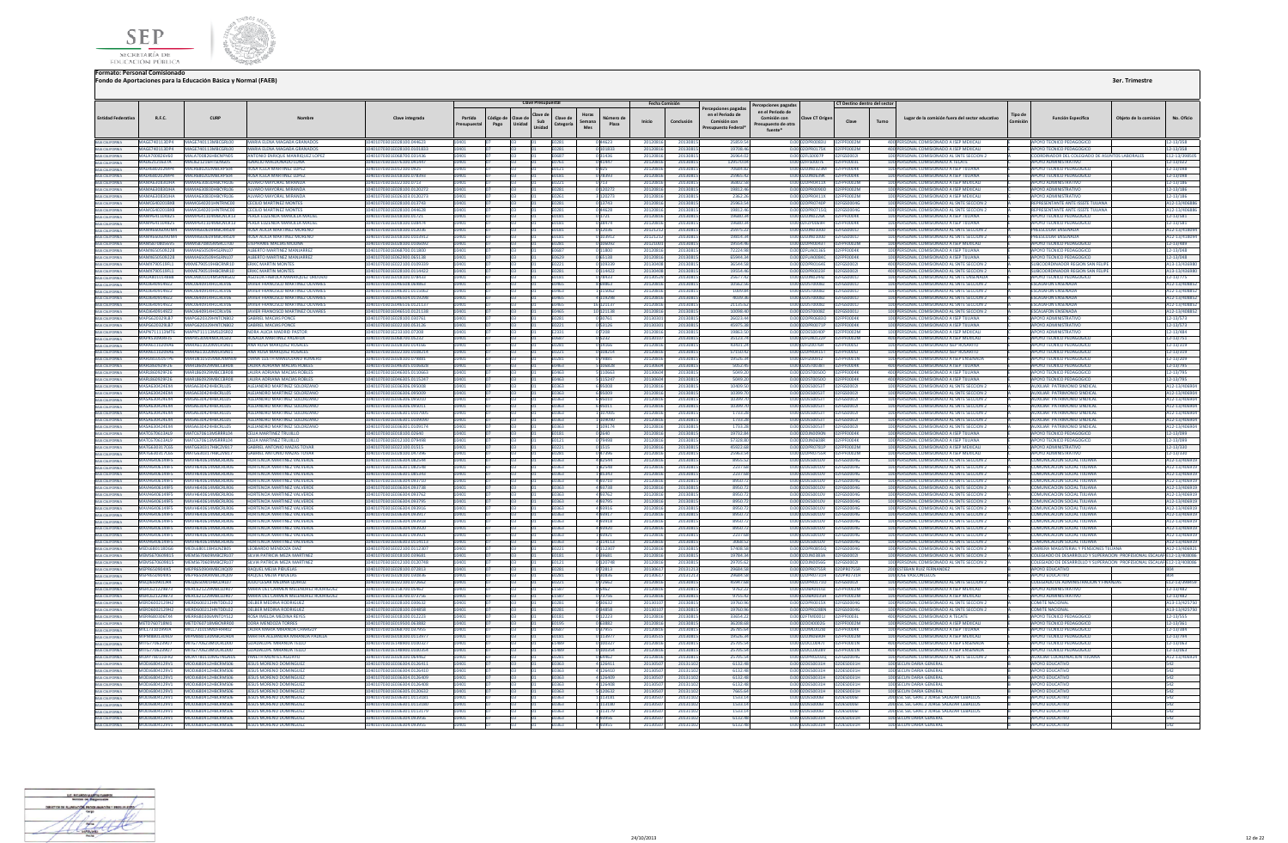



| <b>Entidad Federativa</b>                                                                                                                            | R.F.C.                                       | CURP                                                                 | Nombre                                                                                  | Clave integrada                                          | Partida<br>resupuestal | Código de<br>Pago | Clave Presupuestal<br>Clave de<br>lave de<br>Sub<br>Unidad<br>Unidad | Horas<br>Clave de<br>Semana<br>Categoría<br>Mes | Número de<br>Plaza       | <b>Fecha Comisión</b><br>Inicio | Conclusión           | ercepciones pagadas<br>en el Periodo de<br>Comisión con<br>resupuesto Federa | Percepciones pagada:<br>en el Periodo de<br>Comisión con<br>Presupuesto de otra<br>fuente* | Clave CT Origen                                         | Clave                      | CT Destino dentro del sector<br>Turno | Lugar de la comisión fuera del sector educativo                                          | Tipo de | <b>Función Específica</b>                                              | Obieto de la comision | No. Oficio                    |
|------------------------------------------------------------------------------------------------------------------------------------------------------|----------------------------------------------|----------------------------------------------------------------------|-----------------------------------------------------------------------------------------|----------------------------------------------------------|------------------------|-------------------|----------------------------------------------------------------------|-------------------------------------------------|--------------------------|---------------------------------|----------------------|------------------------------------------------------------------------------|--------------------------------------------------------------------------------------------|---------------------------------------------------------|----------------------------|---------------------------------------|------------------------------------------------------------------------------------------|---------|------------------------------------------------------------------------|-----------------------|-------------------------------|
|                                                                                                                                                      |                                              | MAGE740113DP4 MAGE740113MBCGRL00                                     | MARIA ELENA MAGADA GRANADOS                                                             | 10401070301E028100 044623                                |                        |                   |                                                                      | E0281                                           |                          | 20120816                        | 2013081              | 25859.54                                                                     |                                                                                            | 0.00102DPR0083U 02EPE0002M                              |                            |                                       | 400 PERSONAL COMISIONADO A ISEP MEXICALL                                                 |         | APOYO TECNICO PEDAGOGICO                                               |                       | 12-13/358                     |
| BAIA CALIFORNIA<br>BAIA CALIFORNIA                                                                                                                   |                                              |                                                                      | MAGE740113DP4 MAGE740113MBCGRL00 MARIA ELENA MAGADA GRANADOS                            | 10401070201E028100.0101822                               | 10401                  |                   |                                                                      | E0281                                           | 0.101833                 | 20120816                        | 20130815             | 19708.4                                                                      |                                                                                            | 0.00 02DPR0175K 02FPF0002M                              |                            |                                       | 400 PERSONAL COMISIONADO A ISEP MEXICALI                                                 |         | APOYO TECNICO PEDAGOGICO                                               |                       | 12-13/358                     |
| BAIA CALIFORNIA<br>BAIA CALIFORNIA                                                                                                                   | MALAZOO826V60                                | MALAZOOR26HRCNPNOS                                                   | ANTONIO ENRIOUE MANRIOUEZ LOPEZ                                                         | 0401070301F068700.031436                                 |                        |                   |                                                                      | F0687                                           | 031436                   | 20120816                        | 2013081              | 26964.0                                                                      | 0.00                                                                                       | 02ELS0007P                                              | 2EGS00021                  |                                       | 100 PERSONAL COMISIONADO AL SNTE SECCION 2                                               |         | DORDINADOR DEL COLEGIADO DE ASUNTOS LARORALES                          |                       | 12-13/39850                   |
|                                                                                                                                                      |                                              | MALI62121637A MALI621216HTSLNG05<br>MALR680202MP4 MALR680202MBCRPS04 | <b>IGNACIO MALDONADO LUNA</b><br><b>ROSA ICELA MARTINEZ LOPEZ</b>                       | 10401070301E076100.041447<br>10401070301E012100.0925     | 10401<br>10401         |                   |                                                                      | E0761<br>F0121                                  | 041447<br>0.925          | 20120816<br>20120816            | 20130815<br>20130815 | 129570.0<br>7068482                                                          |                                                                                            | 0.00 02FFS0007E<br>0.00.02DIN0323M 02EPE0004K           | 02EPE0003L                 |                                       | 100 PERSONAL COMISIONADO A TECATE<br>100 PERSONAL COMISIONADO A ISEP TIILIANA            |         | APOYO ADMINISTRATIVO<br>APOYO TECNICO PEDAGOGICO                       |                       | 12-13/022<br>12-13/098        |
| BAIA CALIFORNIA<br>BAIA CALIFORNIA                                                                                                                   |                                              | MALR680202MP4 MALR680202MRCRPS04                                     | <b>ROSA ICELA MARTINEZ LOPEZ</b>                                                        | 10401070301F018100.078393                                |                        |                   |                                                                      | <b>F0181</b>                                    | 0 78393                  | 20120816                        | 2013081              | 25965.42                                                                     |                                                                                            | 0.00.02DIN0639K                                         | 02FPF0004K                 |                                       | 100 PERSONAL COMISIONADO A ISEP TIILIANA                                                 |         | <b>APOYO TECNICO PEDAGOGICO</b>                                        |                       | 12-13/098                     |
|                                                                                                                                                      |                                              | MAMA630830JHA MAMA630830HRCYRL06                                     | ALVARO MAYORAL MIRANDA                                                                  | 104010702015022100.0712                                  |                        |                   |                                                                      | E0221                                           | 0 713                    | 20120816                        | 20130815             | 36802.51                                                                     |                                                                                            | 0.00 02DPR0411X                                         | <b>EDENNATION</b>          |                                       | 100 PERSONAL COMISIONADO A ISEP MEXICALI                                                 |         | AROVO ADMINISTRATIVO                                                   |                       | 12-13/186                     |
| BAJA CALIFORNIA<br>BAJA CALIFORNIA<br>BAJA CALIFORNIA                                                                                                |                                              | MAMA630830JHA MAMA630830HBCYRL06                                     | ALVARO MAYORAL MIRANDA                                                                  | 10401070301E028100.01202                                 |                        |                   |                                                                      | E0281                                           | 12027                    | 2012081                         | 2013081              | 19812.4                                                                      |                                                                                            | 0.00 02DPR0090D                                         | PENNO2M                    |                                       | 100 PERSONAL COMISIONADO A ISEP MEXICALI                                                 |         | ΔΡΩΥΩ ΔΩΜΙΝΙΣΤΒΑΤΙΝΩ                                                   |                       | 2-13/186                      |
|                                                                                                                                                      |                                              | MAMA630830JHA MAMA630830HBCYRL06<br>MAMC640201RX8 MAMC640201HNTRNC00 | ALVARO MAYORAL MIRAND<br><b>CECILIO MARTINEZ MONTES</b>                                 | 01070301E026103.012027                                   |                        |                   |                                                                      | E0261                                           | 3 120273                 | 20120816                        | 2013081              | 2362.2                                                                       |                                                                                            | 0.00 02DPR0411X                                         |                            |                                       | 100 PERSONAL COMISIONADO A ISEP MEXICAL                                                  |         | <b>APOYO ADMINISTRATIVO</b>                                            |                       | 12-13/186                     |
| BAIA CALIFORNIA<br>BAIA CALIFORNIA<br>BAIA CALIFORNIA<br>BAIA CALIFORNIA<br>BAIA CALIFORNIA                                                          |                                              | MAMC640201RX8 MAMC640201HNTRNC00                                     | <b>CECILIO MARTINEZ MONTES</b>                                                          | 10401070301E028100.013743<br>10401070301F028100 044628   |                        |                   |                                                                      | E0281<br><b>F0281</b>                           | 0 13743<br>44628         | 20120816<br>2012081             | 20130815<br>2013081  | 25963.54<br>19812.4                                                          |                                                                                            | 0.00 02DPR0740P 02FGS0004G<br>0.00 02DPR0715Q           | 02EGS0004G                 |                                       | 100 PERSONAL COMISIONADO AL SNTE SECCION 2<br>100 PERSONAL COMISIONADO AL SNTE SECCION 2 |         | REPRESENTANTE ANTE ISSSTE TUUANA<br>REPRESENTANTE ANTE ISSSTE TIILIANA |                       | A12-13/406886<br>A12-13/40688 |
|                                                                                                                                                      |                                              |                                                                      | MAMP641104825 MAMP641104MBCNCR13 PERLA EUZENDA MANCILLA MAC                             | 01070301E018100.01721                                    |                        |                   |                                                                      | E0181                                           |                          | 20120816                        | 2013081              | 19680.3                                                                      |                                                                                            | 0.00 02DJN0226K                                         |                            |                                       | 100 PERSONAL COMISIONADO A ISEP TUUANA                                                   |         | POYO TECNICO PEDAGOGICO                                                |                       | 12-13/581                     |
|                                                                                                                                                      |                                              | MAMP641104825 MAMP641104MBCNCR13                                     | PERLA EUZENDA MANCILLA MACIE                                                            | 01070301E018100.038474                                   |                        |                   |                                                                      | E0181                                           | 038474                   | 2012081                         | 2013081              | 19680.3                                                                      |                                                                                            | 0.00 02FZP0069H                                         | PF0004K                    |                                       | 100 PERSONAL COMISIONADO A ISEP TUUANA                                                   |         | OYO TECNICO PEDAGOGICO                                                 |                       | 12-13/581                     |
|                                                                                                                                                      |                                              | MAMR660609UM4 MAMR660609MBCRRS09                                     | <b>ROSA AUCIA MARTINEZ MORENC</b>                                                       | 10401070301E018100.012036                                |                        |                   |                                                                      | E0181                                           | 0 12036                  | 2012121                         | 2013081              | 25975.2                                                                      |                                                                                            | 0.00 02DJN0100D 02FGS0001J                              |                            |                                       | 100 PERSONAL COMISIONADO AL SNTE SECCION :                                               |         | PREESCOLAR ENSENADA                                                    |                       | A12-13/4180                   |
| <b>BAJA CALIFORNIA</b>                                                                                                                               |                                              | MAMR660609UM4 MAMR660609MRCRRS09<br>MAMS8708056V5 MAMS870805MSRCLT00 | <b>ROSA AUCIA MARTINEZ MORENO</b><br><b>STEPHANIE MACIAS MOUNA</b>                      | 10401070301E018100.0103912                               |                        |                   |                                                                      | E0181                                           | 0 103912<br>0.106092     | 20121212                        | 20130815             | 19814.34                                                                     |                                                                                            | 0.0002DIN0100D 02EGS0001L<br>0.0002DPR0043T 02FPE0002M  |                            |                                       | 100 PERSONAL COMISIONADO AL SNTE SECCION 2<br>100 PERSONAL COMISIONADO A ISEP MEXICALL   |         | REESCOLAR ENSENADA                                                     |                       | A12-13/418094                 |
| BAIA CALIFORNIA<br>BAIA CALIFORNIA<br>BAIA CALIFORNIA<br>BAIA CALIFORNIA<br>BAIA CALIFORNIA                                                          | MAMX650509228                                | MAMA650509HSLRNL07                                                   | ALBERTO MARTINEZ MANIARREZ                                                              | 10401070301E028100.0106092<br>10401070301F068700.011800  |                        |                   |                                                                      | E0281<br><b>F0687</b>                           | 11800                    | 2012100<br>2012081              | 20130815<br>2013081  | 19554.4<br>722249                                                            |                                                                                            | 0.00 02FUA0136S                                         | 02FPF0004K                 |                                       | 100 PERSONAL COMISIONADO A ISEP TUUANA                                                   |         | <b>APOYO TECNICO PEDAGOGICO</b><br><b>POYO TECNICO PEDAGOGICO</b>      |                       | 12-13/489<br>12-13/048        |
|                                                                                                                                                      |                                              | MAMX650509228 MAMA650509HSLRNL07                                     | ΔΙΒΕΡΤΟ ΜΑΡΤΙΝΕΖ ΜΑΝΙΑΡΡΕΖ                                                              | 10401070301F062900.065138                                |                        |                   |                                                                      | <b>FN629</b>                                    | 065138                   | 201208                          | 2013081              | 659443                                                                       |                                                                                            | 0.00 02FUA0084C                                         | 12FPF0004K                 |                                       | 100 PERSONAL COMISIONADO A ISEP TIILIANA                                                 |         | AROVO TECNICO REDAGOGICO                                               |                       | 12-13/048                     |
|                                                                                                                                                      | MAMX790519FL1                                | MXMF790519HRCRNR10                                                   | <b>FRIKE MARTIN MONTES</b>                                                              | 10401070301F022100.0109339                               |                        |                   |                                                                      | E0221                                           | 0 109339                 | 201304                          | 2013081              | 36544.51                                                                     |                                                                                            | 0.00 02DPR0164E                                         | 02EGS00021                 |                                       | 400 PERSONAL COMISIONADO AL SNTE SECCION                                                 |         | SURCOORDINADOR REGION SAN FELL                                         |                       | A13-13/4369                   |
| BAIA CALIFORNIA<br>BAIA CALIFORNIA                                                                                                                   | MAMX790519FL1                                | MXMF790519HRCRNR10                                                   | <b>FRIKE MARTIN MONTES</b>                                                              | 0401070301E028100.0114422                                |                        |                   |                                                                      | 0281                                            | 114422                   | 201304                          | 2013081              | 19554.46                                                                     |                                                                                            | 0.00 02DPR0023F                                         | 2EGS00021                  |                                       | 400 PERSONAL COMISIONADO AL SNTE SECCION 2                                               |         | <b>JIRCOORDINADOR REGION SAN FELIP</b>                                 |                       | 13-13/43698                   |
|                                                                                                                                                      |                                              | MAQA8010148B8 MAQA801014MSRNRG02                                     | AGUEDA FABIOLA MANRIQUEZ ORDUĐO                                                         | 10401070301E018100.078433                                |                        |                   |                                                                      | E0181                                           | 0 78433                  | 20130529                        | 20130815             | 25677.42                                                                     |                                                                                            | 0.00 02DJN0244Z 02FGS0001J                              |                            |                                       | 100 PERSONAL COMISIONADO AL SNTE ENSENADA                                                |         | APOYO TECNICO PEDAGOGICO                                               |                       | 12-13/775                     |
|                                                                                                                                                      | MAQI640914972<br>MA01640914972               | MAQI640914HCCRLV06<br>MAQI640914HCCRIV06                             | <b>JAVIER FRANCISCO MARTINEZ OLIVARES</b><br><b>JAVIER FRANCISCO MARTINEZ OI IVARES</b> | 10401070301F046508 069863<br>10401070301F046301 011506   | 0.011                  |                   |                                                                      | <b>F0465</b><br>0462                            | 8 6 9 8 6 3<br>115062    | 20120816<br>2012081             | 20130815<br>2013081  | 10562.56<br>10098                                                            |                                                                                            | 0.0002DST00087 02EGS0001L<br>0.000205700087             | 125GS00011                 |                                       | 100 PERSONAL COMISIONADO AL SNTE SECCIÓN 2<br>100 PERSONAL COMISIONADO AL SNTE SECCION : |         | <b>ESCALAFON ENSENADA</b><br><b>ESCALAEON ENSENADA</b>                 |                       | A12-13/408852<br>112-13/40885 |
| BAJA CALIFORNIA<br>BAJA CALIFORNIA<br>BAJA CALIFORNIA                                                                                                | <b>MADI640914972</b>                         | MAOJ640914HCCRLV06                                                   | JAVIER FRANCISCO MARTINEZ OLIVARES                                                      | 10401070301F046504 0119298                               |                        |                   |                                                                      | E0465                                           | 4 119298                 | 2012081                         | 2013081              | 403934                                                                       |                                                                                            | 0.00 02DST0008Z                                         | 02FGS0001                  |                                       | 100 PERSONAL COMISIONADO AL SNTE SECCION :                                               |         | <b>ESCALAFON ENSENADA</b>                                              |                       | A12-13/40885                  |
| BAIA CALIFORNIA<br>BAIA CALIFORNIA                                                                                                                   | MAOJ6409149Z2                                | MA0J640914HCCRLV06                                                   | JAVIER FRANCISCO MARTINEZ OLIVARE:                                                      | 0401070301E046516.012113                                 |                        |                   |                                                                      |                                                 | 121137                   | 201208                          | 2013081              | 21135.6                                                                      | 000                                                                                        | ST0008Z                                                 | FGS0001                    |                                       | 100 PERSONAL COMISIONADO AL SNTE SECCION                                                 |         | <b>CALAFON ENSENADA</b>                                                |                       | 12-13/408852                  |
|                                                                                                                                                      | MAOJ6409149Z2                                | MAOJ640914HCCRLV06                                                   | JAVIER FRANCISCO MARTINEZ OLIVARES                                                      | 10401070301E046510.0121138                               |                        |                   |                                                                      | E0465                                           | 0 121138                 | 20120816                        | 20130815             | 10098.4                                                                      |                                                                                            | 0.00 02DST0008Z                                         | 02FGS0001J                 |                                       | 100 PERSONAL COMISIONADO AL SNTE SECCION 2                                               |         | <b>ESCALAFON ENSENADA</b>                                              |                       | A12-13/40885.                 |
| BAJA CALIFORNIA<br>BAJA CALIFORNIA<br>BAJA CALIFORNIA                                                                                                | MAPG620329LB7                                | MAPG620329HNTCNR02                                                   | <b>GABRIEL MACIAS PONCE</b>                                                             | 10401070301E028100.030761                                |                        |                   |                                                                      | E0281                                           | 0 30761                  | 2013030                         | 20130815             | 26023.44                                                                     |                                                                                            | 0.00 02DPR0683O 02FPF0004K                              |                            |                                       | 100 PERSONAL COMISIONADO A ISEP TUUANA                                                   |         | <b>APOYO ADMINISTRATIVO</b>                                            |                       | 12-13/573                     |
|                                                                                                                                                      | <b>MAPG620329LB7</b><br>MAPN711113MT6        | MARGE2022QHNTCNR02<br>MAPN711113MSLDSR02                             | <b>GARRIEL MACIAS PONCE</b><br>NORA ALICIA MADRID PAS                                   | 10401070301F022100.053126<br>1070301E233100.0720         |                        |                   |                                                                      | F0221<br>E2331                                  | 0.53126<br>07208         | 201303<br>201208                | 20130815<br>2013081  | 459753<br>19863.5                                                            |                                                                                            | 0.00020PP0021P 02EPE0004K<br>0.00 02DES0040P            |                            |                                       | 100 PERSONAL COMISIONADO A ISEP TILLIANA<br>100 PERSONAL COMISIONADO A ISEP MEXICA       |         | APOVO ADMINISTRATIVO<br><b>POYO ADMINISTRATIV</b>                      |                       | 12-13/573<br>12-13/484        |
|                                                                                                                                                      | MAPR530904FJ5                                | MAPR530904MJCRLS02                                                   | ROSALIA MARTINEZ PALAFOX                                                                | 0401070301E068700.05232                                  |                        |                   |                                                                      |                                                 | 05232                    | 201301                          | 2013081              | 35123.7                                                                      |                                                                                            | 0.00 02FUA0122P                                         | FOOD2M                     |                                       | 400 PERSONAL COMISIONADO A ISEP MEXICALI                                                 |         | OYO TECNICO PEDAGOGICO                                                 |                       | 12-13/751                     |
| BAIA CALIFORNIA<br>BAIA CALIFORNIA                                                                                                                   | MARA6110209A6                                | MARA611020MJCRSN01                                                   | ANA ROSA MARQUEZ ROSALES                                                                | 10401070301E028100.014166                                |                        |                   |                                                                      | E0281                                           | 0 14166                  | 2012081                         | 2013081              | 43431.2                                                                      |                                                                                            | 0.00 02FIZ0076H                                         | 2FPF0005J                  |                                       | 100 PERSONAL COMISIONADO ISEP ROSARITO                                                   |         | <b>APOYO TECNICO PEDAGOGICO</b>                                        |                       | 12-13/319                     |
|                                                                                                                                                      |                                              | MARA6110209A6 MARA611020MJCRSN01                                     | ANA ROSA MARQUEZ ROSALES                                                                | 10401070301E022100.0108214                               | 10401                  |                   |                                                                      | E0221                                           | 0 108214                 | 20120816                        | 20130815             | 57150.42                                                                     |                                                                                            |                                                         |                            |                                       | 100 PERSONAL COMISIONADO ISEP ROSARITO                                                   |         | APOYO TECNICO PEDAGOGICO                                               |                       | 12-13/319                     |
| BAIA CALIFORNIA<br>BAIA CALIFORNIA<br>BAIA CALIFORNIA                                                                                                | MARDRIDSOSTRE<br>MARI 860929F26              | MARDRIDSOSMBCNMMDD<br>MARI 860929MBCCBR08                            | DIANA LIZETH MANDUJIANO ROMERO                                                          | 10401070301F028100 079881<br>0401070301F046305 0106828   |                        |                   |                                                                      | <b>FN281</b>                                    | 79881                    | 20120816                        | 20130815             | 195263                                                                       |                                                                                            | 0.00102El200917                                         | <b>NOEDENNAME</b>          |                                       | 100 PERSONAL COMISIONADO A ISEP ENSENADA                                                 |         | <b>APOYO TECNICO PEDAGOGICO</b>                                        |                       | 12-13/209                     |
|                                                                                                                                                      | MARL860929F26                                | MARI 860929MBCCBR08                                                  | <b>LAURA ADRIANA MACIAS ROBLES</b><br><b>I ALIRA ADRIANA MACIAS ROBLES</b>              | 0401070301F046305 011066                                 |                        |                   |                                                                      | FN463<br>1463                                   | 106828<br>110567         | 201306<br>201306                | 2013081<br>2013081   | 5052.4<br>5049.2                                                             | 00                                                                                         | 0.00102DST0038T<br>00200720                             | <b>2FPFNNNAK</b><br>PENNAK |                                       | 400 PERSONAL COMISIONADO A ISEP TIILIANA<br>400 PERSONAL COMISIONADO A ISEP TIILIANA     |         | <b>IPOYO TECNICO PEDAGOGICO</b><br><b>POVO TECNICO PEDAGOGICO</b>      |                       | 12-13/795<br>2-13/795         |
|                                                                                                                                                      | MARL860929F26                                | MARL860929MBCCBR08                                                   | LAURA ADRIANA MACIAS ROBLES                                                             | 10401070301E046305.0115247                               |                        |                   |                                                                      | E0463                                           | 5 115247                 | 2013060                         | 20130815             | 5049.20                                                                      |                                                                                            | 0.00 02DST0050O   02FPF0004K                            |                            |                                       | 400 PERSONAL COMISIONADO A ISEP TUUANA                                                   |         | APOYO TECNICO PEDAGOGICO                                               |                       | 12-13/795                     |
|                                                                                                                                                      | MASA630424FX4                                | MASA630424HRCRLIOS                                                   | ALEJANDRO MARTINEZ SOLORZANO                                                            | 0401070301E036306.095008                                 |                        |                   |                                                                      | :0363                                           | 695008                   | 20120816                        | 2013081              | 10409.5                                                                      |                                                                                            | 0.00 02DES0053T                                         | 12EGS00021                 |                                       | 100 PERSONAL COMISIONADO AL SNTE SECCION 2                                               |         | <b>MIXIHAR PATRIMONIO SINDICAL</b>                                     |                       | A12-13/40690                  |
| BAIA CALIFORNIA<br>BAIA CALIFORNIA<br>BAIA CALIFORNIA<br>BAIA CALIFORNIA<br>BAIA CALIFORNIA                                                          | MASA630424EX4                                | MASA630424HBCRLL05                                                   | ALEJANDRO MARTINEZ SOLORZANO                                                            | 10401070301E036306.095009                                |                        |                   |                                                                      | E0363                                           | 695009                   | 20120816                        | 20130815             | 10399.7                                                                      |                                                                                            | 0.00 02DES0053T 02FGS0002L                              |                            |                                       | 100 PERSONAL COMISIONADO AL SNTE SECCION 2                                               |         | <b>AUXILIAR PATRIMONIO SINDICAL</b>                                    |                       | A12-13/40690                  |
|                                                                                                                                                      | MASA630424FX4                                | MASA630424HRCRLL05<br><b>MASA630424HRCRLIOS</b>                      | ALEIANDRO MARTINEZ SOLORZANO                                                            | 10401070301E036306.095010                                |                        |                   |                                                                      | F0363                                           | 6.95010                  | 20120816                        | 20130815             | 10399.7                                                                      |                                                                                            | 0.00.02DES0053T 02EGS0002L                              |                            |                                       | 100 PERSONAL COMISIONADO AL SNTE SECCION 2                                               |         | ALIXILIAR PATRIMONIO SINDICAL                                          |                       | A12-13/406904                 |
|                                                                                                                                                      | MASA630424FX4<br>MASA630424FX4               | MASA630424HRCRLIOS                                                   | ALFIANDRO MARTINEZ SOLORZANI<br>ALEJANDRO MARTINEZ SOLORZANO                            | 0401070301F036306 095011<br>10401070301E036301.010700    |                        |                   |                                                                      | 1363<br>E0363                                   | 107005                   | 201208<br>2012081               | 2013081<br>2013081   | 10399.7<br>1733.2                                                            |                                                                                            | 0.00 02DES0053T<br>0.00 02DES0053T                      | 2EGS00021<br>02FGS00021    |                                       | 100 PERSONAL COMISIONADO AL SNTE SECCION :<br>100 PERSONAL COMISIONADO AL SNTE SECCION 2 |         | <b>MIXIMAR PATRIMONIO SINDICAL</b><br>AUXILIAR PATRIMONIO SINDICAL     |                       | 112-13/406904<br>112-13/40690 |
| IN MARINI MINI<br>BAIA CALIFORNIA<br>BAIA CALIFORNIA<br>BAIA CALIFORNIA                                                                              | MASA630424EX4                                | MASA630424HBCRLL05                                                   | <b>ALEJANDRO MARTINEZ SOLORZANO</b>                                                     | I0401070301E036301.010909                                |                        |                   |                                                                      | 0363                                            | 109090                   | 201208                          | 2013081              | 1733.2                                                                       |                                                                                            | 0.00 02DES0053T                                         | 2FGS00021                  |                                       | 100 PERSONAL COMISIONADO AL SNTE SECCION :                                               |         | <b>AUXILIAR PATRIMONIO SINDICAL</b>                                    |                       | 12-13/406904                  |
|                                                                                                                                                      | MASA630424EX4                                | MASA630424HBCRLL05                                                   | ALEJANDRO MARTINEZ SOLORZANO                                                            | 01070301E036301.0109174                                  |                        |                   |                                                                      | E0363                                           | 1109174                  | 20120816                        | 2013081              | 1733.2                                                                       |                                                                                            | 0.00 02DES0053T                                         | 02FGS0002                  |                                       | 100 PERSONAL COMISIONADO AL SNTE SECCION 2                                               |         | <b>AUXILIAR PATRIMONIO SINDICAL</b>                                    |                       | A12-13/40690                  |
| BAIA CALIFORNIA<br>BAIA CALIFORNIA<br>BAIA CALIFORNIA<br>BAIA CALIFORNIA<br>BAIA CALIFORNIA                                                          | MATC670613A19                                | MATC670613MSRRRL04                                                   | CELIA MARTINEZ TRUIHLO                                                                  | 10401070301F018100 02640                                 | 0.011                  |                   |                                                                      | <b>F0181</b>                                    | 0.2640                   | 20120816                        | 20130815             | 19732.84                                                                     |                                                                                            | 0.0002DIN0090N 02EPE0004K                               |                            |                                       | 100 PERSONAL COMISIONADO A ISEP TIILIANA                                                 |         | APOYO TECNICO PEDAGOGICO                                               |                       | 12-13/099                     |
|                                                                                                                                                      | <b>MATC670612A10</b>                         | MATC670613MSPPPL04                                                   | <b>CELLA MARTINEZ TRITILI</b>                                                           | 10401070201E012100.079499                                |                        |                   |                                                                      | F0121                                           | 79499                    | 2012081                         | 2013081              | 57328.8                                                                      |                                                                                            | 0.00 020 MOS08R                                         | <b>DREPERDAM</b>           |                                       | 100 PERSONAL COMISIONADO A ISEP TIILIANA                                                 |         | <b>MPOVO TECNICO PEDAGOGICO</b>                                        |                       | 12-13/099                     |
|                                                                                                                                                      | MATG630317C65<br>MATG630317C65               | MATG630317HBCZVB17<br>MTG630317HBCZVB17                              | <b>GABRIEL ANTONIO MAZAS TOV.</b><br><b>GABRIEL ANTONIO MAZAS TOVA</b>                  | 10401070301E022100.0151<br>0401070301E028100.04739       |                        |                   |                                                                      | E0221                                           | 0 1 5 1 5                | 2012081<br>2012081              | 2013081<br>2013081   | 45922.6<br>25963.5                                                           |                                                                                            | 0.00 02DPR0781P<br>0.00 02DPR0755R                      | 02FPF0002M<br>2FPF0002M    |                                       | 100 PERSONAL COMISIONADO A ISEP MEXICAL<br>100 PERSONAL COMISIONADO A ISEP MEXICAL       |         | <b>APOYO ADMINISTRATIVO</b><br>POYO ADMINISTRATIVO                     |                       | 12-13/330                     |
| <b>BAJA CALIFORNIA</b>                                                                                                                               | MAVH6406149F5                                | MAVH640614MBCRLR06                                                   | HORTENCIA MARTINEZ VALVERDE                                                             | 10401070301E036304.082544                                |                        |                   |                                                                      | E0281<br>E0363                                  | 047396<br>482544         | 20120816                        | 20130815             | 8955.52                                                                      |                                                                                            | 0.00 02DES0010V 02FGS0004G                              |                            |                                       | 100 PERSONAL COMISIONADO AL SNTE SECCION :                                               |         | <b>COMUNICACION SOCIAL TUUANA</b>                                      |                       | 12-13/330<br>A12-13/4069:     |
| BAIA CALIFORNIA<br>BAIA CALIFORNIA<br>BAIA CALIFORNIA<br>BAIA CALIFORNIA<br>BAIA CALIFORNIA<br>BAIA CALIFORNIA<br>BAIA CALIFORNIA                    | MAVH6406149F5                                | MAVH640614MBCRLR06                                                   | HORTENCIA MARTINEZ VALVERDE                                                             | 10401070301E036301.082548                                |                        |                   |                                                                      | E0363                                           | 182548                   | 20120816                        | 2013081              | 2237.6                                                                       |                                                                                            | 0.00 02DES0010V 02FGS0004G                              |                            |                                       | 100 PERSONAL COMISIONADO AL SNTE SECCION 2                                               |         | <b>COMUNICACION SOCIAL TUUANA</b>                                      |                       | A12-13/406919                 |
|                                                                                                                                                      | MAVH6406149F5                                | MAVH640614MRCRIR06                                                   | HORTENCIA MARTINEZ VALVERDE                                                             | 10401070301F036301 085343                                |                        |                   |                                                                      | F0363                                           | 185343                   | 20120816                        | 20130815             | 2237.61                                                                      |                                                                                            | 0.00.02DES0010V 02EGS0004G                              |                            |                                       | 100 PERSONAL COMISIONADO AL SNTE SECCION 2                                               |         | COMUNICACION SOCIAL TUUANA                                             |                       | A12-13/406919                 |
|                                                                                                                                                      | MAVH6406149F5                                | MAVH640614MBCRLR06                                                   | HORTENCIA MARTINEZ VALVERDE                                                             | 10401070301F036304 093710                                |                        |                   |                                                                      | FN363                                           | 493710                   | 2012081                         | 2013081              | 89507                                                                        |                                                                                            | 0.00 02DES0010V                                         | 02FGS0004G                 |                                       | 100 PERSONAL COMISIONADO AL SNTE SECCION 2                                               |         | COMUNICACIÓN SOCIAL THUANA                                             |                       | 12-13/406919                  |
|                                                                                                                                                      | MAVH6406149F5<br>MAVH6406149F5               | AVH640614MBCRIRO6<br>MAVH640614MBCRLR06                              | <b>HORTENCIA MARTINEZ VALVERD</b><br>HORTENCIA MARTINEZ VALVERDI                        | 0401070301E036304.093738<br>10401070301E036304.093762    |                        |                   |                                                                      | 363<br>E0363                                    | 193738<br>493762         | 201208<br>2012081               | 2013081<br>2013081   | 8950.7<br>8950.7                                                             |                                                                                            | 0.00 02DES0010V<br>0.00 02DES0010V                      | 2FGS0004G<br>02FGS0004G    |                                       | 100 PERSONAL COMISIONADO AL SNTE SECCION :<br>100 PERSONAL COMISIONADO AL SNTE SECCION 2 |         | COMUNICACION SOCIAL TUUANA<br>COMUNICACION SOCIAL TIJUANA              |                       | 12-13/40691<br>112-13/40691   |
|                                                                                                                                                      | MAVH6406149F5                                | MAVH640614MRCRLR06                                                   | <b>HORTENCIA MARTINEZ VALVERDE</b>                                                      | 0401070301E036304.093795                                 |                        |                   |                                                                      | 0363                                            | 493795                   | 20120816                        | 2013081              | 8950.7                                                                       |                                                                                            | 0.00 02DES0010V                                         | 02FGS0004G                 |                                       | 100 PERSONAL COMISIONADO AL SNTE SECCION 2                                               |         | COMUNICACION SOCIAL TUUANA                                             |                       | A12-13/406919                 |
|                                                                                                                                                      | <b>MAVH6406149F5</b>                         | MAVH640614MBCRIRO5                                                   | HORTENCIA MARTINEZ VALVERDE                                                             | 10401070301E036304 093916                                |                        |                   |                                                                      | F0363                                           | 493916                   | 20120816                        | 20130815             | 8950.7                                                                       |                                                                                            | 0.00.02DES0010V                                         | 02FGS0004G                 |                                       | 100 PERSONAL COMISIONADO AL SNTE SECCION 2                                               |         | COMUNICACION SOCIAL THUANA                                             |                       | A12-13/406919                 |
|                                                                                                                                                      | MAVH6406149F5                                | MAVH640614MBCRLR06                                                   | HORTENCIA MARTINEZ VALVERDE                                                             | 10401070301E036304 093917                                |                        |                   |                                                                      | <b>FN363</b>                                    | 493917                   | 2012081                         | 2013081              | 8950.73                                                                      |                                                                                            | 0.00 02DES0010V                                         | 02FGS0004G                 |                                       | 100 PERSONAL COMISIONADO AL SNTE SECCION 2                                               |         | COMUNICAÇION SOCIAL TULIANA                                            |                       | A12-13/406919                 |
|                                                                                                                                                      | MAVH6406149F5                                | MAVH640614MRCRLR06                                                   | HORTENCIA MARTINEZ VALVERDI                                                             | 10401070301F036304 093918                                |                        |                   |                                                                      | 0363                                            | 493918                   | 201208                          | 2013081              | 8950                                                                         |                                                                                            | 0.00 02DES0010V                                         | 2FGS0004G                  |                                       | 100 PERSONAL COMISIONADO AL SNTE SECCION :                                               |         | <b>COMUNICACION SOCIAL TIJUANA</b>                                     |                       | 112-13/40691                  |
|                                                                                                                                                      | MAVH6406149F5<br>MAVH6406149F5               | MAVH640614MRCRIR06<br>MAVH640614MBCRLR06                             | <b>HORTENCIA MARTINEZ VALVERDI</b><br>HORTENCIA MARTINEZ VALVERDI                       | 10401070301E036304.093920<br>0401070301E036301.09392     |                        |                   |                                                                      | E0363<br>0363                                   | 493920<br>93921          | 2012081<br>201208               | 2013081<br>2013081   | 8950.7<br>2237.6                                                             |                                                                                            | 0.00 02DES0010V<br>0.00 02DES0010V                      | 2FGS0004G<br>2FGS0004G     |                                       | 100 PERSONAL COMISIONADO AL SNTE SECCION 2<br>100 PERSONAL COMISIONADO AL SNTE SECCION : |         | <b>COMUNICACION SOCIAL TIJUANA</b><br>COMUNICACION SOCIAL TUUANA       |                       | 112-13/40691<br>12-13/406919  |
|                                                                                                                                                      | MAVH6406149E5                                | MAVH640614MRCRIR06                                                   | HORTENCIA MARTINEZ VALVERDE                                                             | 10401070301F036303 0114113                               |                        |                   |                                                                      | E0363                                           | 3 114113                 | 20120816                        | 20130815             | 3068.52                                                                      |                                                                                            | 0.00102DES0010V 02EGS0004G                              |                            |                                       | 100 PERSONAL COMISIONADO AL SNTE SECCION 2                                               |         | COMUNICAÇION SOCIAL THUANA                                             |                       | A12-13/406919                 |
|                                                                                                                                                      |                                              | MEDI680118DG6 MEDI680118HSLN7B05                                     | <b>IFORARDO MENDOZA DIAZ</b>                                                            | 10401070301E022100.0112307                               | 0401                   |                   |                                                                      | E0221                                           | 0 112307                 | 20120816                        | 20130815             | 57408.51                                                                     |                                                                                            | 0.00.02DPR08550 02EGS0004G                              |                            |                                       | 100 PERSONAL COMISIONADO AL SNTE SECCIÓN 2                                               |         | <b>CARRERA MAGISTERIAL Y PENSIONES THUANA</b>                          |                       | A12-13/406921                 |
| BAIA CALIFORNIA<br>BAIA CALIFORNIA<br>BAIA CALIFORNIA<br>BAIA CALIFORNIA<br>BAIA CALIFORNIA<br>BAIA CALIFORNIA<br>BAIA CALIFORNIA<br>BAIA CALIFORNIA | MEMS670609815                                | MEMS670609MRC7RL07                                                   | SILVIA PATRICIA MEZA MARTINE                                                            | 10401070301F018100 039681                                |                        |                   |                                                                      | <b>F0181</b>                                    | 39681                    | 2012081                         | 2013081              | 19784.34                                                                     |                                                                                            | 0.00 02DJN0383A 02FGS00021                              |                            |                                       | 100 PERSONAL COMISIONADO AL SNTE SECCIÓN 2                                               |         | COLEGIADO DE DESARROLLO Y SUPERACION PROFESIONAL ESCALAF E12-13/408086 |                       |                               |
|                                                                                                                                                      | MEMS670609815                                | MEMS670609MBCZRL07                                                   | SILVIA PATRICIA MEZA MARTINEZ                                                           | 10401070301E012100.012074                                |                        |                   |                                                                      | E0121                                           | 0 120748                 | 201208                          | 2013081              | 29705.6                                                                      |                                                                                            | 0.00 02DJN0056G 02FGS0002                               |                            |                                       | 100 PERSONAL COMISIONADO AL SNTE SECCION 2                                               |         | COLEGIADO DE DESARROLLO Y SUPERACION PROFESIONAL ESCALAF E12-13/408086 |                       |                               |
| BAIA CALIFORNIA<br>BAIA CALIFORNIA<br>BAIA CALIFORNIA<br>BAIA CALIFORNIA<br>BAIA CALIFORNIA                                                          | <b>MEPR650904IK5</b><br><b>MEPRESOROAIKS</b> | MEPR650904MBCJXQ09<br>MEPR650904MBCIXO09                             | <b>RAQUEL MEJIA PIDUELAS</b><br><b>RAQUEL MEJIA PIDUELAS</b>                            | 10401070301E028100.072813<br>10401070301F028100.030836   |                        |                   |                                                                      | E0281<br><b>F0281</b>                           | 072813<br><b>DER0810</b> | 2013061<br>2013061              | 2013121<br>20131213  | 29684.5<br>29684.5                                                           |                                                                                            | 0.0002DPR0731H 02DPR0731H                               |                            |                                       | 200 ESTEBAN RUIZ FERNANDEZ<br>100 IOSE VASCONCELOS                                       |         | <b>POYO EDUCATIVO</b><br>ΔΡΟΥΩ ΕΒΗΓΑΤΙΝΩ                               |                       |                               |
|                                                                                                                                                      | MEQJ650901JR4                                | MEQ1650901HRCDR107                                                   | <b>JULIO CESAR MEDINA QUIROZ</b>                                                        | 10401070301E022100.072662                                | 10401                  |                   |                                                                      | E0221                                           | 0 72662                  | 20120816                        | 20130815             | 45947.68                                                                     |                                                                                            | 0.00 02DPR01710 02FGS0002I                              |                            |                                       | 100 PERSONAL COMISIONADO AL SNTE SECCION 2                                               |         | <b>COLEGIADO DE ADMINISTRACION Y FINANZAS</b>                          |                       | E12-13/398459                 |
|                                                                                                                                                      | MFRC621229873                                | MFRC621229MRCLDR07                                                   | MARIA DEL CARMEN MELENDREZ RODRIGUEZ                                                    | 10401070301E158700.05462                                 |                        |                   |                                                                      | <b>F1587</b>                                    | 0.5462                   | 20120816                        | 2013081              | 9762.2                                                                       |                                                                                            | 0.00 02DRA0010Z                                         | 02FPF0002M                 |                                       | 100 PERSONAL COMISIONADO A ISEP MEXICALI                                                 |         | ΔΡΩΥΩ ΔΩΜΙΝΙΣΤΒΑΤΙΝΩ                                                   |                       | 12-13/482                     |
|                                                                                                                                                      | MERC621229B73                                | MFRC621229MRCLDR07                                                   | MARIA DEL CARMEN MELENDREZ RODRIGUEZ                                                    | I0401070301E158700.073756                                |                        |                   |                                                                      | E1587                                           | 073756                   | 201208                          | 2013081              | 9755.4                                                                       |                                                                                            | 0.00 02DBA0035H                                         | 02FPF0002M                 |                                       | 100 PERSONAL COMISIONADO A ISEP MEXICALI                                                 |         | <b>POYO ADMINISTRATIVO</b>                                             |                       | 2-13/482                      |
|                                                                                                                                                      | MERD6002129H2                                | ERD600212HNTDDL02                                                    | <b>DELBER MEDINA RODRIGUEZ</b>                                                          | 01070301E028100.030632                                   |                        |                   |                                                                      | E0281                                           | 30632                    | 201301                          | 20130815             | 19760.9                                                                      |                                                                                            | 0.00 02DPR0015X 02FGS0004G                              |                            |                                       | 100 PERSONAL COMISIONADO AL SNTE SECCION 2                                               |         | MITE NACIONAL                                                          |                       | 13-13/42575                   |
| BAIA CALIFORNIA<br>BAIA CALIFORNIA<br>BAIA CALIFORNIA<br>BAIA CALIFORNIA                                                                             | MFRD6002129H2<br>MERR680306TX4               | MFRD600212HNTDDL02<br>MERR680306MNTDYS12                             | DELBER MEDINA RODRIGUEZ                                                                 | 10401070301F028100 034858                                |                        |                   |                                                                      | E0281                                           | 034858                   | 201301                          | 20130815             | 19760.9                                                                      |                                                                                            | 0.00.02DPR0288N 02EGS0004G<br>0.00 02FTM0001J           | 12EPE00031                 |                                       | 100 PERSONAL COMISIONADO AL SNTE SECCION 2                                               |         | <b>COMITE NACIONAL</b><br>POYO TECNICO PEDAGOGICO                      |                       | A13-13/42575                  |
|                                                                                                                                                      | METD760718NI1                                | METD760718MBCNRR00                                                   | ROSA IMELDA MEDINA REYES<br>DORA MENDOZA TORRES                                         | 0401070301E018100.012223<br>10401070301E019500.063882    |                        |                   |                                                                      | E0181<br><b>F0195</b>                           | 12223<br>063882          | 20120816<br>20120816            | 2013081<br>20130815  | 33654.2<br>36208.61                                                          |                                                                                            | 0.0002DDI0002G 02EPE0002M                               |                            |                                       | 400 PERSONAL COMISIONADO A TECATE<br>100 PERSONAL COMISIONADO A ISEP MEXICALL            |         | APOYO TECNICO PEDAGOGICO                                               |                       | 12-13/555<br>12-13/361        |
| BAJA CALIFORNIA                                                                                                                                      | MICI 7310199VA                               | MICI 731019MDERHR02                                                  | <b>LAURA MARIA MIRANDA CHARGO</b>                                                       | 0401070301E068700.037955                                 |                        |                   |                                                                      | <b>EN687</b>                                    | 37955                    | 201208                          | 2013081              | 26785 F                                                                      |                                                                                            | 0.00 02DML0028J                                         | <b>FPFNNNAK</b>            |                                       | 100 PERSONAL COMISIONADO A ISEP TUUANA                                                   |         | <b>POYO TECNICO PEDAGOGICO</b>                                         |                       | 2-13/384                      |
|                                                                                                                                                      | MIPM8801309L9                                | IIPM880130MBCRDR04                                                   | MARTHA AI FIANDRA MIRANDA PADILI.                                                       | 0401070301E018100.011397                                 |                        |                   |                                                                      |                                                 | 11397                    | 201305                          | 2013081              | 19526.3                                                                      |                                                                                            | 02DJN0690H                                              | <b>F0002M</b>              |                                       | 100 PERSONAL COMISIONADO A ISEP MEXICAL                                                  |         | POYO TECNICO PEDAGOGICO                                                |                       | 2-13/794                      |
| BAJA CALIFORNIA<br>BAJA CALIFORNIA<br>BAJA CALIFORNIA                                                                                                | MITG7706239U7                                | MITG770623MOCRLD00                                                   | <b>GUADALUPE MIRANDA TEU O</b>                                                          | 0401070301F148900.010032                                 |                        |                   |                                                                      | E1489                                           |                          | 201208                          | 2013081              | 25705                                                                        |                                                                                            | 0.00.02DCC0047L                                         | FOOD1N                     |                                       | 400 PERSONAL COMISIONADO A ISEP ENSENAD                                                  |         | OYO TECNICO PEDAGOGICO                                                 |                       | 2-13/063                      |
| <b>BAJA CALIFORNIA</b>                                                                                                                               | MITG7706239U7<br>MOAY780110FR2               | MITG770623MOCRLD00<br>MOAY780110MGTNGN05                             | <b>GUADALUPE MIRANDA TELLO</b><br><b>YANETH MONTES AGUAYO</b>                           | 0401070301E148900.0100354<br>I0401070301E028100.064462   |                        |                   |                                                                      | \$1489                                          | 100354<br>0.64462        | 201208<br>20120816              | 2013081<br>2013081   | 25705.5<br>25705.5                                                           |                                                                                            | 0.00 02DCC0028V<br>0.00 02DPR0203Q 02FG50004G           | 2FPF0001N                  |                                       | 400 PERSONAL COMISIONADO A ISEP ENSENADA<br>100 PERSONAL COMISIONADO AL SNTE SECCION 2   |         | <b>APOYO TECNICO PEDAGOGICO</b><br>ΔΙΙΧΙΗΔΒ ΣΩΩΒΩΙΝΑΣΙΩΝ ΤΗΗΔΝΑ        |                       | 12-13/063<br>A12-13/40692     |
|                                                                                                                                                      | MODI6804129V1                                | MODI680412HRCRMS06                                                   | <b>IFSUS MORENO DOMINGUEZ</b>                                                           | 10401070301F036304 0126411                               |                        |                   |                                                                      | E0281<br><b>F0363</b>                           | 4 126411                 | 2013050                         | 2013110              | 6132.4                                                                       |                                                                                            | 0.00.02DES0031H 02DES0031H                              |                            |                                       | 100 SECUN DARIA GENERAL                                                                  |         | ΔΡΟΥΩ ΕΒΗΓΑΤΙΝΩ                                                        |                       | 542                           |
| BAIA CALIFORNIA<br>BAIA CALIFORNIA<br>BAIA CALIFORNIA                                                                                                | MODJ6804129V1                                | MODI680412HRCRMS06                                                   | <b>IFSUS MORENO DOMINGUEZ</b>                                                           | 01070301E036304.012641                                   |                        |                   |                                                                      | 1363                                            |                          | 20130                           | 201311               | 6132.4                                                                       | 00                                                                                         | 2DES0031H                                               | 02DES0031H                 |                                       | 100 SECUN DARIA GENERA                                                                   |         | <b>OYO EDUCATIVE</b>                                                   |                       |                               |
| BAIA CALIFORNIA                                                                                                                                      | MODJ6804129V1                                |                                                                      | JESUS MORENO DOMINGUEZ                                                                  | 10401070301E036304.012640                                |                        |                   |                                                                      | E0363                                           | 4 126409                 | 201305                          | 2013110              | 6132.4                                                                       |                                                                                            | 0.00 02DES0031H 02DES0031H                              |                            |                                       | 100 SECUN DARIA GENERAL                                                                  |         | <b>APOYO EDUCATIVO</b>                                                 |                       | 542                           |
| BAIA CALIFORNIA<br>BAIA CALIFORNIA                                                                                                                   | MODJ6804129V1                                | MODJ680412HBCRMS06                                                   | JESUS MORENO DOMINGUEZ                                                                  | 0401070301E036304.012640                                 |                        |                   |                                                                      | 0363                                            | 126408                   | 201305                          | 201311               | 6132.4                                                                       | $-0.00$                                                                                    | 02DES0031H                                              | 2DES0031H                  |                                       | 100 SECUN DARIA GENERAL                                                                  |         | OYO EDUCATIV                                                           |                       |                               |
|                                                                                                                                                      | MODI6804129V1<br>MODJ6804129V1               | MODI680412HRCRMS06<br>MODI680412HRCRMS06                             | <b>IFSUS MORENO DOMINGUEZ</b><br>JESUS MORENO DOMINGUEZ                                 | 10401070301E036305 0120632<br>10401070301E036301.0113181 |                        |                   |                                                                      | <b>F0363</b><br>E0363                           | 5 120632<br>1 113181     | 201305<br>201305                | 20131102<br>20131102 | 7665.6<br>1533.14                                                            |                                                                                            | 0.0002DES0031H 02DES0031H<br>0.00 02DES00061 02DES00061 |                            |                                       | 100 SECUN DARIA GENERAL<br>200 ESC SEC GRAL 2 JORGE SALAZAR CEBALLOS                     |         | <b>APOYO EDUCATIVO</b><br><b>APOYO EDUCATIVO</b>                       |                       | 542<br>542                    |
| BAIA CALIFORNIA                                                                                                                                      | MODJ6804129V1                                | MODI680412HRCRMS06                                                   | <b>IFSUS MORENO DOMINGUEZ</b>                                                           | 10401070301E036301.0113180                               |                        |                   |                                                                      | E0363                                           | 113180                   | 201305                          | 2013110              | 1533.1                                                                       |                                                                                            | 0.00 02DES0006I                                         | 02DES0006                  |                                       | 200 ESC SEC GRAL 2 JORGE SALAZAR CEBALLOS                                                |         | ΔΡΟΥΩ ΕΠΙΙΣΑΤΙΜ                                                        |                       |                               |
| BAIA CALIFORNIA                                                                                                                                      | MODJ6804129V1                                | MODJ680412HBCRMS06                                                   | <b>JESUS MORENO DOMINGUEZ</b>                                                           | 10401070301E036301.011317                                |                        |                   |                                                                      | E0363                                           | 1 113179                 | 201305                          | 2013110              | 1533.14                                                                      |                                                                                            | 0.00 02DES00061 02DES00061                              |                            |                                       | 200 ESC SEC GRAL 2 JORGE SALAZAR CEBALLOS                                                |         | <b>APOYO EDUCATIVI</b>                                                 |                       |                               |
| BAJA CALIFORNIA                                                                                                                                      | MODJ6804129V1                                | MODJ680412HBCRMS06                                                   | <b>JESUS MORENO DOMINGUEZ</b>                                                           | 10401070301E036304.093956                                |                        |                   |                                                                      | E0363                                           | 493956                   | 2013050                         | 20131102             | 6132.4                                                                       |                                                                                            | 0.00 02DES0031H 02DES0031H                              |                            |                                       | 100 SECUN DARIA GENERAL                                                                  |         | <b>APOYO EDUCATIVO</b>                                                 |                       |                               |
| BAJA CALIFORNIA                                                                                                                                      | MODJ6804129V1                                | MODI680412HRCRMS06                                                   | JESUS MORENO DOMINGUEZ                                                                  | 10401070301F036304 093955                                |                        |                   |                                                                      | F0363                                           | 4 93955                  | 201305                          | 2013110              | 61324                                                                        |                                                                                            | 0.00 02DES0031H 02DES0031H                              |                            |                                       | 100 SECUN DARIA GENERAL                                                                  |         | <b>APOYO EDUCATIVO</b>                                                 |                       |                               |

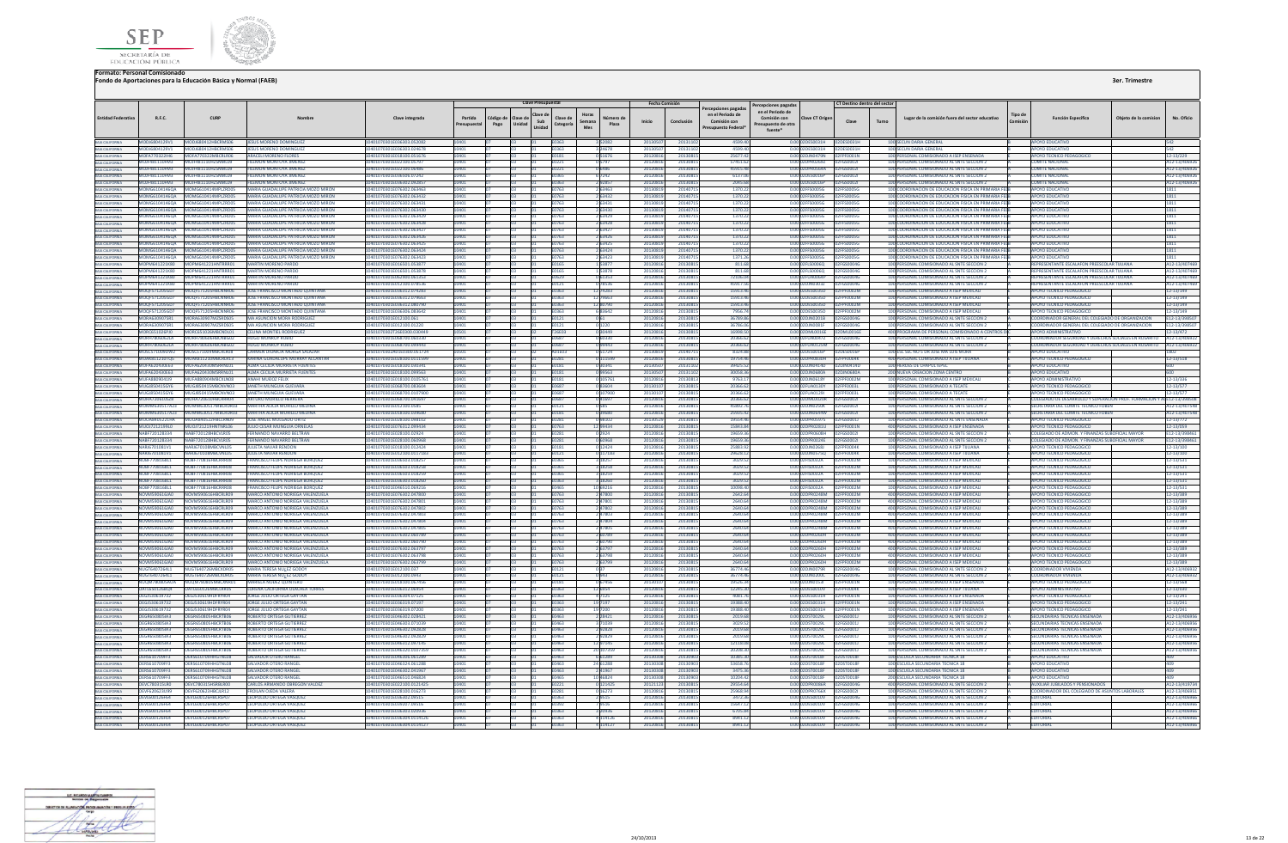



|                                                       |                                              |                                                                      |                                                                                    |                                                         |                    |                  | <b>Clave Presupuestal</b>                                    |                        |                           | <b>Fecha Comisión</b> |                      |                                                                               | Percepciones pagada:                                            |                                                          | CT Destino dentro del sector   |       |                                                                                                              |                    |                                                                                              |                      |                             |
|-------------------------------------------------------|----------------------------------------------|----------------------------------------------------------------------|------------------------------------------------------------------------------------|---------------------------------------------------------|--------------------|------------------|--------------------------------------------------------------|------------------------|---------------------------|-----------------------|----------------------|-------------------------------------------------------------------------------|-----------------------------------------------------------------|----------------------------------------------------------|--------------------------------|-------|--------------------------------------------------------------------------------------------------------------|--------------------|----------------------------------------------------------------------------------------------|----------------------|-----------------------------|
| <b>Entidad Federativ</b>                              | R.F.C.                                       | CURP                                                                 |                                                                                    | Clave integrada                                         | Partida<br>supuest | Código c<br>Pago | Clave de<br>Clave de<br>Sub<br>Unidad<br>Categoría<br>Unidad | Horas<br>Semana<br>Mes | Plaza                     | Inicio                | Conclusión           | ercepciones pagadas<br>en el Periodo de<br>Comisión con<br>resupuesto Federal | en el Periodo de<br>Comisión con<br>supuesto de otra<br>fuente* | Clave CT Origen                                          | Clave                          | Turno | Lugar de la comisión fuera del sector educativo                                                              | Tipo de<br>Comisió | <b>Función Específica</b>                                                                    | Objeto de la comisio | No. Oficio                  |
| BAIA CALIFORNIA                                       | MODJ6804129V1                                | MODJ680412HBCRMS06                                                   | JESUS MORENO DOMINGUEZ                                                             | 10401070301E036303.052082                               |                    |                  |                                                              |                        |                           | 201305                | 201311               | 4599.4                                                                        |                                                                 | 0.00 02DES0031H 02DES0031H                               |                                |       | 100 SECUN DARIA GENERAL                                                                                      |                    | <b>APOYO EDUCATIVO</b>                                                                       |                      |                             |
| BAJA CALIFORNIA<br>BAJA CALIFORNIA                    | MODJ6804129V1<br>MOFA770322IH6               | MODJ680412HBCRMS06<br>MOFA770322MBCRLR06                             | JESUS MORENO DOMINGUEZ<br><b>ARACELI MORENO FLORES</b>                             | 0401070301E036303.024678<br>10401070301E018100.051676   | 10401              |                  | E0363<br>E0181                                               |                        | 051676                    | 201305<br>20120816    | 20131:<br>20130815   | 4599.4<br>25677.42                                                            |                                                                 | 0.00 02DES0031H 02DES0031H<br>0.00 02DJN0479N 02FPF0001N |                                |       | 100 SECUN DARIA GENERAL<br>100 PERSONAL COMISIONADO A ISEP ENSENADA                                          |                    | YO EDUCATIV<br>APOYO TECNICO PEDAGOGICO                                                      |                      | 542<br>12-13/229            |
| <b>BAJA CALIFORNIA</b>                                | MOIF481110FM3                                | MOIF481110HZSNML09                                                   | <b>FILEMON MONTOVA IIMENEZ</b>                                                     | 10401070301E022100.05797                                | 10401              |                  | F0221                                                        |                        | 0.5797                    | 20120816              | 20130815             | 57451.67                                                                      |                                                                 | 0.0002DPR02697 02EGS0002L                                |                                |       | 100 PERSONAL COMISIONADO AL SNTE SECCIÓN 2                                                                   |                    | COMITE NACIONAL                                                                              |                      | A12-13/4069)                |
|                                                       | MOIF481110FM3                                | MOIE481110H75NMI09                                                   | <b>FILEMON MONTOYA IIMENEZ</b>                                                     | 0401070301E022100.0648                                  |                    |                  | F0221                                                        |                        | 0 6486                    | 2012081               | 2013081              | 459154                                                                        |                                                                 | 0.00 02DPR0564A 02FGS0002                                |                                |       | 100 PERSONAL COMISIONADO AL SNTE SECCION 2                                                                   |                    | <b>COMITE NACIONA</b>                                                                        |                      | A12-13/406                  |
| <b>A CALIFORNIA</b>                                   | MOJF481110FM3                                | OJF481110HZSNML09                                                    | FILEMON MONTOYA JIMENEZ                                                            | 70301E036506.0724                                       |                    |                  |                                                              |                        | 6 7242                    | 201208                | 2013081              | 6137.0                                                                        |                                                                 | 2DES0016P                                                | 2FGS00021                      |       | 100 PERSONAL COMISIONADO AL SNTE SECCION 2                                                                   |                    | MITE NACIONA                                                                                 |                      | 112-13/40                   |
| <b>BAIA CALIFORNIA</b>                                | MOJF481110FM3                                | AOJF481110HZSNML09<br>MOMG6104146QA MOMG610414MPLZRD05               | <b>FILEMON MONTOYA JIMENEZ</b><br>MARIA GUADALUPE PATRICIA MOZO MIRON              | 0401070301E036302.09285                                 |                    |                  | E0363                                                        |                        | 292857                    | 201208                | 2013081              | 2045.6                                                                        |                                                                 | 0.00 02DES0016P<br>0.00 02FFS0005G 02FFS0005G            | 2FGS0002                       |       | 100 PERSONAL COMISIONADO AL SNTE SECCION 2<br>100 COORDINACION DE EDUCACION FISICA EN PRIMARIA FEI           |                    | <b>OMITE NACIONA</b>                                                                         |                      | 12-13/40                    |
| BAJA CALIFORNIA                                       |                                              |                                                                      | MOMG6104146QA MOMG610414MPLZRD05 MARIA GUADALUPE PATRICIA MOZO MIRON               | 10401070301E076302.063463<br>10401070301E076302.063432  |                    |                  | E0763<br>E0763                                               |                        | 2 63463<br>2 63432        | 20130819<br>20130819  | 20140715<br>20140715 | 1370.22<br>1370.22                                                            |                                                                 | 0.00102EES0005G 02EES0005G                               |                                |       | 100 COORDINACION DE EDUCACION FISICA EN PRIMARIA FEI                                                         |                    | <b>POYO EDUCATIVO</b><br><b>APOYO EDUCATIVO</b>                                              |                      | 1811<br>1811                |
|                                                       | MOMG61041460A                                | MOMG610414MPLZRD05                                                   | MARIA GUADALUPE PATRICIA MOZO MIRON                                                | 0401070301E076302.063431                                |                    |                  | FN763                                                        |                        | 2 63431                   | 20130819              | 201407               | 1370.2                                                                        |                                                                 | 0.0002FFS0005G                                           | 02FE50005G                     |       | 100 COORDINACION DE EDUCACION FISICA EN PRIMARIA EFI                                                         |                    | <b>POYO FDUCATIVO</b>                                                                        |                      | 1811                        |
|                                                       |                                              | MOMG6104146QA MOMG610414MPLZRD05                                     | MARIA GUADALUPE PATRICIA MOZO MIRON                                                | 70301E076302.06343                                      |                    |                  |                                                              |                        | 2 63430                   | 2013081               | 201407               | 1370.2                                                                        |                                                                 | 0.00 02FFS0005G 02FFS0005G                               |                                |       | 100 COORDINACION DE EDUCACION FISICA EN PRIMARIA FEI                                                         |                    | <b>POYO EDUCATIV</b>                                                                         |                      | 1811                        |
| BAJA CALIFORNIA                                       |                                              |                                                                      | MOMG6104146QA MOMG610414MPLZRD05 MARIA GUADALUPE PATRICIA MOZO MIRON               | 10401070301E076302.063429                               |                    |                  | E0763                                                        |                        | 2 63429                   | 20130819              | 2014071              | 1370.2                                                                        |                                                                 | 0.00 02FFS0005G 02FFS0005G                               |                                |       | 100 COORDINACION DE EDUCACION FISICA EN PRIMARIA FEI                                                         |                    | <b>APOYO EDUCATIVI</b>                                                                       |                      | 1811                        |
| BAJA CALIFORNIA                                       |                                              |                                                                      | MOMG6104146QA MOMG610414MPLZRD05 MARIA GUADALUPE PATRICIA MOZO MIRON               | 0401070301E076302.063428<br>10401070301E076302.063427   |                    |                  | 0763                                                         |                        | 2 63428<br>2 6 3 4 2 7    | 20130819              | 2014071              | 1370.22                                                                       |                                                                 | 0.00 02FFS0005G 02FFS0005G                               |                                |       | 100 COORDINACION DE EDUCACION FISICA EN PRIMARIA FEL                                                         |                    | POYO EDUCATIVO                                                                               |                      | 1811                        |
| <b>BAIA CALIFORNIA</b>                                |                                              | MOMG6104146QA MOMG610414MPLZRD05<br>MOMG6104146QA MOMG610414MPLZRD05 | MARIA GUADALUPE PATRICIA MOZO MIRON<br>MARIA GUADALUPE PATRICIA MOZO MIRON         | I0401070301E076302.063426                               |                    |                  | E0763<br>E0763                                               |                        | 2 63426                   | 20130819<br>20130819  | 2014071<br>2014071   | 1370.22<br>1370.2                                                             |                                                                 |                                                          |                                |       | 100 COORDINACION DE EDUCACION FISICA EN PRIMARIA FEI<br>100 COORDINACION DE EDUCACION FISICA EN PRIMARIA FEL |                    | <b>APOYO EDUCATIVO</b><br><b>POYO EDUCATIVO</b>                                              |                      | 1811<br>1811                |
|                                                       |                                              | MOMG61041460A MOMG610414MPI7RD05                                     | MARIA GUADALUPE PATRICIA MOZO MIRON                                                | 01070301E076302.06342                                   |                    |                  |                                                              |                        | 6342                      | 201308                | 201407               | 1370.2                                                                        |                                                                 | 0.00.02EES0005G                                          | 02FE500056                     |       | 100 COORDINACION DE EDUCACION FISICA EN PRIMARIA FEL                                                         |                    | <b>POYO FDUCATIVE</b>                                                                        |                      | 1811                        |
| BAJA CALIFORNIA                                       |                                              |                                                                      | MOMG6104146QA MOMG610414MPLZRD05 MARIA GUADALUPE PATRICIA MOZO MIRON               | 10401070301E076302.063424                               |                    |                  | E0763                                                        |                        | 2 63424                   | 20130819              | 20140715             | 1370.22                                                                       |                                                                 |                                                          |                                |       | 100 COORDINACION DE EDUCACION EISICA EN PRIMARIA EER                                                         |                    | AROVO EDUCATIVO                                                                              |                      | 1811                        |
| <b>BAJA CALIFORNIA</b>                                |                                              | MOMG6104146QA MOMG610414MPLZRD05                                     | MARIA GUADALUPE PATRICIA MOZO MIRON                                                | 0401070301E076302.063423                                |                    |                  | E0763                                                        |                        | 2 63423                   | 2013081               | 201407               | 1371.2                                                                        |                                                                 | 0.00 02FFS0005G                                          | 02FFS0005G                     |       | 100 COORDINACION DE EDUCACION FISICA EN PRIMARIA FEI                                                         |                    | <b>APOYO EDUCATIVO</b>                                                                       |                      |                             |
| BAJA CALIFORNIA                                       |                                              | MOPM641221K80 MOPM641221HNTRRR01<br>MOPM641221K80 MOPM641221HNTRRR01 | MARTIN MORENO PARDO<br><b>MARTIN MORENO PARDO</b>                                  | 0401070301E016501.05387<br>10401070301E016501.053878    |                    |                  | 0165<br>E0165                                                |                        | 1 5387<br>153878          | 201208<br>20120816    | 2013081<br>20130815  | 811.6<br>811.68                                                               |                                                                 | 0.00 02FLS0006Q                                          | 2FGS0004G                      |       | 100 PERSONAL COMISIONADO AL SNTE SECCION :<br>100 PERSONAL COMISIONADO AL SNTE SECCION 2                     |                    | PRESENTANTE ESCALAFON PREESCOLAR TUUANA<br>REPRESENTANTE ESCALAFON PREESCOLAR TUUANA         |                      | A12-13/407<br>A12-13/40746  |
|                                                       |                                              | MOPM641221KR0 MOPM641221HNTRRR01                                     | MARTIN MORENO PARDO                                                                | 10401070301E062900.061353                               | 10401              |                  | F0629                                                        |                        | 0.61353                   | 20120816              | 20130815             | 72106.04                                                                      |                                                                 | 0.00.02FUA0064P 02FGS0004G                               |                                |       | 100 PERSONAL COMISIONADO AL SNTE SECCION 2                                                                   |                    | REPRESENTANTE ESCALAEON PREESCOLAR TIILIANA                                                  |                      | A12-13/40746                |
|                                                       | <b>MOPM641221KR0</b>                         | MOPM641221HNTRRR01                                                   | MARTIN MORENO PARDO                                                                | 10401070201E012100.078526                               |                    |                  | E0121                                                        |                        | 078536                    | 20120816              | 2013081              | 45917.5                                                                       |                                                                 | 0.00.02DIN0303Z                                          | <b>DARGSOON</b>                |       | 100 PERSONAL COMISIONADO AL SNTE SECCION 2                                                                   |                    | <b>REPRESENTANTE ESCALAEON RRESCOLAR TILLANA</b>                                             |                      | A12-13/407469               |
|                                                       |                                              | MOQF571205GD7 MOQF571205HBCNNR06                                     | JOSE FRANCISCO MONTADO QUINTANA                                                    | 10401070301E036312.074283                               |                    |                  | E0363                                                        |                        | 2 74283                   | 2012081               | 2013081              | 15913.4                                                                       |                                                                 | 0.00 02DES0035D                                          | 2FPF0002M                      |       | 100 PERSONAL COMISIONADO A ISEP MEXICALI                                                                     |                    | APOYO TECNICO PEDAGOGICO                                                                     |                      | 12-13/149                   |
|                                                       | MOQF571205GD7                                | MOOF571205HBCNNR06                                                   | JOSE FRANCISCO MONTADO QUINTANA                                                    | 0401070301E036312.07966                                 |                    |                  | E0363                                                        |                        | 2 79663                   | 201208                | 201308               | 15913.4                                                                       |                                                                 | 0.00 02DES0035D                                          |                                |       | 100 PERSONAL COMISIONADO A ISEP MEXICAL                                                                      |                    | <b>POYO TECNICO PEDAGOGICO</b>                                                               |                      | 12-13/149                   |
|                                                       |                                              | MOOF571205GD7 MOOF571205HBCNNR06<br>MOOFS7120SGD7 MOOFS7120SHRCNNR06 | JOSE FRANCISCO MONTADO QUINTANA<br><b>IDSE FRANCISCO MONTABO OUINTANA</b>          | 10401070301E036312.080790<br>10401070301F036306 083642  |                    |                  | E0363<br>E0363                                               |                        | 1280790<br>683642         | 20120816              | 20130815             | 15913.46<br>7956.7                                                            |                                                                 | 0.00 02DES0035D<br>0.0002DES0035D 02EPE0002M             | 02FPF0002M                     |       | 100 PERSONAL COMISIONADO A ISEP MEXICALI<br>100 PERSONAL COMISIONADO A ISEP MEXICALI                         |                    | APOYO TECNICO PEDAGOGICO<br>APOYO TECNICO PEDAGOGICO                                         |                      | 12-13/149                   |
|                                                       | MORA6309075R1                                | MORA630907MZSRDS05                                                   | MA ASUNCION MORA RODRIGUEZ                                                         | 10401070301E012100.061                                  |                    |                  | F0121                                                        |                        |                           | 20120816<br>20120816  | 20130815<br>20130815 | 36789.86                                                                      |                                                                 | 0.00 02DJN0201B 02FGS0004G                               |                                |       | 100 PERSONAL COMISIONADO AL SNTE SECCIÓN 2                                                                   |                    | COORDINADOR GENERAL DEL COLEGIADO DE ORGANIZACIÓN                                            |                      | 12-13/149<br>F12-13/398507  |
| <b>A CALIFORNIA</b>                                   | MORA6309075R1                                | MORA630907MZSRDS05                                                   | MA ASUNCION MORA RODRIGUEZ                                                         | 0301E012100.0122                                        |                    |                  | E0121                                                        |                        |                           | 201208                | 2013081              | 36786.                                                                        |                                                                 | 2DJN0081F                                                |                                |       | ERSONAL COMISIONADO AL SNTE SECCION                                                                          |                    | COORDINADOR GENERAL DEL COLEGIADO DE ORGANIZACION                                            |                      | 12-13/3989                  |
| BAJA CALIFORNIA                                       | MORC651026PJ0                                | MORC651026MBCNDL01 CELINA MONTIEL RODRIGUEZ                          |                                                                                    | 10501070302T26E0300.03044                               |                    |                  | <b>T26E03</b>                                                |                        | 0 30449                   | 2012081               | 20130815             | 16998.5                                                                       |                                                                 | 0.00 02DML0016E 02DML0016E                               |                                |       | 400 PROGRAMA DE PERSONAL COMISIONADO A CENTRO                                                                |                    | <b>APOYO ADMINISTRATIVO</b>                                                                  |                      | 12-13/472                   |
| BAIA CALIFORNIA                                       | MORH7806062LA                                | MORH780606HBCNBG02                                                   | <b>HUGO MONROY RUBIO</b>                                                           | 0401070301E068700.060330                                |                    |                  | 0687                                                         |                        | 60330                     | 20120816              | 2013081              | 20366.6                                                                       |                                                                 | 0.00 02FUA0047Z                                          | 2FGS0004G                      |       | 100 PERSONAL COMISIONADO AL SNTE SECCION 2                                                                   |                    | OORDINADOR SEGURIDAD Y DERECHOS SOCIALES EN ROSARITO                                         |                      | A12-13/40692                |
|                                                       | <b>MORH7806062LA</b><br>MOSC571009DW2        | MORH780606HRCNBG02<br>MOSC571009MBCRLR08                             | <b>HUGO MONROY RUBIC</b><br>CARMEN DIONICIA MORGA SALAZAR                          | 10401070301F068700.099443<br>I0501070302A01E0300.051724 |                    |                  | <b>F0687</b><br>A01E03                                       |                        | 0.99443<br>051724         | 20120816<br>20130819  | 20130815<br>2014071  | 20366.62<br>8324.8                                                            |                                                                 | 0.00.02EUA0125M 02EGS0004G<br>0.00 02DES0016P            | 02DES0016P                     |       | 100 PERSONAL COMISIONADO AL SNTE SECCIÓN 2<br>100 ESC SEC NO 5 DR JOSE MA LUIS MORA                          |                    | COORDINADOR SEGURIDAD Y DERECHOS SOCIALES EN ROSARITO A12-13/40692<br><b>APOYO EDUCATIVO</b> |                      | 1807                        |
| BAJA CALIFORNIA<br>BAJA CALIFORNIA<br>BAJA CALIFORNIA | MUAK811210TQ5                                | MUAKR11210MRCRIR13                                                   | KARINA GUADALUPE MURRAY ALCANTAR                                                   | 0401070301F028100.0111599                               |                    |                  | 0281                                                         |                        | 111599                    | 201208                | 2013081              | 197544                                                                        |                                                                 | 0.00102DPR0830H                                          | 12FPF0004K                     |       | 400 PERSONAL COMISIONADO A ISEP TUUANA                                                                       |                    | <b>IPOYO TECNICO PEDAGOGICO</b>                                                              |                      | 12-13/518                   |
|                                                       | MUEA620430E63                                | MUEA620430MSRRNL01                                                   | ALMA CECILIA MURRIETA FUENTES                                                      | 10401070201E018100.020241                               |                    |                  | <b>F0181</b>                                                 |                        | 3034                      | 201305                | 2012110              | 20425.5                                                                       |                                                                 | 0.00 02DJN0414D                                          | 02DIM0414D                     |       | 100 HEROES DE CHAPULTEPEC                                                                                    |                    | <b>MPOVO EDUICATIVO</b>                                                                      |                      |                             |
| BAIA CALIFORNIA<br>BAIA CALIFORNIA                    | MUFA620430E63                                | MUFA620430MSRRNL01                                                   | <b>ALMA CECILIA MURRIETA FUENTES</b>                                               | 10401070301E018100.099563                               |                    |                  | E0181                                                        |                        | 99563                     | 201305                | 2013110              | 30058.3                                                                       |                                                                 | 0.00 02DJN0680A                                          | <b>2DJN0680A</b>               |       | 200 NUEVA CREACION ZONA CENTRO                                                                               |                    | APOYO EDUCATIVO                                                                              |                      |                             |
|                                                       | MUFA880904119                                | MUFASS0904MBCXLN08                                                   | ANAHI MUĐOZ FELIX                                                                  | 11070301F018100 0105761                                 |                    |                  | E0181                                                        |                        | 105761                    | 20120816              | 2013081              | 9763.1                                                                        |                                                                 | 0.00.02DIN0618Y                                          | 12FPF0002M                     |       | 100 PERSONAL COMISIONADO A ISEP MEXICALI                                                                     |                    | <b>APOYO ADMINISTRATIVO</b>                                                                  |                      | 12-13/336                   |
| BAIA CALIFORNIA                                       |                                              | MUGJ850415GY6 MUGJ850415MBCNVN03<br>MUGIR50415GY6 MUGIR50415MRCNVN03 | JANETH MUNGUIA GUEVARA<br><b>JANETH MUNGUIA GUEVARA</b>                            | 10401070301E068700.083604<br>10401070301F068700.0107900 | 0401<br>10401      |                  | E0687<br><b>F0687</b>                                        |                        | 083604<br>0.107900        | 2013010<br>201301     | 20130815<br>20130815 | 20366.62<br>20366.62                                                          |                                                                 | 0.00 02FUA0130Y 02FPF0003L<br>0.0002FU40129L 02FPE0003L  |                                |       | 100 PERSONAL COMISIONADO A TECATE<br>100 PERSONAL COMISIONADO A TECATE                                       |                    | APOYO TECNICO PEDAGOGICO<br>APOYO TECNICO PEDAGOGICO                                         |                      | 12-13/577<br>12-13/577      |
| BAIA CALIFORNIA<br>BAIA CALIFORNIA                    | <b>MUHA720610578</b>                         | MUHA720610HRCPPPDA                                                   | APTURO MURIUO HEPPERA                                                              | 10401070201E068700.041697                               |                    |                  | <b>F0687</b>                                                 |                        | 041697                    | 2012081               | 20130815             | 20366.6                                                                       |                                                                 |                                                          |                                |       | 100 PERSONAL COMISIONADO AL SNTE SECCIÓN 2                                                                   |                    | COLEGIADO DE DESARROLLO Y SUPERACION PROF. FORMACION Y ACE12-13/39850I                       |                      |                             |
|                                                       | MUMM630517A23                                | MUMM630517MBCRDR03                                                   | <b>MARTHA ALICIA MURILLO MEDI</b>                                                  | 10401070301E012100.0585                                 |                    |                  | 10121                                                        |                        |                           | 201208                | 2013081              | 45892.                                                                        |                                                                 | 0.00 02DJN0250K                                          | PFGS0002                       |       | 100 PERSONAL COMISIONADO AL SNTE SECCION :                                                                   |                    | SECRETARIA DEL COMITE TECNICO FOBEN                                                          |                      | 12-13/407548                |
| BAIA CALIFORNIA<br>BAIA CALIFORNIA                    | MUMM630517A23                                |                                                                      | MUMM630517MBCRDR03 MARTHA ALICIA MURILLO MEDINA                                    | 10401070301F018100.03968                                |                    |                  | E0181                                                        |                        | 3968                      | 2012081               | 2013081              | 25935.4                                                                       |                                                                 | 0.00102DIN0644W                                          | <b>FGS00021</b>                |       | 100 PERSONAL COMISIONADO AL SNTE SECCION :                                                                   |                    | SECRETARIA DEL COMITE TECNICO FOBEN                                                          |                      | 12-13/407548                |
| BAIA CALIFORNIA                                       | <b>MUOA8405221HA</b>                         | MUOA840522HBCLRN09                                                   | JOSE ANGEL MULGADO ORTIZ                                                           | 0401070301E028100.098102                                |                    |                  | E0281                                                        |                        |                           | 20130529              | 20130815             | 19554.4                                                                       |                                                                 | 0.00 02DPR05975                                          | 02FGS0001J                     |       | 100 PERSONAL COMISIONADO AL SNTE ENSENADA                                                                    |                    | APOYO TECNICO PEDAGOGICO                                                                     |                      | 12-13/772                   |
| <b>BAJA CALIFORNIA</b>                                | <b>NARE220128224</b>                         | MUOJ7212199L0 MUOJ721219HNTNRL06<br>NAREZZO128HROVIDOS               | JULIO CESAR MUNGUIA ORNELAS<br><b>CERNANDO NAVARRO RELTRAN</b>                     | 10401070301E076312.099434<br>10401070201E028100.02924   |                    |                  | E0763<br><b>E0281</b>                                        |                        | 12 99434<br>0 2924        | 20120816<br>20120816  | 20130815<br>2012081  | 15843.84<br>10650.3                                                           |                                                                 | 0.00 02DPR0281U 02FPF0001N<br>0.00020PR060RH 02FGS0002L  |                                |       | 400 PERSONAL COMISIONADO A ISEP ENSENADA<br>100 PERSONAL COMISIONADO AL SNTE SECCIÓN 2                       |                    | APOYO TECNICO PEDAGOGICO<br>COLEGIADO DE ADMON, Y EINANZAS SUROEICIAL MAYOR                  |                      | 12-13/059<br>F12-13/39846   |
| BAJA CALIFORNIA                                       | NABF720128334                                | VABF720128HBCVLR05                                                   | FERNANDO NAVARRO BELTRAN                                                           | 01070301E028100.0609                                    |                    |                  |                                                              |                        |                           | 201208                | 2013081              | 19659.3                                                                       |                                                                 | PR0024E                                                  | <b>EFGS00021</b>               |       | 100 PERSONAL COMISIONADO AL SNTE SECCION 2                                                                   |                    | OLEGIADO DE ADMON. Y FINANZAS SUBOFICIAL MAYOR                                               |                      | 12-13/398                   |
| <b>A CALIFORNIA</b><br>BAJA CALIFORNIA                | NARJ6701081V1                                | NARJ670108MBCVNL05                                                   | <b>JULIETA NAVAR RENDON</b>                                                        | 10401070301E018100.012424                               |                    |                  | E0181                                                        |                        | 0 12424                   | 2012081               | 20130815             | 25883.9                                                                       |                                                                 | 0.00 02DJN0268J                                          | 2FPF0004K                      |       | 100 PERSONAL COMISIONADO A ISEP TUUANA                                                                       |                    | <b>APOYO TECNICO PEDAGOGICO</b>                                                              |                      | 12-13/100                   |
| BAIA CALIFORNIA                                       | NARJ6701081V1                                | NARJ670108MBCVNL05                                                   | <b>JULIETA NAVAR RENDON</b>                                                        | 10401070301E012100.0117183                              |                    |                  | E0121                                                        |                        | 0 117183                  | 20120816              | 20130815             | 29628.12                                                                      |                                                                 | 0.00 02DJN0575Q                                          | 2FPF0004K                      |       | 100 PERSONAL COMISIONADO A ISEP TUUANA                                                                       |                    | APOYO TECNICO PEDAGOGICO                                                                     |                      | 12-13/100                   |
| RAIA CALIFORNIA                                       | NORF770816811                                | NORF770816HRCRRRD8                                                   | <b>FRANCISCO FELIPE NORIEGA ROROUEZ</b>                                            | 10401070301E036503 018257                               |                    |                  | <b>FO365</b>                                                 |                        | 3 18257                   | 20120816              | 20130815             | 3029.52                                                                       |                                                                 | 0.00 02FIS0032A                                          | 02FPF0002M                     |       | 100 PERSONAL COMISIONADO A ISEP MEXICAL                                                                      |                    | APOYO TECNICO PEDAGOGICO                                                                     |                      | 12-13/531                   |
| BAJA CALIFORNIA                                       | NOBF7708168L1<br><b>NORF7708168L1</b>        | NOBF770816HBCRRR08<br>NORF770816HRCRRRD8                             | <b>FRANCISCO FELIPE NORIEGA BORQUEZ</b><br><b>FRANCISCO FELIPE NORIEGA ROROUEZ</b> | 10401070301E036503.018258<br>10401070301E036503.018259  |                    |                  | E0365                                                        |                        | 3 18258<br>18259          | 20120816<br>2012081   | 20130815<br>2013081  | 3029.52<br>3029.5                                                             |                                                                 | 0.00 02FIS0032A<br>0.00 02FIS0032A                       | 02FPF0002M<br>FPF0002M         |       | 100 PERSONAL COMISIONADO A ISEP MEXICALI<br>100 PERSONAL COMISIONADO A ISEP MEXICAL                          |                    | APOYO TECNICO PEDAGOGICO<br><b>IPOYO TECNICO PEDAGOGICO</b>                                  |                      | 12-13/531<br>12-13/531      |
| BAJA CALIFORNIA                                       | NORF770816811                                | MOREZZOR16HRCPPPDR                                                   | <b>ERANCISCO EFIJRE NORIEGA ROROJIEZ</b>                                           | 10401070201E026202.018260                               |                    |                  | E0363                                                        |                        | 3 18260                   | 2012081               | 2013081              | 3029.52                                                                       |                                                                 | 0.00 02FIS0032A                                          | DENNOTAS                       |       | 100 PERSONAL COMISIONADO A ISEP MEXICALI                                                                     |                    | AROVO TECNICO REDAGOGICO                                                                     |                      | 12-13/531                   |
| BAJA CALIFORNIA                                       | NOBF7708168L1                                | NOBF770816HBCRRR08                                                   | <b>FRANCISCO FELIPE NORIEGA BORQUEZ</b>                                            | 0401070301E046510.06921                                 |                    |                  | 0465                                                         |                        | 0 69216                   | 201208                | 2013081              | 10098.4                                                                       |                                                                 | 0.00 02FIS0032A                                          | 0002M                          |       | 100 PERSONAL COMISIONADO A ISEP MEXICAL                                                                      |                    | APOYO TECNICO PEDAGOGICO                                                                     |                      | $2 - 13/531$                |
|                                                       | NOVM590616IA0                                | NOVM590616HRCRLR09                                                   | MARCO ANTONIO NORIEGA VALENZUELA                                                   | 10401070301E076302.047800                               |                    |                  | F0763                                                        |                        | 2.47800                   | 2012081               | 20130815             | 2642.6                                                                        |                                                                 | 0.00 02DPR0248M                                          | 10002M                         |       | 400 PERSONAL COMISIONADO A ISEP MEXICAL                                                                      |                    | APOYO TECNICO PEDAGOGICO                                                                     |                      | 12-13/389                   |
| BAJA CALIFORNIA                                       | NOVM590616JA0                                | NOVM590616HBCRLR09                                                   | MARCO ANTONIO NORIEGA VALENZUELA                                                   | 10401070301E076302.047801                               |                    |                  | E0763                                                        |                        | 247801                    | 20120816              | 2013081              | 2640.6                                                                        |                                                                 | 0.00 02DPR0248M                                          | <b>F0002M</b>                  |       | 400 PERSONAL COMISIONADO A ISEP MEXICALI                                                                     |                    | APOYO TECNICO PEDAGOGICO                                                                     |                      | 12-13/389                   |
| <b>BAIA CALIFORNIA</b>                                | NOVM590616IA0<br>NOVM590616IA0               | NOVM590616HRCRLR09<br>MOVMS90616HBCRLR09                             | MARCO ANTONIO NORIEGA VALENZUELA<br>MARCO ANTONIO NORIEGA VALENZLIELA              | 10401070301E076302.047802<br>0401070301F076302.047803   |                    |                  | F0763<br>E0763                                               |                        | 2 47802<br>247803         | 20120816<br>2012081   | 20130815<br>2013081  | 2640.64<br>2640.6                                                             |                                                                 | 0.00.02DPR0248M 02EPE0002M<br>0.00 02DPR0248M            | <b>ACOODS</b>                  |       | 400 PERSONAL COMISIONADO A ISEP MEXICALL<br>400 PERSONAL COMISIONADO A ISEP MEXICAL                          |                    | APOYO TECNICO PEDAGOGICO<br>AROVO TECNICO REDAGOGICO                                         |                      | 12-13/389<br>2-13/389       |
| BAJA CALIFORNIA                                       | NOVM590616JA0                                | NOVM590616HBCRLR09                                                   | MARCO ANTONIO NORIEGA VALENZUELA                                                   | I0401070301E076302.047804                               |                    |                  | E0763                                                        |                        | 247804                    | 2012081               | 2013081              | 2640.6                                                                        |                                                                 | 0.00 02DPR0248M                                          | FOODZM                         |       | 400 PERSONAL COMISIONADO A ISEP MEXICAL                                                                      |                    | <b>APOYO TECNICO PEDAGOGICO</b>                                                              |                      | 2-13/389                    |
| BAJA CALIFORNIA<br>BAJA CALIFORNIA                    | <b>NOVM590616IA0</b>                         | NOVMS90616HRCRI R09                                                  | MARCO ANTONIO NORIEGA VALENZUELA                                                   | 10401070301E076302.04780                                |                    |                  | E0763                                                        |                        |                           | 201208                | 2013081              | 2640 F                                                                        |                                                                 | 0.00 02DPR024RM                                          |                                |       | 400 PERSONAL COMISIONADO A ISEP MEXICAL                                                                      |                    | <b>APOYO TECNICO PEDAGOGICO</b>                                                              |                      | 2-13/389                    |
| BAJA CALIFORNIA                                       | NOVM590616JA0                                | NOVM590616HBCRLR09                                                   | MARCO ANTONIO NORIEGA VALENZUELA                                                   | 0401070301E076302.060789                                |                    |                  | E0763                                                        |                        | 2 60789                   | 2012081               | 20130815             | 2640.6                                                                        |                                                                 | 0.00 02DPR0260H                                          | PF0002M                        |       | 400 PERSONAL COMISIONADO A ISEP MEXICALI                                                                     |                    | <b>POYO TECNICO PEDAGOGICO</b>                                                               |                      | 12-13/389                   |
| <b>BAIA CALIFORNIA</b>                                |                                              | NOVMS906161A0 NOVMS90616HRCRLR09                                     | MARCO ANTONIO NORIEGA VALENZUELA                                                   | 10401070301E076302.060790                               |                    |                  | E0763                                                        |                        | 2.60790                   | 20120816              | 2013081              | 2640.6                                                                        |                                                                 | 0.0002DPR0260H 02FPF0002M                                |                                |       | 400 PERSONAL COMISIONADO A ISEP MEXICALI                                                                     |                    | APOYO TECNICO PEDAGOGICO                                                                     |                      | 12-13/389                   |
| BAIA CALIFORNIA<br>BAIA CALIFORNIA<br>BAIA CALIFORNIA |                                              | NOVA 5906161A0 NOVA 590616HRCRIPOR                                   | MARCO ANTONIO NORIEGA VALENZUELA                                                   | 10401070201E076202.063797                               |                    |                  | <b>E0763</b>                                                 |                        | 2 63797                   | 20120816              | 2012091              | 2640.64                                                                       |                                                                 | A GOOD HOTEL HOSCORROCO OO O                             |                                |       | <b>400 PERSONAL COMISIONADO A ISER MEYICALL</b>                                                              |                    | AROVO TECNICO REDAGOGICO                                                                     |                      | 12-13/389                   |
|                                                       | <b>NOVM590616JAC</b>                         | NOVM590616HBCRLR09<br>NOVM590616JA0 NOVM590616HBCRLR09               | MARCO ANTONIO NORIEGA VALENZUEL<br>MARCO ANTONIO NORIEGA VALENZUELA                | 01070301E076302.06379I<br>10401070301E076302.06379      |                    |                  | 0763<br>E0763                                                |                        | 2 63799                   | 201208<br>2012081     | 201308<br>2013081    | 2640.<br>2640.6                                                               | 00                                                              | 2DPR0260H<br>0.00 02DPR0260H                             |                                |       | 400 PERSONAL COMISIONADO A ISEP MEXICAL<br>400 PERSONAL COMISIONADO A ISEP MEXICAL                           |                    | POYO TECNICO PEDAGOGICO<br>APOYO TECNICO PEDAGOGICO                                          |                      | 2-13/389<br>12-13/389       |
| BAJA CALIFORNIA                                       | NUGT6407264L1                                | NUGT640726MBCXDR05                                                   | MARIA TERESA NU <sub>A</sub> EZ GODOY                                              | 10401070301E012100.037                                  |                    |                  | E0121                                                        |                        |                           | 20120816              | 20130815             | 36774.46                                                                      |                                                                 | 0.00 02DJN0079R                                          | 02FGS0004G                     |       | 100 PERSONAL COMISIONADO AL SNTE SECCION 2                                                                   |                    | <b>COORDINADOR VIVIENDA</b>                                                                  |                      | A12-13/40693                |
| <b>BAJA CALIFORNIA</b>                                | NUGT640726411                                | NUGT640726MBCXDR05                                                   | MARIA TERESA NULEZ GODOY                                                           | 10401070301E012100.0943                                 |                    |                  | E0121                                                        |                        | 0943                      | 20120816              | 20130815             | 36774.46                                                                      |                                                                 | 0.00 02DJN0200C 02FGS0004G                               |                                |       | 100 PERSONAL COMISIONADO AL SNTE SECCION 2                                                                   |                    | <b>COORDINADOR VIVIENDA</b>                                                                  |                      | A12-13/40693                |
| BAIA CALIFORNIA<br>BAIA CALIFORNIA<br>BAIA CALIFORNIA |                                              | NUQM780805AUA NUQM780805MBCXNR01                                     | MARIELA NUDEZ QUINTERO                                                             | 10401070301E018100.067456                               | 10401              |                  | E0181                                                        |                        | 0 67456                   | 2013010               | 20130815             | 19526.34                                                                      |                                                                 | 0.00 02DJN0153I 02FPF0001N                               |                                |       | 100 PERSONAL COMISIONADO A ISEP ENSENADA                                                                     |                    | APOYO TECNICO PEDAGOGICO                                                                     |                      | 12-13/568                   |
|                                                       | <b>OATL650126804</b>                         | <b>OATL650126MRCLRROS</b><br>OFGIS30619HDERYRO4                      | <b>LORENA CALIFORNIA OLACHEA TORRES</b><br><b>IORGE ILILIO ORTEGA GAYTAN</b>       | 10401070301E036312.06954<br>10401070301F036304 07125    |                    |                  | <b>FN363</b>                                                 |                        | 2 6954                    | 2012081               | 2013081<br>2013081   | 12245.38<br>40817                                                             |                                                                 | 0.00102DES0010V                                          | 02FPF0004K<br><b>EDENNATIN</b> |       | 100 PERSONAL COMISIONADO A ISEP TIILIANA                                                                     |                    | ΔΡΟΥΩ ΔΟΜΙΝΙΚΤΡΑΤΙΝΟ<br><b>MPOVO TECNICO PEDAGOGICI</b>                                      |                      | 12-13/030                   |
| BAIA CALIFORNIA                                       | OEGJ530619732<br>OEGJ530619732               | OEGJ530619HDFRYR04                                                   | JORGE JULIO ORTEGA GAYTAN                                                          | 0401070301E036319.07197                                 |                    |                  | <b>FN363</b><br>0363                                         |                        | 4 7 1 2 5<br>197197       | 201208<br>20120816    | 20130815             | 19388.40                                                                      |                                                                 | 0.00 02DES0031H<br>0.00 02DES0031H                       | 2FPF0001N                      |       | 100 PERSONAL COMISIONADO A ISEP ENSENADA<br>100 PERSONAL COMISIONADO A ISEP ENSENADA                         |                    | POYO TECNICO PEDAGOGICO                                                                      |                      | 12-13/241<br>2-13/241       |
|                                                       | OEGI530619732                                | OFGIS30619HDERYR04                                                   | <b>IORGE ILILIO ORTEGA GAYTAM</b>                                                  | 10401070301F036319 07200                                |                    |                  | E0363                                                        |                        | 19 7200                   | 20120816              | 2013081              | 19388.4                                                                       |                                                                 | 0.00.02DES0031H                                          | <b>FPE0001N</b>                |       | 100 PERSONAL COMISIONADO A ISEP ENSENADA                                                                     |                    | <b>IPOYO TECNICO PEDAGOGICO</b>                                                              |                      | 12-13/241                   |
| BAJA CALIFORNIA                                       | OEGR650805IA3                                | OEGR650805HBCRTB06                                                   | <b>ROBERTO ORTEGA GUTIERREZ</b>                                                    | 10401070301E046302.028421                               | 0401               |                  | E0463                                                        |                        | 2 2 8 4 2 1               | 20120816              | 2013081              | 2019.61                                                                       |                                                                 | 0.00 02DST0029L 02FGS0001J                               |                                |       | 100 PERSONAL COMISIONADO AL SNTE SECCION 2                                                                   |                    | SECUNDARIAS TECNICAS ENSENADA                                                                |                      | A12-13/40695                |
| BAIA CALIFORNIA                                       | OFGR650805IA3                                | OFGR650805HBCRTB06                                                   | <b>ROBERTO ORTEGA GUTIERREZ</b>                                                    | 10401070301F046303.071039                               |                    |                  | F0463                                                        |                        | 3 71039                   | 20120816              | 20130815             | 3029.53                                                                       |                                                                 | 0.00.02DST0029L                                          | D2EGS00011                     |       | 100 PERSONAL COMISIONADO AL SNTE SECCION 2                                                                   |                    | SECUNDARIAS TECNICAS ENSENADA                                                                |                      | A12-13/40695                |
|                                                       | OFGR650805IA3                                | OEGRESOROSHRCRTROG                                                   | <b>POREPTO OPTEGA GUTIERRET</b>                                                    | 0401070301E046302.092828                                |                    |                  | FNA63                                                        |                        | 292828                    | 2012081               | 2013081              | 2019.6                                                                        |                                                                 | 0.00 02DST0029L                                          | 02EGS00011                     |       | 100 PERSONAL COMISIONADO AL SNTE SECCION 2                                                                   |                    | SECUNDARIAS TECNICAS ENSEMADA                                                                |                      | 12-13/4059                  |
| BAIA CALIFORNIA<br><b>BAIA CALIFORNIA</b>             | <b>OEGR650805IA3</b><br><b>OEGR650805IA3</b> | OEGR650805HBCRTB06<br>OFGR650805HBCRTB06                             | ROBERTO ORTEGA GUTIERRE<br><b>ROBERTO ORTEGA GUTIERRE</b>                          | 10401070301E046302.092829<br>10401070301E046312.097145  |                    |                  | E0463                                                        |                        | 1297145                   | 201208<br>2012081     | 2013081<br>2013081   | 2019.6<br>12118.0                                                             |                                                                 | ST0029L<br>0.00102DST0029L                               | 2FGS0001<br>2FGS00011          |       | 100 PERSONAL COMISIONADO AL SNTE SECCION :<br>100 PERSONAL COMISIONADO AL SNTE SECCION 2                     |                    | SECUNDARIAS TECNICAS ENSENADA<br>SECUNDARIAS TECNICAS ENSENADA                               |                      | 12-13/4069<br>12-13/40695   |
| BAIA CALIFORNIA                                       | <b>OEGR650805IA3</b>                         | OEGR650805HBCRTB06                                                   | ROBERTO ORTEGA GUTIERRE                                                            | 0401070301E046320.010735                                |                    |                  | $\frac{1}{1463}$                                             |                        | 0 107359                  | 2012081               | 2013081              | 20208.3                                                                       |                                                                 | 0.00 02DST0029L                                          | 02FGS0001J                     |       | 100 PERSONAL COMISIONADO AL SNTE SECCION 2                                                                   |                    | <b>CUNDARIAS TECNICAS ENSENADA</b>                                                           |                      | 12-13/406956                |
| <b>BAIA CALIFORNIA</b>                                | <b>OERS610709FF3</b>                         | OFRS610709HHGTNL08                                                   | SALVADOR OTERO RANGEL                                                              | 10401070301E046306.061289                               |                    |                  | E0463                                                        |                        | 6 61289                   | 2013030               | 20130903             | 10385.30                                                                      |                                                                 |                                                          |                                |       | 100 ESCUELA SECUNDARIA TECNICA 18                                                                            |                    | <b>APOYO EDUCATIVO</b>                                                                       |                      | 409                         |
| BAJA CALIFORNIA                                       | OFRS610709FF3                                | OFRS610709HHGTNL08                                                   | SALVADOR OTFRO RANGEL                                                              | 10401070301F046324.061288                               |                    |                  | F0463                                                        |                        | 24 61288                  | 2013030               | 2013090              | 53658.76                                                                      |                                                                 | $0.00102DST0018F$ 02DST0018F                             |                                |       | 100 ESCUELA SECUNDARIA TECNICA 18                                                                            |                    | ΔΡΟΥΩ ΕΒΗΓΑΤΙΝΩ                                                                              |                      | 409                         |
|                                                       | OERS610709FF3                                | OERS610709HHGTNL08                                                   | <b>SALVADOR OTERO RANGE</b>                                                        | 10401070301E046302.041967                               |                    |                  | E0463                                                        |                        | 241967                    | 201303                | 201309               | 3475.3                                                                        |                                                                 | 0.00 02DST0018F                                          | 02DST0018E                     |       | 100 ESCUELA SECUNDARIA TECNICA 18                                                                            |                    | POYO EDUCATIVO                                                                               |                      |                             |
| BAIA CALIFORNIA<br>BAJA CALIFORNIA                    | OERS610709FF3<br>OEVC780315LR0               | OERS610709HHGTNL08<br>OEVC780315HSRBLR00                             | <b>SALVADOR OTERO RANGE</b><br>CARLOS ARMANDO OBREGON VALDEZ                       | 10401070301E046510.046824<br>I0401070301E022100.0121425 |                    |                  | E0465<br>:0221                                               |                        | 1046824<br>121425         | 201303<br>201211      | 201309<br>2013081    | 10204.4<br>29554.6                                                            |                                                                 | 0.00 02DST0018F<br>0.00 02DPR0086R                       | 02DST0018<br>02FGS0004G        |       | 200 ESCUELA SECUNDARIA TECNICA 18<br>400 PERSONAL COMISIONADO AL SNTE SECCION 2                              |                    | POYO EDUCATIVO<br>UXILIAR JUBILADOS Y PENSIONADOS                                            |                      | A12-13/41973                |
| <b>BAIA CALIFORNIA</b>                                | OEVF620623U99                                | OFVE620623HRCILR12                                                   | <b>FROILAN OIFDA VALERA</b>                                                        | 10401070301E028100.016273                               |                    |                  | E0281                                                        |                        | 016273                    | 20120816              | 2013081              | 25968.94                                                                      |                                                                 | 0.00102DPR0766X 02EGS0002L                               |                                |       | 100 PERSONAL COMISIONADO AL SNTE SECCION 2                                                                   |                    | COORDINADOR DEL COLEGIADO DE ASUNTOS LABORALES                                               |                      | A12-13/406951               |
| BAIA CALIFORNIA                                       | OEVL600126F64                                | OEVL600126HBCRSP07                                                   | LEOPOLDO ORTEGA VASQUEZ                                                            | 10401070301E036302.09515                                |                    |                  | E0363                                                        |                        | 29515                     | 20120816              | 20130815             | 3472.36                                                                       |                                                                 | 0.00 02DES0010V 02FGS0004G                               |                                |       | 100 PERSONAL COMISIONADO AL SNTE SECCION 2                                                                   |                    | <b>EDITORIAL</b>                                                                             |                      | A12-13/406966               |
|                                                       | OFVL600126F64                                | OFVL600126HRCRSPD                                                    | LEOPOLDO ORTEGA VASQUE                                                             | 0401070301E039207.0951                                  |                    |                  |                                                              |                        |                           | 201208                | 2013081              | 15647.1                                                                       |                                                                 | 0.00 02DES0010V                                          | 02FGS0004G                     |       | 100 PERSONAL COMISIONADO AL SNTE SECCION :                                                                   |                    | <b>NTORIA</b>                                                                                |                      | 12-13/40696                 |
| BAIA CALIFORNIA                                       | OEVL600126F64                                | OEVL600126HBCRSP0                                                    | LEOPOLDO ORTEGA VASQUE                                                             | 10401070301E036303.02093                                |                    |                  | E0363                                                        |                        | 3 20936                   | 2012081               | 20130815             | 6705.84                                                                       |                                                                 | 0.00 02DES0010V 02FGS0004G                               |                                |       | 100 PERSONAL COMISIONADO AL SNTE SECCION :                                                                   |                    | DITORIAL                                                                                     |                      | A12-13/40696                |
| BAJA CALIFORNIA                                       | OEVL600126F64<br><b>OEVL600126F64</b>        | OEVL600126HBCRSP07<br>OEVI600126HRCRSP07                             | LEOPOLDO ORTEGA VASQUEZ<br><b>IFORDI DO ORTEGA VASOUEZ</b>                         | 10401070301E036304.011412<br>10401070301F036304 0114127 |                    |                  | E0363<br>E0363                                               |                        | 4 1 1 4 1 2 6<br>4 114127 | 20120816<br>20120816  | 20130815<br>20130815 | 8941.1<br>894117                                                              |                                                                 | 0.00 02DES0010V<br>0.00 02DES0010V 02FGS0004G            | 02FGS0004G                     |       | 100 PERSONAL COMISIONADO AL SNTE SECCION 2<br>100 PERSONAL COMISIONADO AL SNTE SECCION 2                     |                    | EDITORIAL<br><b>FDITORIAL</b>                                                                |                      | 12-13/40696<br>A12-13/40696 |
|                                                       |                                              |                                                                      |                                                                                    |                                                         |                    |                  |                                                              |                        |                           |                       |                      |                                                                               |                                                                 |                                                          |                                |       |                                                                                                              |                    |                                                                                              |                      |                             |

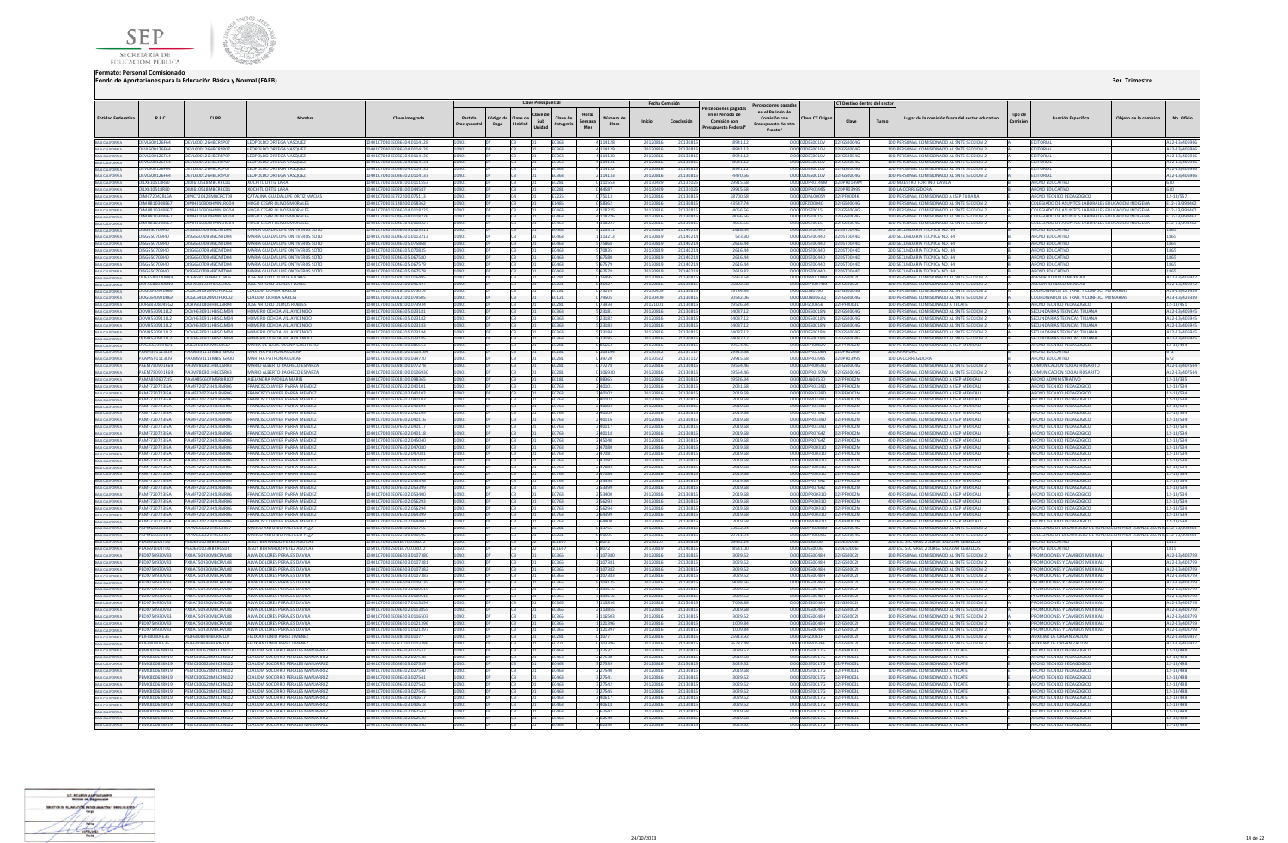



|                                                                          |                                              |                                                        |                                                                                      |                                                         |                       |                                         | <b>Clave Presupuesta</b> |                       |                                            | Fecha Comisión     |                      |                                                                             |                                                                                         |                                    | CT Destino dentro del sector |                                                                                          |                    |                                                                              |                       |                             |
|--------------------------------------------------------------------------|----------------------------------------------|--------------------------------------------------------|--------------------------------------------------------------------------------------|---------------------------------------------------------|-----------------------|-----------------------------------------|--------------------------|-----------------------|--------------------------------------------|--------------------|----------------------|-----------------------------------------------------------------------------|-----------------------------------------------------------------------------------------|------------------------------------|------------------------------|------------------------------------------------------------------------------------------|--------------------|------------------------------------------------------------------------------|-----------------------|-----------------------------|
| <b>Entidad Federativa</b>                                                | R.F.C.                                       | CURP                                                   |                                                                                      | Clave integrada                                         | Partida<br>resupuesta | Código de<br>Clave de<br>Unidad<br>Pago | Clave d<br>Sub<br>Unidad | Clave de<br>Categoría | Horas<br>úmero d<br>Semana<br>Plaza<br>Mes | Inicio             | Conclusión           | cepciones pagada<br>en el Periodo de<br>Comisión con<br>Presupuesto Federal | ercepciones pagadas<br>en el Periodo de<br>Comisión con<br>esupuesto de otra<br>fuente* | Clave CT Origen                    | Clave                        | Lugar de la comisión fuera del sector educativo<br>Turno                                 | Tipo di<br>Comisió | <b>Función Específica</b>                                                    | Obieto de la comision | No. Oficio                  |
|                                                                          | OEVL600126F64                                | OEVL600126HBCRSP07                                     | LEOPOLDO ORTEGA VASQUEZ                                                              | 10401070301E036304.0114128                              |                       |                                         |                          | E0363                 | 4 114128                                   | 2012081            | 20130815             | 8941.1                                                                      |                                                                                         | 0.00 02DES0010V                    | 02FGS0004G                   | 100 PERSONAL COMISIONADO AL SNTE SECCION 2                                               |                    | <b>EDITORIAL</b>                                                             |                       | A12-13/406                  |
| BAJA CALIFORNIA<br>BAJA CALIFORNIA                                       | OEVL600126F64                                | OFVL600126HRCRSP07                                     | LEOPOLDO ORTEGA VASQUEZ                                                              | 10401070301E036304.0114129                              | 10401                 |                                         |                          | E0363                 | 4 114129                                   | 2012081            | 20130815             | 8941.1                                                                      |                                                                                         | 0.00.02DES0010V                    | 02FGS0004G                   | 100 PERSONAL COMISIONADO AL SNTE SECCION 2                                               |                    | <b>EDITORIAL</b>                                                             |                       | A12-13/4069                 |
| BAIA CALIFORNIA<br>BAIA CALIFORNIA<br>BAIA CALIFORNIA                    | OEVL600126F64                                | OFVL600126HRCRSP07                                     | <b>LEOPOLDO ORTEGA VASOUEZ</b>                                                       | 0401070301F036304 0114130                               |                       |                                         |                          | E0363                 | 4 114130                                   | 2012081            | 2013081              | 8941.1                                                                      |                                                                                         | 0.00.02DES0010V                    | 12EGS0004G                   | 100 PERSONAL COMISIONADO AL SNTE SECCIÓN 2                                               |                    | <b>EDITORIAL</b>                                                             |                       | 12-13/4069                  |
|                                                                          | OEVL600126F64<br>OEVL600126F64               | EVL600126HBCRSP0<br>OEVL600126HBCRSP0                  | LEOPOLDO ORTEGA VASQUE<br>LEOPOLDO ORTEGA VASQUE                                     | 0401070301E036304.011413<br>10401070301E036304.0114132  |                       |                                         |                          | 0363<br>E0363         | 4 114131<br>4 114132                       | 201208<br>201208   | 2013081<br>20130815  | 8941.<br>8941.1                                                             |                                                                                         | 02DES0010V<br>0.00 02DES0010V      | <b>FGS0004G</b>              | 100 PERSONAL COMISIONADO AL SNTE SECCION 2<br>100 PERSONAL COMISIONADO AL SNTE SECCION 2 |                    | <b>EDITORIAL</b><br>EDITORIAL                                                |                       | 112-13/406<br>A12-13/406    |
| BAJA CALIFORNIA                                                          | OEVL600126F64                                | OEVL600126HBCRSP07                                     | <b>LEOPOLDO ORTEGA VASQUEZ</b>                                                       | 0401070301E036302.0114133                               |                       |                                         |                          | E0363                 | 2 114133                                   | 201208             | 20130815             | 4470.5                                                                      |                                                                                         | 0.00 02DES0010V                    | FGS0004G                     | 100 PERSONAL COMISIONADO AL SNTE SECCION 2                                               |                    | EDITORIAL                                                                    |                       | A12-13/4069                 |
| <b>BAJA CALIFORNIA</b>                                                   | <b>OILX610518RED</b>                         | OILX610518MRCRRC01                                     | <b>XOCHITI ORTIZ LARA</b>                                                            | 10401070301F028100 0111553                              |                       |                                         |                          | <b>F0281</b>          | 0 111553                                   | 201304             | 20131025             | 29915.                                                                      |                                                                                         | 0.00 02DPR0149M                    | 02DPR0149M                   | 200 MAESTRO FORTINO DAVILA                                                               |                    | ΔΡΟΥΩ ΕΒΗΓΑΤΙΥΣ                                                              |                       |                             |
|                                                                          | <b>OILX610518RED</b>                         | OILX610518MBCRRC01                                     | <b>XOCHITL ORTIZ LARA</b>                                                            | 10401070301E028100.044587                               | 10401                 |                                         |                          | E0281                 | 044587                                     | 201304             | 20131025             | 29915.5                                                                     |                                                                                         | 0.00 02DPR0399S                    | 02DPR0399S                   | 100 LA CORREGIDORA                                                                       |                    | <b>APOYO EDUCATIVO</b>                                                       |                       |                             |
| BAIA CALIFORNIA<br>BAIA CALIFORNIA<br>BAIA CALIFORNIA                    | <b>OIMC720428L6A</b><br>OIMHR1020RE67        | OIMC72042RMRCRCT09<br>OIMHR1020RHMMIRG04               | CATALINA GUADALUPE ORTIZ MACIAS<br>HUIGO CESAR OLIVOS MORALES                        | 10401070401F722500.075113<br>10401070201E148500.058362  |                       |                                         |                          | F7225<br>E1485        | 075113                                     | 201208<br>201208   | 201308<br>2013081    | 38700<br>435477                                                             |                                                                                         | 0.00102DNI0005Y<br>0.00102EZI00040 | <b>FPF0004K</b><br>CONDOC    | 100 PERSONAL COMISIONADO A ISEP TIILIANA<br>100 PERSONAL COMISIONADO AL SNTE SECCION 2   |                    | APOYO TECNICO PEDAGOGIO<br>COLEGIADO DE ASUNTOS LARORALES EDUCACION INDIGENA |                       | 12-13/557<br>E12-13/3984    |
|                                                                          | OIMH810308E67                                | MH810308HMNLRG04                                       | <b>HUGO CESAR OLIVOS MORALES</b>                                                     | 0401070301E046304.011822                                |                       |                                         |                          | 0463                  | 0 58362<br>4 118225                        | 201208             | 20130819             | 4056.                                                                       |                                                                                         | 0.00 02DST0015                     | <b>FGS0004G</b>              | 100 PERSONAL COMISIONADO AL SNTE SECCION 2                                               |                    | COLEGIADO DE ASUNTOS LABORALES EDUCACION INDIGENA                            |                       | E12-13/3984                 |
| BAIA CALIFORNIA<br>BAIA CALIFORNIA<br>BAIA CALIFORNIA<br>BAIA CALIFORNIA | <b>OIMH810308E67</b>                         | DIMHR10308HMNIRG04                                     | HUGO CESAR OLIVOS MORALES                                                            | 10401070301F046304 0118226                              |                       |                                         |                          | <b>Endra</b>          | 4 118226                                   | 2012081            | 20130815             | 40565                                                                       |                                                                                         | 0.000205T0015L                     | 25000046                     | 100 PERSONAL COMISIONADO AL SNTE SECCION 2                                               |                    | COLEGIADO DE ASUNTOS LARORALES EDUCACION INDIGENA                            |                       | E12-13/39846                |
|                                                                          | OIMH810308E67                                | OIMH810308HMNLRG04                                     | <b>HUGO CESAR OLIVOS MORALES</b>                                                     | 10401070301E046304.0118227                              |                       |                                         |                          | E0463                 | 4 118227                                   | 201208             | 20130815             | 4056.5                                                                      |                                                                                         | 0.00 02DST0015I                    | 2FGS0004G                    | 100 PERSONAL COMISIONADO AL SNTE SECCION 2                                               |                    | COLEGIADO DE ASUNTOS LABORALES EDUCACION INDIGENA                            |                       | E12-13/39846                |
|                                                                          | 0156650709140<br>0156650709140               | OISG650709MRCNTD04<br>USG650709MBCNTD04                | MARIA GUADALUPE ONTIVEROS SOTI<br>MARIA GUADALUPE ONTIVEROS SOT                      | 10401070301F046305 0123511                              |                       |                                         |                          | <b>FN463</b><br>FN463 | 5 123511                                   | 2013081<br>201308  | 20140214<br>2014021  | 26164<br>523.7                                                              |                                                                                         | 0.00.02DST0044D                    | 2DST0044D<br><b>DSTOO44D</b> | 200 SECUNDARIA TECNICA NO. 44                                                            |                    | ΔΡΟΥΩ ΕΒΗΓΑΤΙΛΩ<br>ΔΡΟΥΩ ΕΠΙΙΣΑΤΙΜ                                           |                       |                             |
| <b>BAJA CALIFORNIA</b>                                                   | OISG650709140                                | 0ISG650709MBCNTD04                                     | <b>MARIA GUADALUPE ONTIVEROS SOT</b>                                                 | 0401070301E046301.011321<br>10401070301E046305.075868   |                       |                                         |                          | E0463                 | 113213<br>575868                           | 201308             | 20140214             | 2616.4                                                                      |                                                                                         | 0.00 02DST0044D<br>0.00 02DST0044D | STOO44D                      | 200 SECUNDARIA TECNICA NO. 44<br>200 SECUNDARIA TECNICA NO. 44                           |                    | <b>APOYO EDUCATIVO</b>                                                       |                       | 1865                        |
| BAIA CALIFORNIA<br>BAIA CALIFORNIA<br>BAIA CALIFORNIA                    | 0156650709140                                | OISG6S0709MRCNTD04                                     | MARIA GUADALUPE ONTIVEROS SOT                                                        | 10401070301F046305.07083                                |                       |                                         |                          | FN463                 |                                            | 201308             | 2014021              | 2616.4                                                                      |                                                                                         | 0.00 02DST0044D                    | <b>STOOAAF</b>               | 200 SECUNDARIA TECNICA NO. 44                                                            |                    | ΔΡΟΥΩ ΕΠΙΙΣΑΤΙΜ                                                              |                       | 1865                        |
|                                                                          | OISG650709140                                | OISG650709MBCNTD04                                     | <b>MARIA GUADALUPE ONTIVEROS SOT</b>                                                 | 0401070301E046305.067580                                |                       |                                         |                          | 0463                  | 5 67580                                    | 201308             | 2014021              | 2616.4                                                                      |                                                                                         | 0.00 02DST0044D                    | DST0044D                     | 200 SECUNDARIA TECNICA NO. 44                                                            |                    | <b>APOYO EDUCATIVO</b>                                                       |                       |                             |
| <b>BAJA CALIFORNIA</b>                                                   | OISG650709140                                | OISG650709MRCNTD04                                     | MARIA GUADALUPE ONTIVEROS SOT                                                        | 10401070301F046305.067579                               |                       |                                         |                          | FN463                 | 5 67579                                    | 201308             | 20140214             | 2616.4                                                                      |                                                                                         | 0.00020500440                      | 205700440                    | 200 SECUNDARIA TECNICA NO. 44                                                            |                    | <b>APOYO EDUCATIVO</b>                                                       |                       | 1865                        |
| BAJA CALIFORNIA<br>BAJA CALIFORNIA<br>BAJA CALIFORNIA                    | 0156650709140                                | DISG650709MRCNTD04                                     | MARIA GUADALUPE ONTIVEROS SOTO                                                       | 10401070301F046305.067578                               |                       |                                         |                          | <b>FN463</b>          | 5 67578                                    | 201308             | 20140214             | 2619.8                                                                      |                                                                                         | 0.00.02DST0044D                    | 2DST0044D                    | 200 SECUNDARIA TECNICA NO. 44                                                            |                    | ΔΡΟΥΩ ΕΒΗΓΑΤΙΝΟ                                                              |                       | 1865                        |
|                                                                          | OOFA5810308N9                                | OOFA581030HBCCLR06<br>OOFA5810308N9 OOFA581030HBCCLR06 | <b>IOSE ARTURO OCHOA FLORE</b><br><b>JOSE ARTURO OCHOA FLORES</b>                    | 0401070301F028100 01649<br>10401070301E022100.04642     |                       |                                         |                          | F0281<br>E0221        | 046427                                     | 201208<br>201208   | 201308<br>20130815   | 25963.<br>36802.                                                            |                                                                                         | 0.00.02DPR0108M<br>0.00 02DPR0074M | <b>GS00021</b><br>FGS00021   | 100 PERSONAL COMISIONADO AL SNTE SECCION<br>100 PERSONAL COMISIONADO AL SNTE SECCION 2   |                    | <b>ASESOR JURIDICO MEXICA</b><br><b>ASESOR JURIDICO MEXICALI</b>             |                       | 12-13/406<br>A12-13/406     |
| BAJA CALIFORNIA                                                          | OOGC640920H6A                                | OOGC640920MDFCRL02                                     | CLAUDIA OCHOA GARCIA                                                                 | 0401070301E018100.075014                                |                       |                                         |                          | 0181                  | 0 75014                                    | 201304             | 2013081              | 19784.                                                                      |                                                                                         | 0.00 02DJN0590I                    | <b>FGS0004G</b>              | 100 PERSONAL COMISIONADO AL SNTE SECCION 2                                               |                    | COORDINADOR DE TRAB, Y CONFLIC. PRIMARIA                                     |                       | 13-13/4293                  |
|                                                                          |                                              | DOGC640920H6A DOGC640920MDFCRID2                       | <b>CLAUDIA OCHOA GARCIA</b>                                                          | 10401070301E012100.079505                               |                       |                                         |                          | E0121                 | 0 79505                                    | 201304             | 20130815             | 30542.0                                                                     |                                                                                         | 0.000201N00630                     | 02FGS0004G                   | 100 PERSONAL COMISIONADO AL SNTE SECCION 2                                               |                    | <b>COORDINADOR DE TRAB. Y CONFLIC. PRIMARIAS</b>                             |                       | A13-13/4293                 |
|                                                                          | OORA8308049G2                                | OORA830804HBCLBR04                                     | JOSE ARTURO OLMOS ROBLES                                                             | 10401070301E028100.073934                               |                       |                                         |                          | E0281                 | 0 73934                                    | 201210             | 20130815             | 19526.3                                                                     |                                                                                         | 0.00 02FIZ0065B                    | 2FPF0003L                    | 100 PERSONAL COMISIONADO A TECATE                                                        |                    | APOYO TECNICO PEDAGOGICO                                                     |                       | 12-13/451                   |
| BAIA CALIFORNIA<br>BAIA CALIFORNIA<br>BAIA CALIFORNIA<br>BAIA CALIFORNIA | <b>OOVH530911112</b><br><b>OOVH530911LL2</b> | DOVHS30911HRSCLM04<br>OOVHS20911HBSCLM04               | HOMERO OCHOA VILLAVICENCIO<br>HOMERO OCHOA VILLAVICENCIC                             | 10401070301F036305 023181<br>10401070301E036305.023182  |                       |                                         |                          | <b>F0363</b><br>F0363 | 5 23181                                    | 201208<br>201208   | 20130815<br>2013081  | 140871<br>140871                                                            |                                                                                         | 0.00102DES0018N<br>0.00 02DES0018N | 256500046<br>EGSOOMG         | 100 PERSONAL COMISIONADO AL SNTE SECCION 2<br>100 PERSONAL COMISIONADO AL SNTE SECCION 2 |                    | SECUNDARIAS TECNICAS THUANA<br>SECUNDARIAS TECNICAS TULIANA                  |                       | 112-13/4069                 |
|                                                                          | OOVH530911LL2                                | OOVH530911HBSCLM04                                     | HOMERO OCHOA VILLAVICENCIO                                                           | 0401070301E036305.023183                                |                       |                                         |                          | E0363                 | 5 23182<br>5 23183                         | 2012081            | 20130815             | 14087.1                                                                     |                                                                                         | 0.00 02DES0018N                    | <b>FGS0004G</b>              | 100 PERSONAL COMISIONADO AL SNTE SECCION 2                                               |                    | SECUNDARIAS TECNICAS TIJUANA                                                 |                       | 112-13/4069<br>A12-13/4069  |
| BAIA CALIFORNIA<br>BAIA CALIFORNIA                                       | <b>OOVH530911112</b>                         | OOVH530911HBSCLM04                                     | HOMERO OCHOA VILLAVICENCIO                                                           | 0401070301E036305.023184                                |                       |                                         |                          | E0363                 | 5 23184                                    | 201208             | 20130815             | 14087.                                                                      |                                                                                         | 0.00 02DES0018N                    | <b>FGS0004G</b>              | 100 PERSONAL COMISIONADO AL SNTE SECCION 2                                               |                    | SECUNDARIAS TECNICAS THUANA                                                  |                       | 12-13/4069                  |
| <b>BAJA CALIFORNIA</b>                                                   | OOVH530911LL2                                | OOVH530911HBSCLM04                                     | HOMERO OCHOA VILLAVICENCIO                                                           | 0401070301E036305.023185                                |                       |                                         |                          | E0363                 | 5 23185                                    | 201208             | 20130815             | 14087.                                                                      |                                                                                         | 0.00 02DES0018N                    | <b>EGS0004G</b>              | 100 PERSONAL COMISIONADO AL SNTE SECCION 2                                               |                    | SECUNDARIAS TECNICAS TUUANA                                                  |                       | 112-13/4069                 |
| BAJA CALIFORNIA                                                          | <b>OUGIGGOROSKU1</b>                         | <b>OUGIGGO309MSLSRS07</b>                              | MARIA DE JESUS OSUNA GUERRERO                                                        | 10401070301F028100.085663                               |                       |                                         |                          | <b>F0281</b>          | 085663                                     | 201208             | 20130815             | 195544                                                                      |                                                                                         | 0.00 02DPR0082V                    | <b>PEPENNOZM</b>             | 100 PERSONAL COMISIONADO A ISEP MEXICALL                                                 |                    | APOYO TECNICO PEDAGOGICO                                                     |                       | 12-13/444                   |
| BAJA CALIFORNIA                                                          | <b>PAAM591113LI9</b>                         | PAAM591113MBSTGR00                                     | <b>MARTHA PATRON AGUILAR</b>                                                         | 10401070301E028100.0103164                              |                       |                                         |                          | <b>F0281</b>          | 0 103164                                   | 201305             | 20131117             | 29915.5                                                                     |                                                                                         | 0.00 02DPR0206N                    | 2DPR0206N                    | 200 ANAHLIAC                                                                             |                    | ΔΡΩΥΩ ΕΠΙΙΣΑΤΙΝΩ                                                             |                       |                             |
| BAIA CALIFORNIA<br>BAIA CALIFORNIA                                       | PAAM591113LJ9<br>PAEM780901R69               | AAM591113MBSTGR00<br>AFM780901HRCCSR03                 | <b>MARTHA PATRON AGUILAR</b><br><b>MARIO ALBERTO PACHECO ESPARZ</b>                  | 0401070301E028100.03972<br>0401070301F028100 077278     |                       |                                         |                          | E0281                 | 039720<br>0 77278                          | 201305<br>201208   | 2013111<br>2013081   | 29915<br>19554                                                              |                                                                                         | 0.00 02DPR0399S<br>0.00 02DPR0059U | PR03995                      | 100 LA CORREGIDOR<br>100 PERSONAL COMISIONADO AL SNTE SECCION 2                          |                    | <b>APOYO EDUCATIVO</b><br><b>COMUNICACION SOCIAL ROSARITO</b>                |                       | A12-13/407                  |
| BAJA CALIFORNIA                                                          | PAEM780901R69                                | AEM780901HBCCSR03                                      | MARIO ALBERTO PACHECO ESPARZA                                                        | 0401070301E028100.010693                                |                       |                                         |                          | 0281                  | 106930                                     | 201208             | 2013081              | 19554                                                                       |                                                                                         | 0.00 02DPR0197W                    | GS0004G                      | 100 PERSONAL COMISIONADO AL SNTE SECCIÓN 2                                               |                    | <b>COMUNICACION SOCIAL ROSARITO</b>                                          |                       | 12-13/4075                  |
| BAJA CALIFORNIA                                                          | <b>PAMA850607215</b>                         | PAMA850607MSRDRL07                                     | ALEIANDRA PADILLA MARIN                                                              | 10401070301E018100.098365                               |                       |                                         |                          | <b>F0181</b>          | 098365                                     | 201208             | 20130815             | 195263                                                                      |                                                                                         | 0.00.02DIN0653D                    | FPF0002M                     | 100 PERSONAL COMISIONADO A ISEP MEXICALI                                                 |                    | ΔΡΟΥΩ ΑΠΜΙΝΙΚΤΡΑΤΙΝΩ                                                         |                       | 12-13/335                   |
| BAJA CALIFORNIA<br>BAJA CALIFORNIA<br>BAJA CALIFORNIA                    | <b>PAME72072315A</b>                         | PAME720723HSLRNR06                                     | <b>FRANCISCO JAVIER PARRA MENDEZ</b>                                                 | 10401070301E076302.040101                               |                       |                                         |                          | E0763                 | 2 40101                                    | 201208             | 2013081              | 2031.6                                                                      |                                                                                         | 0.00 02DPR0339D                    | FPF0002M                     | 400 PERSONAL COMISIONADO A ISEP MEXICALI                                                 |                    | <b>APOVO TECNICO PEDAGOGICO</b>                                              |                       | 12-13/534                   |
|                                                                          | <b>PAMF720723I5A</b>                         | PAMF720723HSLRNR06                                     | <b>FRANCISCO JAVIER PARRA MENDEZ</b>                                                 | 10401070301E076302.040102                               |                       |                                         |                          | E0763                 | 2 4010                                     | 201208             | 20130819             | 2019.                                                                       |                                                                                         | 0.00 02DPR0339D                    | F0002M                       | 400 PERSONAL COMISIONADO A ISEP MEXICAL                                                  |                    | <b>APOYO TECNICO PEDAGOGICO</b>                                              |                       | 12-13/534                   |
|                                                                          | PAMF720723I5A<br><b>PAMF720723I5A</b>        | AMF720723HSLRNR06<br>MF720723HSLRNR06                  | <b>FRANCISCO JAVIER PARRA MENDE</b><br><b>RANCISCO JAVIER PARRA MENDEZ</b>           | 10401070301E076302.04010<br>0401070301E076302.040104    |                       |                                         |                          | E0763<br>0763         | 2 40103<br>2 40104                         | 201208<br>201208   | 2013081<br>2013081   | 2019.<br>2019.                                                              |                                                                                         | 0.00 02DPR0339D<br>0.00 02DPR0339D | F0002M<br><b>F0002M</b>      | 400 PERSONAL COMISIONADO A ISEP MEXICAL<br>400 PERSONAL COMISIONADO A ISEP MEXICAL       |                    | <b>APOYO TECNICO PEDAGOGICO</b><br><b>APOYO TECNICO PEDAGOGICO</b>           |                       | 12-13/534<br>2-13/534       |
| BAJA CALIFORNIA<br>BAJA CALIFORNIA                                       | <b>PAME72072315A</b>                         | AMEZ20723HSLRNR06                                      | <b>FRANCISCO JAVIER PARRA MENDEZ</b>                                                 | 0401070301E076302.040109                                |                       |                                         |                          | FN763                 |                                            | 201208             | 2013081              | 2019                                                                        |                                                                                         | 0.00 02DPR07647                    | <b>FOODZN</b>                | 400 PERSONAL COMISIONADO A ISEP MEXICAL                                                  |                    | <b>MPOYO TECNICO PEDAGOGICO</b>                                              |                       | 12-13/534                   |
| BAIA CALIFORNIA<br>BAIA CALIFORNIA<br>BAIA CALIFORNIA                    | PAMF720723I5A                                | PAMF720723HSLRNR06                                     | FRANCISCO JAVIER PARRA MENDEZ                                                        | 10401070301E076302.040116                               |                       |                                         |                          | E0763                 | 2 40116                                    | 201208             | 20130815             | 2019.6                                                                      |                                                                                         | 0.00 02DPR0339D                    | PF0002M                      | 400 PERSONAL COMISIONADO A ISEP MEXICALI                                                 |                    | APOYO TECNICO PEDAGOGICO                                                     |                       | 12-13/534                   |
|                                                                          | <b>PAME72072315A</b>                         | PAME720723HSLRNR06                                     | <b>FRANCISCO IAVIER PARRA MENDEZ</b>                                                 | 10401070301F076302.040117                               |                       |                                         |                          | <b>F0763</b>          | 2 40117                                    | 201208             | 2013081              | 2019                                                                        |                                                                                         | 0.00102DPR0339D                    | PE0002M                      | 400 PERSONAL COMISIONADO A ISEP MEXICAL                                                  |                    | APOYO TECNICO PEDAGOGICO                                                     |                       | 12-13/534                   |
|                                                                          | <b>PAMF720723I5A</b><br><b>PAMF720723I5A</b> | AMF720723HSLRNR0                                       | <b>FRANCISCO JAVIER PARRA MENDEZ</b>                                                 | 10401070301E076302.040118<br>0401070301E076302.04504    |                       |                                         |                          | E0763                 | 2 40118                                    | 201208             | 2013081              | 2019                                                                        |                                                                                         | 0.00 02DPR0764Z                    | F0002M<br>F0002M             | 400 PERSONAL COMISIONADO A ISEP MEXICAL                                                  |                    | <b>APOYO TECNICO PEDAGOGICO</b>                                              |                       | 12-13/534                   |
| BAIA CALIFORNIA<br>BAIA CALIFORNIA                                       | <b>PAME72072315A</b>                         | MF720723HSLRNR06<br>AME720723HSLRNR06                  | FRANCISCO JAVIER PARRA MENDEZ<br><b>FRANCISCO JAVIER PARRA MENDEZ</b>                | 10401070301E076302.047080                               |                       |                                         |                          | 0763<br>F0763         | 2 45040<br>2 47080                         | 2012081<br>2012081 | 20130815<br>20130815 | 2019.6<br>2019.6                                                            |                                                                                         | 0.00 02DPR0764Z<br>0.00 02DPR0031Q | PE0002M                      | 400 PERSONAL COMISIONADO A ISEP MEXICALI<br>400 PERSONAL COMISIONADO A ISEP MEXICALL     |                    | APOYO TECNICO PEDAGOGICO<br>APOYO TECNICO PEDAGOGICO                         |                       | 12-13/534<br>12-13/534      |
| BAIA CALIFORNIA                                                          | PAMF720723I5A                                | AMF720723HSLRNR06                                      | FRANCISCO JAVIER PARRA MENDEZ                                                        | 0401070301E076302.047081                                |                       |                                         |                          | E0763                 | 247081                                     | 201208             | 20130815             | 2019.6                                                                      |                                                                                         | 0.00 02DPR0031O                    | PF0002M                      | 400 PERSONAL COMISIONADO A ISEP MEXICALI                                                 |                    | APOYO TECNICO PEDAGOGICO                                                     |                       | 12-13/534                   |
| BAJA CALIFORNIA                                                          | <b>PAME72072315A</b>                         | AME720723HSLRNR06                                      | <b>FRANCISCO IAVIER PARRA MENDEZ</b>                                                 | 10401070301E076302.047082                               |                       |                                         |                          | <b>F0763</b>          | 2 47082                                    | 201208             | 20130815             | 2019 F                                                                      |                                                                                         | 0.00.02DPR0031Q                    | PENNO2M                      | 400 PERSONAL COMISIONADO A ISEP MEXICALI                                                 |                    | APOYO TECNICO PEDAGOGICO                                                     |                       | 12-13/534                   |
| <b>BAJA CALIFORNIA</b>                                                   | <b>PAME72072315A</b>                         | AMEZ20723HSLRNR06                                      | <b>FRANCISCO JAVIER PARRA MENDEZ</b>                                                 | 10401070301E076302.047083                               |                       |                                         |                          | F0763                 | 2 47083                                    | 201208             | 20130815             | 2019f                                                                       |                                                                                         | 0.0002DPR00310                     | PENNN2M                      | 400 PERSONAL COMISIONADO A ISEP MEXICALI                                                 |                    | APOYO TECNICO PEDAGOGICO                                                     |                       | 12-13/534                   |
| BAIA CALIFORNIA<br>BAIA CALIFORNIA                                       | <b>PAMF720723ISA</b><br><b>PAMF720723I5A</b> | AME720723HSLRNR06                                      | <b>FRANCISCO JAVIER PARRA MENDEZ</b><br>FRANCISCO JAVIER PARRA MENDEZ                | 0401070301E076302.047084<br>0401070301E076302.05339     |                       |                                         |                          | 0763<br>0763          | 2 47084<br>2 53398                         | 201208<br>201208   | 2013081<br>2013081   | 2019.<br>2019.                                                              |                                                                                         | 0.00 02DPR0031O                    | FNNN2M                       | 400 PERSONAL COMISIONADO A ISEP MEXICALI<br>400 PERSONAL COMISIONADO A ISEP MEXICAL      |                    | <b>APOYO TECNICO PEDAGOGICO</b>                                              |                       | 12-13/534<br>2-13/534       |
| BAJA CALIFORNIA                                                          | <b>PAMF720723I5A</b>                         | MF720723HSLRNR06                                       | <b>RANCISCO JAVIER PARRA MENDEZ</b>                                                  | 0401070301E076302.053399                                |                       |                                         |                          | 0763                  | 2 5 3 3 9 9                                | 201208             | 20130815             | 2019.                                                                       |                                                                                         | 0.00 02DPR0764Z                    | F0002M                       | 400 PERSONAL COMISIONADO A ISEP MEXICALI                                                 |                    | <b>APOYO TECNICO PEDAGOGICO</b>                                              |                       | 12-13/534                   |
|                                                                          | <b>PAME72072315A</b>                         | AME720723HSLRNR06                                      | <b>FRANCISCO IAVIER PARRA MENDEZ</b>                                                 | 10401070301E076302.053400                               |                       |                                         |                          | F0763                 | 2.53400                                    | 201208             | 20130815             | 2019                                                                        |                                                                                         | 0.00 02DPR0031Q                    | PE0002M                      | 400 PERSONAL COMISIONADO A ISEP MEXICAL                                                  |                    | APOYO TECNICO PEDAGOGICO                                                     |                       | 12-13/534                   |
|                                                                          | <b>PAME72072315A</b>                         | PAME720723HSLRNR06                                     | <b>FRANCISCO JAVIER PARRA MENDEZ</b>                                                 | 10401070301E076302.056293                               |                       |                                         |                          | E0763                 | 2 5 6 2 9 3                                | 201208             | 20130815             | 2019f                                                                       |                                                                                         | 0.00 02DPR0031O                    | PE0002M                      | 400 PERSONAL COMISIONADO A ISEP MEXICAL                                                  |                    | APOYO TECNICO PEDAGOGICO                                                     |                       | 12-13/534                   |
|                                                                          | PAMF720723I5A                                |                                                        | RANCISCO JAVIER PARRA MENDE                                                          | 070301E076302.05629                                     |                       |                                         |                          |                       |                                            | 201208             | 201308               | 2019                                                                        | 0.00                                                                                    | R00310                             | 1002M                        | 400 PERSONAL COMISIONADO A ISEP MEXICAL                                                  |                    | <b>APOYO TECNICO PEDAGOGICO</b>                                              |                       | 12-13/534                   |
| <b>A CALIFORNIA</b>                                                      | <b>PAMF720723I5A</b><br><b>PAMF720723ISA</b> | MF720723HSLRNR06                                       | FRANCISCO JAVIER PARRA MENDEZ<br>RANCISCO JAVIER PARRA MENDEZ                        | 0401070301E076302.06439<br>0401070301E076302.06440      |                       |                                         |                          | 0763<br>E0763         | 2 64399<br>2 64400                         | 201208<br>201208   | 2013081<br>20130815  | 2019.<br>2019.                                                              |                                                                                         | 0.00 02DPR0031O<br>0.00 02DPR0031O | 1002M<br>F0002M              | 400 PERSONAL COMISIONADO A ISEP MEXICAL<br>400 PERSONAL COMISIONADO A ISEP MEXICAL       |                    | <b>APOYO TECNICO PEDAGOGICO</b><br>APOYO TECNICO PEDAGOGICO                  |                       | 12-13/534<br>12-13/534      |
| BAIA CALIFORNIA                                                          | <b>PAPM660321IT9</b>                         | APM660321HSLCXR07                                      | MARCO ANTONIO PACHECO PELA                                                           | 10401070301E028100.013755                               |                       |                                         |                          | <b>F0281</b>          | 0 13755                                    | 201208             | 20130815             | 336523                                                                      |                                                                                         | 0.00 02DPR0289M                    | <b>EGSOODAG</b>              | 100 PERSONAL COMISIONADO AL SNTE SECCION                                                 |                    | COLEGIADO DE DESARROLLO DE SUPERACIÓN PROFESIONAL ASUNTOF12-13/3984          |                       |                             |
|                                                                          | <b>PAPM660321IT9</b>                         | PAPM660321HSLCXR07                                     | MARCO ANTONIO PACHECO PELA                                                           | 0401070301E022100.091595                                |                       |                                         |                          | 102241                | 091595                                     | 2012081            | 20130815             | 29711.                                                                      |                                                                                         | 0.00 02DPR0609G                    | <b>EGS0004G</b>              | 100 PERSONAL COMISIONADO AL SNTE SECCIÓN 2                                               |                    | COLEGIADO DE DESARROLLO DE SUPERACION PROFESIONAL ASUNTO E12-13/39846        |                       |                             |
|                                                                          | PEAI691003TDD                                | PEAI691003HRCRGS03                                     | <b>IFSUS BERNARDO PEREZ AGUILAR</b>                                                  | 11070302501E0700.08072                                  |                       |                                         |                          |                       |                                            | 201301             | 2013081              | 164422                                                                      |                                                                                         | 0.00 02DES00061                    | <b>DES0006L</b>              | 200 FSC SEC GRAL 2 IORGE SALAZAR CERALLOS                                                |                    | ΔΡΩΥΩ ΕΠΙΙΣΑΤΙΝΩ                                                             |                       |                             |
| BAJA CALIFORNIA                                                          | PEAJ691003TD0                                |                                                        |                                                                                      |                                                         |                       |                                         |                          | S01E0                 | 08072                                      | 201308             | 20140815             | 8541.0                                                                      |                                                                                         | 0.00 02DES0006                     | 2DE500061                    | 200 ESC SEC GRAL 2 JORGE SALAZAR CEBALLO                                                 |                    | <b>APOYO EDUCATIVO</b>                                                       |                       | 1815                        |
| BAJA CALIFORNIA                                                          | PEDX750930V83<br><b>PEDX750930V83</b>        | KDA750930MBCRVL08<br>PXDA750930MRCRVI08                | <b>ALVA DOLORES PERALES DAVILA</b><br>ALVA DOLORES PERALES DAVILA                    | 0401070301E036503.010738<br>0401070301E036503.0107381   |                       |                                         |                          | 0365<br><b>F0365</b>  | 3 107380<br>3 107381                       | 201208<br>201208   | 20130815<br>20130815 | 3029.<br>3029                                                               |                                                                                         | 0.00 02DES0048H<br>0.00.02DES004RH | 2FGS00021<br>2EGS00021       | 100 PERSONAL COMISIONADO AL SNTE SECCION 2<br>100 PERSONAL COMISIONADO AL SNTE SECCIÓN 2 |                    | <b>ROMOCIONES Y CAMBIOS MEXICALI</b><br><b>ROMOCIONES Y CAMBIOS MEXICAL</b>  |                       | A12-13/4087<br>A12-13/4087  |
| <b>BAIA CALIFORNIA</b>                                                   | PEDX750930V83                                | PXDA750930MBCRVL08                                     | ALVA DOLORES PERALES DAVILA                                                          | 10401070301E036503.0107382                              |                       |                                         |                          | E0365                 | 3 107382                                   | 201208             | 20130815             | 3029.5                                                                      |                                                                                         | 0.00 02DES0048H                    | 2FGS00021                    | 100 PERSONAL COMISIONADO AL SNTE SECCION 2                                               |                    | PROMOCIONES Y CAMBIOS MEXICALI                                               |                       | A12-13/4087                 |
|                                                                          | PEDX750930V83                                | PXDA750930MRCRVI08                                     | <u>Μ VA DOI ORES PERALES DAVILA</u>                                                  | 0401070301F036503.0107383                               |                       |                                         |                          |                       | 3107383                                    | 201208             | 201308               | 3029                                                                        |                                                                                         | <b>PDESODARH</b>                   | GS00021                      | 100 PERSONAL COMISIONADO AL SNTE SECCION                                                 |                    | PROMOCIONES Y CAMBIOS MEXICAL                                                |                       | 112-13/4087                 |
|                                                                          | PEDX750930V83                                | PXDA750930MRCRVI08                                     | AIVA DOLORES PERALES DAVILA                                                          | 0401070301E036509 0109135                               |                       |                                         |                          | E0365                 | 9 109135                                   | 201208             | 20130815             | 9088.5                                                                      |                                                                                         | 0.00 02DES0048H                    | 2EGS00021                    | 100 PERSONAL COMISIONADO AL SNTE SECCION 2                                               |                    | PROMOCIONES Y CAMBIOS MEXICALI                                               |                       | A12-13/4087                 |
| BAJA CALIFORNIA                                                          | PEDX750930V83                                | PXDA750930MRCRVI08                                     | <b>ALVA DOLORES PERALES DAVILA</b>                                                   | 10401070301E036503 0109615                              |                       |                                         |                          | <b>F0365</b>          | 3109615                                    | 201208             | 2013081              | 3029.5                                                                      |                                                                                         | 0.00 02DFS004RH                    | <b>FGS00021</b>              | 100 PERSONAL COMISIONADO AL SNTE SECCION 2                                               |                    | PROMOCIONES Y CAMBIOS MEXICAL                                                |                       | A12-13/40879                |
|                                                                          | PEDX750930V83                                | <b>EXDA750930MRCRVIOS</b><br>PXDA750930MRCRVL08        | <b>JVA DOLORES PERALES DAVIL</b>                                                     | 10401070301F036503 0109616                              |                       |                                         |                          | E0365                 | 109616                                     | 201208<br>2012081  | 2013081              | 3029.5<br>7068.8                                                            |                                                                                         | 0.00102DFS004RH                    | <b>GS00021</b>               | 100 PERSONAL COMISIONADO AL SNTE SECCION 2                                               |                    | PROMOCIONES Y CAMBIOS MEXICA                                                 |                       | 12-13/4087                  |
|                                                                          | PEDX750930V83<br>PEDX750930V83               | PXDA750930MRCRVI08                                     | ALVA DOLORES PERALES DAVILA<br>ALVA DOLORES PERALES DAVILA                           | 0401070301E036507.0113854<br>10401070301F036502 0113855 |                       |                                         |                          | E0365<br><b>F0365</b> | 7113854<br>2 113855                        | 2012081            | 20130815<br>20130815 | 2019 6                                                                      |                                                                                         | 0.00 02DES0048H<br>0.00 02DES0048H | 2FGS00021<br>02EGS0002L      | 100 PERSONAL COMISIONADO AL SNTE SECCION 2<br>100 PERSONAL COMISIONADO AL SNTE SECCION 2 |                    | OMOCIONES Y CAMBIOS MEXICAL<br>PROMOCIONES Y CAMBIOS MEXICALI                |                       | A12-13/4087<br>A12-13/40879 |
| BAIA CALIFORNIA                                                          | PEDX750930V83                                | PXDA750930MRCRVIOS                                     | ALVA DOLORES PERALES DAVILA                                                          | 10401070301E036503.0116503                              |                       |                                         |                          | F0365                 | 3 116503                                   | 201208             | 20130815             | 30295                                                                       |                                                                                         | 0.00 02DFS0048H                    | 2EGS00021                    | 100 PERSONAL COMISIONADO AL SNTE SECCIÓN 2                                               |                    | PROMOCIONES Y CAMBIOS MEXICAL                                                |                       | A12-13/40879                |
|                                                                          | PEDX750930V83                                | XDA750930MBCRVL08                                      | <b>ALVA DOLORES PERALES DAVIL</b>                                                    | 0401070301E036501.012139                                |                       |                                         |                          |                       | 1 121396                                   | 201208             | 201308               | 1009.                                                                       | 0.00                                                                                    | 02DES0048H                         | <b>GS00021</b>               | 100 PERSONAL COMISIONADO AL SNTE SECCION .                                               |                    | <b>PROMOCIONES Y CAMBIOS MEXICA</b>                                          |                       | 12-13/4087                  |
|                                                                          | PEDX750930V83                                | VO 4750930MBCRVIOS                                     | ALVA DOLORES PERALES DAVIL                                                           | 0401070301F036501 012139                                |                       |                                         |                          | <b>FN365</b>          | 1 12139                                    | 201208             | 201308               | 10093                                                                       |                                                                                         | 0.00 02DFS004RH                    | ssoonzi                      | 100 PERSONAL COMISIONADO AL SNTE SECCION                                                 |                    | <b>PROMOCIONES Y CAMBIOS MEXICAL</b>                                         |                       | 112-13/4087                 |
|                                                                          | PEJF680804E35<br>PEIF680804F35               | PEJF680804HBCRML07<br>PEIF680804HRCRML07               | <b>FELIX ANTONIO PEREZ JIMENEZ</b><br>FFLIX ANTONIO PERFZ IIMENEZ                    | 101070301E028100.01077<br>10401070301F022100 010338     |                       |                                         |                          | E0281<br><b>FN221</b> | 0 1 0 7 7<br>0 103386                      | 201208<br>201208   | 20130815<br>20130815 | 25913.<br>36787.4                                                           |                                                                                         | 0.00 02FIZ0061F<br>0.00 02DPR0536F | <b>FGS00021</b><br>2EGS00021 | 100 PERSONAL COMISIONADO AL SNTE SECCION 2<br>100 PERSONAL COMISIONADO AL SNTE SECCION 2 |                    | <b>NUXILIAR DE ORGANIZACION</b><br>AUXILIAR DE ORGANIZACION                  |                       | 112-13/4069<br>A12-13/4069  |
| BAIA CALIFORNIA                                                          | PEMC800628K19                                | PEMC800628MBCRNL02                                     | CLAUDIA SOCORRO PERALES MANJARREZ                                                    | 10401070301E046303.027537                               |                       |                                         |                          | E0463                 | 3 27537                                    | 2012081            | 20130815             | 3039.5                                                                      |                                                                                         | 0.00 02DST0017G                    | 2FPF0003L                    | 100 PERSONAL COMISIONADO A TECATE                                                        |                    | <b>APOYO TECNICO PEDAGOGICO</b>                                              |                       | 12-13/498                   |
|                                                                          | PEMC800628K19                                | PEMCROOG2RMRCRNLO2                                     | CLAUDIA SOCORRO PERALES MANIARREZ                                                    | 10401070301F046302.027538                               |                       |                                         |                          | <b>FN463</b>          | 2 27538                                    | 201208             | 2013081              | 2019                                                                        |                                                                                         | 0.00102DST0017G                    | PEDDOSI                      | 100 PERSONAL COMISIONADO A TECAT                                                         |                    | <b>APOYO TECNICO PEDAGOGICO</b>                                              |                       | 12-13/498                   |
| BAJA CALIFORNIA                                                          | <b>PEMC800628K19</b>                         | EMC800628MBCRNL0                                       | <b>CLAUDIA SOCORRO PERALES MANJARRE</b>                                              | 10401070301E046303.02753                                |                       |                                         |                          | E0463                 | 3 27539                                    | 201208             | 20130815             | 3029.                                                                       |                                                                                         | 0.00 02DST0017G                    | F0003L                       | 100 PERSONAL COMISIONADO A TECAT                                                         |                    | <b>APOYO TECNICO PEDAGOGICO</b>                                              |                       | 12-13/498                   |
| BAJA CALIFORNIA                                                          | PEMC800628K19                                | EMC800628MBCRNL02                                      | CLAUDIA SOCORRO PERALES MANJARREZ                                                    | 0401070301E046302.02754                                 |                       |                                         |                          | 0463                  | 2 27540                                    | 201208             | 2013081              | 2019.                                                                       |                                                                                         | 0.00 02DST0017G                    | PF0003L                      | 100 PERSONAL COMISIONADO A TECATE                                                        |                    | <b>APOYO TECNICO PEDAGOGICO</b>                                              |                       | 12-13/498                   |
|                                                                          | PEMC800628K19<br><b>PEMC800628K19</b>        | PEMCROOG2RMRCRNL02<br>PEMCROO62RMRCRNLO2               | <b>CLAUDIA SOCORRO PERALES MANJARREZ</b><br><b>CLAUDIA SOCORRO PERALES MANJARREZ</b> | 10401070301F046303.027541<br>10401070301E046303.027542  |                       |                                         |                          | <b>F0463</b><br>E0463 | 3 27541<br>3 27542                         | 201208<br>201208   | 20130815<br>20130815 | 30295<br>3029.5                                                             |                                                                                         | 0.00.02DST0017G<br>0.00 02DST0017G | EPENOD31<br>2FPF0003L        | 100 PERSONAL COMISIONADO A TECATE<br>100 PERSONAL COMISIONADO A TECATE                   |                    | APOYO TECNICO PEDAGOGICO<br>APOYO TECNICO PEDAGOGICO                         |                       | 12-13/498<br>12-13/498      |
| BAJA CALIFORNIA                                                          | PEMC800628K19                                | PEMCROOG2RMRCRNLO2                                     | CLAUDIA SOCORRO PERALES MANIARREZ                                                    | 10401070301E046303.027545                               |                       |                                         |                          | F0463                 | 3 27545                                    | 201208             | 2013081              | 30295                                                                       |                                                                                         | 0.00.02DST0017G                    | <b>EPENON31</b>              | 100 PERSONAL COMISIONADO A TECATE                                                        |                    | APOYO TECNICO PEDAGOGICO                                                     |                       | 12-13/498                   |
|                                                                          | PEMC800628K19                                | PEMCROOG2RMRCRNLO2                                     | <b>CLAUDIA SOCORRO PERALES MANIARREZ</b>                                             | 10401070301F046303.04061                                |                       |                                         |                          | FN463                 | 3 40617                                    | 201208             | 2013081              | 30295                                                                       |                                                                                         | 0.00 02DST0017G                    | PENNARI                      | 100 PERSONAL COMISIONADO A TECAT                                                         |                    | APOYO TECNICO PEDAGOGICO                                                     |                       | 12-13/498                   |
| BAIA CALIFORNIA                                                          | PEMC800628K19                                | PEMC800628MBCRNL02                                     | <b>CLAUDIA SOCORRO PERALES MANJARREZ</b>                                             | 0401070301E046303.040618                                |                       |                                         |                          | 0463                  | 3 40 6 18                                  | 201208             | 2013081              | 3029.                                                                       |                                                                                         | 0.00 02DST0017G                    | PF0003L                      | 100 PERSONAL COMISIONADO A TECATE                                                        |                    | <b>APOYO TECNICO PEDAGOGICO</b>                                              |                       | 12-13/498                   |
|                                                                          | PEMC800628K19                                | PEMCROOG2RMRCRNLO2                                     | <b>CLAUDIA SOCORRO PERALES MANIARREZ</b>                                             | 10401070301F046302.06254                                |                       |                                         |                          | FN463                 | 2.62547                                    | 201208             | 2013081              | 2019 F                                                                      |                                                                                         | 0.00 02DST0017G                    | <b>PENODRI</b>               | 100 PERSONAL COMISIONADO A TECATE                                                        |                    | <b>APOYO TECNICO PEDAGOGICO</b>                                              |                       | 12-13/498                   |
|                                                                          | PEMC800628K19<br>PEMC800628K19               | PEMC800628MBCRNL02<br>PEMCROO628MRCRNL02               | CLAUDIA SOCORRO PERALES MANJARREZ<br><b>CLAUDIA SOCORRO PERALES MANIARREZ</b>        | 10401070301E046302.062549<br>10401070301F046303.062550  |                       |                                         |                          | E0463<br>F0463        | 2 62549<br>3 62550                         | 201208<br>2012081  | 20130815<br>20130815 | 2019.6<br>30295                                                             |                                                                                         | 0.00 02DST0017G<br>0.00.02DST0017G | FPF0003L<br><b>EPENNARY</b>  | 100 PERSONAL COMISIONADO A TECATE<br>100 PERSONAL COMISIONADO A TECATE                   |                    | <b>APOYO TECNICO PEDAGOGICO</b><br>APOYO TECNICO PEDAGOGICO                  |                       | 12-13/498<br>12-13/498      |
|                                                                          |                                              |                                                        |                                                                                      |                                                         |                       |                                         |                          |                       |                                            |                    |                      |                                                                             |                                                                                         |                                    |                              |                                                                                          |                    |                                                                              |                       |                             |

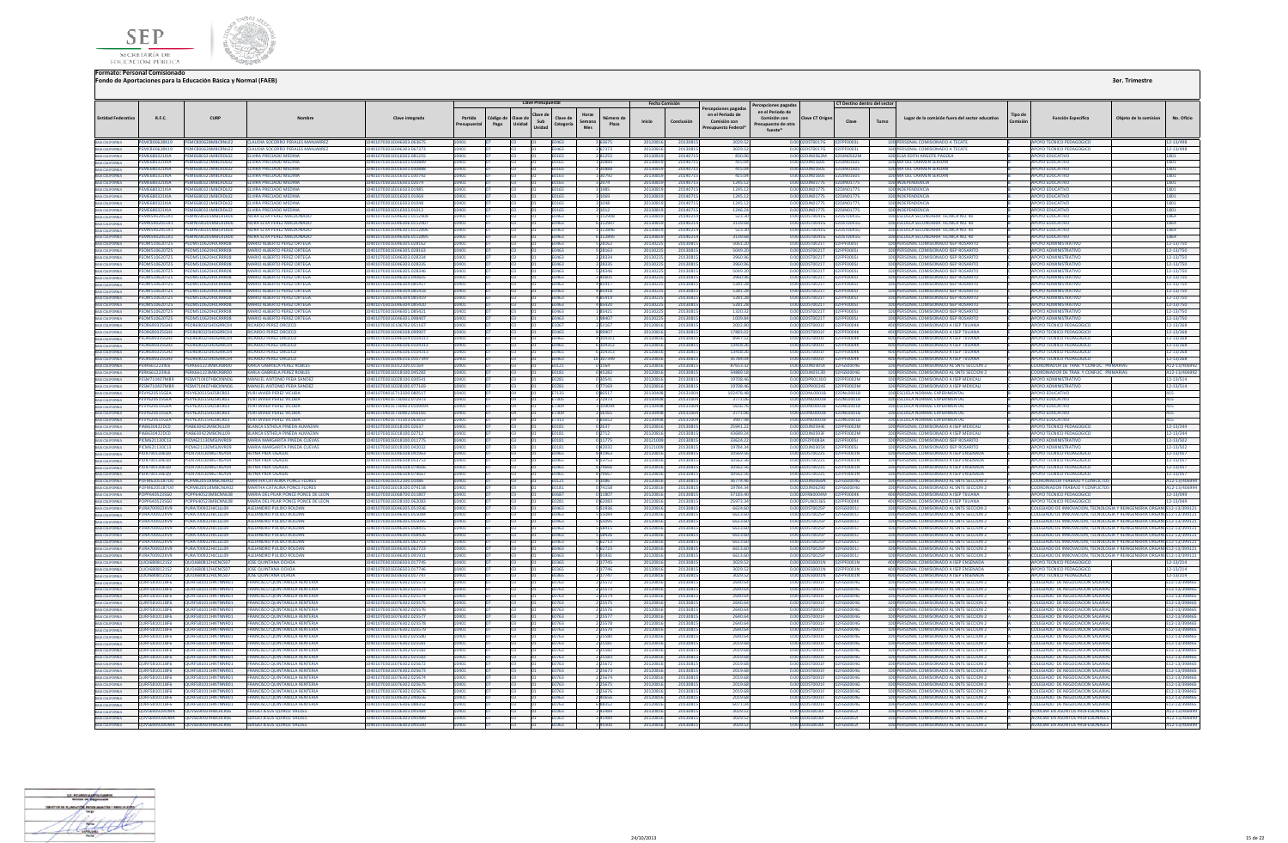



|                                                                                                                                                                         |                                         |                                          |                                         |                           |                        |                   |                    | <b>Clave Presupuestal</b>                          |                                 |         | <b>Fecha Comisión</b> |                                                                                | Percepciones pagada                                            |                            | CT Destino dentro del sector |       |                                                 |                     |                                                                         |                      |                 |
|-------------------------------------------------------------------------------------------------------------------------------------------------------------------------|-----------------------------------------|------------------------------------------|-----------------------------------------|---------------------------|------------------------|-------------------|--------------------|----------------------------------------------------|---------------------------------|---------|-----------------------|--------------------------------------------------------------------------------|----------------------------------------------------------------|----------------------------|------------------------------|-------|-------------------------------------------------|---------------------|-------------------------------------------------------------------------|----------------------|-----------------|
| <b>Entidad Federativ</b>                                                                                                                                                | R.F.C.                                  | CURP                                     |                                         | Clave integrada           | Partida<br>resupuestal | Código de<br>Pago | Clave de<br>Unidad | Clave de<br>Clave de<br>Sub<br>Categoría<br>Unidad | Horas<br>Semana<br>Plaza<br>Mes | Inicio  | Conclusión            | Percepciones pagadas<br>en el Periodo de<br>Comisión con<br>Presupuesto Federa | en el Periodo de<br>Comisión con<br>upuesto de otra<br>fuente* | <b>Clave CT Origer</b>     | Clave                        | Turno | Lugar de la comisión fuera del sector educativo | Tipo de<br>Comisión | <b>Función Específica</b>                                               | Objeto de la comisio | No. Oficio      |
| BAIA CALIFORNIA<br>BAIA CALIFORNIA                                                                                                                                      | <b>PEMC800628K19</b>                    | PEMC800628MBCRNL02                       | <b>CLAUDIA SOCORRO PERALES MANJARRE</b> | 401070301E046303.06367    |                        |                   |                    |                                                    |                                 |         | 201308                | 3029.                                                                          |                                                                | ST0017G                    | 02FPF0003L                   |       | 100 PERSONAL COMISIONADO A TECATE               |                     | <b>POYO TECNICO PEDAGOGICO</b>                                          |                      | 12-13/498       |
|                                                                                                                                                                         | PEMC800628K19                           | PEMC800628MBCRNL02                       | CLAUDIA SOCORRO PERALES MANJARREZ       | 401070301E046303.067373   |                        |                   |                    | E0463                                              | 3 67373                         | 201208  | 201308                | 3029.5                                                                         |                                                                | 0.00 02DST0017G            | 02FPF0003L                   |       | ERSONAL COMISIONADO A TECAT                     |                     | APOYO TECNICO PEDAGOGICO                                                |                      | 12-13/498       |
| BAIA CALIFORNIA<br>BAIA CALIFORNIA<br>BAIA CALIFORNIA<br>BAIA CALIFORNIA<br>BAIA CALIFORNIA<br>BAIA CALIFORNIA<br>BAIA CALIFORNIA<br>BAIA CALIFORNIA<br>BAIA CALIFORNIA | PEME680321KIA                           | PEME680321MBCRDL02                       | <b>FLVIRA PRECIADO MEDINA</b>           | 10401070301F016502.081255 | 10401                  |                   |                    | F0165<br>01                                        | 281255                          | 2013081 | 2014071               | 830.06                                                                         |                                                                | 0.00.02DIN0562M 02DIN0562M |                              |       | 100 FISA FDITH ARGOTE PAGOLA                    |                     | ΔΡΟΥΩ ΕΒΗΓΑΤΙΝΟ                                                         |                      | 1801            |
|                                                                                                                                                                         | PEME680321KIA                           | PEME680321MRCRDL02                       | <b>FLVIRA PRECIADO MEDINA</b>           | 0401070301E016501.030889  | 0401                   |                   |                    | <b>E0165</b>                                       | 1 30889                         | 2013081 | 2014071               | 415.04                                                                         |                                                                | 0.00.02DIN01605 02DIN01605 |                              |       | 100 MA DEL CARMEN SERDAN                        |                     | ΔΡΟΥΩ ΕΠΙΙΣΑΤΙΝΩ                                                        |                      | 1801            |
|                                                                                                                                                                         | <b>DEMEGRO221KIA</b>                    | EME680321MBCRDL02                        | <b>EIVIDA PRECIADO MEDINA</b>           | 1401070301E016501.030888  |                        |                   |                    | <b>F0165</b>                                       | 1 30888                         | 2013081 | 201407                | 415.04                                                                         |                                                                | 0.00.02DIN0160S 02DIN0160S |                              |       | 100 MA DEL CARMEN SERDAI                        |                     | ΔΡΟΥΩ ΕΠΙΙΣΑΤΙΜ                                                         |                      | 1801            |
|                                                                                                                                                                         | EME680321KIA                            | 680321MBCRDL02                           | ELVIRA PRECIADO MEDIN                   | 01070301E016501.03079     |                        |                   |                    |                                                    |                                 | 201308  | 20140                 | 415.0                                                                          |                                                                | JN01605                    | 2DJN0160S                    |       | 100 MA DEL CARMEN SERDA                         |                     | POYO EDUCATIV                                                           |                      | 1801            |
|                                                                                                                                                                         | PEME680321KIA                           | E680321MBCRDL02                          | <b>ELVIRA PRECIADO MEDIN</b>            | 401070301E016503.02074    |                        |                   |                    | E0165                                              |                                 | 201308  | 20140                 | 1245.12                                                                        |                                                                | 0.00 02DJN01775            | 2DJN01775                    |       | INDEPENDENCIA                                   |                     | <b>POYO EDUCATIV</b>                                                    |                      | 1801            |
|                                                                                                                                                                         | PEME680321KIA                           | FMF680321MBCRDL02                        | <b>FLVIRA PRECIADO MEDINA</b>           | 0401070301E016503 01985   |                        |                   |                    | <b>F0165</b>                                       | 3 1985                          | 2013081 | 2014071               | 1245.12                                                                        |                                                                | 0.00.02DIN01775            | 0201N01225                   |       | 100 INDEPENDENCIA                               |                     | <b>APOYO EDUCATIVO</b>                                                  |                      | 1801            |
|                                                                                                                                                                         | <b>PEME680321KIA</b>                    | PEME680321MBCRDL02                       | <b>FLVIRA PRECIADO MEDINA</b>           | 0401070301E016503.01069   | <b>0401</b>            |                   |                    | <b>F0165</b>                                       | 3 1069                          | 2013081 | 201407                | 1245.12                                                                        |                                                                | 0.00 02DJN01775 02DJN01775 |                              |       | 100 INDEPENDENCIA                               |                     | <b>APOYO EDUCATIVO</b>                                                  |                      | 1801            |
|                                                                                                                                                                         | PEME680321KIA                           | MF680321MRCRDL02                         | <b>FLVIRA PRECIADO MEDINA</b>           | 401070301E016503.01048    |                        |                   |                    | <b>F0165</b>                                       | 3 1048                          | 201308  | 201407                | 1245.13                                                                        |                                                                | 0.00 02D IN01225           | 02DIN01775                   |       | 100 INDEPENDENCIA                               |                     | ΔΡΟΥΩ ΕΠΙΙΣΑΤΙΜ                                                         |                      | 1801            |
| BAJA CALIFORNIA<br>BAJA CALIFORNIA                                                                                                                                      | PEME680321KIA                           | 680321MBCRDL02                           | ELVIRA PRECIADO MEDINA                  | 01070301E016503.01012     |                        |                   |                    |                                                    | 3 1012                          | 2013081 | 201407                | 1246.24                                                                        |                                                                | JN01775                    | <b>DJN01775</b>              |       | 100 INDEPENDENCIA                               |                     | <b>APOYO EDUCATIVO</b>                                                  |                      | 1801            |
|                                                                                                                                                                         | PEMN5902051X1                           | MN590205MBCRLR00                         | NORA ELVA PEREZ MALDONADO               | 0401070301E046301.0112908 | 0401                   |                   |                    | E0463                                              | 1112908                         | 2013081 | 2014021               | 523.30                                                                         |                                                                | 0.00 02DST0041G            | 2DST0041G                    |       | 100 ESCUELA SECUNDARIA TECNICA NO. 40           |                     | <b>APOYO EDUCATIVO</b>                                                  |                      | 1864            |
| BAIA CALIFORNIA<br>BAIA CALIFORNIA                                                                                                                                      | PEMN5902051X1                           | FMN590205MRCRLR00                        | NORA FIVA PEREZ MALDONADO               | 1401070301F046306 0112907 |                        |                   |                    | FN463                                              | 6 112907                        | 2013081 | 201402                | 3139.68                                                                        | 0.001                                                          | <b>DST0041G</b>            | 2DST0041G                    |       | 100 ESCUELA SECUNDARIA TECNICA NO. 40           |                     | <b>APOYO EDUCATIVO</b>                                                  |                      | 1864            |
|                                                                                                                                                                         | PEMN5902051X1                           | PEMN590205MBCRLR00                       | NORA ELVA PEREZ MALDONADO               | 0401070301E046301.0112896 | 0401                   |                   |                    | E0463                                              | 1 112896                        | 2013081 | 2014021               | 523.3                                                                          |                                                                | 0.00 02DST0041G            | 02DST0041G                   |       | 100 ESCUELA SECUNDARIA TECNICA NO. 40           |                     | <b>APOYO EDUCATIVO</b>                                                  |                      | 1864            |
|                                                                                                                                                                         | <b>FMN5902051X1</b>                     | MN590205MRCRI ROO                        | NORA FIVA PEREZ MAIDONAD                | 0401070301F046306 0112895 |                        |                   |                    | FN463                                              | 6 112895                        | 201308  | 201402                | 3139.61                                                                        |                                                                | 0.00.02DST0041G            | <b>INSTRACTO</b>             |       | 100 ESCUELA SECUNDARIA TECNICA NO. 40           |                     | <b>POYO FDUCATIVO</b>                                                   |                      | 1864            |
|                                                                                                                                                                         | <b>FOM510620T25</b>                     | <b>201510620HICRRPOR</b>                 | MARIO ALBERTO REREZ ORTEGA              | 101070301E046305.028167   |                        |                   |                    | 0462                                               | 5 28162                         | 201302  | 201308                | 5061.2                                                                         |                                                                | <b>ST0021T</b>             |                              |       | 100 PERSONAL COMISIONADO ISEP ROSARIT           |                     | <b>ROYO ADMINISTRATE</b>                                                |                      | 12-13/75        |
| BAJA CALIFORNIA<br>BAJA CALIFORNIA                                                                                                                                      | <b>FOM510620T25</b>                     | OMS10620HICRRROS                         | <b>MARIO ALBERTO PEREZ ORTEGA</b>       | 0401070301E046305.028163  | 0401                   |                   |                    | E0463                                              | 5 28163                         | 201302  | 2013081               | 5049.20                                                                        |                                                                | 0.00 02DST0021T            | FPF0005J                     |       | 100 PERSONAL COMISIONADO ISEP ROSARITO          |                     | <b>APOYO ADMINISTRATIVE</b>                                             |                      | 12-13/750       |
|                                                                                                                                                                         | OM510620T25                             | MS10620HICRRROR                          | <b>IARIO ALBERTO PEREZ ORTEG.</b>       | 01070301E046303.028334    |                        |                   |                    | 0463                                               | 3 28334                         | 201302  | 201308                | 3960.9                                                                         |                                                                | ST0021T                    | <b>FOODSJ</b>                |       | PERSONAL COMISIONADO ISEP ROSARI                |                     | POYO ADMINISTRATIV                                                      |                      | 12-13/750       |
| BAIA CALIFORNIA<br>BAIA CALIFORNIA                                                                                                                                      | PEOM510620T25                           | EOM510620HJCRRR08                        | MARIO ALBERTO PEREZ ORTEGA              | 401070301E046303.028335   |                        |                   |                    | E0463                                              | 328335                          | 201302  | 2013081               | 3960.96                                                                        |                                                                | 0.00 02DST0021T            | PF0005J                      |       | 100 PERSONAL COMISIONADO ISEP ROSARIT           |                     | <b>APOYO ADMINISTRATIVO</b>                                             |                      | 12-13/750       |
|                                                                                                                                                                         | PEOM510620T25                           | PEOM510620HICRRROS                       | MARIO ALBERTO PEREZ ORTEGA              | 10401070301F046305.028346 | 0401                   |                   |                    | <b>F0463</b>                                       | 5 28 34 6                       | 2013022 | 2013081               | 5049.20                                                                        |                                                                | 0.00.02DST0021T            | 02FPF0005L                   |       | 100 PERSONAL COMISIONADO ISEP ROSARITO          |                     | <b>APOYO ADMINISTRATIVO</b>                                             |                      | 12-13/750       |
| BAIA CALIFORNIA<br>BAIA CALIFORNIA<br>BAIA CALIFORNIA                                                                                                                   | <b>PEOMS10620T25</b>                    | <b>EOMS10620HICRRR08</b>                 | MARIO ALBERTO REREZ ORTEGA              | 0401070301E046303.040605  |                        |                   |                    | E0463                                              | 3 ADROS                         | 201302  | 2013081               | 3960.96                                                                        |                                                                | 0.00.02DST0021T            | 02ERE00051                   |       | 100 PERSONAL COMISIONADO ISER ROSARITO          |                     | <b>AROVO ADMINISTRATIVO</b>                                             |                      | 12-13/750       |
|                                                                                                                                                                         | PEOM510620T25                           | FOM510620HICRRROS                        | <b>MARIO ALBERTO PEREZ ORTEGA</b>       | 0401070301E046304.085417  | 0401                   |                   |                    | E0463                                              | 485417                          | 201302  | 2013081               | 5281.28                                                                        |                                                                | 0.00 02DST0021T            | 02FPF0005J                   |       | 100 PERSONAL COMISIONADO ISEP ROSARITO          |                     | <b>APOYO ADMINISTRATIVO</b>                                             |                      | 12-13/750       |
| BAJA CALIFORNIA<br>BAJA CALIFORNIA                                                                                                                                      | OM510620T25                             | M510620HICRRR08                          | ARIO ALBERTO PEREZ ORTEGA               | 01070301E046304.085418    |                        |                   |                    | 1463                                               | 485418                          | 201302  | 201308                | 5281.2                                                                         |                                                                | ST0021T                    |                              |       | ERSONAL COMISIONADO ISEP ROSARIT                |                     | OYO ADMINISTRATIVO                                                      |                      | 12-13/750       |
|                                                                                                                                                                         | PEOM510620T25                           | EOM510620HJCRRR08                        | <b>MARIO ALBERTO PEREZ ORTEGA</b>       | 0401070301E046304.085419  |                        |                   |                    | E0463                                              | 485419                          | 201302  | 2013081               | 5281.2                                                                         |                                                                | 0.00 02DST0021T            | PF0005J                      |       | 100 PERSONAL COMISIONADO ISEP ROSARIT           |                     | <b>APOYO ADMINISTRATIVO</b>                                             |                      | 12-13/750       |
|                                                                                                                                                                         | PEOM510620T25                           | PEOM510620HICRRROS                       | MARIO ALBERTO PEREZ ORTEGA              | I0401070301E046304.085420 | 0401                   |                   |                    | E0463                                              | 485420                          | 2013022 | 20130815              | 5281.28                                                                        |                                                                | 0.00 02DST0021T            | 02FPF00051                   |       | 100 PERSONAL COMISIONADO ISEP ROSARITO          |                     | <b>APOYO ADMINISTRATIVO</b>                                             |                      | 12-13/750       |
| BAIA CALIFORNIA<br>BAIA CALIFORNIA<br>BAIA CALIFORNIA<br>BAIA CALIFORNIA<br>BAIA CALIFORNIA                                                                             | PEOM510620T25                           | <b>FOMS10620HICRRR08</b>                 | MARIO ALBERTO REREZ ORTEGA              | 0401070301F046301.085421  |                        |                   |                    | <b>F0463</b>                                       | 185421                          | 201302  | 2013081               | 1320.33                                                                        |                                                                | 2DST0021T                  | <b>NOEDENNAST</b>            |       | 100 PERSONAL COMISIONADO ISEP ROSARITO          |                     | <b>APOYO ADMINISTRATIVE</b>                                             |                      | 12-13/750       |
|                                                                                                                                                                         | PEOMS10620T25                           | PEOMS10620HICRRROS                       | MARIO ALBERTO PEREZ ORTEGA              | 0401070301F046301 098407  | <b>0401</b>            |                   |                    | F0463                                              | 198407                          | 2013022 | 2013081               | 1009.84                                                                        |                                                                | 0.00.02DST0021T            | 02FPF00051                   |       | 100 PERSONAL COMISIONADO ISEP ROSARITO          |                     | ΔΡΟΥΟ ΔΟΜΙΝΙΚΤΡΑΤΙΝΟ                                                    |                      | 12-13/750       |
|                                                                                                                                                                         | EOR690325GH3                            | R690325HDGRRC04                          | <b>RICARDO PEREZ OROZCO</b>             | 401070301E106702.05116    |                        |                   |                    | E1067                                              | 2 5 1 1 6 7                     | 2012081 | 2013081               | 2002.80                                                                        |                                                                | ST0001F                    | PF0004K                      |       | 400 PERSONAL COMISIONADO A ISEP TUUANA          |                     | <b>APOYO TECNICO PEDAGOGIO</b>                                          |                      | 12-13/268       |
|                                                                                                                                                                         | PEOR690325GH3                           | OR690325HDGRRC04                         | RICARDO PEREZ OROZCO                    | 0401070301E046508.099907  | 0401                   |                   |                    | E0465                                              | 899907                          | 2012081 | 20130815              | 17883.02                                                                       |                                                                | 0.00 02DST0001F            | FPF0004K                     |       | 400 PERSONAL COMISIONADO A ISEP TUUANA          |                     | APOYO TECNICO PEDAGOGICO                                                |                      | 12-13/268       |
| BAJA CALIFORNIA                                                                                                                                                         | EOR690325GH3                            | OR690325HDGRRC04                         | <b>RICARDO PEREZ OROZCO</b>             | 401070301E046504.0104311  |                        |                   |                    | 10465                                              | 4 104311                        | 2012081 | 2013081               | 8947.57                                                                        |                                                                | ST0001F                    | PENNAK                       |       | 400 PERSONAL COMISIONADO A ISEP TUUANA          |                     | <b>POYO TECNICO PEDAGOGICO</b>                                          |                      | 12-13/268       |
| <b>BAJA CALIFORNIA</b>                                                                                                                                                  | PEOR690325GH3                           | OR690325HDGRRC04                         | <b>RICARDO REREZ OROZCO</b>             | 0401070301F046506 0104312 |                        |                   |                    | <b>FOARS</b>                                       | 6 104312                        | 2012081 | 2013081               | 13418.26                                                                       |                                                                | 0.00 02DST0001F            | <b>EDENNAK</b>               |       | 400 PERSONAL COMISIONADO A ISEP TIILIANA        |                     | <b>APOYO TECNICO PEDAGOGICO</b>                                         |                      | 12-13/268       |
| BAIA CALIFORNIA<br>BAIA CALIFORNIA<br>BAIA CALIFORNIA                                                                                                                   | PEOR690325GH3                           | OR690325HDGRRC04                         | <b>RICARDO PEREZ OROZCO</b>             | 1401070301F046506 0104313 |                        |                   |                    | <b>FO465</b>                                       | 6 104313                        | 2012081 | 2013081               | 13418.26                                                                       |                                                                | 0.00 02DST0001F            | <b>DZEPENNAK</b>             |       | 400 PERSONAL COMISIONADO A ISEP TUUANA          |                     | APOYO TECNICO PEDAGOGICO                                                |                      | 12-13/268       |
|                                                                                                                                                                         | <b>FOR690325GH3</b>                     | <b>18690325HDG88COA</b>                  | <b>RICARDO PEREZ OROZCO</b>             | 401070301F046316 0107349  |                        |                   |                    | <b>FAA63</b>                                       | 6 107349                        | 201208  | 2013081               | 35784.0                                                                        |                                                                | STOOD1F                    | <b>EDENNAK</b>               |       | 400 PERSONAL COMISIONADO A ISEP TUUANA          |                     | POYO TECNICO PEDAGOGICO                                                 |                      | 12-13/268       |
|                                                                                                                                                                         | ERK6612239L6                            | K661223MBCRBR00                          | <b>KARLA GABRIELA PEREZ ROBLE</b>       | 401070301E012100.01164    | 0401                   |                   |                    | E0121                                              | 0 1164                          | 201208  | 2013081               | 87653.3                                                                        |                                                                | 0.00 02DJN0305X            |                              |       | 100 PERSONAL COMISIONADO AL SNTE SECCION .      |                     | COORDINADOR DE TRAB. Y CONFLIC. PRIMARIA                                |                      | A12-13/406      |
| BAIA CALIFORNIA                                                                                                                                                         | <b>ERK6612239L6</b>                     | RK661223MBCRBR00                         | KARLA GABRIELA PEREZ ROBLES             | 401070301E018100.045282   |                        |                   |                    | :0181                                              | 045282                          | 201208  | 2013081               | 54889.18                                                                       |                                                                | DJN0513D                   | <b>FGS0004G</b>              |       | PERSONAL COMISIONADO AL SNTE SECCION 2          |                     | COORDINADOR DE TRAB, Y CONFLIC. PRIMARIA                                |                      | A12-13/4069     |
| <b>BAJA CALIFORNIA</b>                                                                                                                                                  | PESM710407MR9                           | PESM710407HRCXNN06                       | MANUEL ANTONIO PEDA SANDEZ              | 10401070301F028100.030541 | 10401                  |                   |                    | <b>F0281</b>                                       | 030541                          | 2012081 | 2013081               | 19708.46                                                                       |                                                                | 0.00.02DPR01300 02EPE0002M |                              |       | 100 PERSONAL COMISIONADO A ISEP MEXICALI        |                     | APOYO ADMINISTRATIVO                                                    |                      | 12-13/514       |
|                                                                                                                                                                         | PESM710407MR9                           | PESM710407HRCXNN06                       | MANUEL ANTONIO PEDA SANDEZ              | 10401070301F028100.077169 | 10401                  |                   |                    | F0281                                              | 0 77169                         | 2012081 | 2013081               | 19708.46                                                                       |                                                                | 0.00.02DPR0024E 02EPE0002M |                              |       | 100 PERSONAL COMISIONADO A ISEP MEXICAL         |                     | <b>APOYO ADMINISTRATIVE</b>                                             |                      | 12-13/514       |
|                                                                                                                                                                         | <b>EVV620515GEA</b>                     | W620515H7SRCR03                          | YURI JAVIER PEREZ VICUDA                | 401070401F713500.08051    |                        |                   |                    |                                                    | 0.80517                         | 201304  | 201310                | 102478.4                                                                       |                                                                | n 0003DNL0001B             | 02DNL0001B                   |       | 100 ESCUELA NORMAL EXPERIMENTAL                 |                     | <b>APOYO EDUCATIVO</b>                                                  |                      |                 |
| BAIA CALIFORNIA<br>BAIA CALIFORNIA<br>BAIA CALIFORNIA                                                                                                                   | PEVY620515GEA                           | W620515HZSRCR03                          | <b>YURI JAVIER PEREZ VICUDA</b>         | 0401070401E730502.072973  |                        |                   |                    | E7305                                              | 2 72973                         | 20130   | 201310                | 3771.06                                                                        |                                                                | 0.00 02DNL0001B            | 12DNI 0001R                  |       | 100 ESCUELA NORMAL EXPERIMENTAL                 |                     | <b>APOYO EDUCATIVO</b>                                                  |                      | 415             |
|                                                                                                                                                                         | PEVY620515GEA                           | VY620515HZSRCR03                         | YURI JAVIER PEREZ VICUĐA                | 0401070401E730903.010909  |                        |                   |                    | E7309                                              |                                 | 20130   | 201310                | 5656.76                                                                        |                                                                | 0.00 02DNL0001B            | 2DNL0001B                    |       | 100 ESCUELA NORMAL EXPERIMENTA                  |                     | <b>POYO EDUCATIVO</b>                                                   |                      | 415             |
| BAJA CALIFORNIA<br>BAJA CALIFORNIA                                                                                                                                      | PEVY620515GFA                           | PEWY620515HZSRCR03                       | <b>YURLIAVIER PEREZ VICUDA</b>          | 10401070401E730902.056165 | 0401                   |                   |                    | E7309                                              | 2 5 6 1 6 5                     | 201304  | 2013100               | 3771.06                                                                        |                                                                | 0.00.02DNI0001B 02DNI0001B |                              |       | 100 ESCUELA NORMAL EXPERIMENTAL                 |                     | <b>APOYO EDUCATIVO</b>                                                  |                      | 415             |
|                                                                                                                                                                         | PEVY620515GEA                           | PEVY620515HZSRCR03                       | <b>YURI JAVIER PEREZ VICUDA</b>         | I0401070401E731303.065652 | 10401                  |                   |                    | E7313                                              | 3 65652                         | 201304  | 2013100               | 3997.9                                                                         |                                                                | 0.00 02DNL0001B 02DNL0001B |                              |       | 100 ESCUELA NORMAL EXPERIMENTAL                 |                     | <b>APOYO EDUCATIVO</b>                                                  |                      | 415             |
| BAIA CALIFORNIA<br>BAIA CALIFORNIA                                                                                                                                      | PIAR630422DC0                           | 148630422MBCNU09                         | ΒΙ ΔΝΟΔ ΕΝΤΗΡΙ Δ ΡΙΝΕΩΔ ΔΙ ΜΑΖΑΝ        | 0401070301F018100 02637   |                        |                   |                    | <b>F0181</b>                                       | 0.2637                          | 2012081 | 2013081               | 25941.22                                                                       |                                                                | 0.00 02DIN0594F            | 02FPF0002M                   |       | 100 PERSONAL COMISIONADO A ISEP MEXICAL         |                     | APOYO TECNICO PEDAGOGICO                                                |                      | 12-13/244       |
| BAIA CALIFORNIA                                                                                                                                                         | PIAB630422DC0                           | 148630422MRCN1109                        | BLANCA ESTHELA PINEDA ALMAZAN           | 0401070301E018100.02712   |                        |                   |                    | E0181                                              | 0 2712                          | 2012081 | 2013081               | 43689.24                                                                       |                                                                | 0.00 02DJN0593F            | FOODZM                       |       | 100 PERSONAL COMISIONADO A ISEP MEXICA          |                     | <b>APOYO TECNICO PEDAGOGICO</b>                                         |                      | 12-13/244       |
| BAIA CALIFORNIA                                                                                                                                                         | PICM621130C13                           | CM621130MSLNVR09                         | <b>MARIA MARGARITA PINEDA CUEVAS</b>    | 401070301E018100.011775   |                        |                   |                    | E0181                                              | 0 11775                         | 201210  | 2013081               | 33624.22                                                                       |                                                                | 0.00 02FZP0083A            | FPF0005J                     |       | 100 PERSONAL COMISIONADO ISEP ROSARITO          |                     | <b>APOYO ADMINISTRATIVO</b>                                             |                      | 12-13/502       |
|                                                                                                                                                                         | PICM621130C13                           | CM621130MSLNVR09                         | MARIA MARGARITA PINEDA CUEVAS           | 0401070301F018100.042032  |                        |                   |                    | E0181                                              | 0.42032                         | 201210  | 2013081               | 19784.34                                                                       |                                                                | 0.00.020 IN0305X           | PENOOSI                      |       | 100 PERSONAL COMISIONADO ISEP ROSARITO          |                     | ΔΡΟΥΩ ΔΩΜΙΝΙΝΤΡΑΤΙΝΩ                                                    |                      | 12-13/502       |
|                                                                                                                                                                         | PIUR700130EQ9                           | PIUR700130MGTXGY04                       | <b>REYNA PIDA UGALDE</b>                | 0401070301E046508.041963  |                        |                   |                    | E0465                                              | 8 4 1 9 6 3                     | 201208  | 2013081               | 10569.5                                                                        |                                                                | 0.00 02DST0022S            | <b>PEPFOOD1N</b>             |       | 100 PERSONAL COMISIONADO A ISEP ENSENADA        |                     | <b>APOYO TECNICO PEDAGOGICO</b>                                         |                      | 12-13/057       |
|                                                                                                                                                                         | PILIR 700130FO9                         | 111R700130MGTXGY04                       | <b>REYNA PIPA LIGALDE</b>               | 0401070301F046508.053753  |                        |                   |                    | 23603                                              | 8 5 3 7 5 3                     | 2012081 | 2013081               | 10562.5                                                                        |                                                                | 2DST0022S                  | 2FPF0001N                    |       | 100 PERSONAL COMISIONADO A ISEP ENSENADA        |                     | <b>APOYO TECNICO PEDAGOGICO</b>                                         |                      | 12-13/057       |
| BAJA CALIFORNIA                                                                                                                                                         | <b>PHI 10700130FOR</b>                  | <b>PILIPZOO130MGTYGYO4</b>               | <b>REYNA PIDA UGALDE</b>                | 10401070301E046508 079666 | nana                   |                   |                    | <b>ENAGS</b>                                       | 879666                          | 2012081 | 2013081               | 10562.56                                                                       |                                                                | 0.00.02DST0022S            | <b>NOEDENNAME</b>            |       | 100 PERSONAL COMISIONADO A ISER ENSENADA        |                     | <b>MPOVO TECNICO PEDAGOGICO</b>                                         |                      | 12-13/057       |
| BAJA CALIFORNIA<br>BAJA CALIFORNIA                                                                                                                                      | <b>IUR700130EQ9</b>                     | UR700130MGTXGY04                         | <b>REYNA PIDA UGALDE</b>                | 401070301E046508.079667   |                        |                   |                    |                                                    | 879667                          | 201208  | 201308                | 10562.5                                                                        |                                                                | ST0022S                    | PF0001N                      |       | 100 PERSONAL COMISIONADO A ISEP ENSENADA        |                     | POYO TECNICO PEDAGOGICO                                                 |                      | 12-13/057       |
|                                                                                                                                                                         | <b>OFM6205187U0</b>                     | <b>EM62051RMRCNLR02</b>                  | MARTHA CATALINA PONCE FLORE             | 401070301E012100.01086    |                        |                   |                    | E0121                                              | 0 1086                          | 201208  | 2013081               | 36774.46                                                                       |                                                                | 0.00 02DJN0066N            |                              |       | 100 PERSONAL COMISIONADO AL SNTE SECCION 2      |                     | <b>COORDINADOR TRABAJO Y CONFLI</b>                                     |                      | A12-13/4069     |
| BAJA CALIFORNIA                                                                                                                                                         | POFM6205187U0                           | OFM620518MBCNLR02                        | MARTHA CATALINA PONCE FLORES            | 0401070301E018100.074158  |                        |                   |                    | E0181                                              | 074158                          | 2012081 | 2013081               | 19784.34                                                                       | 0.00 <sub>0</sub>                                              | 2DJN0629D                  | 2FGS0004G                    |       | 100 PERSONAL COMISIONADO AL SNTE SECCION 2      |                     | <b>COORDINADOR TRABAJO Y CONFLICT</b>                                   |                      | A12-13/4069     |
|                                                                                                                                                                         | POPP640523560                           | POPP640523MRCNNL08                       | MARIA DEL PILAR PONCE PONCE DE LEON     | 10401070301F068700 011807 | 10401                  |                   |                    | <b>F0687</b>                                       | 0 11807                         | 2012081 | 20130815              | 57183.40                                                                       |                                                                | 0.00 02FRB0004M 02FPF0004K |                              |       | 400 PERSONAL COMISIONADO A ISEP TIILIANA        |                     | APOYO TECNICO PEDAGOGICO                                                |                      | 12-13/049       |
| BAJA CALIFORNIA<br>BAJA CALIFORNIA<br>BAJA CALIFORNIA                                                                                                                   | <b>DODDEAGE 23SGO</b>                   | <b>SOPPEAOS 23 MRCMMLOR</b>              | MARIA DEL PILAR PONCE PONCE DE LEON     | 0401070201E028100.062082  |                        |                   |                    | <b>F0281</b>                                       | 0.62083                         | 2012081 | 2013081               | 25973.34                                                                       |                                                                | 0.00.02EU40136S            | OPERFOOD                     |       | <b>400 PERSONAL COMISIONADO A ISER TILLIANA</b> |                     | AROVO TECNICO REDAGOGICO                                                |                      | 12-13/049       |
|                                                                                                                                                                         | PURA700922KV9                           | JRA700922HJCLLL09                        | ALEJANDRO PULIDO ROLDAN                 | 401070301E046305.05193    |                        |                   |                    |                                                    | 5 5 1 9 3 6                     | 201208  | 201308                | 6624.6                                                                         |                                                                | DST0025P                   |                              |       | PERSONAL COMISIONADO AL SNTE SECCION            |                     | DLEGIADO DE INNOVACION, TECNOLOGIA Y REINGENIERIA OR                    |                      | ILE12-13/39912  |
| BAJA CALIFORNIA                                                                                                                                                         | PURA700922KV9                           |                                          | ALEJANDRO PULIDO ROLDAN                 | 01070301E046305.05508     |                        |                   |                    | E0463                                              | 5 5 5 0 8 4                     | 201208  | 201308                | 6613.6                                                                         |                                                                |                            |                              |       | 100 PERSONAL COMISIONADO AL SNTE SECCION        |                     | COLEGIADO DE INNOVACION, TECNOLOGIA Y REINGENIERIA ORGA                 |                      | VI E12-13/39912 |
| BAIA CALIFORNIA<br>BAIA CALIFORNIA                                                                                                                                      | PURA700922KV9                           | PURA700922HJCLLL09                       | ALEJANDRO PULIDO ROLDAN                 | 0401070301E046305.055095  |                        |                   |                    | E0463                                              | 5 55095                         | 2012081 | 20130815              | 6613.60                                                                        |                                                                | 0.00 02DST0025P            | 02FGS0001J                   |       | 100 PERSONAL COMISIONADO AL SNTE SECCION 2      |                     | COLEGIADO DE INNOVACION, TECNOLOGIA Y REINGENIERIA ORGA                 |                      | NUE12-13/399121 |
|                                                                                                                                                                         | <b>PLIRA700922KV9</b>                   | PURA700922HICLU09                        | ALEIANDRO PULIDO ROLDAN                 | 10401070301E046305.058415 | 10401                  |                   |                    | <b>F0463</b>                                       | 5 5 8 4 1 5                     | 2012081 | 20130815              | 6613.60                                                                        |                                                                | 0.0010205T0025P            | 02EGS00011                   |       | 100 PERSONAL COMISIONADO AL SNTE SECCION 2      |                     | COLEGIADO DE INNOVACION. TECNOLOGIA Y REINGENIERIA ORGANI E12-13/39912  |                      |                 |
|                                                                                                                                                                         | PURA700922KV9                           | PURA700922HJCLLL09                       | ALEJANDRO PULIDO ROLDAN                 | 10401070301E046305.058426 | 0401                   |                   |                    | <b>F0463</b>                                       | 5 58426                         | 2012081 | 2013081               | 6613.60                                                                        |                                                                | 0.0002DST0025P             | 02EGS00011                   |       | 100 PERSONAL COMISIONADO AL SNTE SECCION 2      |                     | COLEGIADO DE INNOVACIÓN TECNOLOGIA Y REINGENIERIA ORGANI E12-13/39912   |                      |                 |
| <b>A CALIFORNIA</b>                                                                                                                                                     | PLIRA700922KV9                          | 211RA700922HIC11109                      | ALEIANDRO PULIDO ROLDAN                 | 0401070301F046305.062713  |                        |                   |                    | <b>FN463</b>                                       | 5 62717                         | 2012081 | 2013081               | 6613.60                                                                        | 000                                                            | 3500258                    | 12EGS00011                   |       | 100 PERSONAL COMISIONADO AL SNTE SECCION 2      |                     | COLEGIADO DE INNOVACION TECNOLOGIA Y REINGENIERIA ORGANIE 12-13/39917   |                      |                 |
| BAIA CALIFORNIA                                                                                                                                                         | PURA700922KV9                           | PURA700922HJCLLL09                       | ALEJANDRO PULIDO ROLDAN                 | 0401070301E046305.062723  |                        |                   |                    | E0463                                              | 5 62723                         | 2012081 | 20130815              | 6613.60                                                                        |                                                                | 0.00 02DST0025P            | 02FGS0001J                   |       | 100 PERSONAL COMISIONADO AL SNTE SECCION 2      |                     | COLEGIADO DE INNOVACION, TECNOLOGIA Y REINGENIERIA ORGANI E12-13/399121 |                      |                 |
| BAIA CALIFORNIA                                                                                                                                                         | URA700922KV9                            | URA700922HJCLLL09                        | ALEJANDRO PULIDO ROLDAN                 | 0401070301E046305.091931  |                        |                   |                    | :0463                                              | 591931                          | 2012081 | 2013081               | 6613.60                                                                        |                                                                | DST0025P                   | 2FGS0001J                    |       | ERSONAL COMISIONADO AL SNTE SECCION 2           |                     | OLEGIADO DE INNOVACION, TECNOLOGIA Y REINGENIERIA ORGANI E12-13/399121  |                      |                 |
|                                                                                                                                                                         | 0000680812152                           | 1001680812HJCNCS07                       | JOSE QUINTANA OCHOA                     | 1401070301F036503 017745  | 0401                   |                   |                    | 2365                                               | 3 17745                         | 2012081 | 2013081               | 3029.52                                                                        |                                                                | 0.00 02DES0001N            | <b>EPE0001N</b>              |       | 400 PERSONAL COMISIONADO A ISEP ENSENADA        |                     | APOYO TECNICO PEDAGOGICO                                                |                      | 12-13/214       |
| <b>RAIA CALIFORNIA</b>                                                                                                                                                  | 0101680812152                           | <b>ILIOJ680812HICNCS07</b>               | <b>IOSE OUINTANA OCHOA</b>              | 1401070301F036503 017746  |                        |                   |                    | <b>EN365</b>                                       | 3 17746                         | 201208  | 2013081               | 3029.5                                                                         |                                                                | 0.00.02DES0001N            | <b>COCOOO1N</b>              |       | 400 PERSONAL COMISIONADO A ISEP ENSENADA        |                     | <b>IPOYO TECNICO PEDAGOGICO</b>                                         |                      | 12-13/214       |
| <b>A CALIFORNIA</b>                                                                                                                                                     | <b>OUOI680812152</b>                    | <b>DUOI680812HICNCS07</b>                | <b>IOSE OUINTANA OCHOA</b>              | 10401070301F036503.017747 |                        |                   |                    | <b>F0365</b>                                       | 3 17747                         | 2012081 | 2013081               | 3029.52                                                                        |                                                                | 0.00 02DES0001N            | 02FPF0001N                   |       | 400 PERSONAL COMISIONADO A ISEP ENSENADA        |                     | APOYO TECNICO PEDAGOGICO                                                |                      | 12-13/214       |
| BAIA CALIFORNIA                                                                                                                                                         | OURESR1011RE6                           | OURESS1011HMTMMR01                       | <b>ERANCISCO OLIINTANILLA RENTERIA</b>  | 10401070301E076302.025577 | 0401                   |                   |                    | <b>F0763</b>                                       | 2 25572                         | 2012081 | 2013081               | 2640.64                                                                        |                                                                | 0.00 02DST0001F            | <b>ARGSONAG</b>              |       | 100 PERSONAL COMISIONADO AL SNTE SECCION 2      |                     | COLEGIADO, DE NEGOCIACION SALARIA                                       |                      | E12-13/39846    |
| BAJA CALIFORNIA                                                                                                                                                         | <b>QURFS81011BF6</b>                    | URF581011HNTNNR01                        | <b>FRANCISCO OUINTANILLA RENTERIA</b>   | 401070301E076302.025573   |                        |                   |                    | E0763                                              | 2 25573                         | 201208  | 2013081               | 2640.64                                                                        | 0.00.021                                                       | DST0001F                   | <b>2EGS0004G</b>             |       | 100 PERSONAL COMISIONADO AL SNTE SECCION 2      |                     | COLEGIADO DE NEGOCIACION SALARIA                                        |                      | E12-13/39846    |
|                                                                                                                                                                         | <b>QURFS81011BF6</b>                    | RF581011HNTNNR01                         | <b>FRANCISCO QUINTANILLA RENTERI</b>    | 401070301E076302.025574   |                        |                   |                    | 0763                                               | 2 25574                         | 201208  | 201308                | 2640.6                                                                         |                                                                | ST0001F                    |                              |       | 100 PERSONAL COMISIONADO AL SNTE SECCION        |                     | OLEGIADO DE NEGOCIACIÓN SALARI                                          |                      | E12-13/3984     |
|                                                                                                                                                                         | OURESR1011RE6                           | <b>DURES81011HNTNNR01</b>                | <b>FRANCISCO OUINTANILLA RENTERIA</b>   | 0401070301E076302 025575  |                        |                   |                    | F0763                                              | 2 25575                         | 2012081 | 2013081               | 2640.64                                                                        |                                                                | 0.00.02DST0001E            | <b>DREGSOON</b>              |       | 100 PERSONAL COMISIONADO AL SNTE SECCION 2      |                     | COLEGIADO, DE NEGOCIACION SALARIA                                       |                      | F12-13/39846    |
|                                                                                                                                                                         | <b>DURES81011RE6</b>                    | <b>DURESS1011HNTNNR01</b>                | <b>FRANCISCO OLIINTANILLA RENTERIA</b>  | 0401070301F076302.025576  |                        |                   |                    | F0763                                              | 2.25576                         | 2012081 | 2013081               | 2640.6                                                                         |                                                                | 0.00 02DST0001E            | 02FGS0004G                   |       | 100 PERSONAL COMISIONADO AL SNTE SECCIÓN 2      |                     | COLEGIADO, DE NEGOCIACION SALARIA                                       |                      | E12-13/39846    |
|                                                                                                                                                                         | <b>QURF581011BF6</b>                    | OURES81011HNTNNR01                       | <b>FRANCISCO OUINTANILLA RENTERIA</b>   | 1401070301E076302.025577  |                        |                   |                    | E0763                                              | 2 2 5 5 7 7                     | 2012081 | 2013081               | 2640.64                                                                        |                                                                | 0.00 02DST0001E            | 02EGS0004G                   |       | 100 PERSONAL COMISIONADO AL SNTE SECCION 2      |                     | <b>COLEGIADO DE NEGOCIACIÓN SALARI</b>                                  |                      | E12-13/39846    |
| BAJA CALIFORNIA                                                                                                                                                         | <b>QURFS81011BF6</b>                    | RF581011HNTNNR01                         | <b>FRANCISCO QUINTANILLA RENTERI</b>    | 401070301E076302.02557    |                        |                   |                    | E0763                                              | 2 2 5 5 7 8                     | 2012081 | 2013081               | 2640.6                                                                         |                                                                | DST0001F                   | 2FGS0004G                    |       | 100 PERSONAL COMISIONADO AL SNTE SECCION 2      |                     | COLEGIADO DE NEGOCIACIÓN SALAI                                          |                      | E12-13/3984     |
|                                                                                                                                                                         | <b>QURFS81011BF6</b>                    | DURF581011HNTNNR01                       | <b>FRANCISCO QUINTANILLA RENTERIA</b>   | 401070301E076302.02557    | 0401                   |                   |                    | E0763                                              | 2 25579                         | 2012081 | 2013081               | 2640.6                                                                         |                                                                | ST0001F                    |                              |       | 100 PERSONAL COMISIONADO AL SNTE SECCION 2      |                     | COLEGIADO DE NEGOCIACION SALARIA                                        |                      | E12-13/3984     |
|                                                                                                                                                                         | OURESR1011RE6                           | OURES81011HNTNNR01                       | <b>FRANCISCO OUINTANILLA RENTERIA</b>   | 0401070301E076302.025580  |                        |                   |                    | <b>F0763</b>                                       | 225580                          | 2012081 | 20130815              | 2640.64                                                                        |                                                                | 0.00 02DST0001E            | 02FGS0004G                   |       | 100 PERSONAL COMISIONADO AL SNTE SECCION 2      |                     | <b>COLEGIADO DE NEGOCIACIÓN SALARIA</b>                                 |                      | E12-13/39846    |
|                                                                                                                                                                         | <b>QURF581011BF6</b>                    | OURES81011HNTNNR01                       | <b>FRANCISCO QUINTANILLA RENTERIA</b>   | 10401070301E076302.025581 | 10401                  |                   |                    | E0763                                              | 2 25581                         | 2012081 | 20130815              | 2019.68                                                                        |                                                                | 0.00 02DST0001F            | <b>D2EGS0004G</b>            |       | 100 PERSONAL COMISIONADO AL SNTE SECCION 2      |                     | <b>COLEGIADO DE NEGOCIACION SALARIA</b>                                 |                      | E12-13/39846    |
|                                                                                                                                                                         | DURESR1011RE6                           | OURES81011HNTNNR01                       | <b>FRANCISCO OUINTANILLA RENTERIA</b>   | 10401070301F076302 025582 | 0401                   |                   |                    | <b>F0763</b>                                       | 225582                          | 2012081 | 2013081               | 2019 68                                                                        |                                                                | 0.00 02DST0001E            | <b>D2EGS0004G</b>            |       | 100 PERSONAL COMISIONADO AL SNTE SECCION 2      |                     | COLEGIADO, DE NEGOCIACION SALARIA                                       |                      | F12-13/39846    |
| BAJA CALIFORNIA                                                                                                                                                         | <b>DURESR1011RE6</b>                    | <b>ILIPESS1011HNTNNP01</b>               | <b>ERANCISCO OLIINTANILLA RENTERIA</b>  | 0401070301E076302.025583  |                        |                   |                    | F0763                                              | 2 25583                         | 201208  | 2013081               | 2019.61                                                                        | 0.00R                                                          | <b>STOOD1F</b>             | <b>DEGSOOMG</b>              |       | 100 PERSONAL COMISIONADO AL SNTE SECCION 2      |                     | COLEGIADO DE NEGOCIACION SALARIA                                        |                      | E12-13/39846    |
| BAJA CALIFORNIA                                                                                                                                                         | <b>QURF581011BF6</b>                    | QURF581011HNTNNR01                       | <b>FRANCISCO QUINTANILLA RENTERIA</b>   | 0401070301E076302.025672  | 0401                   |                   |                    | E0763                                              | 225672                          | 2012081 | 2013081               | 2019.68                                                                        |                                                                | 0.00 02DST0001F            | 2FGS0004G                    |       | 100 PERSONAL COMISIONADO AL SNTE SECCION 2      |                     | COLEGIADO DE NEGOCIACION SALAR                                          |                      | E12-13/39846    |
|                                                                                                                                                                         | <b>QURFS81011BF6</b>                    | OURF581011HNTNNR01                       | <b>FRANCISCO QUINTANILLA RENTERIA</b>   | 401070301E076302.025673   |                        |                   |                    | 0763                                               | 2 25673                         | 2012081 | 2013081               | 2019.68                                                                        | 000                                                            | DST0001F                   | 2EGS0004G                    | 100   | PERSONAL COMISIONADO AL SNTE SECCION 2          |                     | COLEGIADO DE NEGOCIACIÓN SALARI                                         |                      | E12-13/39846    |
| <b>BAIA CALIFORNIA</b>                                                                                                                                                  | <b>QURFS81011BF6</b>                    | OURF581011HNTNNR01                       | <b>FRANCISCO QUINTANILLA RENTERIA</b>   | 0401070301E076302.025674  | 0401                   |                   |                    | F0763                                              | 2 25674                         | 2012081 | 2013081               | 2019.6                                                                         |                                                                | 0.00 02DST0001F            | 02FGS0004G                   |       | 100 PERSONAL COMISIONADO AL SNTE SECCION 2      |                     | COLEGIADO DE NEGOCIACION SALARI                                         |                      | E12-13/39846    |
|                                                                                                                                                                         | OURESR1011RE6                           | OURES81011HNTNNR01                       | <b>FRANCISCO OUINTANILLA RENTERIA</b>   | 10401070301E076302 025675 | 0401                   |                   |                    | <b>F0763</b>                                       | 2 2 5 6 7 5                     | 2012081 | 2013081               | 2019 68                                                                        |                                                                | 0.0002DST0001E 02EGS0004G  |                              |       | 100 PERSONAL COMISIONADO AL SNTE SECCION 2      |                     | COLEGIADO, DE NEGOCIACIÓN SALARIA                                       |                      | F12-13/39846    |
| BAJA CALIFORNIA                                                                                                                                                         | 1105581011856                           | OURES81011HNTNNR01                       | <b>ERANCISCO OLIINTANILLA RENTERIA</b>  | 10401070301E076302.025676 |                        |                   |                    | <b>EN763</b>                                       | 2.25676                         | 2012081 | 2013081               | 2019.61                                                                        |                                                                | 0.00 02DST0001E            | <b>DIVOUS23CO</b>            |       | 100 PERSONAL COMISIONADO AL SNTE SECCION 2      |                     | COLEGIADO, DE NEGOCIACIÓN SALARIA                                       |                      | E12-13/39846    |
|                                                                                                                                                                         | <b>QURF581011BF6</b>                    | OURES81011HNTNNR01                       | <b>FRANCISCO OUINTANILLA RENTERIA</b>   | 10401070301F046302.040656 | 0401                   |                   |                    | <b>F0463</b>                                       | 240656                          | 2012081 | 2013081               | 2019.68                                                                        |                                                                | 0.00.02DST0001E            | 02FGS0004G                   |       | 100 PERSONAL COMISIONADO AL SNTE SECCION 2      |                     | <b>COLEGIADO DE NEGOCIACION SALARIA</b>                                 |                      | E12-13/39846    |
|                                                                                                                                                                         | QURF581011BF6                           | URF581011HNTNNR01                        | <b>FRANCISCO QUINTANILLA RENTERIA</b>   | 401070301E076306.088352   |                        |                   |                    | 0763                                               | 688352                          | 2012081 | 2013081               | 6071.0                                                                         |                                                                | ST0001F                    | <b>EGS00046</b>              |       | ERSONAL COMISIONADO AL SNTE SECCION 2           |                     | OLEGIADO DE NEGOCIACION SALARI                                          |                      | E12-13/3984     |
|                                                                                                                                                                         | DUVS690929UMA                           | 11IVS690929HBCRLR06                      | SERGIO JESUS QUIROZ VALDES              | 0401070301E036303.045484  | 0401                   |                   |                    | E0363                                              | 345484                          | 2012081 | 2013081               | 3029.52                                                                        |                                                                | 0.00 02DES0030I            | 02EGS0002L                   |       | 100 PERSONAL COMISIONADO AL SNTE SECCION 2      |                     | <b>AUXILIAR EN ASUNTOS PROFESIONALES</b>                                |                      | A12-13/4069     |
|                                                                                                                                                                         |                                         |                                          | SERGIO JESUS OUIROZ VALDES              | 0401070301F036303.045489  | 0401                   |                   |                    | <b>FO363</b>                                       | 3 45489                         | 2012081 | 2013081               | 3029.53                                                                        |                                                                | 0.00.02DES0030L            | 02EGS0002L                   |       | 100 PERSONAL COMISIONADO AL SNTE SECCION 2      |                     | AUXILIAR EN ASUNTOS PROFESIONALES                                       |                      | A12-13/4069     |
|                                                                                                                                                                         | <b>AMIJPSPOPAZVIJO</b><br>QUVS690929UMA | OUVS690929HRCRLR06<br>OUVS690929HRCRLR06 | SERGIO JESUS OUIROZ VALDES              | 10401070301E036303 045500 |                        |                   |                    | <b>F0363</b>                                       |                                 | 2012081 | 2013081               | 302051                                                                         |                                                                | 0.00 02DES00301            | 02FGS00021                   |       | 100 PERSONAL COMISIONADO AL SNTE SECCION 2      |                     | AUXILIAR EN ASUNTOS PROFESIONALES                                       |                      | A12-13/4069     |

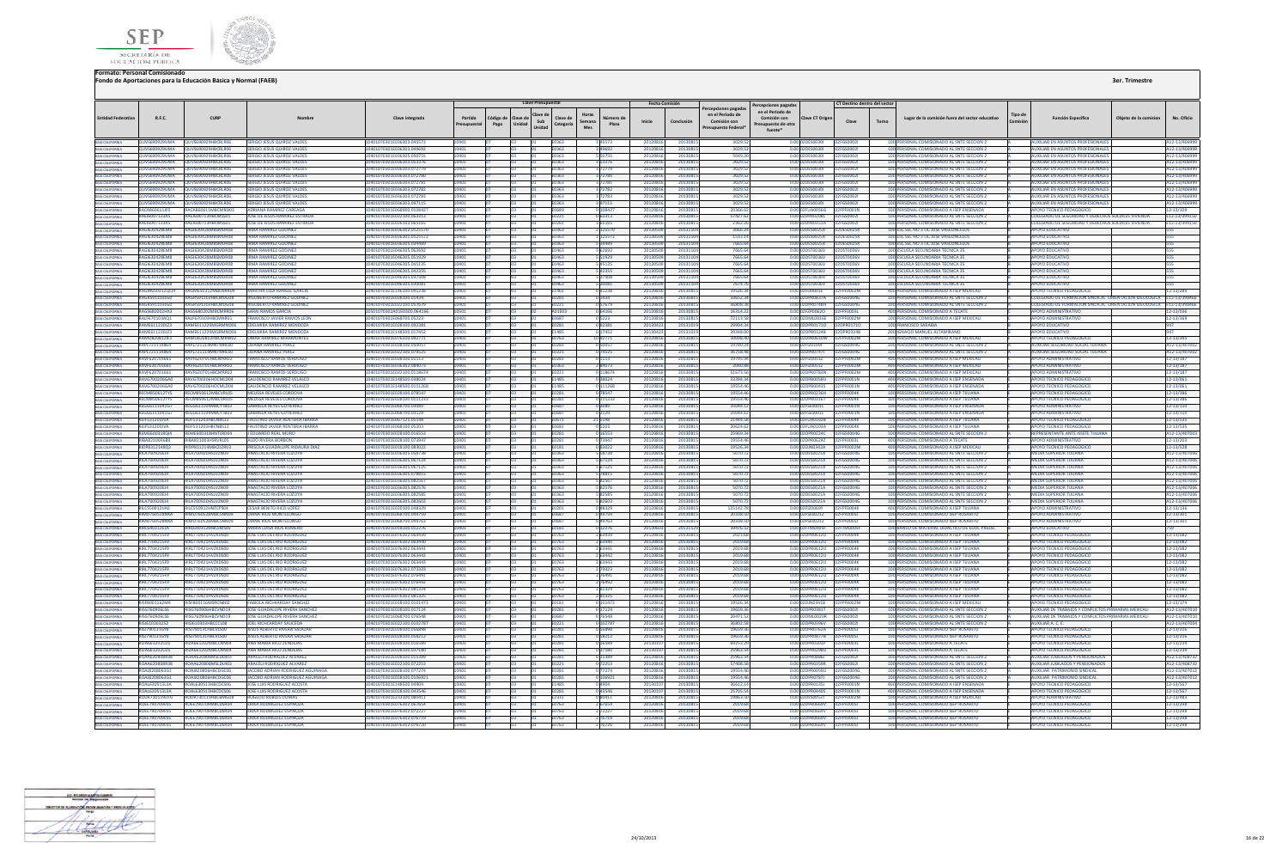



|                                                                                                                                                                                                               |                                               |                                                                      |                                                                       |                                                          |                       |                  | <b>Clave Presupuestal</b>           |                                                 |                        | Fecha Comisión       |                      |                                                                                     | Percepciones pagada:                                              |                                                          | CT Destino dentro del sector |       |                                                                                          |                            |                                                                             |                       |                                |
|---------------------------------------------------------------------------------------------------------------------------------------------------------------------------------------------------------------|-----------------------------------------------|----------------------------------------------------------------------|-----------------------------------------------------------------------|----------------------------------------------------------|-----------------------|------------------|-------------------------------------|-------------------------------------------------|------------------------|----------------------|----------------------|-------------------------------------------------------------------------------------|-------------------------------------------------------------------|----------------------------------------------------------|------------------------------|-------|------------------------------------------------------------------------------------------|----------------------------|-----------------------------------------------------------------------------|-----------------------|--------------------------------|
| <b>Entidad Federativa</b>                                                                                                                                                                                     | R.F.C.                                        | CURE                                                                 |                                                                       | Clave integrada                                          | Partida<br>resupuesta | Código d<br>Pago | Clave de<br>Sub<br>Unidad<br>Unidad | Horas<br>Clave de<br>Semana<br>Categoría<br>Mes | Número d<br>Plaza      | Inicio               | Conclusión           | cepciones pagadas<br>en el Periodo de<br>Comisión con<br><b>Presupuesto Federal</b> | en el Periodo de<br>Comisión con<br>resupuesto de otra<br>fuente* | Clave CT Origen                                          | Clave                        | Turno | Lugar de la comisión fuera del sector educativo                                          | <b>Tipo de</b><br>Comisión | <b>Función Específica</b>                                                   | Obieto de la comision | No. Oficio                     |
| BAJA CALIFORNIA<br>BAJA CALIFORNIA                                                                                                                                                                            |                                               | QUVS690929UMA QUVS690929HBCRLR06                                     | SERGIO JESUS QUIROZ VALDES                                            | 10401070301E036303.045573                                |                       |                  |                                     | E0363                                           |                        | 20120816             | 2013081              | 3029.52                                                                             |                                                                   | 0.00 02DES0030I                                          | 02FGS00021                   |       | 100 PERSONAL COMISIONADO AL SNTE SECCION 2                                               |                            | UXILIAR EN ASUNTOS PROFESIONALE                                             |                       | A12-13/4069                    |
|                                                                                                                                                                                                               |                                               | OUVS690929UMA OUVS690929HRCRLR06<br>QUVS690929UMA QUVS690929HBCRLR06 | SERGIO JESUS OUROZ VALDES<br>SERGIO JESUS OUIROZ VALDES               | 10401070301E036303.049692<br>10401070301F036305.050755   |                       |                  |                                     | <b>FO363</b><br><b>F0363</b>                    | 3 49692<br>550755      | 20120816<br>20120816 | 20130815<br>2013081  | 3029.53<br>5049.26                                                                  |                                                                   | 0.00.02DES0030L 02EGS0002L<br>0.00.02DES0030L 02EGS0002L |                              |       | 100 PERSONAL COMISIONADO AL SNTE SECCION 2<br>100 PERSONAL COMISIONADO AL SNTE SECCION 2 |                            | AUXILIAR EN ASUNTOS PROFESIONALES<br>MUXILIAR EN ASUNTOS PROFESIONALE       |                       | A12-13/4069                    |
|                                                                                                                                                                                                               |                                               | QUVS690929UMA QUVS690929HBCRLR06                                     | SERGIO JESUS QUIROZ VALDE!                                            | 10401070301E036303.053376                                |                       |                  |                                     | F0363                                           | 3 53376                | 20120816             | 2013081              | 3029.52                                                                             |                                                                   | 0.00 02DES00301 02FGS00021                               |                              |       | 100 PERSONAL COMISIONADO AL SNTE SECCION 2                                               |                            | <b>AUXILIAR EN ASUNTOS PROFESIONALES</b>                                    |                       | A12-13/40699<br>A12-13/4069    |
| BAJA CALIFORNIA<br>BAJA CALIFORNIA<br>BAJA CALIFORNIA                                                                                                                                                         | QUVS690929UMA                                 | UVS690929HBCRLR06                                                    | SERGIO JESUS QUIROZ VALDE                                             | 10401070301E036303.07277                                 |                       |                  |                                     | E0363                                           | 372779                 | 2012081              | 2013081              | 3029.5                                                                              |                                                                   | 0.00 02DES0030I                                          | 02FGS0002                    |       | 100 PERSONAL COMISIONADO AL SNTE SECCION :                                               |                            | UXILIAR EN ASUNTOS PROFESIONAL                                              |                       | A12-13/406                     |
| BAIA CALIFORNIA<br>BAIA CALIFORNIA<br>BAIA CALIFORNIA<br>BAIA CALIFORNIA<br>BAIA CALIFORNIA                                                                                                                   | QUVS690929UMA                                 | QUVS690929HBCRLR06                                                   | SERGIO JESUS QUIROZ VALDES                                            | 0401070301E036303.072780                                 |                       |                  |                                     | :0363                                           | 372780                 | 20120816             | 2013081              | 3029.52                                                                             |                                                                   | 0.00 02DES0030I                                          | 02FGS00021                   |       | 100 PERSONAL COMISIONADO AL SNTE SECCION 2                                               |                            | <b>IXILIAR EN ASUNTOS PROFESIONALES</b>                                     |                       | 12-13/40699                    |
|                                                                                                                                                                                                               |                                               | QUVS690929UMA QUVS690929HBCRLR06                                     | SERGIO JESUS QUIROZ VALDES                                            | 10401070301E036303.072781                                |                       |                  |                                     | E0363                                           | 372781                 | 2012081              | 2013081              | 3029.52                                                                             |                                                                   | 0.00 02DES00301                                          | 02FGS0002                    |       | 100 PERSONAL COMISIONADO AL SNTE SECCION 2                                               |                            | UXILIAR EN ASUNTOS PROFESIONALE                                             |                       | 12-13/406                      |
|                                                                                                                                                                                                               |                                               | QUVS690929UMA QUVS690929HBCRLR06<br>QUVS690929UMA QUVS690929HBCRLR06 | SERGIO JESUS OUJROZ VALDES<br>SERGIO JESUS QUIROZ VALDES              | I0401070301E036303.072782<br>10401070301E036303.072783   |                       |                  |                                     | E0363<br>E0363                                  | 372782<br>372783       | 20120816<br>20120816 | 20130815<br>2013081  | 3029.52<br>3029.52                                                                  |                                                                   | 0.00 02DES00301 02FGS00021<br>0.00 02DES00301 02FGS00021 |                              |       | 100 PERSONAL COMISIONADO AL SNTE SECCION 2<br>100 PERSONAL COMISIONADO AL SNTE SECCION 2 |                            | UXILIAR EN ASUNTOS PROFESIONALES<br><b>AUXILIAR EN ASUNTOS PROFESIONALE</b> |                       | A12-13/406999<br>A12-13/40699  |
|                                                                                                                                                                                                               |                                               | OUVS690929UMA OUVS690929HRCRIRO6                                     | <b>SERGIO JESUS OUIROZ VALDES</b>                                     | 10401070301E036303.097115                                |                       |                  |                                     | F0363                                           | 397115                 | 20120816             | 20130815             | 3029.52                                                                             |                                                                   | 0.00102DES0030L 02EGS0002L                               |                              |       | 100 PERSONAL COMISIONADO AL SNTE SECCION 2                                               |                            | ΔΗΧΙΗΔΡΕΝ ΔSΗΝΤΟS ΡΡΟΕΕΝΟΝΑΙΕΣ                                              |                       | A12-13/40699                   |
|                                                                                                                                                                                                               | RACA860611JF0                                 | RACA860611MBCMRD03                                                   | ADRIANA RAMIREZ CAREAGA                                               | 0401070301E068900.010842                                 |                       |                  |                                     | 0689                                            | 108427                 | 201208               | 2013081              | 20366.6                                                                             |                                                                   | 0.00 02FUA0056G                                          | 2FPF0001N                    |       | 100 PERSONAL COMISIONADO A ISEP ENSENADA                                                 |                            | OYO TECNICO PEDAGOGICO                                                      |                       | $2 - 13/109$                   |
| BARCALITORIA<br>BAJA CALIFORNIA<br>BAJA CALIFORNIA<br>BAJA CALIFORNIA                                                                                                                                         | RAEJ6007133X5                                 | RAEJ600713HBCMSS01                                                   | JOSE DE JESUS RAMIREZ ESTRADA                                         | 10401070301E022100.063313                                | 10401                 |                  |                                     | E0221                                           | 063313                 | 20120816             | 20130815             | 57427.62                                                                            |                                                                   | 0.00 02DPR0208L  02FGS0002L                              |                              |       | 100 PERSONAL COMISIONADO AL SNTE SECCION 2                                               |                            | COLEGIADO DE SEGURIDAD Y DERECHOS SOCIALES VIVIENDA                         |                       | E12-13/399150                  |
|                                                                                                                                                                                                               | RAEJ6007133X5                                 | RAEJ600713HBCMSS01                                                   | <b>IOSE DE IESUS RAMIREZ ESTRADA</b>                                  | 10401070301E026103.065165                                |                       |                  |                                     | FN261                                           | 3 65165                | 20120816             | 2013081              | 2362.2                                                                              |                                                                   |                                                          |                              |       | 100 PERSONAL COMISIONADO AL SNTE SECCION 2                                               |                            | COLEGIADO DE SEGURIDAD Y DERECHOS SOCIALES VIVIENDA                         |                       | E12-13/399150                  |
| <b>BAJA CALIFORNIA</b>                                                                                                                                                                                        | RAGI630428EM8<br>RAGI63042REM8                | RAGI630428MRSMDR08<br>RAGI630428MRSMDR08                             | <b>IRMA RAMIREZ GODINEZ</b><br><b>IRMA RAMIREZ GODINEZ</b>            | 10401070301E036302.0125570<br>10401070301E036301.0125572 |                       |                  |                                     | E0363<br>F0363                                  | 2 125570<br>1125572    | 201305<br>201305     | 2013110<br>2013110   | 3066.24<br>1533.14                                                                  |                                                                   | 0.00 02DES0025X 02DES0025X<br>0.00.02DES0025X 02DES0025X |                              |       | 100 ESC SEC NO 3 LIC JOSE VASCONCELOS<br>100 FSC SEC NO 3 HC IOSE VASCONCELOS            |                            | <b>APOYO EDUCATIVO</b><br><b>POYO FDUCATIVO</b>                             |                       | 555                            |
|                                                                                                                                                                                                               | RAGI630428FM8                                 | RAGI630428MRSMDR08                                                   | <b>IRMA RAMIREZ GODINEZ</b>                                           | 10401070301F036305.034489                                |                       |                  |                                     | <b>FO363</b>                                    | 34489                  | 201305               | 2013110              | 7665 6a                                                                             |                                                                   | 0.00102DES0025X                                          | 02DES0025X                   |       | 100 ESC SEC NO 3 LIC JOSE VASCONCELOS                                                    |                            | ΔΡΩΥΩ ΕΠΙΙΣΑΤΙΝΩ                                                            |                       |                                |
| BAIA CALIFORNIA<br>BAIA CALIFORNIA                                                                                                                                                                            | RAGI63042REMR                                 | <b>PAGI630428MBSMDP08</b>                                            | <b>IRMA RAMIREZ GODINEZ</b>                                           | 10401070301F046305.062692                                |                       |                  |                                     | E0463                                           | 62692                  | 201305               | 2013110              | 7665.6                                                                              |                                                                   | 0.00 02DST0036V                                          | 02DST0036V                   |       | 100 ESCUELA SECUNDARIA TECNICA 35                                                        |                            | ΔΡΟΥΩ ΕΠΙΙΣΑΤΙΜ                                                             |                       |                                |
| BAIA CALIFORNIA<br>BAIA CALIFORNIA                                                                                                                                                                            | RAGI630428EM8                                 | AGI630428MBSMDR08                                                    | <b>IRMA RAMIREZ GODINEZ</b>                                           | 0401070301E046305.051929                                 |                       |                  |                                     |                                                 | 51929                  | 20130                | 2013110              | 7665.6                                                                              | 0.00                                                              | <b>ST0036V</b>                                           | 2DST0036V                    |       | 100 ESCUELA SECUNDARIA TECNICA 3                                                         |                            | OYO EDUCATIV                                                                |                       |                                |
|                                                                                                                                                                                                               | RAGI630428EM8                                 | AGI630428MBSMDR08                                                    | <b>IRMA RAMIREZ GODINEZ</b>                                           | 0401070301E046305.045135                                 |                       |                  |                                     | E0463                                           | 45135                  | 20130                | 201311               | 7665.6                                                                              |                                                                   | 0.00 02DST0036V                                          | DST0036V                     |       | 100 ESCUELA SECUNDARIA TECNICA 35                                                        |                            | OYO EDUCATIV                                                                |                       |                                |
|                                                                                                                                                                                                               | RAGI630428FM8<br>RAGI630428FM8                | RAGI630428MRSMDR08<br>RAGI630428MRSMDR08                             | <b>IRMA RAMIREZ GODINEZ</b><br><b>IRMA RAMIREZ GODINEZ</b>            | 10401070301F046305.042355<br>10401070301F046305.037508   |                       |                  |                                     | FN463<br>FN463                                  | 42355<br>537508        | 201305<br>201305     | 2013110<br>2013110   | 7665 6a<br>7665 6a                                                                  |                                                                   | 0.00 02DST0036V<br>0.0002050036V 02DST0036V              | 02DST0036V                   |       | 100 ESCUELA SECUNDARIA TECNICA 35<br>100 ESCUELA SECUNDARIA TECNICA 35                   |                            | <b>POYO EDUCATIVO</b><br>ΔΡΟΥΩ ΕΒΗΓΑΤΙΛΩ                                    |                       | 555                            |
|                                                                                                                                                                                                               | <b>PAGIS3042REMS</b>                          | RAGI630428MBSMDR08                                                   | <b>IRMA RAMIREZ GODINEZ</b>                                           | 10401070301F046305.030081                                | 10401                 |                  |                                     | E0463                                           | 5 30081                | 2013050              | 20131104             | 7674.76                                                                             |                                                                   | 0.00.02DST0036V 02DST0036V                               |                              |       | 100 ESCUELA SECUNDARIA TECNICA 35                                                        |                            | ΔΡΟΥΩ ΕΒΗΓΑΤΙΝΩ                                                             |                       | 555                            |
|                                                                                                                                                                                                               | RAGM650312QQ4                                 | GM650312MBCNRR04                                                     | <b>MARTHA LILIA RANGEL GARO</b>                                       | 01070301E146100.04123I                                   |                       |                  |                                     | E1461                                           | 41238                  | 201208               | 201308               | 19526.3                                                                             |                                                                   | FEI0001E                                                 | PF0002M                      |       | 100 PERSONAL COMISIONADO A ISEP MEXICA                                                   |                            | OYO TECNICO PED                                                             |                       | $2 - 13 / 289$                 |
|                                                                                                                                                                                                               | RAGR591103LG0                                 | AGRS91103HRCMDG08                                                    | <b>RIGORERTO RAMIREZ GODINE</b>                                       | 10401070301F028100 01434                                 |                       |                  |                                     | E0281                                           | 0 1434                 | 201208               | 2013081              | 33652.3                                                                             |                                                                   | 0.00 02DPR0837A                                          | 2FGS0004G                    |       | 100 PERSONAL COMISIONADO AL SNTE SECCION :                                               |                            | OLEGIADO DE FORMACION SINDICAL ORIENTACION IDEOLOGICA E12-13/398            |                       |                                |
|                                                                                                                                                                                                               | RAGR591103LG0                                 | RAGR591103HBCMDG08                                                   | <b>RIGOBERTO RAMIREZ GODINEZ</b>                                      | 10401070301E022100.057679                                |                       |                  |                                     | 0221                                            | 57679                  | 2012081              | 2013081              | 36808.3                                                                             |                                                                   | 0.00 02DPR0748H                                          | 2FGS0004G                    |       | 100 PERSONAL COMISIONADO AL SNTE SECCION 2                                               |                            | OLEGIADO DE FORMACION SINDICAL ORIENTACION IDEOLOGICA                       |                       | E12-13/398466                  |
|                                                                                                                                                                                                               | RAGS680202HX3<br>RALF670103AQ1                | RAGS680202MRCMRR06<br>RALF670103HBCMNR01                             | <b>SARALRAMOS GARCIA</b><br>FRANCISCO JAVIER RAMOS LEON               | 10501070302401E0300.064166<br>10401070301E068700.05223   | 0401                  |                  |                                     | A01E03<br>E0687                                 | 0 64166<br>0 5223      | 20120816<br>20120816 | 20130815<br>2013081  | 16314.22<br>72113.5                                                                 |                                                                   | 0.00 02DML0016E 02FPF0002M                               |                              |       | 400 PERSONAL COMISIONADO A TECATE<br>100 PERSONAL COMISIONADO A ISEP MEXICALI            |                            | APOYO ADMINISTRATIVO<br><b>APOYO ADMINISTRATIVO</b>                         |                       | 12-13/036<br>12-13/369         |
| BAIA CALIFORNIA<br>BAIA CALIFORNIA<br>BAIA CALIFORNIA<br>BAIA CALIFORNIA<br>BAIA CALIFORNIA<br>BAIA CALIFORNIA<br>BAIA CALIFORNIA<br>BAIA CALIFORNIA<br>BAIA CALIFORNIA<br>BAIA CALIFORNIA<br>BAIA CALIFORNIA | RAME611220JZ3                                 | RAME611220MGRMND06                                                   | EDELMIRA RAMIREZ MENDOZA                                              | 10401070301E028100.092381                                |                       |                  |                                     | E0281                                           | 9238                   | 2013042              | 2013101              | 29994.3                                                                             |                                                                   | 0.00 02DPR01710 02DPR01710                               |                              |       | 100 FRANCISCO SARABIA                                                                    |                            | APOYO EDUCATIVO                                                             |                       | 347                            |
|                                                                                                                                                                                                               | RAME611220JZ3                                 |                                                                      | RAME611220MGRMND06 EDELMIRA RAMIREZ MENDOZA                           | 10401070301E148500.017452                                |                       |                  |                                     | E1485                                           | 0 17452                | 201304               | 2013101              | 39348.0                                                                             |                                                                   | 0.00 02DPR0324B 02DPR0324B                               |                              |       | <b>200 IGNACIO MANUEL ALTAMIRAN</b>                                                      |                            | <b>APOYO EDUCATIVI</b>                                                      |                       |                                |
| BAIA CALIFORNIA<br>BAIA CALIFORNIA                                                                                                                                                                            | RAMO820812IF1                                 |                                                                      | RAMO820812HBCMRM02 OMAR RAMIREZ MIRAMONTES                            | 10401070301E076310.092771                                |                       |                  |                                     | E0763                                           | 10 92771               | 20120816             | 2013081              | 10098.40                                                                            |                                                                   | 0.00 02DPR0610W 02FPF0002M                               |                              |       | 100 PERSONAL COMISIONADO A ISEP MEXICALI                                                 |                            | <b>APOYO TECNICO PEDAGOGICO</b>                                             |                       | 12-13/395                      |
|                                                                                                                                                                                                               | RAPI 721114864                                | <b>RAPI 721114MNTMRL00</b>                                           | <b>IIIIANA RAMIREZ PEREZ</b>                                          | 10401070301E028100.05005                                 |                       |                  |                                     | <b>F0281</b>                                    | 0 50057                | 20120816             | 2013081              | 19740.2                                                                             |                                                                   | 0.00 02El20109                                           | 02FGS0004G                   |       | 100 PERSONAL COMISIONADO AL SNTE SECCIÓN 2                                               |                            | AUXILIAR SEGURIDAD SOCIAL TIIUANA                                           |                       | A12-13/4070                    |
|                                                                                                                                                                                                               | RAPL721114864<br>RAVE620701661                | RAPL721114MNTMRL00<br>RAVE620701HRCMRR02                             | LILIANA RAMIREZ PEREZ<br><b>FRANCISCO RAMOS VERDUGO</b>               | 10401070301E022100.079525<br>10401070301F028100 01113    | 10401                 |                  |                                     | E0221<br><b>F0281</b>                           | 079525<br>0.1113       | 20120816<br>20120816 | 20130815<br>2013081  | 36758.41<br>19795.9                                                                 |                                                                   | 0.00 02DPR07471 02FGS0004G<br>0.00102EIZ0051Z            | 02FPF0002M                   |       | 100 PERSONAL COMISIONADO AL SNTE SECCION 2<br>400 PERSONAL COMISIONADO A ISEP MEXICALI   |                            | AUXILIAR SEGURIDAD SOCIAL TIJUANA<br>ΔΡΟΥΩ ΔΟΜΙΝΙΚΤΡΑΤΙΝΟ                   |                       | A12-13/407002<br>12-13/187     |
| BAIA CALIFORNIA<br>BAIA CALIFORNIA<br>BAIA CALIFORNIA                                                                                                                                                         | RAVE620701661                                 | RAVE620701HRCMRR02                                                   | <b>FRANCISCO RAMOS VERDUGO</b>                                        | 10401070301E036302.084073                                |                       |                  |                                     | E0363                                           | 28407                  | 2012081              | 2013081              | 2040R                                                                               |                                                                   | 0.00 02FIZ0051Z                                          | <b>FPF0002M</b>              |       | 400 PERSONAL COMISIONADO A ISEP MEXICALI                                                 |                            | ΔΡΟΥΩ ΑΠΜΙΝΙΝΤΑΤΙΝΟ                                                         |                       | 12-13/187                      |
|                                                                                                                                                                                                               | RAVF620701661                                 | <b>NYE620701HRCMRR02</b>                                             | <b>FRANCISCO RAMOS VERDUG</b>                                         | 0401070301E022100.011867                                 |                       |                  |                                     |                                                 | 118674                 | 201208               | 2013081              | 51673.5                                                                             |                                                                   | 2DPR0783N                                                | FOODZM                       |       | 400 PERSONAL COMISIONADO A ISEP MEXICAL                                                  |                            | ΔΡΩΥΩ ΔΩΜΙΝΙΝΤΑΤΙΝΩ                                                         |                       | 2-13/187                       |
| BAIA CALIFORNIA<br>BAIA CALIFORNIA<br>BAIA CALIFORNIA<br>BAIA CALIFORNIA                                                                                                                                      | RAVG700206GA0                                 | RAVG700206HOCMLD04                                                   | <b>GAUDENCIO RAMIREZ VELASCO</b>                                      | 10401070301E148500.038024                                |                       |                  |                                     | E1485                                           | 038024                 | 20120816             | 20130815             | 33394.34                                                                            |                                                                   | 0.00 02DPB0058U                                          | 2FPF0001N                    |       | 400 PERSONAL COMISIONADO A ISEP ENSENADA                                                 |                            | APOYO TECNICO PEDAGOGICO                                                    |                       | 12-13/061                      |
|                                                                                                                                                                                                               | RAVG700206GA0                                 | AVG700206HOCMLD04                                                    | <b>GAUDENCIO RAMIREZ VELASCO</b>                                      | 10401070301E148500.0111268                               |                       |                  |                                     | E1485                                           | 111268                 | 20120816             | 2013081              | 19554.4                                                                             |                                                                   | 0.00 02DPB0043S                                          | <b>FPF0001N</b>              |       | 400 PERSONAL COMISIONADO A ISEP ENSENADA                                                 |                            | <b>IPOYO TECNICO PEDAGOGICO</b>                                             |                       | 12-13/061                      |
| BAJA CALIFORNIA                                                                                                                                                                                               | RECM850612TY5<br>RECM850612TY5                | RECM850612MBCVRL05<br>RECM850612MBCVRL05                             | MELISSA REVELES CORDOVA<br>MELISSA REVELES CORDOVA                    | 10401070301F028100 078547<br>10401070301E028100.0111233  | 0401                  |                  |                                     | <b>F0281</b><br>E0281                           | 0.78547                | 20120816<br>20120816 | 20130815<br>20130815 | 19554.46<br>19554.46                                                                |                                                                   | 0.00 02DPR0236H 02EPE0004K<br>0.00 02DPR0316T            | 02FPF0004K                   |       | 100 PERSONAL COMISIONADO A ISEP TIILIANA<br>100 PERSONAL COMISIONADO A ISEP TUUANA       |                            | APOYO TECNICO PEDAGOGICO<br>APOYO TECNICO PEDAGOGICO                        |                       | 12-13/386<br>12-13/386         |
|                                                                                                                                                                                                               | REGG6111041G7                                 | GG611104MRCYTR03                                                     | GARRIELA REYES GUTIERREZ                                              | 0401070301F068700.03089                                  |                       |                  |                                     | 0687                                            | 0 111233               | 201208               | 2013081              | 35044.1                                                                             |                                                                   | 0.00 02FSE0001L                                          | <b>FOOD1N</b>                |       | 100 PERSONAL COMISIONADO A ISEP ENSENAD                                                  |                            | ΔΡΩΥΩ ΔΩΜΙΝΙΣΤΡΑΤΙΝΩ                                                        |                       | 2-13/110                       |
|                                                                                                                                                                                                               | REGG6111041G7                                 | EGG611104MRCYTR03                                                    | <b>GABRIELA REYES GUTIERREZ</b>                                       | 10401070301F068700.03129                                 |                       |                  |                                     | E0687                                           | 03129                  | 2012081              | 2013081              | 35044.1                                                                             |                                                                   | 0.00 02FSE0001L                                          | FOOD1N                       |       | 100 PERSONAL COMISIONADO A ISEP ENSENADA                                                 |                            | ΔΡΟΥΩ ΔΟΜΙΝΙΚΤΒΑΤΙΝΟ                                                        |                       | 2-13/110                       |
| BAIA CALIFORNIA<br>BAIA CALIFORNIA<br>BAIA CALIFORNIA<br>BAIA CALIFORNIA                                                                                                                                      | <b>REIF531203JVA</b>                          | EIF531203HBCNBS12                                                    | <b>FAUSTINO JAVIER RENTERIA IBARR</b>                                 | I0401070301E067121.05148                                 |                       |                  |                                     | 0671                                            | 21 5148                | 201208               | 2013081              | 21444.5                                                                             |                                                                   | 0.00 02FUA0102B                                          | PF0004K                      |       | 100 PERSONAL COMISIONADO A ISEP TUUANA                                                   |                            | <b>POYO TECNICO PEDAGOGIO</b>                                               |                       | $2 - 13/535$                   |
|                                                                                                                                                                                                               | <b>REIF531203JVA</b>                          | REIF531203HBCNBS12                                                   | <b>FAUSTINO JAVIER RENTERIA IBARRA</b>                                | 10401070301E068100.05203                                 |                       |                  |                                     | E0681                                           | 0 <sup>5203</sup>      | 20120816             | 20130819             | 20624.6                                                                             |                                                                   | 0.00 02FUA0103A                                          | F0004K                       |       | 100 PERSONAL COMISIONADO A ISEP TUUANA                                                   |                            | <b>APOYO TECNICO PEDAGOGICO</b>                                             |                       | 12-13/535                      |
| BAIA CALIFORNIA<br>BAIA CALIFORNIA<br>BAIA CALIFORNIA                                                                                                                                                         | REME600318014<br><b>PIRAR210026RO</b>         | REME600318HNTLRD04<br>PIRAR21003HSPVPL05                             | <b>LEDUARDO REAL MURO</b><br>ALDO RIVERA RORROM                       | 10401070301E028100.016553<br>10401070201E028100.072947   | 10401                 |                  |                                     | <b>F0281</b><br><b>E0281</b>                    | 0.16553<br>172047      | 20120816<br>2012081  | 20130815<br>2012091  | 2596934<br>19554.4                                                                  |                                                                   | 0.00.02DPR0224C 02EGS0004G<br>0.00 0209906247            |                              |       | 100 PERSONAL COMISIONADO AL SNTE SECCIÓN 2<br>400 PERSONAL COMISIONADO A TECATE          |                            | <b>REPRESENTANTE ANTE ISSSTE TIILIANA</b><br><b>AROVO ADMINISTRATIVO</b>    |                       | A12-13/407003                  |
|                                                                                                                                                                                                               | RIDP8312148Q2                                 | IDP831214MBCDZR0                                                     | PRISCILA GUADALUPE RIDAURA DIA                                        | 10401070301E018100.08302                                 |                       |                  |                                     | E0181                                           | 083022                 | 2012081              | 2013081              | 19526.3                                                                             |                                                                   | 0.00 02DJN0342A                                          |                              |       | 400 PERSONAL COMISIONADO A ISEP MEXICA                                                   |                            | <b>IPOYO TECNICO PEDAGOG</b>                                                |                       | 12-13/203<br>12-13/528         |
| BAJA CALIFORNIA                                                                                                                                                                                               | RILA700920EJ4                                 | LA700920HSLVZN09                                                     | <b>INASTACIO RIVERA LOZOYA</b>                                        | 0401070301E036305.05873I                                 |                       |                  |                                     | E0363                                           | 5 5 8 7 3 8            | 2012081              | 2013081              | 5070.7                                                                              |                                                                   | 0.00 02DES0021A                                          | 2FGS0004G                    |       | 100 PERSONAL COMISIONADO AL SNTE SECCION 2                                               |                            | <b>EDIA SUPERIOR TUUANA</b>                                                 |                       | 412-13/40700                   |
|                                                                                                                                                                                                               | RILA700920EJ4                                 | RILA700920HSLVZN09                                                   | ANASTACIO RIVERA LOZOYA                                               | 10401070301E036305.067124                                |                       |                  |                                     | E0363                                           | 5 67124                | 2012081              | 2013081              | 5070.7                                                                              |                                                                   | 0.00 02DES0021A                                          | 2FGS0004G                    |       | 100 PERSONAL COMISIONADO AL SNTE SECCION 2                                               |                            | <b>MEDIA SUPERIOR TUUANA</b>                                                |                       | 12-13/40700                    |
| BAIA CALIFORNIA                                                                                                                                                                                               | RILA700920EJ4                                 | RILA700920HSLV7N09                                                   | ANASTACIO RIVERA LOZOVA                                               | 10401070301E036305.067125                                |                       |                  |                                     | F0363                                           | 5 67125                | 20120816             | 20130815             | 5070.72                                                                             |                                                                   | 0.00 02DES0021A                                          | 02FGS0004G                   |       | 100 PERSONAL COMISIONADO AL SNTE SECCION 2                                               |                            | <b>MEDIA SUPERIOR TUUANA</b>                                                |                       | A12-13/407006                  |
|                                                                                                                                                                                                               | <b>RILA700920EJ4</b><br><b>RILA700920F14</b>  | RILA700920HSLVZN09<br>311 A 700920HSI VZNO9                          | ANASTACIO RIVERA LOZOVA<br>MASTACIO RIVERA LOZOVA                     | 10401070301E036305.078815<br>10401070301E036305.08256    |                       |                  |                                     | E0363<br>F0363                                  | 578815<br>82567        | 20120816<br>2012081  | 20130815<br>2013081  | 5070.72<br>5070.7                                                                   |                                                                   | 0.00 02DES0021A 02FGS0004G<br>0.00.02DES0021A            | 02EGS0004G                   |       | 100 PERSONAL COMISIONADO AL SNTE SECCION 2<br>100 PERSONAL COMISIONADO AL SNTE SECCIÓN 2 |                            | <b>MEDIA SUPERIOR TIJUANA</b><br><b>AFDIA SUPERIOR THUANA</b>               |                       | A12-13/407006<br>112-13/407006 |
|                                                                                                                                                                                                               | RILA700920EJ4                                 | ILA700920HSLVZN09                                                    | <b>ANASTACIO RIVERA LOZOVA</b>                                        | I0401070301E036305.082576                                |                       |                  |                                     | 0363                                            | 82576                  | 201208               | 2013081              | 5070.7                                                                              |                                                                   | 0.00 02DES0021A                                          | 2FGS0004G                    |       | 100 PERSONAL COMISIONADO AL SNTE SECCION 2                                               |                            | <b>MEDIA SUPERIOR TUUANA</b>                                                |                       | A12-13/407006                  |
| BAIA CALIFORNIA<br>BAIA CALIFORNIA                                                                                                                                                                            | RILA700920EJ4                                 | RILA700920HSLVZN09                                                   | <b>ANASTACIO RIVERA LOZOYA</b>                                        | 10401070301E036305.082585                                |                       |                  |                                     | E0363                                           | 582585                 | 2012081              | 2013081              | 5070.7                                                                              |                                                                   | 0.00 02DES0021A                                          | 2FGS0004G                    |       | 100 PERSONAL COMISIONADO AL SNTE SECCION 2                                               |                            | <b>MEDIA SUPERIOR TUUANA</b>                                                |                       | 12-13/40700                    |
| BAIA CALIFORNIA                                                                                                                                                                                               | RILA700920EJ4                                 | RILA700920HSLVZN09                                                   | ANASTACIO RIVERA LOZOYA                                               | 0401070301E036305.082603                                 |                       |                  |                                     | :0363                                           | 82603                  | 20120816             | 2013081              | 5070.7                                                                              |                                                                   | 0.00 02DES0021A                                          | 2FGS0004G                    |       | 100 PERSONAL COMISIONADO AL SNTE SECCION 2                                               |                            | <b><i>AEDIA SUPERIOR TUUANA</i></b>                                         |                       | 112-13/407006                  |
|                                                                                                                                                                                                               | <b>RILC550912VA0</b>                          | RILCSS0912HNTCPS04                                                   | CESAR RENITO RICO LOPEZ                                               | 10401070301E020100.048329                                |                       |                  |                                     | F0201                                           | 048329                 | 20120816             | 20130815             | 125142.7                                                                            |                                                                   | 0.00 025/20069Y                                          | 02FPF0004K                   |       | 400 PERSONAL COMISIONADO A ISEP TILLIANA                                                 |                            | <b>APOYO ADMINISTRATIVO</b>                                                 |                       | 12-13/136                      |
| BAJA CALIFORNIA                                                                                                                                                                                               | RIMD760528NKA<br>RIMD760528NKA                | RIMD760528MBCSNN09<br>IMD76052RMRCSNN09                              | <b>DIANA RIOS MONTELONGO</b><br><b>DIANA RIOS MONTELONGO</b>          | 0401070301E068700.049759<br>10401070301F068700.049763    |                       |                  |                                     | <b>EN687</b><br><b>FN687</b>                    | 0.49759                | 2012081<br>2012081   | 2013081<br>2013081   | 20338.5<br>20338.5                                                                  |                                                                   | 0.0002ESE00217<br>0.00.02ESE00217                        | 12EPE00051<br><b>PENNAST</b> |       | 100 PERSONAL COMISIONADO ISEP ROSARITO<br>100 PERSONAL COMISIONADO ISEP ROSARITI         |                            | <b>POYO ADMINISTRATIVO</b><br>ΔΡΟΥΩ ΔΟΜΙΝΙΣΤΡΑΤΙΜΩ                          |                       | 12-13/301<br>12-13/301         |
| BAIA CALIFORNIA<br>BAIA CALIFORNIA                                                                                                                                                                            | <b>DIDI 640212ELA</b>                         | <b>IRL640312MBCSMS05</b>                                             | <b>MARIA ILIKA RIOS ROMERC</b>                                        | 10401070201E018100.012276                                |                       |                  |                                     | <b>F0181</b>                                    | 49763<br>0 12276       | 201306               | 20121126             | 39476.52                                                                            |                                                                   | 0.00 02FTM0005E                                          | <b>DETMODASE</b>             |       | 100 RANCO DE MATERIAL DIDACTICO DE EDUC PREESO                                           |                            | AROVO EDUCATIVO                                                             |                       | 759                            |
| BAJA CALIFORNIA                                                                                                                                                                                               | RIRL7704215F9                                 | RL770421HVZXDS00                                                     | OSE LUIS DEL RIO RODRIGUE                                             | 10401070301E076302.063439                                |                       |                  |                                     |                                                 | 63439                  | 201208               | 2013081              | 2021.6                                                                              |                                                                   | 0.00 02DPR0612U                                          | F0004K                       |       | 100 PERSONAL COMISIONADO A ISEP TUUANA                                                   |                            | <b>APOYO TECNICO PEDAGO</b>                                                 |                       | 2-13/082                       |
|                                                                                                                                                                                                               | RIRL7704215F9                                 | RL770421HVZXDS00                                                     | JOSE LUIS DEL RIO RODRIGUEZ                                           | I0401070301E076302.063440                                |                       |                  |                                     | E0763                                           | 2 63440                | 2012081              | 2013081              | 2019.6                                                                              |                                                                   | 0.00 02DPR0612U                                          |                              |       | 100 PERSONAL COMISIONADO A ISEP TUUANA                                                   |                            | POYO TECNICO PEDAGOGICO                                                     |                       | 12-13/082                      |
| BAJA CALIFORNIA                                                                                                                                                                                               | RIRL7704215F9                                 | IRL770421HVZXDS00                                                    | JOSE LUIS DEL RIO RODRIGUEZ                                           | I0401070301E076302.063441                                |                       |                  |                                     | E0763                                           | 2 6 3 4 4 1            | 20120816             | 20130815             | 2019.68                                                                             |                                                                   | 0.00 02DPR0612U                                          | F0004K                       |       | 100 PERSONAL COMISIONADO A ISEP TUUANA                                                   |                            | APOYO TECNICO PEDAGOGICO                                                    |                       | 12-13/082                      |
| BAJA CALIFORNIA                                                                                                                                                                                               | RIRI 7704215F9<br><b>DIDI 7704215EC</b>       | RIRI 770421HV7XDS00<br>101770421HVZYDS00                             | <b>IOSE LUIS DEL RIO RODRIGUEZ</b><br>JOSE LUIS DEL RIO RODRIGUEZ     | 10401070301E076302.063442<br>10401070301E076302.063443   | 10401                 |                  |                                     | <b>F0763</b><br><b>E0763</b>                    | 2.63442<br>2 63443     | 20120816<br>2012081  | 20130815<br>2013081  | 2019.68<br>2019.6                                                                   |                                                                   | 0.00 02DPR0612U<br>0.00 02DPR0612U                       | 02FPF0004K<br><b>ENNAN</b>   |       | 100 PERSONAL COMISIONADO A ISEP TIILIANA<br>100 PERSONAL COMISIONADO A ISEP TUUANA       |                            | APOYO TECNICO PEDAGOGICO<br><b>POYO TECNICO PEDAGOGICO</b>                  |                       | 12-13/082<br>12-13/082         |
| <b>CALIFORNIA</b>                                                                                                                                                                                             | RIRL7704215F9                                 | RL770421HVZXDS00                                                     | JOSE LUIS DEL RIO RODRIGUEZ                                           | 01070301E076302.073323                                   |                       |                  |                                     |                                                 | 2 73323                | 201208               | 2013081              | 2019.6                                                                              | 0.00                                                              | PR0612U                                                  |                              |       | 100 PERSONAL COMISIONADO A ISEP TUUAN/                                                   |                            | OYO TECNICO PEDAGOGICO                                                      |                       | 12-13/082                      |
| <b>BAIA CALIFORNIA</b>                                                                                                                                                                                        | RIRL7704215F9                                 | RL770421HVZXDS00                                                     | JOSE LUIS DEL RIO RODRIGUE                                            | 0401070301E076302.07649                                  |                       |                  |                                     | 0763                                            | 2 7649                 | 201208               | 2013081              | 2019.6                                                                              |                                                                   | 0.00 02DPR0612U                                          |                              |       | 100 PERSONAL COMISIONADO A ISEP TUUANA                                                   |                            | OYO TECNICO PEDAGOGICO                                                      |                       | 12-13/082                      |
| BAIA CALIFORNIA                                                                                                                                                                                               | RIRL7704215F9                                 | RL770421HVZXDS00                                                     | JOSE LUIS DEL RIO RODRIGUEZ                                           | I0401070301E076302.076492                                |                       |                  |                                     | E0763                                           | 2 76492                | 20120816             | 2013081              | 2019.6                                                                              |                                                                   | 0.00 02DPR0612U                                          | <b>FOOD4K</b>                |       | 100 PERSONAL COMISIONADO A ISEP TUUANA                                                   |                            | <b>POYO TECNICO PEDAGOGICO</b>                                              |                       | 12-13/082                      |
|                                                                                                                                                                                                               | RIRI 7704215F9                                | RIRI 770421HVZXDS00<br><b>RIRI 770421HVZXDS00</b>                    | <b>JOSE LUIS DEL RIO RODRIGUEZ</b>                                    | 10401070301E076302.081324                                |                       |                  |                                     | F0763                                           | 281324                 | 20120816             | 20130815             | 2019.6                                                                              |                                                                   | 0.00 02DPR0612U                                          | PENNAK<br><b>PEPERDRAK</b>   |       | 100 PERSONAL COMISIONADO A ISEP TILLIANA                                                 |                            | APOYO TECNICO PEDAGOGICO                                                    |                       | 12-13/082                      |
|                                                                                                                                                                                                               | RIRL7704215F9<br>RISF8001162M                 | SERNN116MSRCNRO                                                      | JOSE LUIS DEL RIO RODRIGUEZ<br>FABIOLA RICHKARDAY SANCHEZ             | I0401070301E076302.081325<br>20201E018100.010142         |                       |                  |                                     | E0763                                           | 281325                 | 20120816<br>201208   | 2013081<br>2013081   | 2019.61<br>19526.3                                                                  |                                                                   | 0.00 02DPR0612U<br>2DIN0341B                             |                              |       | 100 PERSONAL COMISIONADO A ISEP TUUANA<br>100 PERSONAL COMISIONADO A ISEP MEXICA         |                            | POYO TECNICO PEDAGOGICO<br><b>POVO TECNICO PEDAGOGIO</b>                    |                       | 12-13/082<br>$2 - 13/174$      |
| BAJA CALIFORNIA                                                                                                                                                                                               | <b>RISG760906LS6</b>                          | RISG760906HBCVND19                                                   | JOSE GUADALUPE RIVERA SANCHE                                          | 10401070301E028100.017124                                |                       |                  |                                     | E0281                                           | 0 17124                | 2012081              | 2013081              | 19659.3                                                                             |                                                                   | 0.00 02DPR0381T                                          | 02FGS0002                    |       | 100 PERSONAL COMISIONADO AL SNTE SECCION                                                 |                            | AUXILIAR DE TRABAJOS Y CONFLICTOS PRIMARIAS MEXICAL                         |                       | A12-13/407                     |
| BAIA CALIFORNIA                                                                                                                                                                                               | RISG760906LS6                                 | ISG760906HBCVND19                                                    | JOSE GUADALUPE RIVERA SANCHEZ                                         | 0401070301E068700.076548                                 |                       |                  |                                     | E0687                                           | 76548                  | 2012081              | 2013081              | 20471.5                                                                             | 0.00C                                                             | 2DML0020R                                                | 2FGS00021                    |       | 100 PERSONAL COMISIONADO AL SNTE SECCION :                                               |                            | IXILIAR DE TRABAJOS Y CONFLICTOS PRIMARIAS MEXICALI                         |                       | 12-13/4070                     |
| BAJA CALIFORNIA                                                                                                                                                                                               | RISJ610303252                                 | RISJ610303HBCCCL08                                                   | JOEL RICHCARDAY SAUCEDA                                               | 10401070301E022100.0102787                               |                       |                  |                                     | E0221                                           | 0 102787               | 20120816             | 20130815             | 36802.51                                                                            |                                                                   | 0.00 02DPR0396V 02FGS0002I                               |                              |       | 100 PERSONAL COMISIONADO AL SNTE SECCION 2                                               |                            | <b>AUXILIAR A. C. E.</b>                                                    |                       | A12-13/407004                  |
| BAJA CALIFORNIA                                                                                                                                                                                               | RISJ790131GY8                                 | SI790131HROVI S00                                                    | <b>IESUS ALBERTO RIVERA SALAZAR</b>                                   | I0401070301E028100.056898                                |                       |                  |                                     | <b>FN281</b>                                    | 88837                  | 2012081              | 2013081              | 19659.3                                                                             |                                                                   | 0.00 02DPR0762A                                          | 12EPE00051                   |       | 100 PERSONAL COMISIONADO ISEP ROSARITO                                                   |                            | POYO TECNICO PEDAGOGICO                                                     |                       | 12-13/316                      |
| BAIA CALIFORNIA<br>BAIA CALIFORNIA                                                                                                                                                                            | <b>RISI790131GYR</b><br>RIZA661202UZ5         | <b>RISI790131HRCVIS00</b><br><b>RIZA661202MBCCNN04</b>               | <b>JESUS ALBERTO RIVERA SALAZAR</b><br>ANA MARIA RICO ZENDEIAS        | 10401070301F028100 058212<br>10401070301F028100 016589   |                       |                  |                                     | <b>F0281</b><br><b>F0281</b>                    | 058212<br>0 16589      | 20120816<br>201301   | 20130815<br>20130815 | 1965936<br>69253.20                                                                 |                                                                   | 0.00.02DPR0877B 02EPE000SL<br>0.0002DPR0303P 02FPF0003L  |                              |       | 100 PERSONAL COMISIONADO ISEP ROSARITO<br>100 PERSONAL COMISIONADO A TECATE              |                            | APOYO TECNICO PEDAGOGICO<br>APOYO TECNICO PEDAGOGICO                        |                       | 12-13/316<br>12-13/234         |
|                                                                                                                                                                                                               | RIZA661202U25                                 | 17A661202MBCCNN04                                                    | ANA MARIA RICO ZENDEIAS                                               | 10401070301F028100 037180                                |                       |                  |                                     | E0281                                           | 37180                  | 20130                | 2013081              | 25963.5                                                                             |                                                                   | 0.00102DPR0298U                                          | 12EPE00031                   |       | 100 PERSONAL COMISIONADO A TECATE                                                        |                            | APOYO TECNICO PEDAGOGICO                                                    |                       | 12-13/234                      |
| BAJA CALIFORNIA<br>BAJA CALIFORNIA                                                                                                                                                                            | ROAA620808R38                                 | OAA620808MSLDLRD                                                     | <b>ARACELI RODRIGUEZ ALVARE</b>                                       | 10401070301E028100.015389                                |                       |                  |                                     | E0281                                           | 15389                  | 201208               | 2013081              | 25963.5                                                                             |                                                                   | 0.00 02DPR0886J                                          | <b>GS00021</b>               |       | 100 PERSONAL COMISIONADO AL SNTE SECCION :                                               |                            | UXILIAR JUBILADOS Y PENSIONA                                                |                       | 12-13/408                      |
| BAJA CALIFORNIA                                                                                                                                                                                               | ROAA620808R38                                 | <b>EDB IO IZMRORNCAADE</b>                                           | ARACELLRODRIGUEZ ALVAREZ                                              | I0401070301E022100.072253                                |                       |                  |                                     | F0221                                           | 0 72253                | 20120816             | 2013081              | 57408.5                                                                             |                                                                   |                                                          |                              |       | 100 PERSONAL COMISIONADO AL SNTE SECCION 2                                               |                            | <b>AUXILIAR JUBILADOS Y PENSIONADOS</b>                                     |                       | 12-13/40873                    |
|                                                                                                                                                                                                               | ROAJ8208063G1                                 | <b>ROAIR 20806HRCDGCD6</b>                                           | JACOBO ADRIAN RODRIGUEZ AGUIÑAGA                                      | 10401070301E028100.077274                                |                       |                  |                                     | E0281                                           | 77274                  | 20120816             | 2013081              | 19554.4                                                                             |                                                                   | 0.00.02DPR0059U                                          | 12FGS0004G                   |       | 100 PERSONAL COMISIONADO AL SNTE SECCION 2                                               |                            | <b>AUXILIAR PATRIMONIO SINDICAL</b>                                         |                       | A12-13/40701                   |
| BAIA CALIFORNIA                                                                                                                                                                                               | <b>ROA IS208063G1</b><br><b>ROAL63051313A</b> | BOAIR20806HBCDGCD6<br>ROAL630513HBCDCS06                             | <b>IACORO ADRIAN RODRIGUEZ AGUIÑAGA</b><br>IOSE LUIS RODRIGUEZ ACOSTA | 10401070301F028100 0106921<br>10401070301E148500.04904   | 0.011                 |                  |                                     | <b>F0281</b><br><b>E1485</b>                    | 0 106921<br><b>MON</b> | 20120816<br>201301   | 20130815<br>2013081  | 19554.4<br>36617.1                                                                  |                                                                   | 0.00.02DPR0787L 02EGS0004G<br>0.00 02DPR01351            | <b>IDEDENNATN</b>            |       | 100 PERSONAL COMISIONADO AL SNTE SECCIÓN 2<br>400 PERSONAL COMISIONADO A ISEP ENSENADA   |                            | <b>ΔΗΧΙΗΔΡΕΡΑΤΡΙΜΟΝΙΟ SINDICAL</b><br>AROVO TECNICO REDAGOGICO              |                       | A12-13/407012<br>12-13/567     |
| BAJA CALIFORNIA<br>BAJA CALIFORNIA                                                                                                                                                                            | ROAL630513L3A                                 | OAL630513HBCDCS06                                                    | JOSE LUIS RODRIGUEZ ACOSTA                                            | 10401070301F028100 043546                                |                       |                  |                                     | E0281                                           | 143546                 | 20130                | 2013081              | 25705.5                                                                             |                                                                   | 0.00 02DPR0440S                                          | <b>FPENNATN</b>              |       | 400 PERSONAL COMISIONADO A ISEP ENSENADA                                                 |                            | <b>APOYO TECNICO PEDAGOGICO</b>                                             |                       | 2-13/567                       |
| BAJA CALIFORNIA                                                                                                                                                                                               | RODR730119DTC                                 | DR730119HBCBMG08                                                     | ROGELIO ROBLES DUMAS                                                  | 01070301E233100.080411                                   |                       |                  |                                     | 2331                                            | 80411                  | 201208               | 2013081              | 19863.5                                                                             |                                                                   | 2DES0053T                                                | 0002M                        |       | 100 PERSONAL COMISIONADO A ISEP MEXICAL                                                  |                            | <b>DYO ADMINISTRATIVO</b>                                                   |                       | $2 - 13/483$                   |
|                                                                                                                                                                                                               | <b>ROFF790709FS5</b>                          | ROFF790709MRCDSR04                                                   | <b>FRIKA RODRIGUEZ ESPINOZA</b>                                       | 10401070301E076302.067654                                |                       |                  |                                     | <b>E0763</b>                                    | 2.67654                | 2012081              | 2013081              | 2019.61                                                                             |                                                                   | 0.00.02DPR0669V                                          | <b>EPENDOSI</b>              |       | 100 PERSONAL COMISIONADO ISEP ROSARITO                                                   |                            | <b>APOYO TECNICO PEDAGOGICO</b>                                             |                       | 12-13/298                      |
| BAJA CALIFORNIA                                                                                                                                                                                               | ROFF790709FS5                                 | ROFF790709MRCDSR04                                                   | <b>FRIKA RODRIGUEZ ESPINOZA</b><br><b>FRIKA RODRIGUEZ ESPINOZA</b>    | 10401070301F076302 072227<br>10401070301F076302 076719   |                       |                  |                                     | F0763                                           | 2 72227                | 20120816             | 2013081              | 2019.61                                                                             |                                                                   | 0.0002DPR0669V 02EPE0005L<br>0.00.02DPR0669V 02EPE000SL  |                              |       | 100 PERSONAL COMISIONADO ISEP ROSARITO                                                   |                            | POYO TECNICO PEDAGOGICO<br>APOYO TECNICO PEDAGOGICO                         |                       | 12-13/298                      |
| BAJA CALIFORNIA<br>BAJA CALIFORNIA                                                                                                                                                                            | ROEE790709ES5<br>ROEE790709ES5                | ROEE790709MBCDSR04<br>ROEE790709MBCDSR04                             | ERIKA RODRIGUEZ ESPINOZA                                              | 10401070301E076302.076720                                |                       |                  |                                     | E0763<br>E0763                                  | 2 76719<br>2 76720     | 20120816<br>20120816 | 2013081<br>2013081   | 2019.61<br>2019.6                                                                   |                                                                   | 0.00 02DPR0669V                                          | 2FPF0005J                    |       | 100 PERSONAL COMISIONADO ISEP ROSARITO<br>100 PERSONAL COMISIONADO ISEP ROSARITO         |                            | APOYO TECNICO PEDAGOGICO                                                    |                       | 12-13/298<br>12-13/298         |
|                                                                                                                                                                                                               |                                               |                                                                      |                                                                       |                                                          |                       |                  |                                     |                                                 |                        |                      |                      |                                                                                     |                                                                   |                                                          |                              |       |                                                                                          |                            |                                                                             |                       |                                |

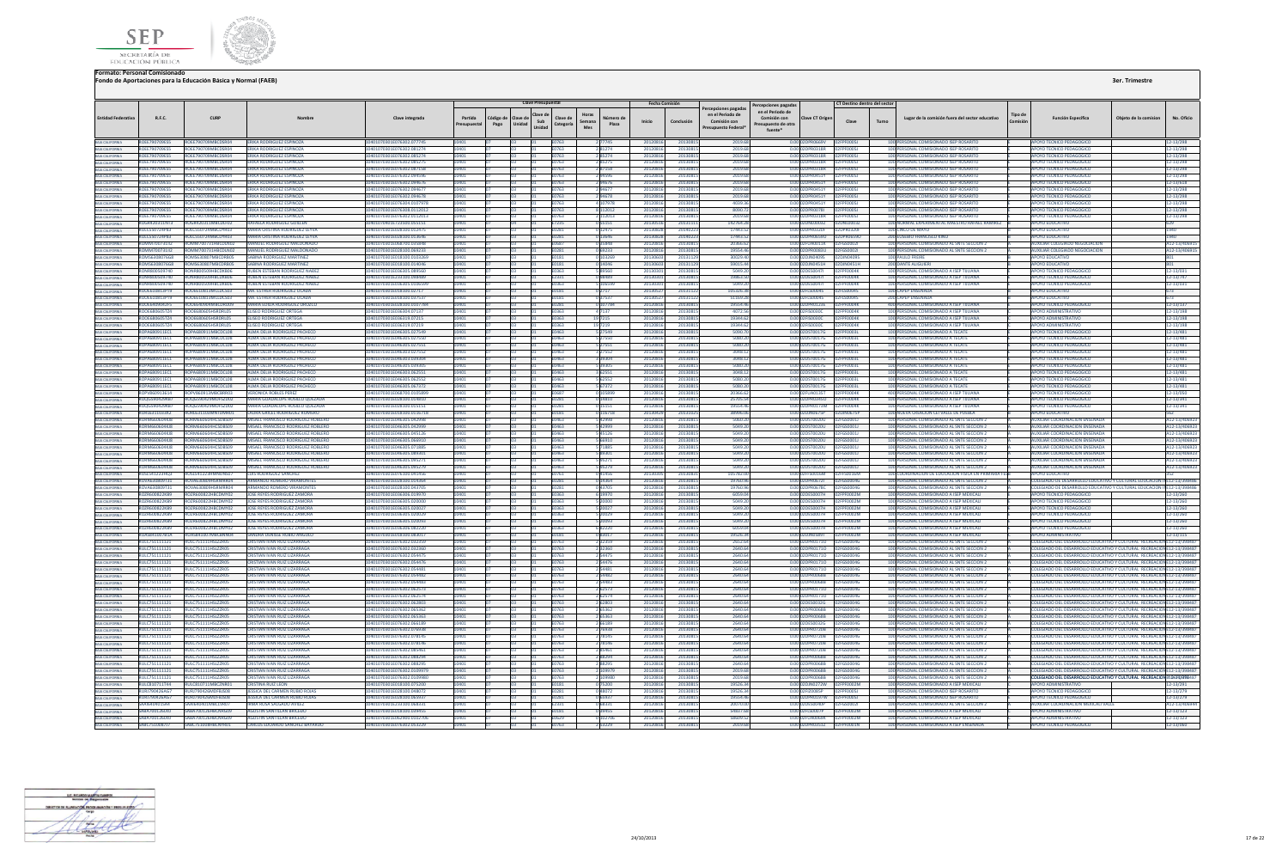



| <b>Entidad Federativa</b>                                                                   | R.F.C.                                       | CURP                                             | Nombre                                                                   | Clave integrada                                        | Partida<br>resupuestal | Código de<br>Pago | <b>Clave Presupuestal</b><br>Clave de<br>lave de<br>Sub<br>Unidad<br>Unidad | Horas<br>Clave de<br>Semana<br>Categoría<br>Mes | Número di<br>Plaza      | <b>Fecha Comisión</b><br>Inicio | Conclusión           | ercepciones pagadas<br>en el Periodo de<br>Comisión con<br>resupuesto Federa | Percepciones pagada:<br>en el Periodo de<br>Comisión con<br>Presupuesto de otra<br>fuente* | Clave CT Origen                                           | CT Destino dentro del sector<br>Clave | Turno | Lugar de la comisión fuera del sector educativo                                          | Tipo de | Función Específica                                                                                                                               | Obieto de la comision | No. Oficio                    |
|---------------------------------------------------------------------------------------------|----------------------------------------------|--------------------------------------------------|--------------------------------------------------------------------------|--------------------------------------------------------|------------------------|-------------------|-----------------------------------------------------------------------------|-------------------------------------------------|-------------------------|---------------------------------|----------------------|------------------------------------------------------------------------------|--------------------------------------------------------------------------------------------|-----------------------------------------------------------|---------------------------------------|-------|------------------------------------------------------------------------------------------|---------|--------------------------------------------------------------------------------------------------------------------------------------------------|-----------------------|-------------------------------|
|                                                                                             | ROEE790709ES5                                | ROEE790709MBCDSR04                               | ERIKA RODRIGUEZ ESPINOZA                                                 | 10401070301E076302.077745                              |                        |                   | E0763                                                                       |                                                 |                         | 20120816                        |                      | 2019.68                                                                      |                                                                                            | VOAANDROCO INN                                            |                                       |       | 100 PERSONAL COMISIONADO ISEP ROSARITO                                                   |         | AROVO TECNICO REDAGOGICO                                                                                                                         |                       | 12-13/298                     |
| BAIA CALIFORNIA<br>BAIA CALIFORNIA                                                          | <b>ROEE790709ES5</b>                         | ROFF790709MRCDSR04                               | ERIKA RODRIGUEZ ESPINOZA                                                 | 10401070301E076302.081274                              | 10401                  |                   | E0763                                                                       |                                                 | 281274                  | 20120816                        | 2013081              | 2019.6                                                                       |                                                                                            | 0.0002DPR0318R 02FPF0005L                                 |                                       |       | 100 PERSONAL COMISIONADO ISEP ROSARITO                                                   |         | APOYO TECNICO PEDAGOGICO                                                                                                                         |                       | 12-13/298                     |
| BAIA CALIFORNIA<br>BAIA CALIFORNIA                                                          | <b>ROFF790709FS5</b>                         | ROFF790709MRCDSR04                               | <b>FRIKA RODRIGUEZ ESPINOZA</b>                                          | 0401070301E076302.085274                               |                        |                   |                                                                             | 63763                                           | 285274                  | 20120816                        | 2013081              | 2019.61                                                                      | 0.00                                                                                       | 02DPR0318R                                                | <b>ZEPENDOST</b>                      |       | 100 PERSONAL COMISIONADO ISEP ROSARITO                                                   |         | POYO TECNICO PEDAGOGICO                                                                                                                          |                       | 2-13/298                      |
|                                                                                             | ROEE790709ES5                                | ROEE790709MBCDSR04                               | ERIKA RODRIGUEZ ESPINOZA                                                 | 10401070301E076302.085275                              | 10401                  |                   | E0763                                                                       |                                                 | 285275                  | 20120816                        | 20130815             | 2019.61                                                                      |                                                                                            | 0.00 02DPR0318R                                           | 02FPF00051                            |       | 100 PERSONAL COMISIONADO ISEP ROSARITO                                                   |         | APOYO TECNICO PEDAGOGICO                                                                                                                         |                       | 12-13/298                     |
| BAIA CALIFORNIA<br>BAIA CALIFORNIA                                                          | <b>ROFF790709FS5</b>                         | ROFF790709MRCDSR04<br><b>POEE700700MBCDSP04</b>  | <b>FRIKA RODRIGUEZ ESPINOZA</b>                                          | 10401070301E076302.087158                              | 10401                  |                   |                                                                             | <b>F0763</b>                                    | 287158                  | 20120816                        | 20130815             | 2019.68                                                                      |                                                                                            | 0.0002DPR0318R 02EPE0005L                                 |                                       |       | 100 PERSONAL COMISIONADO ISEP ROSARITO                                                   |         | APOYO TECNICO PEDAGOGICO                                                                                                                         |                       | 12-13/298                     |
|                                                                                             | ROFF790709ESS<br>ROEE790709ES5               | <b>ROEE700700MBCDSR04</b>                        | <b>FRIKA RODRIGUEZ ESPINOZA</b><br><b>ERIKA RODRIGUEZ ESPINOZA</b>       | 10401070301F076302.094596<br>10401070301E076302.094676 |                        |                   | <b>E0763</b>                                                                | E0763                                           | 294676                  | 2012081<br>20120816             | 2013081<br>2013081   | 2019.6<br>2019.68                                                            |                                                                                            | 0.00.02DPP0451Y<br>0.00102DPR0451Y                        | 02ERE00051<br><b>FPENNOST</b>         |       | 100 PERSONAL COMISIONADO ISEP ROSARITO<br>100 PERSONAL COMISIONADO ISEP ROSARITO         |         | AROVO TECNICO REDAGOGICO<br>APOYO TECNICO PEDAGOGICO                                                                                             |                       | 12-13/298                     |
| BAJA CALIFORNIA<br>BAJA CALIFORNIA<br>BAJA CALIFORNIA                                       | ROEE790709ES5                                | ROEE790709MBCDSR04                               | ERIKA RODRIGUEZ ESPINOZA                                                 | I0401070301E076302.09467                               |                        |                   |                                                                             | E0763                                           |                         | 201208                          | 2013081              | 2019.6                                                                       |                                                                                            | 0.00 02DPR0451Y                                           | PF0005J                               |       | 100 PERSONAL COMISIONADO ISEP ROSARITO                                                   |         | POYO TECNICO PEDAGOGICO                                                                                                                          |                       | 12-13/618<br>$2 - 13/298$     |
|                                                                                             | <b>ROEE790709ES5</b>                         | ROEE790709MBCDSR04                               | <b>ERIKA RODRIGUEZ ESPINOZA</b>                                          | 10401070301E076302.094678                              |                        |                   | E0763                                                                       |                                                 | 294678                  | 20120816                        | 2013081              | 2019.6                                                                       |                                                                                            | 0.00 02DPR0451Y                                           | PF0005J                               |       | 100 PERSONAL COMISIONADO ISEP ROSARITO                                                   |         | <b>APOYO TECNICO PEDAGOGICO</b>                                                                                                                  |                       | 12-13/298                     |
|                                                                                             | ROEE790709ES5                                | ROFF790709MRCDSR04                               | <b>ERIKA RODRIGUEZ ESPINOZA</b>                                          | 10401070301E076304.0107978                             |                        |                   | E0763                                                                       |                                                 | 4 107978                | 20120816                        | 2013081              | 4039.3                                                                       |                                                                                            | 0.00 02DPR0451Y 02FPF0005J                                |                                       |       | 100 PERSONAL COMISIONADO ISEP ROSARITO                                                   |         | APOYO TECNICO PEDAGOGICO                                                                                                                         |                       | 12-13/298                     |
|                                                                                             | <b>POEEZOOZOOESS</b>                         | <b>ROEE790709MBCDSR04</b>                        | <b>FRIKA RODRIGUEZ ESPINOZA</b>                                          | 10401070301E076308 0112012                             |                        |                   |                                                                             | <b>F0763</b>                                    | 2112012                 | 20120816                        | 20130815             | snon 7                                                                       |                                                                                            | 0.00020PR0028L 02ERE005L                                  |                                       |       | 100 PERSONAL COMISIONADO ISER ROSARITO                                                   |         | AROVO TECNICO REDAGOGICO                                                                                                                         |                       | 12-13/298                     |
| BAJA CALIFORNIA<br>BAJA CALIFORNIA<br>BAJA CALIFORNIA                                       | <b>ROEE790709ESS</b>                         | ROFF790709MRCDSR04                               | ERIKA RODRIGUEZ ESPINOZA                                                 | I0401070301E076302.011201                              |                        |                   | E0763                                                                       |                                                 | 2 112013                | 2012081                         | 2013081              | 2019.6                                                                       |                                                                                            | 0.00 02DPR0318R                                           | 2FPF0005J                             |       | 100 PERSONAL COMISIONADO ISEP ROSARITO                                                   |         | APOYO TECNICO PEDAGOGICO                                                                                                                         |                       | 12-13/298                     |
| BAJA CALIFORNIA<br>BAJA CALIFORNIA                                                          | ROGR420311NT3                                | ROGR420311MBCDLF02                               | <b>RAFAELA RODRIGUEZ GUILLEN</b>                                         | 0401070401E723500.055151                               |                        |                   |                                                                             | E7235                                           | 055151                  | 2013051                         | 2013111              | 142764.2                                                                     |                                                                                            | 0.00 02DNL0003Z 02DNL0003Z                                |                                       |       | 100 NORMAL EXPERIMENTAL MAESTRO RAFAEL RAMIREZ                                           |         | POYO EDUCATIVO                                                                                                                                   |                       | 529                           |
|                                                                                             | ROLC550724P83                                | ROLC550724MBCDYR03<br><b>ROLC550724MRCDYR03</b>  | MARIA CRISTINA RODRIGUEZ LEYV                                            | 10401070301E028100.012475                              |                        |                   | E0281                                                                       |                                                 | 0 12475                 | 20130828                        | 2014022              | 17443.5                                                                      |                                                                                            | 0.00 02DPR0320F                                           | 02DPR0320F                            |       | 100 CINCO DE MAYO                                                                        |         | <b>APOYO EDUCATIVO</b>                                                                                                                           |                       | 1940                          |
| BAJA CALIFORNIA                                                                             | ROLCS50724P83<br><b>ROMM700731II2</b>        | <b>POMM200721HRCDLN02</b>                        | MARIA CRISTINA RODRIGUEZ LEYVA<br>MANUEL RODRIGUEZ MALDONADO             | 10401070301E028100.013646<br>10401070301F068700 035848 |                        |                   | <b>F0687</b>                                                                | E0281                                           | 0 13646<br>035848       | 20130828<br>20120816            | 20140223<br>20130815 | 17443.52<br>20366.63                                                         |                                                                                            | 0.0002FUA0011K 02FGS0002L                                 |                                       |       | 200 EUSEBIO FRANCISCO KINO<br>100 PERSONAL COMISIONADO AL SNTE SECCION 2                 |         | <b>APOYO EDUCATIVO</b><br>AUXILIAR COLEGIADO NEGOCIACION                                                                                         |                       | 1940<br>A12-13/40691          |
| BAIA CALIFORNIA<br>BAIA CALIFORNIA                                                          | <b>ROMM700731II2</b>                         | ROMM700731HRCDLN02                               | MANUEL RODRIGUEZ MALDONADO                                               | 10401070301E028100.069233                              |                        |                   | E0281                                                                       |                                                 | 0 69233                 | 20120816                        | 2013081              | 1955446                                                                      |                                                                                            | 0.00 02DPR0083U 02FGS0002I                                |                                       |       | 100 PERSONAL COMISIONADO AL SNTE SECCION 2                                               |         | <b>MIXILIAR COLEGIADO NEGOCIACION</b>                                                                                                            |                       | A12-13/40691                  |
|                                                                                             | ROMS6308076G8                                | ROMS630807MBCDRB0S                               | SARINA RODRIGUEZ MARTINEZ                                                | 0401070301E018100.010326                               |                        |                   |                                                                             |                                                 | 103269                  | 201306                          | 201311               | 30029.4                                                                      |                                                                                            | 0.00 02DJN0409S                                           | <b>2DINNANGS</b>                      |       | 100 PAULO FREIRE                                                                         |         | POYO EDUCATIVO                                                                                                                                   |                       |                               |
| BAJA CALIFORNIA<br>BAJA CALIFORNIA                                                          | ROMS6308076G8                                | ROMS630807MBCDRB05                               | SABINA RODRIGUEZ MARTINEZ                                                | I0401070301E018100.014046                              |                        |                   | E0181                                                                       |                                                 | 0 14046                 | 201306                          | 20131129             | 59015.4                                                                      |                                                                                            | 0.00 02DJN0451H 02DJN0451H                                |                                       |       | <b>200 DANTE AUGUIERI</b>                                                                |         | POYO EDUCATIVO                                                                                                                                   |                       | 301                           |
| BAJA CALIFORNIA                                                                             | RONR800509740                                | <b>RONR800509HRCDXB06</b>                        | RUBEN ESTEBAN RODRIGUEZ NAĐE                                             | 0401070301E036305.089560                               |                        |                   |                                                                             | 0363                                            |                         | 201303                          | 2013081              | 5049.2                                                                       |                                                                                            | 0.00 02DES0047                                            | <b>2FPF0004K</b>                      |       | 100 PERSONAL COMISIONADO A ISEP TUUANA                                                   |         | POYO TECNICO PEDAGOGICO                                                                                                                          |                       | 12-13/031                     |
| <b>BAJA CALIFORNIA</b>                                                                      | <b>RONR800509740</b>                         | RONR800509HRCDXR06                               | <b>RUBEN ESTERAN RODRIGUEZ NADEZ</b>                                     | 10401070301F233100.098489                              |                        |                   |                                                                             | F2331                                           | <b>PRASP 0</b>          | 2013030                         | 20130815             | 19863.50                                                                     |                                                                                            | 0.0002DES0047L 02EPE0004K                                 |                                       |       | 100 PERSONAL COMISIONADO A ISEP TIJUANA                                                  |         | APOYO TECNICO PEDAGOGICO                                                                                                                         |                       | 12-13/747                     |
| BAJA CALIFORNIA                                                                             | RONRR00509740                                | <b>RONR800509HRCDXB06</b>                        | <b>RUBEN ESTERAN RODRIGUEZ NADEZ</b>                                     | 10401070301E036305.0106599                             | 0401                   |                   | E0363                                                                       |                                                 | 5 106599                | 2013030                         | 20130815             | 5049.26                                                                      |                                                                                            | 0.0002DES0047L 02EPE0004K                                 |                                       |       | 100 PERSONAL COMISIONADO A ISEP TIILIANA                                                 |         | APOYO TECNICO PEDAGOGICO                                                                                                                         |                       | 12-13/031                     |
| BAJA CALIFORNIA<br>BAJA CALIFORNIA                                                          | ROOE610813PT9                                | ROOE610813MCLDCS03                               | <b>MA, ESTHER RODRIGUEZ OCADA</b>                                        | 0401070301E018100.02717                                |                        |                   |                                                                             |                                                 |                         | 201305                          | 2013112              | 105326.3                                                                     |                                                                                            | 2FLS0004S                                                 | <b>2FLS0004S</b>                      |       | <b>100 CAPEP ENSENADA</b>                                                                |         | <b>POYO EDUCATIVO</b>                                                                                                                            |                       |                               |
|                                                                                             | ROOE610813PT9<br>ROOE6409042F5               | ROOE610813MCLDCS03<br>OOE640904MBCDRD09          | MA. ESTHER RODRIGUEZ OCADA<br><b>MARIA EDILIA RODRIGUEZ OROZCO</b>       | 10401070301E018100.03753<br>I0401070301E028100.010778  |                        |                   | E0181                                                                       | 0281                                            | 107784                  | 201305<br>201208                | 2013112<br>2013081   | 51169.<br>19554.4                                                            |                                                                                            | 0.00 02FLS0004S<br>0.00 02DPR0123E                        | 2FLS0004S<br>FPF0004K                 |       | 200 CAPEP ENSENADA<br>400 PERSONAL COMISIONADO A ISEP TUUANA                             |         | OYO EDUCATIVO<br>OYO TECNICO PEDAGOGIO                                                                                                           |                       | 73<br>12513/137               |
| BAIA CALIFORNIA<br>BAIA CALIFORNIA<br>BAIA CALIFORNIA<br>BAIA CALIFORNIA<br>BAIA CALIFORNIA | ROOF680605T74                                | <b>ROOF680605HSRDRIOS</b>                        | <b>FLISEO RODRIGUEZ ORTEGA</b>                                           | I0401070301E036304.07137                               |                        |                   | <b>F0363</b>                                                                |                                                 | 4 7137                  | 2012081                         | 2013081              | 4072.5                                                                       |                                                                                            | 0.00 02FIS0030C                                           | 02FPF0004K                            |       | 100 PERSONAL COMISIONADO A ISEP TILIJANA                                                 |         | <b>APOYO ADMINISTRATIVO</b>                                                                                                                      |                       | 12-13/198                     |
|                                                                                             | ROOE680605TZ4                                | ROOE680605HSRDRL05                               | <b>ELISEO RODRIGUEZ ORTEGA</b>                                           | 10401070301E036319.07215                               |                        |                   | E0363                                                                       |                                                 | 19 7 215                | 20120816                        | 20130815             | 19344.62                                                                     |                                                                                            |                                                           |                                       |       | 100 PERSONAL COMISIONADO A ISEP TUUANA                                                   |         | <b>APOYO ADMINISTRATIVO</b>                                                                                                                      |                       | 12-13/198                     |
|                                                                                             | ROOF680605T74                                | <b><i>ROOF680605HSPDRIOS</i></b>                 | <b>FLISEO RODRIGUEZ ORTEGA</b>                                           | 0401070301E036319.0721                                 |                        |                   |                                                                             | F0363                                           |                         | 2012081                         | 2013081              | 19344.6                                                                      |                                                                                            | 0.00 02FIS0030C                                           | n2FPF0004K                            |       | 100 PERSONAL COMISIONADO A ISEP TIILIANA                                                 |         | ΔΡΩΥΩ ΔΩΜΙΝΙΣΤΡΑΤΙΝΩ                                                                                                                             |                       | 12-13/198                     |
|                                                                                             | ROPA680911EC1                                | ROPA680911MBCDCL08                               | <b>ALMA DELIA RODRIGUEZ PACHE</b>                                        | 10401070301E046305.027549                              |                        |                   | E0463                                                                       |                                                 | 5 27549                 | 201208                          | 2013081              | 5090.7                                                                       |                                                                                            | 0.00 02DST0017G                                           | EFPF0003L                             |       | 100 PERSONAL COMISIONADO A TECATE                                                        |         | APOYO TECNICO PEDAGOGIO                                                                                                                          |                       | 12-13/481                     |
| BAIA CALIFORNIA<br>BAIA CALIFORNIA                                                          | ROPA680911EC1                                | ROPA680911MBCDCL08                               | ALMA DELIA RODRIGUEZ PACHECO                                             | 10401070301E046305.027550                              |                        |                   |                                                                             | 0463                                            | 5 27550                 | 20120816                        | 20130815             | 5080.20                                                                      |                                                                                            | 0.00 02DST0017G                                           | 2FPF0003L                             |       | 100 PERSONAL COMISIONADO A TECATE                                                        |         | POYO TECNICO PEDAGOGICO                                                                                                                          |                       | 12-13/481                     |
|                                                                                             | ROPA680911FC1                                | ROPA680911MBCDCL08                               | AIMA DELIA RODRIGUEZ PACHECO                                             | 10401070301F046305 027551                              |                        |                   | E0463                                                                       |                                                 | 5 27551                 | 20120816                        | 20130815             | 5080.20                                                                      |                                                                                            | 0.00.02DST0017G                                           | 02EPE0003L                            |       | 100 PERSONAL COMISIONADO A TECATE                                                        |         | APOYO TECNICO PEDAGOGICO                                                                                                                         |                       | 12-13/481                     |
| BAIA CALIFORNIA<br>BAIA CALIFORNIA<br>BAIA CALIFORNIA                                       | ROPA680911EC1                                | ROPA680911MBCDCL08                               | ALMA DELIA RODRIGUEZ PACHECO                                             | 10401070301E046303.027552                              |                        |                   |                                                                             | E0463                                           | 3 27552                 | 20120816                        | 2013081              | 3048.12                                                                      |                                                                                            | 0.00 02DST0017G 02FPF0003L                                |                                       |       | 100 PERSONAL COMISIONADO A TECATE                                                        |         | APOYO TECNICO PEDAGOGICO                                                                                                                         |                       | 12-13/481                     |
|                                                                                             | ROPA680911FC1<br><b>POPASSO911EC1</b>        | ROPA680911MBCDCI08<br>RORAGROS11MBCDCIOR         | AIMA DELIA RODRIGUEZ PACHECO<br>ALMA DELIA RODRIGUEZ RACHECC             | 10401070301F046303 039304<br>104010702015046205.029205 |                        |                   |                                                                             | FN463<br>EOA63                                  | <b>BUEPE</b> E<br>20205 | 20120816<br>2012081             | 20130815<br>2013091  | 3048.12<br>5080.20                                                           |                                                                                            | 0.00102DST0017G 02EPE0003L<br>0.00 02DST0017G             | 250500031                             |       | 100 PERSONAL COMISIONADO A TECATE<br>100 PERSONAL COMISIONADO A TECATE                   |         | APOYO TECNICO PEDAGOGICO<br>AROVO TECNICO REDAGOGICO                                                                                             |                       | 12-13/481                     |
|                                                                                             | ROPA680911EC1                                | ROPA680911MBCDCL08                               | ALMA DELIA RODRIGUEZ PACHECO                                             | 0401070301E046303.06255                                |                        |                   |                                                                             |                                                 |                         | 201208                          | 2013081              | 3048.1                                                                       |                                                                                            | ST0017G                                                   | F0003L                                |       | 100 PERSONAL COMISIONADO A TECATE                                                        |         | OYO TECNICO PEDAGOGICO                                                                                                                           |                       | 12-13/481<br>2-13/481         |
| BAIA CALIFORNIA<br>BAIA CALIFORNIA                                                          | ROPA680911FC1                                | ROPA680911MBCDCL08                               | ALMA DELIA RODRIGUEZ PACHECO                                             | 10401070301F046305.062552                              |                        |                   |                                                                             | FN463                                           | 5 62552                 | 20120816                        | 20130815             | 5080.20                                                                      |                                                                                            | 0.00.02DST0017G                                           | <b>EPENDARI</b>                       |       | 100 PERSONAL COMISIONADO A TECATE                                                        |         | APOYO TECNICO PEDAGOGICO                                                                                                                         |                       | 12-13/481                     |
|                                                                                             | ROPA680911EC1                                | ROPA680911MBCDCL08                               | ALMA DELIA RODRIGUEZ PACHECO                                             | 10401070301E046305.067372                              |                        |                   |                                                                             | E0463                                           | 5 67372                 | 20120816                        | 2013081              | 5080.20                                                                      |                                                                                            | 0.00 02DST0017G                                           | 2FPF0003L                             |       | 100 PERSONAL COMISIONADO A TECATE                                                        |         | <b>IPOYO TECNICO PEDAGOGICO</b>                                                                                                                  |                       | 12-13/481                     |
| BAIA CALIFORNIA<br>BAIA CALIFORNIA<br>BAIA CALIFORNIA                                       | ROPV860913614                                | ROPV860913MBCBRR03                               | <b>VERONICA ROBLES PEREZ</b>                                             | 10401070301F068700.0105899                             |                        |                   | <b>F0687</b>                                                                |                                                 | 1105899                 | 20120816                        | 2013081              | 20366.62                                                                     |                                                                                            | 0.00 02EU40135T                                           | 12FPF0004K                            |       | 400 PERSONAL COMISIONADO A ISEP TIILIANA                                                 |         | APOYO TECNICO PEDAGOGICO                                                                                                                         |                       | 12-13/050                     |
|                                                                                             | ROOG590429KB7                                | ROOGS90429MDES2D02                               | MARIA GUADALLIRE ROSILLO OUEZADA                                         | 10401070201E028100.014810                              |                        |                   | E0281                                                                       |                                                 | 0 14810                 | 20120816                        | 20130815             | 25705.54                                                                     |                                                                                            | 0.00 02DPR03450 02FPF0004K                                |                                       |       | 100 PERSONAL COMISIONADO A ISEP TIILIANA                                                 |         | AROVO TECNICO REDAGOGICO                                                                                                                         |                       | 12-13/341                     |
| BAIA CALIFORNIA<br>BAIA CALIFORNIA                                                          | ROQG590429KB7                                | 00G590429MDFSZD02                                | MARIA GUADALUPE ROSILLO QUEZAD/                                          | 0401070301E028100.01515                                |                        |                   |                                                                             |                                                 | 15151                   | 201208                          | 201308               | 19554.4                                                                      |                                                                                            | PR0173M                                                   | F0004K                                |       | 100 PERSONAL COMISIONADO A ISEP TUUAN/                                                   |         | OYO TECNICO PEDAGOGICO                                                                                                                           |                       | $2 - 13/341$                  |
|                                                                                             | RORL6311033X2                                | RORL631103MNTDMR01                               | LAURA GRICEL RODRIGUEZ ROMERO                                            | 10401070301E018100.0116718                             |                        |                   |                                                                             | E0181                                           | 116718                  | 201304                          | 201310               | 38996.0                                                                      |                                                                                            | 0.00 02DJN0675P                                           | 2DJN0675P                             |       | 100 NUEVA CREACION CEI VALLE DE PUEBLA                                                   |         | <b>POYO EDUCATIVO</b>                                                                                                                            |                       |                               |
| BAIA CALIFORNIA<br>BAIA CALIFORNIA<br>BAIA CALIFORNIA<br>BAIA CALIFORNIA                    | <b>RORM660604KJ8</b><br><b>RORM660604KIS</b> | RORM660604HCSDBS09<br><b>RORM660604HCSDRS09</b>  | MISAEL FRANCISCO RODRIGUEZ ROBLERO<br>MISAEL FRANCISCO RODRIGUEZ ROBLERO | 10401070301E046305.042998                              |                        |                   |                                                                             | E0463<br><b>FN463</b>                           | 42998<br>42999          | 2012081                         | 2013081              | 5060.2<br>5049.20                                                            |                                                                                            | 0.00 02DST0020U<br>0.00102DST0020U                        | 2FGS0001J<br>02EGS00011               |       | 100 PERSONAL COMISIONADO AL SNTE SECCION<br>100 PERSONAL COMISIONADO AL SNTE SECCIÓN 2   |         | UXILIAR COORDINACION ENSENADA                                                                                                                    |                       | 12-13/40692                   |
|                                                                                             | <b>ROBMAGGOGO AVIS</b>                       | <b>ROBM660604HCSDRS09</b>                        | MISAEL ERANCISCO RODRIGUEZ ROBLERO                                       | 10401070301E046305.042999<br>10401070201E046205.04512  |                        |                   | EOA63                                                                       |                                                 | 545126                  | 20120816<br>2012081             | 2013081<br>2013081   | 5049.20                                                                      |                                                                                            | 0.00 02DST0020U                                           | <b>DOEGSOOO1</b>                      |       | 100 PERSONAL COMISIONADO AL SNTE SECCION                                                 |         | <b>AUXILIAR COORDINACION ENSENADA</b><br>AUYUJAR COORDINACION ENSENADA                                                                           |                       | A12-13/406923<br>412-13/40692 |
|                                                                                             | RORM660604KJ8                                | RORM660604HCSDBS09                               | MISAEL FRANCISCO RODRIGUEZ ROBLERO                                       | 10401070301E046305.06691                               |                        |                   | E0463                                                                       |                                                 |                         | 2012081                         | 2013081              | 5049.2                                                                       |                                                                                            | 0.00 02DST0020U                                           | 02FGS0001J                            |       | 100 PERSONAL COMISIONADO AL SNTE SECCION :                                               |         | UXILIAR COORDINACION ENSENADA                                                                                                                    |                       | A12-13/40692                  |
| BAJA CALIFORNIA                                                                             | RORM660604KJ8                                | RORM660604HCSDBS09                               | MISAEL FRANCISCO RODRIGUEZ ROBLERO                                       | 10401070301E046305.07188                               |                        |                   | E0463                                                                       |                                                 | 571885                  | 2012081                         | 2013081              | 5049.20                                                                      |                                                                                            | 0.00 02DST0020U                                           | 02FGS0001J                            |       | 100 PERSONAL COMISIONADO AL SNTE SECCION :                                               |         | <b>AUXILIAR COORDINACION ENSENADA</b>                                                                                                            |                       | 12-13/40692                   |
| BAJA CALIFORNIA                                                                             | RORM660604KJ8                                | RORM660604HCSDBS09                               | MISAEL FRANCISCO RODRIGUEZ ROBLERO                                       | 10401070301E046305.089301                              | 0401                   |                   |                                                                             | E0463                                           | 589301                  | 20120816                        | 20130815             | 5049.20                                                                      |                                                                                            | 0.00 02DST0020U 02FG50001J                                |                                       |       | 100 PERSONAL COMISIONADO AL SNTE SECCION 2                                               |         | <b>AUXILIAR COORDINACION ENSENADA</b>                                                                                                            |                       | A12-13/406923                 |
| BAJA CALIFORNIA                                                                             | <b>RORM660604KIR</b>                         | <b>RORM660604HCSDRS09</b>                        | MISAEL FRANCISCO RODRIGUEZ ROBLERO                                       | 10401070301F046305.095271                              |                        |                   |                                                                             | FN463                                           | 595271                  | 20120816                        | 2013081              | 5049.20                                                                      |                                                                                            | 0.0002DST0020U                                            | D2EGS00011                            |       | 100 PERSONAL COMISIONADO AL SNTE SECCIÓN 2                                               |         | MIXILIAR COORDINACION ENSENADA                                                                                                                   |                       | A12-13/406923                 |
| BAIA CALIFORNIA                                                                             | RORM660604KIR                                | RORM660604HCSDBS09                               | MISAEL FRANCISCO RODRIGUEZ ROBLERO                                       | 10401070301F046305.095279                              |                        |                   |                                                                             | FN463                                           | 595279                  | 20120816                        | 2013081              | 5049.20                                                                      |                                                                                            | 0.0002DST0020U 02EGS0001L                                 |                                       |       | 100 PERSONAL COMISIONADO AL SNTE SECCIÓN                                                 |         | <b>UXILIAR COORDINACION ENSENADA</b>                                                                                                             |                       | A12-13/406923                 |
| BAIA CALIFORNIA                                                                             | <b>ROSI 541223HO3</b><br>ROVA630809T31       | ROSI 541223HMNDNS07<br><b>ROVA630809HSPMPROM</b> | <b>LUIS RODRIGUEZ SANCHEZ</b><br>ARMANDO ROMERO VIRAMONTE                | 10401070301F076100 041456<br>10401070201E028100.014364 |                        |                   | FN761                                                                       |                                                 | 141456                  | 201303                          | 2013083              | 105782.0                                                                     |                                                                                            | 0.00 02FFS0016M<br>0.00 02DPR0672L                        | D2FFS0016M<br><b>DREGSOONS</b>        |       | 100 COORDINACION DE EDUCACION FISICA EN PRIMARIA                                         |         | ΔΡΩΥΩ ΕΠΙΙΣΑΤΙΛΩ                                                                                                                                 |                       |                               |
| BAIA CALIFORNIA                                                                             | ROVA630809T31                                | OVA630809HSRMRR04                                | ARMANDO ROMERO VIRAMONTES                                                | 0401070301E028100.04370                                | 10401                  |                   | E0281                                                                       | 0281                                            | 0 14364                 | 20120816<br>201208              | 20130815<br>2013081  | 19760.96<br>19760.9                                                          | 0.00                                                                                       | <b>PR0678C</b>                                            | <b>FGS0004G</b>                       |       | 100 PERSONAL COMISIONADO AL SNTE SECCION 2<br>100 PERSONAL COMISIONADO AL SNTE SECCION : |         | COLEGIADO DE DESARROLLO EDUCATIVO Y CULTURAL EDUCACION IN E12-13/398486<br>LEGIADO DE DESARROLLO EDUCATIVO Y CULTURAL EDUCACION II               |                       | E12-13/398486                 |
| BAIA CALIFORNIA<br>BAIA CALIFORNIA                                                          | <b>ROZR600822KB9</b>                         | ROZR600822HBCDMY02                               | JOSE REYES RODRIGUEZ ZAMORA                                              | 10401070301E036306.019970                              |                        |                   |                                                                             | <b>E0363</b>                                    | 6 19970                 | 20120816                        | 20130815             | 6059.0                                                                       |                                                                                            | 0.00.02DES0007H                                           | 02FPF0002M                            |       | 100 PERSONAL COMISIONADO A ISEP MEXICALI                                                 |         | APOYO TECNICO PEDAGOGICO                                                                                                                         |                       | 12-13/260                     |
| <b>BAIA CALIFORNIA</b>                                                                      | ROZR600822KR9                                | ROZR600822HRCDMY02                               | <b>IOSE REYES RODRIGUEZ ZAMORA</b>                                       | 10401070301E036305.020000                              |                        |                   | F0363                                                                       |                                                 | 520000                  | 20120816                        | 20130815             | 5049.26                                                                      |                                                                                            | 0.00.02DES0007H                                           | 02FPF0002M                            |       | 100 PERSONAL COMISIONADO A ISEP MEXICALI                                                 |         | <b>POYO TECNICO PEDAGOGICO</b>                                                                                                                   |                       | 12-13/260                     |
| BAJA CALIFORNIA                                                                             | ROZR600822KR9                                | ROZR600822HRCDMY02                               | <b>JOSE REYES RODRIGUEZ ZAMORA</b>                                       | 10401070301E036305.020027                              |                        |                   |                                                                             | F0363                                           | 520027                  | 20120816                        | 2013081              | 5049.20                                                                      |                                                                                            | 0.00.02DES0007H                                           | 02FPF0002M                            |       | 100 PERSONAL COMISIONADO A ISEP MEXICALI                                                 |         | <b>APOYO TECNICO PEDAGOGICO</b>                                                                                                                  |                       | 12-13/260                     |
| BAJA CALIFORNIA                                                                             | <b>POZPEDDR22KRQ</b>                         | <b>ROZR600822HBCDMV02</b>                        | <b>IOSE REVES RODRIGHEZ ZAMORA</b>                                       | 10401070301E036305.020029                              |                        |                   | E0363                                                                       |                                                 | 520029                  | 20120816                        | 20130815             | 5049.20                                                                      |                                                                                            | 0.00 02DES0007H                                           | <b>DREDEDOOPM</b>                     |       | 100 PERSONAL COMISIONADO A ISEP MEXICAL                                                  |         | AROVO TECNICO REDAGOGICO                                                                                                                         |                       | 12-13/260                     |
| BAJA CALIFORNIA<br>BAJA CALIFORNIA                                                          | ROZR600822KB9                                | ZR600822HBCDMY02                                 | OSE REYES RODRIGUEZ ZAMORA                                               | 0401070301E036305.02009                                |                        |                   |                                                                             | 0363                                            |                         | 201208                          | 2013081              | 5049.2                                                                       | 0.00                                                                                       | 2DES0007H                                                 | F0002M                                |       | 100 PERSONAL COMISIONADO A ISEP MEXICAL                                                  |         | OYO TECNICO PEDAGOGICO                                                                                                                           |                       | 12-13/260                     |
|                                                                                             | ROZR600822KB9                                | 3600822HBCDMY02                                  | JOSE REYES RODRIGUEZ ZAMORA                                              | 01070301E036306.08222                                  |                        |                   | E0363                                                                       |                                                 | 682220                  | 20120816                        | 2013081              |                                                                              |                                                                                            | 0.00 02DES0007H                                           |                                       |       | 100 PERSONAL COMISIONADO A ISEP MEXICAL                                                  |         | POYO TECNICO PEDAGOGICO                                                                                                                          |                       | 12-13/260                     |
| BAJA CALIFORNIA                                                                             | RUAS841007R1A                                | RUASR41007MRCRNN04                               | SANDRA DENISSE RURIO ANGULO                                              | 10401070301E018100.083017                              |                        |                   |                                                                             | E0181                                           | 083017                  | 20120816                        | 20130815             | 19526.34                                                                     |                                                                                            | 0.00 02D INOSRAT                                          | 02FPF0002M                            |       | 100 PERSONAL COMISIONADO A ISEP MEXICALI<br>100 PERSONAL COMISIONADO AL SNTE SECCION :   |         | <b>APOYO ADMINISTRATIVO</b>                                                                                                                      |                       | 12-13/115                     |
|                                                                                             | RULC751111121                                | <b>RULCZ51111HSLZZROS</b><br>ULC751111HSL77R0    | <b>CRISTIAN IVAN RUIZ UZARRAGA</b>                                       | 10401070301E076302.032359<br>301E076302.03236          |                        |                   |                                                                             | E0763                                           | 232359                  | 20120816<br>20120816            | 2013081<br>2013081   | 2652.6                                                                       |                                                                                            | 0.00 02DPR01710<br>0.00 02DPR0171O                        | 02FGS0004G<br><b>PEGS00040</b>        |       |                                                                                          |         | OLEGIADO DEL DESARROLLO EDUCATIVO Y CULTURAL RECREACION E12-13/398487                                                                            |                       |                               |
| BAJA CALIFORNIA                                                                             | RULC751111121<br>RULC751111121               | JLC751111HSLZZR0                                 | CRISTIAN IVAN RUIZ LIZARRAG.<br>CRISTIAN IVAN RUIZ LIZARRAGA             | 1070301E076302.05447                                   |                        |                   | E0763                                                                       |                                                 | 2 3 2 3 6 0<br>2 5447   | 2012081                         | 2013081              | 2640.6<br>2640.6                                                             |                                                                                            | 0.00 02DPR01710                                           | 2FGS0004G                             |       | 100 PERSONAL COMISIONADO AL SNTE SECCION<br>100 PERSONAL COMISIONADO AL SNTE SECCION :   |         | OLEGIADO DEL DESARROLLO EDUCATIVO Y CULTURAL RECREACION E12-13/398487<br>OLEGIADO DEL DESARROLLO EDUCATIVO Y CULTURAL RECREACIONE12-13/398487    |                       |                               |
| BAJA CALIFORNIA                                                                             | RULC751111121                                | ULC751111HSLZZR05                                | <b>CRISTIAN IVAN RUIZ LIZARRAGA</b>                                      | 10401070301E076302.054476                              |                        |                   |                                                                             | E0763                                           | 2 54476                 | 20120816                        | 20130815             | 2640.6                                                                       |                                                                                            | 0.00 02DPR01710 02FGS0004G                                |                                       |       | 100 PERSONAL COMISIONADO AL SNTE SECCION :                                               |         | ILEGIADO DEL DESARROLLO EDUCATIVO Y CULTURAL RECREACIONE12-13/398487                                                                             |                       |                               |
| <b>BAIA CALIFORNIA</b>                                                                      | RULC751111121                                | RULC751111HSLZZR05                               | CRISTIAN IVAN RUIZ LIZARRAGA                                             | 10401070301E076302.054481                              |                        |                   |                                                                             | E0763                                           | 254481                  | 20120816                        | 20130815             | 2640.6                                                                       |                                                                                            | 0.00 02DPR01710 02FGS0004G                                |                                       |       | 100 PERSONAL COMISIONADO AL SNTE SECCION 2                                               |         | OLEGIADO DEL DESARROLLO EDUCATIVO Y CULTURAL RECREACION E12-13/398487                                                                            |                       |                               |
|                                                                                             | RULC751111121                                | RULC751111HSLZZROS                               | <b>CRISTIAN IVAN RUIZ LIZARRAGA</b>                                      | 10401070301E076302.054482                              |                        |                   |                                                                             | E0763                                           | 2 54482                 | 20120816                        | 20130815             | 2640.64                                                                      |                                                                                            |                                                           |                                       |       | 100 PERSONAL COMISIONADO AL SNTE SECCION 2                                               |         | COLEGIADO DEL DESARROLLO EDUCATIVO Y CULTURAL RECREACION E12-13/398487                                                                           |                       |                               |
|                                                                                             | <b>RUIC751111121</b>                         | III (751111HSI 77RO                              | <b>CRISTIAN IVAN RUIZ UZARRAGA</b>                                       | 0401070301F076302.054483                               |                        |                   | <b>F0763</b>                                                                |                                                 | 2 54483                 | 2012081                         | 2013081              | 2640 F                                                                       |                                                                                            | 0.00 02DPR0068B                                           | 02FGS0004G                            |       | 100 PERSONAL COMISIONADO AL SNTE SECCION 2                                               |         | OLEGIADO DEL DESARROLLO EDUCATIVO Y CULTURAL RECREACION E12-13/398487                                                                            |                       |                               |
| BAIA CALIFORNIA<br>BAIA CALIFORNIA                                                          | <b>RULG751161121</b>                         | <b>RUI (751111HSI 77R05</b>                      | <b>CRISTIAN IVAN RUIZ LIZARRAGA</b>                                      | 10401070301E076302.062573                              |                        |                   | <b>F0763</b>                                                                |                                                 | 2 62573                 | 2012081                         | 2013081              | 2640.64                                                                      |                                                                                            | 0.00 02DPR01710                                           | 02FGS0004G                            |       | 100 PERSONAL COMISIONADO AL SNTE SECCION 2                                               |         | COLEGIADO DEL DESARROLLO EDUCATIVO Y CULTURAL RECREACION E12-13/398487                                                                           |                       |                               |
|                                                                                             | RULC751111121                                | <b>RULC751111HSL77R09</b>                        | <b>CRISTIAN IVAN RUIZ LIZARRAGA</b>                                      | 10401070301E076302.062574                              |                        |                   | E0763                                                                       |                                                 | 2 62574                 | 2012081                         | 2013081              | 2640.64                                                                      |                                                                                            | 0.0002DPR0171Q                                            | 02FGS0004G                            |       | 100 PERSONAL COMISIONADO AL SNTE SECCION 2                                               |         | OLEGIADO DEL DESARROLLO EDUCATIVO Y CULTURAL RECREACION E12-13/398487                                                                            |                       |                               |
| BAJA CALIFORNIA                                                                             | RULC751111121                                | ULC751111HSLZZR05                                | CRISTIAN IVAN RUIZ UZARRAGA                                              | 0401070301E076302.062803                               |                        |                   |                                                                             | F0763                                           | 2 62803                 | 20120816                        | 2013081              | 2640.6                                                                       |                                                                                            | 0.00 02DES0032G                                           | 02EGS0004G                            |       | 100 PERSONAL COMISIONADO AL SNTE SECCION 2                                               |         | OLEGIADO DEL DESARROLLO EDUCATIVO Y CULTURAL RECREACION E12-13/398487                                                                            |                       |                               |
|                                                                                             | RULC751111121<br>RUIC751111121               | RULC751111HSLZZR05<br><b>RULC751111HSL77R05</b>  | <b>CRISTIAN IVAN RUIZ UZARRAGA</b><br><b>CRISTIAN IVAN RUIZ UZARRAGA</b> | 10401070301E076302.065362<br>10401070301E076302.065363 | 10401                  |                   | <b>E0763</b>                                                                | E0763                                           | 2 65362<br>2.65363      | 20120816<br>20120816            | 20130815<br>20130815 | 2640.64<br>2640.64                                                           |                                                                                            | 0.00.02DPR0068B 02EGS0004G                                |                                       |       | 100 PERSONAL COMISIONADO AL SNTE SECCION 2<br>100 PERSONAL COMISIONADO AL SNTE SECCION 2 |         | COLEGIADO DEL DESARROLLO EDUCATIVO Y CULTURAL RECREACION E12-13/398487<br>COLEGIADO DEL DESARROLLO EDUCATIVO Y CULTURAL RECREACION E12-13/398487 |                       |                               |
| BAJA CALIFORNIA                                                                             | RUI (751111121                               | <b>RULC751111HSL77RO</b>                         | <b>CRISTIAN IVAN RUIZ LIZARRAGA</b>                                      | 10401070301E076302.066189                              |                        |                   | <b>F0763</b>                                                                |                                                 | <b>PR189</b>            | 2012081                         | 2013081              | 2640.6                                                                       |                                                                                            | 0.00 02DES0032G                                           | 02EGS0004G                            |       | 100 PERSONAL COMISIONADO AL SNTE SECCIÓN 2                                               |         | COLEGIADO DEL DESARROLLO EDUCATIVO Y CULTURAL RECREACIONE12-13/398487                                                                            |                       |                               |
| BAJA CALIFORNIA                                                                             | <b>RULG751161121</b>                         | <b>RIJI (751111HSI 77RD</b>                      | <b>CRISTIAN IVAN RUIZ LIZARRAGA</b>                                      | 10401070301E076302.076938                              |                        |                   | E0763                                                                       |                                                 | 2 76938                 | 20120816                        | 2013081              | 2640.64                                                                      |                                                                                            | 0.00 02DPR0720B                                           | 02FGS0004G                            |       | 100 PERSONAL COMISIONADO AL SNTE SECCION :                                               |         | OLEGIADO DEL DESARROLLO EDUCATIVO Y CULTURAL RECREACION E12-13/398487                                                                            |                       |                               |
|                                                                                             | RULG7,511111121                              | ILC751111HSLZZRO                                 | CRISTIAN IVAN RUIZ LIZARRAGA                                             | 0401070301E076302.07814                                |                        |                   |                                                                             | 1763                                            | 78145                   | 201208                          | 201308               | 2640.                                                                        |                                                                                            | 2DPR0720B                                                 | 2FGS0004G                             |       | 100 PERSONAL COMISIONADO AL SNTE SECCION :                                               |         | LEGIADO DEL DESARROLLO EDUCATIVO Y CULTURAL RECREACIONE12-13/398487                                                                              |                       |                               |
| BAJA CALIFORNIA<br>BAJA CALIFORNIA                                                          | RULC751111121                                | RULC751111HSL77R05                               | <b>CRISTIAN IVAN RUIZ LIZARRAGA</b>                                      | 10401070301E076302.078146                              |                        |                   |                                                                             | E0763                                           | 2 78146                 | 20120816                        | 20130815             | 2640.64                                                                      |                                                                                            | 0.00 02DPR0720B 02FGS0004G                                |                                       |       | 100 PERSONAL COMISIONADO AL SNTE SECCION 2                                               |         | COLEGIADO DEL DESARROLLO EDUCATIVO Y CULTURAL RECREACION E12-13/398487                                                                           |                       |                               |
|                                                                                             | RULC751111121                                | RULC751111HSLZZR05                               | <b>CRISTIAN IVAN RUIZ LIZARRAGA</b>                                      | 10401070301E076302.085461                              |                        |                   | E0763                                                                       |                                                 | 285461                  | 20120816                        | 20130815             | 2640.6                                                                       |                                                                                            | 0.00 02DPR0720B 02FGS0004G                                |                                       |       | 100 PERSONAL COMISIONADO AL SNTE SECCION 2                                               |         | COLEGIADO DEL DESARROLLO EDUCATIVO Y CULTURAL RECREACION E12-13/398487                                                                           |                       |                               |
| BAIA CALIFORNIA<br>BAIA CALIFORNIA<br>BAIA CALIFORNIA                                       | RUIC751111121                                | <b>RULC751111HSL77R05</b>                        | <b>CRISTIAN IVAN RUIZ LIZARRAGA</b>                                      | 10401070301E076302.088294                              |                        |                   |                                                                             | F0763                                           | 288294                  | 20120816                        | 20130815             | 2640.64                                                                      |                                                                                            | 0.0002DPR0068B 02EGS0004G                                 |                                       |       | 100 PERSONAL COMISIONADO AL SNTE SECCION 2                                               |         | COLEGIADO DEL DESARROLLO EDUCATIVO Y CULTURAL RECREACIÓN E12-13/398487                                                                           |                       |                               |
|                                                                                             | RULC751111121                                | ULC751111HSLZZR0                                 | CRISTIAN IVAN RUIZ LIZARRAG                                              | 01070301E076302.08829                                  |                        |                   |                                                                             |                                                 | 288295                  | 201208                          | 2013081              | 2640.6                                                                       |                                                                                            |                                                           |                                       |       | 100 PERSONAL COMISIONADO AL SNTE SECCION                                                 |         | DLEGIADO DEL DESARROLLO EDUCATIVO Y CULTURAL RECREACION E12-13/39848                                                                             |                       |                               |
| BAJA CALIFORNIA<br>BAJA CALIFORNIA                                                          | RULC751111121<br>RULC751111121               | ULC751111HSLZZR05                                | <b>CRISTIAN IVAN RUIZ LIZARRAGA</b>                                      | 0401070301E076302.0109979                              |                        |                   |                                                                             | E0763                                           | 2 109980                | 20120816                        | 2013081              | 2019.61                                                                      |                                                                                            | 0.00 02DPR0068B 02FGS0004G                                |                                       |       | 100 PERSONAL COMISIONADO AL SNTE SECCION 2<br>100 PERSONAL COMISIONADO AL SNTE SECCION 2 |         | EGIADO DEL DESARROLLO EDUCATIVO Y CULTURAL RECREACION E12-13/398487                                                                              |                       |                               |
|                                                                                             | RULC810711T44                                | RULC751111HSLZZR05<br>RULC810711MBCZNR01         | <b>CRISTIAN IVAN RUIZ LIZARRAGA</b><br><b>CRISTINA RUIZ LEON</b>         | 10401070301E076302.0109<br>10401070301E018100.075200   | 10401                  |                   | E0763                                                                       | E0181                                           | 0 75200                 | 20120816<br>20120816            | 2013081<br>20130815  | 2019.6<br>19526.34                                                           |                                                                                            | 0.00 02DPR0068B  02FGS0004G<br>0.00 02DJN0272W 02FPF0002M |                                       |       | 100 PERSONAL COMISIONADO A ISEP MEXICALI                                                 |         | COLEGIADO DEL DESARROLLO EDUCATIVO Y CULTURAL RECREACION MIDEFIORTE487<br><b>APOYO ADMINISTRATIVO</b>                                            |                       | 12-13/291                     |
| BAIA CALIFORNIA<br>BAIA CALIFORNIA                                                          | <b>RUR1790426AG7</b>                         | RUR1790426MDFRISOR                               | <b>IFSSICA DEL CARMEN RURIO ROJAS</b>                                    | 10401070301E028100.048072                              |                        |                   |                                                                             | <b>FN281</b>                                    | 0.48072                 | 20120816                        | 2013081              | 195263                                                                       |                                                                                            | 0.00102EIZ0085P                                           | 02FPE00051                            |       | 100 PERSONAL COMISIONADO ISEP ROSARITO                                                   |         | <b>APOYO TECNICO PEDAGOGICO</b>                                                                                                                  |                       | 12-13/279                     |
|                                                                                             | <b>RUR1790426AG7</b>                         | RUR 1790426MDER ISOR                             | <b>IESSICA DEL CARMEN RUBIO ROJAS</b>                                    | 0401070301E028100.065937                               |                        |                   | E0281                                                                       |                                                 | 65937                   | 2012081                         | 2013081              | 195544                                                                       |                                                                                            | 0.00 02DPR0197W                                           | 02FPF00051                            |       | 100 PERSONAL COMISIONADO ISEP ROSARITO                                                   |         | POYO TECNICO PEDAGOGICO                                                                                                                          |                       | 2-13/279                      |
| BAIA CALIFORNIA                                                                             | SAAI640401SA4                                | SAAI640401MBCLVR0                                | <b>IRMA ROSA SALGADO AVILEZ</b>                                          | 01070301E233100.068331                                 |                        |                   | E2331                                                                       |                                                 | 0 68331                 | 2012081                         | 2013081              | 20070.0                                                                      |                                                                                            | 0.00 02DES0040P                                           | 02FGS00021                            |       | 100 PERSONAL COMISIONADO AL SNTE SECCION :                                               |         | UXILIAR COORDINACION MEXICALI VALI                                                                                                               |                       | 12-13/40694                   |
| BAIA CALIFORNIA                                                                             | SABA700126LK0                                | SABA700126HBCNRG09                               | <b>AGUSTIN SANTILLAN BRICEDO</b>                                         | 10401070301E018100.039455                              | 10401                  |                   |                                                                             | E0181                                           | 039455                  | 20120816                        | 20130815             | 54837.6                                                                      |                                                                                            | 0.00 02FLS0007P                                           | 02FPF0002M                            |       | 100 PERSONAL COMISIONADO A ISEP MEXICALI                                                 |         | <b>APOYO ADMINISTRATIVO</b>                                                                                                                      |                       | 12-13/123                     |
|                                                                                             | SABA700126LK0                                | SABA700126HBCNRG09                               | <b>AGUSTIN SANTILLAN BRICEDO</b>                                         | 10401070301E062900.0102706                             |                        |                   |                                                                             | E0629                                           | 0 102706                | 20120816                        | 2013081              | 58609.52                                                                     |                                                                                            | 0.00 02FUA0069K                                           | 02FPF0002M                            |       | 100 PERSONAL COMISIONADO A ISEP MEXICALI                                                 |         | <b>POYO ADMINISTRATIVO</b>                                                                                                                       |                       | 12-13/123                     |
| BAJA CALIFORNIA                                                                             | <b>SARC751008717</b>                         | SARC751008HRCNYR01                               | <b>CARLOS EDOARDO SANCHEZ BAYARDO</b>                                    | 10401070301E076302.053229                              |                        |                   |                                                                             | F0763                                           | 2.53229                 | 20120816                        | 20130815             | 2019 68                                                                      |                                                                                            | 0.0002DPR03517 02EPE0001N                                 |                                       |       | 100 PERSONAL COMISIONADO A ISEP ENSENADA                                                 |         | APOYO TECNICO PEDAGOGICO                                                                                                                         |                       | 12-13/060                     |

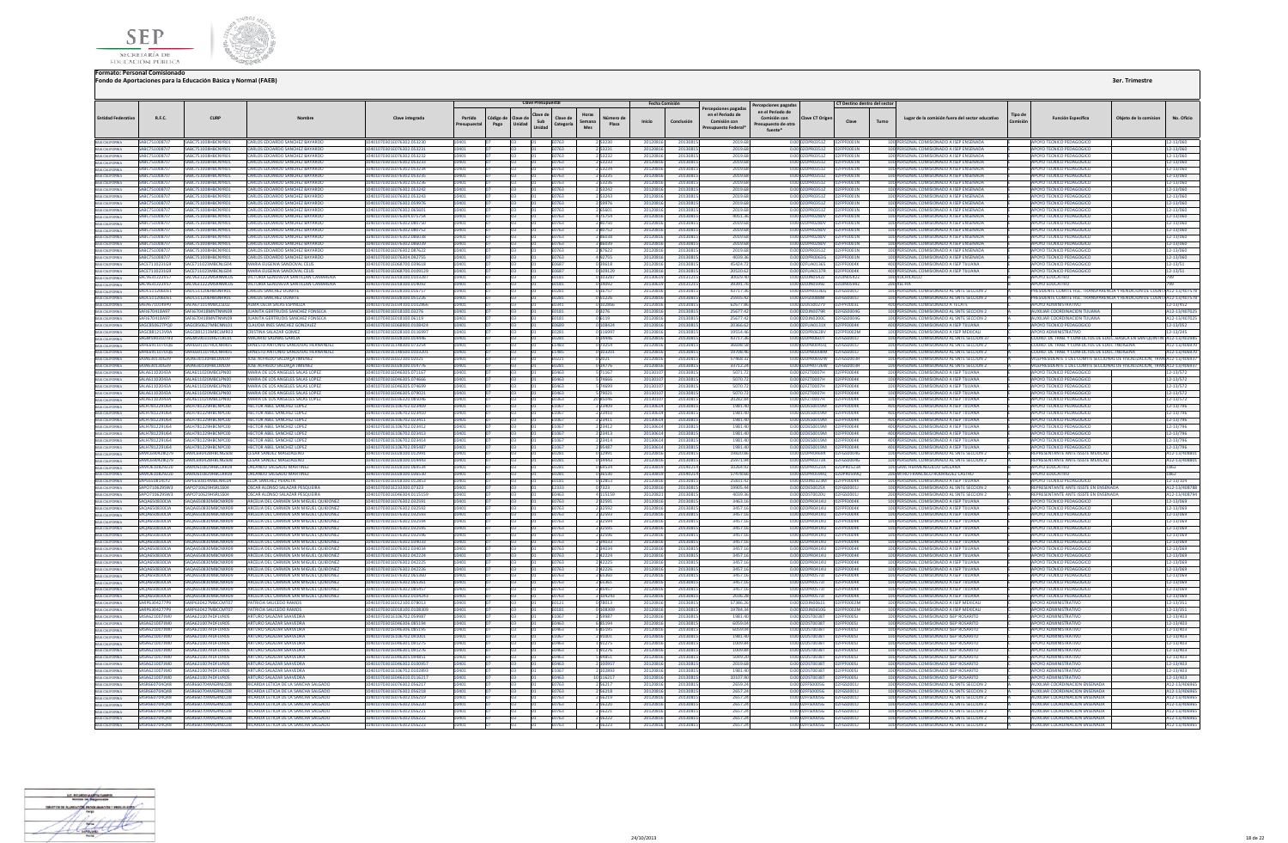



|                                                       |                                |                                                |                                                                                   |                                                        |                      |                           | <b>Clave Presupuestal</b> |                                        |                        |                      | <b>Fecha Comisión</b> |                    | ercepciones pagadas                                   | Percepciones pagadas                                            |                            | CT Destino dentro del sector                             |       |                                                                                          |                     |                                                                           |                             |
|-------------------------------------------------------|--------------------------------|------------------------------------------------|-----------------------------------------------------------------------------------|--------------------------------------------------------|----------------------|---------------------------|---------------------------|----------------------------------------|------------------------|----------------------|-----------------------|--------------------|-------------------------------------------------------|-----------------------------------------------------------------|----------------------------|----------------------------------------------------------|-------|------------------------------------------------------------------------------------------|---------------------|---------------------------------------------------------------------------|-----------------------------|
| <b>Entidad Federativ</b>                              | R.F.C.                         | <b>CURP</b>                                    |                                                                                   | Clave integrad:                                        | Partida<br>esupuesta | ódigo d<br>Unidad<br>Pago | Clave d                   | Clave de<br>Sub<br>Categoría<br>Unidad | Horas<br>Semana<br>Mes | Vúmero d<br>Plaza    | Inicio                | Conclusión         | en el Periodo de<br>Comisión con<br>resupuesto Federa | en el Periodo de<br>Comisión con<br>supuesto de otra<br>fuente* | ave CT Orige               | Clave                                                    | Turno | Lugar de la comisión fuera del sector educativo                                          | Tipo de<br>Comisión | <b>Función Específica</b><br>Objeto de la comisio                         | No. Oficio                  |
|                                                       | SABC7510087J7                  | SABC751008HBCNYR0                              | CARLOS EDOARDO SANCHEZ BAYARD                                                     | 401070301E076302.05323                                 |                      |                           |                           |                                        |                        |                      |                       | 201308             |                                                       |                                                                 |                            |                                                          |       | 100 PERSONAL COMISIONADO A ISEP ENSENAE                                                  |                     | POYO TECNICO PEDAGOGIO                                                    | 12-13/060                   |
| BAJA CALIFORNIA<br>BAJA CALIFORNIA                    | SABC7510087J7                  | SABC751008HBCNYR01                             | CARLOS EDOARDO SANCHEZ BAYARDO                                                    | 0401070301E076302.053231                               |                      |                           |                           | :0763                                  |                        | 2 5 3 2 3 1          | 2012081               | 201308             | 2019.6                                                |                                                                 | 2DPR0351Z                  | 02FPF0001N                                               |       | 100 PERSONAL COMISIONADO A ISEP ENSENADA                                                 |                     | <b>APOYO TECNICO PEDAGOGICO</b>                                           | 12-13/060                   |
| BAJA CALIFORNIA                                       | SARC751008717                  | SARC751008HRCNYR01                             | <b>CARLOS EDOARDO SANCHEZ BAYARDO</b>                                             | 1401070301E076302.053232                               |                      |                           |                           | F0763                                  |                        | 253232               | 20120816              | 2013081            | 2019 68                                               |                                                                 |                            | 0.00.02DPR03517 02EPE0001N                               |       | 100 PERSONAL COMISIONADO A ISEP ENSENADA                                                 |                     | <b>APOYO TECNICO PEDAGOGICO</b>                                           | 12-13/060                   |
| BAJA CALIFORNIA                                       | SARC751008717                  | SARC751008HRCNYR01                             | <b>CARLOS EDOARDO SANCHEZ BAYARDO</b>                                             | 10401070301E076302.053233                              | 101                  |                           |                           | F0763                                  |                        | 2 5 3 2 3 3          | 2012081               | 2013081            | 2019 68                                               |                                                                 |                            | 0.00 02DPR03517 02EPE0001N                               |       | 100 PERSONAL COMISIONADO A ISEP ENSENADA                                                 |                     | APOYO TECNICO PEDAGOGICO                                                  | 12-13/060                   |
|                                                       | <b>SARC751008717</b>           | ADC7E1000UDCNIVOO-                             | <b>RIOS EDOARDO SANCHEZ RAYARD</b>                                                | 176307.053234                                          |                      |                           |                           | 0763                                   |                        | 2 53234              | 2012081               | 201308             | 2019 68                                               | 0.001                                                           | 10003517                   |                                                          |       | 100 PERSONAL COMISIONADO A ISEP ENSENAD                                                  |                     | <b>POYO TECNICO PEDAGOGIO</b>                                             | 12-13/060                   |
| BAIA CALIFORNIA                                       | SABC7510087J                   | BC751008HBCNYR0:                               | RLOS EDOARDO SANCHEZ BAYARDO                                                      | 076302.053235                                          |                      |                           |                           | 0763                                   |                        | 253235               | 2012081               | 201308             | 2019.6                                                |                                                                 | 2DPR0351Z                  |                                                          |       | 100 PERSONAL COMISIONADO A ISEP ENSENADA                                                 |                     | <b>IPOYO TECNICO PEDAGOGICO</b>                                           | 12-13/060                   |
|                                                       | SABC7510087J7                  | ARC751008HRCNYR0                               |                                                                                   | 0401070301E076302.053236                               |                      |                           |                           | 0763                                   |                        | 253236               | 2012081               |                    | 2019.68                                               | 0.00 02DPR0351Z                                                 |                            |                                                          |       | 100 PERSONAL COMISIONADO A ISEP ENSENAD                                                  |                     | APOYO TECNICO PEDAGOGICO                                                  | 12-13/060                   |
|                                                       | SARC751008717                  | ARC751008HRCNYR01                              | ARIOS EDOARDO SANCHEZ BAYARDO                                                     | 0401070301E076302.053242                               |                      |                           |                           | 50763                                  |                        | 2 5 3 2 4 2          | 2012081               | 201308             | 2019.68                                               |                                                                 |                            | 0.00 02DPR03517 02FPF0001N                               |       | 100 PERSONAL COMISIONADO A ISEP ENSENADA                                                 |                     | <b>APOYO TECNICO PEDAGOGICO</b>                                           | 12-13/060                   |
|                                                       | <b>SARC751008717</b>           | SARC751008HRCNYR01                             | <b>CARLOS EDOARDO SANCHEZ BAYARDO</b>                                             | 10401070301F076302.053243                              |                      |                           |                           | F0763                                  |                        | 2 53243              | 2012081               | 2013081            | 2019.68                                               | 0.00 02DPR03517                                                 |                            | 02FPF0001N                                               |       | 100 PERSONAL COMISIONADO A ISEP ENSENADA                                                 |                     | APOYO TECNICO PEDAGOGICO                                                  | 12-13/060                   |
|                                                       | SARC751008717                  | SARC751008HRCNYR01                             | CARLOS EDOARDO SANCHEZ BAYARDO                                                    | 10401070301E076302.059976                              |                      |                           |                           | <b>FN763</b>                           |                        | 59976                | 2012081               | 2013081            | 2019.68                                               |                                                                 |                            | 0.00 02DPR0351Z 02FPF0001N                               |       | 100 PERSONAL COMISIONADO A ISEP ENSENADA                                                 |                     | APOYO TECNICO PEDAGOGICO                                                  | $12 - 13/060$               |
|                                                       | SABC7510087J                   | BC751008HBCNYRO                                | RLOS EDOARDO SANCHEZ BAYAR                                                        |                                                        |                      |                           |                           |                                        |                        |                      | 201208                | 201308             | 2019.6                                                |                                                                 | 2DPR03512                  |                                                          |       | 100 PERSONAL COMISIONADO A ISEP ENSENAE                                                  |                     | POYO TECNICO PEDAGOGIO                                                    | 2-13/060                    |
| BAIA CALIFORNIA                                       | SABC7510087J7                  | SABC751008HBCNYR01<br>ARC751008HRCNYR01        | CARLOS EDOARDO SANCHEZ BAYARDO                                                    | 0401070301E076304.075754                               |                      |                           |                           | E0763                                  |                        | 4 75754              | 20120816              | 2013081            | 4051.36                                               |                                                                 |                            | 0.00 02DPR0280V 02FPF0001N<br>2DPR0280V 02FPF0001N       |       | 100 PERSONAL COMISIONADO A ISEP ENSENADA<br>100 PERSONAL COMISIONADO A ISEP ENSENADA     |                     | APOYO TECNICO PEDAGOGICO                                                  | 12-13/060                   |
| BAIA CALIFORNIA                                       | SABC7510087J7<br>SABC7510087J7 | SARC751008HRCNYR01                             | <b>IRLOS EDOARDO SANCHEZ BAYARDO</b><br>CARLOS EDOARDO SANCHEZ BAYARDO            | 0401070301E076302.080750<br>10401070301E076302.080752  |                      |                           |                           | 0763<br>E0763                          |                        | 280750<br>280752     | 20120816<br>2012081   | 2013081<br>2013081 | 2019.68<br>2019.68                                    | 0.001                                                           |                            | 0.00 02DPR0280V 02FPF0001N                               |       | 100 PERSONAL COMISIONADO A ISEP ENSENADA                                                 |                     | <b>APOYO TECNICO PEDAGOGICO</b><br>APOYO TECNICO PEDAGOGICO               | 12-13/060<br>12-13/060      |
| <b><i>RAIA CALIFORNIA</i></b>                         | <b>SARC751008717</b>           | SARC751008HRCNYR01                             | CARLOS EDOARDO SANCHEZ BAYARDO                                                    | 10401070301E076302.086038                              |                      |                           |                           | <b>F0763</b>                           |                        | 2.86038              | 2012081               | 2013081            | 2019 68                                               |                                                                 |                            | 0.0002DPR0280V 02FPF0001N                                |       | 100 PERSONAL COMISIONADO A ISEP ENSENADA                                                 |                     | APOYO TECNICO PEDAGOGICO                                                  | 12-13/060                   |
|                                                       | <b>SARC751008717</b>           | SARC751008HRCNYR01                             | CARLOS EDOARDO SANCHEZ BAYARDO                                                    | 10401070301F076302.086039                              |                      |                           |                           | F0763                                  |                        | 86039                | 2012081               | 2013081            | 2019 68                                               |                                                                 |                            | 0.0002DPR0280V 02EPE0001N                                |       | 100 PERSONAL COMISIONADO A ISEP ENSENADA                                                 |                     | APOYO TECNICO PEDAGOGICO                                                  | 12-13/060                   |
| BAJA CALIFORNIA                                       | SARC751008717                  | SARC751008HBCNVP01                             | CARLOS EDOARDO SANCHEZ RAYARDO                                                    | 10401070301E076302.087622                              |                      |                           |                           | F0763                                  |                        | 287622               | 2012081               | 201308             | 2019 68                                               |                                                                 |                            | 0.0002DPR03517 02EPE0001N                                |       | 100 PERSONAL COMISIONADO A ISEP ENSENADA                                                 |                     | AROVO TECNICO REDAGOGICO                                                  | 12-13/060                   |
| BAJA CALIFORNIA                                       | SABC7510087J7                  | ARC751008HRCNYR01                              | CARLOS EDOARDO SANCHEZ BAYARDO                                                    | 1401070301F076304 092755                               |                      |                           |                           | 0763                                   |                        | 192755               | 201208                | 201308             | 4039.36                                               | 0.00 02DPR0063G                                                 |                            | 02FPF0001N                                               |       | 100 PERSONAL COMISIONADO A ISEP ENSENADA                                                 |                     | APOYO TECNICO PEDAGOGICO                                                  | 12-13/060                   |
|                                                       | SACE7110231G9                  | ACE711023MRCNIG04                              | MARIA EUGENIA SANDOVAL CEL                                                        | 0401070301E068700.039618                               |                      |                           |                           | E0687                                  |                        | 39618                | 201208                | 201308             | 45424.7                                               | 0.00 02FUA0136S                                                 |                            |                                                          |       | 400 PERSONAL COMISIONADO A ISEP TUUANA                                                   |                     | APOYO TECNICO PEDAGOGIO                                                   | 12-13/51                    |
|                                                       | SACE 711023169                 | SACE 711023 MBCNIG04                           | AARIA FUGENIA SANDOVAL CELIS                                                      | 0401070301E068700.0109129                              |                      |                           |                           | <b>FO687</b>                           |                        | 0 109129             | 2012081               | 2013081            | 20520.62                                              |                                                                 |                            | 0.00.02EUA0137R 02EPE0004K                               |       | 400 PERSONAL COMISIONADO A ISEP TUUANA                                                   |                     | APOYO TECNICO PEDAGOGICO                                                  | $12 - 13/51$                |
|                                                       | <b>SACV631222V57</b>           | SACV631222MSRNMC05                             | VICTORIA GENOVEVA SANTILLAN CAMARENA                                              | 10401070301F018100 0103287                             |                      |                           |                           | F0181                                  |                        | 103287               | 2013061               | 201312             | 30029.40                                              | 0.00.02DIN05422                                                 |                            | 02DIN05422                                               |       | 100 XOCHICALCO                                                                           |                     | ΔΡΟΥΩ ΕΒΗΓΑΤΙΝΟ                                                           | $700 -$                     |
|                                                       | <b>SACV631222V57</b>           | SACV631222MSRNMCOS                             | VICTORIA GENOVEVA SANTILLAN CAMARENA                                              | 10401070301E018100.014092                              |                      |                           |                           | E0181                                  |                        | 0 14092              | 2013061               | 201312             | 39391.76                                              |                                                                 |                            | 0.00.02DIN05997 02DIN05997                               |       | 200 XEL-HA                                                                               |                     | ΔΡΟΥΩ ΕΒΗΓΑΤΙΚ                                                            |                             |
|                                                       | ADC511206DE:                   | CS11206HBSNRRD                                 | <b>LOS SANCHEZ DUARTI</b>                                                         | 01070301E028100.01675                                  |                      |                           |                           | 0281                                   |                        |                      | 201208                | 201308             | 43717.3                                               |                                                                 | <b>DPR0336G</b>            |                                                          |       | 100 PERSONAL COMISIONADO AL SNTE SECCION 2                                               |                     | RESIDENTE COMITE FISC. TRANSPARENCIA Y RENDICION DE CL                    | T/A12-13/407578             |
|                                                       | SADC511206DE1                  |                                                | CARLOS SANCHEZ DUART                                                              | 028100.051226                                          |                      |                           |                           | 10281                                  |                        | 051226               | 201208                | 201308             | 25935.42                                              |                                                                 | 0.00 02FIZ0088M 02FGS0001. |                                                          |       | 100 PERSONAL COMISIONADO AL SNTE SECCION 2                                               |                     | PRESIDENTE COMITE FISC. TRANSPARENCIA Y RENDICION DE CUENTA A12-13/407578 |                             |
| BAJA CALIFORNIA                                       | <b>SAFA6710149PD</b>           | SAFA671014MRCI SL02                            | ALMA DELIA SALAS ESPINOZA                                                         | 0401070301E034100.0102866                              |                      |                           |                           | E0341                                  |                        | 0 102866             | 2012081               | 2013081            | 62677.86                                              | 0.00 02DES0027V                                                 |                            | 02FPE0003L                                               |       | 400 PERSONAL COMISIONADO A TECATE                                                        |                     | <b>APOYO ADMINISTRATIVO</b>                                               | 12-13/452                   |
| <b>BAIA CALIFORNIA</b>                                | SAFJ670418A97                  | SAFI670418MNTNNN09                             | JUANITA GERTRUDIS SANCHEZ FONSECA                                                 | 10401070301E018100.03276                               |                      |                           |                           | E0181                                  |                        | 03276                | 2012081               | 2013081            | 25677.42                                              |                                                                 |                            |                                                          |       | 100 PERSONAL COMISIONADO AL SNTE SECCION 2                                               |                     | <b>AUXILIAR COORDINACION TUUANA</b>                                       | A12-13/407025               |
|                                                       | <b>SAFI670418A97</b>           | SAFI670418MNTNNN09                             | <b>ILIANITA GERTRUDIS SANCHEZ FONSECA</b>                                         | 0401070301F018100.06119                                |                      |                           |                           | <b>F0181</b>                           |                        | 0 6 1 1 9            | 2012081               | 2013081            | 25677.42                                              |                                                                 |                            | 0.0002DIN0200C 02EGS0004G                                |       | 100 PERSONAL COMISIONADO AL SNTE SECCIÓN 2                                               |                     | AUXILIAR COORDINACION THUANA                                              | A12-13/40702                |
|                                                       | SAGC850627PQ0                  | AGC850627MBCNNL01                              | <b>NUDIA INES SANCHEZ GONZALEZ</b>                                                | 0401070301E068900.0108424                              |                      |                           |                           | :0689                                  |                        | 108424               | 2012081               | 201308             | 20366.62                                              |                                                                 |                            | 0.00 02FUA0131X 02FPF0004K                               |       | 400 PERSONAL COMISIONADO A ISEP TIJUANA                                                  |                     | APOYO TECNICO PEDAGOGICO                                                  | 12-13/052                   |
| BAJA CALIFORNIA                                       | SAGC881213V9A                  | AGC881213MBCLMR03                              | <b>CRISTINA SALAZAR GOMEZ</b>                                                     | 0401070301E028100.0116997                              |                      |                           |                           | E0281                                  |                        | 0 116997             | 2012081               | 2013081            | 19554.46                                              |                                                                 |                            | 0.00 02DPR0628V 02FPF0002M                               |       | 100 PERSONAL COMISIONADO A ISEP MEXICAL                                                  |                     | <b>APOYO ADMINISTRATIVO</b>                                               | 12-13/245                   |
| BAJA CALIFORNIA                                       | <b>SAGM590310T93</b>           | GMS90310HGTLRC01                               | <b>ACARIO SALINAS GARCIA</b>                                                      | 1401070301F028100 014446                               |                      |                           |                           | $-0281$                                |                        | 0 14446              | 2012081               | 201308             | 43717.36                                              | 0.00.02DPR0607L                                                 |                            | 02EGS00011                                               |       | 100 PERSONAL COMISIONADO AL SNTE SECCION 37                                              |                     | COORD, DE TRAB, Y CONFLICTOS DE EDUC, BASICA EN SAN QUIN                  | A12-13/40298                |
|                                                       | <b>SAHE691107UOF</b>           | HE691107HOCNRR05                               | RNESTO ANTONIO SANDOVAL HERNANDEZ                                                 | 0401070301F148300.073254                               |                      |                           |                           | F1483                                  |                        | 173254               | 2012081               | 201308             | 36698.51                                              | 0.00 02DPR0045Q                                                 |                            | 02EGS0001                                                |       | 100 PERSONAL COMISIONADO AL SNTE SECCION 2                                               |                     | COORD, DE TRAB Y CONFLICTOS DE EDUC, INDIGENAL                            | A12-13/4069                 |
|                                                       | <b>SAHF691107UO6</b>           | HE691107HOCNRROS                               | <b>RNESTO ANTONIO SANDOVAL HERNANDEZ</b>                                          | 0401070301E148500.0103201                              |                      |                           |                           | F1485                                  |                        | 103201               | 2012081               | 201308             | 1970846                                               |                                                                 |                            | 0.00.02DPR000RM 02EGS00011                               |       | 100 PERSONAL COMISIONADO AL SNTE SECCIÓN 2                                               |                     | COORD, DE TRAB Y CONFLICTOS DE EDUC INDIGENA                              | A12-13/40697                |
| BAIA CALIFORNIA<br>BAIA CALIFORNIA                    | 0520130630                     | <b>UA630130HBCLML00</b>                        | OSE ALFREDO SALDALA JIMENEZ                                                       | 101070301E022100.0202                                  |                      |                           |                           |                                        |                        |                      | 2012081               | 201308             | 57468.37                                              | 0.00.02DRR02M                                                   |                            | 02FGS0003H                                               |       | 100 PERSONAL COMISIONADO AL SNTE SECCION                                                 |                     | VICEPRESIDENTE 1 DEL COMITE SECCIONAL DE FISCALIZACION, TRAN A12-13/40693 |                             |
|                                                       | 9520130639                     | <b>AIA630130HRCLML09</b>                       | JOSE ALFREDO SALDATA JIMENEZ                                                      | 0401070301E028100.014776                               |                      |                           |                           | 0281                                   |                        | 14776                | 2012081               | 201308             | 33712.24                                              | 0.00 02DPR0726W                                                 |                            | PFGS0003H                                                |       | 100 PERSONAL COMISIONADO AL SNTE SECCION 2                                               |                     | VICEPRESIDENTE 1 DEL COMITE SECCIONAL DE FISCALIZACION. TRAN A12-13/40693 |                             |
| BAIA CALIFORNIA                                       | ALA61102043A                   | A611020MBCLPN0                                 | ARIA DE LOS ANGELES SALAS LOPE                                                    | 01070301E046305.07116                                  |                      |                           |                           | 0463                                   |                        |                      | 20130                 | 201308             | 5071.7                                                | 0.00 02FZT0007H                                                 |                            | F0004                                                    |       | 100 PERSONAL COMISIONADO A ISEP TUUANA                                                   |                     | POYO TECNICO PEDAGOGICO                                                   | 12-13/572                   |
| BAJA CALIFORNIA                                       | SALA61102043A                  | 5ALA611020MRCLPN00                             | MARIA DE LOS ANGELES SALAS LOPEZ                                                  | 10401070301E046305.074666                              |                      |                           |                           | E0463                                  |                        | 5 74666              | 201301                | 2013081            | 5070.72                                               |                                                                 |                            | 0.00 02FZT0007H 02FPF0004K                               |       | 100 PERSONAL COMISIONADO A ISEP TIJUANA                                                  |                     | APOYO TECNICO PEDAGOGICO                                                  | 12-13/572                   |
| BAJA CALIFORNIA                                       | SALA61102043A<br>5414611020434 | SALA611020MRCLPN00<br>ALA611020MRCLPN00        | MARIA DE LOS ANGELES SALAS LOPEZ                                                  | 10401070301F046305.074699<br>10401070301F046305 079021 | LOAD1                |                           |                           | <b>F0463</b><br><b>FN463</b>           |                        | 5 74699              | 2013010<br>2013010    | 2013081<br>2013081 | 5070.72<br>5070.72                                    |                                                                 |                            | 0.00 02EZT0007H 02EPE0004K<br>0.00.02EZT0007H 02EPE0004K |       | 100 PERSONAL COMISIONADO A ISEP TIILIANA<br>100 PERSONAL COMISIONADO A ISEP TIILIANA     |                     | APOYO TECNICO PEDAGOGICO<br>APOYO TECNICO PEDAGOGICO                      | 12-13/572                   |
| BAIA CALIFORNIA<br>BAIA CALIFORNIA                    | 5414611020434                  | <b>N 4611020MBCLPN00</b>                       | <b>MARIA DE LOS ANGELES SALAS LOPEZ</b><br><b>AARIA DE LOS ANGELES SALAS LOPE</b> | 0401070301F036320.08504                                |                      |                           |                           |                                        |                        | 5 79021              | 201301                |                    | 20282.84                                              | 0.00 02FZT0007H                                                 |                            | OZEPEDODAK                                               |       | 100 PERSONAL COMISIONADO A ISEP TUUANA                                                   |                     | <b>APOYO TECNICO PEDAGOGICO</b>                                           | 12-13/572                   |
|                                                       | ALH781229U64                   | 1781229HBCNPC0I                                | TOR ABEL SANCHEZ LOPE?                                                            | 01070301E106702.023409                                 |                      |                           |                           | E0363<br>1067                          |                        | 20 85046             | 201306                | 201308<br>201308   | 1981.4                                                |                                                                 | DES0019M                   | <b>FOODAK</b>                                            |       | 400 PERSONAL COMISIONADO A ISEP TUUANA                                                   |                     | <b>DYO TECNICO PEDAGOGICO</b>                                             | 12-13/572<br>12-13/796      |
| BAJA CALIFORNIA<br>BAJA CALIFORNIA                    | SALH781229U64                  | ALH781229HBCNPC00                              | <b>ECTOR ABEL SANCHEZ LOPE</b>                                                    | 401070301E106702.023410                                |                      |                           |                           | E1067                                  |                        | 2 23410              | 201306                | 201308             | 1981.40                                               |                                                                 | 2DES0019M                  | 02FPF0004                                                |       | 400 PERSONAL COMISIONADO A ISEP TUUANA                                                   |                     | <b>APOYO TECNICO PEDAGOGICO</b>                                           | 12-13/796                   |
|                                                       | SALH781229U64                  | SALH781229HBCNPC00                             | <b>HECTOR ABEL SANCHEZ LOPEZ</b>                                                  | 0401070301E106702.023411                               |                      |                           |                           | E1067                                  |                        | 2 2 3 4 1 1          | 2013061               | 2013081            | 1981.40                                               |                                                                 |                            | 0.00 02DES0019M 02EPE0004K                               |       | 400 PERSONAL COMISIONADO A ISEP TIJUANA                                                  |                     | APOYO TECNICO PEDAGOGICO                                                  | 12-13/796                   |
| BAIA CALIFORNIA<br>BAIA CALIFORNIA<br>BAIA CALIFORNIA | SALH781229U64                  | ALH781229HBCNPC00                              | <b>IECTOR ABEL SANCHEZ LOPE</b>                                                   | 0401070301E106702.023412                               |                      |                           |                           | 1067                                   |                        | 2 2 3 4 1 2          | 201306                | 201308             | 1981.40                                               |                                                                 |                            | 0.00 02DES0019M 02FPF0004K                               |       | 400 PERSONAL COMISIONADO A ISEP TUUANA                                                   |                     | APOYO TECNICO PEDAGOGICO                                                  | 12-13/796                   |
|                                                       | SALH781229U64                  | H781229HRCNPCD                                 | <b>ECTOR ABEL SANCHEZ LOPE</b>                                                    | 401070301E106702.02341                                 |                      |                           |                           | E1067                                  |                        | 2 2 3 4 1 3          | 2013061               | 201308             | 1981.40                                               |                                                                 | 12DES0019M 02              |                                                          |       | 400 PERSONAL COMISIONADO A ISEP TIJUANA                                                  |                     | APOYO TECNICO PEDAGOGIC                                                   | 12-13/796                   |
| BAIA CALIFORNIA                                       | SALH781229U64                  | H781229HBCNPC0                                 | <b>TOR ABEL SANCHEZ LOPE</b>                                                      | 401070301E106702.023414                                |                      |                           |                           |                                        |                        | 2 2 3 4 1 4          | 2013061               | 201308             | 1981.40                                               |                                                                 |                            | 0.00 02DES0019M 02FPF0004K                               |       | 400 PERSONAL COMISIONADO A ISEP TUUANA                                                   |                     | <b>APOYO TECNICO PEDAGOGICO</b>                                           | 12-13/796                   |
| BAIA CALIFORNIA                                       | SALH781229U64                  | ALH781229HBCNPC00                              | <b>HECTOR ABEL SANCHEZ LOPEZ</b>                                                  | 0401070301E106702.095487                               | 401                  |                           |                           | E1067                                  |                        | 295487               | 2013061               | 2013081            | 1981.40                                               |                                                                 |                            | 0.00 02DES0019M 02FPF0004K                               |       | 400 PERSONAL COMISIONADO A ISEP TUUANA                                                   |                     | APOYO TECNICO PEDAGOGICO                                                  | 12-13/796                   |
| BAJA CALIFORNIA                                       | SAMC690428079                  | AMC690428HRCNGS08                              | CESAR SANDEZ MAGDALENO                                                            | 0401070301E028100.012991                               |                      |                           |                           | E0281                                  |                        | 0 12991              | 20120816              | 2013081            | 19820.86                                              |                                                                 |                            | 0.00 02DPR0469X 02FGS0004G                               |       | 100 PERSONAL COMISIONADO AL SNTE SECCION 2                                               |                     | REPRESENTANTE ANTE ISSSTE MEXICA                                          | A12-13/40880                |
| <b>BAJA CALIFORNIA</b>                                | SAMC690428079                  | MC690428HRCNGS08                               | <b><i>CESAR SANDEZ MAGDALFNO</i></b>                                              | 0401070301E028100.014443                               |                      |                           |                           | 10281                                  |                        | 0 14443              | 2012081               | 2013081            | 25971.94                                              |                                                                 |                            | 0.00 02DPR0373K 02FG50004G                               |       | 100 PERSONAL COMISIONADO AL SNTE SECCION 2                                               |                     | REPRESENTANTE ANTE ISSSTE MEXICA                                          | A12-13/40880                |
|                                                       | <b>SAMO610829220</b>           | MO610829HRCLRR09                               | <b>RI ANDO SALGADO MARTINEZ</b>                                                   | 0401070301E028100.069534                               |                      |                           |                           | <b>FN281</b>                           |                        | 69534                | 2013081               | 201407             | 10264.92                                              |                                                                 |                            | 0.0002DPR0523A 02DPR0523A                                |       | 100 GRAL HERMENEGILDO GALEANA                                                            |                     | ΔΡΟΥΩ ΕΠΙΙΣΑΤΙΝΟ                                                          | 1862                        |
|                                                       | 54540610829220                 | <b>AO610829HRCLRRD9</b>                        | <b>PLANDO SALGADO MARTINEZ</b>                                                    | 101070201E028100.026520                                |                      |                           |                           | 0281                                   |                        |                      | 2013081               | 201402             | 17478.66                                              |                                                                 | 2DPR0599Q                  | nanppnsgon                                               |       | 200 MTRO FRANCISCO RODRIGUEZ CASTRI                                                      |                     | <b>POYO EDUCATIVO</b>                                                     | 1867                        |
| BAIA CALIFORNIA<br>BAIA CALIFORNIA                    | <b>SAPE6508141Y2</b>           | <b>DESSOR14MBCNRIO4</b>                        | Ι ΒΔ SANCHEZ ΡΕΒΑΙΤΑ                                                              | 1401070301E018100.012853                               |                      |                           |                           | 0181                                   |                        | 12853                | 2012081               | 201308             | 25831.42                                              | 0.000201N0323M                                                  |                            | <b>NOEDENNAM</b>                                         |       | 100 PERSONAL COMISIONADO A ISEP TUUANA                                                   |                     | <b>APOVO TECNICO PEDA</b>                                                 | 12-13/104                   |
| BAIA CALIFORNIA<br>BAIA CALIFORNIA                    | SAPO710629SW3                  | 0710629HSRLSS04                                | <b>CAR ALONSO SALAZAR PESQUEIR</b>                                                | 01070301E233300.07323                                  |                      |                           |                           | E2333                                  |                        | 7323                 | 201208                | 201308             | 19905.44                                              |                                                                 | DES0025X                   | 2FGS0001J                                                |       | 100 PERSONAL COMISIONADO AL SNTE SECCION 2                                               |                     | <b>IEPRESENTANTE ANTE ISSSTE EN EN</b>                                    | 12-13/40878                 |
|                                                       | SAP0710629SW3                  | SAPO710629HSRLSS04                             | OSCAR ALONSO SALAZAR PESQUEIRA                                                    | I0401070301E046304.0115159                             |                      |                           |                           | E0463                                  |                        | 4 115159             | 2012082               | 2013081            | 4039.36                                               | 0.00 02DST0020U                                                 |                            | 02FGS0001J                                               |       | 200 PERSONAL COMISIONADO AL SNTE SECCION 2                                               |                     | REPRESENTANTE ANTE ISSSTE EN ENSENADA                                     | A12-13/40879                |
| BAJA CALIFORNIA                                       | <b>SAQA650830CIA</b>           | <b>BOAGSOR30MBCNXR09</b>                       | ARCELIA DEL CARMEN SAN MIGUEL OUIDONEZ                                            | 10401070301E076302.032591                              | 1401                 |                           |                           | F0763                                  |                        | 2 3 2 5 9 1          | 2012081               | 2013081            | 3463.16                                               |                                                                 |                            | 0.00.02DPR0414U 02EPE0004K                               |       | 100 PERSONAL COMISIONADO A ISEP TIILIANA                                                 |                     | APOYO TECNICO PEDAGOGICO                                                  | 12-13/069                   |
|                                                       | 5404650830014                  | 14650830MBCNYR06                               | <b>REFLIA DEL CARMEN SAN MIGUEL QUIDONE</b>                                       | 101070301E076302.03259                                 |                      |                           |                           |                                        |                        |                      | 2012081               | 201308             | 3457.16                                               |                                                                 | 2DPR0414U                  | PENNNAK                                                  |       | <b>REPSONAL COMISIONADO A ISER TILLIANA</b>                                              |                     | <b>POYO TECNICO PEDAGOGICO</b>                                            | 2-13/069                    |
|                                                       | <b>5404650830CIA</b>           | AO A650830MBCNYR09                             | ARCELIA DEL CARMEN SAN MIGUEL OUIDONEZ                                            | 0401070301E076302.032593                               |                      |                           |                           | E0763                                  |                        | 2 3 2 5 9 3          | 2012081               | 201308             | 3457.16                                               |                                                                 |                            | 0.00 02DPR0414U 02FPF0004K                               |       | 100 PERSONAL COMISIONADO A ISEP TUUANA                                                   |                     | <b>APOVO TECNICO PEDAGOGICO</b>                                           | 12-13/069                   |
| BAJA CALIFORNIA                                       | SAQA650830CM                   | <b>OA650830MBCNXR09</b>                        | CELIA DEL CARMEN SAN MIGUEL QUIDONEZ                                              | 0401070301E076302.032594                               |                      |                           |                           | 0763                                   |                        | 232594               | 201208                | 201308             | 3457.1                                                | 0.00 02DPR0414U                                                 |                            | FPENNNAK                                                 |       | 100 PERSONAL COMISIONADO A ISEP TUUANA                                                   |                     | <b>APOYO TECNICO PEDAGOGICO</b>                                           | 2-13/069                    |
|                                                       | <b>SAQA650830CIA</b>           | AQA650830MBCNXR09                              | ARCELIA DEL CARMEN SAN MIGUEL QUIDONEZ                                            | 0401070301E076302.032595                               |                      |                           |                           | E0763                                  |                        | 232595               | 201208                | 201308             | 3457.16                                               |                                                                 | 0.00 02DPR0414U 02FPF0004I |                                                          |       | 100 PERSONAL COMISIONADO A ISEP TUUANA                                                   |                     | APOYO TECNICO PEDAGOGICO                                                  | 12-13/069                   |
|                                                       | SAQA650830CIA<br>5404650830014 | <b>MOA650830MBCNXR09</b><br>AO A650830MBCNXR09 | REFLIA DEL CARMEN SAN MIGUEL OUIDONEZ<br>ARCELIA DEL CARMEN SAN MIGUEL OUIDONEZ   | 0401070301E076302.032596<br>0401070301E076302.034033   |                      |                           |                           | F0763<br>1763                          |                        | 232596<br>34033      | 2012081               | 2013081            | 3457.16<br>3457.16                                    | 0.00 02DPR0414U                                                 |                            | 02FPF0004K<br>0.0002DPR0414U 02FPF0004K                  |       | 100 PERSONAL COMISIONADO A ISEP TUUANA<br>100 PERSONAL COMISIONADO A ISEP TIILIANA       |                     | APOYO TECNICO PEDAGOGICO<br>APOYO TECNICO PEDAGOGICO                      | 12-13/069                   |
|                                                       |                                |                                                |                                                                                   |                                                        |                      |                           |                           |                                        |                        |                      | 2012081               | 2013081            |                                                       |                                                                 |                            | 02FPF0004                                                |       |                                                                                          |                     | APOYO TECNICO PEDAGOGICO                                                  | 12-13/069                   |
|                                                       | SAQA650830CIA<br>SAQA650830CIA | LOA650830MBCNXR09<br>QA650830MBCNXR09          | RCELIA DEL CARMEN SAN MIGUEL QUIDONEZ<br>CELIA DEL CARMEN SAN MIGUEL QUIDONEZ     | 0401070301E076302.034034<br>401070301E076302.042224    |                      |                           |                           | E0763                                  |                        | 234034<br>242224     | 2012081<br>2012081    | 201308<br>201308   | 3457.16<br>3457.16                                    | 0.00 02DPR0414U                                                 |                            | 2DPR0414U 02FPF0004K                                     |       | 100 PERSONAL COMISIONADO A ISEP TUUANA<br>100 PERSONAL COMISIONADO A ISEP TUUANA         |                     | <b>APOYO TECNICO PEDAGOGICO</b>                                           | 12-13/069                   |
| BAIA CALIFORNIA<br>BAJA CALIFORNIA                    | SAQA650830CIA                  | AQA650830MBCNXR09                              | ARCELIA DEL CARMEN SAN MIGUEL QUIDONEZ                                            | 0401070301E076302.042225                               |                      |                           |                           | :0763<br>E0763                         |                        | 242225               | 2012081               |                    | 3457.16                                               | 0.001<br>0.00 02DPR0414U                                        |                            | 02FPF0004K                                               |       | 100 PERSONAL COMISIONADO A ISEP TIJUANA                                                  |                     | <b>APOYO TECNICO PEDAGOGICO</b>                                           | 12-13/069                   |
| <b>BAIA CALIFORNIA</b>                                | SAQA650830CIA                  | <b>SAQA650830MBCNXR09</b>                      | ARCELIA DEL CARMEN SAN MIGUEL QUIDONEZ                                            | 0401070301E076302.042226                               |                      |                           |                           |                                        |                        | 242226               | 20120816              | 2013081<br>2013081 | 3457.16                                               |                                                                 |                            | 0.00 02DPR0414U 02FPF0004K                               |       | 100 PERSONAL COMISIONADO A ISEP TUUANA                                                   |                     | APOYO TECNICO PEDAGOGICO                                                  | 12-13/069<br>12-13/069      |
|                                                       | 540465083004                   | <b>SAO A650820MBCNYRDO</b>                     | ARCELIA DEL CARMEN SAN MIGUEL OUIDONEZ                                            | 10401070301E076302.065360                              |                      |                           |                           | E0763<br>F0763                         |                        | 2.65360              | 2012081               | 2013081            | 3457.16                                               | 0.00 02DPR0573L                                                 |                            | <b>DREPERDAM</b>                                         |       | 100 PERSONAL COMISIONADO A ISEP TILLIANA                                                 |                     | APOYO TECNICO PEDAGOGICO                                                  | 12-13/069                   |
|                                                       | 5404650830CIA                  | <b>PORXVIDERS ANDERSONS</b>                    | ARCELIA DEL CARMEN SAN MIGUEL OUIDONEZ                                            | 10401070301E076302.065361                              |                      |                           |                           | <b>F0763</b>                           |                        | 2 65361              | 20120816              | 2013081            | 3457.16                                               |                                                                 |                            | 0.0002DPR0573L 02EPE0004K                                |       | 100 PERSONAL COMISIONADO A ISEP TIILIANA                                                 |                     | APOYO TECNICO PEDAGOGICO                                                  | 12-13/069                   |
| BAJA CALIFORNIA                                       | <b>SAOA650830CIA</b>           | AO A650830MBCNYR09                             | ARCELIA DEL CARMEN SAN MIGUEL OUIDONEZ                                            | 10401070301E076302.085457                              |                      |                           |                           | F0763                                  |                        | 285457               | 2012081               | 201308             | 3457.16                                               | 0.00 02DPR0573L                                                 |                            | <b>DREPERDAMY</b>                                        |       | 100 PERSONAL COMISIONADO A ISEP TIILIANA                                                 |                     | AROVO TECNICO REDAGOGICO                                                  | 12-13/069                   |
|                                                       | <b>SAQA650830CIA</b>           | AO A650830MBCMYR09                             | ARCELIA DEL CARMEN SAN MIGUEL QUIDONEZ                                            | 10401070301E076302.0104243                             |                      |                           |                           | E0763                                  |                        | 2 104243             | 2012081               | 201308             | 2036.28                                               | 0.00 02DPR0573I                                                 |                            | <b>MOEDENNAM</b>                                         |       | 100 PERSONAL COMISIONADO A ISEP TUUANA                                                   |                     | APOYO TECNICO PEDAGOGICO                                                  | 12-13/069                   |
|                                                       | SARP6304277P9                  | RP630427MBCCMT07                               | <b>TRICIA SAUCEDO RAMOS</b>                                                       | 401070301E012100.078013                                |                      |                           |                           | 0121                                   |                        | 378013               | 2012081               | 201308             | 57386.26                                              | 0.001                                                           | 2DJN0061S                  | FPF0002M                                                 |       | 100 PERSONAL COMISIONADO A ISEP MEXICAL                                                  |                     | <b>APOYO ADMINISTRATIVO</b>                                               | 2-13/351                    |
|                                                       | SARP6304277P9                  | ARP630427MRCCMT07                              | ATRICIA SALICEDO RAMOS                                                            | 0401070301F018100 0108309                              |                      |                           |                           | <b>F0181</b>                           |                        | 0.108309             | 2012081               | 2013081            | 1978434                                               | 0.00 02DJN0650G                                                 |                            | 02ERE0002M                                               |       | 100 PERSONAL COMISIONADO A ISEP MEXICAL                                                  |                     | <b>APOYO ADMINISTRATIVO</b>                                               | 12-13/351                   |
|                                                       | <b>SASA621007IMO</b>           | SASA621007HDELVR05                             | ARTURO SALAZAR SAAVEDRA                                                           | 10401070301F106702.059987                              |                      |                           |                           | F1067                                  |                        | 59987                | 2012081               | 2013081            | 1981 40                                               | 0.00 02DST0038T                                                 |                            | 02FPF0005L                                               |       | 100 PERSONAL COMISIONADO ISEP ROSARITO                                                   |                     | <b>APOYO ADMINISTRATIVE</b>                                               | 12-13/403                   |
|                                                       | <b>SASA621007IMC</b>           | SA621007HDELVR0                                | ARTURO SALAZAR SAAVEDRA                                                           | 0401070301F046306 085194                               |                      |                           |                           | FN463                                  |                        | 585194               | 2012081               | 201308             | 6059.04                                               | 0.00 02DST0038T                                                 |                            | 02ERE00051                                               |       | 100 PERSONAL COMISIONADO ISEP ROSARITI                                                   |                     | ΔΡΟΥΩ ΔΩΜΙΝΙΝΤΑ ΤΙΜ                                                       | 2-13/403                    |
|                                                       | SASA621007JM0                  | ISA621007HDELVR05                              | <b>ARTURO SALAZAR SAAVEDRA</b>                                                    | 0401070301E046306.085195                               |                      |                           |                           | E0463                                  |                        | 585195               | 201208                | 201308             | 6059.04                                               | 0.00 02DST0038T                                                 |                            |                                                          |       | 100 PERSONAL COMISIONADO ISEP ROSARIT                                                    |                     | <b>APOYO ADMINISTRATIVO</b>                                               | 12-13/403                   |
| BAJA CALIFORNIA                                       | SASA621007JMC                  | A621007HDFLVR0                                 | <b>ITURO SALAZAR SAAVEDRA</b>                                                     | 401070301E106702.09100                                 |                      |                           |                           | 1067                                   |                        | 291001               | 201208                | 201308             | 1981.40                                               | 0.001                                                           | DST0038T                   | <b>FOODSJ</b>                                            |       | 100 PERSONAL COMISIONADO ISEP ROSARITI                                                   |                     | <b>POYO ADMINISTRATIVO</b>                                                | 12-13/403                   |
|                                                       | <b>SASA621007IMC</b>           | ASA621007HDELVR0                               | ARTURO SALAZAR SAAVEDRA                                                           | 0401070301E046301.091275                               |                      |                           |                           | <b>FN463</b>                           |                        | 191275               | 2012081               | 201308             | 100984                                                | 0.00 02DST003RT                                                 |                            |                                                          |       | 100 PERSONAL COMISIONADO ISEP ROSARIT                                                    |                     | ΔΡΟΥΩ ΔΟΜΙΝΙΚΤΡΑΤΙΜ                                                       | 12-13/403                   |
| BAJA CALIFORNIA                                       | SASA621007JM0                  | SASA621007HDELVR05                             | ARTURO SALAZAR SAAVEDRA                                                           | 10401070301E046301.091276                              |                      |                           |                           | E0463                                  |                        | 191276               | 20120816              | 2013081            | 1009.84                                               |                                                                 |                            |                                                          |       | 100 PERSONAL COMISIONADO ISEP ROSARITO                                                   |                     | <b>APOYO ADMINISTRATIVO</b>                                               | 12-13/403                   |
|                                                       | <b>SASA621007IMO</b>           | ASA621007HDELVR05                              | ARTURO SALAZAR SAAVEDRA                                                           | 10401070301F046305 094851                              |                      |                           |                           | FN463                                  |                        | 594851               | 2012081               | 201308             | 5049.20                                               | 0.00102DST0038T                                                 |                            | 02FPF00051                                               |       | 100 PERSONAL COMISIONADO ISEP ROSARITO                                                   |                     | ΔΡΟΥΟ ΔΟΜΙΝΙΣΤΡΑΤΙΝΟ                                                      | 12-13/403                   |
|                                                       | <b>SASA621007JMC</b>           | SA621007HDELVR05                               | <b>ARTURO SALAZAR SAAVEDRA</b>                                                    | 10401070301E046302.010095                              |                      |                           |                           | E0463                                  |                        | 2 100957             | 2012081               | 201308             | 2019.68                                               | 0.00 02DST0038T                                                 |                            | 02EPE0005                                                |       | 100 PERSONAL COMISIONADO ISEP ROSARITI                                                   |                     | <b>APOYO ADMINISTRATIVO</b>                                               | 12-13/403                   |
| BAJA CALIFORNIA                                       | SASA621007JM0                  | SA621007HDFLVR0                                | <b>ITURO SALAZAR SAAVEDRA</b>                                                     | 401070301E106702.010289                                |                      |                           |                           |                                        |                        | 2 102893             | 2012081               | 201308             | 1981.4                                                |                                                                 | 2DST0038T                  | 2FPF0005                                                 |       | 100 PERSONAL COMISIONADO ISEP ROSARIT                                                    |                     | <b>APOYO ADMINISTRATIVO</b>                                               | 12-13/403                   |
| <b>BAJA CALIFORNIA</b>                                | <b>SASA621007IMC</b>           | ASA621007HDELVR05                              | ARTURO SALAZAR SAAVEDRA                                                           | 0401070301F046310 0116217                              |                      |                           |                           | <b>FN463</b>                           |                        | 10 11 6217           | 2012081               | 2013081            | 10107.90                                              | 0.00.02DST0038T                                                 |                            | 02EPE0005                                                |       | 100 PERSONAL COMISIONADO ISEP ROSARITO                                                   |                     | <b>APOYO ADMINISTRATIVO</b>                                               | 12-13/403                   |
| BAJA CALIFORNIA                                       | SASR660704Q48                  | ASR660704MGRNIC08                              | RICARDA LETICIA DE LA SANCHA SALGADO                                              | I0401070301E076302.056217                              |                      |                           |                           | E0763                                  |                        | 2 5 6 2 1 7          | 2012081               | 201308             | 2659.24                                               |                                                                 |                            |                                                          |       | 100 PERSONAL COMISIONADO AL SNTE SECCION 2                                               |                     | <b>AUXILIAR COORDINACION ENSENADA</b>                                     | A12-13/40696                |
|                                                       | \$458660704048                 | R660704MGRNIC08                                | <b>ΒΙΓΑΒΡΑ LETICIA DE LA SANCHA SALGADO</b>                                       | 0401070301F076302.056218                               |                      |                           |                           | 0763                                   |                        | 56218                | 2012081               | 201308             | 2657.24                                               | 0.00 02EES0005G                                                 |                            | 02EGS00011                                               |       | 100 PERSONAL COMISIONADO AL SNTE SECCION 2                                               |                     | ΔΗΧΙΗΔΒ ΣΩΩΒΡΙΝΑΣΙΩΝ ΕΝSΕΝΑΠΑ                                             | A12-13/40696                |
|                                                       | 5458660704048                  | 660704MGRNIC08                                 | RICARDA LETICIA DE LA SANCHA SALGADO                                              | 0401070301F076302.056219                               |                      |                           |                           | 1763                                   |                        | 256219               | 2012081               | 201308             | 2657.24                                               | 0.00 02FFS0005G                                                 |                            | 02FGS0001                                                |       | 100 PERSONAL COMISIONADO AL SNTE SECCION                                                 |                     | <b>MIXILIAR COORDINACION ENSENAD</b>                                      | A12-13/40696                |
|                                                       | SASR660704Q48                  | 0704MGRNLC08                                   | <b>CARDA LETICIA DE LA SANCHA SALGADO</b>                                         | E076302.056220                                         |                      |                           |                           | 0763                                   |                        | 256220               | 2012081               | 201308             | 2657.24                                               | 0.00 02FFS0005G                                                 |                            | 02FGS0001J                                               |       | 100 PERSONAL COMISIONADO AL SNTE SECCION 2                                               |                     | UXILIAR COORDINACION ENSENADA                                             | A12-13/406965               |
|                                                       |                                |                                                |                                                                                   | 0401070301F076302.056221                               |                      |                           |                           | F0763                                  |                        | 256221               | 20120816              | 2013081            | 2657.24                                               |                                                                 |                            | 0.00.02EES0005G 02EGS0001L                               |       |                                                                                          |                     |                                                                           |                             |
|                                                       | SASR660704048                  | 8660704MGRNLCOR                                | RICARDA LETICIA DE LA SANCHA SALGADO                                              |                                                        | 401                  |                           |                           |                                        |                        |                      |                       |                    |                                                       |                                                                 |                            |                                                          |       | 100 PERSONAL COMISIONADO AL SNTE SECCIÓN 2                                               |                     | AUXILIAR COORDINACION ENSENADA                                            | A12-13/40696                |
| BAJA CALIFORNIA<br>BAJA CALIFORNIA<br>BAJA CALIFORNIA | SASR660704Q48<br>84040704048   | ASR660704MGRNLCD8<br>660704MGRNIC08            | RICARDA LETICIA DE LA SANCHA SALGADO<br>RICARDA LETICIA DE LA SANCHA SALGADO      | 10401070301E076302.056222<br>0401070301E076302.056223  | 401                  |                           |                           | E0763<br>0763                          |                        | 2 5 6 2 2 2<br>56223 | 20120816<br>2012081   | 2013081<br>201308  | 2657.24<br>2657.24                                    | 0.00 02FFS0005G                                                 |                            | 0.00 02FFS0005G 02FGS0001J<br>02EGS00011                 |       | 100 PERSONAL COMISIONADO AL SNTE SECCION 2<br>100 PERSONAL COMISIONADO AL SNTE SECCION 2 |                     | <b>AUXILIAR COORDINACION ENSENADA</b><br>AUXILIAR COORDINACION ENSENADA   | A12-13/40696<br>112-13/4069 |

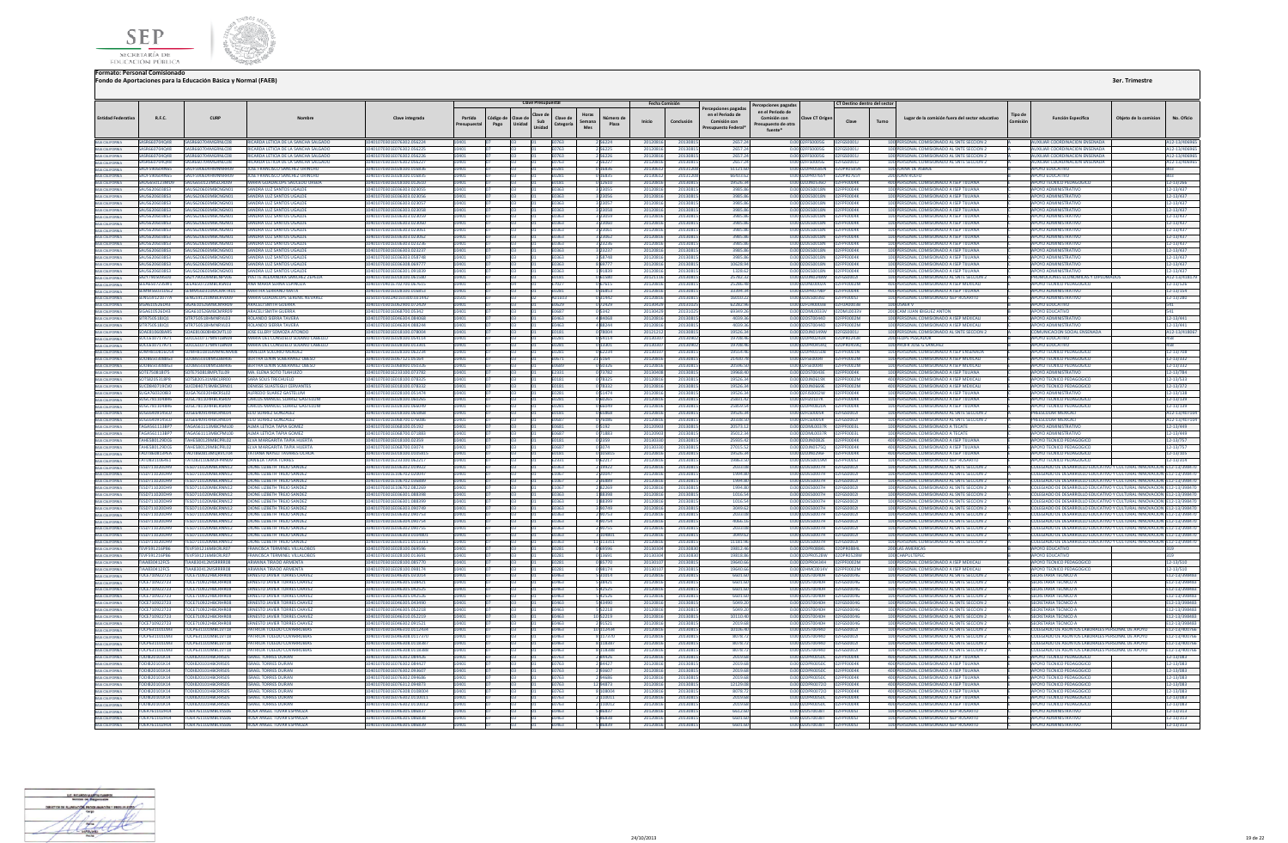



|                                                       |                                               |                                                        |                                                                              |                                                          |                        |                  | <b>Clave Presupuestal</b>           |                                                 |                        | Fecha Comisión       |                      | cepciones pagada                                               | Percepciones pagada:                                              |                                                          | CT Destino dentro del sector  |       |                                                                                          |                            |                                                                                                                                               |                       |                                |
|-------------------------------------------------------|-----------------------------------------------|--------------------------------------------------------|------------------------------------------------------------------------------|----------------------------------------------------------|------------------------|------------------|-------------------------------------|-------------------------------------------------|------------------------|----------------------|----------------------|----------------------------------------------------------------|-------------------------------------------------------------------|----------------------------------------------------------|-------------------------------|-------|------------------------------------------------------------------------------------------|----------------------------|-----------------------------------------------------------------------------------------------------------------------------------------------|-----------------------|--------------------------------|
| <b>Entidad Federativa</b>                             | R.F.C.                                        | CURE                                                   |                                                                              | Clave integrada                                          | Partida<br>Presupuesta | Código d<br>Pago | Clave de<br>Sub<br>Unidad<br>Unidad | Horas<br>Clave de<br>Semana<br>Categoría<br>Mes | Número d<br>Plaza      | Inicio               | Conclusión           | en el Periodo de<br>Comisión con<br><b>Presupuesto Federal</b> | en el Periodo de<br>Comisión con<br>resupuesto de otra<br>fuente* | Clave CT Origen                                          | Clave                         | Turno | Lugar de la comisión fuera del sector educativo                                          | <b>Tipo de</b><br>Comisión | <b>Función Específica</b>                                                                                                                     | Obieto de la comision | No. Oficio                     |
|                                                       |                                               |                                                        | RICARDA LETICIA DE LA SANCHA SALGADO                                         | 10401070301E076302.056224                                |                        |                  |                                     | E0763                                           | 2 5 6 2 2 4            | 20120816             | 20130815             | 2657.24                                                        |                                                                   |                                                          |                               |       | 100 PERSONAL COMISIONADO AL SNTE SECCION 2                                               |                            | AUXILIAR COORDINACION ENSENADA                                                                                                                |                       | A12-13/40696                   |
|                                                       | <b>SASR660704048</b><br>SASR660704048         | SASR660704MGRNLC08<br>SASR660704MGRNLC08               | RICARDA LETICIA DE LA SANCHA SALGADO<br>RICARDA LETICIA DE LA SANCHA SALGADO | 10401070301E076302.056225<br>10401070301E076302.056226   |                        |                  |                                     | F0763<br>E0763                                  | 256225<br>256226       | 20120816<br>20120816 | 20130815<br>2013081  | 2657.2<br>2657.24                                              |                                                                   | 0.0002E500056 02E6500011                                 |                               |       | 100 PERSONAL COMISIONADO AL SNTE SECCIÓN 2<br>100 PERSONAL COMISIONADO AL SNTE SECCION 2 |                            | ΔΙΙΧΙΗΔΡ ΣΩΩΡΩΙΝΑΣΙΩΝ ΕΝΣΕΝΔΩΔ<br>ALIXILIAR COORDINACION ENSENADA                                                                             |                       | A12-13/40696<br>A12-13/40696   |
|                                                       |                                               | 660704MGRNIC08                                         | RICARDA LETICIA DE LA SANCHA SALGA                                           | 0301E076302.05622                                        |                        |                  |                                     |                                                 |                        | 201208               | 201308               | 2657.                                                          |                                                                   |                                                          |                               |       | ERSONAL COMISIONADO AL SNTE SECCION 2                                                    |                            | <b>UXILIAR COORDINACION ENSENADA</b>                                                                                                          |                       | 112-13/406                     |
| BAIA CALIFORNIA                                       | SAUF590604N65                                 | SAUF590604HMNNRR09                                     | JOSE FRANCISCO SANCHEZ URINCHO                                               | 10401070301E028100.016836                                |                        |                  |                                     | E0281                                           | 0 16836                | 20130612             | 2013120              | 51121.60                                                       |                                                                   | 0.00 02DPR0585N 02DPR0585N                               |                               |       | 100 JUANA DE ASBAJE                                                                      |                            | <b>APOYO EDUCATIVO</b>                                                                                                                        |                       | 803                            |
| BAIA CALIFORNIA                                       | SAUF590604N65                                 | SAUF590604HMNNRR09<br>SAUG650123MD9 SAUG650123MSLCRD09 | JOSE FRANCISCO SANCHEZ URINCHO<br>MARIA GUADALUPE SAUCEDO UREDA              | 10401070301E028100.016835<br>10401070301E018100 012610   |                        |                  |                                     | E0281<br><b>F0181</b>                           | 0 16835<br>0.12610     | 20130612<br>20120816 | 2013120<br>20130815  | 66433.6<br>19526.34                                            |                                                                   | 0.00 02DPR0765Y<br>0.00102DJN05360 02EPE0004K            | 02DPR0765Y                    |       | 200 JUAN RULFO<br>400 PERSONAL COMISIONADO A ISEP TIILIANA                               |                            | POYO EDUCATIVO<br>APOYO TECNICO PEDAGOGICO                                                                                                    |                       | 303<br>12-13/266               |
|                                                       | SAUS620603853                                 | SALIS620603MRCNGN01                                    | SANDRA LUZ SANTOS UGALDE                                                     | 10401070301E036303.023055                                |                        |                  |                                     | E0363                                           | 3 23055                | 20120816             | 2013081              | 3985.8                                                         |                                                                   | 0.00 02DES0018N                                          | 02FPF0004K                    |       | 100 PERSONAL COMISIONADO A ISEP TUUANA                                                   |                            | <b>APOYO ADMINISTRATIVO</b>                                                                                                                   |                       | 12-13/437                      |
|                                                       | 52850803811A2                                 | SAUS620603MRCNGN01                                     | SANDRA LUZ SANTOS UGALDI                                                     | 10401070301E036303.023056                                |                        |                  |                                     | 6380                                            | 23056                  | 2012081              | 2013081              | 3985.86                                                        |                                                                   | 0.00.02DES0018N                                          | PENNAK                        |       | 100 PERSONAL COMISIONADO A ISEP TUUANA                                                   |                            | ΔΡΩΥΩ ΔΩΜΙΝΙΣΤΒΑΤΙΝΩ                                                                                                                          |                       | 12-13/437                      |
| BAJA CALIFORNIA                                       | <b>CALISSORO2RS2</b>                          | SAUS620603MRCNGN01                                     | SANDRA 1117 SANTOS HGAID                                                     | 201010702015026202.02305                                 |                        |                  |                                     | F0363                                           | 3 23057                | 2012081              | 2013091              | 3085.86                                                        |                                                                   | 0.00 02DES001RN                                          | <b>ENNAK</b>                  |       | 100 PERSONAL COMISIONADO A ISEP TILLIANA                                                 |                            | AROVO ADMINISTRATIVO                                                                                                                          |                       | 12-13/437                      |
| <b>BAJA CALIFORNIA</b>                                | SAUS620603853<br>54115620603853               | AUS620603MBCNGN01<br>SALIS620603MRCNGN01               | <b>SANDRA LUZ SANTOS UGALDI</b><br>SANDRA LUZ SANTOS UGALDE                  | 0401070301E036303.023058<br>10401070301E036303.023059    | 0401                   |                  |                                     | :0363<br>F0363                                  | 3 23058<br>3 23059     | 20120816<br>20120816 | 2013081<br>20130815  | 3985.8<br>3985.86                                              |                                                                   | 0.00 02DES0018N<br>0.00 02DES0018N                       | PF0004K<br><b>FOODAK</b>      |       | 100 PERSONAL COMISIONADO A ISEP TUUANA<br>100 PERSONAL COMISIONADO A ISEP TIILIANA       |                            | OYO ADMINISTRATIVO<br>ΔΡΟΥΩ ΔΟΜΙΝΙΚΤΡΑΤΙΝΟ                                                                                                    |                       | 2-13/437<br>12-13/437          |
| BAJA CALIFORNIA                                       | SAUS620603853                                 | SALIS620603MRCNGN01                                    | SANDRA LUZ SANTOS UGALDE                                                     | 10401070301E036303.023060                                | 10401                  |                  |                                     | E0363                                           | 3 23060                | 20120816             | 20130815             | 3985.86                                                        |                                                                   | 0.00 02DES0018N                                          | PF0004K                       |       | 100 PERSONAL COMISIONADO A ISEP TUUANA                                                   |                            | <b>APOYO ADMINISTRATIVO</b>                                                                                                                   |                       | 12-13/437                      |
| <b>RAIA CALIFORNIA</b>                                | 54115620603853                                | <b>SALIS620603MRCNGN01</b>                             | SANDRA LUZ SANTOS UGALDI                                                     | 10401070301E036303.023061                                |                        |                  |                                     | F0363                                           | 3 23061                | 20120816             | 20130815             | 3985.86                                                        |                                                                   | 0.00 02DES0018N                                          | FPENNNAK                      |       | 100 PERSONAL COMISIONADO A ISEP TIILIANA                                                 |                            | ΔΡΟΥΩ ΔΟΜΙΝΙΣΤΒΑΤΙΝΟ                                                                                                                          |                       | 12-13/437                      |
|                                                       | 528503051187<br>SAUS620603853                 | SALIS620603MRCNGNO<br><b>SALIS620603MRCNGNO</b>        | SANDRA LUZ SANTOS UGALD<br><b>SANDRA LUZ SANTOS UGALD</b>                    | 10401070301E036303.023062<br>10401070301E036303.02323    |                        |                  |                                     | E0363<br>E0363                                  | 3 23062<br>23230       | 20120816<br>2012081  | 2013081<br>2013081   | 3985.86<br>3985.8                                              |                                                                   | 0.00 02DES0018N<br>0.00 02DES0018N                       | <b>FOODAK</b><br>FOODAK       |       | 100 PERSONAL COMISIONADO A ISEP TUUANA<br>100 PERSONAL COMISIONADO A ISEP TUUANA         |                            | ΔΡΩΥΩ ΔΩΜΙΝΙΣΤΒΑΤΙΝΩ<br><b>APOYO ADMINISTRATIVO</b>                                                                                           |                       | 12-13/437<br>12-13/437         |
| BAIA CALIFORNIA<br>BAJA CALIFORNIA                    | SAUS620603853                                 | <b>WIS620603MRCNGNO</b>                                | SANDRA LUZ SANTOS UGALD                                                      | 10401070301E036303.02323                                 |                        |                  |                                     | E0363                                           | 3 23237                | 2012081              | 2013081              | 3985.86                                                        |                                                                   | 0.00 02DES0018N                                          | <b>FOODAK</b>                 |       | 100 PERSONAL COMISIONADO A ISEP TUUANA                                                   |                            | <b>APOYO ADMINISTRATIVO</b>                                                                                                                   |                       | 12-13/437                      |
| BAIA CALIFORNIA                                       | SAUS620603853                                 | SAUS620603MBCNGN01                                     | SANDRA LUZ SANTOS UGALDI                                                     | 0401070301E036303.058748                                 |                        |                  |                                     | E0363                                           | 3 5 8 7 4 8            | 20120816             | 20130815             | 3985.8                                                         |                                                                   | 0.00 02DES0018N                                          | <b>FOOD4K</b>                 |       | 100 PERSONAL COMISIONADO A ISEP TUUANA                                                   |                            | <b>POYO ADMINISTRATIVO</b>                                                                                                                    |                       | 12-13/437                      |
|                                                       | SAUS620603853                                 | SAUS620603MRCNGN01                                     | SANDRA LUZ SANTOS UGALDE                                                     | 10401070301E036308.069777                                |                        |                  |                                     | <b>F0363</b>                                    | 8 69777                | 20120816             | 20130815             | 10628.94                                                       |                                                                   | 0.00 02DES0018N                                          | FPENNNAK                      |       | 100 PERSONAL COMISIONADO A ISEP TIILIANA                                                 |                            | APOYO ADMINISTRATIVO                                                                                                                          |                       | 12-13/437                      |
|                                                       | 5285030503853<br>SAZY7905095D0                | SAUS620603MRCNGN01                                     | SANDRA LUZ SANTOS UGALD<br><b>YVETTE ALEXANDRA SANCHEZ ZEPEDA</b>            | 10401070301E036301.091839<br>1070301E018100.06158        |                        |                  |                                     | F0363                                           | 191839<br>0 6158       | 20120816<br>201211   | 2013081<br>2013081   | 1328.6<br>25782.3                                              |                                                                   | 0.00.02DES0018N<br><b>JIN0248W</b>                       | PEDDDAK                       |       | 100 PERSONAL COMISIONADO A ISEP TUUANA<br>100 PERSONAL COMISIONADO AL SNTE SECCION :     |                            | <b>APOYO ADMINISTRATIVE</b><br>OMOCIONES ECONOMICAS Y DIPL                                                                                    |                       | 12-13/437<br>12-13/4181        |
| BAJA CALIFORNIA                                       | SEEA650723SW1                                 | SEEA650723MBCRSN03                                     | ANA MARIA SERNA ESPINOZA                                                     | 10401070401E702700.067615                                |                        |                  |                                     | E7027                                           | 067615                 | 2012081              | 20130815             | 25286.4                                                        |                                                                   | 0.00 02DNL0002A                                          |                               |       | 400 PERSONAL COMISIONADO A ISEP MEXICALI                                                 |                            | <b>APOYO TECNICO PEDAGOGICO</b>                                                                                                               |                       | 12-13/526                      |
|                                                       | <b>SEMM560310SL2</b>                          | EMM560310MCMRTR01                                      | <b>MARTHA SERRANO MATA</b>                                                   | 01070301E028100.016853                                   |                        |                  |                                     | E0281                                           | 0 16853                | 2012081              | 2013081              | 33394.3                                                        |                                                                   | 0.00 02DPR0798P                                          | FOOD4K                        |       | 400 PERSONAL COMISIONADO A ISEP TUUANA                                                   |                            | <b>POYO ADMINISTRATIVO</b>                                                                                                                    |                       | 12-13/154                      |
|                                                       | SENG59121077A<br>SIGA610526D43                | SENGS91210MRCRVD09<br>SIGA610526MRCMRR09               | MARIA GUADALUPE SERENIL NEVAREZ<br>ARACELI SMITH GUERRA                      | 10501070302401F0300 031442<br>10401070301E062900.072429  |                        |                  |                                     | A01F03<br>E0629                                 | 031442<br>0 72429      | 20120816<br>20130429 | 20130815<br>2013102  | 16010.2<br>62282.96                                            |                                                                   | 0.00.02DES00397<br>0.00 02FUA0003B                       | 02FPF00051<br>02FUA0003B      |       | 100 PERSONAL COMISIONADO ISEP ROSARITO<br>100 USAER V                                    |                            | APOYO ADMINISTRATIVO<br><b>APOYO EDUCATIVO</b>                                                                                                |                       | 12-13/280<br>541               |
|                                                       | SIGA610526D43                                 | <b>SIGA610526MRCMRR09</b>                              | ARACELLSMITH GUERRA                                                          | 0401070301F068700.05347                                  |                        |                  |                                     | 0687                                            |                        | 201304               | 201310               | 693493                                                         |                                                                   | 0.00 02DMI0033V                                          | VEEOO IMOS                    |       | 200 CAM ILIAN IRIGUEZ ANTON                                                              |                            | <b>POYO FDUCATIVO</b>                                                                                                                         |                       |                                |
| BAIA CALIFORNIA                                       | <b>SITR750518IO1</b>                          | SITP 75051 RHMANPVLO2                                  | <b>ROLANDO SIFRRA TAVERA</b>                                                 | 10401070201E046304 084069                                |                        |                  |                                     | F0463                                           | 484068                 | 2012081              | 20120815             | A020.24                                                        |                                                                   | 0.00 02DST0044D                                          | <b>EDENNATIVE</b>             |       | 100 PERSONAL COMISIONADO A ISEP MEXICALI                                                 |                            | <b>AROVO ADMINISTRATIVO</b>                                                                                                                   |                       | 12-13/441                      |
| BAJA CALIFORNIA                                       | SITR750518JO1                                 | SITR750518HMNRVL03                                     | ROLANDO SIERRA TAVERA                                                        | 0401070301E046304.088244                                 |                        |                  |                                     | 0463                                            | 488244                 | 2012081              | 2013081              | 4039.3                                                         |                                                                   | 0.00 02DST0044D                                          | PF0002M                       |       | 100 PERSONAL COMISIONADO A ISEP MEXICALI                                                 |                            | POYO ADMINISTRATIVO                                                                                                                           |                       | 2-13/441                       |
| BAIA CALIFORNIA                                       | <b>SOAF810608AR5</b><br>SOCC610717A71         | SOAFR10608HRCMTL10<br>SOCC610717MNTLBN09               | <b>IOSE FILERY SOMOZA ATONIX</b><br>MARIA DEL CONSUELO SOLANO CABELLO        | 10401070301F018100.078004<br>I0401070301E028100.054114   |                        |                  |                                     | E0181<br>E0281                                  | 0.78004<br>054114      | 2012121<br>2013030   | 20130815<br>2013090  | 1952634<br>19708.46                                            |                                                                   | 0.0002DIN0149W<br>0.00 02DPR0243R                        | EGS00011<br>02DPR0243R        |       | 100 PERSONAL COMISIONADO AL SNTE SECCION 2<br><b>200 FELIPE PESCADOR</b>                 |                            | COMUNICACION SOCIAL ENSENADA<br>APOYO EDUCATIVO                                                                                               |                       | A12-13/4180<br>458             |
| <b>BAIA CALIFORNIA</b>                                | SOCC610717A71                                 | SOCC610717MNTLBN09                                     | MARIA DEL CONSUELO SOLANO CARELLO                                            | 10401070301E028100.013301                                |                        |                  |                                     | <b>F0281</b>                                    | 0 13301                | 201303               | 2013090              | 19708.4                                                        |                                                                   | 0.00 02DPR04590                                          | 02DPR04590                    |       | 100 PROFR JOSE G SANCHEZ                                                                 |                            | ΔΡΩΥΩ ΕΠΙΙΣΑΤΙΝΩ                                                                                                                              |                       | 458                            |
| BAJA CALIFORNIA                                       | SOMH810816U54                                 | SOMHR10816MMNI NM08                                    | HIMELDA SOLORIO MENDEZ                                                       | 0401070301F028100.062234                                 |                        |                  |                                     | E0281                                           | 0 62234                | 201301               | 2013081              | 195544                                                         |                                                                   | 0.00 02DPR0150R                                          | PENNO1 N                      |       | 100 PERSONAL COMISIONADO A ISEP ENSENADA                                                 |                            | APOYO TECNICO PEDAGOGICO                                                                                                                      |                       | 12-13/708                      |
| BAJA CALIFORNIA<br>BAJA CALIFORNIA                    | SOOB6503088G3<br>SOOR6503088G3                | SOOR650308MSLBBB06<br>OB650308MSLBBP06                 | BERTHA LENIN SOBERANEZ OBES<br><b>RERTHA LENIN SORERANEZ ORESO</b>           | 10401070301E067121.05164<br>10401070301E068900.05032     |                        |                  |                                     | E0671<br>E0689                                  | 21 5 1 6 4<br>050326   | 2012081<br>201208    | 2013081<br>2013081   | 21430.7<br>205961                                              |                                                                   | 0.00 02FSE00041<br>0.00 02ESE0004L                       | <b>F0002M</b>                 |       | 100 PERSONAL COMISIONADO A ISEP MEXICALI<br>100 PERSONAL COMISIONADO A ISEP MEXICAL      |                            | APOYO TECNICO PEDAGOGICO<br>APOYO TECNICO PEDAGOGICO                                                                                          |                       | 12-13/332<br>2-13/337          |
| BAJA CALIFORNIA                                       | SOTE750818175                                 | SOTE750818MPLTLL09                                     | MA. ELENA SOTO TLAHUIZO                                                      | 01070301E233100.073782                                   |                        |                  |                                     | E2331                                           | 073782                 | 201304               | 2013081              | 19968.40                                                       |                                                                   | 0.00 02DST0043E                                          | F0004K                        |       | 100 PERSONAL COMISIONADO A ISEP TUUANA                                                   |                            | POYO ADMINISTRATIVO                                                                                                                           |                       | 12-13/784                      |
| <b>BAIA CALIFORNIA</b>                                | SOTS8205318PR                                 | SOTS820531MRCLRR00                                     | SARA SOLIS TRECHUELO                                                         | 10401070301F018100 078325                                | 10401                  |                  |                                     | <b>F0181</b>                                    | 0.78325                | 20120816             | 20130815             | 1952634                                                        |                                                                   | 0.00.02DIN0619X                                          | 02FPF0002M                    |       | 400 PERSONAL COMISIONADO A ISEP MEXICALL                                                 |                            | APOYO TECNICO PEDAGOGICO                                                                                                                      |                       | 12-13/533                      |
| BAJA CALIFORNIA                                       | SUCD840719CV0                                 | SUCD840719MRCSRN01                                     | <b>DENISSE SUASTEGUL CERVANTES</b>                                           | 10401070301E018100.078332                                | 10401                  |                  |                                     | <b>F0181</b>                                    | 078332                 | 20120816             | 20130815             | 1952634                                                        |                                                                   | 0.00.02DIN0669F 02FPF0002M                               |                               |       | 400 PERSONAL COMISIONADO A ISEP MEXICALL                                                 |                            | APOYO TECNICO PEDAGOGICO                                                                                                                      |                       | 12-13/372                      |
| BAIA CALIFORNIA                                       | <b>SUGA760320IB3</b><br>SUGC7811048R6         | <b>UGA760320HBCRSL02</b><br>SUGC781104HBCRSR09         | ALFREDO SUAREZ GASTELUM<br><b>CARLOS MANUEL SUAREZ GASTELUM</b>              | 70301E028100.05147<br>10401070301E028100.06026           |                        |                  |                                     | E0281                                           | 351474<br>0 60265      | 201208<br>201208     | 201308<br>2013081    | 19526.<br>25831.4                                              | 0.00                                                              | 2FJS0002W<br>0.00 02FIZ0107K                             |                               |       | ERSONAL COMISIONADO A ISEP TIJUAN.<br>100 PERSONAL COMISIONADO A ISEP TUUANA             |                            | POYO ADMINISTRATIV<br><b>APOYO TECNICO PEDAGOGICO</b>                                                                                         |                       | 12-13/138<br>12-13/139         |
| BAIA CALIFORNIA                                       | SUGC7811048R6                                 | SUGC781104HBCRSR09                                     | <b>CARLOS MANUEL SUAREZ GASTELUM</b>                                         | 01070301E028100.066049                                   |                        |                  |                                     | E0281                                           |                        | 2012081              | 2013081              | 25859.5                                                        |                                                                   | 0.00 02DPR0820A                                          | F0004K                        |       | 100 PERSONAL COMISIONADO A ISEP TUUANA                                                   |                            | OYO TECNICO PEDAGOGICO                                                                                                                        |                       | 12-13/139                      |
| <b>BAIA CALIFORNIA</b>                                | SUGE6409145C0                                 | SUGF640914HRCRNI04                                     | <b>FULL SUAREZ GONZALEZ</b>                                                  | 10401070301E018100.065868                                |                        |                  |                                     | E0181                                           | 0.65868                | 20120816             | 20130815             | 19526.34                                                       |                                                                   | 0.00.02ELS000SR 02EGS0002L                               |                               |       | 100 PERSONAL COMISIONADO AL SNTE SECCION 2                                               |                            | PREESCOLAR MEXICALL                                                                                                                           |                       | A12-13/40710                   |
| BAIA CALIFORNIA<br>BAIA CALIFORNIA<br>BAIA CALIFORNIA | SUGE6409145C0<br><b>TAGAS61113RP7</b>         | SUGE640914HBCRNL04<br><b>GAS61113MRCPML00</b>          | ELIU SUAREZ GONZALEZ<br>ΔΙΜΔ Ι ΕΤΙΓΙΑ ΤΑΡΙΑ GOME                             | 10401070301E068700.076086<br>10401070301F068100.05197    |                        |                  |                                     | E0687<br>1820                                   | 0 76086                | 20120816<br>201209   | 2013081<br>2013081   | 20338.5<br>20573.1                                             |                                                                   | 0.00 02FLS0005R<br>0.00 02DMI0037R                       | 02FGS00021<br><b>EPENOORI</b> |       | 100 PERSONAL COMISIONADO AL SNTE SECCION 2<br>100 PERSONAL COMISIONADO A TECATE          |                            | PREESCOLAR MEXICAL<br>ΔΡΟΥΩ ΔΩΜΙΝΙΝΤΑΤΙΝΩ                                                                                                     |                       | A12-13/40710<br>12-13/449      |
|                                                       | TAGA561113BP                                  | FAGA561113MBCPML00                                     | <b>ALMA LETICIA TAPIA GOME</b>                                               | 01070301E068700.07188                                    |                        |                  |                                     | E0687                                           | 071883                 | 2012                 | 20130815             | 35012.34                                                       |                                                                   | 0.00 02DML0037R                                          |                               |       | 100 PERSONAL COMISIONADO A TECATE                                                        |                            | <b>APOYO ADMINISTRATIVO</b>                                                                                                                   |                       | 12-13/449                      |
| BAJA CALIFORNIA<br>BAJA CALIFORNIA                    | <b>TAHE580129DC6</b>                          | AHES80129MBCPRL02                                      | ELVA MARGARITA TAPIA HUERTA                                                  | 10401070301E018100.02359                                 |                        |                  |                                     | E0181                                           | 0 2359                 | 2013033              | 2013081              | 25935.42                                                       |                                                                   | 0.00 02DJN0082E                                          | FPF0004K                      |       | 400 PERSONAL COMISIONADO A ISEP TUUANA                                                   |                            | POYO TECNICO PEDAGOGICO                                                                                                                       |                       | 12-13/757                      |
|                                                       | TAHES80129DC6                                 | AHESR0129MRCPRIO2                                      | <b>FIVA MARGARITA TAPIA HUFRTA</b>                                           | 10401070301F068700.03074                                 |                        |                  |                                     | <b>F0687</b>                                    | 03074                  | 20130330             | 2013081              | 27015.5                                                        |                                                                   | 0.00.02DIN05750                                          | <b>FPF0004K</b>               |       | 400 PERSONAL COMISIONADO A ISEP TILIJANA                                                 |                            | <b>IPOYO TECNICO PEDAGOGICO</b>                                                                                                               |                       | 12-13/757                      |
| BAJA CALIFORNIA                                       | <b>TAOT860813PEA</b><br><b>TATDR311064F1</b>  | TAOT860813MORVCT04<br>EATOR31106MDFPRN09               | TATIANA NAYELI TAVARES OCHOA<br><b>DANIFLA TAPIA TORRES</b>                  | 10401070301E018100.0105815<br>10401070301E233100.062217  | 10401                  |                  |                                     | E0181<br>:2331                                  | 0 105815<br>62217      | 20120816<br>2012081  | 20130815<br>2013081  | 19526.34<br>19863.5                                            |                                                                   | 0.00 02DJN0296F 02FPF0004K<br>0.00102DES0019M            | <b>2EPENOOSI</b>              |       | 400 PERSONAL COMISIONADO A ISEP TIJUANA<br>100 PERSONAL COMISIONADO ISEP ROSARITO        |                            | APOYO TECNICO PEDAGOGICO<br><b>APOYO TECNICO PEDAGOGICO</b>                                                                                   |                       | 12-13/105<br>12-13/314         |
| BAIA CALIFORNIA                                       | <b>TESD711020DH9</b>                          | FESD711020MRCRNN12                                     | DIONE LIZRETH TREIO SANDE                                                    | 10401070301F036302.019922                                |                        |                  |                                     | E0363                                           | 2 19922                | 2012081              | 2013081              | 2033.0                                                         |                                                                   | 0.00 02DES0007H                                          | 2EGS00021                     |       | 100 PERSONAL COMISIONADO AL SNTE SECCION :                                               |                            | COLEGIADO DE DESARROLLO EDUCATIVO Y CULTURAL INNOVACIO                                                                                        |                       | N E12-13/398470                |
| BAJA CALIFORNIA<br>BAJA CALIFORNIA                    | <b>TESD711020DH9</b>                          | FESD711020MRCRNN12                                     | <b>DIONE LIZBETH TREJO SANDEZ</b>                                            | I0401070301E106702.020047                                |                        |                  |                                     | <b>E1067</b>                                    |                        | 2012081              | 2013081              | 1994.8                                                         |                                                                   | 0.00.02DES0007H                                          | PFGS0002                      |       | 100 PERSONAL COMISIONADO AL SNTE SECCION :                                               |                            | COLEGIADO DE DESARROLLO EDUCATIVO Y CULTURAL INNOVACION E12-13/398470                                                                         |                       |                                |
| BAIA CALIFORNIA                                       | <b>TESD711020DH9</b><br><b>TESD711020DH9</b>  | TESD711020MRCRNN12<br>ESD711020MBCRNN12                | DIONE LIZRETH TREIO SANDEZ<br>DIONE LIZBETH TREJO SANDEZ                     | 10401070301E106702.036889<br>401070301E106702.082269     |                        |                  |                                     | F1067<br>1067                                   | 36889                  | 2012081<br>2012081   | 2013081<br>2013081   | 1994.8<br>1994.80                                              |                                                                   | 0.00102DES0007H<br>0.00 02DES0007H                       | <b>2EGS00021</b><br>2FGS00021 |       | 100 PERSONAL COMISIONADO AL SNTE SECCION 2<br>100 PERSONAL COMISIONADO AL SNTE SECCION 2 |                            | COLEGIADO DE DESARROLLO EDUCATIVO Y CULTURAL INNOVACION E12-13/398470<br>OLEGIADO DE DESARROLLO EDUCATIVO Y CULTURAL INNOVACION E12-13/398470 |                       |                                |
| BAJA CALIFORNIA                                       |                                               | TESD711020DH9 TESD711020MRCRNN12                       | DIONE LIZRETH TREIO SANDEZ                                                   | 10401070301E036301.088398                                | 10401                  |                  |                                     | <b>F0363</b>                                    | 188398                 | 20120816             | 20130815             | 1016.54                                                        |                                                                   | 0.00.02DES0007H 02EGS0002L                               |                               |       | 100 PERSONAL COMISIONADO AL SNTE SECCION 2                                               |                            | COLEGIADO DE DESARROLLO EDUCATIVO Y CULTURAL INNOVACION E12-13/398470                                                                         |                       |                                |
| BAIA CALIFORNIA                                       | <b>TESD711020DH9</b>                          | TFSD711020MRCRNN12                                     | DIONE LIZRETH TREIO SANDEZ                                                   | 10401070301F036301 088399                                | 0401                   |                  |                                     | F0363                                           | 188399                 | 20120816             | 2013081              | 1016.54                                                        |                                                                   | 0.00.02DES0007H 02EGS0002L                               |                               |       | 100 PERSONAL COMISIONADO AL SNTE SECCIÓN 2                                               |                            | TOLEGIADO DE DESARROLLO EDLICATIVO Y CULTURAL INNOVACIÓN E12-13/398470                                                                        |                       |                                |
|                                                       | <b>TESD711020DH9</b>                          | ESD711020MBCRNN12                                      | DIONE LIZBETH TREJO SANDE                                                    | 0401070301E036303.09074                                  |                        |                  |                                     |                                                 |                        | 201208               | 2013081              | 3049.6                                                         |                                                                   | 2DES0007H                                                | 2FGS0002                      |       | 100 PERSONAL COMISIONADO AL SNTE SECCION                                                 |                            | OLEGIADO DE DESARROLLO EDUCATIVO Y CULTURAL INNOVACION E12-13/398470                                                                          |                       |                                |
| BAJA CALIFORNIA                                       | <b>TESD 711020DH9</b><br><b>TESD711020DH9</b> | TESD711020MRCRNN12<br>FESD711020MBCRNN12               | DIONE LIZRETH TREIO SANDEZ<br><b>DIONE LIZBETH TREJO SANDEZ</b>              | 10401070301E036302.090753<br>0401070301E036304.090754    |                        |                  |                                     | E0363<br>E0363                                  | 9075<br>190754         | 2012081<br>2012081   | 2013081<br>2013081   | 70330<br>4066.1                                                |                                                                   | 0.00102DES0007H<br>0.00 02DES0007H                       | 12EGS00021<br>02FGS00021      |       | 100 PERSONAL COMISIONADO AL SNTE SECCION :<br>100 PERSONAL COMISIONADO AL SNTE SECCION 2 |                            | COLEGIADO DE DESARROLLO EDUCATIVO Y CULTURAL INNOVACION E12-13/398470<br>OLEGIADO DE DESARROLLO EDUCATIVO Y CULTURAL INNOVACION E12-13/398470 |                       |                                |
| BAIA CALIFORNIA<br><b>BAJA CALIFORNIA</b>             | <b>TESD711020DH9</b>                          | TESD711020MRCRNN12                                     | DIONE LIZRETH TREIO SANDEZ                                                   | 10401070301E036302.090755                                |                        |                  |                                     | F0363                                           | 290755                 | 20120816             | 20130815             | 2033.01                                                        |                                                                   | 0.00.02DES0007H 02EGS0002L                               |                               |       | 100 PERSONAL COMISIONADO AL SNTE SECCION 2                                               |                            | COLEGIADO DE DESARROLLO EDUCATIVO Y CULTURAL INNOVACION E12-13/398470                                                                         |                       |                                |
| BAJA CALIFORNIA                                       | <b>TESD711020DH9</b>                          | TESD711020MBCRNN12                                     | <b>DIONE LIZBETH TREJO SANDEZ</b>                                            | 10401070301E036303.0104801                               |                        |                  |                                     | E0363                                           | 3104801                | 20120816             | 20130815             | 3049.62                                                        |                                                                   | 0.00 02DES0007H 02FGS0002I                               |                               |       | 100 PERSONAL COMISIONADO AL SNTE SECCION 2                                               |                            | COLEGIADO DE DESARROLLO EDUCATIVO Y CULTURAL INNOVACION E12-13/398470                                                                         |                       |                                |
|                                                       | <b>TFSD711020DH9</b>                          | FESD711020MRCRNN12                                     | DIONE LIZRETH TREIO SANDEZ                                                   | 10401070301F036311 011331                                |                        |                  |                                     | 6363                                            | 1113311                | 2012081              | 2013081              | 111819                                                         |                                                                   | 0.00.02DES0007H                                          | 02EGS00021                    |       | 100 PERSONAL COMISIONADO AL SNTE SECCION 2                                               |                            | COLEGIADO DE DESARROLLO EDUCATIVO Y CULTURAL INNOVACION E12-13/398470                                                                         |                       |                                |
| BAIA CALIFORNIA<br>BAIA CALIFORNIA                    | TEVF591216PB6<br>TEVF591216PB6                | TEVF591216MBCRLR07<br>EVF591216MBCRLR07                | <b>FRANCISCA TERMINEL VILLALOBO!</b><br><b>FRANCISCA TERMINEL VILLALOBOS</b> | 10401070301E028100.069596<br>10401070301E028100.013691   |                        |                  |                                     | E0281<br>E0281                                  | 069596<br>0 13691      | 201303<br>201303     | 20130830<br>2013083  | 19812.46<br>19818.8                                            |                                                                   | 0.00 02DPR0528W 02DPR0528W                               |                               |       | <b>200 LAS AMERICAS</b><br>100 CHAPULTEPE                                                |                            | <b>APOYO EDUCATIVO</b><br>POYO EDUCATIVO                                                                                                      |                       | 319<br>319                     |
|                                                       | <b>TIAA830412FC5</b>                          | 144830412MSRRRR08                                      | ΔΡΙΔΝΝΑ ΤΙΡΑΠΟ ΑΡΜΕΝΤΑ                                                       | 10401070301E028100.085770                                |                        |                  |                                     | F0281                                           | 0.85770                | 201301               | 20130815             | 19640.6                                                        |                                                                   | 0.00 02DPR0434H                                          | 2FPF0002M                     |       | 100 PERSONAL COMISIONADO A ISEP MEXICALI                                                 |                            | APOYO TECNICO PEDAGOGICO                                                                                                                      |                       | 12-13/510                      |
| BAIA CALIFORNIA                                       | <b>TIAA830412FC5</b>                          | <b>TIAA830412MSRRRR08</b>                              | ARIANNA TIRADO ARMENTA                                                       | 10401070301E028100.098174                                |                        |                  |                                     | E0281                                           | 098174                 | 201301               | 2013081              | 19640.6                                                        |                                                                   | 0.00 02HMC0014V 02FPF0002M                               |                               |       | 100 PERSONAL COMISIONADO A ISEP MEXICALI                                                 |                            | APOYO TECNICO PEDAGOGICO                                                                                                                      |                       | 12-13/510                      |
|                                                       | TOCF710922723<br>TOCE710922723                | FOCE710922HRCRHROR<br>TOCF710922HRCRHROR               | <b>ERNESTO JAVIER TORRES CHAVEZ</b><br><b>FRNESTO JAVIER TORRES CHAVEZ</b>   | 10401070301E046305.031014<br>10401070301F046305.038421   |                        |                  |                                     | <b>FN463</b><br>E0463                           | 31014<br>5 3 8 4 2 1   | 2012081<br>2012081   | 20130815<br>2013081  | 6601.60<br>6601.6                                              |                                                                   | 0.00 02DST0040H<br>0.00 02DST0040H                       | 02FGS0004G<br>02FGS0004G      |       | 100 PERSONAL COMISIONADO AL SNTE SECCION 2<br>100 PERSONAL COMISIONADO AL SNTE SECCION 2 |                            | SECRETARIA TECNICO A<br><b>SECRETARIA TECNICO A</b>                                                                                           |                       | F12-13/398483<br>12-13/39848   |
| BAIA CALIFORNIA<br>BAJA CALIFORNIA                    | TOCE710922723                                 | TOCE710922HBCRHR08                                     | <b>ERNESTO JAVIER TORRES CHAVEZ</b>                                          | I0401070301E046305.042525                                |                        |                  |                                     | E0463                                           | 42525                  | 201208               | 2013081              | 6601.6                                                         |                                                                   | 0.00 02DST0040H                                          | 2FGS0004G                     |       | 100 PERSONAL COMISIONADO AL SNTE SECCION :                                               |                            | <b>SECRETARIA TECNICO A</b>                                                                                                                   |                       | 12-13/398483                   |
| BAJA CALIFORNIA                                       | TOCE710922723                                 | OCE710922HRCRHROR                                      | <b>FRNESTO JAVIER TORRES CHAVEZ</b>                                          | 10401070301E046305.042526                                |                        |                  |                                     | E0463                                           | 542526                 | 201208               | 2013081              | 6601.6                                                         |                                                                   | 0.00 02DST0040H                                          | <b>FGS0004G</b>               |       | 100 PERSONAL COMISIONADO AL SNTE SECCION :                                               |                            | SECRETARIA TECNICO A                                                                                                                          |                       | 12-13/398483                   |
| BAJA CALIFORNIA                                       | TOCE710922723                                 | TOCE710922HBCRHR08                                     | ERNESTO JAVIER TORRES CHAVEZ                                                 | 10401070301E046305.043490                                |                        |                  |                                     | E0463                                           | 543490                 | 20120816             | 2013081              | 5049.20                                                        |                                                                   | 0.00 02DST0040H                                          | 02FGS0004G                    |       | 100 PERSONAL COMISIONADO AL SNTE SECCION 2                                               |                            | SECRETARIA TECNICO A                                                                                                                          |                       | E12-13/398483                  |
| BAJA CALIFORNIA                                       | TOCF710922723<br>TOCE710922723                | TOCF710922HRCRHROR<br>TOCF710922HRCRHR08               | <b>FRNESTO JAVIER TORRES CHAVEZ</b><br><b>FRNESTO JAVIER TORRES CHAVEZ</b>   | 10401070301F046305.052218<br>10401070301F046310.052219   | 10401<br>10401         |                  |                                     | <b>F0463</b><br><b>F0463</b>                    | 552218<br>10 5 2 2 1 9 | 20120816<br>20120816 | 20130815<br>20130815 | 5049.20<br>1011040                                             |                                                                   | 0.00.02DST0040H 02EGS0004G<br>0.00.02DST0040H 02EGS0004G |                               |       | 100 PERSONAL COMISIONADO AL SNTE SECCION 2<br>100 PERSONAL COMISIONADO AL SNTE SECCION 2 |                            | <b>SECRETARIA TECNICO A</b><br>SECRETARIA TECNICO A                                                                                           |                       | F12-13/398483<br>F12-13/398483 |
| BAJA CALIFORNIA<br>BAJA CALIFORNIA                    | TOCE710922723                                 | TOCE710922HBCRHR08                                     | <b>FRNESTO JAVIER TORRES CHAVE</b>                                           | 10401070301E046302.09152                                 |                        |                  |                                     | 0463                                            |                        | 201208               | 201308               | 2019.                                                          | 00                                                                | 02DST0040H                                               | 02FGS0004G                    |       | 100 PERSONAL COMISIONADO AL SNTE SECCION 2                                               |                            | <b>SECRETARIA TECNICO A</b>                                                                                                                   |                       | 12-13/398483                   |
| BAJA CALIFORNIA                                       | TOCP631101LM3                                 | FOCP631101MRCLVT1R                                     | <b>PATRICIA TOLEDO COVARRUBIAS</b>                                           | 10401070301E046310.011243                                |                        |                  |                                     | E0463                                           | 10 112434              | 2012081              | 2013081              | 101064                                                         |                                                                   | 0.00102DST0044D                                          | 12EGS00021                    |       | 100 PERSONAL COMISIONADO AL SNTE SECCION 2                                               |                            | COLEGIADO DE ASUNTOS LARORALES PERSONAL DE APOYO                                                                                              |                       | E12-13/40076                   |
| BAJA CALIFORNIA<br>BAJA CALIFORNIA                    | TOCP631101LM3                                 | OCP631101MBCLVT18<br>TOCP631101MRCLVT18                | PATRICIA TOLEDO COVARRUBIAS<br>PATRICIA TOLEDO COVARRURIAS                   | 0401070301E046308.011737                                 |                        |                  |                                     | 0463                                            | 3 117370               | 201208               | 2013081              | 8078.7                                                         | $-0.00$                                                           | 2DST0044D<br>0.0002DST0044D 02EGS0002L                   | 2FGS0002                      |       | 100 PERSONAL COMISIONADO AL SNTE SECCION :<br>100 PERSONAL COMISIONADO AL SNTE SECCION 2 |                            | COLEGIADO DE ASUNTOS LABORALES PERSONAL DE APOYO                                                                                              |                       | 12-13/400766                   |
|                                                       | TOCP631101LM3<br>TOCP631101LM3                | TOCP631101MBCLVT18                                     | PATRICIA TOLEDO COVARRUBIAS                                                  | 10401070301E046308.0118387<br>10401070301E046308.0118388 | 10401                  |                  |                                     | E0463<br>E0463                                  | 8 118387<br>8 118388   | 20120816<br>20120816 | 20130815<br>20130815 | 8078.72<br>8078.72                                             |                                                                   | 0.00 02DST0044D 02FGS0002L                               |                               |       | 100 PERSONAL COMISIONADO AL SNTE SECCION 2                                               |                            | <b>COLEGIADO DE ASUNTOS LABORALES PERSONAL DE APOYO</b><br>COLEGIADO DE ASUNTOS LABORALES PERSONAL DE APOYO                                   |                       | E12-13/400766<br>E12-13/400766 |
| BAIA CALIFORNIA<br>BAIA CALIFORNIA<br>BAIA CALIFORNIA | <b>TODIS20101K14</b>                          | <b>CODIS20101HRCRRSOS</b>                              | <b>ISRAEL TORRES DURAN</b>                                                   | 10401070301F076302 084426                                |                        |                  |                                     | FN763                                           | 284426                 | 2012081              | 2013081              | 2019 61                                                        |                                                                   | 0.00102DPR0050C                                          | 02FPF0004K                    |       | 400 PERSONAL COMISIONADO A ISEP TIILIANA                                                 |                            | APOYO TECNICO PEDAGOGICO                                                                                                                      |                       | 12-13/083                      |
|                                                       | TODI820101K14                                 | DDI820101HBCRRSC                                       | <b>ISRAEL TORRES DURA</b>                                                    | 10401070301E076302.08442                                 |                        |                  |                                     | E0763                                           | 284427                 | 201208               | 2013081              | 2019.6                                                         |                                                                   | 0.00 02DPR0050C                                          | FPF0004K                      |       | 400 PERSONAL COMISIONADO A ISEP TIJUANA                                                  |                            | <b>IPOYO TECNICO PEDAGOGICO</b>                                                                                                               |                       | 12-13/083                      |
| BAJA CALIFORNIA<br>BAJA CALIFORNIA                    | TODI820101K14<br>TODI820101K14                | DDI820101HBCRRS05<br>ODIR20101HRCRRS0                  | <b>ISRAEL TORRES DURAN</b><br><b>ISRAEL TORRES DURAN</b>                     | 0401070301E076302.093607<br>10401070301F076302.09468     |                        |                  |                                     | E0763<br>F0763                                  | 293607<br>294686       | 20120816<br>20120816 | 20130815<br>20130815 | 2019.68<br>2019.61                                             |                                                                   | 0.00 02DPR0050C<br>0.00.02DPR0050C                       | 2FPF0004K<br>02FPF0004K       |       | 400 PERSONAL COMISIONADO A ISEP TUUANA<br>400 PERSONAL COMISIONADO A ISEP TIILIANA       |                            | POYO TECNICO PEDAGOGICO<br><b>APOYO TECNICO PEDAGOGICO</b>                                                                                    |                       | 12-13/083<br>12-13/083         |
|                                                       | TODI820101K14                                 | TODI820101HBCRRS05                                     | <b>ISRAEL TORRES DURAN</b>                                                   | 10401070301E076312.094873                                | 10401                  |                  |                                     | E0763                                           | 1294873                | 20120816             | 20130815             | 12129.01                                                       |                                                                   | 0.00 02DPR0072O 02FPF0004K                               |                               |       | 400 PERSONAL COMISIONADO A ISEP TUUANA                                                   |                            | APOYO TECNICO PEDAGOGICO                                                                                                                      |                       | 12-13/083                      |
| BAIA CALIFORNIA<br>BAIA CALIFORNIA<br>BAIA CALIFORNIA | <b>TODIS20101K14</b>                          | TODIR20101HRCRRS05                                     | <b>ISRAEL TORRES DURAN</b>                                                   | 10401070301E076308.0108004                               |                        |                  |                                     | F0763                                           | 8108004                | 20120816             | 2013081              | 80787                                                          |                                                                   | 0.00 02DPR00720                                          | 02FPF0004K                    |       | 400 PERSONAL COMISIONADO A ISEP TILLIANA                                                 |                            | APOYO TECNICO PEDAGOGICO                                                                                                                      |                       | $12 - 13/083$                  |
|                                                       | TODI820101K14                                 | <b>ODIR20101HRCRRS05</b>                               | <b>ISRAEL TORRES DURAN</b>                                                   | 0401070301E076302 0110011                                |                        |                  |                                     | E0763                                           | 2 110011               | 201208               | 2013081              | 2019.61                                                        |                                                                   | 0.00 02DPR0050C                                          | <b>12FPFNNNAK</b>             |       | 400 PERSONAL COMISIONADO A ISEP TUUANA                                                   |                            | <b>IPOYO TECNICO PEDAGOGICO</b>                                                                                                               |                       | 12-13/083                      |
| BAJA CALIFORNIA<br>BAJA CALIFORNIA                    | TODI820101K14<br>TOFR761102HI4                | ODI820101HBCRRS0<br><b>FOER761102MRCVSS06</b>          | <b>SRAEL TORRES DURAN</b><br><b>ROSA ANGEL TOVAR ESPINOZA</b>                | 01070301E076302.0110012<br>10401070301F046305.086837     | 0401                   |                  |                                     | E0763<br>E0463                                  | 2 110012<br>5 86837    | 2012081<br>20120816  | 2013081<br>20130815  | 2019.6<br>6612.60                                              |                                                                   | 0.00 02DPR0050C<br>0.00.02DST0038T                       | PFPF0004K<br><b>2EPE00051</b> |       | 400 PERSONAL COMISIONADO A ISEP TUUANA<br>100 PERSONAL COMISIONADO ISEP ROSARITO         |                            | OYO TECNICO PEDAGOGICO<br>ΔΡΟΥΩ ΔΟΜΙΝΙΝΤΑΤΙΝΟ                                                                                                 |                       | 2-13/083<br>12-13/313          |
| BAJA CALIFORNIA                                       | TOER761102HL4                                 | <b>TOER761102MBCVSS06</b>                              | ROSA ANGEL TOVAR ESPINOZA                                                    | 10401070301E046305.086838                                |                        |                  |                                     | E0463                                           | 586838                 | 20120816             | 2013081              | 6601.60                                                        |                                                                   | 0.00 02DST0038T                                          | 02FPF0005J                    |       | 100 PERSONAL COMISIONADO ISEP ROSARITO                                                   |                            | <b>POYO ADMINISTRATIVO</b>                                                                                                                    |                       | 12-13/313                      |
| <b>BAJA CALIFORNIA</b>                                | TOFR761102HL4                                 | TOER761102MBCVSS06                                     | <b>ROSA ANGEL TOVAR ESPINOZA</b>                                             | 10401070301F046305.086839                                |                        |                  |                                     | FN463                                           | <b>PER38</b>           | 20120816             | 20130815             | 6601.60                                                        |                                                                   | 0.00102DST0038T                                          | 02FPF00051                    |       | 100 PERSONAL COMISIONADO ISEP ROSARITO                                                   |                            | <b>APOYO ADMINISTRATIVO</b>                                                                                                                   |                       | $12 - 13/313$                  |

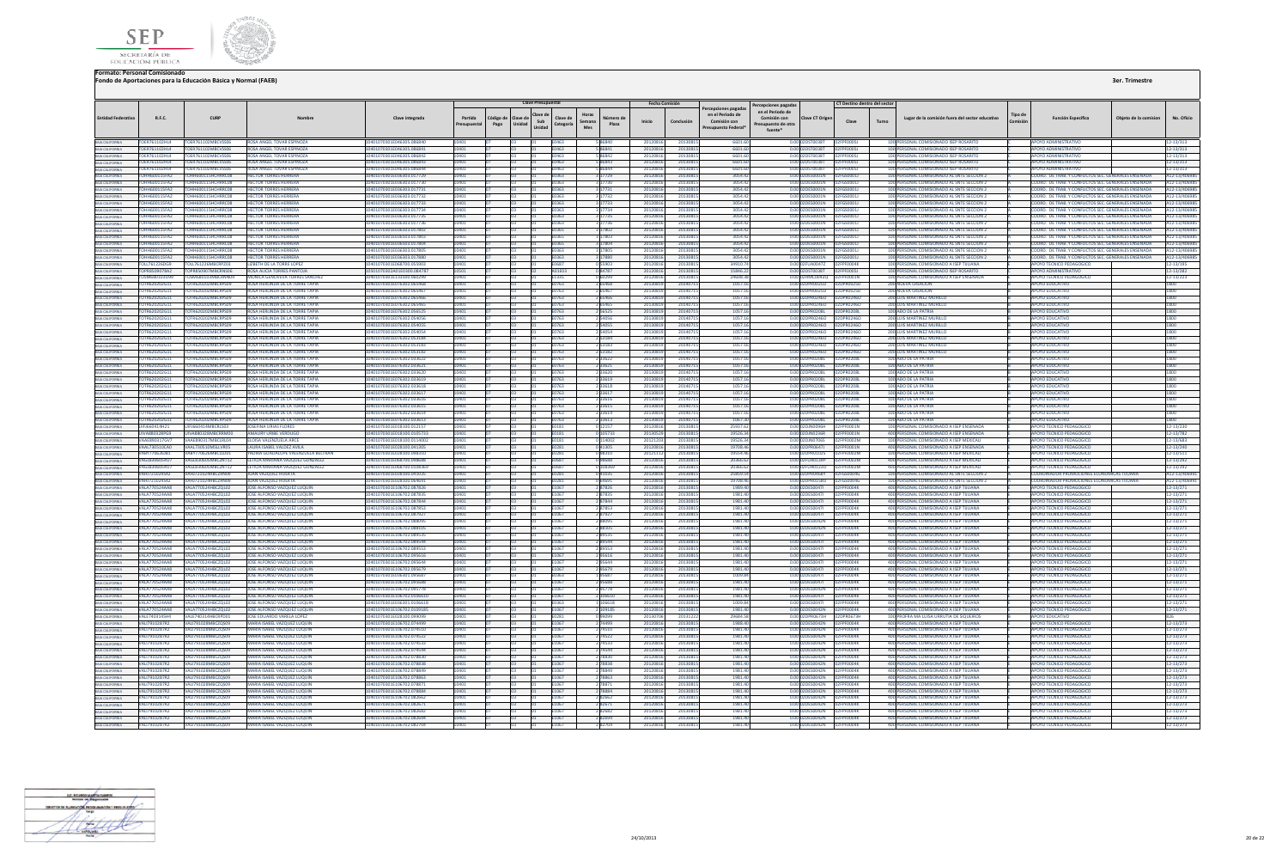



|                                                                                                                                                                                                                                                     |                                              |                                                |                                                                                |                                                        |               |                | <b>Clave Presupuestal</b> |                       |                       | <b>Fecha Comisión</b> |                      | ercepciones pagadas | Percepciones pagada:             |                                    | CT Destino dentro del sector |                                                                                          |         |                                                                                                              |                      |                             |
|-----------------------------------------------------------------------------------------------------------------------------------------------------------------------------------------------------------------------------------------------------|----------------------------------------------|------------------------------------------------|--------------------------------------------------------------------------------|--------------------------------------------------------|---------------|----------------|---------------------------|-----------------------|-----------------------|-----------------------|----------------------|---------------------|----------------------------------|------------------------------------|------------------------------|------------------------------------------------------------------------------------------|---------|--------------------------------------------------------------------------------------------------------------|----------------------|-----------------------------|
| <b>Entidad Federativ</b>                                                                                                                                                                                                                            | R.F.C.                                       | CURP                                           |                                                                                | Clave integrada                                        | Partida       | Código d       | Clave de                  | Clave de              | Horas<br>Número de    |                       |                      | en el Periodo de    | en el Periodo de<br>Comisión con | Clave CT Origer                    |                              | Lugar de la comisión fuera del sector educativo                                          | Tipo de | <b>Función Específica</b>                                                                                    | Obieto de la comisio | No. Oficio                  |
|                                                                                                                                                                                                                                                     |                                              |                                                |                                                                                |                                                        | supuesta      | Unidad<br>Pago | Sub                       | Categoría             | Semana<br>Plaza       | Inicio                | Conclusión           | Comisión con        | esupuesto de otra                |                                    | Clave                        | Turno                                                                                    | Comisió |                                                                                                              |                      |                             |
|                                                                                                                                                                                                                                                     |                                              |                                                |                                                                                |                                                        |               |                | Unidad                    |                       | Mes                   |                       |                      | Presupuesto Federal | fuente*                          |                                    |                              |                                                                                          |         |                                                                                                              |                      |                             |
| BAIA CALIFORNIA<br>BAIA CALIFORNIA<br>BAIA CALIFORNIA<br>BAIA CALIFORNIA<br>BAIA CALIFORNIA<br>BAIA CALIFORNIA<br>BAIA CALIFORNIA<br>BAIA CALIFORNIA<br>BAIA CALIFORNIA<br>BAIA CALIFORNIA<br>BAIA CALIFORNIA                                       | TOER761102HL4                                | TOER761102MBCVSS06                             | ROSA ANGEL TOVAR ESPINOZA                                                      | 10401070301E046305.086840                              |               |                |                           | E0463                 | <b>S R6840</b>        | 201208                | 201308               | 6601.6              |                                  | 0.00 02DST0038T                    |                              | 100 PERSONAL COMISIONADO ISEP ROSARITO                                                   |         | <b>APOYO ADMINISTRATIVO</b>                                                                                  |                      | 12-13/313                   |
|                                                                                                                                                                                                                                                     | <b>TOER761102HL4</b>                         | TOER761102MBCVSS06                             | ROSA ANGEL TOVAR ESPINOZA                                                      | 0401070301E046305.086841                               | 0401          |                |                           | E0463                 | <b>S 86841</b>        | 2012081               | 201308               | 6601.6              |                                  | 0.00 02DST0038T                    | FPF0005J                     | 100 PERSONAL COMISIONADO ISEP ROSARITO                                                   |         | APOYO ADMINISTRATIVO                                                                                         |                      | 12-13/313                   |
|                                                                                                                                                                                                                                                     | TOER761102HL4                                | TOER761102MBCVSS06                             | ROSA ANGEL TOVAR ESPINOZA                                                      | 10401070301E046305.086842                              | 10401         | Fn.            |                           | E0463                 | 586842                | 2012081               | 20130815             | 6601.60             |                                  | 0.00 02DST0038T                    | FPF000SJ                     | 100 PERSONAL COMISIONADO ISEP ROSARITO                                                   |         | <b>APOYO ADMINISTRATIVO</b>                                                                                  |                      | 12-13/313                   |
|                                                                                                                                                                                                                                                     | TOFR761102HI4                                | <b>TOFR761102MBCVSS06</b>                      | ROSA ANGEL TOVAR ESPINOZA                                                      | 10401070301F046305.086843                              | 10401         | n3             |                           | F0463                 | 5 86843               | 2012081               | 20130815             | 6601.60             |                                  | 0.00.02DST0038T 02EPE0005J         |                              | 100 PERSONAL COMISIONADO ISEP ROSARITO                                                   |         | APOYO ADMINISTRATIVO                                                                                         |                      | 12-13/313                   |
|                                                                                                                                                                                                                                                     | TOFR761102HL4                                | <b>TOER761102MRO/SS06</b>                      | ROSA ANGEL TOVAR ESPINOZA                                                      | 0401070301E046305.086844                               |               |                |                           | EOA63                 | <b>S REBAA</b>        | 201208                | 2012091              | 6601.60             |                                  | 0.00 02DST002RT                    | <b>DENNAST</b>               | 100 PERSONAL COMISIONADO ISEP ROSARITO                                                   |         | ΛΡΟΥΟ ΔΟΜΙΝΙΣΤΡΑΤΙΜΟ                                                                                         |                      | 12-13/313                   |
|                                                                                                                                                                                                                                                     | TOHH600115FA2                                | H600115HCHRRC08                                | <b>HECTOR TORRES HERRERA</b>                                                   | 0401070301E036303.01772                                |               |                |                           | E0363                 | 3 17729               | 201208                | 2013081              | 3054.4              |                                  | 0.00 02DES0001N                    | GS0001J                      | 100 PERSONAL COMISIONADO AL SNTE SECCION 2                                               |         | COORD. DE TRAB. Y CONFLICTOS SEC. GENERALES ENSENAD                                                          |                      | A12-13/40                   |
|                                                                                                                                                                                                                                                     | <b>TOHH600115FA2</b>                         | HH600115HCHRRCOR                               | <b>HECTOR TORRES HERRERA</b>                                                   | 10401070301E036303.01773                               |               |                |                           | E0363                 | 17730                 | 201208                | 2013081              | 3054.4              |                                  | 0.00 02DES0001N                    | GS00011                      | 100 PERSONAL COMISIONADO AL SNTE SECCION :                                               |         | COORD. DE TRAB. Y CONFLICTOS SEC. GENERALES ENSENAD.                                                         |                      | A12-13/40                   |
|                                                                                                                                                                                                                                                     | <b>TOHH600115FA2</b>                         | TOHH600115HCHRRC08                             | <b>HECTOR TORRES HERRERA</b>                                                   | 10401070301E036303.017731                              |               |                |                           | E0363                 | 3 17731               | 2012081               | 20130815             | 3054.42             |                                  | 0.00 02DES0001N                    | 2FGS0001J                    | 100 PERSONAL COMISIONADO AL SNTE SECCION 2                                               |         | COORD. DE TRAB. Y CONFLICTOS SEC. GENERALES ENSENADA                                                         |                      | A12-13/4069                 |
|                                                                                                                                                                                                                                                     | TOHH600115FA2                                | TOHH600115HCHRRCOR                             | <b>HECTOR TORRES HERRERA</b>                                                   | 10401070301F036303 017732                              | 10401         |                |                           | E0363                 | 3 17732               | 201208                | 2013081              | 3054.42             |                                  | 0.00 02DES0001N                    | 02EGS00011                   | 100 PERSONAL COMISIONADO AL SNTE SECCION 2                                               |         | COORD DE TRAB Y CONFLICTOS SEC. GENERALES ENSENADA                                                           |                      | A12-13/4069                 |
|                                                                                                                                                                                                                                                     | <b>TOHH600115FA2</b>                         | TOHH600115HCHRRC08                             | <b>HECTOR TORRES HERRERA</b>                                                   | 10401070301E036303.017733                              | LOVU1         |                |                           | F0363                 | 317733                | 201208                | 20130815             | 3054.42             |                                  | 0.00.02DES0001N                    | 02FGS00011                   | 100 PERSONAL COMISIONADO AL SNTE SECCION 2                                               |         | COORD. DE TRAB Y CONFLICTOS SEC. GENERALES ENSENADA                                                          |                      | A12-13/40698                |
|                                                                                                                                                                                                                                                     | OHH600115FA2                                 | H600115HCHRRC08                                | <b>HECTOR TORRES HERRER</b>                                                    | 0401070301E036303.01773                                |               |                |                           | 0363                  |                       | 20120                 | 201308               | 3054.4              |                                  | 02DES0001N                         |                              | 100 PERSONAL COMISIONADO AL SNTE SECCION :                                               |         | COORD. DE TRAB. Y CONFLICTOS SEC. GENERALES ENSENADA                                                         |                      | A12-13/40                   |
|                                                                                                                                                                                                                                                     | <b>TOHH600115FA2</b>                         | TOHH600115HCHRRC08                             | <b>HECTOR TORRES HERRERA</b>                                                   | 10401070301E036303.017735                              |               |                |                           | E0363                 | 3 17735               | 201208                | 2013081              | 3054.42             |                                  | 0.00 02DES0001N 02FGS0001J         |                              | 100 PERSONAL COMISIONADO AL SNTE SECCION 2                                               |         | COORD. DE TRAB. Y CONFLICTOS SEC. GENERALES ENSENADA                                                         |                      | A12-13/4069                 |
| BAIA CALIFORNIA<br>BAIA CALIFORNIA                                                                                                                                                                                                                  | OHH600115FA2                                 | HH600115HCHRRC08                               | <b>HECTOR TORRES HERRERA</b>                                                   | 0401070301E036303.017736                               |               |                |                           | 10363                 | 3 17736<br>3 17802    | 201208                | 2013081              | 3054.4              |                                  | 0.00 02DES0001N<br>0.00.02DES0001N | 2FGS0001J                    | 100 PERSONAL COMISIONADO AL SNTE SECCION 2                                               |         | COORD. DE TRAB. Y CONFLICTOS SEC. GENERALES ENSENADA                                                         |                      | A12-13/4069                 |
| <b>BAJA CALIFORNIA</b>                                                                                                                                                                                                                              | TOHH600115FA2<br><b>TOHH600115FA2</b>        | TOHH600115HCHRRC08<br>TOHH600115HCHRRC08       | <b>HECTOR TORRES HERRERA</b><br><b>HECTOR TORRES HERRERA</b>                   | 10401070301E036503.017802<br>10401070301E036503.017803 | <b>MA1</b>    |                |                           | <b>F0365</b>          |                       | 201208<br>201208      | 2013081<br>2013081   | 3054.42<br>3054.42  |                                  | 0.00 02DES0001N                    | 02EGS00011<br>02FGS0001J     | 100 PERSONAL COMISIONADO AL SNTE SECCIÓN 2<br>100 PERSONAL COMISIONADO AL SNTE SECCION 2 |         | COORD. DE TRAB. Y CONFLICTOS SEC. GENERALES ENSENADA<br>COORD. DE TRAB. Y CONFLICTOS SEC. GENERALES ENSENADA |                      | A12-13/4069                 |
|                                                                                                                                                                                                                                                     | <b>TOHH600115FA2</b>                         | <b>COHH600115HCHRRCOR</b>                      | <b>HECTOR TORRES HERRERA</b>                                                   | 10401070301F036503.017804                              |               |                |                           | E0365<br><b>FN365</b> | 3 17803<br>17804      | 201208                | 2013081              | 3054.43             |                                  | 0.00102DES0001N                    | <b>EGS00011</b>              | 100 PERSONAL COMISIONADO AL SNTE SECCION 2                                               |         | COORD. DE TRAB. Y CONFLICTOS SEC. GENERALES ENSENADA                                                         |                      | A12-13/40698<br>A12-13/4069 |
| BAIA CALIFORNIA<br>BAIA CALIFORNIA                                                                                                                                                                                                                  | <b>TOHH600115FA2</b>                         | TOHH600115HCHRRCOR                             | <b>HECTOR TORRES HERRERA</b>                                                   | 10401070301E036303.017805                              |               |                |                           | F0363                 | 3 17805               | 201208                | 2013081              | 3054.42             |                                  | 0.00 02DES0001N                    | 110002030                    | 100 PERSONAL COMISIONADO AL SNTE SECCION 2                                               |         | COORD. DE TRAB. Y CONFLICTOS SEC. GENERALES ENSENADA                                                         |                      | A12-13/4069                 |
|                                                                                                                                                                                                                                                     | TOHH600115FA2                                | OHH600115HCHRRC08                              | <b>HECTOR TORRES HERRERA</b>                                                   | 10401070301E036303.01788                               |               |                |                           | E0363                 | 3 17880               | 201208                | 2013081              | 3054.4              |                                  | 0.00 02DES0001N                    | GS0001J                      | 100 PERSONAL COMISIONADO AL SNTE SECCION 2                                               |         | COORD. DE TRAB. Y CONFLICTOS SEC. GENERALES ENSENADA                                                         |                      | A12-13/406                  |
|                                                                                                                                                                                                                                                     | TOLL761226DG9                                | <b>ULT61226MBCRPZ03</b>                        | <b>LIZBETH DE LA TORRE LOPE</b>                                                | 0401070301E068700.05590                                |               |                |                           | <b>FN687</b>          | 0.55903               | 201208                | 201308               | 34910.              |                                  | 0.0002EU400472                     | PENNAK                       | 100 PERSONAL COMISIONADO A ISEP TUUANA                                                   |         | APOYO TECNICO PEDAGOGICO                                                                                     |                      | 2-13/195                    |
|                                                                                                                                                                                                                                                     | TOPR8509078A2                                | <b>TOPR850907MBCRNS06</b>                      | ROSA ALICIA TORRES PANTOJA                                                     | 0501070302A01E0300.084787                              |               |                |                           | A01E03                | 084787                | 201208                | 2013081              | 15846.2             |                                  | 0.00 02DST0038T                    | PF0005J                      | 100 PERSONAL COMISIONADO ISEP ROSARITO                                                   |         | APOYO ADMINISTRATIVO                                                                                         |                      | 12-13/282                   |
|                                                                                                                                                                                                                                                     | TOSM680103U99                                | TOSM680103MBCRNN09                             | MONICA GENOVEVA TORRES SANCHEZ                                                 | 10401070301E133500.060299                              | 10401         |                |                           | F1335                 | <b>PPS0a0</b>         | 201208                | 20130815             | 2460831             |                                  | 0.00.02HMC0043Q 02EPE0001N         |                              | 100 PERSONAL COMISIONADO A ISEP ENSENADA                                                 |         | APOYO TECNICO PEDAGOGICO                                                                                     |                      | 12-13/223                   |
|                                                                                                                                                                                                                                                     | TOTR620202G11                                | TOTP620202MBCRPS09                             | ROSA HERLINDA DE LA TORRE TAPIA                                                | 10401070301E076302.065468                              | <b>MM1</b>    |                |                           | <b>F0763</b>          | 2 65468               | 2013081               | 20140715             | 1057.1              |                                  | 0.00.02DPR0025D                    | 02DPR0025D                   | <b>200 NUEVA CREACION</b>                                                                |         | ΔΡΟΥΩ ΕΒΗΓΑΤΙΝΟ                                                                                              |                      | 1800                        |
|                                                                                                                                                                                                                                                     | TOTR620202G11                                | OTR620202MBCRPS09                              | ROSA HERLINDA DE LA TORRE TAPI                                                 | 0401070301E076302.06546                                |               |                |                           | 0763                  | 2 65467               | 201308                | 2014071              | 1057.               |                                  | 0.00 02DPR0025D                    | PRO025E                      | <b>200 NUEVA CREACION</b>                                                                |         | <b>POYO EDUCATIVI</b>                                                                                        |                      |                             |
|                                                                                                                                                                                                                                                     | TOTR620202G11                                | TOTR620202MBCRPS09                             | <b>ROSA HERLINDA DE LA TORRE TAPIA</b>                                         | 10401070301E076302.06546                               |               |                |                           | E0763                 | 2 65466               | 201308                | 2014071              | 1057.1              |                                  | 0.00 02DPR02460                    | DPR02460                     | <b>200 LUIS MARTINEZ MUR</b>                                                             |         | <b>APOYO EDUCATIVI</b>                                                                                       |                      | 1800                        |
|                                                                                                                                                                                                                                                     | TOTR620202G11                                | OTR620202MBCRPS09                              | ROSA HERLINDA DE LA TORRE TAPIA                                                | 10401070301E076302.06546                               |               |                |                           | E0763                 | 2 65465               | 201308                | 2014071              | 1057.               |                                  | 0.00 02DPR0246O                    | 2DPR02460                    | <b>200 LUIS MARTINEZ MURILLO</b>                                                         |         | <b>APOYO EDUCATIVO</b>                                                                                       |                      | 1800                        |
|                                                                                                                                                                                                                                                     | TOTR620202G11                                | TOTR620202MRCRPS09                             | ROSA HERLINDA DE LA TORRE TAPIA                                                | 10401070301E076302.056525                              | 10401         |                |                           | E0763                 | 2 5 6 5 2 5           | 2013081               | 20140715             | 1057.16             |                                  | 0.00 02DPR0208L 02DPR0208L         |                              | 100 AĐO DE LA PATRIA                                                                     |         | <b>APOYO EDUCATIVO</b>                                                                                       |                      | 1800                        |
|                                                                                                                                                                                                                                                     | TOTR620202G11                                | TOTR620202MBCRPS09                             | ROSA HERLINDA DE LA TORRE TAPIA                                                | 10401070301E076302.054056                              | <b>MA1</b>    |                |                           | <b>F0763</b>          | 2.54056               | 2013081               | 2014071              | 1057.16             |                                  | 0.00020PR02460                     | 02DPR02460                   | 200 LUIS MARTINEZ MURILLO                                                                |         | ΔΡΟΥΩ ΕΠΙΙΣΑΤΙΜΩ                                                                                             |                      | 1800                        |
|                                                                                                                                                                                                                                                     | TOTR620202G11                                | TOTR620202MBCRPS09                             | ROSA HERLINDA DE LA TORRE TAPIA                                                | 10401070301E076302.054055                              |               |                |                           | E0763                 | 2 54055               | 201308                | 2014071              | 1057.1              |                                  | 0.00 02DPR0246O                    | 02DPR0246O                   | <b>200 LUIS MARTINEZ MURILLO</b>                                                         |         | <b>APOYO EDUCATIVO</b>                                                                                       |                      | 1800                        |
| BAIA CALIFORNIA<br>BAIA CALIFORNIA<br>BAIA CALIFORNIA<br>BAIA CALIFORNIA<br>BAIA CALIFORNIA<br>BAIA CALIFORNIA<br>BAIA CALIFORNIA<br>BAIA CALIFORNIA<br>BAIA CALIFORNIA<br>BAIA CALIFORNIA<br>BAIA CALIFORNIA<br>BAIA CALIFORNIA<br>BAIA CALIFORNIA | TOTR620202G11                                | TOTR620202MBCRPS09                             | <b>ROSA HERLINDA DE LA TORRE TAPI</b>                                          | 0401070301E076302.054054                               |               |                |                           | E0763                 | 2 54054               | 201308                | 2014071              | 1057.1              |                                  | 0.00 02DPR0246O   02DPR0246O       |                              | <b>200 LUIS MARTINEZ MURILLO</b>                                                         |         | <b>APOYO EDUCATIVO</b>                                                                                       |                      | 1800                        |
| BAIA CALIFORNIA<br>BAIA CALIFORNIA                                                                                                                                                                                                                  | TOTR620202G11                                | OTR620202MBCRPS09                              | ROSA HERLINDA DE LA TORRE TAPIA                                                | 0401070301E076302.053184                               | 0401          |                |                           | E0763                 | 2 5 3 1 8 4           | 201308                | 20140715             | 1057.1              |                                  |                                    | 0.00 02DPR0246O   02DPR0246O | 200 LUIS MARTINEZ MURILLO                                                                |         | <b>APOYO EDUCATIVO</b>                                                                                       |                      | 1800                        |
|                                                                                                                                                                                                                                                     | TOTR620202G11<br>TOTR620202G11               | TOTR620202MRCRPS09<br>TOTR620202MBCRPS09       | ROSA HERLINDA DE LA TORRE TAPIA<br><b>ROSA HERLINDA DE LA TORRE TAPIA</b>      | 0401070301E076302.053183<br>10401070301E076302.053182  | LOVU1         |                |                           | <b>F0763</b>          | 253183                | 201308<br>201308      | 2014071<br>2014071   | 1057<br>1057.1      |                                  | 0.00.02DPR02460                    | 02DPR02460                   | 200 LUIS MARTINEZ MURILLO<br>200 LUIS MARTINEZ MURILLO                                   |         | <b>APOYO EDUCATIVI</b><br><b>APOYO EDUCATIVO</b>                                                             |                      | 1800                        |
| BAIA CALIFORNIA<br>BAIA CALIFORNIA<br>BAIA CALIFORNIA                                                                                                                                                                                               | TOTR620202G11                                | TOTR620202MRCRPS09                             | ROSA HERUNDA DE LA TORRE TAPIA                                                 | 10401070301E076302 033622                              |               |                |                           | E0763<br><b>F0763</b> | 2 5 3 1 8 2<br>233622 | 201308                | 2014071              | 10571               |                                  | 0.00102DPR0208L                    | 02DPR0208L                   | 100 AĐO DE LA PATRIA                                                                     |         | ΔΡΟΥΩ ΕΠΙΙΣΑΤΙΜΟ                                                                                             |                      | 1800<br>1800                |
|                                                                                                                                                                                                                                                     | TOTR620202G11                                | <b>TOTR620202MBCRPS00</b>                      | ROSA HERLINDA DE LA TORRE TAPIA                                                | 104010703015076302.033621                              |               |                |                           | <b>F0763</b>          | 2 3 3 6 2 1           | 201308                | 2014071              | 1057.16             |                                  | 0.00 02DPR0208L                    | ופחלהפסחלו                   | 100 AĐO DE LA PATRIA                                                                     |         | AROVO EDUCATIVO                                                                                              |                      | 1800                        |
|                                                                                                                                                                                                                                                     | TOTR620202G11                                | TR620202MBCRPS09                               | ROSA HERLINDA DE LA TORRE TAPIJ                                                | 0401070301E076302.03362                                |               |                |                           | 0763                  |                       | 201308                | 2014071              | 1057.               |                                  | 0.00 02DPR0208L                    | PR0208L                      | 100 ADO DE LA PATRIA                                                                     |         | <b>APOYO EDUCATIVI</b>                                                                                       |                      |                             |
| BAIA CALIFORNIA<br>BAIA CALIFORNIA                                                                                                                                                                                                                  | TOTR620202611                                | TOTR620202MRCRPS09                             | ROSA HERLINDA DE LA TORRE TAPIA                                                | 10401070301F076302.033619                              |               |                |                           | E0763                 | 2 3 3 6 1 9           | 201308                | 20140715             | 105716              |                                  | 0.00.02DPR0208L                    | 02DPR0208L                   | 100 ADO DE LA PATRIA                                                                     |         | <b>APOYO EDUCATIVO</b>                                                                                       |                      | 1800                        |
|                                                                                                                                                                                                                                                     | TOTR620202G11                                | TOTR620202MBCRPS09                             | ROSA HERLINDA DE LA TORRE TAPIA                                                | 0401070301E076302.033618                               |               |                |                           | E0763                 | 2 3 3 6 1 8           | 201308                | 2014071              | 1057.1              |                                  | 0.00 02DPR0208L                    | 2DPR0208L                    | 100 ADO DE LA PATRIA                                                                     |         | <b>APOYO EDUCATIVO</b>                                                                                       |                      | 1800                        |
| BAIA CALIFORNIA<br>BAIA CALIFORNIA<br>BAIA CALIFORNIA                                                                                                                                                                                               | TOTR620202G11                                | TOTR620202MRCRPS09                             | ROSA HERLINDA DE LA TORRE TAPIA                                                | 10401070301E076302 033617                              | 10401         |                |                           | <b>F0763</b>          | 2 33617               | 201308                | 20140715             | 10571               |                                  | 0.00.02DPR0208L                    | 02DPR0208L                   | 100 AĐO DE LA PATRIA                                                                     |         | ΔΡΟΥΩ ΕΠΙΙΣΑΤΙΝΩ                                                                                             |                      | 1800                        |
|                                                                                                                                                                                                                                                     | TOTR620202G11                                | TOTRE20202MBCRPS0G                             | ROSA HERLINDA DE LA TORRE TAPIA                                                | 0401070301E076302033616                                |               |                |                           | E0763                 | 2 3 3 6 1 6           | 201308                | 2014071              | 10571               |                                  | 0.00 02DPR0208L                    | 12DPR0208L                   | 100 ADO DE LA PATRIA                                                                     |         | ΔΡΟΥΩ ΕΒΗΓΑΤΙΜ                                                                                               |                      | 1800                        |
|                                                                                                                                                                                                                                                     | TOTR620202G11                                | TR620202MBCRPS09                               | OSA HERLINDA DE LA TORRE TAPIJ                                                 | 0401070301E076302.03361                                |               |                |                           | 0763                  | 2 3 3 6 1 5           | 201308                | 2014071              | 1057.               |                                  | 0.00 02DPR0208L                    | PR0208L                      | 100 ADO DE LA PATRIA                                                                     |         | <b>APOYO EDUCATIVO</b>                                                                                       |                      |                             |
| BAIA CALIFORNIA<br>BAIA CALIFORNIA                                                                                                                                                                                                                  | TOTR620202G11                                | TR620202MBCRPS09                               | <b>ROSA HERLINDA DE LA TORRE TAPIA</b>                                         | 101070301E076302.033614                                |               |                |                           | 0763                  | 2 3 3 6 1 4           | 201308                |                      | 1057.1              |                                  | 0.00 02DPR0208L                    | 2DPR0208L                    | 100 ADO DE LA PATRIA                                                                     |         | <b>APOYO EDUCATIVO</b>                                                                                       |                      | 1800                        |
| BAIA CALIFORNIA<br>BAIA CALIFORNIA<br>BAIA CALIFORNIA<br>BAIA CALIFORNIA                                                                                                                                                                            | TOTR620202G11                                | OTR620202MBCRPS09                              | ROSA HERLINDA DE LA TORRE TAPIA                                                | 0401070301E076302.033613                               |               |                |                           | E0763                 | 2 3 3 6 1 3           | 201308                | 2014071              | 1067.3              |                                  | 0.00 02DPR0208L                    | 2DPR0208L                    | 100 ADO DE LA PATRIA                                                                     |         | <b>APOYO EDUCATIVO</b>                                                                                       |                      | 1800                        |
|                                                                                                                                                                                                                                                     | <b>THEIGG0414H21</b>                         | LIJEJ660414MRCRI S03                           | <b>IOSEFINA LIBIAS ELORES</b>                                                  | 0401070301F018100 012157                               |               |                |                           | F0181                 | 012157                | 201208                | 2013081              | 25937.6             |                                  | 0.00 02D INO096H                   | PENNO1 N                     | 100 PERSONAL COMISIONADO A ISEP ENSENADA                                                 |         | APOYO TECNICO PEDAGOGICO                                                                                     |                      | 12-13/230                   |
|                                                                                                                                                                                                                                                     | UIVA880328PG9                                | <b>UIVASS022SMRCPPMOC</b>                      | AMAURY URIBE VERDUGS                                                           | 10401070201E018100.010573                              |               |                |                           | E0181                 | 0 105733              | 201305                | 20130815             | 195263              |                                  | 0.00.02DIN0236R                    | <b>PE0001N</b>               | 400 PERSONAL COMISIONADO A ISEP ENSENADA                                                 |         | <b>APOYO TECNICO PEDAGOGICO</b>                                                                              |                      | 12-13/782                   |
|                                                                                                                                                                                                                                                     | VAAE890317GV7                                | VAAE890317MBCLRL04                             | ELOISA VALENZUELA ARCI                                                         | 0401070301E018100.011400                               |               |                |                           | E0181                 |                       | 20121                 | 2013081              | 19526.              |                                  |                                    | 0002M                        | 100 PERSONAL COMISIONADO A ISEP MEXICAL                                                  |         | APOYO TECNICO PEDAGOGICO                                                                                     |                      | 12-13/683                   |
| BAJA CALIFORNIA                                                                                                                                                                                                                                     | VAAL730510CA0                                | VAAL730510MSLLVR05<br>VABY770626MBCLLD01       | LAURA ISABEL VALDEZ AVIL                                                       | 10401070301E028100.041305                              |               |                |                           | E0281                 | 041305                | 201208                | 2013081              | 19708.4<br>19554.4  |                                  | 0.00 02DPR0647J<br>0.00 02DPR0102S | PF0001N                      | 400 PERSONAL COMISIONADO A ISEP ENSENADA                                                 |         | APOYO TECNICO PEDAGOGICO                                                                                     |                      | 12-13/240                   |
| BAJA CALIFORNIA<br>BAJA CALIFORNIA                                                                                                                                                                                                                  | VABY770626JB1<br><b>VAGI 8306054U7</b>       | VAGI 830605MBCZNT12                            | YADIRA GUADALUPE VALENZUELA BELTRAN<br><b>LETICIA MARIANA VAZOUEZ GONZALEZ</b> | 0401070301E028100.098310<br>10401070301E068700.098688  | 10401         |                |                           | E0281<br><b>F0687</b> | 098310<br>88889       | 201211<br>201208      | 20130815<br>20130815 | 20366.62            |                                  | 0.00.02FUA0139P                    | PF0002M<br>PENNO2M           | 100 PERSONAL COMISIONADO A ISEP MEXICALI<br>400 PERSONAL COMISIONADO A ISEP MEXICALI     |         | APOYO TECNICO PEDAGOGICO<br>APOVO TECNICO PEDAGOGICO                                                         |                      | 12-13/511<br>12-13/292      |
| BAJA CALIFORNIA                                                                                                                                                                                                                                     | VAGL8306054U7                                | VAGL830605MBCZNT12                             | LETICIA MARIANA VAZQUEZ GONZALEZ                                               | 0401070301E068700.0108369                              |               |                |                           | E0687                 | 0 108369              | 201208                | 2013081              | 20366.6             |                                  | 0.00 02FUA0123O                    | <b>FOOD2M</b>                | 400 PERSONAL COMISIONADO A ISEP MEXICAL                                                  |         | APOYO TECNICO PEDAGOGICO                                                                                     |                      | 12-13/292                   |
|                                                                                                                                                                                                                                                     | VAH1721024542                                | <b>VAH1721024HRCZRN09</b>                      | <b>ILIAN VAZOUEZ HUERTA</b>                                                    | 10401070301F028100.041035                              |               |                |                           | <b>F0281</b>          | 0.41035               | 201208                | 20130815             | 25859.5             |                                  | 0.00 02DPR0468Y                    | GS0004G                      | 100 PERSONAL COMISIONADO AL SNTE SECCION 2                                               |         | COORDINADOR PROMOCIONES ECONOMICAS THUANA                                                                    |                      | A12-13/4069                 |
| BAIA CALIFORNIA<br>BAIA CALIFORNIA                                                                                                                                                                                                                  | <b>VAHI721024S42</b>                         | <b>VAH1721024HBCZRNO9</b>                      | <b>ILIAN VAZOLIEZ HUERTA</b>                                                   | 10401070301E028100.064691                              |               |                |                           | <b>E0281</b>          | <b>DAAG1</b>          | 201208                | 20120911             | 19708.46            |                                  | 0.00.02DPP0158UL                   | <b>DIMOD23</b>               | 100 PERSONAL COMISIONADO AL SNTE SECCION 2                                               |         | COORDINADOR RROMOCIONES ECONOMICAS TILIANA                                                                   |                      | A12-13/4069                 |
|                                                                                                                                                                                                                                                     | <b>VALA770524AA8</b>                         | ALA770524HBCZQL02                              | JOSE ALFONSO VAZQUEZ LUQUII                                                    | 10401070301E106702.087826                              |               |                |                           | E1067                 | 287826                | 201208                | 2013081              | 1989.40             |                                  | 0.00 02DES0047I                    | FOOD4K                       | 400 PERSONAL COMISIONADO A ISEP TUUANA                                                   |         | <b>APOYO TECNICO PEDAGOGICO</b>                                                                              |                      | $2 - 13/271$                |
| BAIA CALIFORNIA<br>BAIA CALIFORNIA                                                                                                                                                                                                                  | VALA770524AAR                                | VALA770524HBCZOL02                             | JOSE ALFONSO VAZOUEZ LUQUIN                                                    | 10401070301E106702.087835                              |               |                |                           | E1067                 | 287835                | 201208                | 20130815             | 1981 40             |                                  | 0.00 02DFS0047L                    | FOODAK                       | 400 PERSONAL COMISIONADO A ISEP TUUANA                                                   |         | APOYO TECNICO PEDAGOGICO                                                                                     |                      | 12-13/271                   |
| BAIA CALIFORNIA                                                                                                                                                                                                                                     | VALA770524AA8                                | <b>VALA770524HBCZQL02</b>                      | JOSE ALFONSO VAZQUEZ LUQUIN                                                    | 10401070301E106702.087844                              | 0401          |                |                           | E1067                 | 287844                | 2012081               | 20130815             | 1981.40             |                                  | 0.00 02DES0047L                    | F0004K                       | 400 PERSONAL COMISIONADO A ISEP TUUANA                                                   |         | APOYO TECNICO PEDAGOGICO                                                                                     |                      | 12-13/271                   |
| <b>BAIA CALIFORNIA</b>                                                                                                                                                                                                                              | <b>VALA770524AAR</b>                         | VALA770524HRC70L02                             | JOSE ALFONSO VAZOUEZ LUQUIN                                                    | 10401070301E106702.087853                              |               |                |                           | F1067                 | 287853                | 201208                | 2013081              | 1981 40             |                                  | 0.00 02DES0047L                    | PENNAK                       | 400 PERSONAL COMISIONADO A ISEP TIILIANA                                                 |         | APOYO TECNICO PEDAGOGICO                                                                                     |                      | 12-13/271                   |
| BAJA CALIFORNIA                                                                                                                                                                                                                                     | <b>VALA770524AAR</b>                         | VALA220524HBCZOL02                             | <b>IOSE ALEONSO VAZOUEZ LUQUIM</b>                                             | 10401070201E106702.087927                              | 10401         |                |                           | F1067                 | 287927                | 2012081               | 20120815             | 1981 40             |                                  | 0.00020550047L                     | <b>DENNAK</b>                | 400 PERSONAL COMISIONADO A ISEP TIILIANA                                                 |         | AROVO TECNICO REDAGOGICO                                                                                     |                      | 12-13/271                   |
| BAIA CALIFORNIA<br>BAIA CALIFORNIA                                                                                                                                                                                                                  | <b>VALA770524AA8</b>                         | ALA770524HBCZQL02                              | JOSE ALFONSO VAZQUEZ LUQUIN                                                    | 10401070301E106702.08809                               |               |                |                           | E1067                 | $2$ 8809              | 2012081               | 2013081              | 1981.4              |                                  | 0.00 02DES0042N                    | FOOD4K                       | 400 PERSONAL COMISIONADO A ISEP TUUANA                                                   |         | <b>APOYO TECNICO PEDAGOGICO</b>                                                                              |                      | 12-13/271                   |
|                                                                                                                                                                                                                                                     | <b>VALA770524AA8</b>                         | <b>ALA770524HBCZQL02</b>                       | JOSE ALFONSO VAZQUEZ LUQUIN                                                    | 0401070301E106702.08810                                |               |                |                           | E1067                 | 28810                 | 201208                | 2013081              | 1981.4              |                                  | 0.00 02DES0042N                    | 00048                        | 400 PERSONAL COMISIONADO A ISEP TUUANA                                                   |         | <b>APOYO TECNICO PEDAGOGICO</b>                                                                              |                      | 12-13/271                   |
| BAIA CALIFORNIA<br>BAIA CALIFORNIA                                                                                                                                                                                                                  | VALA770524AA8                                | VALA770524HBCZQL02                             | JOSE ALFONSO VAZQUEZ LUQUIN                                                    | 0401070301E106702.08953                                |               |                |                           | E1067                 | 289535                | 2012081               | 20130815             | 1981.4              |                                  | 0.00 02DES0047L                    | F0004K                       | 400 PERSONAL COMISIONADO A ISEP TUUANA                                                   |         | APOYO TECNICO PEDAGOGICO                                                                                     |                      | 12-13/271                   |
|                                                                                                                                                                                                                                                     | <b>VALA770524AAR</b>                         | VALA770524HRC70102                             | <b>IOSE ALEONSO VAZOUEZ LUQUIN</b>                                             | 10401070301E106702.089544                              | 10401         |                |                           | E1067                 | 289544                | 201208                | 20130815             | 1981.40             |                                  | 0.00102DES0047L                    | PENNAK                       | 400 PERSONAL COMISIONADO A ISEP TUUANA                                                   |         | APOYO TECNICO PEDAGOGICO                                                                                     |                      | 12-13/271                   |
| BAIA CALIFORNIA<br>BAIA CALIFORNIA<br>BAIA CALIFORNIA                                                                                                                                                                                               | <b>VALA770524AA8</b>                         | <b>VALA220524HBC20102</b><br>ALA770524HBCZQL02 | <b>IOSE ALEONSO VAZOLIEZ LUQUIM</b>                                            | 0401070201E106702.089552                               |               |                |                           | E1067                 | 289553                | 201208                | 2012091              | 1981.40             |                                  | 0.00 02DES0047L                    | COODAK                       | 400 PERSONAL COMISIONADO A ISEP TIJUANA                                                  |         | AROVO TECNICO REDAGOGICO                                                                                     |                      | 12-13/271                   |
|                                                                                                                                                                                                                                                     | <b>VALA770524AA8</b><br><b>VALA770524AA8</b> | ALA770524HBCZQL02                              | JOSE ALFONSO VAZQUEZ LUQUII                                                    | 0401070301E106702.09561                                |               |                |                           | E1067<br>E1067        | 295616<br>295644      | 201208<br>201208      | 2013081<br>2013081   | 1981.40<br>1981.40  |                                  | 0.00 02DES0047I<br>0.00 02DES0047  | 0004K                        | 400 PERSONAL COMISIONADO A ISEP TIJUANA<br>400 PERSONAL COMISIONADO A ISEP TUUANA        |         | APOYO TECNICO PEDAGOGICO                                                                                     |                      | 12-13/271<br>12-13/271      |
| BAJA CALIFORNIA                                                                                                                                                                                                                                     | <b>VALA770524AA8</b>                         | ALA770524HBCZQL02                              | JOSE ALFONSO VAZQUEZ LUQUIN<br>JOSE ALFONSO VAZQUEZ LUQUIN                     | 0401070301E106702.09564<br>0401070301E106702.095679    |               |                |                           | E1067                 | 295679                | 2012081               | 2013081              | 1981.40             |                                  | 0.00 02DES0047L                    | F0004K<br>FOOD4K             | 400 PERSONAL COMISIONADO A ISEP TUUANA                                                   |         | APOYO TECNICO PEDAGOGICO<br>APOYO TECNICO PEDAGOGICO                                                         |                      | 12-13/271                   |
| <b>BAJA CALIFORNIA</b>                                                                                                                                                                                                                              | VALA770524AAR                                | VALA770524HRCZOL02                             | <b>IOSE ALEONSO VAZOUEZ LUQUIN</b>                                             | 10401070301F036301 095687                              |               |                |                           | <b>F0363</b>          | 195687                | 2012081               | 2013081              | 1009.84             |                                  | 0.00 02DFS0047L                    | PENNAK                       | 400 PERSONAL COMISIONADO A ISEP TIILIANA                                                 |         | APOYO TECNICO PEDAGOGICO                                                                                     |                      | 12-13/271                   |
|                                                                                                                                                                                                                                                     | VALA770524AA8                                | VALA770524HBCZQL02                             | JOSE ALFONSO VAZQUEZ LUQUIN                                                    | 10401070301E106702.095688                              | 10401         |                |                           | E1067                 | 295688                | 201208                | 2013081              | 1981.40             |                                  | 0.00 02DES0047I                    | FPF0004K                     | 400 PERSONAL COMISIONADO A ISEP TUUANA                                                   |         | APOYO TECNICO PEDAGOGICO                                                                                     |                      | 12-13/271                   |
| BAIA CALIFORNIA<br>BAIA CALIFORNIA<br>BAIA CALIFORNIA                                                                                                                                                                                               | <b>VALA770524AAR</b>                         | <b>JAI A770524HRCZOLOJ</b>                     | JOSE ALFONSO VAZOUEZ LUQUIN                                                    | 10401070301E106702.095778                              |               |                |                           | F1067                 | 295778                | 201208                | 2013081              | 1981 40             |                                  | 0.00 02DES0042N                    | FOODAK                       | 400 PERSONAL COMISIONADO A ISEP TIILIANA                                                 |         | APOYO TECNICO PEDAGOGICO                                                                                     |                      | $2 - 13/271$                |
|                                                                                                                                                                                                                                                     | <b>VALA770524AA8</b>                         | <b>VALA220524HBCZOLOJ</b>                      | <b>IOSE ALEONSO VAZOUEZ LUQUIN</b>                                             | 10401070301E106702.010661                              |               |                |                           | E1067                 | 2 106610              | 201208                | 2012081              | 1981 40             |                                  | 0.00102DES0047L                    | <b>ENONAK</b>                | 400 PERSONAL COMISIONADO A ISEP TUUANA                                                   |         | APOYO TECNICO PEDAGOGICO                                                                                     |                      | 12-13/271                   |
|                                                                                                                                                                                                                                                     | <b>VALA770524AA8</b>                         | ALA770524HBCZQL02                              | JOSE ALFONSO VAZQUEZ LUQUIN                                                    | 0401070301E036301.0106618                              |               |                |                           | :0363                 | 1 106618              | 2012081               | 2013081              | 1009.8              |                                  | 0.00 02DES0047L                    | F0004K                       | 400 PERSONAL COMISIONADO A ISEP TUUANA                                                   |         | APOYO TECNICO PEDAGOGICO                                                                                     |                      | 12-13/271                   |
| BAJA CALIFORNIA<br>BAJA CALIFORNIA                                                                                                                                                                                                                  | <b>VALA770524AAR</b>                         | VALA770524HRC70102                             | JOSE ALFONSO VAZOUEZ LUQUIN                                                    | 10401070301E106702 0109185                             | 10401         |                |                           | F1067                 | 2 109185              | 201208                | 20130815             | 1981 40             |                                  | 0.00.02DES0042N                    | <b>FOODAK</b>                | 400 PERSONAL COMISIONADO A ISEP TIILIANA                                                 |         | APOYO TECNICO PEDAGOGICO                                                                                     |                      | 12-13/271                   |
| BAIA CALIFORNIA<br>BAIA CALIFORNIA                                                                                                                                                                                                                  | VALE740314SH4                                | VALE740314HBCRPD01                             | JOSE EDUARDO VARELA LOPEZ                                                      | 10401070301E028100.099099                              | 10401         |                |                           | E0281                 | 099099                | 201307                | 2013122              | 29684.58            |                                  | 0.00 02DPR0673H                    | 2DPR0673H                    | 100 PROFRA MA LUISA URRUTIA DE SIQUEIROS                                                 |         | <b>APOYO EDUCATIVO</b>                                                                                       |                      | 826                         |
|                                                                                                                                                                                                                                                     | VALI7910287R2                                | VAL1791028MBCZOS09                             | MARIA ISAREL VAZOUEZ LUOUIN                                                    | 10401070301F106702 074499                              | 10401         |                |                           | F1067                 | 2 74499               | 201208                | 20130815             | 1988 40             |                                  | 0.00 02DES0042N                    | PENNAK                       | 400 PERSONAL COMISIONADO A ISEP TIILIANA                                                 |         | APOYO TECNICO PEDAGOGICO                                                                                     |                      | 12-13/273                   |
| BAJA CALIFORNIA                                                                                                                                                                                                                                     | VALI701022702                                | 111791028MBC70501                              | <b>AARIA ISAREL VAZOUEZ LUOUIN</b>                                             | 0401070201E106702.07451                                |               |                |                           | F1067                 | 2 74510               | 201208                | 2012091              | 1091.48             |                                  | 0.00.02DES0042N                    | COODAK                       | 400 PERSONAL COMISIONADO A ISEP TIILIANA                                                 |         | AROVO TECNICO REDAGOGICO                                                                                     |                      | 12-13/273                   |
|                                                                                                                                                                                                                                                     | VALI7910287R2                                | 11291028MRCZOSOS                               | <b>MARIA ISABEL VAZQUEZ LUQUIN</b>                                             | 10401070301E106702.074522                              |               |                |                           | E1067                 | 2 74522               | 201208                | 2013081              | 1981.4              |                                  | 0.00 02DES0042N                    | F0004K                       | 400 PERSONAL COMISIONADO A ISEP TUUANA                                                   |         | <b>APOYO TECNICO PEDAGOGICO</b>                                                                              |                      | 12-13/273                   |
|                                                                                                                                                                                                                                                     | VALI7910287R2                                | 11791028MRCZOSO                                | MARIA ISAREI VAZOUEZ LUOUIN                                                    | 10401070301E106702.07453                               |               |                |                           | E1067                 | 2 74533               | 201208                | 201308               | 1981.4              |                                  | 0.00 02DES0042N                    | nnnak                        | 400 PERSONAL COMISIONADO A ISEP TUUANA                                                   |         | APOYO TECNICO PEDAGOGICO                                                                                     |                      | 12-13/273                   |
| MA CALIFORNIA<br>BAIA CALIFORNIA<br>BAIA CALIFORNIA<br>BAIA CALIFORNIA<br>BAIA CALIFORNIA<br>BAIA CALIFORNIA<br>BAIA CALIFORNIA                                                                                                                     | VALI7910287R2                                | LI791028MBCZQS09                               | <b>MARIA ISABEL VAZQUEZ LUQUIN</b>                                             | 0401070301E106702.074544                               |               |                |                           | E1067                 | 2 74544               | 2012081               | 20130815             | 1981.40             |                                  | 0.00 02DES0042N                    | <b>FOOD4K</b>                | 400 PERSONAL COMISIONADO A ISEP TUUANA                                                   |         | APOYO TECNICO PEDAGOGICO                                                                                     |                      | 12-13/273                   |
|                                                                                                                                                                                                                                                     | VALI7910287R2                                | VAL1791028MRCZOS09                             | MARIA ISABEL VAZQUEZ LUQUIN                                                    | 10401070301E106702.078830                              | 10401<br>0401 |                |                           | E1067                 | 2 78830               | 201208                | 2013081              | 1981.40             |                                  | 0.00 02DES0042N                    | <b>FOODAK</b>                | 400 PERSONAL COMISIONADO A ISEP TUUANA                                                   |         | APOYO TECNICO PEDAGOGICO                                                                                     |                      | 12-13/273                   |
|                                                                                                                                                                                                                                                     | VALI7910287R2<br>VALI7910287R2               | VAL1791028MRC7OS09<br>11791028MBCZOSO          | <b>MARIA ISAREL VAZOUEZ LUQUIN</b><br>MARIA ISABEL VAZQUEZ LUQUII              | 10401070301F106702.078838<br>0401070301E106702.07884   |               |                |                           | F1067<br>E1067        | 2 78838<br>2 78849    | 201208<br>201208      | 20130815             | 1981 40             | 00                               | 0.00 02DES0042N<br>02DES0042N      | PEDDDAK<br>0004K             | 400 PERSONAL COMISIONADO A ISEP TIILIANA                                                 |         | APOYO TECNICO PEDAGOGICO<br><b>APOYO TECNICO PEDAGOGICO</b>                                                  |                      | $12 - 13/273$               |
|                                                                                                                                                                                                                                                     | VALI7910287R2                                | ALI791028MBCZOS09                              | MARIA ISABEL VAZQUEZ LUQUIN                                                    | 10401070301E106702.078863                              |               |                |                           | E1067                 | 2 78863               | 201208                | 201308<br>2013081    | 1981.<br>1981.4     |                                  | 0.00 02DES0042N                    | FOOD4K                       | 400 PERSONAL COMISIONADO A ISEP TUUAN/<br>400 PERSONAL COMISIONADO A ISEP TUUANA         |         | <b>APOYO TECNICO PEDAGOGICO</b>                                                                              |                      | 12-13/273<br>12-13/273      |
|                                                                                                                                                                                                                                                     | VALI7910287R2                                | LI791028MBCZQS09                               | <b>MARIA ISABEL VAZQUEZ LUQUIN</b>                                             | 0401070301E106702.07887                                |               |                |                           | E1067                 | 2 78871               | 201208                | 2013081              | 1981.4              |                                  | 0.00 02DES0042N                    | <b>FOOD4K</b>                | 400 PERSONAL COMISIONADO A ISEP TUUANA                                                   |         | <b>APOYO TECNICO PEDAGOGICO</b>                                                                              |                      | 12-13/273                   |
| BAIA CALIFORNIA<br>BAIA CALIFORNIA                                                                                                                                                                                                                  | VALI7910287R2                                | VALI791028MBCZOS09                             | MARIA ISAREL VAZOUEZ LUQUIN                                                    | 10401070301F106702 078884                              | 10401         |                |                           | E1067                 | 2 78884               | 2012081               | 20130815             | 1981.40             |                                  | 0.00102DES0042N                    | PENNAK                       | 400 PERSONAL COMISIONADO A ISEP TUUANA                                                   |         | APOYO TECNICO PEDAGOGICO                                                                                     |                      | 12-13/273                   |
|                                                                                                                                                                                                                                                     | VALI7910287R2                                | VALI791028MBCZQS09                             | MARIA ISABEL VAZQUEZ LUQUIN                                                    | 10401070301E106702.082662                              | 10401         |                |                           | E1067                 | 282662                | 201208                | 2013081              | 1981.40             |                                  | 0.00 02DES0042N                    | PF0004K                      | 400 PERSONAL COMISIONADO A ISEP TUUANA                                                   |         | APOYO TECNICO PEDAGOGICO                                                                                     |                      | 12-13/273                   |
| BAIA CALIFORNIA<br>BAIA CALIFORNIA                                                                                                                                                                                                                  | VALI7910287R2                                | ALI791028MBCZOS09                              | MARIA ISABEL VAZQUEZ LUQUIN                                                    | 0401070301F106702.08267                                |               |                |                           | E1067                 | 282673                | 201208                | 2013081              | 1981.4              |                                  | 0.00 02DES0042N                    | <b>FOOD4K</b>                | 400 PERSONAL COMISIONADO A ISEP TUUANA                                                   |         | <b>APOYO TECNICO PEDAGOGICO</b>                                                                              |                      | 12-13/273                   |
| BAIA CALIFORNIA                                                                                                                                                                                                                                     | VALI7910287R2                                | /ALI791028MBCZOS09                             | MARIA ISABEL VAZQUEZ LUQUIN                                                    | 0401070301E106702.08268                                |               |                |                           | E1067                 | 282682                | 201208                | 2013081              | 1981.40             |                                  | 0.00 02DES0042N                    | <b>F0004K</b>                | 400 PERSONAL COMISIONADO A ISEP TUUANA                                                   |         | <b>APOYO TECNICO PEDAGOGICO</b>                                                                              |                      | 12-13/273                   |
| BAIA CALIFORNIA                                                                                                                                                                                                                                     | VALI7910287R2                                | /ALI791028MBCZOS09                             | MARIA ISABEL VAZQUEZ LUQUIN                                                    | 0401070301E106702.082694                               | 0401          |                |                           | E1067                 | 282694                | 2012081               | 20130815             | 1981.40             |                                  | 0.00 02DES0042N                    | PF0004K                      | 400 PERSONAL COMISIONADO A ISEP TIJUANA                                                  |         | APOYO TECNICO PEDAGOGICO                                                                                     |                      | $12 - 13/273$               |
| BAJA CALIFORNIA                                                                                                                                                                                                                                     | VALI7910287R2                                | VALI791028MBCZOS09                             | MARIA ISAREL VAZOUEZ LUQUIN                                                    | 10401070301E106702.082704                              |               |                |                           | E1067                 | 282704                | 2012081               | 2013081              | 1981 40             |                                  | 0.00 02DES0042N                    | PENNAK                       | 400 PERSONAL COMISIONADO A ISEP TUUANA                                                   |         | APOYO TECNICO PEDAGOGICO                                                                                     |                      | 12-13/273                   |

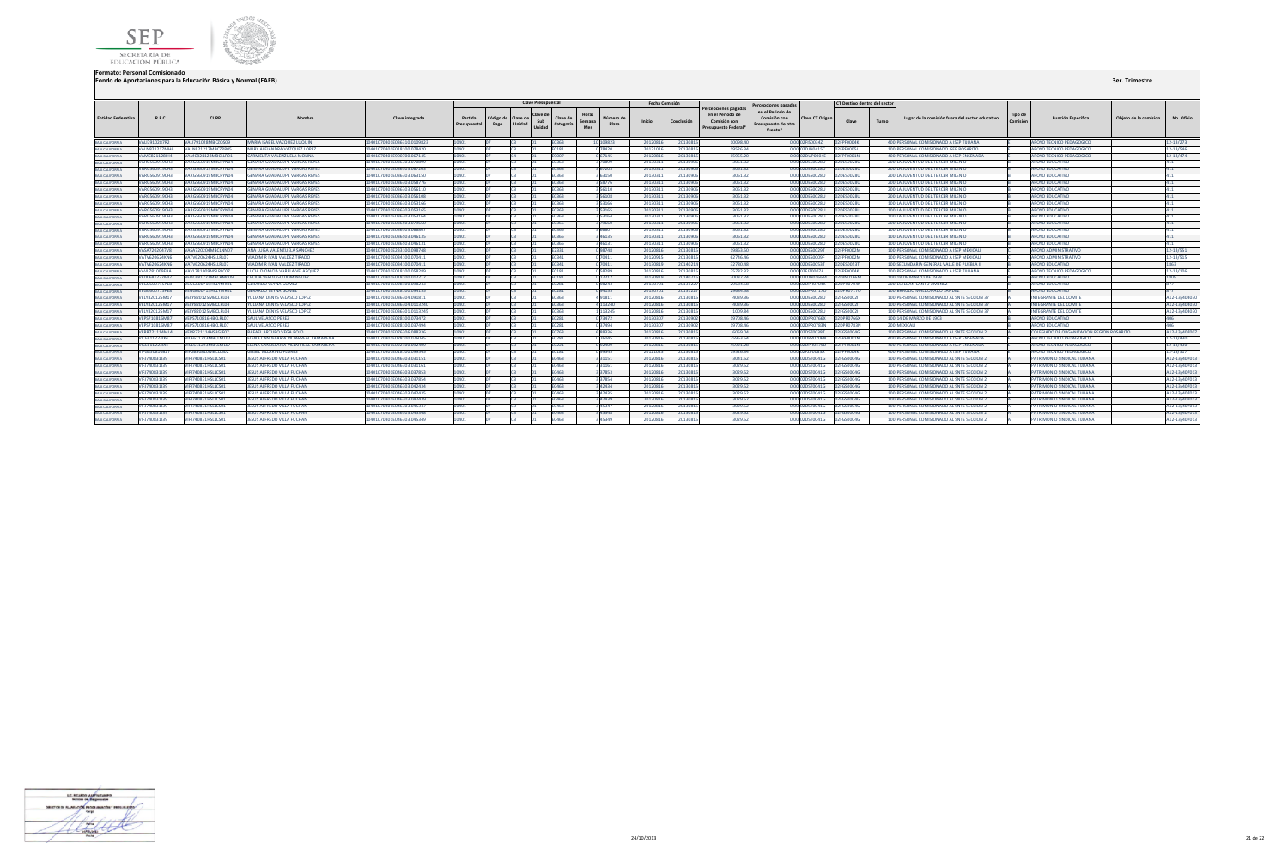



|                           |                      |                          |                                      |                           |                         |                                     | <b>Clave Presupuestal</b> |                       |                                              | <b>Fecha Comisión</b> |            |                                                                                 | ercepciones pagadas                                                |                 | CT Destino dentro del sector |       |                                                 |        |                                           |                       |               |
|---------------------------|----------------------|--------------------------|--------------------------------------|---------------------------|-------------------------|-------------------------------------|---------------------------|-----------------------|----------------------------------------------|-----------------------|------------|---------------------------------------------------------------------------------|--------------------------------------------------------------------|-----------------|------------------------------|-------|-------------------------------------------------|--------|-------------------------------------------|-----------------------|---------------|
| <b>Entidad Federativa</b> | R.F.C.               | <b>CURP</b>              | Nombre                               | Clave integrada           | Partida<br>Presupuestal | ódigo de Clave de<br>Unidad<br>Pago | Clave d<br>Sub<br>Unidad  | Clave de<br>Categoría | Horas<br>Número de<br>Semana<br>Plaza<br>Mes | Inicio                | Conclusión | ercepciones pagadas<br>en el Periodo de<br>Comisión con<br>Presupuesto Federal' | en el Periodo de<br>Comisión con<br>Presupuesto de otra<br>fuente' | Clave CT Origen | Clave                        | Turno | Lugar de la comisión fuera del sector educativo | Tipo d | <b>Función Específica</b>                 | Obieto de la comision | No. Oficio    |
| BAIA CALIFORNIA           | ALI7910287R2         | VALI791028MBCZOS0        | <b>MARIA ISABEL VAZQUEZ LUQUIN</b>   | 401070301E036310.0109823  |                         |                                     |                           | :0363                 | 10 109823                                    | 2012081               | 2013081    | 10098.40                                                                        |                                                                    | 0.00 02FIS0034Z | 02FPF0004K                   |       | 400 PERSONAL COMISIONADO A ISEP TIJUANA         |        | <b>APOYO TECNICO PEDAGOGICO</b>           |                       | 2-13/273      |
| RAIA CALIFORNIA           | <b>VALN821217MH6</b> | ALN821217MBCZPR05        | <b>IURY ALEJANDRA VAZQUEZ LOPEZ</b>  | 401070301E018100.078420   |                         |                                     |                           | 0181                  | 0 78420                                      | 201210                | 2013081    | 19526.34                                                                        |                                                                    | 0.00 02DJN0415C | EFPF0005J                    |       | 100 PERSONAL COMISIONADO ISEP ROSARITO          |        | <b>APOYO TECNICO PEDAGOGICO</b>           |                       | 12-13/546     |
| <b>RAIA CALIFORNIA</b>    | VAMC821128IH4        | /AMC821128MBCLLR01       | <b>CARMELITA VALENZUELA MOLINA</b>   | 0401070401E900700.067145  | 10401                   |                                     |                           | E9007                 | 0 67145                                      | 2012081               | 20130815   | 15955.20                                                                        |                                                                    | 0.00 02DUP0004E | 2FPF0001N                    |       | 400 PERSONAL COMISIONADO A ISEP ENSENADA        |        | APOYO TECNICO PEDAGOGICO                  |                       | 12-13/474     |
| RAIA CALIFORNIA           | <b>/ARG560919CH3</b> | \RGS60919MRCRYNO4        | SENARA GUADALUPE VARGAS REYES        | PPROTO EOFAFO3103 070899  |                         |                                     |                           | <b>FN363</b>          | 70899                                        | 2013031               | 2013090    | 3061.32                                                                         |                                                                    | 0.00 02DES0028U | 2DES0028U                    |       | 200 LA JUVENTUD DEL TERCER MILENIO              |        | <b>APOYO EDUCATIVO</b>                    |                       |               |
| RAIA CALIFORNIA           | VARG560919CH3        | /ARG560919MBCRYN04       | <b>GENARA GUADALUPE VARGAS REYES</b> | 0401070301E036303.067203  | 10401.                  |                                     |                           | E0363                 | 3 67203                                      | 2013031               | 20130906   | 3061.32                                                                         |                                                                    | 0.00 02DES0028U | 2DES0028U                    |       | 200 LA JUVENTUD DEL TERCER MILENIO              |        | <b>APOYO EDUCATIVO</b>                    |                       |               |
| BAIA CALIFORNIA           | VARG560919CH3        | ARG560919MBCRYN04        | GENARA GUADALUPE VARGAS REYES        | 0401070301E036303.063150  | 10401                   |                                     |                           | E0363                 | 3 63150                                      | 2013031               | 20130906   | 3061.32                                                                         |                                                                    | 0.00 02DES0028U | 2DES0028U                    |       | 200 LA JUVENTUD DEL TERCER MILENIO              |        | <b>APOYO EDUCATIVO</b>                    |                       |               |
| BAIA CALIFORNIA           | /ARG560919CH3        | ARG560919MBCRYN04        | <b>ENARA GUADALUPE VARGAS REYES</b>  | 401070301E036303.058776   |                         |                                     |                           | :0363                 | 858776                                       | 201303                | 2013090    | 3061.32                                                                         |                                                                    | 0.00 02DES0028U | 2DES0028U                    |       | 200 LA JUVENTUD DEL TERCER MILENIO              |        | <b>APOYO EDUCATIVO</b>                    |                       |               |
| BAIA CALIFORNIA           | VARG560919CH3        | ARG560919MBCRYN04        | SENARA GUADALUPE VARGAS REYES        | 0401070301E036303.056110  |                         |                                     |                           | E0363                 | 56110                                        | 2013031               | 20130906   | 3061.32                                                                         |                                                                    | 0.00 02DES0028U | 2DES0028U                    |       | 200 LA JUVENTUD DEL TERCER MILENIO              |        | <b>APOYO EDUCATIVO</b>                    |                       |               |
| BAIA CALIFORNIA           | VARG560919CH3        | /ARG560919MBCRYN04       | SENARA GUADALUPE VARGAS REYES        | 0401070301E036303.056108  | 10401                   |                                     |                           | E0363                 | 356108                                       | 201303                | 2013090    | 3061.32                                                                         |                                                                    | 0.00 02DES0028U | 2DES0028U                    |       | 200 LA JUVENTUD DEL TERCER MILENIO              |        | <b>APOYO EDUCATIVO</b>                    |                       |               |
| BAIA CALIFORNIA           | ARG560919CH3         | \RG560919MBCRYN04        | <b>ENARA GUADALUPE VARGAS REYES</b>  | 101070301E036303.053166   |                         |                                     |                           | 0363                  |                                              | 20130                 | 2013090    | 3061.32                                                                         |                                                                    | 0.00 02DES0028U | 2DES0028U                    |       | 100 LA JUVENTUD DEL TERCER MILENIO              |        | <b>IPOYO EDUCATIVO</b>                    |                       |               |
| BAJA CALIFORNIA           | VARG560919CH3        | /ARG560919MBCRYN04       | <b>GENARA GUADALUPE VARGAS REYES</b> | 0401070301E036303.053165  | 10401                   |                                     |                           | E0363                 | 353165                                       | 2013031               | 20130906   | 3061.32                                                                         |                                                                    | 0.00 02DES0028U | 2DES0028U                    |       | 100 LA JUVENTUD DEL TERCER MILENIO              |        | APOYO EDUCATIVO                           |                       |               |
| BAIA CALIFORNIA           | VARG560919CH3        | ARG560919MBCRYN04        | GENARA GUADALUPE VARGAS REYES        | 0401070301E036303.053164  | 10401                   |                                     |                           | E0363                 | 353164                                       | 201303                | 20130906   | 3061.32                                                                         |                                                                    | 0.00 02DES0028U | 2DES0028U                    |       | 100 LA JUVENTUD DEL TERCER MILENIO              |        | <b>APOYO EDUCATIVO</b>                    |                       |               |
| BAJA CALIFORNIA           | VARG560919CH3        | ARG560919MBCRYN04        | <b>GENARA GUADALUPE VARGAS REYES</b> | 0401070301E036503.079660  | 10401                   |                                     |                           | E0365                 | 379660                                       | 201303                | 20130906   | 3061.32                                                                         |                                                                    | 0.00 02DES0028U | 2DES0028U                    |       | 200 LA JUVENTUD DEL TERCER MILENIO              |        | <b>APOYO EDUCATIVO</b>                    |                       |               |
| BAIA CALIFORNIA           | VARG560919CH3        | ARGS60919MBCRYN04        | SENARA GUADALUPE VARGAS REYES        | 0401070301E036503.066807  | 10401                   |                                     |                           | 0365                  | 3 66807                                      | 201303                | 20130906   | 3061.3                                                                          |                                                                    | 0.00 02DES0028U | 2DES0028U                    |       | 100 LA JUVENTUD DEL TERCER MILENIO              |        | <b>APOYO EDUCATIVO</b>                    |                       |               |
| BAIA CALIFORNIA           | <b>VARG560919CH3</b> | ARG560919MBCRYN04        | ENARA GUADALUPE VARGAS REYES         | 01070301E036503.046135    |                         |                                     |                           | 0365                  | 46135                                        | 201303                | 2013090    | 3061.32                                                                         |                                                                    | 0.00 02DES0028U | 2DES0028U                    |       | 100 LA JUVENTUD DEL TERCER MILENIO              |        | <b>APOYO EDUCATIVO</b>                    |                       |               |
| RAIA CALIFORNIA           | VARG560919CH3        | ARG560919MBCRYN04        | <b>ENARA GUADALUPE VARGAS REYES</b>  | 0401070301E036503.046131  | 3401.                   |                                     |                           | 0365                  | 346131                                       | 2013031               | 20130906   | 3061.32                                                                         |                                                                    | 0.00 02DES0028U | 2DES0028U                    |       | 100 LA JUVENTUD DEL TERCER MILENIO              |        | APOYO EDUCATIVO                           |                       |               |
| RAIA CALIFORNIA           | VASA7202047V8        | VASA720204MBCLNN07       | ANA LUISA VALENZUELA SANCHEZ         | 401070301E233100.098748   | 0401.                   |                                     |                           | E2331                 | 098748                                       | 2012081               | 2013081    | 19863.50                                                                        |                                                                    | 0.00 02DES0029T | <b>FPF0002M</b>              |       | 100 PERSONAL COMISIONADO A ISEP MEXICALI        |        | <b>APOYO ADMINISTRATIVO</b>               |                       | 12-13/551     |
| BAIA CALIFORNIA           | ATV620624KN6         | ATV620624HSLLRLD         | LADIMIR IVAN VALDEZ TIRADO           | 401070301E034100.070411   |                         |                                     |                           | 1341                  | 70411                                        | 201209                | 2013081    | 62746.46                                                                        |                                                                    | 0.00 02DES0009  | <b>PF0002M</b>               |       | 100 PERSONAL COMISIONADO A ISEP MEXICALI        |        | <b>APOYO ADMINISTRATIVO</b>               |                       | 12-13/515     |
| BAIA CALIFORNIA           | VATV620624KN6        | ATV620624HSLLRL07        | LADIMIR IVAN VALDEZ TIRADO           | 401070301E034100.070411   |                         |                                     |                           | FN 341                | 0 70411                                      | 2013081               | 20140214   | 32780.48                                                                        |                                                                    | 0.00 02DES0053T | 2DES0053T                    |       | 100 SECUNDARIA GENERAL VALLE DE PUEBLA II       |        | APOYO EDUCATIVO                           |                       | 863           |
| RAIA CALIFORNIA           | <b>VAVL781009EBA</b> | VAVL781009MSLRLC07       | LUCIA DIONICIA VARELA VELAZQUEZ      | 0401070301E018100.058289  | 10401.                  |                                     |                           | E0181                 | 058289                                       | 2012081               | 20130815   | 25782.32                                                                        |                                                                    | 0.00 02FJZ0007A | 2FPF0004K                    |       | 100 PERSONAL COMISIONADO A ISEP TUUANA          |        | APOYO TECNICO PEDAGOGICO                  |                       | 12-13/106     |
| BAIA CALIFORNIA           | <b>VEDC681222MI7</b> | /EDC681222MBCRMC09       | CECILIA VERDUGO DOMINGUEZ            | 0401070301E018100.012212  | 10401                   |                                     |                           | E0181                 | 0 12212                                      | 2013081               | 2014071    | 20037.24                                                                        |                                                                    | 0.00 02DJN0166M | 2DJN0166M                    |       | 100 18 DE MARZO DE 1938                         |        | APOYO EDUCATIVO                           |                       | 1809          |
| BAJA CALIFORNIA           | <b>VEGG600715PE8</b> | EGG600715HCLYMR0:        | <b>SERARDO VEYNA GOMEZ</b>           | 0401070301E028100.098243  |                         |                                     |                           | 0281                  | 098243                                       | 201307                | 2013122    | 29684.51                                                                        |                                                                    | 0.00 02DPR0704K | DPR0704K                     |       | <b>200 ESTEBAN CANTU JIMENEZ</b>                |        | <b>APOYO EDUCATIVO</b>                    |                       |               |
| BAIA CALIFORNIA           | /EGG600715PE8        | GG600715HCLYMRC          | <b>SERARDO VEYNA GOMEZ</b>           | 401070301E028100.094155   | 0401.                   |                                     |                           | 0281                  | 094155                                       | 20130                 | 2013122    | 29684.5                                                                         |                                                                    | 0.00 02DPR0717C | 2DPR07170                    |       | 100 BRAULIO MALDONADO SANDEZ                    |        | <b>APOYO EDUCATIVO</b>                    |                       |               |
| BAJA CALIFORNIA           | /ELY820125M1         | ELY820125MBCLPLD         | JLIANA DENYS VELASCO LOPEZ           | 101070301E036304.091811   |                         |                                     |                           | 0363                  | 91811                                        | 20120                 | 2013081    | 4039.3                                                                          |                                                                    | 0.00 02DES0028U | <b>FGS00021</b>              |       | 100 PERSONAL COMISIONADO AL SNTE SECCION 37     |        | <b>ITEGRANTE DEL COMIT</b>                |                       | 12-13/40403   |
| BAIA CALIFORNIA           | VELY820125M1         | ELY820125MBCLPL04        | ULIANA DENYS VELASCO LOPEZ           | 0401070301E036304.0113240 | 0401                    |                                     |                           | E0363                 | 4 113240                                     | 2012081               | 2013081    | 4039.36                                                                         |                                                                    | 0.00 02DES0028U | 2FGS00021                    |       | 100 PERSONAL COMISIONADO AL SNTE SECCION 37     |        | NTEGRANTE DEL COMITE                      |                       | A12-13/40403  |
| BAJA CALIFORNIA           | <b>VELY820125M1</b>  | ELY820125MBCLPL04        | ULIANA DENYS VELASCO LOPEZ           | 0401070301E036301.0113245 | 10401                   |                                     |                           | 0363                  | 1113245                                      | 2012081               | 2013081    | 1009.84                                                                         |                                                                    | 0.00 02DES0028U | <b>EFGS00021</b>             |       | 100 PERSONAL COMISIONADO AL SNTE SECCION 37     |        | NTEGRANTE DEL COMIT                       |                       | A12-13/40403  |
| BAIA CALIFORNIA           | <b>VEPS710816M8</b>  | VEPS710816HBCLRL07       | <b>AUL VELASCO PEREZ</b>             | 401070301E028100.073472   |                         |                                     |                           | 0281                  | 0 73472                                      | 201303                | 20130902   | 19708.46                                                                        |                                                                    | 0.00 02DPR0766X | 2DPR0766X                    |       | 100 14 DE MARZO DE 1903                         |        | <b>APOYO EDUCATIVO</b>                    |                       |               |
| BAIA CALIFORNIA           | VEPS710816M87        | VEPS710816HBCLRL07       | AUL VELASCO PEREZ                    | 0401070301E028100.037494  | 04.01                   |                                     |                           | 0281                  | 037494                                       | 201303                | 2013090    | 19708.46                                                                        |                                                                    | 0.00 02DPR0783N | 2DPR0783N                    |       | 200 MEXICALI                                    |        | APOYO EDUCATIVO                           |                       |               |
| BAIA CALIFORNIA           | <b>VERR721114ML4</b> | VERR721114HSRGJF07       | RAFAEL ARTURO VEGA ROJO              | 0401070301E076306.088336  | 10401                   |                                     |                           | E0763                 | 688336                                       | 2012081               | 2013081    | 6059.04                                                                         |                                                                    | 0.00 02DST0038T | 2FGS0004G                    |       | 100 PERSONAL COMISIONADO AL SNTE SECCION 2      |        | COLEGIADO DE ORGANIZACION REGION ROSARITO |                       | A12-13/40700  |
| BAIA CALIFORNIA           | /ICE611223IX4        | ICE611223MBCLML0         | LENA CANDELARIA VILLARREAL CAMARENA  | 0401070301E028100.076045  | 0401                    |                                     |                           | 0281                  | 0 76045                                      | 2012081               | 2013081    | 25963.54                                                                        |                                                                    | 0.00 02DPR0206N | FPF0001N                     |       | 400 PERSONAL COMISIONADO A ISEP ENSENAD.        |        | APOYO TECNICO PEDAGOGICO                  |                       | 12-13/430     |
| <b>BAIA CALIFORNIA</b>    | /ICE611223IX4        | /ICE611223MBCLML07       | LENA CANDELARIA VILLARREAL CAMARENA  | 0401070301E022100.092409  | 10401                   |                                     |                           | 0221                  | 092409                                       | 2012081               | 2013081    | 45921.2                                                                         |                                                                    | 0.00 02DPR0479D | FPF0001N                     |       | 400 PERSONAL COMISIONADO A ISEP ENSENADA        |        | APOYO TECNICO PEDAGOGICO                  |                       | 12-13/430     |
| BAJA CALIFORNIA           | FG850810B27          | FG850810MBCLLS02         | <b>SSEL VILLARINO FLORES</b>         | 101070301E018100.099545   |                         |                                     |                           | 1181                  | 99545                                        | 201210                | 2013081    | 19526.34                                                                        |                                                                    | 0.00 02FZP0083A | <b>PF0004K</b>               |       | 400 PERSONAL COMISIONADO A ISEP TUUANA          |        | <b>IPOYO TECNICO PEDAGOGICO</b>           |                       | 2-13/517      |
| BAIA CALIFORNIA           | VIFJ740831J39        | VIFJ740831HSLLCS01       | <b>ESUS ALFREDO VILLA FUCHAN</b>     | 401070301E046303.031151   |                         |                                     |                           | 0463                  | 3 3 1 1 5 1                                  | 2012081               | 2013081    | 3041.52                                                                         |                                                                    | 0.00 02DST0041G | 2FGS0004G                    |       | 100 PERSONAL COMISIONADO AL SNTE SECCION 2      |        | PATRIMONIO SINDICAL TUUANA                |                       | A12-13/40701  |
| BAIA CALIFORNIA           | VIFJ740831J39        | /IFJ740831HSLLCS01       | <b>ESUS ALFREDO VILLA FUCHAN</b>     | 0401070301E046303.031161  |                         |                                     |                           | E0463                 | 3 3 1 1 6 1                                  | 2012081               | 2013081    | 3029.52                                                                         |                                                                    | 0.00 02DST0041G | 2FGS0004G                    |       | 100 PERSONAL COMISIONADO AL SNTE SECCION 2      |        | PATRIMONIO SINDICAL TIJUANA               |                       | A12-13/40701  |
| BAIA CALIFORNIA           | VIFJ740831J39        | /IFJ740831HSLLCS01       | <b>ESUS ALFREDO VILLA FUCHAN</b>     | 0401070301E046303.037853  | 0401.                   |                                     |                           | 0463                  | 337853                                       | 201208                | 2013081    | 3029.52                                                                         |                                                                    | 0.00 02DST0041G | FGS0004G                     |       | 100 PERSONAL COMISIONADO AL SNTE SECCION 2      |        | PATRIMONIO SINDICAL TIJUANA               |                       | A12-13/40701  |
| BAIA CALIFORNIA           | VIFJ740831J39        | 1FJ740831HSLLCS01        | <b>ESUS ALFREDO VILLA FUCHAN</b>     | 0401070301E046303.037854  |                         |                                     |                           | 0463                  | 37854                                        | 2012081               | 2013081    | 3029.52                                                                         |                                                                    | 0.00 02DST0041G | <b>FGS0004G</b>              |       | 100 PERSONAL COMISIONADO AL SNTE SECCION 2      |        | PATRIMONIO SINDICAL TUUANA                |                       | A12-13/40701  |
| BAIA CALIFORNIA           | VIFJ740831J39        | VIFJ740831HSLLCS01       | <b>ESUS ALFREDO VILLA FUCHAN</b>     | 0401070301E046303.042434  | 10401                   |                                     |                           | E0463                 | 3 42434                                      | 2012081               | 2013081    | 3029.52                                                                         |                                                                    | 0.00102DST0041G | PEGS0004G                    |       | 100 PERSONAL COMISIONADO AL SNTE SECCION 2      |        | PATRIMONIO SINDICAL TIJUANA               |                       | A12-13/40701  |
| BAIA CALIFORNIA           | VIFJ740831J39        | /IFJ740831HSLLCS01       | <b>ESUS ALFREDO VILLA FUCHAN</b>     | 0401070301E046303.042435  | 10401                   |                                     |                           | E0463                 | 3 42435                                      | 2012081               | 2013081    | 3029.52                                                                         |                                                                    | 0.00 02DST0041G | 2FGS0004G                    |       | 100 PERSONAL COMISIONADO AL SNTE SECCION 2      |        | PATRIMONIO SINDICAL TIJUANA               |                       | A12-13/40701  |
| BAIA CALIFORNIA           | VIFJ740831J39        | <b>IFJ740831HSLLCS01</b> | <b>ESUS ALFREDO VILLA FUCHAN</b>     | 0401070301E046303.042439  | 0401                    |                                     |                           | E0463                 | 342439                                       | 201208                | 2013081    | 3029.52                                                                         |                                                                    | 0.00 02DST0041G | <b>FGS0004G</b>              |       | 100 PERSONAL COMISIONADO AL SNTE SECCION 2      |        | PATRIMONIO SINDICAL TIJUANA               |                       | A12-13/40701  |
| BAIA CALIFORNIA           | VIFJ740831J39        | FJ740831HSLLCS01         | <b>ESUS ALFREDO VILLA FUCHAN</b>     | 0401070301E046303.04534   | 04.01                   |                                     |                           | 0463                  | 45347                                        | 201208                | 2013081    | 3029.52                                                                         |                                                                    | 0.00 02DST0041G | <b>EFGS0004G</b>             |       | 100 PERSONAL COMISIONADO AL SNTE SECCION 2      |        | PATRIMONIO SINDICAL TUUANA                |                       | A12-13/40701  |
| BAIA CALIFORNIA           | VIFI740831139        | IFIZ40831HSLLCS01        | <b>SUS ALFREDO VILLA FUCHAN</b>      | 401070301E046303.045348   |                         |                                     |                           | 0463                  | 45348                                        | 201208                | 2013081    | 3029.52                                                                         |                                                                    | 0.00 02DST0041G | 2FGS0004G                    |       | 100 PERSONAL COMISIONADO AL SNTE SECCION 2      |        | ATRIMONIO SINDICAL TUUANA                 |                       | 12-13/40701   |
| BAIA CALIFORNIA           | VIFJ740831J39        | VIFJ740831HSLLCS01       | JESUS ALFREDO VILLA FUCHAN           | 0401070301E046303.045349  |                         |                                     |                           | FN463                 | 45349                                        | 2012081               | 20130815   | 3029.52                                                                         |                                                                    | 0.00 02DST0041G | 02FGS0004G                   |       | 100 PERSONAL COMISIONADO AL SNTE SECCION 2      |        | PATRIMONIO SINDICAL TUUANA                |                       | A12-13/407013 |